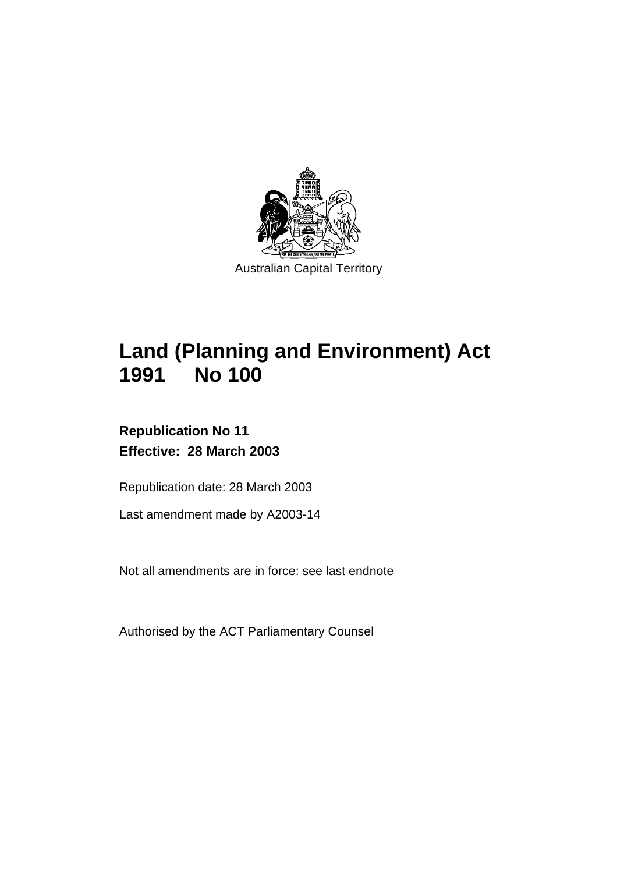

# **Land (Planning and Environment) Act 1991 No 100**

## **Republication No 11 Effective: 28 March 2003**

Republication date: 28 March 2003

Last amendment made by A2003-14

Not all amendments are in force: see last endnote

Authorised by the ACT Parliamentary Counsel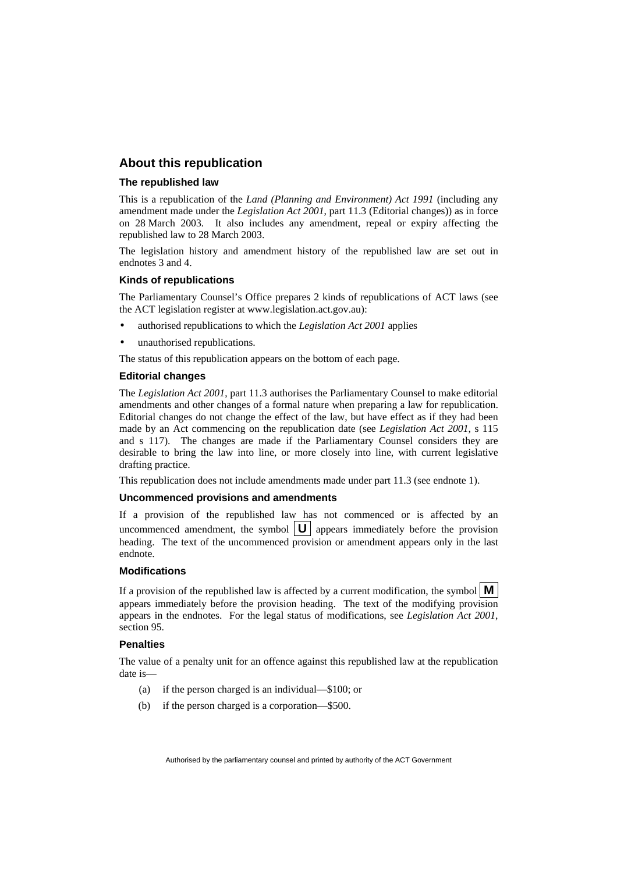#### **About this republication**

#### **The republished law**

This is a republication of the *Land (Planning and Environment) Act 1991* (including any amendment made under the *Legislation Act 2001*, part 11.3 (Editorial changes)) as in force on 28 March 2003*.* It also includes any amendment, repeal or expiry affecting the republished law to 28 March 2003.

The legislation history and amendment history of the republished law are set out in endnotes 3 and 4.

#### **Kinds of republications**

The Parliamentary Counsel's Office prepares 2 kinds of republications of ACT laws (see the ACT legislation register at www.legislation.act.gov.au):

- authorised republications to which the *Legislation Act 2001* applies
- unauthorised republications.

The status of this republication appears on the bottom of each page.

#### **Editorial changes**

The *Legislation Act 2001*, part 11.3 authorises the Parliamentary Counsel to make editorial amendments and other changes of a formal nature when preparing a law for republication. Editorial changes do not change the effect of the law, but have effect as if they had been made by an Act commencing on the republication date (see *Legislation Act 2001*, s 115 and s 117). The changes are made if the Parliamentary Counsel considers they are desirable to bring the law into line, or more closely into line, with current legislative drafting practice.

This republication does not include amendments made under part 11.3 (see endnote 1).

#### **Uncommenced provisions and amendments**

If a provision of the republished law has not commenced or is affected by an uncommenced amendment, the symbol  $|\mathbf{U}|$  appears immediately before the provision heading. The text of the uncommenced provision or amendment appears only in the last endnote.

#### **Modifications**

If a provision of the republished law is affected by a current modification, the symbol  $\vert M \vert$ appears immediately before the provision heading. The text of the modifying provision appears in the endnotes. For the legal status of modifications, see *Legislation Act 2001*, section 95.

#### **Penalties**

The value of a penalty unit for an offence against this republished law at the republication date is—

- (a) if the person charged is an individual—\$100; or
- (b) if the person charged is a corporation—\$500.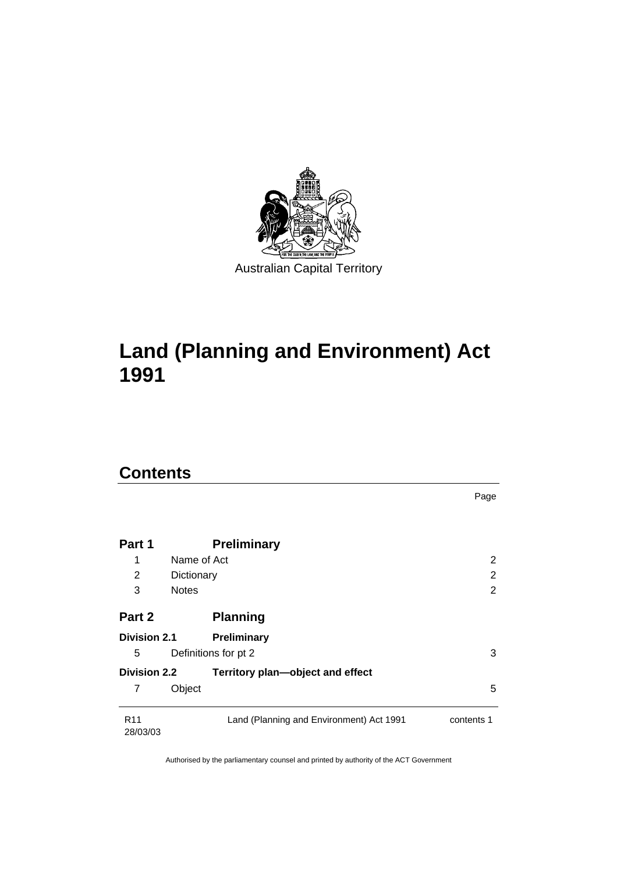

# **Land (Planning and Environment) Act 1991**

# **Contents**

|                             |              |                                          | Page       |
|-----------------------------|--------------|------------------------------------------|------------|
| Part 1                      |              | <b>Preliminary</b>                       |            |
| 1                           | Name of Act  |                                          | 2          |
| 2                           | Dictionary   |                                          | 2          |
| 3                           | <b>Notes</b> |                                          | 2          |
| Part 2                      |              | <b>Planning</b>                          |            |
| <b>Division 2.1</b>         |              | <b>Preliminary</b>                       |            |
| 5                           |              | Definitions for pt 2                     | 3          |
| <b>Division 2.2</b>         |              | Territory plan-object and effect         |            |
| 7                           | Object       |                                          | 5          |
| R <sub>11</sub><br>28/03/03 |              | Land (Planning and Environment) Act 1991 | contents 1 |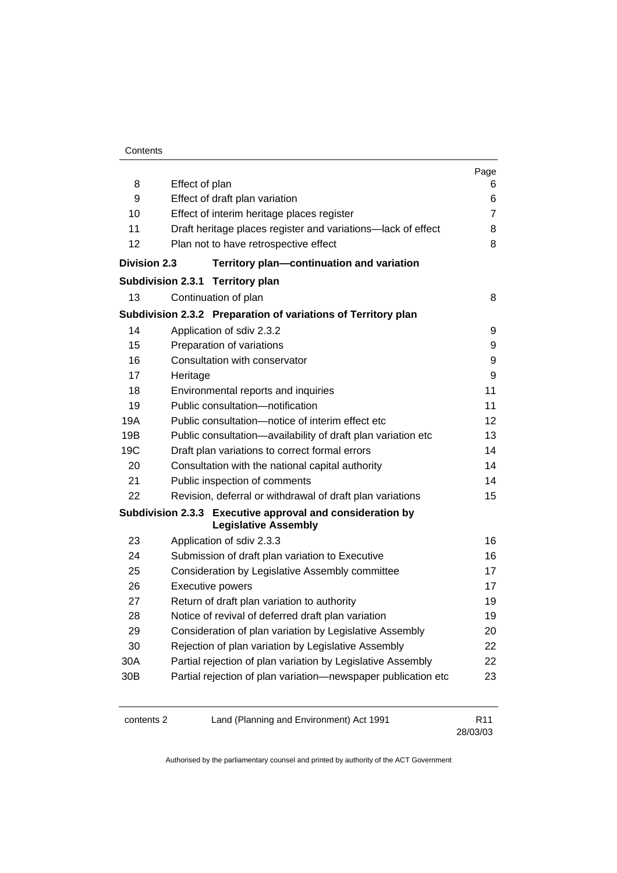| 8                   | Effect of plan |                                                                                          | Page<br>6       |
|---------------------|----------------|------------------------------------------------------------------------------------------|-----------------|
| 9                   |                | Effect of draft plan variation                                                           | 6               |
| 10                  |                | Effect of interim heritage places register                                               | 7               |
| 11                  |                | Draft heritage places register and variations-lack of effect                             | 8               |
| 12                  |                | Plan not to have retrospective effect                                                    | 8               |
| <b>Division 2.3</b> |                |                                                                                          |                 |
|                     |                | Territory plan-continuation and variation                                                |                 |
|                     |                | Subdivision 2.3.1 Territory plan                                                         |                 |
| 13                  |                | Continuation of plan                                                                     | 8               |
|                     |                | Subdivision 2.3.2 Preparation of variations of Territory plan                            |                 |
| 14                  |                | Application of sdiv 2.3.2                                                                | 9               |
| 15                  |                | Preparation of variations                                                                | 9               |
| 16                  |                | Consultation with conservator                                                            | 9               |
| 17                  | Heritage       |                                                                                          | 9               |
| 18                  |                | Environmental reports and inquiries                                                      | 11              |
| 19                  |                | Public consultation-notification                                                         | 11              |
| 19A                 |                | Public consultation-notice of interim effect etc                                         | 12              |
| 19B                 |                | Public consultation-availability of draft plan variation etc                             | 13              |
| 19C                 |                | Draft plan variations to correct formal errors                                           | 14              |
| 20                  |                | Consultation with the national capital authority                                         | 14              |
| 21                  |                | Public inspection of comments                                                            | 14              |
| 22                  |                | Revision, deferral or withdrawal of draft plan variations                                | 15              |
|                     |                | Subdivision 2.3.3 Executive approval and consideration by<br><b>Legislative Assembly</b> |                 |
| 23                  |                | Application of sdiv 2.3.3                                                                | 16              |
| 24                  |                | Submission of draft plan variation to Executive                                          | 16              |
| 25                  |                | Consideration by Legislative Assembly committee                                          | 17              |
| 26                  |                | Executive powers                                                                         | 17              |
| 27                  |                | Return of draft plan variation to authority                                              | 19              |
| 28                  |                | Notice of revival of deferred draft plan variation                                       | 19              |
| 29                  |                | Consideration of plan variation by Legislative Assembly                                  | 20              |
| 30                  |                | Rejection of plan variation by Legislative Assembly                                      | 22              |
| 30A                 |                | Partial rejection of plan variation by Legislative Assembly                              | 22              |
| 30B                 |                | Partial rejection of plan variation-newspaper publication etc                            | 23              |
| contents 2          |                | Land (Planning and Environment) Act 1991                                                 | R <sub>11</sub> |

28/03/03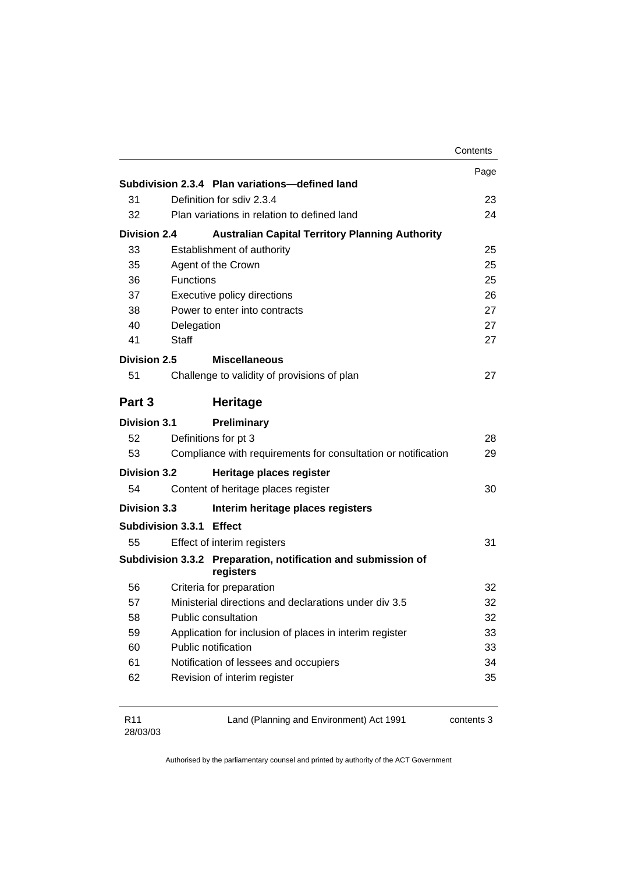|                     |                          |                                                                            | Contents   |
|---------------------|--------------------------|----------------------------------------------------------------------------|------------|
|                     |                          |                                                                            | Page       |
|                     |                          | Subdivision 2.3.4 Plan variations-defined land                             |            |
| 31                  |                          | Definition for sdiv 2.3.4                                                  | 23         |
| 32                  |                          | Plan variations in relation to defined land                                | 24         |
| <b>Division 2.4</b> |                          | <b>Australian Capital Territory Planning Authority</b>                     |            |
| 33                  |                          | Establishment of authority                                                 | 25         |
| 35                  |                          | Agent of the Crown                                                         | 25         |
| 36                  | <b>Functions</b>         |                                                                            | 25         |
| 37                  |                          | Executive policy directions                                                | 26         |
| 38                  |                          | Power to enter into contracts                                              | 27         |
| 40                  | Delegation               |                                                                            | 27         |
| 41                  | Staff                    |                                                                            | 27         |
| Division 2.5        |                          | <b>Miscellaneous</b>                                                       |            |
| 51                  |                          | Challenge to validity of provisions of plan                                | 27         |
| Part <sub>3</sub>   |                          | <b>Heritage</b>                                                            |            |
| <b>Division 3.1</b> |                          | Preliminary                                                                |            |
| 52                  |                          | Definitions for pt 3                                                       | 28         |
| 53                  |                          | Compliance with requirements for consultation or notification              | 29         |
| <b>Division 3.2</b> |                          | Heritage places register                                                   |            |
| 54                  |                          | Content of heritage places register                                        | 30         |
| <b>Division 3.3</b> |                          | Interim heritage places registers                                          |            |
|                     | Subdivision 3.3.1 Effect |                                                                            |            |
| 55                  |                          | Effect of interim registers                                                | 31         |
|                     |                          | Subdivision 3.3.2 Preparation, notification and submission of<br>registers |            |
| 56                  |                          | Criteria for preparation                                                   | 32         |
| 57                  |                          | Ministerial directions and declarations under div 3.5                      | 32         |
| 58                  |                          | Public consultation                                                        | 32         |
| 59                  |                          | Application for inclusion of places in interim register                    | 33         |
| 60                  |                          | Public notification                                                        | 33         |
| 61                  |                          | Notification of lessees and occupiers                                      | 34         |
| 62                  |                          | Revision of interim register                                               | 35         |
| R <sub>11</sub>     |                          | Land (Planning and Environment) Act 1991                                   | contents 3 |

Land (Planning and Environment) Act 1991 contents 3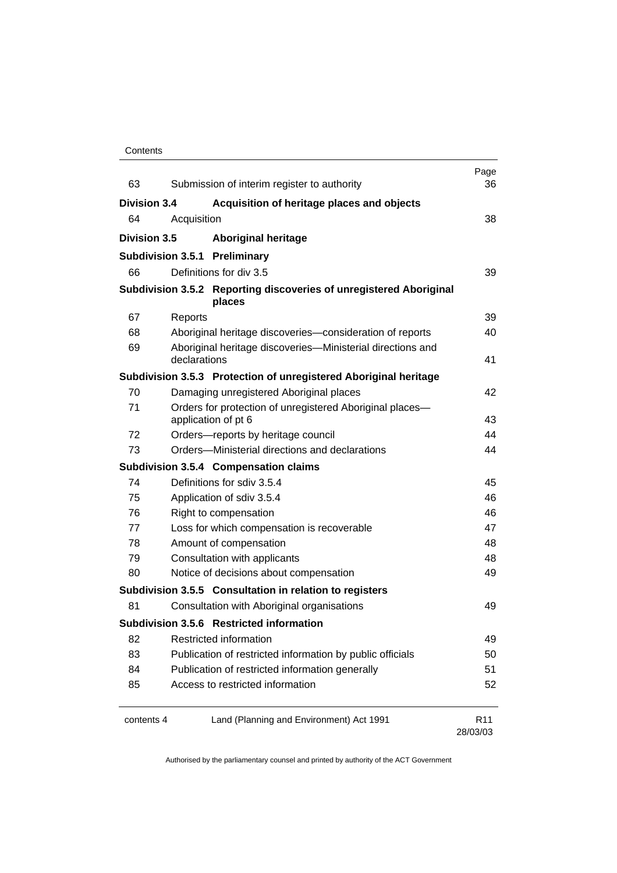#### **Contents**

| 63                  |              | Submission of interim register to authority                                     | Page<br>36                  |
|---------------------|--------------|---------------------------------------------------------------------------------|-----------------------------|
| <b>Division 3.4</b> |              | Acquisition of heritage places and objects                                      |                             |
| 64                  | Acquisition  |                                                                                 | 38                          |
| Division 3.5        |              |                                                                                 |                             |
|                     |              | <b>Aboriginal heritage</b>                                                      |                             |
|                     |              | <b>Subdivision 3.5.1 Preliminary</b>                                            |                             |
| 66                  |              | Definitions for div 3.5                                                         | 39                          |
|                     |              | Subdivision 3.5.2 Reporting discoveries of unregistered Aboriginal<br>places    |                             |
| 67                  | Reports      |                                                                                 | 39                          |
| 68                  |              | Aboriginal heritage discoveries-consideration of reports                        | 40                          |
| 69                  | declarations | Aboriginal heritage discoveries-Ministerial directions and                      | 41                          |
|                     |              | Subdivision 3.5.3 Protection of unregistered Aboriginal heritage                |                             |
| 70                  |              | Damaging unregistered Aboriginal places                                         | 42                          |
| 71                  |              | Orders for protection of unregistered Aboriginal places-<br>application of pt 6 | 43                          |
| 72                  |              | Orders-reports by heritage council                                              | 44                          |
| 73                  |              | Orders-Ministerial directions and declarations                                  | 44                          |
|                     |              | Subdivision 3.5.4 Compensation claims                                           |                             |
| 74                  |              | Definitions for sdiv 3.5.4                                                      | 45                          |
| 75                  |              | Application of sdiv 3.5.4                                                       | 46                          |
| 76                  |              | Right to compensation                                                           | 46                          |
| 77                  |              | Loss for which compensation is recoverable                                      | 47                          |
| 78                  |              | Amount of compensation                                                          | 48                          |
| 79                  |              | Consultation with applicants                                                    | 48                          |
| 80                  |              | Notice of decisions about compensation                                          | 49                          |
|                     |              | Subdivision 3.5.5 Consultation in relation to registers                         |                             |
| 81                  |              | Consultation with Aboriginal organisations                                      | 49                          |
|                     |              | Subdivision 3.5.6 Restricted information                                        |                             |
| 82                  |              | Restricted information                                                          | 49                          |
| 83                  |              | Publication of restricted information by public officials                       | 50                          |
| 84                  |              | Publication of restricted information generally                                 | 51                          |
| 85                  |              | Access to restricted information                                                | 52                          |
| contents 4          |              | Land (Planning and Environment) Act 1991                                        | R <sub>11</sub><br>28/03/03 |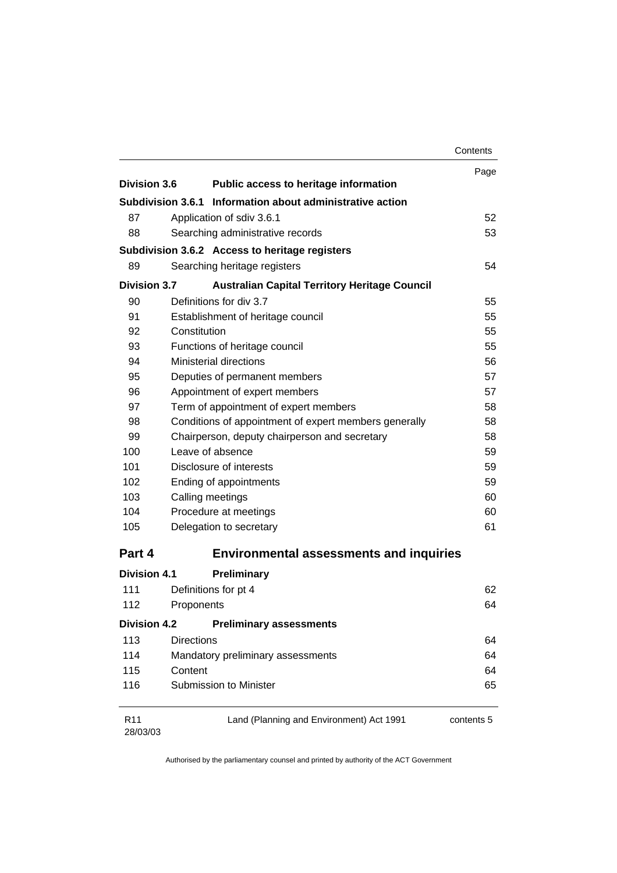|                             |                                         |                                                           | Contents   |
|-----------------------------|-----------------------------------------|-----------------------------------------------------------|------------|
|                             |                                         |                                                           | Page       |
| <b>Division 3.6</b>         |                                         | Public access to heritage information                     |            |
|                             |                                         | Subdivision 3.6.1 Information about administrative action |            |
| 87                          |                                         | Application of sdiv 3.6.1                                 | 52         |
| 88                          |                                         | Searching administrative records                          | 53         |
|                             |                                         | Subdivision 3.6.2 Access to heritage registers            |            |
| 89                          |                                         | Searching heritage registers                              | 54         |
| <b>Division 3.7</b>         |                                         | <b>Australian Capital Territory Heritage Council</b>      |            |
| 90                          |                                         | Definitions for div 3.7                                   | 55         |
| 91                          |                                         | Establishment of heritage council                         | 55         |
| 92                          | Constitution                            |                                                           | 55         |
| 93                          |                                         | Functions of heritage council                             | 55         |
| 94                          |                                         | Ministerial directions                                    | 56         |
| 95                          |                                         | Deputies of permanent members                             | 57         |
| 96                          |                                         | Appointment of expert members                             | 57         |
| 97                          |                                         | Term of appointment of expert members                     | 58         |
| 98                          |                                         | Conditions of appointment of expert members generally     | 58         |
| 99                          |                                         | Chairperson, deputy chairperson and secretary             | 58         |
| 100                         |                                         | Leave of absence                                          | 59         |
| 101                         |                                         | Disclosure of interests                                   | 59         |
| 102                         |                                         | Ending of appointments                                    | 59         |
| 103                         |                                         | Calling meetings                                          | 60         |
| 104                         |                                         | Procedure at meetings                                     | 60         |
| 105                         |                                         | Delegation to secretary                                   | 61         |
| Part 4                      |                                         | <b>Environmental assessments and inquiries</b>            |            |
| <b>Division 4.1</b>         |                                         | Preliminary                                               |            |
| 111                         |                                         | Definitions for pt 4                                      | 62         |
| 112                         | Proponents                              |                                                           | 64         |
| <b>Division 4.2</b>         |                                         | <b>Preliminary assessments</b>                            |            |
| 113                         | <b>Directions</b>                       |                                                           | 64         |
| 114                         | 64<br>Mandatory preliminary assessments |                                                           |            |
| 115                         | Content<br>64                           |                                                           |            |
| 116                         |                                         | Submission to Minister                                    | 65         |
| R <sub>11</sub><br>28/03/03 |                                         | Land (Planning and Environment) Act 1991                  | contents 5 |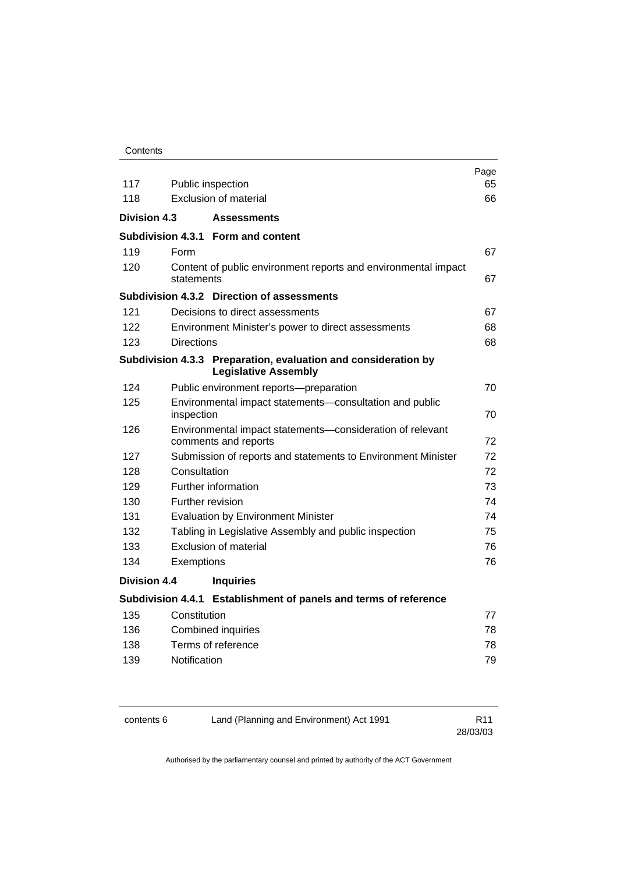| 117                 |                                                   |                                                                                               | Page<br>65 |
|---------------------|---------------------------------------------------|-----------------------------------------------------------------------------------------------|------------|
| 118                 | Public inspection<br><b>Exclusion of material</b> |                                                                                               | 66         |
| Division 4.3        |                                                   | <b>Assessments</b>                                                                            |            |
|                     |                                                   |                                                                                               |            |
|                     |                                                   | Subdivision 4.3.1 Form and content                                                            |            |
| 119                 | Form                                              |                                                                                               | 67         |
| 120                 | statements                                        | Content of public environment reports and environmental impact                                | 67         |
|                     |                                                   | Subdivision 4.3.2 Direction of assessments                                                    |            |
| 121                 |                                                   | Decisions to direct assessments                                                               | 67         |
| 122                 |                                                   | Environment Minister's power to direct assessments                                            | 68         |
| 123                 | <b>Directions</b>                                 |                                                                                               | 68         |
|                     |                                                   | Subdivision 4.3.3 Preparation, evaluation and consideration by<br><b>Legislative Assembly</b> |            |
| 124                 |                                                   | Public environment reports-preparation                                                        | 70         |
| 125                 | inspection                                        | Environmental impact statements-consultation and public                                       | 70         |
| 126                 |                                                   | Environmental impact statements-consideration of relevant<br>comments and reports             | 72         |
| 127                 |                                                   | Submission of reports and statements to Environment Minister                                  | 72         |
| 128                 | Consultation                                      |                                                                                               | 72         |
| 129                 |                                                   | Further information                                                                           | 73         |
| 130                 | Further revision                                  |                                                                                               | 74         |
| 131                 |                                                   | <b>Evaluation by Environment Minister</b>                                                     | 74         |
| 132                 |                                                   | Tabling in Legislative Assembly and public inspection                                         | 75         |
| 133                 |                                                   | <b>Exclusion of material</b>                                                                  | 76         |
| 134                 | Exemptions                                        |                                                                                               | 76         |
| <b>Division 4.4</b> |                                                   | <b>Inquiries</b>                                                                              |            |
|                     |                                                   | Subdivision 4.4.1 Establishment of panels and terms of reference                              |            |
| 135                 | Constitution                                      |                                                                                               | 77         |
| 136                 |                                                   | <b>Combined inquiries</b>                                                                     | 78         |
| 138                 |                                                   | Terms of reference                                                                            | 78         |
| 139                 | Notification                                      |                                                                                               | 79         |

|  | contents 6 |  |
|--|------------|--|
|--|------------|--|

Land (Planning and Environment) Act 1991 R11

28/03/03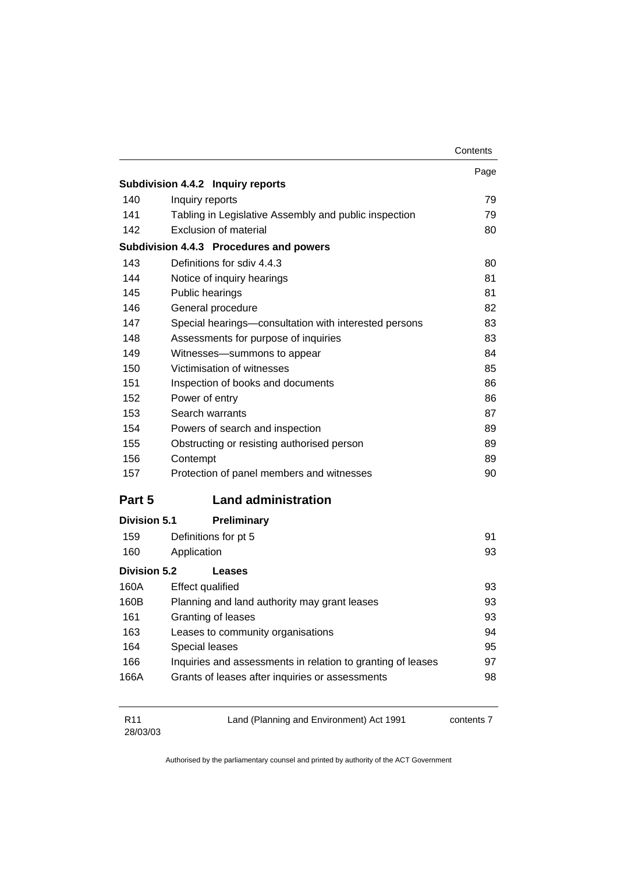|                             |                                                             | Contents   |
|-----------------------------|-------------------------------------------------------------|------------|
|                             |                                                             | Page       |
|                             | Subdivision 4.4.2 Inquiry reports                           |            |
| 140                         | Inquiry reports                                             | 79         |
| 141                         | Tabling in Legislative Assembly and public inspection       | 79         |
| 142                         | <b>Exclusion of material</b>                                | 80         |
|                             | Subdivision 4.4.3 Procedures and powers                     |            |
| 143                         | Definitions for sdiv 4.4.3                                  | 80         |
| 144                         | Notice of inquiry hearings                                  | 81         |
| 145                         | Public hearings                                             | 81         |
| 146                         | General procedure                                           | 82         |
| 147                         | Special hearings-consultation with interested persons       | 83         |
| 148                         | Assessments for purpose of inquiries                        | 83         |
| 149                         | Witnesses-summons to appear                                 | 84         |
| 150                         | Victimisation of witnesses                                  | 85         |
| 151                         | Inspection of books and documents                           | 86         |
| 152                         | Power of entry                                              | 86         |
| 153                         | Search warrants                                             | 87         |
| 154                         | Powers of search and inspection                             | 89         |
| 155                         | Obstructing or resisting authorised person                  | 89         |
| 156                         | Contempt                                                    | 89         |
| 157                         | Protection of panel members and witnesses                   | 90         |
| Part 5                      | <b>Land administration</b>                                  |            |
| <b>Division 5.1</b>         | Preliminary                                                 |            |
| 159                         | Definitions for pt 5                                        | 91         |
| 160                         | Application                                                 | 93         |
| <b>Division 5.2</b>         | <b>Leases</b>                                               |            |
| 160A                        | <b>Effect qualified</b>                                     | 93         |
| 160B                        | Planning and land authority may grant leases                | 93         |
| 161                         | Granting of leases                                          | 93         |
| 163                         | Leases to community organisations                           | 94         |
| 164                         | Special leases                                              | 95         |
| 166                         | Inquiries and assessments in relation to granting of leases | 97         |
| 166A                        | Grants of leases after inquiries or assessments             | 98         |
| R <sub>11</sub><br>28/03/03 | Land (Planning and Environment) Act 1991                    | contents 7 |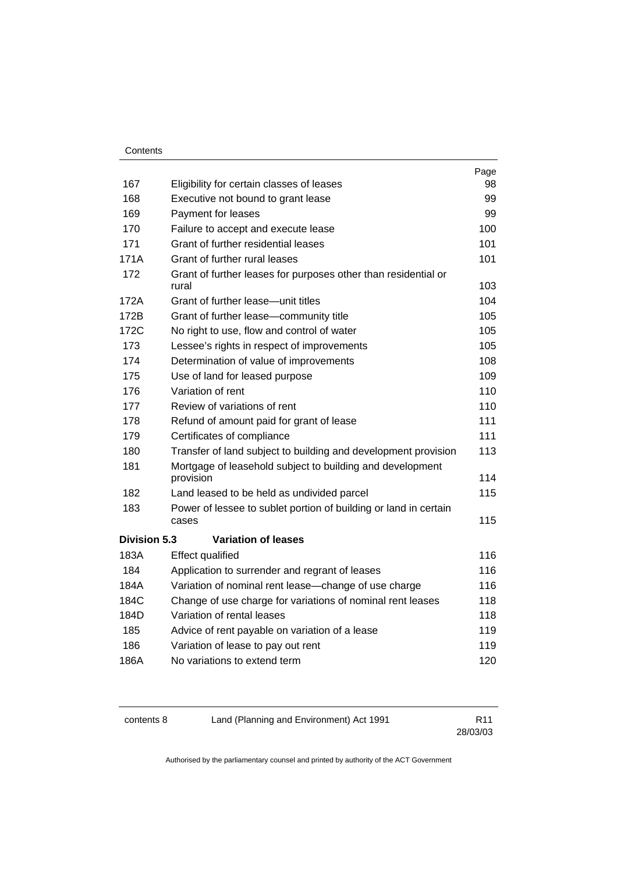|              |                                                                           | Page |
|--------------|---------------------------------------------------------------------------|------|
| 167          | Eligibility for certain classes of leases                                 | 98   |
| 168          | Executive not bound to grant lease                                        | 99   |
| 169          | Payment for leases                                                        | 99   |
| 170          | Failure to accept and execute lease                                       | 100  |
| 171          | Grant of further residential leases                                       | 101  |
| 171A         | Grant of further rural leases                                             | 101  |
| 172          | Grant of further leases for purposes other than residential or<br>rural   | 103  |
| 172A         | Grant of further lease—unit titles                                        | 104  |
| 172B         | Grant of further lease-community title                                    | 105  |
| 172C         | No right to use, flow and control of water                                | 105  |
| 173          | Lessee's rights in respect of improvements                                | 105  |
| 174          | Determination of value of improvements                                    | 108  |
| 175          | Use of land for leased purpose                                            | 109  |
| 176          | Variation of rent                                                         | 110  |
| 177          | Review of variations of rent                                              | 110  |
| 178          | Refund of amount paid for grant of lease                                  | 111  |
| 179          | Certificates of compliance                                                | 111  |
| 180          | Transfer of land subject to building and development provision            | 113  |
| 181          | Mortgage of leasehold subject to building and development<br>provision    | 114  |
| 182          | Land leased to be held as undivided parcel                                | 115  |
| 183          | Power of lessee to sublet portion of building or land in certain<br>cases | 115  |
| Division 5.3 | <b>Variation of leases</b>                                                |      |
| 183A         | <b>Effect qualified</b>                                                   | 116  |
| 184          | Application to surrender and regrant of leases                            | 116  |
| 184A         | Variation of nominal rent lease-change of use charge                      | 116  |
| 184C         | Change of use charge for variations of nominal rent leases                | 118  |
| 184D         | Variation of rental leases                                                | 118  |
| 185          | Advice of rent payable on variation of a lease                            | 119  |
| 186          | Variation of lease to pay out rent                                        | 119  |
| 186A         | No variations to extend term                                              | 120  |
|              |                                                                           |      |

8 Land (Planning and Environment) Act 1991 R11

28/03/03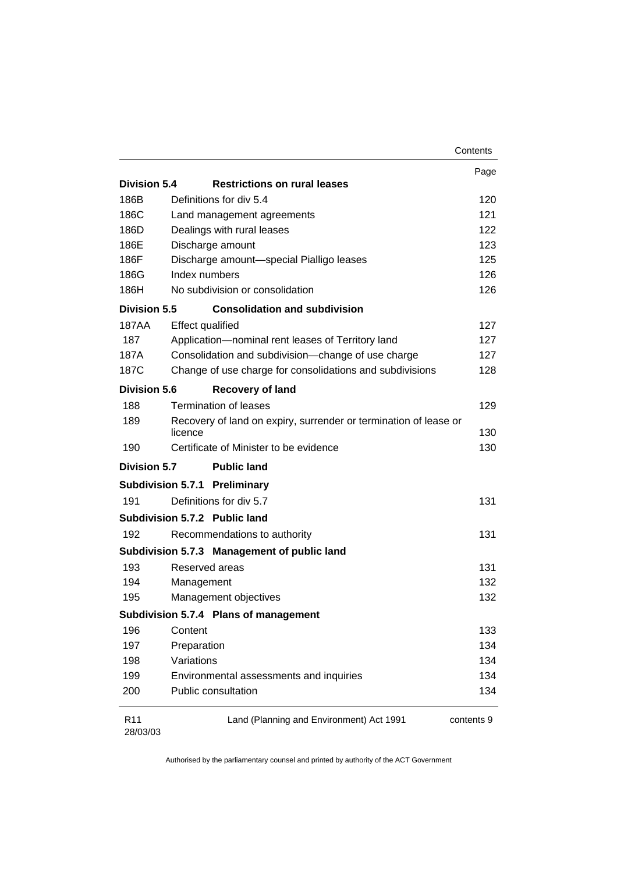|                             |             |                                                                  | Contents   |
|-----------------------------|-------------|------------------------------------------------------------------|------------|
|                             |             |                                                                  | Page       |
| <b>Division 5.4</b>         |             | <b>Restrictions on rural leases</b>                              |            |
| 186B                        |             | Definitions for div 54                                           | 120        |
| 186C                        |             | Land management agreements                                       | 121        |
| 186D                        |             | Dealings with rural leases                                       | 122        |
| 186E                        |             | Discharge amount                                                 | 123        |
| 186F                        |             | Discharge amount-special Pialligo leases                         | 125        |
| 186G                        |             | Index numbers                                                    | 126        |
| 186H                        |             | No subdivision or consolidation                                  | 126        |
| <b>Division 5.5</b>         |             | <b>Consolidation and subdivision</b>                             |            |
| 187AA                       |             | <b>Effect qualified</b>                                          | 127        |
| 187                         |             | Application-nominal rent leases of Territory land                | 127        |
| 187A                        |             | Consolidation and subdivision-change of use charge               | 127        |
| 187C                        |             | Change of use charge for consolidations and subdivisions         | 128        |
| <b>Division 5.6</b>         |             | <b>Recovery of land</b>                                          |            |
| 188                         |             | <b>Termination of leases</b>                                     | 129        |
| 189                         | licence     | Recovery of land on expiry, surrender or termination of lease or | 130        |
| 190                         |             | Certificate of Minister to be evidence                           | 130        |
| Division 5.7                |             | <b>Public land</b>                                               |            |
|                             |             | <b>Subdivision 5.7.1 Preliminary</b>                             |            |
| 191                         |             | Definitions for div 5.7                                          | 131        |
|                             |             | Subdivision 5.7.2 Public land                                    |            |
| 192                         |             | Recommendations to authority                                     | 131        |
|                             |             | Subdivision 5.7.3 Management of public land                      |            |
| 193                         |             | Reserved areas                                                   | 131        |
| 194                         | Management  |                                                                  | 132        |
| 195                         |             | Management objectives                                            | 132        |
|                             |             | Subdivision 5.7.4 Plans of management                            |            |
| 196                         | Content     |                                                                  | 133        |
| 197                         | Preparation |                                                                  | 134        |
| 198                         | Variations  |                                                                  | 134        |
| 199                         |             | Environmental assessments and inquiries                          | 134        |
| 200                         |             | Public consultation                                              | 134        |
| R <sub>11</sub><br>28/03/03 |             | Land (Planning and Environment) Act 1991                         | contents 9 |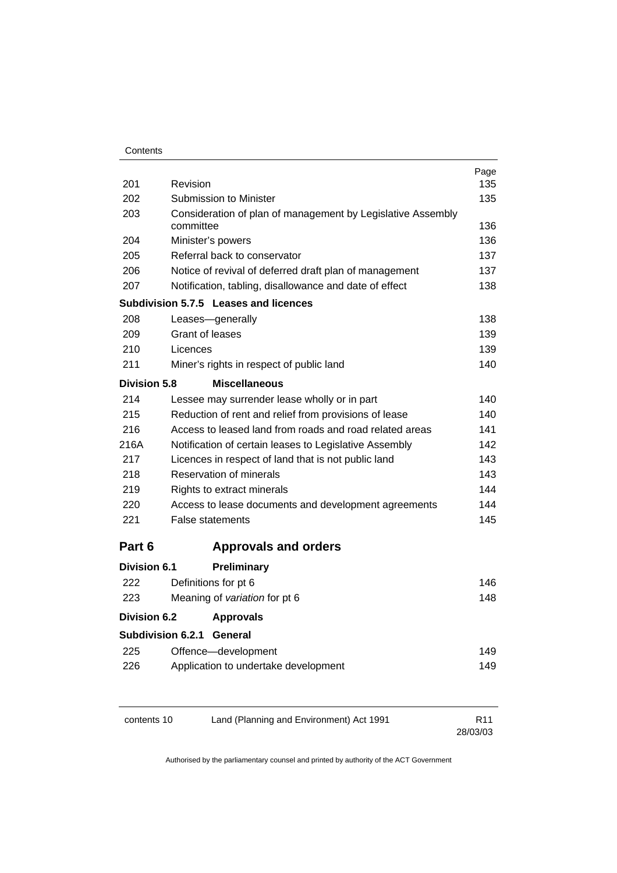|                                         |                                                                          | Page |  |
|-----------------------------------------|--------------------------------------------------------------------------|------|--|
| 201                                     | Revision                                                                 | 135  |  |
| 202                                     | Submission to Minister                                                   |      |  |
| 203                                     | Consideration of plan of management by Legislative Assembly<br>committee | 136  |  |
| 204                                     | Minister's powers                                                        | 136  |  |
| 205                                     | Referral back to conservator                                             | 137  |  |
| 206                                     | Notice of revival of deferred draft plan of management                   | 137  |  |
| 207                                     | Notification, tabling, disallowance and date of effect                   | 138  |  |
|                                         | Subdivision 5.7.5 Leases and licences                                    |      |  |
| 208                                     | Leases-generally                                                         | 138  |  |
| 209                                     | Grant of leases                                                          | 139  |  |
| 210                                     | Licences                                                                 | 139  |  |
| 211                                     | Miner's rights in respect of public land                                 | 140  |  |
| Division 5.8                            | <b>Miscellaneous</b>                                                     |      |  |
| 214                                     | Lessee may surrender lease wholly or in part                             | 140  |  |
| 215                                     | Reduction of rent and relief from provisions of lease                    | 140  |  |
| 216                                     | Access to leased land from roads and road related areas                  | 141  |  |
| 216A                                    | Notification of certain leases to Legislative Assembly                   | 142  |  |
| 217                                     | Licences in respect of land that is not public land                      | 143  |  |
| 218                                     | Reservation of minerals                                                  | 143  |  |
| 219                                     | Rights to extract minerals                                               | 144  |  |
| 220                                     | Access to lease documents and development agreements                     | 144  |  |
| 221                                     | <b>False statements</b>                                                  | 145  |  |
| Part 6                                  | <b>Approvals and orders</b>                                              |      |  |
| Division 6.1                            | Preliminary                                                              |      |  |
| 222                                     | Definitions for pt 6                                                     | 146  |  |
| 223                                     | Meaning of variation for pt 6                                            | 148  |  |
| <b>Division 6.2</b><br><b>Approvals</b> |                                                                          |      |  |
|                                         | Subdivision 6.2.1 General                                                |      |  |
| 225                                     | Offence-development                                                      | 149  |  |
| 226                                     | Application to undertake development                                     | 149  |  |
|                                         |                                                                          |      |  |

| contents 10 | Land (Planning and Environment) Act 1991 | R <sub>11</sub> |
|-------------|------------------------------------------|-----------------|
|             |                                          | 28/03/03        |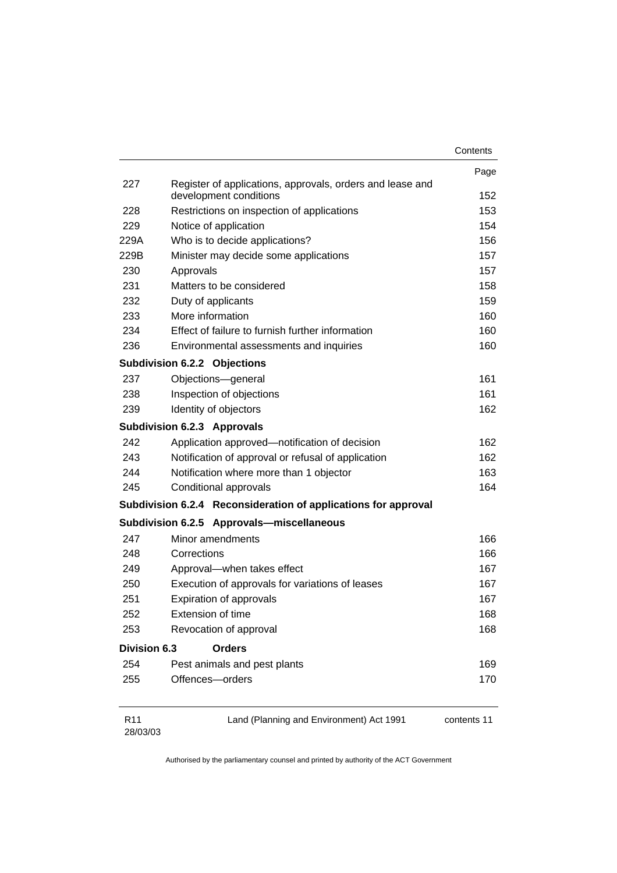|                                |                                                                | Contents    |
|--------------------------------|----------------------------------------------------------------|-------------|
|                                |                                                                | Page        |
| 227                            | Register of applications, approvals, orders and lease and      |             |
|                                | development conditions                                         | 152         |
| 228                            | Restrictions on inspection of applications                     | 153         |
| 229                            | Notice of application                                          | 154         |
| 229A                           | Who is to decide applications?                                 | 156         |
| 229B                           | Minister may decide some applications                          | 157         |
| 230                            | Approvals                                                      | 157         |
| 231                            | Matters to be considered                                       | 158         |
| 232                            | Duty of applicants                                             | 159         |
| 233                            | More information                                               | 160         |
| 234                            | Effect of failure to furnish further information               | 160         |
| 236                            | Environmental assessments and inquiries                        | 160         |
|                                | Subdivision 6.2.2 Objections                                   |             |
| 237                            | Objections-general                                             | 161         |
| 238                            | Inspection of objections                                       | 161         |
| 239                            | Identity of objectors                                          | 162         |
|                                | <b>Subdivision 6.2.3 Approvals</b>                             |             |
| 242                            | Application approved—notification of decision                  | 162         |
| 243                            | Notification of approval or refusal of application             | 162         |
| 244                            | Notification where more than 1 objector                        | 163         |
| 245                            | Conditional approvals                                          | 164         |
|                                | Subdivision 6.2.4 Reconsideration of applications for approval |             |
|                                | Subdivision 6.2.5 Approvals-miscellaneous                      |             |
| 247                            | Minor amendments                                               | 166         |
| 248                            | Corrections                                                    | 166         |
| 249                            | Approval-when takes effect                                     | 167         |
| 250                            | Execution of approvals for variations of leases                | 167         |
| 251<br>Expiration of approvals |                                                                | 167         |
| 252                            | Extension of time                                              |             |
| 253                            | Revocation of approval                                         |             |
| <b>Division 6.3</b>            | <b>Orders</b>                                                  | 168         |
| 254                            | Pest animals and pest plants                                   | 169         |
| 255                            | Offences-orders                                                | 170         |
|                                |                                                                |             |
| R <sub>11</sub><br>28/03/03    | Land (Planning and Environment) Act 1991                       | contents 11 |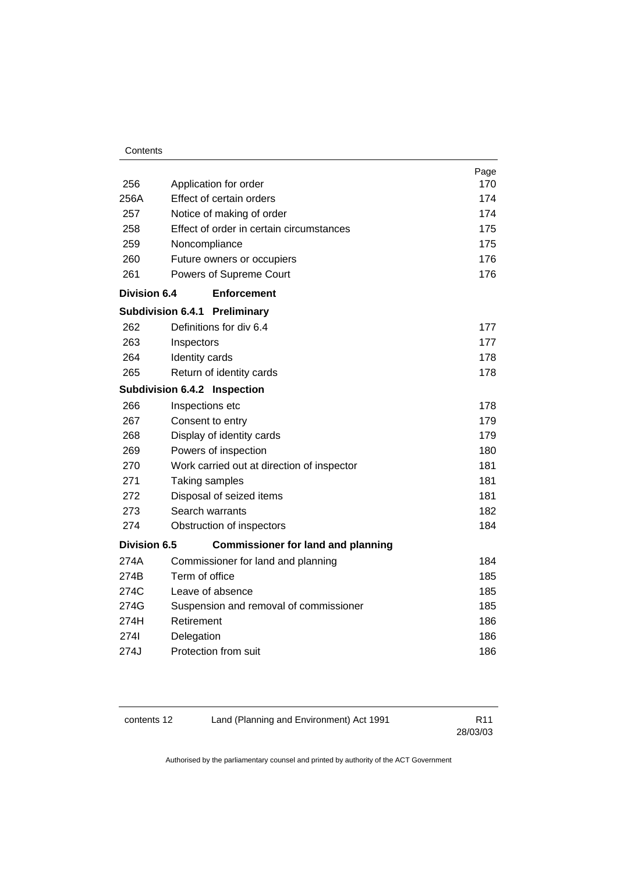| 256                 |                                                                       | Page<br>170 |
|---------------------|-----------------------------------------------------------------------|-------------|
| 256A                | Application for order<br>Effect of certain orders                     | 174         |
| 257                 |                                                                       | 174         |
| 258                 | Notice of making of order<br>Effect of order in certain circumstances | 175         |
| 259                 |                                                                       | 175         |
|                     | Noncompliance                                                         |             |
| 260                 | Future owners or occupiers                                            | 176<br>176  |
| 261                 | Powers of Supreme Court                                               |             |
| <b>Division 6.4</b> | <b>Enforcement</b>                                                    |             |
|                     | <b>Subdivision 6.4.1 Preliminary</b>                                  |             |
| 262                 | Definitions for div 6.4                                               | 177         |
| 263                 | Inspectors                                                            | 177         |
| 264                 | Identity cards                                                        | 178         |
| 265                 | Return of identity cards                                              | 178         |
|                     | Subdivision 6.4.2 Inspection                                          |             |
| 266                 | Inspections etc                                                       | 178         |
| 267                 | Consent to entry                                                      | 179         |
| 268                 | Display of identity cards                                             | 179         |
| 269                 | Powers of inspection                                                  | 180         |
| 270                 | Work carried out at direction of inspector                            | 181         |
| 271                 | Taking samples                                                        |             |
| 272                 | Disposal of seized items                                              |             |
| 273                 | Search warrants                                                       |             |
| 274                 | Obstruction of inspectors                                             | 184         |
| <b>Division 6.5</b> | <b>Commissioner for land and planning</b>                             |             |
| 274A                | Commissioner for land and planning                                    | 184         |
| 274B                | Term of office                                                        | 185         |
| 274C                | Leave of absence                                                      | 185         |
| 274G                | Suspension and removal of commissioner                                | 185         |
| 274H                | Retirement                                                            | 186         |
| 274I                | Delegation                                                            | 186         |
| 274J                | Protection from suit                                                  | 186         |
|                     |                                                                       |             |

| contents 12 |  |
|-------------|--|
|-------------|--|

Land (Planning and Environment) Act 1991 R11

28/03/03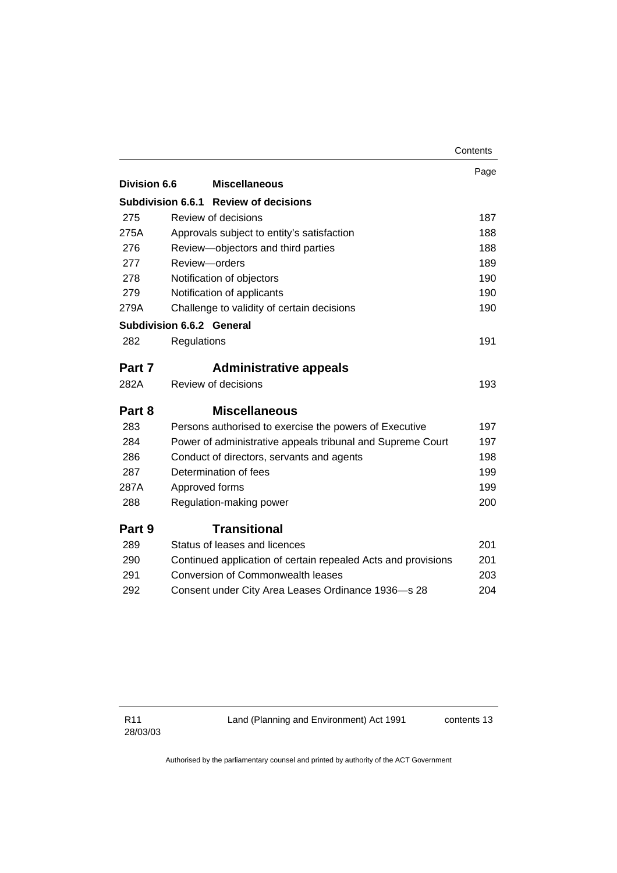|              |                                                               | Contents |
|--------------|---------------------------------------------------------------|----------|
|              |                                                               | Page     |
| Division 6.6 | <b>Miscellaneous</b>                                          |          |
|              | Subdivision 6.6.1 Review of decisions                         |          |
| 275          | Review of decisions                                           | 187      |
| 275A         | Approvals subject to entity's satisfaction                    | 188      |
| 276          | Review-objectors and third parties                            | 188      |
| 277          | Review-orders                                                 | 189      |
| 278          | Notification of objectors                                     | 190      |
| 279          | Notification of applicants                                    | 190      |
| 279A         | Challenge to validity of certain decisions                    | 190      |
|              | <b>Subdivision 6.6.2 General</b>                              |          |
| 282          | Regulations                                                   | 191      |
| Part 7       | <b>Administrative appeals</b>                                 |          |
| 282A         | Review of decisions                                           | 193      |
| Part 8       | <b>Miscellaneous</b>                                          |          |
| 283          | Persons authorised to exercise the powers of Executive        | 197      |
| 284          | Power of administrative appeals tribunal and Supreme Court    | 197      |
| 286          | Conduct of directors, servants and agents                     | 198      |
| 287          | Determination of fees                                         | 199      |
| 287A         | Approved forms                                                | 199      |
| 288          | Regulation-making power                                       | 200      |
| Part 9       | <b>Transitional</b>                                           |          |
| 289          | Status of leases and licences                                 | 201      |
| 290          | Continued application of certain repealed Acts and provisions | 201      |
| 291          | Conversion of Commonwealth leases                             | 203      |
| 292          | Consent under City Area Leases Ordinance 1936-s 28            | 204      |

Land (Planning and Environment) Act 1991 contents 13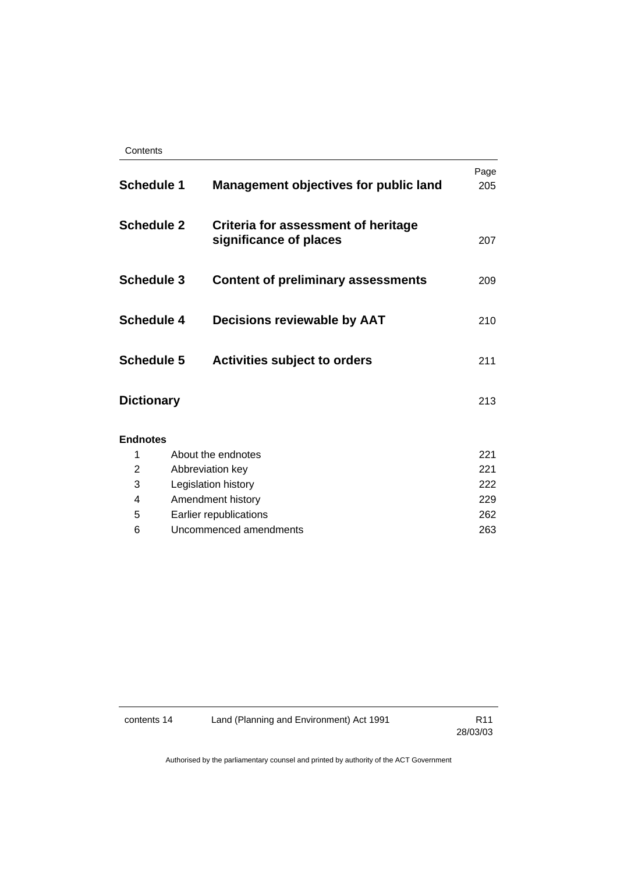| <b>Schedule 1</b> | <b>Management objectives for public land</b>                  | Page<br>205 |
|-------------------|---------------------------------------------------------------|-------------|
| <b>Schedule 2</b> | Criteria for assessment of heritage<br>significance of places | 207         |
| <b>Schedule 3</b> | <b>Content of preliminary assessments</b>                     | 209         |
| <b>Schedule 4</b> | Decisions reviewable by AAT                                   | 210         |
| <b>Schedule 5</b> | <b>Activities subject to orders</b>                           | 211         |
| <b>Dictionary</b> |                                                               | 213         |
| <b>Endnotes</b>   |                                                               |             |
| 1                 | About the endnotes                                            | 221         |
| $\overline{2}$    | Abbreviation key                                              | 221         |
| 3                 | Legislation history                                           | 222         |
| 4                 | Amendment history                                             | 229         |
| 5                 | Earlier republications                                        | 262         |
| 6                 | Uncommenced amendments                                        | 263         |

contents 14 Land (Planning and Environment) Act 1991 R11

28/03/03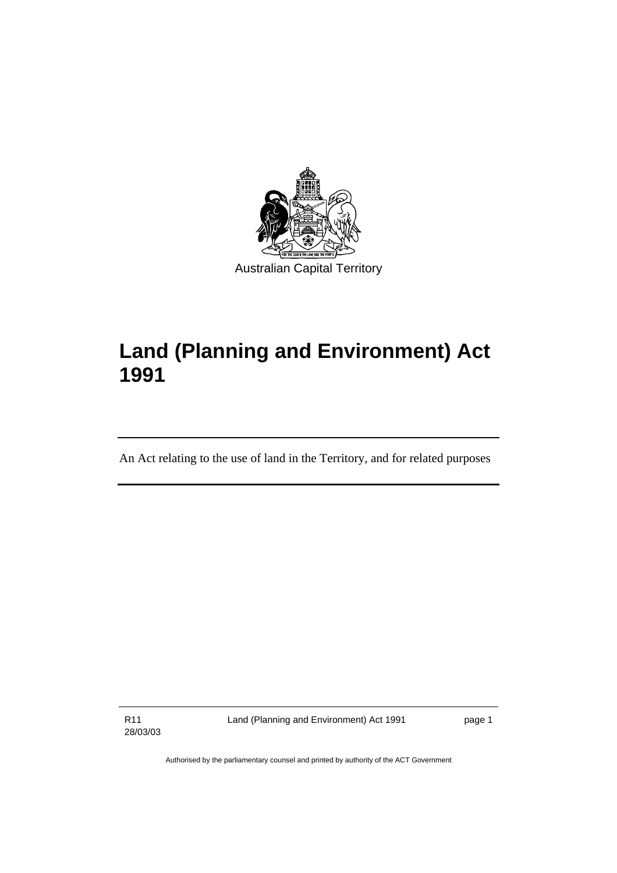

# **Land (Planning and Environment) Act 1991**

An Act relating to the use of land in the Territory, and for related purposes

R11 28/03/03 Land (Planning and Environment) Act 1991 page 1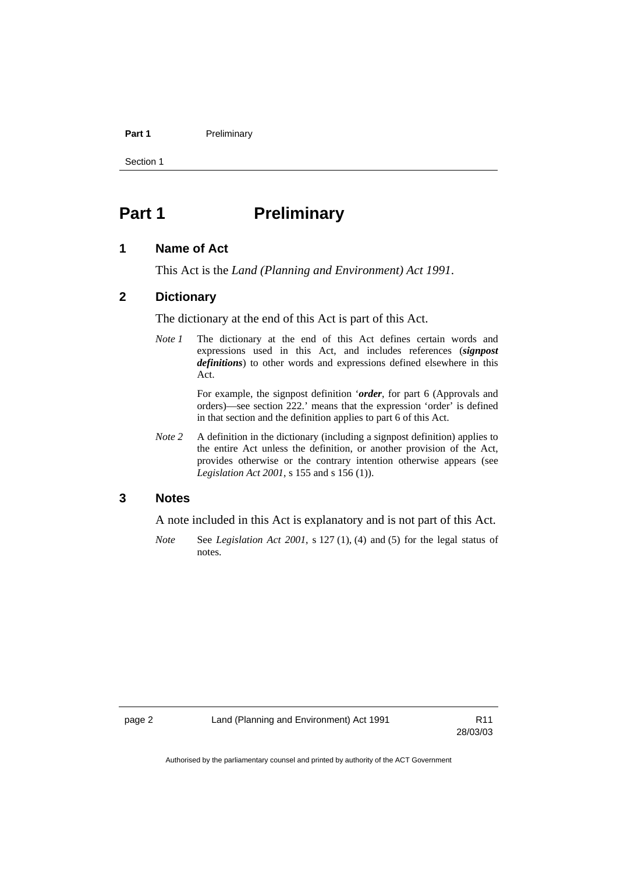#### Part 1 **Preliminary**

Section 1

## **Part 1** Preliminary

#### **1 Name of Act**

This Act is the *Land (Planning and Environment) Act 1991*.

#### **2 Dictionary**

The dictionary at the end of this Act is part of this Act.

*Note 1* The dictionary at the end of this Act defines certain words and expressions used in this Act, and includes references (*signpost definitions*) to other words and expressions defined elsewhere in this Act.

> For example, the signpost definition '*order*, for part 6 (Approvals and orders)—see section 222.' means that the expression 'order' is defined in that section and the definition applies to part 6 of this Act.

*Note 2* A definition in the dictionary (including a signpost definition) applies to the entire Act unless the definition, or another provision of the Act, provides otherwise or the contrary intention otherwise appears (see *Legislation Act 2001*, s 155 and s 156 (1)).

#### **3 Notes**

A note included in this Act is explanatory and is not part of this Act.

*Note* See *Legislation Act 2001*, s 127 (1), (4) and (5) for the legal status of notes.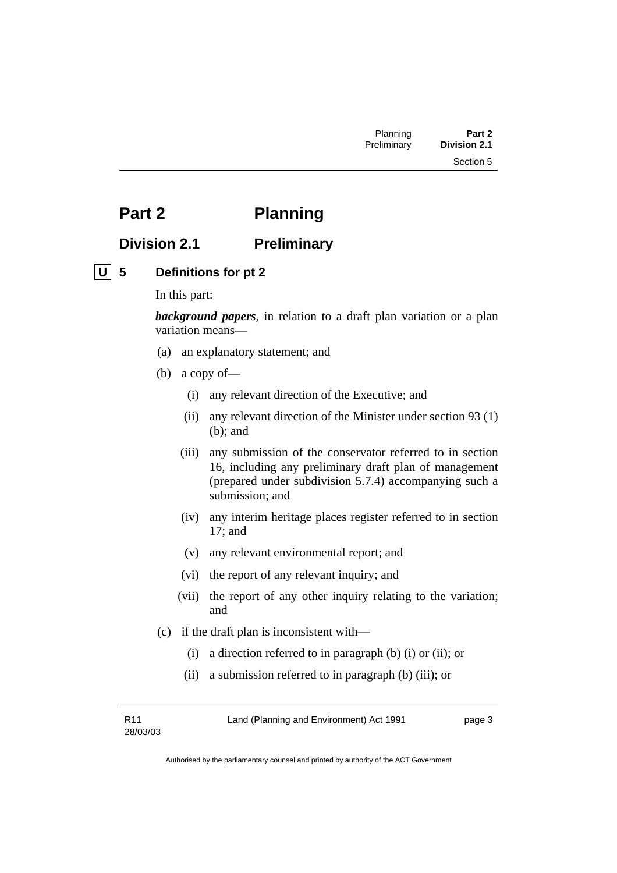## **Part 2 Planning**

#### **Division 2.1 Preliminary**

#### **U 5 Definitions for pt 2**

In this part:

*background papers*, in relation to a draft plan variation or a plan variation means—

- (a) an explanatory statement; and
- (b) a copy of—
	- (i) any relevant direction of the Executive; and
	- (ii) any relevant direction of the Minister under section 93 (1) (b); and
	- (iii) any submission of the conservator referred to in section 16, including any preliminary draft plan of management (prepared under subdivision 5.7.4) accompanying such a submission; and
	- (iv) any interim heritage places register referred to in section 17; and
	- (v) any relevant environmental report; and
	- (vi) the report of any relevant inquiry; and
	- (vii) the report of any other inquiry relating to the variation; and
- (c) if the draft plan is inconsistent with—
	- (i) a direction referred to in paragraph (b) (i) or (ii); or
	- (ii) a submission referred to in paragraph (b) (iii); or

R11 28/03/03 Land (Planning and Environment) Act 1991 page 3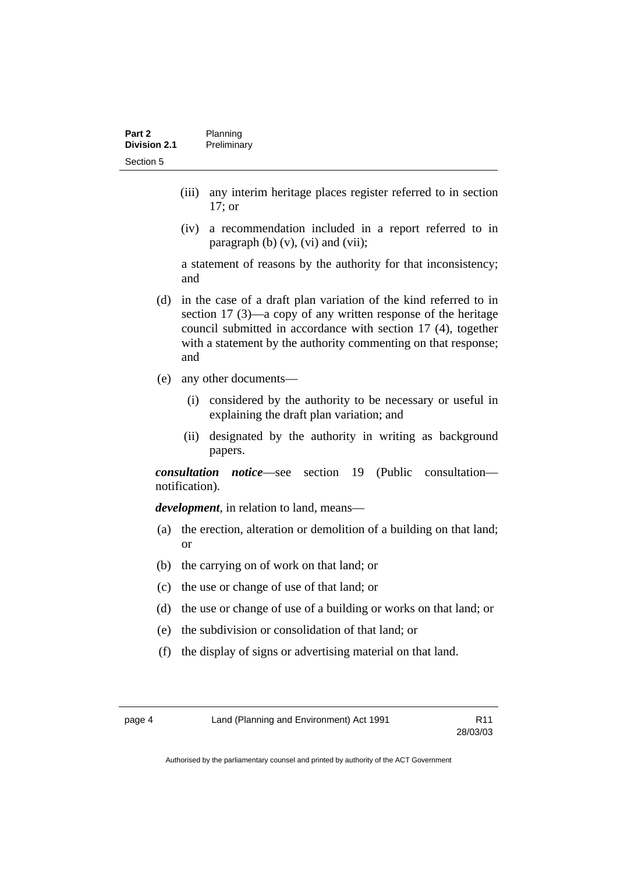- (iii) any interim heritage places register referred to in section 17; or
- (iv) a recommendation included in a report referred to in paragraph (b)  $(v)$ ,  $(vi)$  and  $(vii)$ ;

 a statement of reasons by the authority for that inconsistency; and

- (d) in the case of a draft plan variation of the kind referred to in section 17 (3)—a copy of any written response of the heritage council submitted in accordance with section 17 (4), together with a statement by the authority commenting on that response; and
- (e) any other documents—
	- (i) considered by the authority to be necessary or useful in explaining the draft plan variation; and
	- (ii) designated by the authority in writing as background papers.

*consultation notice*—see section 19 (Public consultation notification).

*development*, in relation to land, means—

- (a) the erection, alteration or demolition of a building on that land; or
- (b) the carrying on of work on that land; or
- (c) the use or change of use of that land; or
- (d) the use or change of use of a building or works on that land; or
- (e) the subdivision or consolidation of that land; or
- (f) the display of signs or advertising material on that land.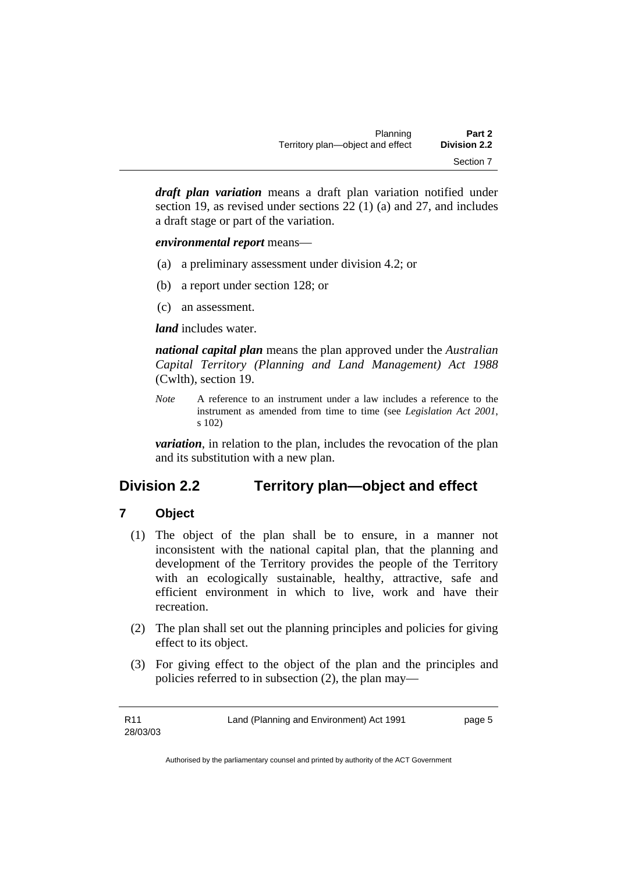*draft plan variation* means a draft plan variation notified under section 19, as revised under sections 22 (1) (a) and 27, and includes a draft stage or part of the variation.

*environmental report* means—

- (a) a preliminary assessment under division 4.2; or
- (b) a report under section 128; or
- (c) an assessment.

*land* includes water.

*national capital plan* means the plan approved under the *Australian Capital Territory (Planning and Land Management) Act 1988* (Cwlth), section 19.

*Note* A reference to an instrument under a law includes a reference to the instrument as amended from time to time (see *Legislation Act 2001*, s 102)

*variation*, in relation to the plan, includes the revocation of the plan and its substitution with a new plan.

## **Division 2.2 Territory plan—object and effect**

#### **7 Object**

- (1) The object of the plan shall be to ensure, in a manner not inconsistent with the national capital plan, that the planning and development of the Territory provides the people of the Territory with an ecologically sustainable, healthy, attractive, safe and efficient environment in which to live, work and have their recreation.
- (2) The plan shall set out the planning principles and policies for giving effect to its object.
- (3) For giving effect to the object of the plan and the principles and policies referred to in subsection (2), the plan may—

R11 28/03/03 Land (Planning and Environment) Act 1991 page 5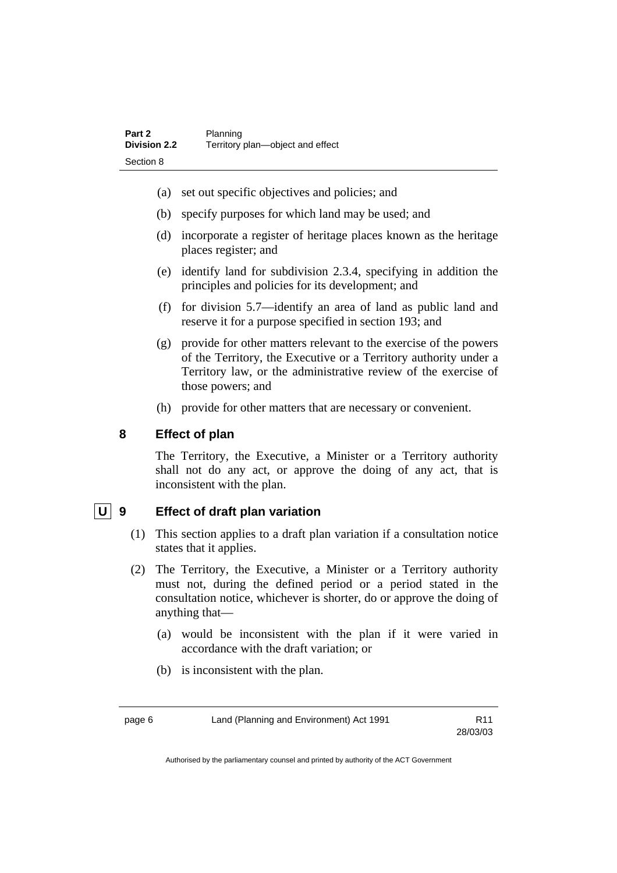- (a) set out specific objectives and policies; and
- (b) specify purposes for which land may be used; and
- (d) incorporate a register of heritage places known as the heritage places register; and
- (e) identify land for subdivision 2.3.4, specifying in addition the principles and policies for its development; and
- (f) for division 5.7—identify an area of land as public land and reserve it for a purpose specified in section 193; and
- (g) provide for other matters relevant to the exercise of the powers of the Territory, the Executive or a Territory authority under a Territory law, or the administrative review of the exercise of those powers; and
- (h) provide for other matters that are necessary or convenient.

#### **8 Effect of plan**

The Territory, the Executive, a Minister or a Territory authority shall not do any act, or approve the doing of any act, that is inconsistent with the plan.

### **U** 9 Effect of draft plan variation

- (1) This section applies to a draft plan variation if a consultation notice states that it applies.
- (2) The Territory, the Executive, a Minister or a Territory authority must not, during the defined period or a period stated in the consultation notice, whichever is shorter, do or approve the doing of anything that—
	- (a) would be inconsistent with the plan if it were varied in accordance with the draft variation; or
	- (b) is inconsistent with the plan.

28/03/03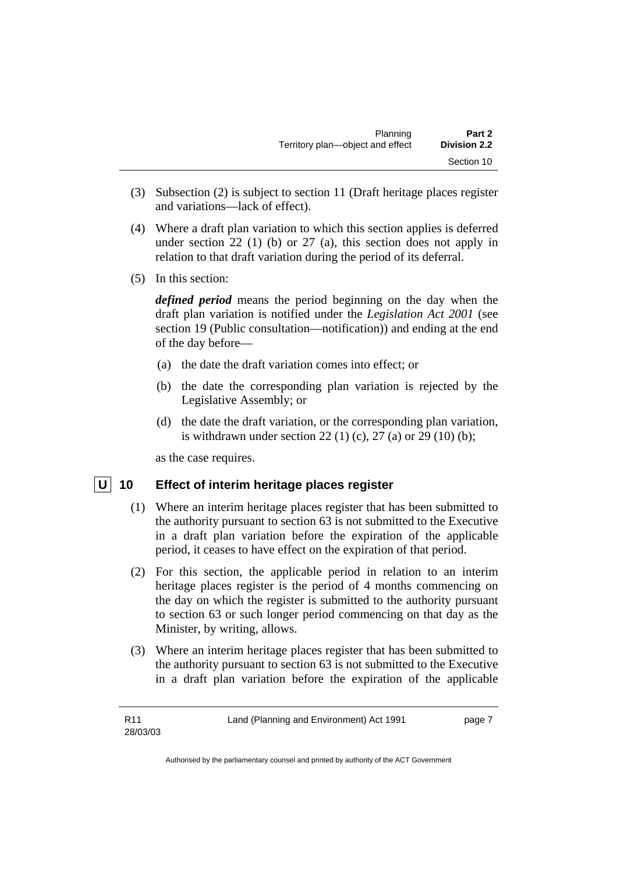- (3) Subsection (2) is subject to section 11 (Draft heritage places register and variations—lack of effect).
- (4) Where a draft plan variation to which this section applies is deferred under section 22 (1) (b) or 27 (a), this section does not apply in relation to that draft variation during the period of its deferral.
- (5) In this section:

*defined period* means the period beginning on the day when the draft plan variation is notified under the *Legislation Act 2001* (see section 19 (Public consultation—notification)) and ending at the end of the day before—

- (a) the date the draft variation comes into effect; or
- (b) the date the corresponding plan variation is rejected by the Legislative Assembly; or
- (d) the date the draft variation, or the corresponding plan variation, is withdrawn under section 22 (1) (c), 27 (a) or 29 (10) (b);

as the case requires.

#### **U** 10 Effect of interim heritage places register

- (1) Where an interim heritage places register that has been submitted to the authority pursuant to section 63 is not submitted to the Executive in a draft plan variation before the expiration of the applicable period, it ceases to have effect on the expiration of that period.
- (2) For this section, the applicable period in relation to an interim heritage places register is the period of 4 months commencing on the day on which the register is submitted to the authority pursuant to section 63 or such longer period commencing on that day as the Minister, by writing, allows.
- (3) Where an interim heritage places register that has been submitted to the authority pursuant to section 63 is not submitted to the Executive in a draft plan variation before the expiration of the applicable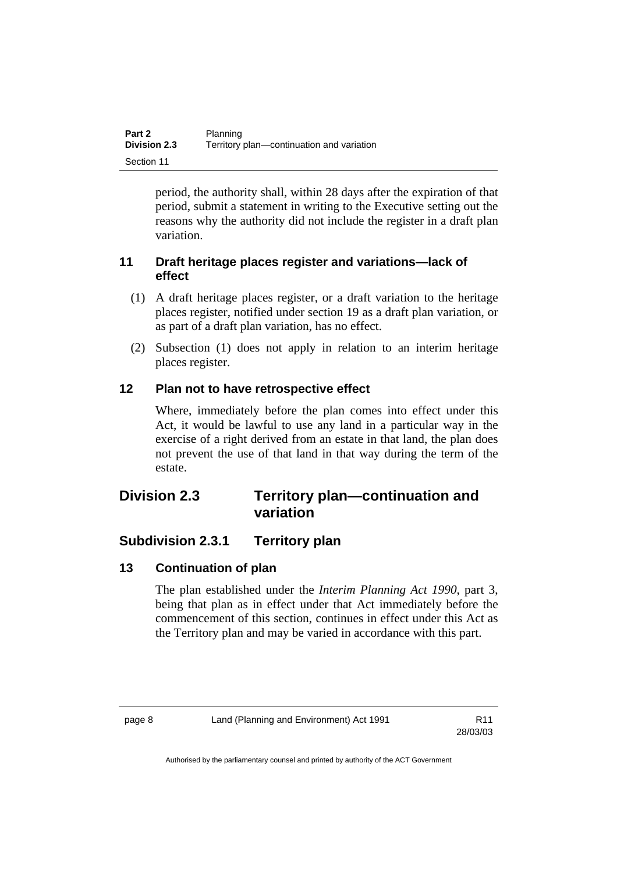| Part 2              | Planning                                  |
|---------------------|-------------------------------------------|
| <b>Division 2.3</b> | Territory plan—continuation and variation |
| Section 11          |                                           |

period, the authority shall, within 28 days after the expiration of that period, submit a statement in writing to the Executive setting out the reasons why the authority did not include the register in a draft plan variation.

#### **11 Draft heritage places register and variations—lack of effect**

- (1) A draft heritage places register, or a draft variation to the heritage places register, notified under section 19 as a draft plan variation, or as part of a draft plan variation, has no effect.
- (2) Subsection (1) does not apply in relation to an interim heritage places register.

#### **12 Plan not to have retrospective effect**

Where, immediately before the plan comes into effect under this Act, it would be lawful to use any land in a particular way in the exercise of a right derived from an estate in that land, the plan does not prevent the use of that land in that way during the term of the estate.

## **Division 2.3 Territory plan—continuation and variation**

## **Subdivision 2.3.1 Territory plan**

#### **13 Continuation of plan**

The plan established under the *Interim Planning Act 1990*, part 3, being that plan as in effect under that Act immediately before the commencement of this section, continues in effect under this Act as the Territory plan and may be varied in accordance with this part.

28/03/03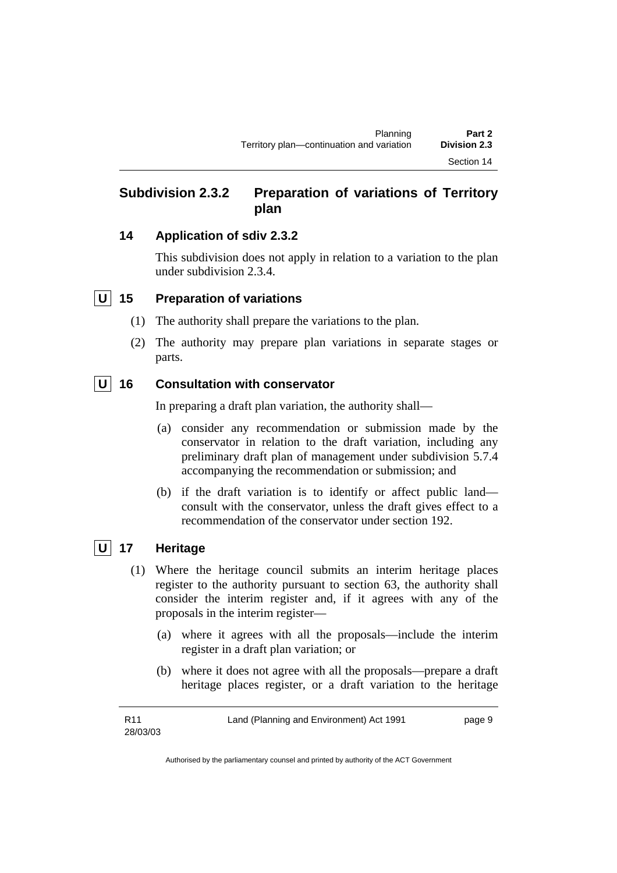## **Subdivision 2.3.2 Preparation of variations of Territory plan**

#### **14 Application of sdiv 2.3.2**

This subdivision does not apply in relation to a variation to the plan under subdivision 2.3.4.

 **U 15 Preparation of variations** 

- (1) The authority shall prepare the variations to the plan.
- (2) The authority may prepare plan variations in separate stages or parts.

## **U** 16 Consultation with conservator

In preparing a draft plan variation, the authority shall—

- (a) consider any recommendation or submission made by the conservator in relation to the draft variation, including any preliminary draft plan of management under subdivision 5.7.4 accompanying the recommendation or submission; and
- (b) if the draft variation is to identify or affect public land consult with the conservator, unless the draft gives effect to a recommendation of the conservator under section 192.

## **U 17 Heritage**

 (1) Where the heritage council submits an interim heritage places register to the authority pursuant to section 63, the authority shall consider the interim register and, if it agrees with any of the proposals in the interim register—

- (a) where it agrees with all the proposals—include the interim register in a draft plan variation; or
- (b) where it does not agree with all the proposals—prepare a draft heritage places register, or a draft variation to the heritage

Land (Planning and Environment) Act 1991 page 9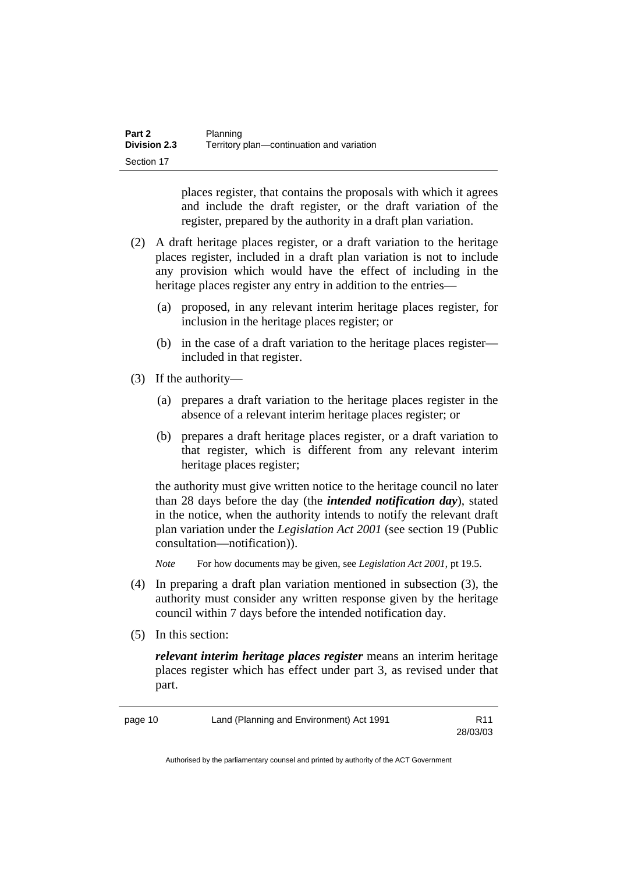| Part 2              | Planning                                  |
|---------------------|-------------------------------------------|
| <b>Division 2.3</b> | Territory plan—continuation and variation |
| Section 17          |                                           |

places register, that contains the proposals with which it agrees and include the draft register, or the draft variation of the register, prepared by the authority in a draft plan variation.

- (2) A draft heritage places register, or a draft variation to the heritage places register, included in a draft plan variation is not to include any provision which would have the effect of including in the heritage places register any entry in addition to the entries—
	- (a) proposed, in any relevant interim heritage places register, for inclusion in the heritage places register; or
	- (b) in the case of a draft variation to the heritage places register included in that register.
- (3) If the authority—
	- (a) prepares a draft variation to the heritage places register in the absence of a relevant interim heritage places register; or
	- (b) prepares a draft heritage places register, or a draft variation to that register, which is different from any relevant interim heritage places register;

the authority must give written notice to the heritage council no later than 28 days before the day (the *intended notification day*), stated in the notice, when the authority intends to notify the relevant draft plan variation under the *Legislation Act 2001* (see section 19 (Public consultation—notification)).

- *Note* For how documents may be given, see *Legislation Act 2001*, pt 19.5.
- (4) In preparing a draft plan variation mentioned in subsection (3), the authority must consider any written response given by the heritage council within 7 days before the intended notification day.
- (5) In this section:

*relevant interim heritage places register* means an interim heritage places register which has effect under part 3, as revised under that part.

| page 10 | Land (Planning and Environment) Act 1991 | R <sub>11</sub> |
|---------|------------------------------------------|-----------------|
|         |                                          | 28/03/03        |

28/03/03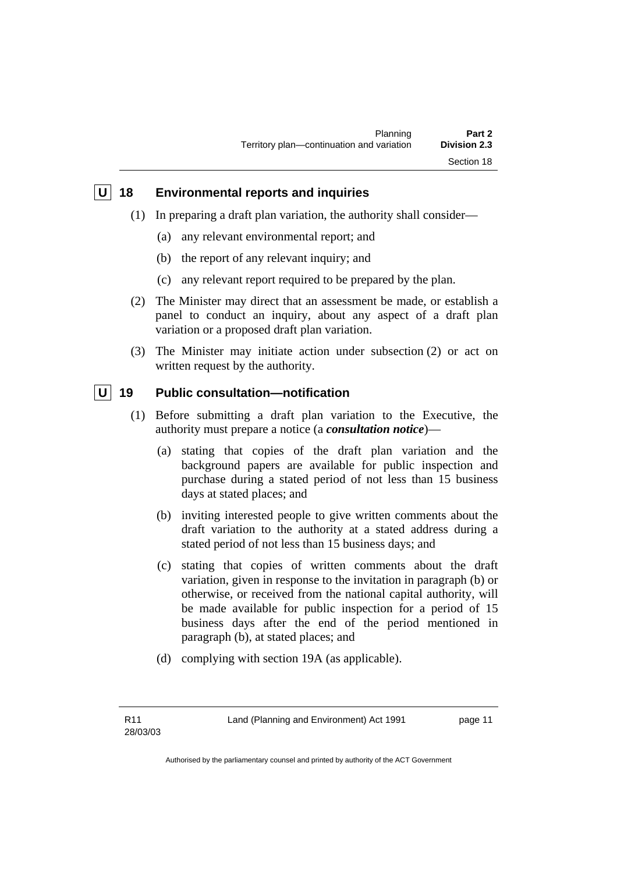## **U** 18 Environmental reports and inquiries

- (1) In preparing a draft plan variation, the authority shall consider—
	- (a) any relevant environmental report; and
	- (b) the report of any relevant inquiry; and
	- (c) any relevant report required to be prepared by the plan.
- (2) The Minister may direct that an assessment be made, or establish a panel to conduct an inquiry, about any aspect of a draft plan variation or a proposed draft plan variation.
- (3) The Minister may initiate action under subsection (2) or act on written request by the authority.

## **U 19 Public consultation—notification**

- (1) Before submitting a draft plan variation to the Executive, the authority must prepare a notice (a *consultation notice*)—
	- (a) stating that copies of the draft plan variation and the background papers are available for public inspection and purchase during a stated period of not less than 15 business days at stated places; and
	- (b) inviting interested people to give written comments about the draft variation to the authority at a stated address during a stated period of not less than 15 business days; and
	- (c) stating that copies of written comments about the draft variation, given in response to the invitation in paragraph (b) or otherwise, or received from the national capital authority, will be made available for public inspection for a period of 15 business days after the end of the period mentioned in paragraph (b), at stated places; and
	- (d) complying with section 19A (as applicable).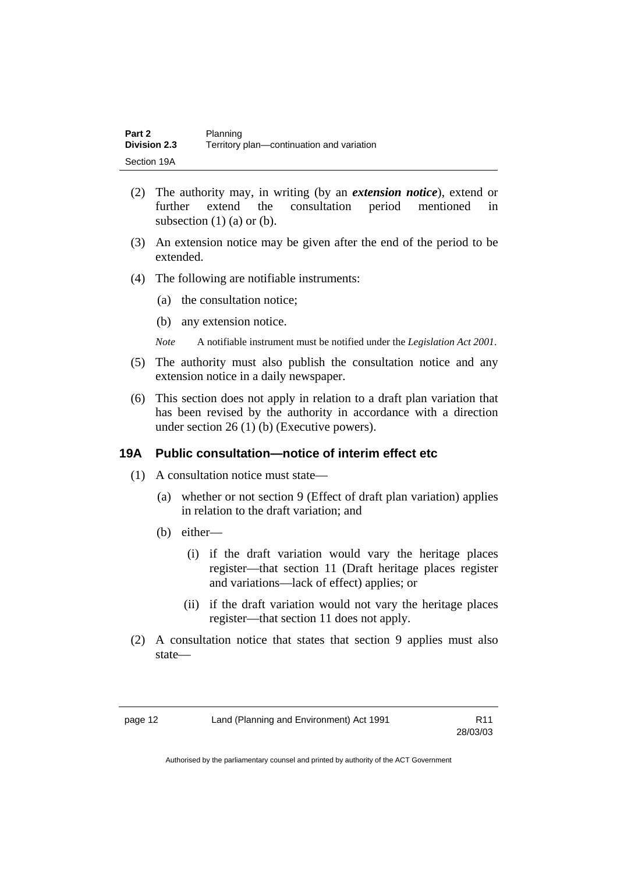| Part 2              | Planning                                  |
|---------------------|-------------------------------------------|
| <b>Division 2.3</b> | Territory plan-continuation and variation |
| Section 19A         |                                           |

- (2) The authority may, in writing (by an *extension notice*), extend or further extend the consultation period mentioned in subsection  $(1)$   $(a)$  or  $(b)$ .
- (3) An extension notice may be given after the end of the period to be extended.
- (4) The following are notifiable instruments:
	- (a) the consultation notice;
	- (b) any extension notice.
	- *Note* A notifiable instrument must be notified under the *Legislation Act 2001*.
- (5) The authority must also publish the consultation notice and any extension notice in a daily newspaper.
- (6) This section does not apply in relation to a draft plan variation that has been revised by the authority in accordance with a direction under section 26 (1) (b) (Executive powers).

#### **19A Public consultation—notice of interim effect etc**

- (1) A consultation notice must state—
	- (a) whether or not section 9 (Effect of draft plan variation) applies in relation to the draft variation; and
	- (b) either—
		- (i) if the draft variation would vary the heritage places register—that section 11 (Draft heritage places register and variations—lack of effect) applies; or
		- (ii) if the draft variation would not vary the heritage places register—that section 11 does not apply.
- (2) A consultation notice that states that section 9 applies must also state—

28/03/03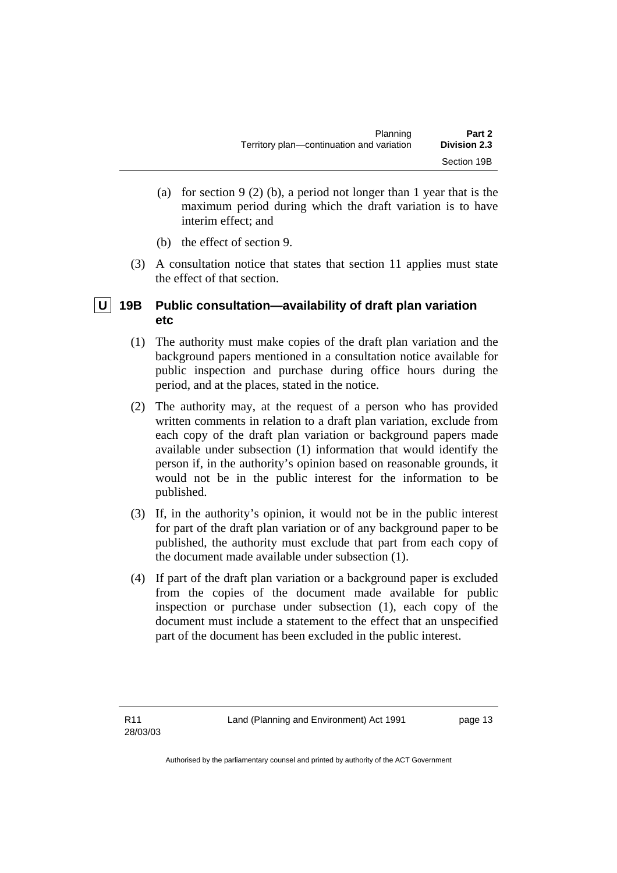- (a) for section 9 (2) (b), a period not longer than 1 year that is the maximum period during which the draft variation is to have interim effect; and
- (b) the effect of section 9.
- (3) A consultation notice that states that section 11 applies must state the effect of that section.

## **U** 19B Public consultation—availability of draft plan variation **etc**

- (1) The authority must make copies of the draft plan variation and the background papers mentioned in a consultation notice available for public inspection and purchase during office hours during the period, and at the places, stated in the notice.
- (2) The authority may, at the request of a person who has provided written comments in relation to a draft plan variation, exclude from each copy of the draft plan variation or background papers made available under subsection (1) information that would identify the person if, in the authority's opinion based on reasonable grounds, it would not be in the public interest for the information to be published.
- (3) If, in the authority's opinion, it would not be in the public interest for part of the draft plan variation or of any background paper to be published, the authority must exclude that part from each copy of the document made available under subsection (1).
- (4) If part of the draft plan variation or a background paper is excluded from the copies of the document made available for public inspection or purchase under subsection (1), each copy of the document must include a statement to the effect that an unspecified part of the document has been excluded in the public interest.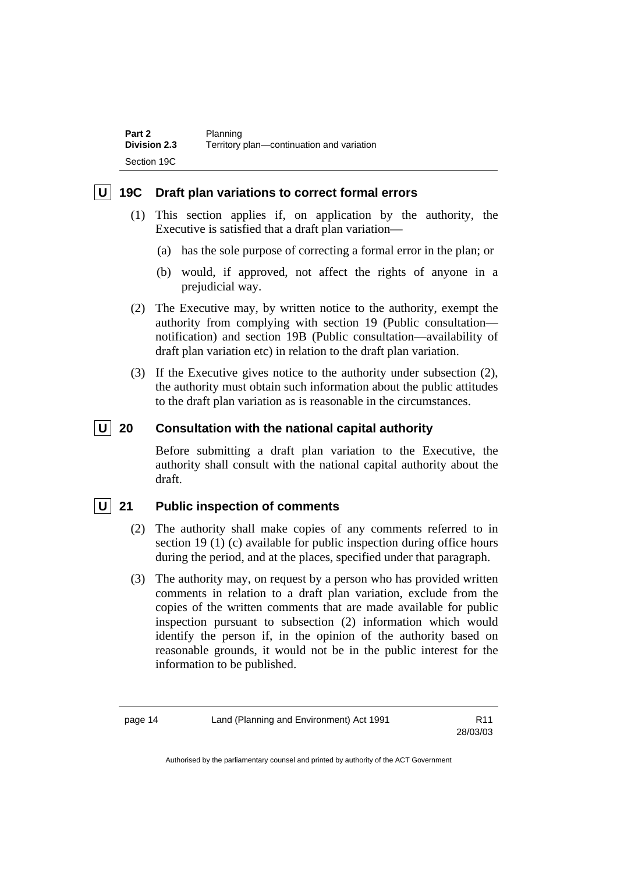| Part 2              | Planning                                  |
|---------------------|-------------------------------------------|
| <b>Division 2.3</b> | Territory plan—continuation and variation |
| Section 19C         |                                           |

## **U 19C** Draft plan variations to correct formal errors

- (1) This section applies if, on application by the authority, the Executive is satisfied that a draft plan variation—
	- (a) has the sole purpose of correcting a formal error in the plan; or
	- (b) would, if approved, not affect the rights of anyone in a prejudicial way.
- (2) The Executive may, by written notice to the authority, exempt the authority from complying with section 19 (Public consultation notification) and section 19B (Public consultation—availability of draft plan variation etc) in relation to the draft plan variation.
- (3) If the Executive gives notice to the authority under subsection (2), the authority must obtain such information about the public attitudes to the draft plan variation as is reasonable in the circumstances.

#### **U** 20 Consultation with the national capital authority

Before submitting a draft plan variation to the Executive, the authority shall consult with the national capital authority about the draft.

#### **U 21 Public inspection of comments**

- (2) The authority shall make copies of any comments referred to in section 19 (1) (c) available for public inspection during office hours during the period, and at the places, specified under that paragraph.
- (3) The authority may, on request by a person who has provided written comments in relation to a draft plan variation, exclude from the copies of the written comments that are made available for public inspection pursuant to subsection (2) information which would identify the person if, in the opinion of the authority based on reasonable grounds, it would not be in the public interest for the information to be published.

page 14 Land (Planning and Environment) Act 1991

28/03/03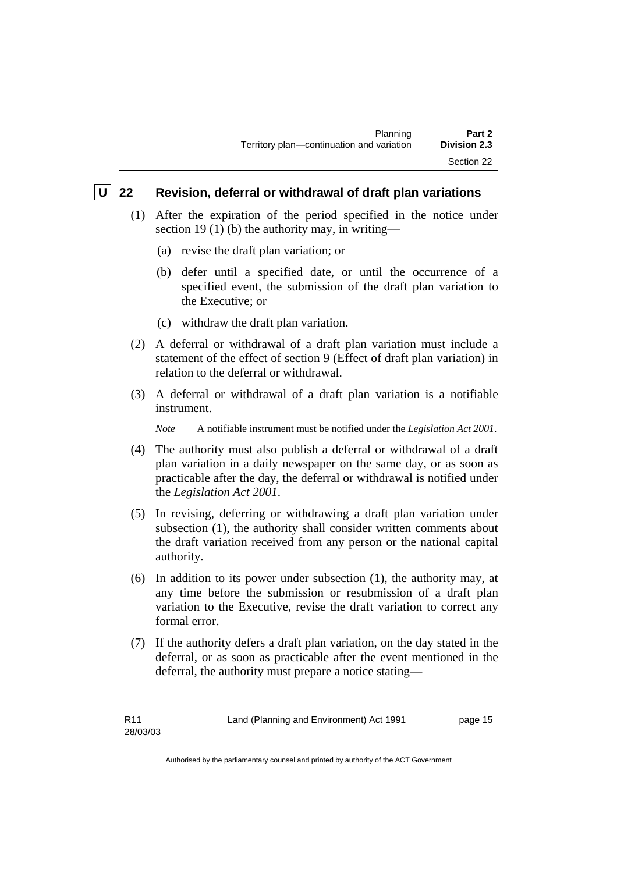## **U 22 Revision, deferral or withdrawal of draft plan variations**

- (1) After the expiration of the period specified in the notice under section 19 (1) (b) the authority may, in writing—
	- (a) revise the draft plan variation; or
	- (b) defer until a specified date, or until the occurrence of a specified event, the submission of the draft plan variation to the Executive; or
	- (c) withdraw the draft plan variation.
- (2) A deferral or withdrawal of a draft plan variation must include a statement of the effect of section 9 (Effect of draft plan variation) in relation to the deferral or withdrawal.
- (3) A deferral or withdrawal of a draft plan variation is a notifiable instrument.

*Note* A notifiable instrument must be notified under the *Legislation Act 2001*.

- (4) The authority must also publish a deferral or withdrawal of a draft plan variation in a daily newspaper on the same day, or as soon as practicable after the day, the deferral or withdrawal is notified under the *Legislation Act 2001*.
- (5) In revising, deferring or withdrawing a draft plan variation under subsection (1), the authority shall consider written comments about the draft variation received from any person or the national capital authority.
- (6) In addition to its power under subsection (1), the authority may, at any time before the submission or resubmission of a draft plan variation to the Executive, revise the draft variation to correct any formal error.
- (7) If the authority defers a draft plan variation, on the day stated in the deferral, or as soon as practicable after the event mentioned in the deferral, the authority must prepare a notice stating—

Land (Planning and Environment) Act 1991 page 15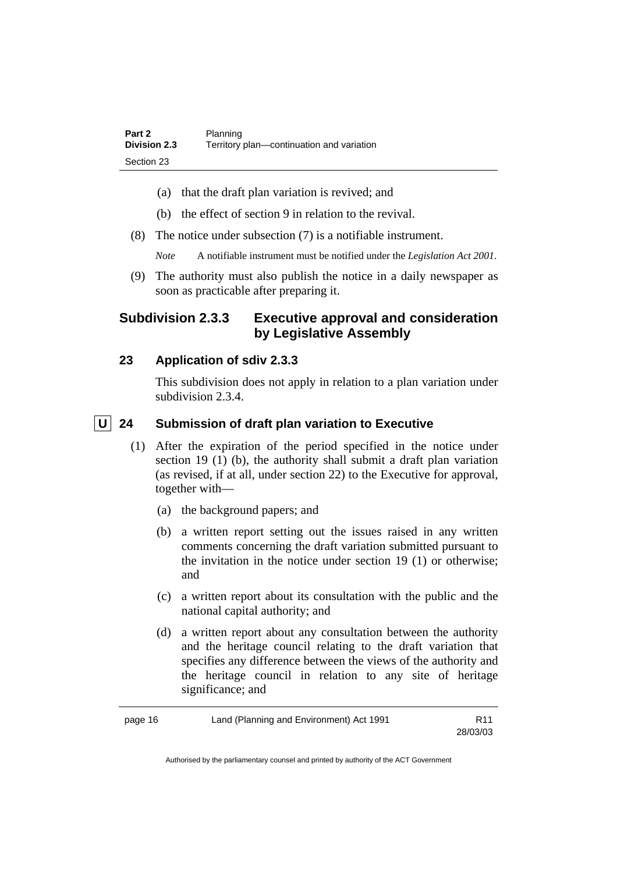- (a) that the draft plan variation is revived; and
- (b) the effect of section 9 in relation to the revival.
- (8) The notice under subsection (7) is a notifiable instrument.

*Note* A notifiable instrument must be notified under the *Legislation Act 2001*.

(9) The authority must also publish the notice in a daily newspaper as soon as practicable after preparing it.

## **Subdivision 2.3.3 Executive approval and consideration by Legislative Assembly**

## **23 Application of sdiv 2.3.3**

This subdivision does not apply in relation to a plan variation under subdivision 2.3.4.

**U** 24 Submission of draft plan variation to Executive

- (1) After the expiration of the period specified in the notice under section 19 (1) (b), the authority shall submit a draft plan variation (as revised, if at all, under section 22) to the Executive for approval, together with—
	- (a) the background papers; and
	- (b) a written report setting out the issues raised in any written comments concerning the draft variation submitted pursuant to the invitation in the notice under section 19 (1) or otherwise; and
	- (c) a written report about its consultation with the public and the national capital authority; and
	- (d) a written report about any consultation between the authority and the heritage council relating to the draft variation that specifies any difference between the views of the authority and the heritage council in relation to any site of heritage significance; and

| page 16 | Land (Planning and Environment) Act 1991 | R <sub>11</sub> |
|---------|------------------------------------------|-----------------|
|         |                                          | 28/03/03        |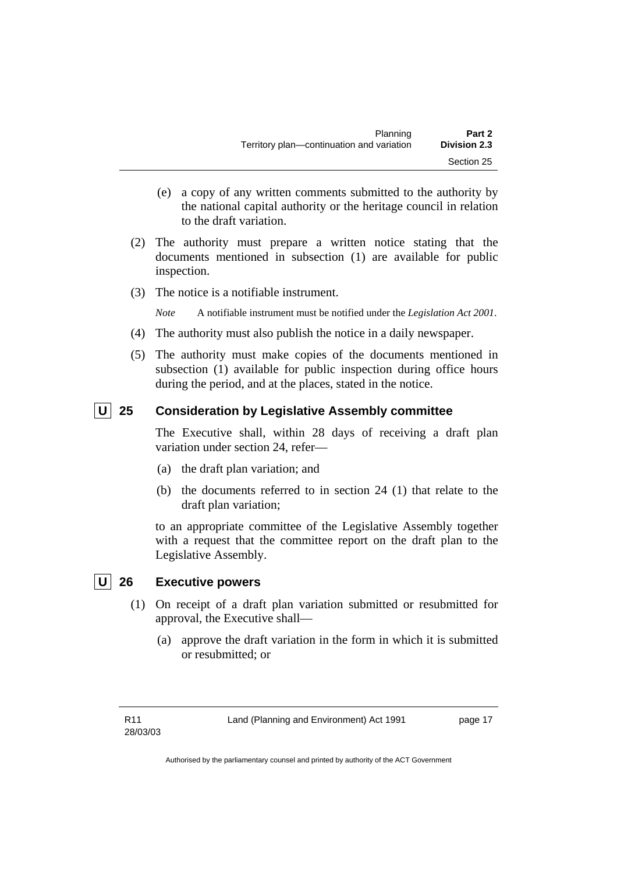- (e) a copy of any written comments submitted to the authority by the national capital authority or the heritage council in relation to the draft variation.
- (2) The authority must prepare a written notice stating that the documents mentioned in subsection (1) are available for public inspection.
- (3) The notice is a notifiable instrument.

*Note* A notifiable instrument must be notified under the *Legislation Act 2001*.

- (4) The authority must also publish the notice in a daily newspaper.
- (5) The authority must make copies of the documents mentioned in subsection (1) available for public inspection during office hours during the period, and at the places, stated in the notice.

## **U 25 Consideration by Legislative Assembly committee**

The Executive shall, within 28 days of receiving a draft plan variation under section 24, refer—

- (a) the draft plan variation; and
- (b) the documents referred to in section 24 (1) that relate to the draft plan variation;

to an appropriate committee of the Legislative Assembly together with a request that the committee report on the draft plan to the Legislative Assembly.

## **U 26 Executive powers**

- (1) On receipt of a draft plan variation submitted or resubmitted for approval, the Executive shall—
	- (a) approve the draft variation in the form in which it is submitted or resubmitted; or

Land (Planning and Environment) Act 1991 page 17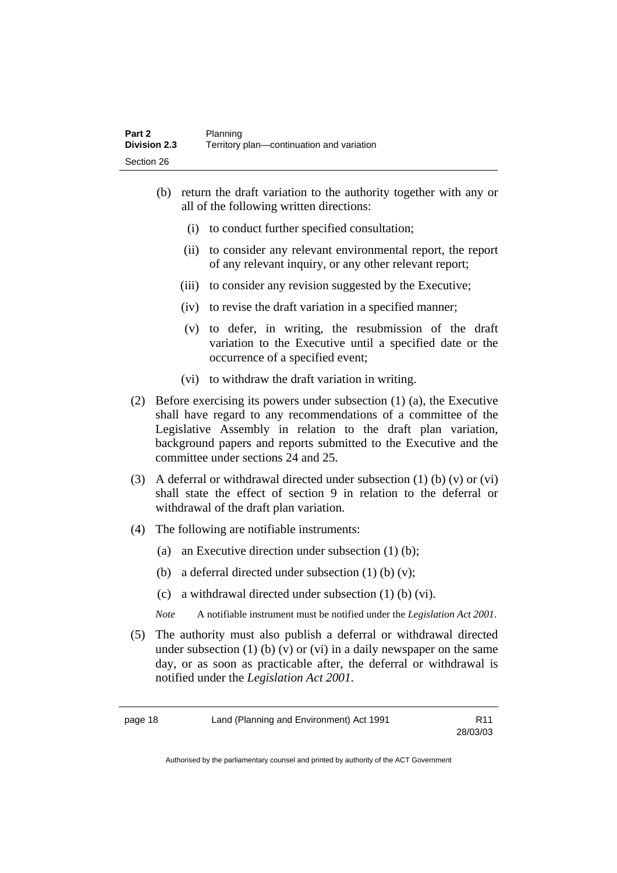- (b) return the draft variation to the authority together with any or all of the following written directions:
	- (i) to conduct further specified consultation;
	- (ii) to consider any relevant environmental report, the report of any relevant inquiry, or any other relevant report;
	- (iii) to consider any revision suggested by the Executive;
	- (iv) to revise the draft variation in a specified manner;
	- (v) to defer, in writing, the resubmission of the draft variation to the Executive until a specified date or the occurrence of a specified event;
	- (vi) to withdraw the draft variation in writing.
- (2) Before exercising its powers under subsection (1) (a), the Executive shall have regard to any recommendations of a committee of the Legislative Assembly in relation to the draft plan variation, background papers and reports submitted to the Executive and the committee under sections 24 and 25.
- (3) A deferral or withdrawal directed under subsection (1) (b) (v) or (vi) shall state the effect of section 9 in relation to the deferral or withdrawal of the draft plan variation.
- (4) The following are notifiable instruments:
	- (a) an Executive direction under subsection (1) (b);
	- (b) a deferral directed under subsection  $(1)$  (b)  $(v)$ ;
	- (c) a withdrawal directed under subsection (1) (b) (vi).
	- *Note* A notifiable instrument must be notified under the *Legislation Act 2001*.
- (5) The authority must also publish a deferral or withdrawal directed under subsection (1) (b) (v) or (vi) in a daily newspaper on the same day, or as soon as practicable after, the deferral or withdrawal is notified under the *Legislation Act 2001*.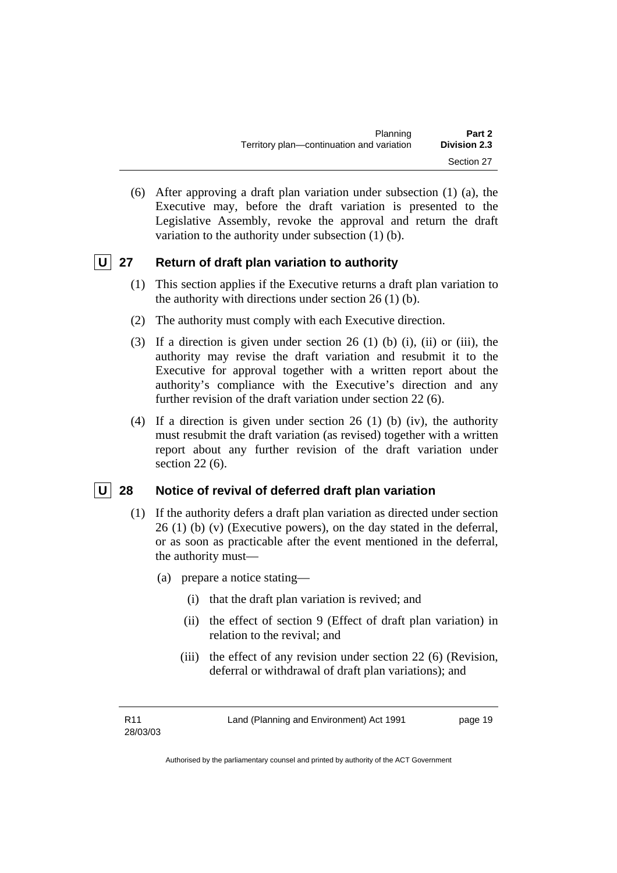| Planning                                  | Part 2              |
|-------------------------------------------|---------------------|
| Territory plan—continuation and variation | <b>Division 2.3</b> |
|                                           | Section 27          |

 (6) After approving a draft plan variation under subsection (1) (a), the Executive may, before the draft variation is presented to the Legislative Assembly, revoke the approval and return the draft variation to the authority under subsection (1) (b).

## **U** 27 Return of draft plan variation to authority

- (1) This section applies if the Executive returns a draft plan variation to the authority with directions under section 26 (1) (b).
- (2) The authority must comply with each Executive direction.
- (3) If a direction is given under section 26 (1) (b) (i), (ii) or (iii), the authority may revise the draft variation and resubmit it to the Executive for approval together with a written report about the authority's compliance with the Executive's direction and any further revision of the draft variation under section 22 (6).
- (4) If a direction is given under section 26 (1) (b) (iv), the authority must resubmit the draft variation (as revised) together with a written report about any further revision of the draft variation under section 22 (6).

#### **U 28 Notice of revival of deferred draft plan variation**

- (1) If the authority defers a draft plan variation as directed under section 26 (1) (b) (v) (Executive powers), on the day stated in the deferral, or as soon as practicable after the event mentioned in the deferral, the authority must—
	- (a) prepare a notice stating—
		- (i) that the draft plan variation is revived; and
		- (ii) the effect of section 9 (Effect of draft plan variation) in relation to the revival; and
		- (iii) the effect of any revision under section 22 (6) (Revision, deferral or withdrawal of draft plan variations); and

Land (Planning and Environment) Act 1991 page 19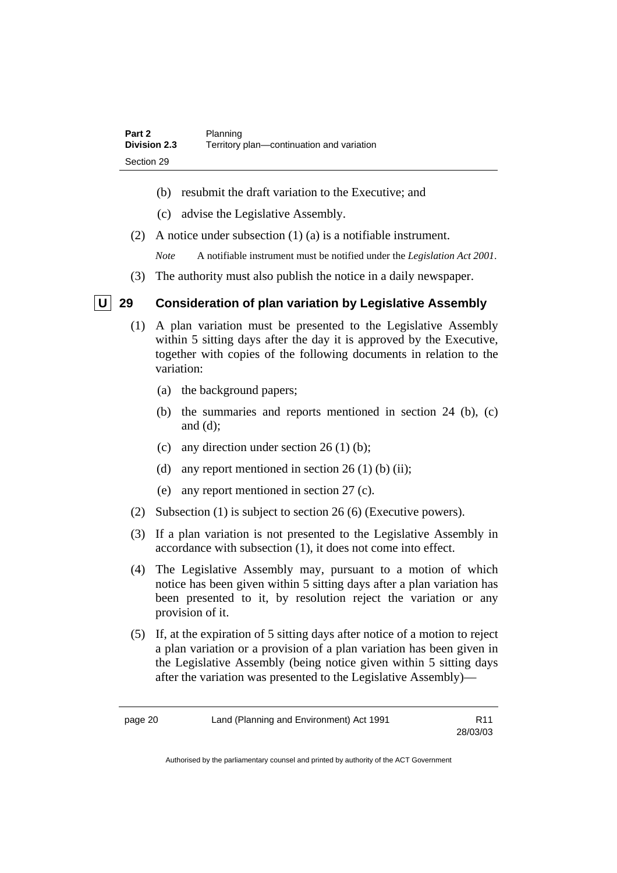| Part 2              | Planning                                  |
|---------------------|-------------------------------------------|
| <b>Division 2.3</b> | Territory plan-continuation and variation |
| Section 29          |                                           |

- (b) resubmit the draft variation to the Executive; and
- (c) advise the Legislative Assembly.
- (2) A notice under subsection (1) (a) is a notifiable instrument.

*Note* A notifiable instrument must be notified under the *Legislation Act 2001*.

(3) The authority must also publish the notice in a daily newspaper.

#### **U 29 Consideration of plan variation by Legislative Assembly**

- (1) A plan variation must be presented to the Legislative Assembly within 5 sitting days after the day it is approved by the Executive, together with copies of the following documents in relation to the variation:
	- (a) the background papers;
	- (b) the summaries and reports mentioned in section 24 (b), (c) and (d);
	- (c) any direction under section  $26 (1) (b)$ ;
	- (d) any report mentioned in section  $26 (1) (b) (ii)$ ;
	- (e) any report mentioned in section 27 (c).
- (2) Subsection (1) is subject to section 26 (6) (Executive powers).
- (3) If a plan variation is not presented to the Legislative Assembly in accordance with subsection (1), it does not come into effect.
- (4) The Legislative Assembly may, pursuant to a motion of which notice has been given within 5 sitting days after a plan variation has been presented to it, by resolution reject the variation or any provision of it.
- (5) If, at the expiration of 5 sitting days after notice of a motion to reject a plan variation or a provision of a plan variation has been given in the Legislative Assembly (being notice given within 5 sitting days after the variation was presented to the Legislative Assembly)—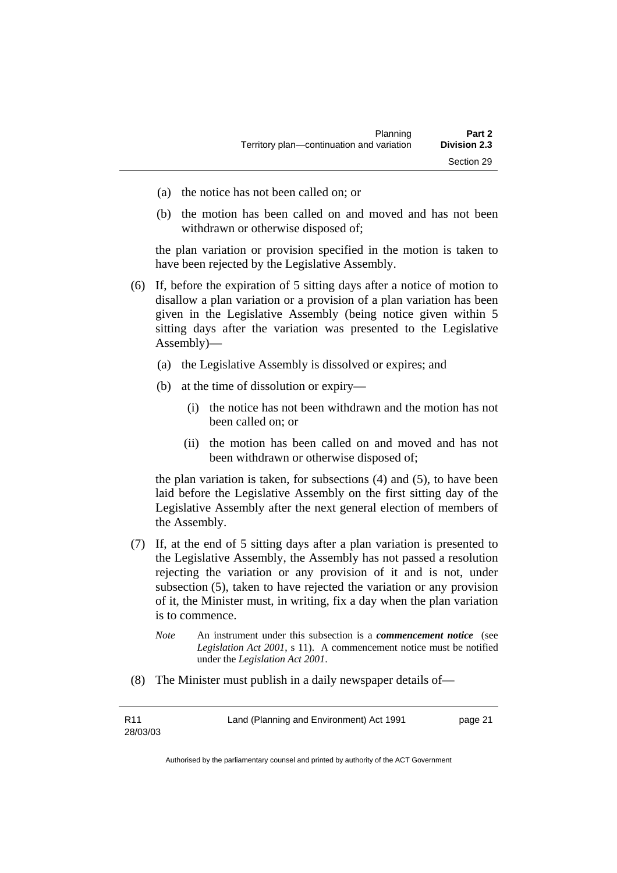- (a) the notice has not been called on; or
- (b) the motion has been called on and moved and has not been withdrawn or otherwise disposed of;

the plan variation or provision specified in the motion is taken to have been rejected by the Legislative Assembly.

- (6) If, before the expiration of 5 sitting days after a notice of motion to disallow a plan variation or a provision of a plan variation has been given in the Legislative Assembly (being notice given within 5 sitting days after the variation was presented to the Legislative Assembly)—
	- (a) the Legislative Assembly is dissolved or expires; and
	- (b) at the time of dissolution or expiry—
		- (i) the notice has not been withdrawn and the motion has not been called on; or
		- (ii) the motion has been called on and moved and has not been withdrawn or otherwise disposed of;

the plan variation is taken, for subsections (4) and (5), to have been laid before the Legislative Assembly on the first sitting day of the Legislative Assembly after the next general election of members of the Assembly.

- (7) If, at the end of 5 sitting days after a plan variation is presented to the Legislative Assembly, the Assembly has not passed a resolution rejecting the variation or any provision of it and is not, under subsection (5), taken to have rejected the variation or any provision of it, the Minister must, in writing, fix a day when the plan variation is to commence.
	- *Note* An instrument under this subsection is a *commencement notice* (see *Legislation Act 2001*, s 11). A commencement notice must be notified under the *Legislation Act 2001*.
- (8) The Minister must publish in a daily newspaper details of—

R11 28/03/03 Land (Planning and Environment) Act 1991 page 21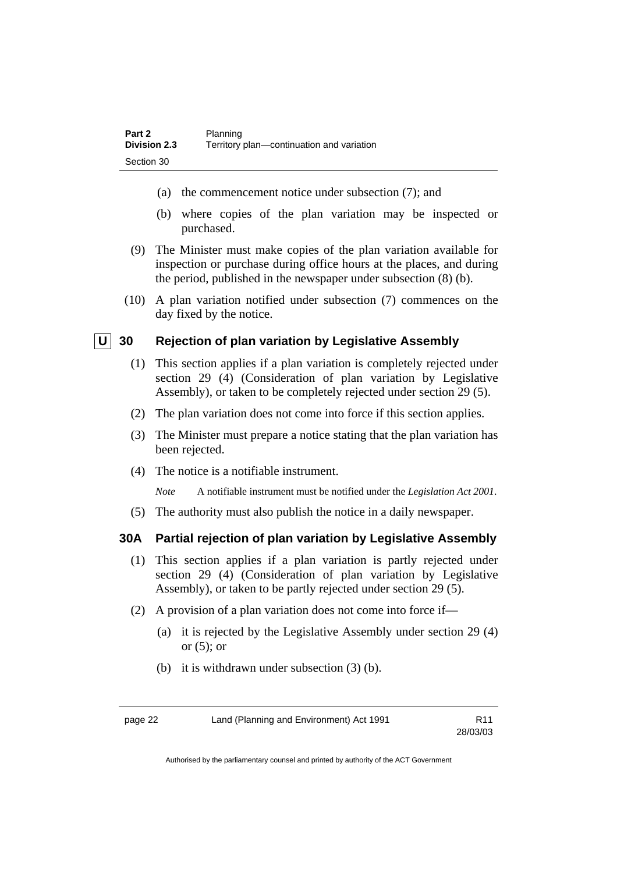| Part 2              | Planning                                  |
|---------------------|-------------------------------------------|
| <b>Division 2.3</b> | Territory plan—continuation and variation |
| Section 30          |                                           |

- (a) the commencement notice under subsection (7); and
- (b) where copies of the plan variation may be inspected or purchased.
- (9) The Minister must make copies of the plan variation available for inspection or purchase during office hours at the places, and during the period, published in the newspaper under subsection (8) (b).
- (10) A plan variation notified under subsection (7) commences on the day fixed by the notice.

#### **U** 30 Rejection of plan variation by Legislative Assembly

- (1) This section applies if a plan variation is completely rejected under section 29 (4) (Consideration of plan variation by Legislative Assembly), or taken to be completely rejected under section 29 (5).
- (2) The plan variation does not come into force if this section applies.
- (3) The Minister must prepare a notice stating that the plan variation has been rejected.
- (4) The notice is a notifiable instrument.

*Note* A notifiable instrument must be notified under the *Legislation Act 2001*.

(5) The authority must also publish the notice in a daily newspaper.

#### **30A Partial rejection of plan variation by Legislative Assembly**

- (1) This section applies if a plan variation is partly rejected under section 29 (4) (Consideration of plan variation by Legislative Assembly), or taken to be partly rejected under section 29 (5).
- (2) A provision of a plan variation does not come into force if—
	- (a) it is rejected by the Legislative Assembly under section 29 (4) or  $(5)$ ; or
	- (b) it is withdrawn under subsection (3) (b).

page 22 Land (Planning and Environment) Act 1991

28/03/03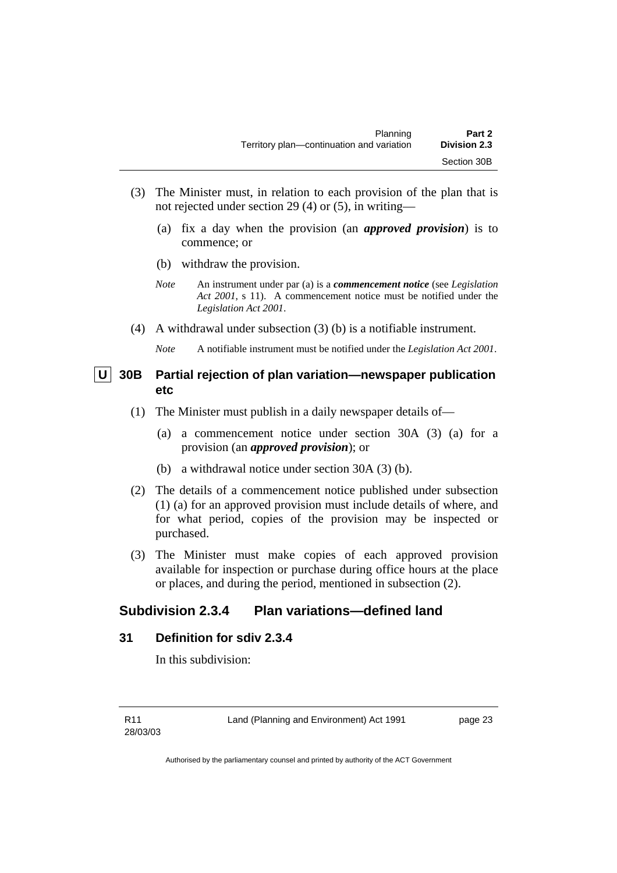- (3) The Minister must, in relation to each provision of the plan that is not rejected under section 29 (4) or (5), in writing—
	- (a) fix a day when the provision (an *approved provision*) is to commence; or
	- (b) withdraw the provision.
	- *Note* An instrument under par (a) is a *commencement notice* (see *Legislation Act 2001*, s 11). A commencement notice must be notified under the *Legislation Act 2001*.
- (4) A withdrawal under subsection (3) (b) is a notifiable instrument.

*Note* A notifiable instrument must be notified under the *Legislation Act 2001*.

#### **U 30B Partial rejection of plan variation—newspaper publication etc**

- (1) The Minister must publish in a daily newspaper details of—
	- (a) a commencement notice under section 30A (3) (a) for a provision (an *approved provision*); or
	- (b) a withdrawal notice under section 30A (3) (b).
- (2) The details of a commencement notice published under subsection (1) (a) for an approved provision must include details of where, and for what period, copies of the provision may be inspected or purchased.
- (3) The Minister must make copies of each approved provision available for inspection or purchase during office hours at the place or places, and during the period, mentioned in subsection (2).

# **Subdivision 2.3.4 Plan variations—defined land**

#### **31 Definition for sdiv 2.3.4**

In this subdivision:

Land (Planning and Environment) Act 1991 page 23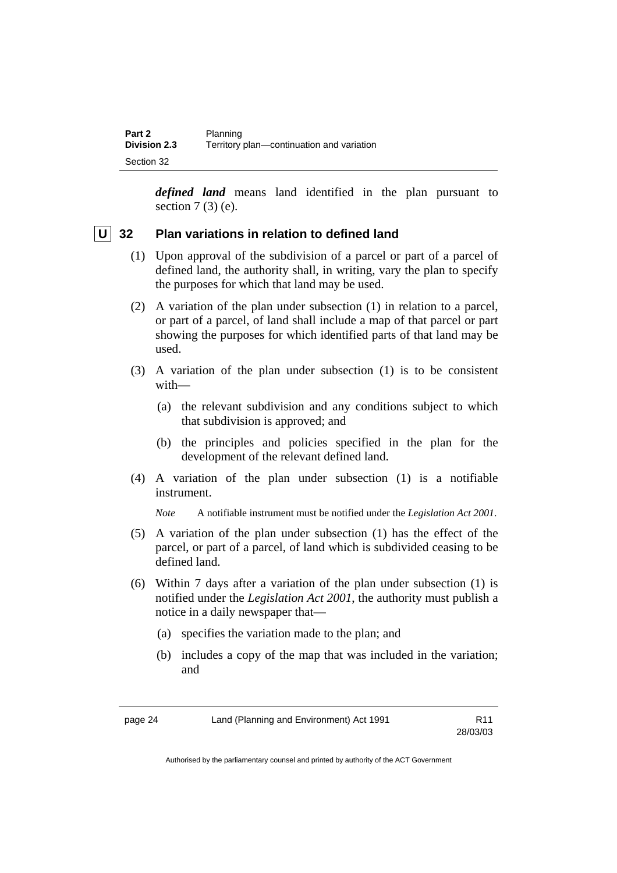| Part 2              | Planning                                  |
|---------------------|-------------------------------------------|
| <b>Division 2.3</b> | Territory plan—continuation and variation |
| Section 32          |                                           |

*defined land* means land identified in the plan pursuant to section  $7(3)$  (e).

### **U** 32 Plan variations in relation to defined land

- (1) Upon approval of the subdivision of a parcel or part of a parcel of defined land, the authority shall, in writing, vary the plan to specify the purposes for which that land may be used.
- (2) A variation of the plan under subsection (1) in relation to a parcel, or part of a parcel, of land shall include a map of that parcel or part showing the purposes for which identified parts of that land may be used.
- (3) A variation of the plan under subsection (1) is to be consistent with—
	- (a) the relevant subdivision and any conditions subject to which that subdivision is approved; and
	- (b) the principles and policies specified in the plan for the development of the relevant defined land.
- (4) A variation of the plan under subsection (1) is a notifiable instrument.

*Note* A notifiable instrument must be notified under the *Legislation Act 2001*.

- (5) A variation of the plan under subsection (1) has the effect of the parcel, or part of a parcel, of land which is subdivided ceasing to be defined land.
- (6) Within 7 days after a variation of the plan under subsection (1) is notified under the *Legislation Act 2001*, the authority must publish a notice in a daily newspaper that—
	- (a) specifies the variation made to the plan; and
	- (b) includes a copy of the map that was included in the variation; and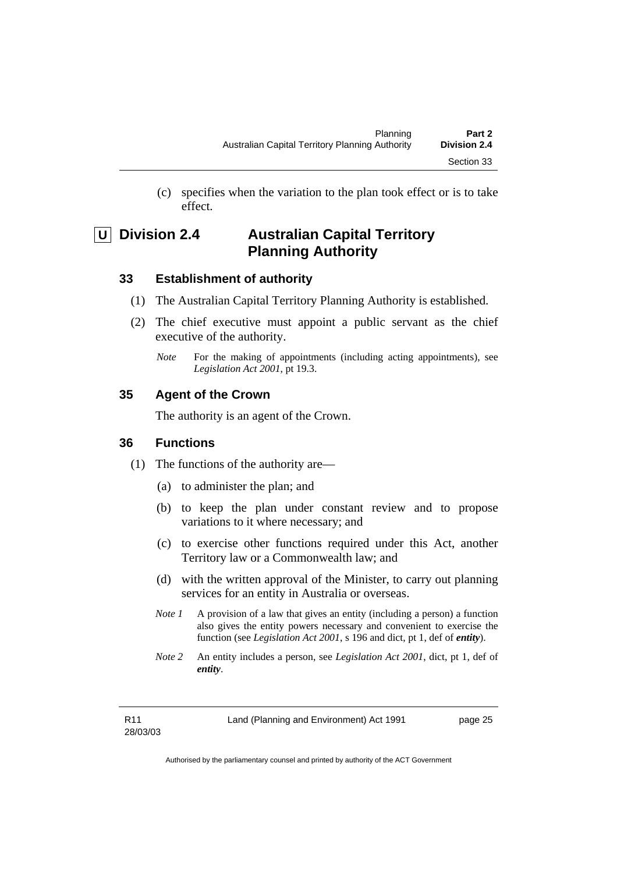(c) specifies when the variation to the plan took effect or is to take effect.

# **U Division 2.4 Australian Capital Territory Planning Authority**

# **33 Establishment of authority**

- (1) The Australian Capital Territory Planning Authority is established.
- (2) The chief executive must appoint a public servant as the chief executive of the authority.
	- *Note* For the making of appointments (including acting appointments), see *Legislation Act 2001*, pt 19.3.

## **35 Agent of the Crown**

The authority is an agent of the Crown.

#### **36 Functions**

- (1) The functions of the authority are—
	- (a) to administer the plan; and
	- (b) to keep the plan under constant review and to propose variations to it where necessary; and
	- (c) to exercise other functions required under this Act, another Territory law or a Commonwealth law; and
	- (d) with the written approval of the Minister, to carry out planning services for an entity in Australia or overseas.
	- *Note 1* A provision of a law that gives an entity (including a person) a function also gives the entity powers necessary and convenient to exercise the function (see *Legislation Act 2001*, s 196 and dict, pt 1, def of *entity*).
	- *Note 2* An entity includes a person, see *Legislation Act 2001*, dict, pt 1, def of *entity*.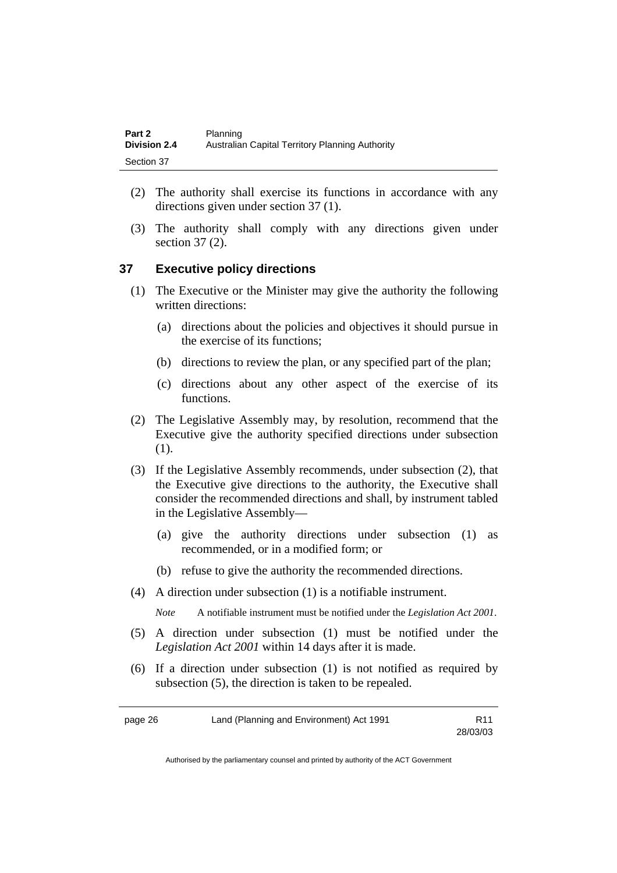| Part 2              | Planning                                        |
|---------------------|-------------------------------------------------|
| <b>Division 2.4</b> | Australian Capital Territory Planning Authority |
| Section 37          |                                                 |

- (2) The authority shall exercise its functions in accordance with any directions given under section 37 (1).
- (3) The authority shall comply with any directions given under section 37 (2).

#### **37 Executive policy directions**

- (1) The Executive or the Minister may give the authority the following written directions:
	- (a) directions about the policies and objectives it should pursue in the exercise of its functions;
	- (b) directions to review the plan, or any specified part of the plan;
	- (c) directions about any other aspect of the exercise of its functions.
- (2) The Legislative Assembly may, by resolution, recommend that the Executive give the authority specified directions under subsection (1).
- (3) If the Legislative Assembly recommends, under subsection (2), that the Executive give directions to the authority, the Executive shall consider the recommended directions and shall, by instrument tabled in the Legislative Assembly—
	- (a) give the authority directions under subsection (1) as recommended, or in a modified form; or
	- (b) refuse to give the authority the recommended directions.
- (4) A direction under subsection (1) is a notifiable instrument.

*Note* A notifiable instrument must be notified under the *Legislation Act 2001*.

- (5) A direction under subsection (1) must be notified under the *Legislation Act 2001* within 14 days after it is made.
- (6) If a direction under subsection (1) is not notified as required by subsection (5), the direction is taken to be repealed.

| page 26 | Land (Planning and Environment) Act 1991 | R <sub>11</sub> |
|---------|------------------------------------------|-----------------|
|         |                                          | 28/03/03        |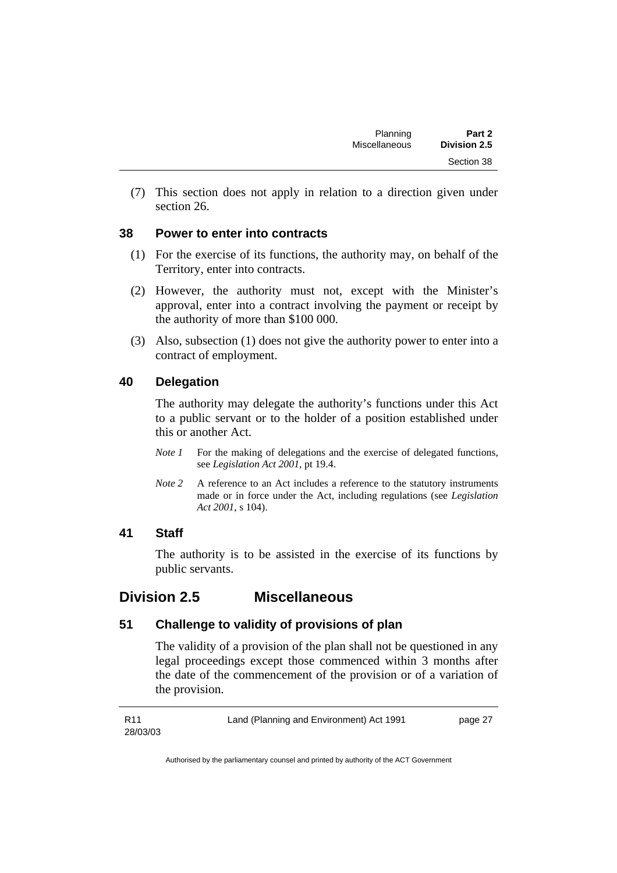(7) This section does not apply in relation to a direction given under section 26.

#### **38 Power to enter into contracts**

- (1) For the exercise of its functions, the authority may, on behalf of the Territory, enter into contracts.
- (2) However, the authority must not, except with the Minister's approval, enter into a contract involving the payment or receipt by the authority of more than \$100 000.
- (3) Also, subsection (1) does not give the authority power to enter into a contract of employment.

#### **40 Delegation**

The authority may delegate the authority's functions under this Act to a public servant or to the holder of a position established under this or another Act.

- *Note 1* For the making of delegations and the exercise of delegated functions, see *Legislation Act 2001*, pt 19.4.
- *Note 2* A reference to an Act includes a reference to the statutory instruments made or in force under the Act, including regulations (see *Legislation Act 2001*, s 104).

#### **41 Staff**

The authority is to be assisted in the exercise of its functions by public servants.

# **Division 2.5 Miscellaneous**

#### **51 Challenge to validity of provisions of plan**

The validity of a provision of the plan shall not be questioned in any legal proceedings except those commenced within 3 months after the date of the commencement of the provision or of a variation of the provision.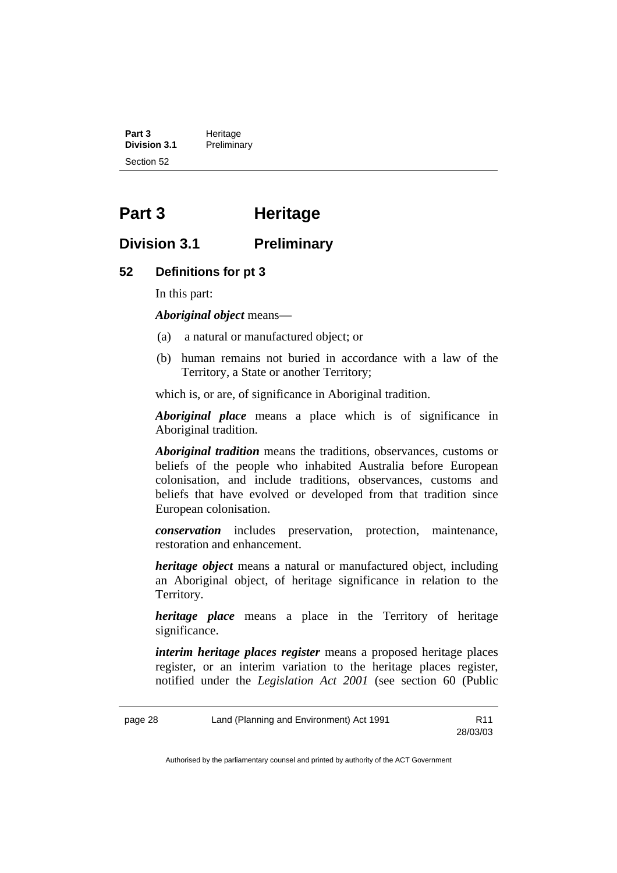Part 3 **Heritage Division 3.1** Preliminary Section 52

# **Part 3 Heritage**

## **Division 3.1 Preliminary**

#### **52 Definitions for pt 3**

In this part:

*Aboriginal object* means—

- (a) a natural or manufactured object; or
- (b) human remains not buried in accordance with a law of the Territory, a State or another Territory;

which is, or are, of significance in Aboriginal tradition.

*Aboriginal place* means a place which is of significance in Aboriginal tradition.

*Aboriginal tradition* means the traditions, observances, customs or beliefs of the people who inhabited Australia before European colonisation, and include traditions, observances, customs and beliefs that have evolved or developed from that tradition since European colonisation.

*conservation* includes preservation, protection, maintenance, restoration and enhancement.

*heritage object* means a natural or manufactured object, including an Aboriginal object, of heritage significance in relation to the Territory.

*heritage place* means a place in the Territory of heritage significance.

*interim heritage places register* means a proposed heritage places register, or an interim variation to the heritage places register, notified under the *Legislation Act 2001* (see section 60 (Public

page 28 Land (Planning and Environment) Act 1991

28/03/03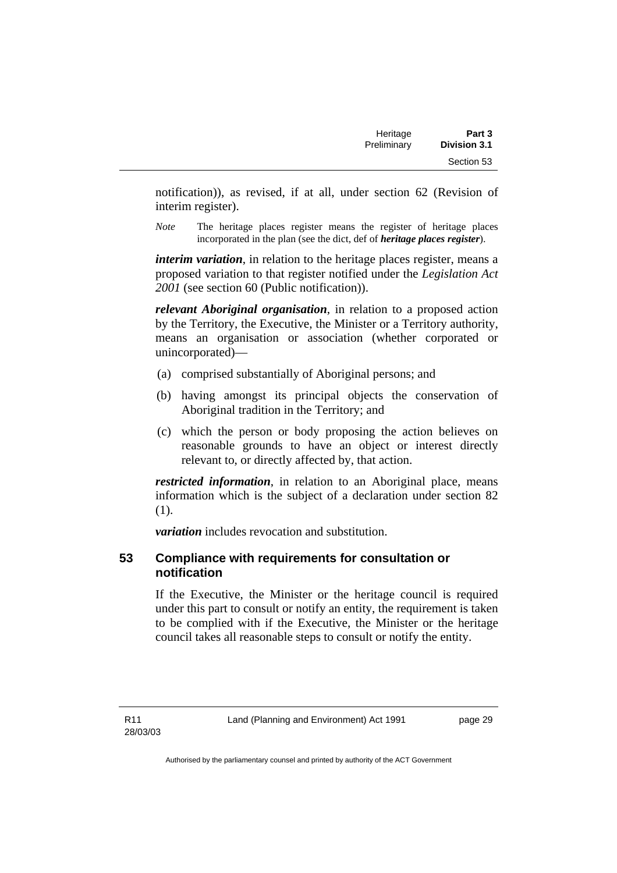| Heritage    | Part 3       |
|-------------|--------------|
| Preliminary | Division 3.1 |
|             | Section 53   |

notification)), as revised, if at all, under section 62 (Revision of interim register).

*Note* The heritage places register means the register of heritage places incorporated in the plan (see the dict, def of *heritage places register*).

*interim variation*, in relation to the heritage places register, means a proposed variation to that register notified under the *Legislation Act 2001* (see section 60 (Public notification)).

*relevant Aboriginal organisation*, in relation to a proposed action by the Territory, the Executive, the Minister or a Territory authority, means an organisation or association (whether corporated or unincorporated)—

- (a) comprised substantially of Aboriginal persons; and
- (b) having amongst its principal objects the conservation of Aboriginal tradition in the Territory; and
- (c) which the person or body proposing the action believes on reasonable grounds to have an object or interest directly relevant to, or directly affected by, that action.

*restricted information*, in relation to an Aboriginal place, means information which is the subject of a declaration under section 82 (1).

*variation* includes revocation and substitution.

#### **53 Compliance with requirements for consultation or notification**

If the Executive, the Minister or the heritage council is required under this part to consult or notify an entity, the requirement is taken to be complied with if the Executive, the Minister or the heritage council takes all reasonable steps to consult or notify the entity.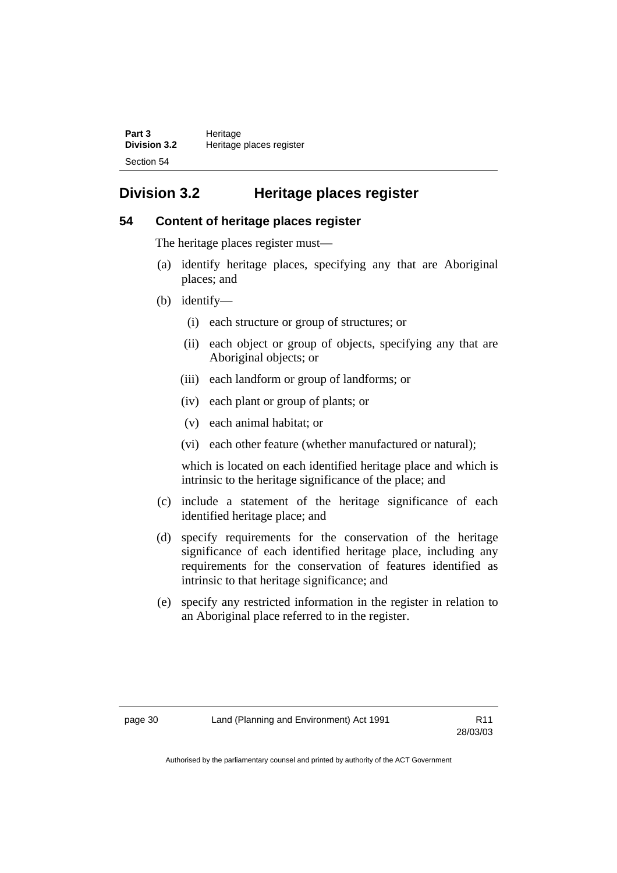| Part 3              | Heritage                 |
|---------------------|--------------------------|
| <b>Division 3.2</b> | Heritage places register |
| Section 54          |                          |

# **Division 3.2 Heritage places register**

#### **54 Content of heritage places register**

The heritage places register must—

- (a) identify heritage places, specifying any that are Aboriginal places; and
- (b) identify—
	- (i) each structure or group of structures; or
	- (ii) each object or group of objects, specifying any that are Aboriginal objects; or
	- (iii) each landform or group of landforms; or
	- (iv) each plant or group of plants; or
	- (v) each animal habitat; or
	- (vi) each other feature (whether manufactured or natural);

which is located on each identified heritage place and which is intrinsic to the heritage significance of the place; and

- (c) include a statement of the heritage significance of each identified heritage place; and
- (d) specify requirements for the conservation of the heritage significance of each identified heritage place, including any requirements for the conservation of features identified as intrinsic to that heritage significance; and
- (e) specify any restricted information in the register in relation to an Aboriginal place referred to in the register.

28/03/03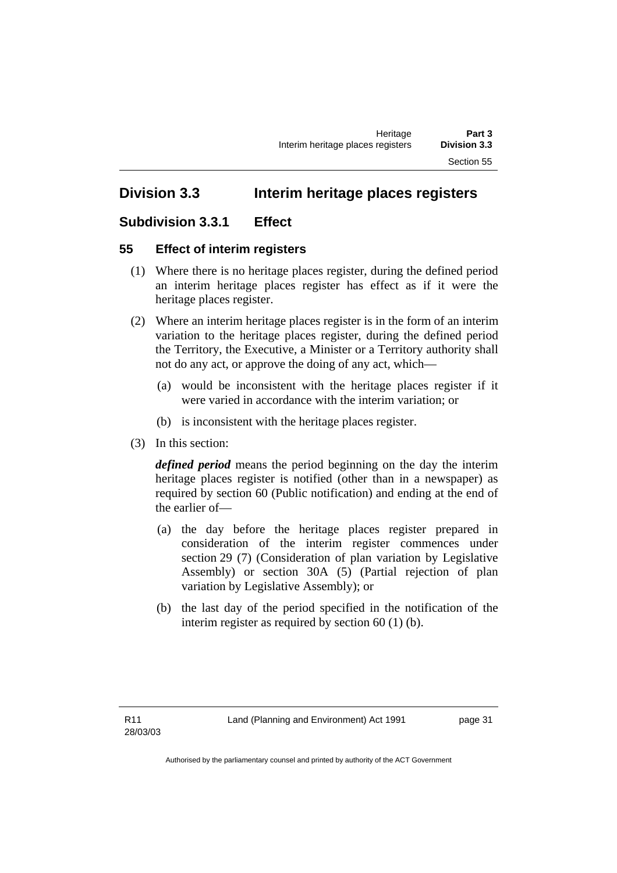# **Division 3.3 Interim heritage places registers**

# **Subdivision 3.3.1 Effect**

#### **55 Effect of interim registers**

- (1) Where there is no heritage places register, during the defined period an interim heritage places register has effect as if it were the heritage places register.
- (2) Where an interim heritage places register is in the form of an interim variation to the heritage places register, during the defined period the Territory, the Executive, a Minister or a Territory authority shall not do any act, or approve the doing of any act, which—
	- (a) would be inconsistent with the heritage places register if it were varied in accordance with the interim variation; or
	- (b) is inconsistent with the heritage places register.
- (3) In this section:

*defined period* means the period beginning on the day the interim heritage places register is notified (other than in a newspaper) as required by section 60 (Public notification) and ending at the end of the earlier of—

- (a) the day before the heritage places register prepared in consideration of the interim register commences under section 29 (7) (Consideration of plan variation by Legislative Assembly) or section 30A (5) (Partial rejection of plan variation by Legislative Assembly); or
- (b) the last day of the period specified in the notification of the interim register as required by section 60 (1) (b).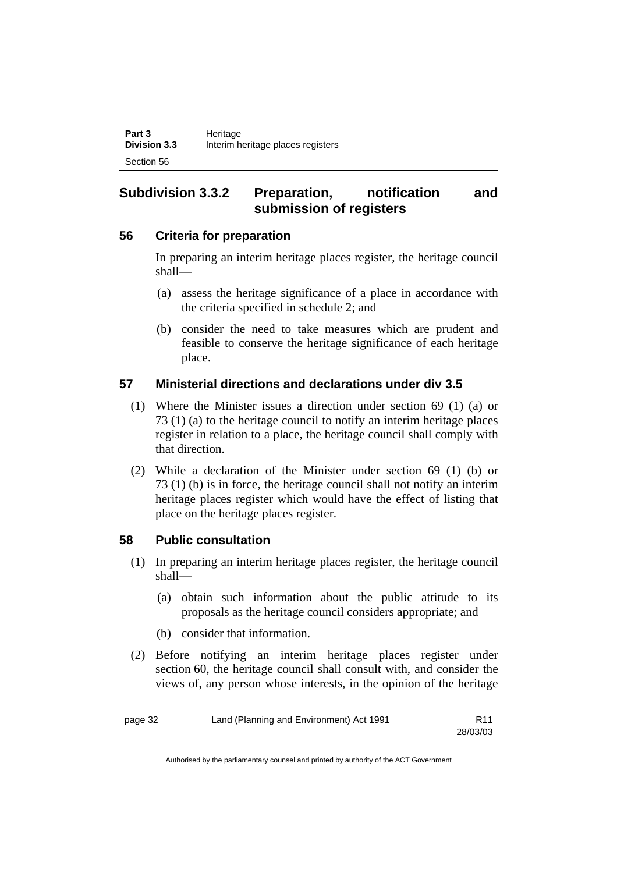# **Subdivision 3.3.2 Preparation, notification and submission of registers**

#### **56 Criteria for preparation**

In preparing an interim heritage places register, the heritage council shall—

- (a) assess the heritage significance of a place in accordance with the criteria specified in schedule 2; and
- (b) consider the need to take measures which are prudent and feasible to conserve the heritage significance of each heritage place.

## **57 Ministerial directions and declarations under div 3.5**

- (1) Where the Minister issues a direction under section 69 (1) (a) or 73 (1) (a) to the heritage council to notify an interim heritage places register in relation to a place, the heritage council shall comply with that direction.
- (2) While a declaration of the Minister under section 69 (1) (b) or 73 (1) (b) is in force, the heritage council shall not notify an interim heritage places register which would have the effect of listing that place on the heritage places register.

# **58 Public consultation**

- (1) In preparing an interim heritage places register, the heritage council shall—
	- (a) obtain such information about the public attitude to its proposals as the heritage council considers appropriate; and
	- (b) consider that information.
- (2) Before notifying an interim heritage places register under section 60, the heritage council shall consult with, and consider the views of, any person whose interests, in the opinion of the heritage

28/03/03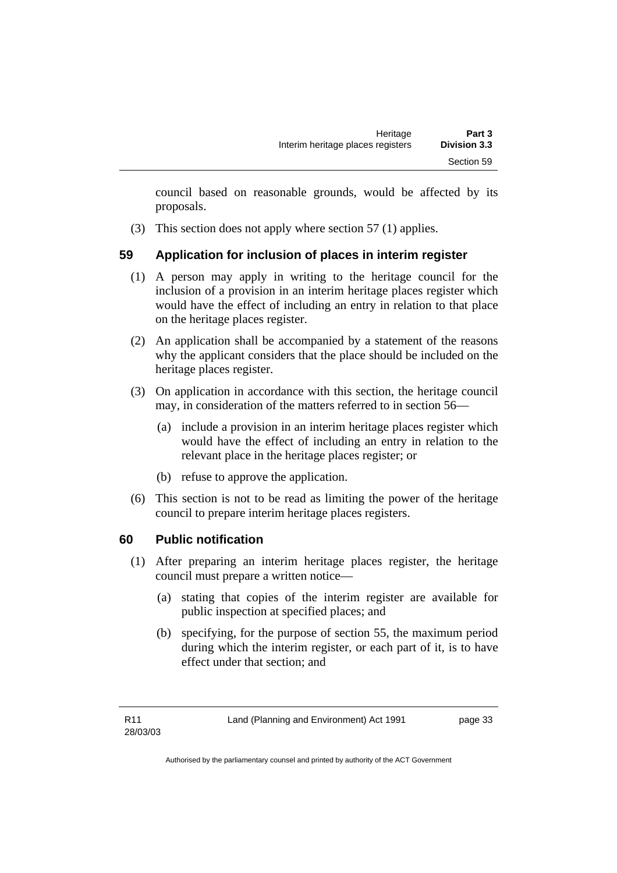council based on reasonable grounds, would be affected by its proposals.

(3) This section does not apply where section 57 (1) applies.

# **59 Application for inclusion of places in interim register**

- (1) A person may apply in writing to the heritage council for the inclusion of a provision in an interim heritage places register which would have the effect of including an entry in relation to that place on the heritage places register.
- (2) An application shall be accompanied by a statement of the reasons why the applicant considers that the place should be included on the heritage places register.
- (3) On application in accordance with this section, the heritage council may, in consideration of the matters referred to in section 56—
	- (a) include a provision in an interim heritage places register which would have the effect of including an entry in relation to the relevant place in the heritage places register; or
	- (b) refuse to approve the application.
- (6) This section is not to be read as limiting the power of the heritage council to prepare interim heritage places registers.

## **60 Public notification**

- (1) After preparing an interim heritage places register, the heritage council must prepare a written notice—
	- (a) stating that copies of the interim register are available for public inspection at specified places; and
	- (b) specifying, for the purpose of section 55, the maximum period during which the interim register, or each part of it, is to have effect under that section; and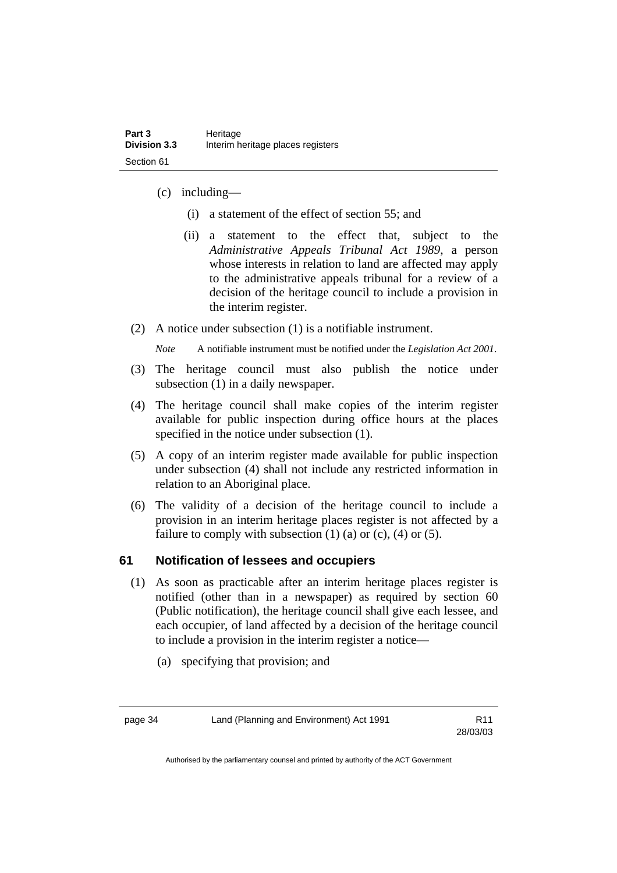- (c) including—
	- (i) a statement of the effect of section 55; and
	- (ii) a statement to the effect that, subject to the *Administrative Appeals Tribunal Act 1989*, a person whose interests in relation to land are affected may apply to the administrative appeals tribunal for a review of a decision of the heritage council to include a provision in the interim register.
- (2) A notice under subsection (1) is a notifiable instrument.

*Note* A notifiable instrument must be notified under the *Legislation Act 2001*.

- (3) The heritage council must also publish the notice under subsection (1) in a daily newspaper.
- (4) The heritage council shall make copies of the interim register available for public inspection during office hours at the places specified in the notice under subsection (1).
- (5) A copy of an interim register made available for public inspection under subsection (4) shall not include any restricted information in relation to an Aboriginal place.
- (6) The validity of a decision of the heritage council to include a provision in an interim heritage places register is not affected by a failure to comply with subsection  $(1)$   $(a)$  or  $(c)$ ,  $(4)$  or  $(5)$ .

## **61 Notification of lessees and occupiers**

- (1) As soon as practicable after an interim heritage places register is notified (other than in a newspaper) as required by section 60 (Public notification), the heritage council shall give each lessee, and each occupier, of land affected by a decision of the heritage council to include a provision in the interim register a notice—
	- (a) specifying that provision; and

28/03/03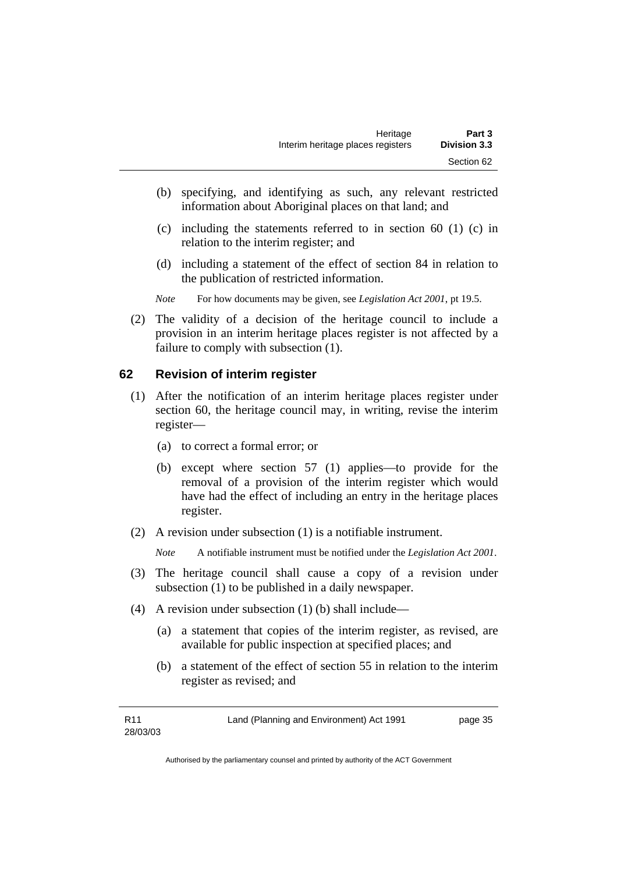- (b) specifying, and identifying as such, any relevant restricted information about Aboriginal places on that land; and
- (c) including the statements referred to in section 60 (1) (c) in relation to the interim register; and
- (d) including a statement of the effect of section 84 in relation to the publication of restricted information.
- *Note* For how documents may be given, see *Legislation Act 2001*, pt 19.5.
- (2) The validity of a decision of the heritage council to include a provision in an interim heritage places register is not affected by a failure to comply with subsection (1).

#### **62 Revision of interim register**

- (1) After the notification of an interim heritage places register under section 60, the heritage council may, in writing, revise the interim register—
	- (a) to correct a formal error; or
	- (b) except where section 57 (1) applies—to provide for the removal of a provision of the interim register which would have had the effect of including an entry in the heritage places register.
- (2) A revision under subsection (1) is a notifiable instrument.

*Note* A notifiable instrument must be notified under the *Legislation Act 2001*.

- (3) The heritage council shall cause a copy of a revision under subsection (1) to be published in a daily newspaper.
- (4) A revision under subsection (1) (b) shall include—
	- (a) a statement that copies of the interim register, as revised, are available for public inspection at specified places; and
	- (b) a statement of the effect of section 55 in relation to the interim register as revised; and

Land (Planning and Environment) Act 1991 page 35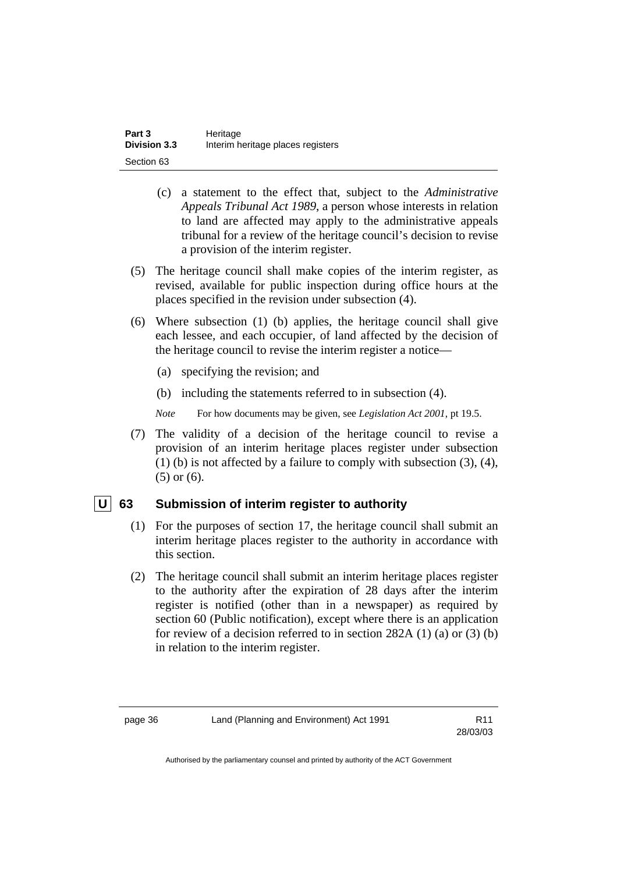| Part 3              | Heritage                          |
|---------------------|-----------------------------------|
| <b>Division 3.3</b> | Interim heritage places registers |
| Section 63          |                                   |

- (c) a statement to the effect that, subject to the *Administrative Appeals Tribunal Act 1989*, a person whose interests in relation to land are affected may apply to the administrative appeals tribunal for a review of the heritage council's decision to revise a provision of the interim register.
- (5) The heritage council shall make copies of the interim register, as revised, available for public inspection during office hours at the places specified in the revision under subsection (4).
- (6) Where subsection (1) (b) applies, the heritage council shall give each lessee, and each occupier, of land affected by the decision of the heritage council to revise the interim register a notice—
	- (a) specifying the revision; and
	- (b) including the statements referred to in subsection (4).
	- *Note* For how documents may be given, see *Legislation Act 2001*, pt 19.5.
- (7) The validity of a decision of the heritage council to revise a provision of an interim heritage places register under subsection (1) (b) is not affected by a failure to comply with subsection (3), (4), (5) or (6).

# **U** 63 Submission of interim register to authority

- (1) For the purposes of section 17, the heritage council shall submit an interim heritage places register to the authority in accordance with this section.
- (2) The heritage council shall submit an interim heritage places register to the authority after the expiration of 28 days after the interim register is notified (other than in a newspaper) as required by section 60 (Public notification), except where there is an application for review of a decision referred to in section 282A (1) (a) or (3) (b) in relation to the interim register.

28/03/03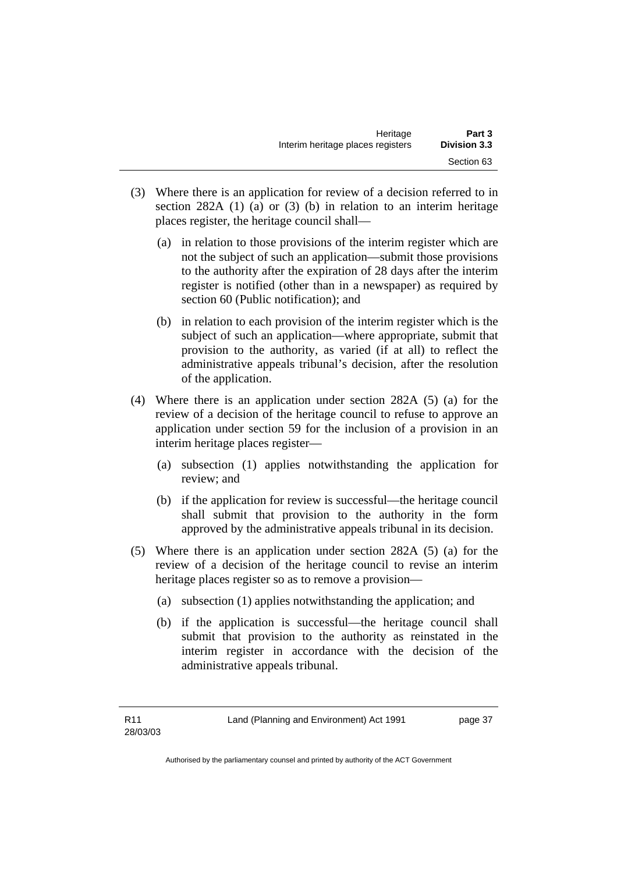- (3) Where there is an application for review of a decision referred to in section 282A (1) (a) or (3) (b) in relation to an interim heritage places register, the heritage council shall—
	- (a) in relation to those provisions of the interim register which are not the subject of such an application—submit those provisions to the authority after the expiration of 28 days after the interim register is notified (other than in a newspaper) as required by section 60 (Public notification); and
	- (b) in relation to each provision of the interim register which is the subject of such an application—where appropriate, submit that provision to the authority, as varied (if at all) to reflect the administrative appeals tribunal's decision, after the resolution of the application.
- (4) Where there is an application under section 282A (5) (a) for the review of a decision of the heritage council to refuse to approve an application under section 59 for the inclusion of a provision in an interim heritage places register—
	- (a) subsection (1) applies notwithstanding the application for review; and
	- (b) if the application for review is successful—the heritage council shall submit that provision to the authority in the form approved by the administrative appeals tribunal in its decision.
- (5) Where there is an application under section 282A (5) (a) for the review of a decision of the heritage council to revise an interim heritage places register so as to remove a provision—
	- (a) subsection (1) applies notwithstanding the application; and
	- (b) if the application is successful—the heritage council shall submit that provision to the authority as reinstated in the interim register in accordance with the decision of the administrative appeals tribunal.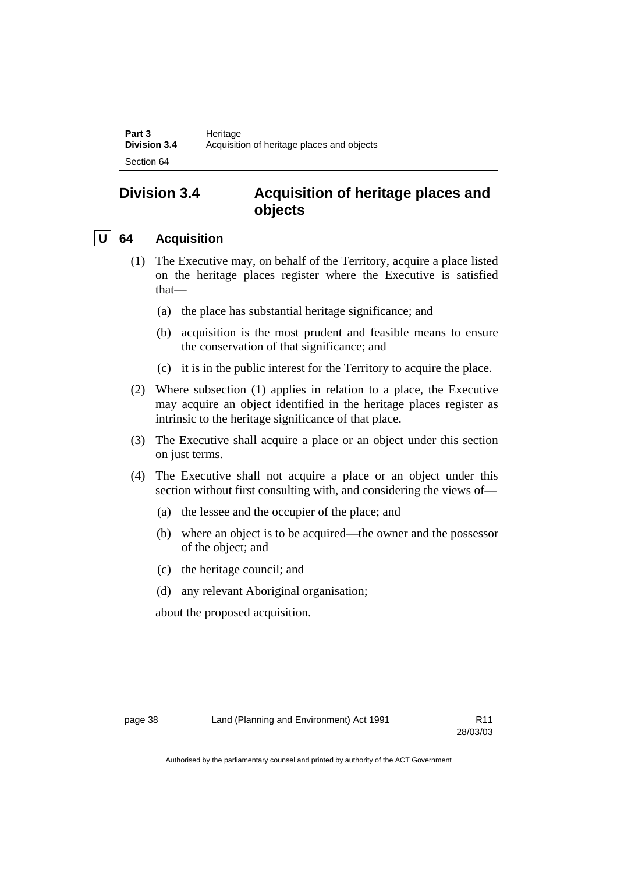# **Division 3.4 Acquisition of heritage places and objects**

# **U 64 Acquisition**

- (1) The Executive may, on behalf of the Territory, acquire a place listed on the heritage places register where the Executive is satisfied that—
	- (a) the place has substantial heritage significance; and
	- (b) acquisition is the most prudent and feasible means to ensure the conservation of that significance; and
	- (c) it is in the public interest for the Territory to acquire the place.
- (2) Where subsection (1) applies in relation to a place, the Executive may acquire an object identified in the heritage places register as intrinsic to the heritage significance of that place.
- (3) The Executive shall acquire a place or an object under this section on just terms.
- (4) The Executive shall not acquire a place or an object under this section without first consulting with, and considering the views of—
	- (a) the lessee and the occupier of the place; and
	- (b) where an object is to be acquired—the owner and the possessor of the object; and
	- (c) the heritage council; and
	- (d) any relevant Aboriginal organisation;

about the proposed acquisition.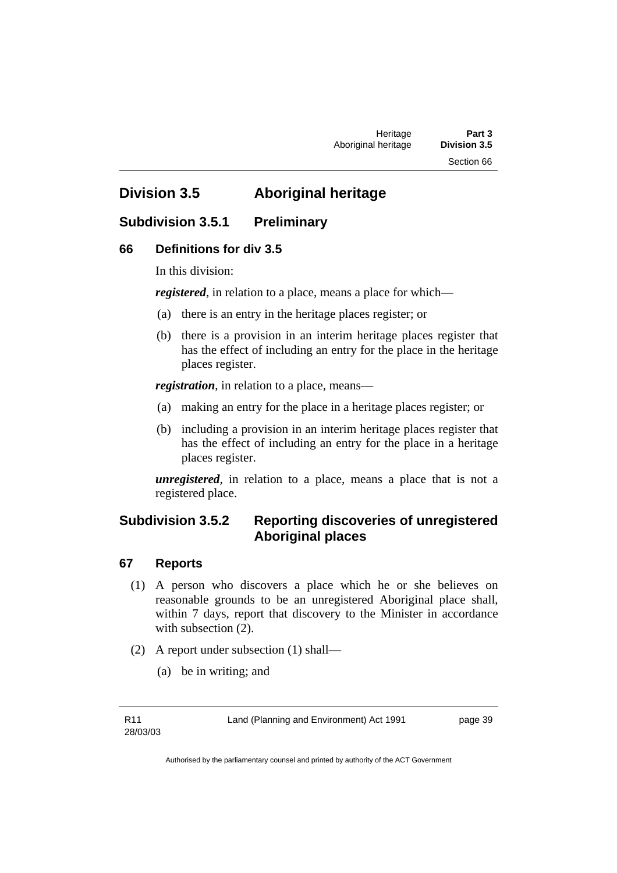# **Division 3.5 Aboriginal heritage**

# **Subdivision 3.5.1 Preliminary**

#### **66 Definitions for div 3.5**

In this division:

*registered*, in relation to a place, means a place for which—

- (a) there is an entry in the heritage places register; or
- (b) there is a provision in an interim heritage places register that has the effect of including an entry for the place in the heritage places register.

*registration*, in relation to a place, means—

- (a) making an entry for the place in a heritage places register; or
- (b) including a provision in an interim heritage places register that has the effect of including an entry for the place in a heritage places register.

*unregistered*, in relation to a place, means a place that is not a registered place.

# **Subdivision 3.5.2 Reporting discoveries of unregistered Aboriginal places**

#### **67 Reports**

- (1) A person who discovers a place which he or she believes on reasonable grounds to be an unregistered Aboriginal place shall, within 7 days, report that discovery to the Minister in accordance with subsection  $(2)$ .
- (2) A report under subsection (1) shall—
	- (a) be in writing; and

R11 28/03/03 Land (Planning and Environment) Act 1991 page 39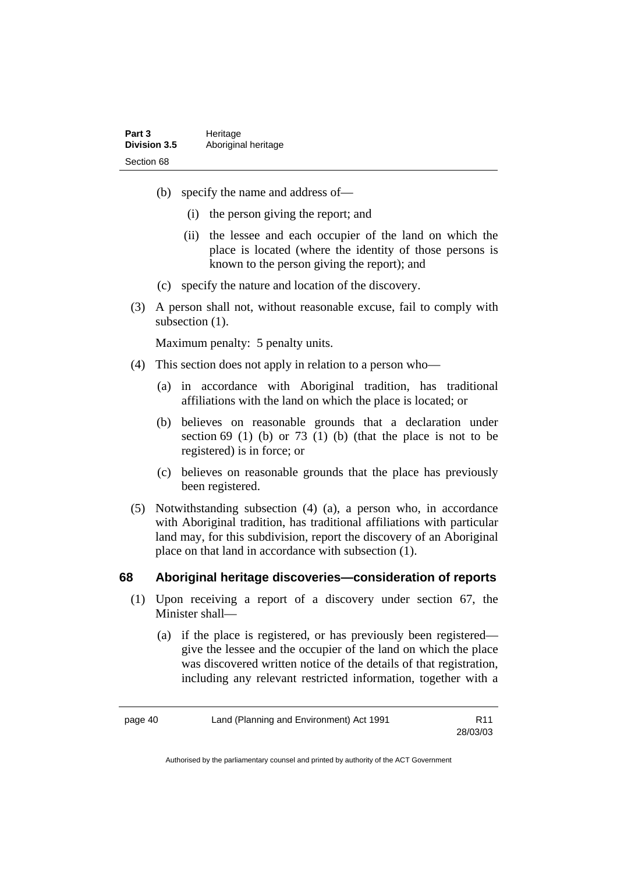| Part 3              | Heritage            |
|---------------------|---------------------|
| <b>Division 3.5</b> | Aboriginal heritage |
| Section 68          |                     |

- (b) specify the name and address of—
	- (i) the person giving the report; and
	- (ii) the lessee and each occupier of the land on which the place is located (where the identity of those persons is known to the person giving the report); and
- (c) specify the nature and location of the discovery.
- (3) A person shall not, without reasonable excuse, fail to comply with subsection  $(1)$ .

Maximum penalty: 5 penalty units.

- (4) This section does not apply in relation to a person who—
	- (a) in accordance with Aboriginal tradition, has traditional affiliations with the land on which the place is located; or
	- (b) believes on reasonable grounds that a declaration under section  $69$  (1) (b) or  $73$  (1) (b) (that the place is not to be registered) is in force; or
	- (c) believes on reasonable grounds that the place has previously been registered.
- (5) Notwithstanding subsection (4) (a), a person who, in accordance with Aboriginal tradition, has traditional affiliations with particular land may, for this subdivision, report the discovery of an Aboriginal place on that land in accordance with subsection (1).

#### **68 Aboriginal heritage discoveries—consideration of reports**

- (1) Upon receiving a report of a discovery under section 67, the Minister shall—
	- (a) if the place is registered, or has previously been registered give the lessee and the occupier of the land on which the place was discovered written notice of the details of that registration, including any relevant restricted information, together with a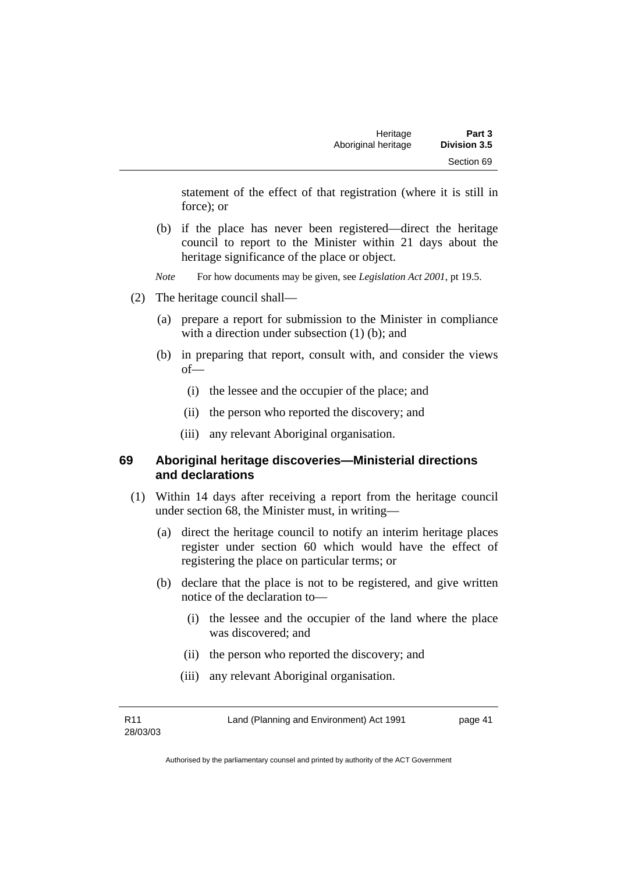statement of the effect of that registration (where it is still in force); or

- (b) if the place has never been registered—direct the heritage council to report to the Minister within 21 days about the heritage significance of the place or object.
- *Note* For how documents may be given, see *Legislation Act 2001*, pt 19.5.
- (2) The heritage council shall—
	- (a) prepare a report for submission to the Minister in compliance with a direction under subsection (1) (b); and
	- (b) in preparing that report, consult with, and consider the views of—
		- (i) the lessee and the occupier of the place; and
		- (ii) the person who reported the discovery; and
		- (iii) any relevant Aboriginal organisation.

#### **69 Aboriginal heritage discoveries—Ministerial directions and declarations**

- (1) Within 14 days after receiving a report from the heritage council under section 68, the Minister must, in writing—
	- (a) direct the heritage council to notify an interim heritage places register under section 60 which would have the effect of registering the place on particular terms; or
	- (b) declare that the place is not to be registered, and give written notice of the declaration to—
		- (i) the lessee and the occupier of the land where the place was discovered; and
		- (ii) the person who reported the discovery; and
		- (iii) any relevant Aboriginal organisation.

R11 28/03/03 Land (Planning and Environment) Act 1991 page 41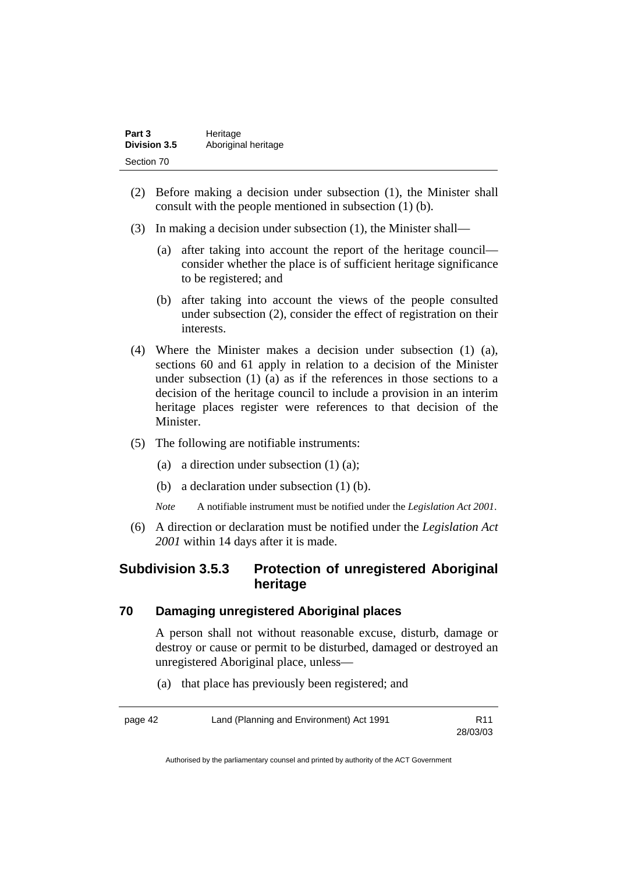| Part 3              | Heritage            |
|---------------------|---------------------|
| <b>Division 3.5</b> | Aboriginal heritage |
| Section 70          |                     |

- (2) Before making a decision under subsection (1), the Minister shall consult with the people mentioned in subsection (1) (b).
- (3) In making a decision under subsection (1), the Minister shall—
	- (a) after taking into account the report of the heritage council consider whether the place is of sufficient heritage significance to be registered; and
	- (b) after taking into account the views of the people consulted under subsection (2), consider the effect of registration on their interests.
- (4) Where the Minister makes a decision under subsection (1) (a), sections 60 and 61 apply in relation to a decision of the Minister under subsection (1) (a) as if the references in those sections to a decision of the heritage council to include a provision in an interim heritage places register were references to that decision of the Minister.
- (5) The following are notifiable instruments:
	- (a) a direction under subsection (1) (a);
	- (b) a declaration under subsection (1) (b).
	- *Note* A notifiable instrument must be notified under the *Legislation Act 2001*.
- (6) A direction or declaration must be notified under the *Legislation Act 2001* within 14 days after it is made.

## **Subdivision 3.5.3 Protection of unregistered Aboriginal heritage**

#### **70 Damaging unregistered Aboriginal places**

A person shall not without reasonable excuse, disturb, damage or destroy or cause or permit to be disturbed, damaged or destroyed an unregistered Aboriginal place, unless—

(a) that place has previously been registered; and

| page 42 | Land (Planning and Environment) Act 1991 | R11      |
|---------|------------------------------------------|----------|
|         |                                          | 28/03/03 |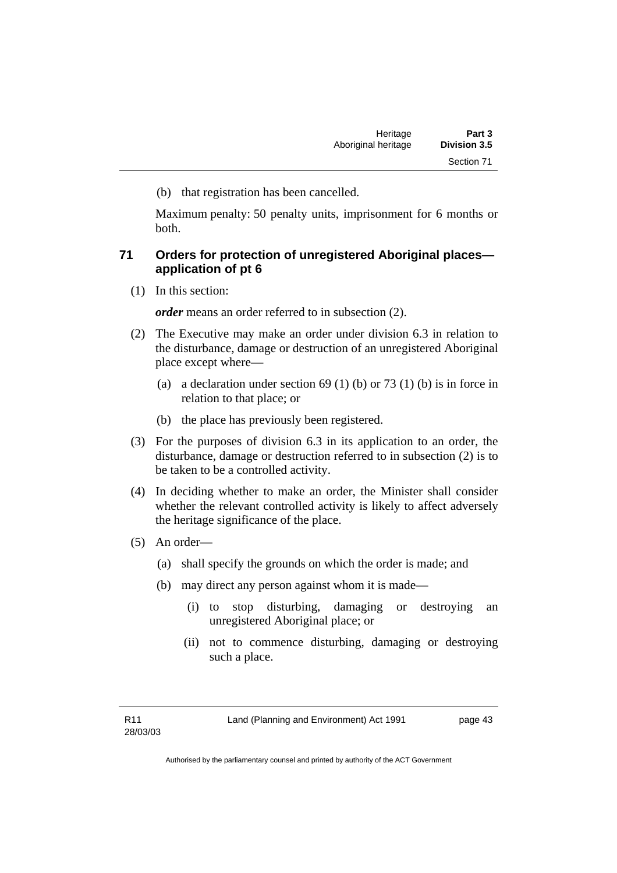(b) that registration has been cancelled.

Maximum penalty: 50 penalty units, imprisonment for 6 months or both.

### **71 Orders for protection of unregistered Aboriginal places application of pt 6**

(1) In this section:

*order* means an order referred to in subsection (2).

- (2) The Executive may make an order under division 6.3 in relation to the disturbance, damage or destruction of an unregistered Aboriginal place except where—
	- (a) a declaration under section  $69 (1) (b)$  or  $73 (1) (b)$  is in force in relation to that place; or
	- (b) the place has previously been registered.
- (3) For the purposes of division 6.3 in its application to an order, the disturbance, damage or destruction referred to in subsection (2) is to be taken to be a controlled activity.
- (4) In deciding whether to make an order, the Minister shall consider whether the relevant controlled activity is likely to affect adversely the heritage significance of the place.
- (5) An order—
	- (a) shall specify the grounds on which the order is made; and
	- (b) may direct any person against whom it is made—
		- (i) to stop disturbing, damaging or destroying an unregistered Aboriginal place; or
		- (ii) not to commence disturbing, damaging or destroying such a place.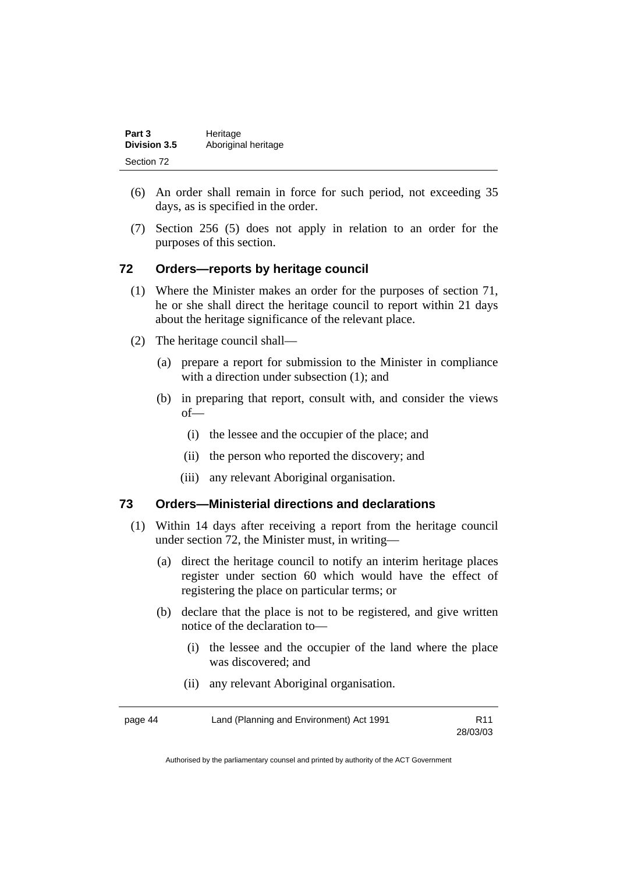| Part 3              | Heritage            |
|---------------------|---------------------|
| <b>Division 3.5</b> | Aboriginal heritage |
| Section 72          |                     |

- (6) An order shall remain in force for such period, not exceeding 35 days, as is specified in the order.
- (7) Section 256 (5) does not apply in relation to an order for the purposes of this section.

#### **72 Orders—reports by heritage council**

- (1) Where the Minister makes an order for the purposes of section 71, he or she shall direct the heritage council to report within 21 days about the heritage significance of the relevant place.
- (2) The heritage council shall—
	- (a) prepare a report for submission to the Minister in compliance with a direction under subsection (1); and
	- (b) in preparing that report, consult with, and consider the views of—
		- (i) the lessee and the occupier of the place; and
		- (ii) the person who reported the discovery; and
		- (iii) any relevant Aboriginal organisation.

#### **73 Orders—Ministerial directions and declarations**

- (1) Within 14 days after receiving a report from the heritage council under section 72, the Minister must, in writing—
	- (a) direct the heritage council to notify an interim heritage places register under section 60 which would have the effect of registering the place on particular terms; or
	- (b) declare that the place is not to be registered, and give written notice of the declaration to—
		- (i) the lessee and the occupier of the land where the place was discovered; and
		- (ii) any relevant Aboriginal organisation.

| page 44 | Land (Planning and Environment) Act 1991 | R <sub>11</sub> |
|---------|------------------------------------------|-----------------|
|         |                                          | 28/03/03        |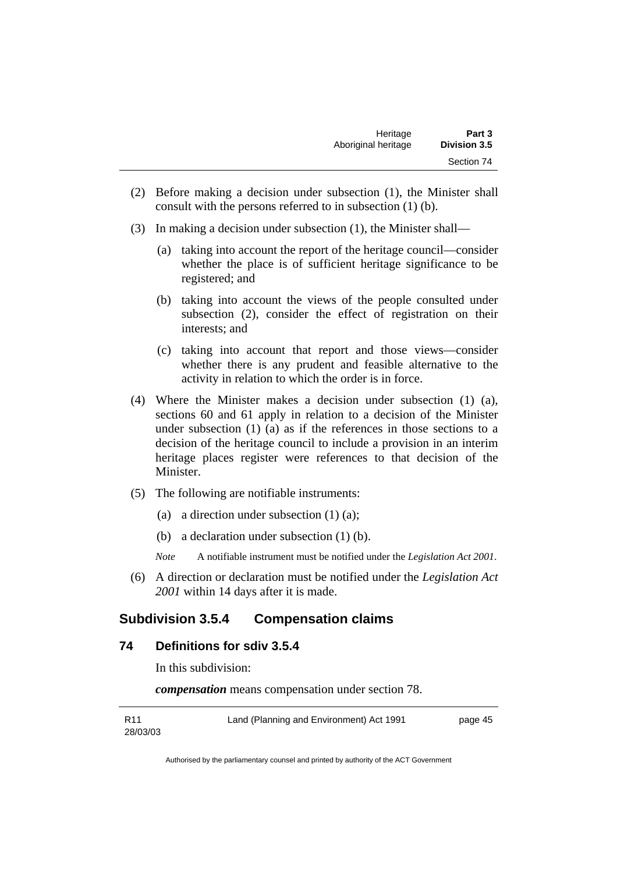| Heritage            | Part 3              |
|---------------------|---------------------|
| Aboriginal heritage | <b>Division 3.5</b> |
|                     | Section 74          |

- (2) Before making a decision under subsection (1), the Minister shall consult with the persons referred to in subsection (1) (b).
- (3) In making a decision under subsection (1), the Minister shall—
	- (a) taking into account the report of the heritage council—consider whether the place is of sufficient heritage significance to be registered; and
	- (b) taking into account the views of the people consulted under subsection (2), consider the effect of registration on their interests; and
	- (c) taking into account that report and those views—consider whether there is any prudent and feasible alternative to the activity in relation to which the order is in force.
- (4) Where the Minister makes a decision under subsection (1) (a), sections 60 and 61 apply in relation to a decision of the Minister under subsection (1) (a) as if the references in those sections to a decision of the heritage council to include a provision in an interim heritage places register were references to that decision of the Minister.
- (5) The following are notifiable instruments:
	- (a) a direction under subsection  $(1)$   $(a)$ ;
	- (b) a declaration under subsection (1) (b).
	- *Note* A notifiable instrument must be notified under the *Legislation Act 2001*.
- (6) A direction or declaration must be notified under the *Legislation Act 2001* within 14 days after it is made.

#### **Subdivision 3.5.4 Compensation claims**

#### **74 Definitions for sdiv 3.5.4**

In this subdivision:

*compensation* means compensation under section 78.

| R11      | Land (Planning and Environment) Act 1991 | page 45 |
|----------|------------------------------------------|---------|
| 28/03/03 |                                          |         |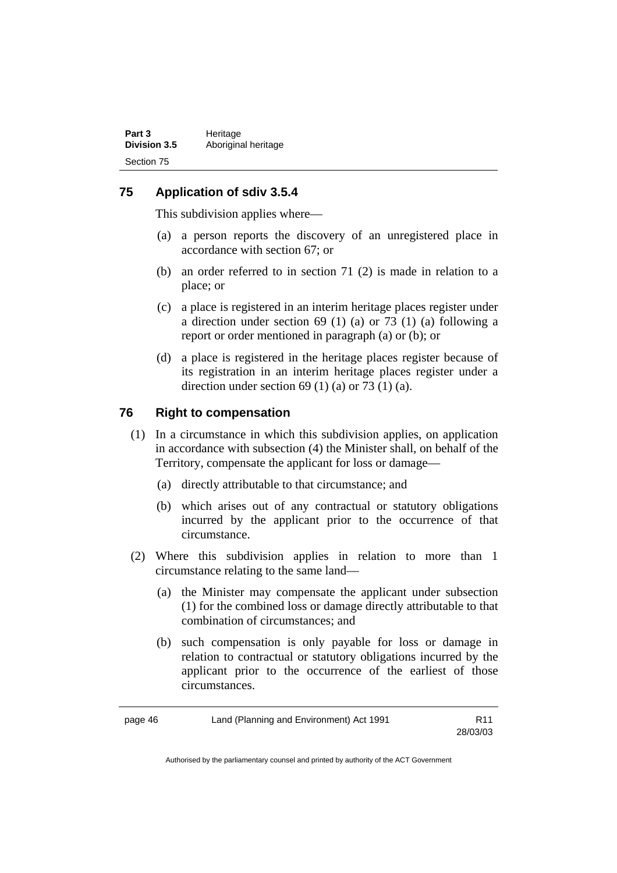| Part 3              | Heritage            |
|---------------------|---------------------|
| <b>Division 3.5</b> | Aboriginal heritage |
| Section 75          |                     |

### **75 Application of sdiv 3.5.4**

This subdivision applies where—

- (a) a person reports the discovery of an unregistered place in accordance with section 67; or
- (b) an order referred to in section 71 (2) is made in relation to a place; or
- (c) a place is registered in an interim heritage places register under a direction under section 69 (1) (a) or 73 (1) (a) following a report or order mentioned in paragraph (a) or (b); or
- (d) a place is registered in the heritage places register because of its registration in an interim heritage places register under a direction under section  $69$  (1) (a) or  $73$  (1) (a).

#### **76 Right to compensation**

- (1) In a circumstance in which this subdivision applies, on application in accordance with subsection (4) the Minister shall, on behalf of the Territory, compensate the applicant for loss or damage—
	- (a) directly attributable to that circumstance; and
	- (b) which arises out of any contractual or statutory obligations incurred by the applicant prior to the occurrence of that circumstance.
- (2) Where this subdivision applies in relation to more than 1 circumstance relating to the same land—
	- (a) the Minister may compensate the applicant under subsection (1) for the combined loss or damage directly attributable to that combination of circumstances; and
	- (b) such compensation is only payable for loss or damage in relation to contractual or statutory obligations incurred by the applicant prior to the occurrence of the earliest of those circumstances.

| page 46 | Land (Planning and Environment) Act 1991 | R <sub>11</sub> |
|---------|------------------------------------------|-----------------|
|         |                                          | 28/03/03        |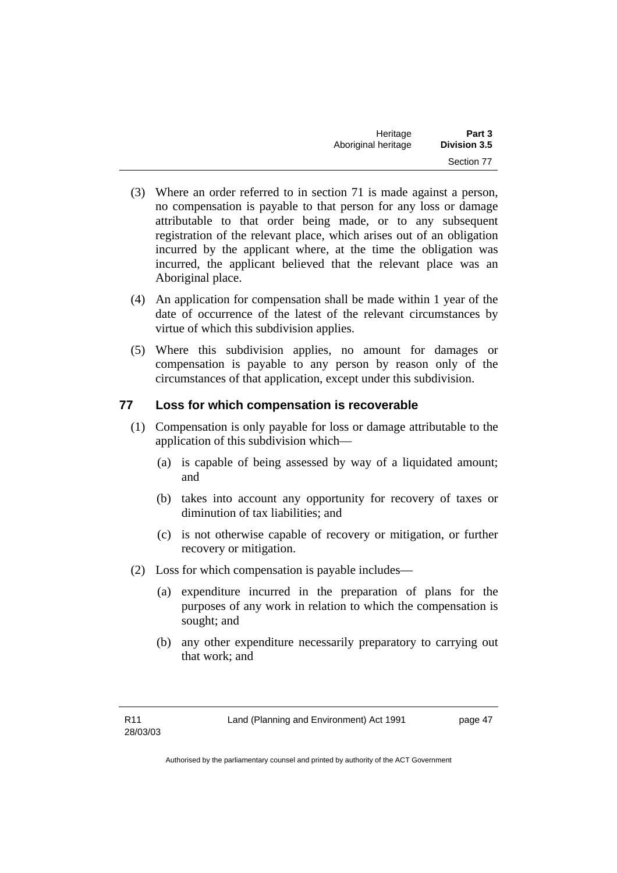| Heritage            | Part 3       |
|---------------------|--------------|
| Aboriginal heritage | Division 3.5 |
|                     | Section 77   |

- (3) Where an order referred to in section 71 is made against a person, no compensation is payable to that person for any loss or damage attributable to that order being made, or to any subsequent registration of the relevant place, which arises out of an obligation incurred by the applicant where, at the time the obligation was incurred, the applicant believed that the relevant place was an Aboriginal place.
- (4) An application for compensation shall be made within 1 year of the date of occurrence of the latest of the relevant circumstances by virtue of which this subdivision applies.
- (5) Where this subdivision applies, no amount for damages or compensation is payable to any person by reason only of the circumstances of that application, except under this subdivision.

#### **77 Loss for which compensation is recoverable**

- (1) Compensation is only payable for loss or damage attributable to the application of this subdivision which—
	- (a) is capable of being assessed by way of a liquidated amount; and
	- (b) takes into account any opportunity for recovery of taxes or diminution of tax liabilities; and
	- (c) is not otherwise capable of recovery or mitigation, or further recovery or mitigation.
- (2) Loss for which compensation is payable includes—
	- (a) expenditure incurred in the preparation of plans for the purposes of any work in relation to which the compensation is sought; and
	- (b) any other expenditure necessarily preparatory to carrying out that work; and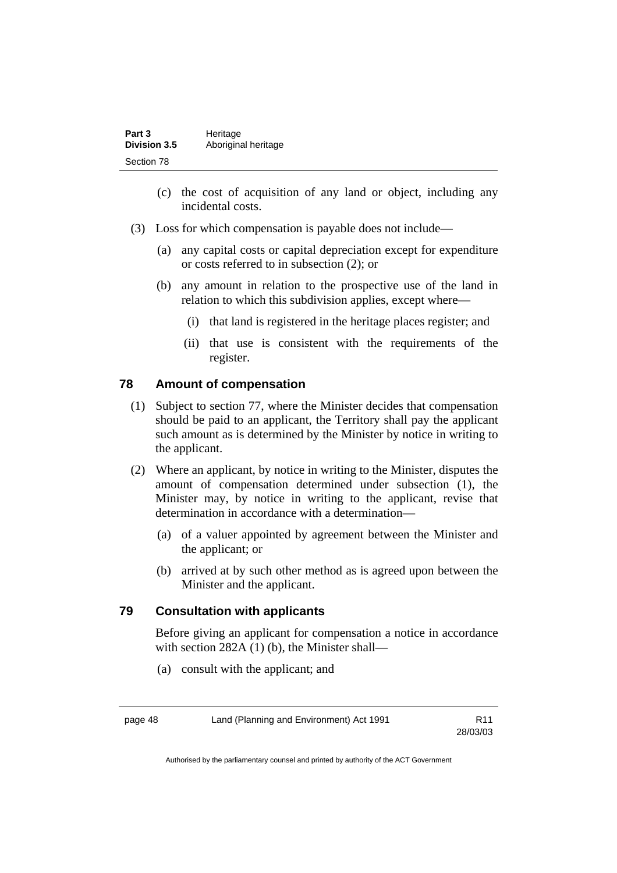| Part 3              | Heritage            |
|---------------------|---------------------|
| <b>Division 3.5</b> | Aboriginal heritage |
| Section 78          |                     |

- (c) the cost of acquisition of any land or object, including any incidental costs.
- (3) Loss for which compensation is payable does not include—
	- (a) any capital costs or capital depreciation except for expenditure or costs referred to in subsection (2); or
	- (b) any amount in relation to the prospective use of the land in relation to which this subdivision applies, except where—
		- (i) that land is registered in the heritage places register; and
		- (ii) that use is consistent with the requirements of the register.

#### **78 Amount of compensation**

- (1) Subject to section 77, where the Minister decides that compensation should be paid to an applicant, the Territory shall pay the applicant such amount as is determined by the Minister by notice in writing to the applicant.
- (2) Where an applicant, by notice in writing to the Minister, disputes the amount of compensation determined under subsection (1), the Minister may, by notice in writing to the applicant, revise that determination in accordance with a determination—
	- (a) of a valuer appointed by agreement between the Minister and the applicant; or
	- (b) arrived at by such other method as is agreed upon between the Minister and the applicant.

#### **79 Consultation with applicants**

Before giving an applicant for compensation a notice in accordance with section 282A (1) (b), the Minister shall—

(a) consult with the applicant; and

page 48 Land (Planning and Environment) Act 1991

28/03/03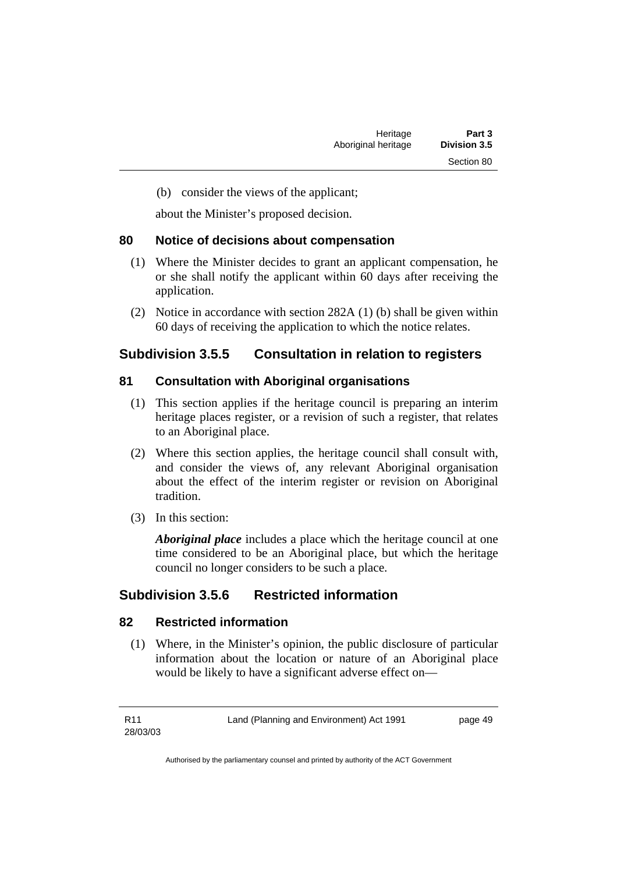(b) consider the views of the applicant;

about the Minister's proposed decision.

#### **80 Notice of decisions about compensation**

- (1) Where the Minister decides to grant an applicant compensation, he or she shall notify the applicant within 60 days after receiving the application.
- (2) Notice in accordance with section 282A (1) (b) shall be given within 60 days of receiving the application to which the notice relates.

## **Subdivision 3.5.5 Consultation in relation to registers**

#### **81 Consultation with Aboriginal organisations**

- (1) This section applies if the heritage council is preparing an interim heritage places register, or a revision of such a register, that relates to an Aboriginal place.
- (2) Where this section applies, the heritage council shall consult with, and consider the views of, any relevant Aboriginal organisation about the effect of the interim register or revision on Aboriginal tradition.
- (3) In this section:

*Aboriginal place* includes a place which the heritage council at one time considered to be an Aboriginal place, but which the heritage council no longer considers to be such a place.

# **Subdivision 3.5.6 Restricted information**

#### **82 Restricted information**

 (1) Where, in the Minister's opinion, the public disclosure of particular information about the location or nature of an Aboriginal place would be likely to have a significant adverse effect on—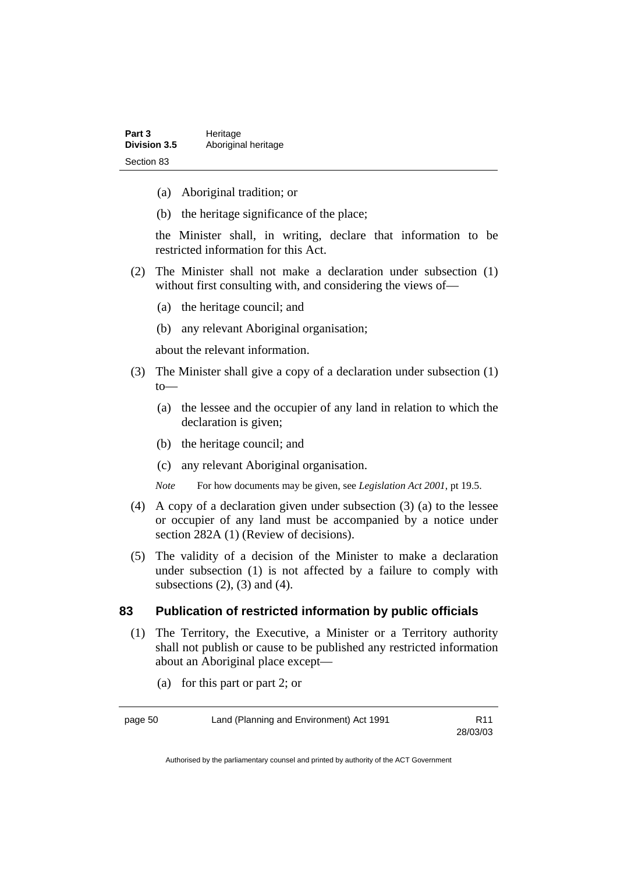- (a) Aboriginal tradition; or
- (b) the heritage significance of the place;

the Minister shall, in writing, declare that information to be restricted information for this Act.

- (2) The Minister shall not make a declaration under subsection (1) without first consulting with, and considering the views of—
	- (a) the heritage council; and
	- (b) any relevant Aboriginal organisation;

about the relevant information.

- (3) The Minister shall give a copy of a declaration under subsection (1)  $to$ —
	- (a) the lessee and the occupier of any land in relation to which the declaration is given;
	- (b) the heritage council; and
	- (c) any relevant Aboriginal organisation.

*Note* For how documents may be given, see *Legislation Act 2001*, pt 19.5.

- (4) A copy of a declaration given under subsection (3) (a) to the lessee or occupier of any land must be accompanied by a notice under section 282A (1) (Review of decisions).
- (5) The validity of a decision of the Minister to make a declaration under subsection (1) is not affected by a failure to comply with subsections  $(2)$ ,  $(3)$  and  $(4)$ .

#### **83 Publication of restricted information by public officials**

- (1) The Territory, the Executive, a Minister or a Territory authority shall not publish or cause to be published any restricted information about an Aboriginal place except—
	- (a) for this part or part 2; or

page 50 Land (Planning and Environment) Act 1991

28/03/03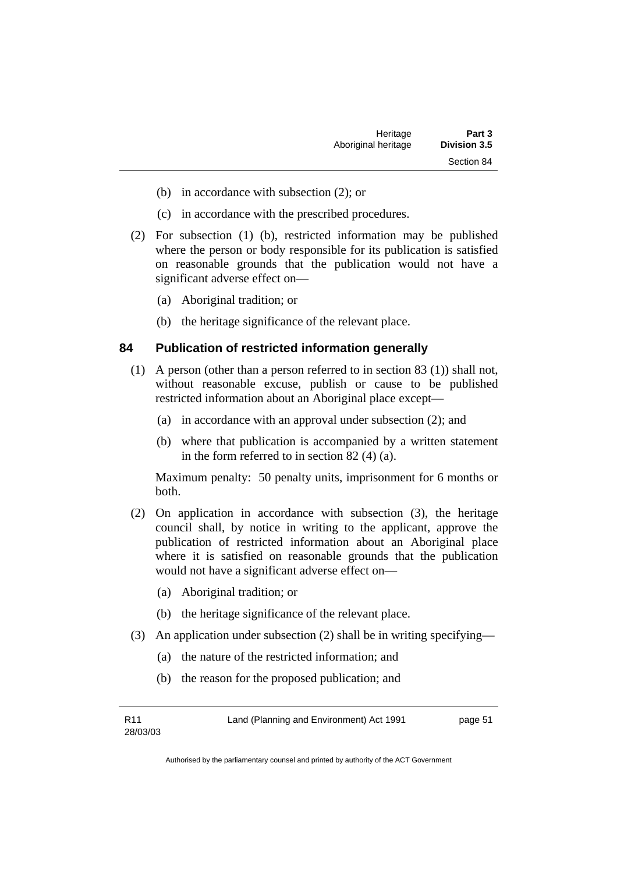| Heritage            | Part 3              |
|---------------------|---------------------|
| Aboriginal heritage | <b>Division 3.5</b> |
|                     | Section 84          |

- (b) in accordance with subsection (2); or
- (c) in accordance with the prescribed procedures.
- (2) For subsection (1) (b), restricted information may be published where the person or body responsible for its publication is satisfied on reasonable grounds that the publication would not have a significant adverse effect on—
	- (a) Aboriginal tradition; or
	- (b) the heritage significance of the relevant place.

#### **84 Publication of restricted information generally**

- (1) A person (other than a person referred to in section 83 (1)) shall not, without reasonable excuse, publish or cause to be published restricted information about an Aboriginal place except—
	- (a) in accordance with an approval under subsection (2); and
	- (b) where that publication is accompanied by a written statement in the form referred to in section 82 (4) (a).

Maximum penalty: 50 penalty units, imprisonment for 6 months or both.

- (2) On application in accordance with subsection (3), the heritage council shall, by notice in writing to the applicant, approve the publication of restricted information about an Aboriginal place where it is satisfied on reasonable grounds that the publication would not have a significant adverse effect on—
	- (a) Aboriginal tradition; or
	- (b) the heritage significance of the relevant place.
- (3) An application under subsection (2) shall be in writing specifying—
	- (a) the nature of the restricted information; and
	- (b) the reason for the proposed publication; and

R11 28/03/03 Land (Planning and Environment) Act 1991 page 51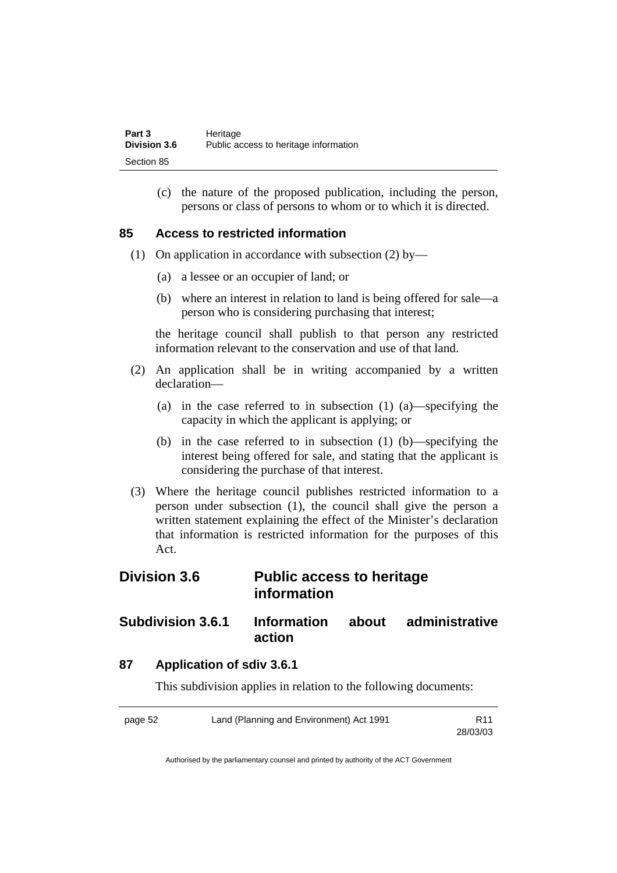| Part 3              | Heritage                              |
|---------------------|---------------------------------------|
| <b>Division 3.6</b> | Public access to heritage information |
| Section 85          |                                       |

 (c) the nature of the proposed publication, including the person, persons or class of persons to whom or to which it is directed.

#### **85 Access to restricted information**

- (1) On application in accordance with subsection (2) by—
	- (a) a lessee or an occupier of land; or
	- (b) where an interest in relation to land is being offered for sale—a person who is considering purchasing that interest;

the heritage council shall publish to that person any restricted information relevant to the conservation and use of that land.

- (2) An application shall be in writing accompanied by a written declaration—
	- (a) in the case referred to in subsection (1) (a)—specifying the capacity in which the applicant is applying; or
	- (b) in the case referred to in subsection (1) (b)—specifying the interest being offered for sale, and stating that the applicant is considering the purchase of that interest.
- (3) Where the heritage council publishes restricted information to a person under subsection (1), the council shall give the person a written statement explaining the effect of the Minister's declaration that information is restricted information for the purposes of this Act.

# **Division 3.6 Public access to heritage information**

# **Subdivision 3.6.1 Information about administrative action**

### **87 Application of sdiv 3.6.1**

This subdivision applies in relation to the following documents:

| R <sub>11</sub> | Land (Planning and Environment) Act 1991 | page 52 |
|-----------------|------------------------------------------|---------|
| 00/00/00        |                                          |         |

28/03/03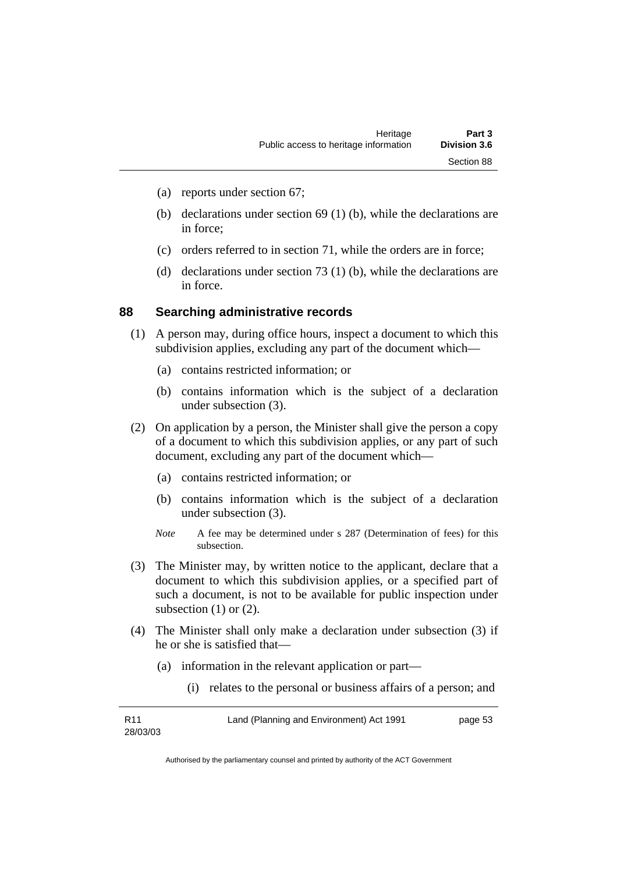- (a) reports under section 67;
- (b) declarations under section 69 (1) (b), while the declarations are in force;
- (c) orders referred to in section 71, while the orders are in force;
- (d) declarations under section 73 (1) (b), while the declarations are in force.

#### **88 Searching administrative records**

- (1) A person may, during office hours, inspect a document to which this subdivision applies, excluding any part of the document which—
	- (a) contains restricted information; or
	- (b) contains information which is the subject of a declaration under subsection (3).
- (2) On application by a person, the Minister shall give the person a copy of a document to which this subdivision applies, or any part of such document, excluding any part of the document which—
	- (a) contains restricted information; or
	- (b) contains information which is the subject of a declaration under subsection (3).
	- *Note* A fee may be determined under s 287 (Determination of fees) for this subsection.
- (3) The Minister may, by written notice to the applicant, declare that a document to which this subdivision applies, or a specified part of such a document, is not to be available for public inspection under subsection  $(1)$  or  $(2)$ .
- (4) The Minister shall only make a declaration under subsection (3) if he or she is satisfied that—
	- (a) information in the relevant application or part—
		- (i) relates to the personal or business affairs of a person; and

| R11      | Land (Planning and Environment) Act 1991 | page 53 |
|----------|------------------------------------------|---------|
| 28/03/03 |                                          |         |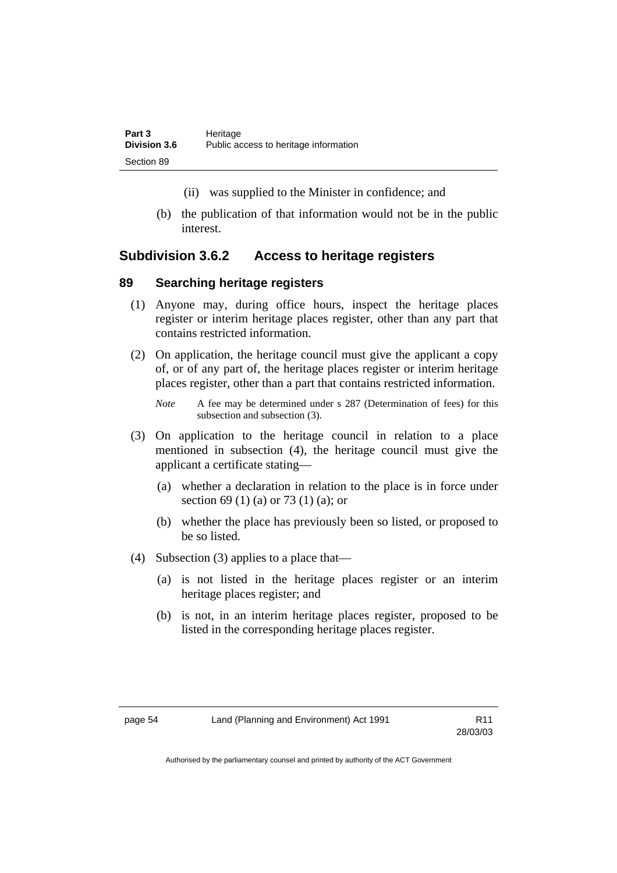- (ii) was supplied to the Minister in confidence; and
- (b) the publication of that information would not be in the public interest.

#### **Subdivision 3.6.2 Access to heritage registers**

#### **89 Searching heritage registers**

- (1) Anyone may, during office hours, inspect the heritage places register or interim heritage places register, other than any part that contains restricted information.
- (2) On application, the heritage council must give the applicant a copy of, or of any part of, the heritage places register or interim heritage places register, other than a part that contains restricted information.
	- *Note* A fee may be determined under s 287 (Determination of fees) for this subsection and subsection (3).
- (3) On application to the heritage council in relation to a place mentioned in subsection (4), the heritage council must give the applicant a certificate stating—
	- (a) whether a declaration in relation to the place is in force under section 69 (1) (a) or 73 (1) (a); or
	- (b) whether the place has previously been so listed, or proposed to be so listed.
- (4) Subsection (3) applies to a place that—
	- (a) is not listed in the heritage places register or an interim heritage places register; and
	- (b) is not, in an interim heritage places register, proposed to be listed in the corresponding heritage places register.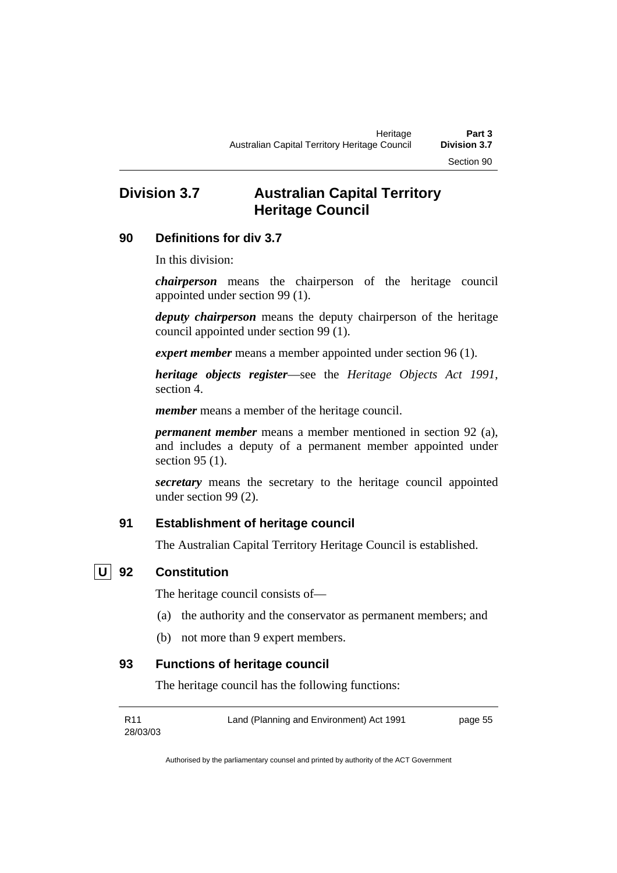# **Division 3.7 Australian Capital Territory Heritage Council**

#### **90 Definitions for div 3.7**

In this division:

*chairperson* means the chairperson of the heritage council appointed under section 99 (1).

*deputy chairperson* means the deputy chairperson of the heritage council appointed under section 99 (1).

*expert member* means a member appointed under section 96 (1).

*heritage objects register*—see the *Heritage Objects Act 1991*, section 4.

*member* means a member of the heritage council.

*permanent member* means a member mentioned in section 92 (a), and includes a deputy of a permanent member appointed under section 95 (1).

*secretary* means the secretary to the heritage council appointed under section 99 (2).

## **91 Establishment of heritage council**

The Australian Capital Territory Heritage Council is established.

## **U 92 Constitution**

The heritage council consists of—

- (a) the authority and the conservator as permanent members; and
- (b) not more than 9 expert members.

#### **93 Functions of heritage council**

The heritage council has the following functions:

R11 28/03/03 Land (Planning and Environment) Act 1991 page 55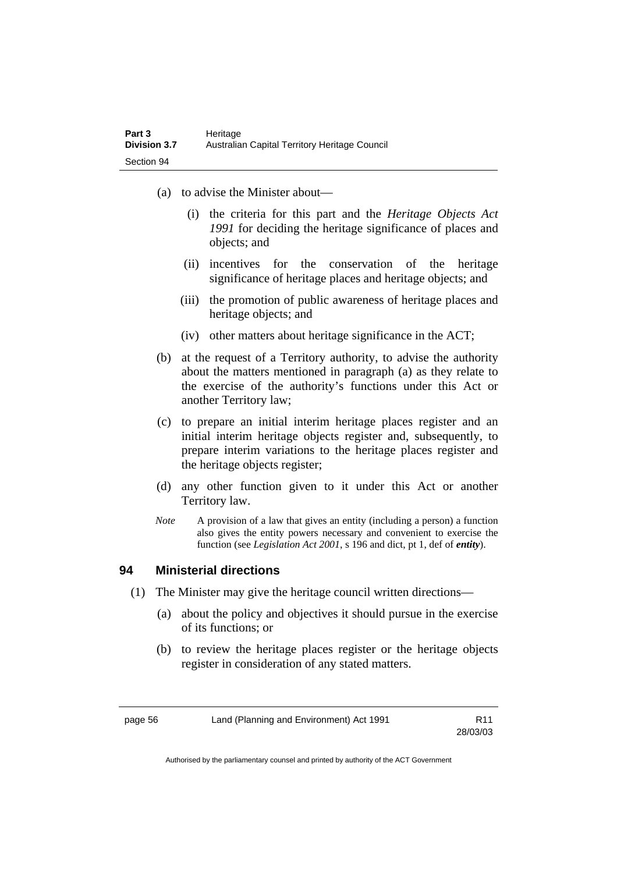- (a) to advise the Minister about—
	- (i) the criteria for this part and the *Heritage Objects Act 1991* for deciding the heritage significance of places and objects; and
	- (ii) incentives for the conservation of the heritage significance of heritage places and heritage objects; and
	- (iii) the promotion of public awareness of heritage places and heritage objects; and
	- (iv) other matters about heritage significance in the ACT;
- (b) at the request of a Territory authority, to advise the authority about the matters mentioned in paragraph (a) as they relate to the exercise of the authority's functions under this Act or another Territory law;
- (c) to prepare an initial interim heritage places register and an initial interim heritage objects register and, subsequently, to prepare interim variations to the heritage places register and the heritage objects register;
- (d) any other function given to it under this Act or another Territory law.
- *Note* A provision of a law that gives an entity (including a person) a function also gives the entity powers necessary and convenient to exercise the function (see *Legislation Act 2001*, s 196 and dict, pt 1, def of *entity*).

#### **94 Ministerial directions**

- (1) The Minister may give the heritage council written directions—
	- (a) about the policy and objectives it should pursue in the exercise of its functions; or
	- (b) to review the heritage places register or the heritage objects register in consideration of any stated matters.

28/03/03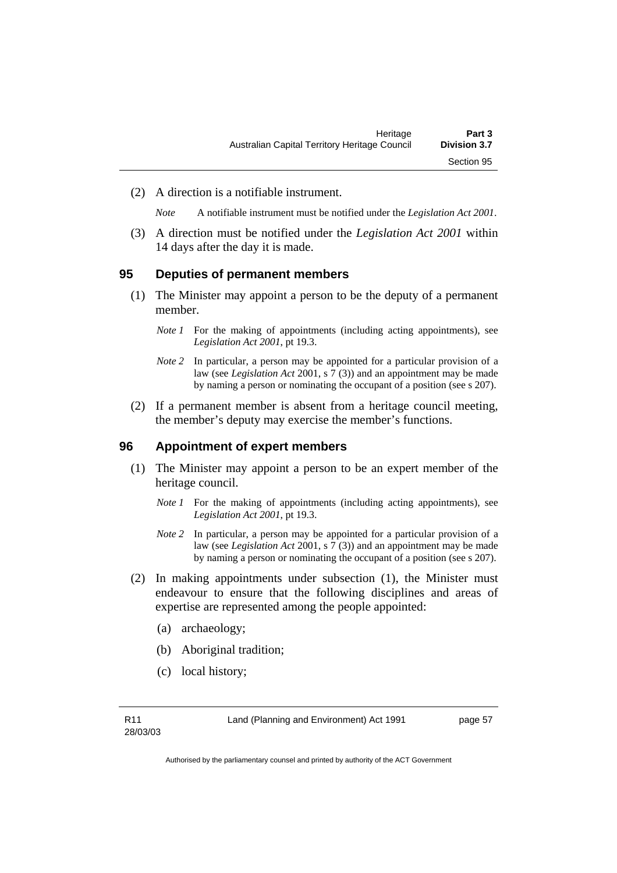(2) A direction is a notifiable instrument.

*Note* A notifiable instrument must be notified under the *Legislation Act 2001*.

 (3) A direction must be notified under the *Legislation Act 2001* within 14 days after the day it is made.

#### **95 Deputies of permanent members**

- (1) The Minister may appoint a person to be the deputy of a permanent member.
	- *Note 1* For the making of appointments (including acting appointments), see *Legislation Act 2001*, pt 19.3.
	- *Note 2* In particular, a person may be appointed for a particular provision of a law (see *Legislation Act* 2001, s 7 (3)) and an appointment may be made by naming a person or nominating the occupant of a position (see s 207).
- (2) If a permanent member is absent from a heritage council meeting, the member's deputy may exercise the member's functions.

#### **96 Appointment of expert members**

- (1) The Minister may appoint a person to be an expert member of the heritage council.
	- *Note 1* For the making of appointments (including acting appointments), see *Legislation Act 2001*, pt 19.3.
	- *Note 2* In particular, a person may be appointed for a particular provision of a law (see *Legislation Act* 2001, s 7 (3)) and an appointment may be made by naming a person or nominating the occupant of a position (see s 207).
- (2) In making appointments under subsection (1), the Minister must endeavour to ensure that the following disciplines and areas of expertise are represented among the people appointed:
	- (a) archaeology;
	- (b) Aboriginal tradition;
	- (c) local history;

R11 28/03/03 Land (Planning and Environment) Act 1991 page 57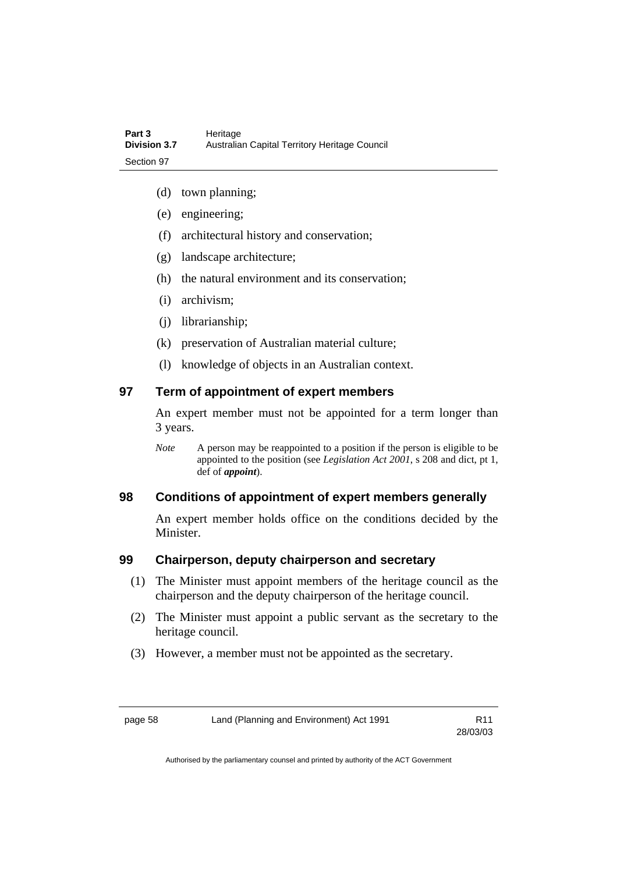- (d) town planning;
- (e) engineering;
- (f) architectural history and conservation;
- (g) landscape architecture;
- (h) the natural environment and its conservation;
- (i) archivism;
- (j) librarianship;
- (k) preservation of Australian material culture;
- (l) knowledge of objects in an Australian context.

### **97 Term of appointment of expert members**

An expert member must not be appointed for a term longer than 3 years.

*Note* A person may be reappointed to a position if the person is eligible to be appointed to the position (see *Legislation Act 2001*, s 208 and dict, pt 1, def of *appoint*).

## **98 Conditions of appointment of expert members generally**

An expert member holds office on the conditions decided by the Minister.

#### **99 Chairperson, deputy chairperson and secretary**

- (1) The Minister must appoint members of the heritage council as the chairperson and the deputy chairperson of the heritage council.
- (2) The Minister must appoint a public servant as the secretary to the heritage council.
- (3) However, a member must not be appointed as the secretary.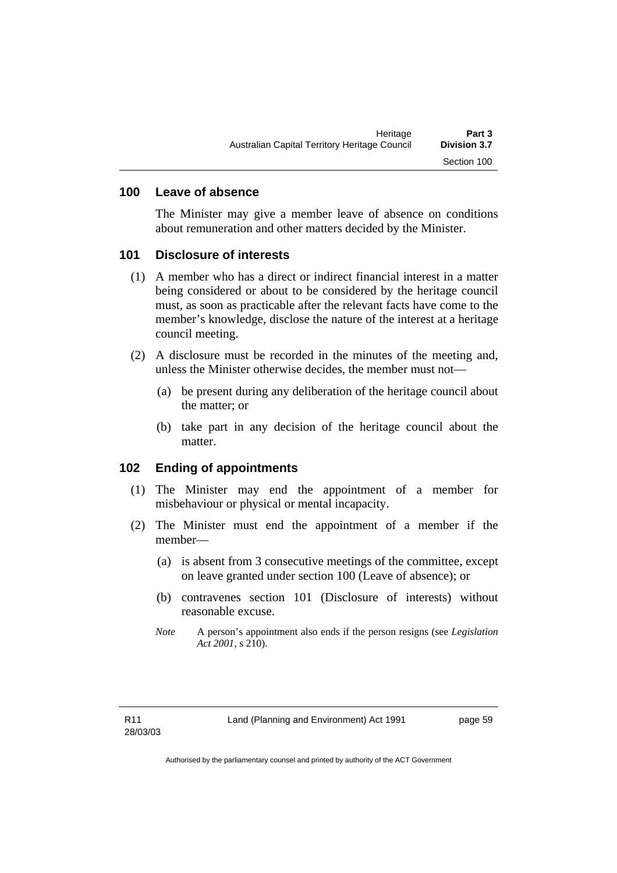#### **100 Leave of absence**

The Minister may give a member leave of absence on conditions about remuneration and other matters decided by the Minister.

#### **101 Disclosure of interests**

- (1) A member who has a direct or indirect financial interest in a matter being considered or about to be considered by the heritage council must, as soon as practicable after the relevant facts have come to the member's knowledge, disclose the nature of the interest at a heritage council meeting.
- (2) A disclosure must be recorded in the minutes of the meeting and, unless the Minister otherwise decides, the member must not—
	- (a) be present during any deliberation of the heritage council about the matter; or
	- (b) take part in any decision of the heritage council about the matter.

#### **102 Ending of appointments**

- (1) The Minister may end the appointment of a member for misbehaviour or physical or mental incapacity.
- (2) The Minister must end the appointment of a member if the member—
	- (a) is absent from 3 consecutive meetings of the committee, except on leave granted under section 100 (Leave of absence); or
	- (b) contravenes section 101 (Disclosure of interests) without reasonable excuse.
	- *Note* A person's appointment also ends if the person resigns (see *Legislation Act 2001*, s 210).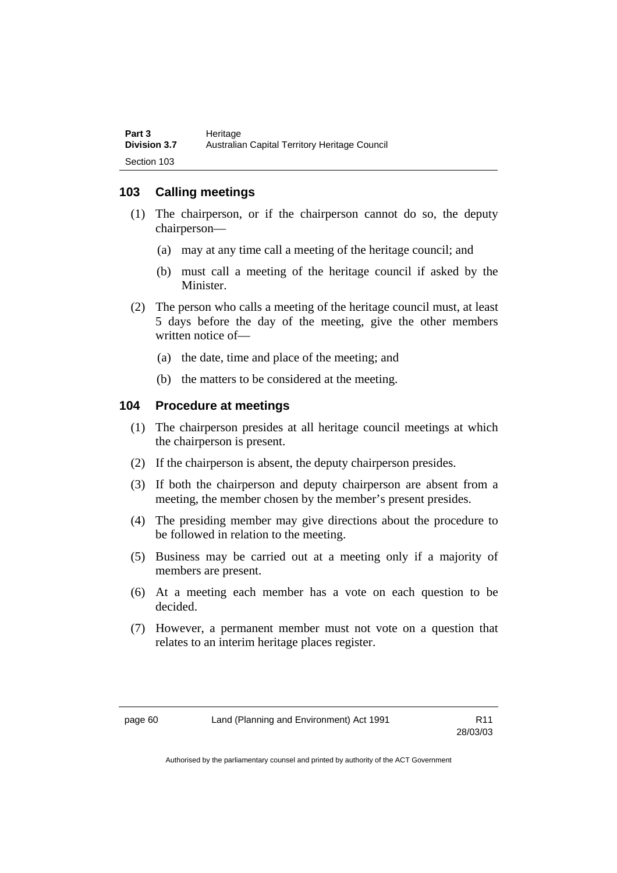## **103 Calling meetings**

- (1) The chairperson, or if the chairperson cannot do so, the deputy chairperson—
	- (a) may at any time call a meeting of the heritage council; and
	- (b) must call a meeting of the heritage council if asked by the Minister.
- (2) The person who calls a meeting of the heritage council must, at least 5 days before the day of the meeting, give the other members written notice of—
	- (a) the date, time and place of the meeting; and
	- (b) the matters to be considered at the meeting.

#### **104 Procedure at meetings**

- (1) The chairperson presides at all heritage council meetings at which the chairperson is present.
- (2) If the chairperson is absent, the deputy chairperson presides.
- (3) If both the chairperson and deputy chairperson are absent from a meeting, the member chosen by the member's present presides.
- (4) The presiding member may give directions about the procedure to be followed in relation to the meeting.
- (5) Business may be carried out at a meeting only if a majority of members are present.
- (6) At a meeting each member has a vote on each question to be decided.
- (7) However, a permanent member must not vote on a question that relates to an interim heritage places register.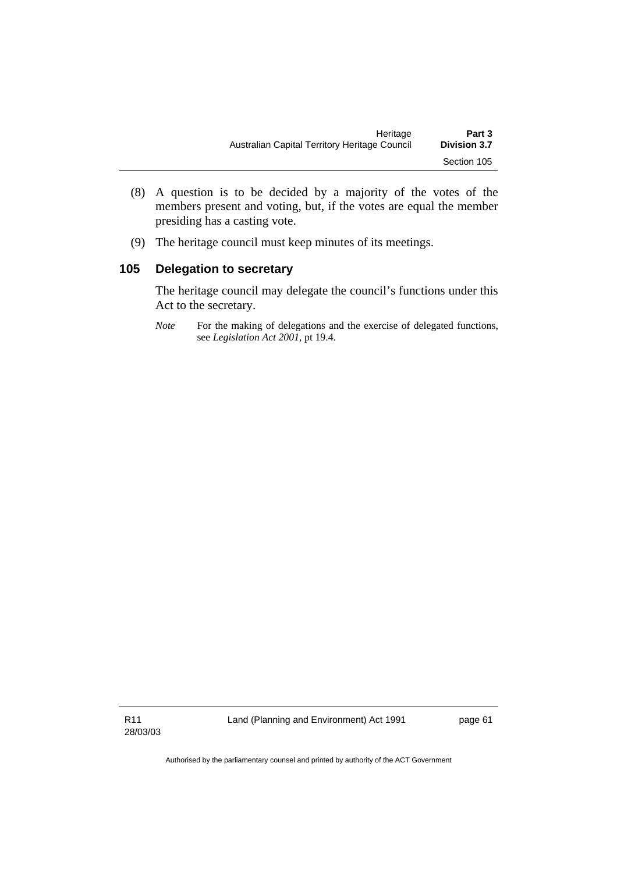- (8) A question is to be decided by a majority of the votes of the members present and voting, but, if the votes are equal the member presiding has a casting vote.
- (9) The heritage council must keep minutes of its meetings.

# **105 Delegation to secretary**

The heritage council may delegate the council's functions under this Act to the secretary.

*Note* For the making of delegations and the exercise of delegated functions, see *Legislation Act 2001*, pt 19.4.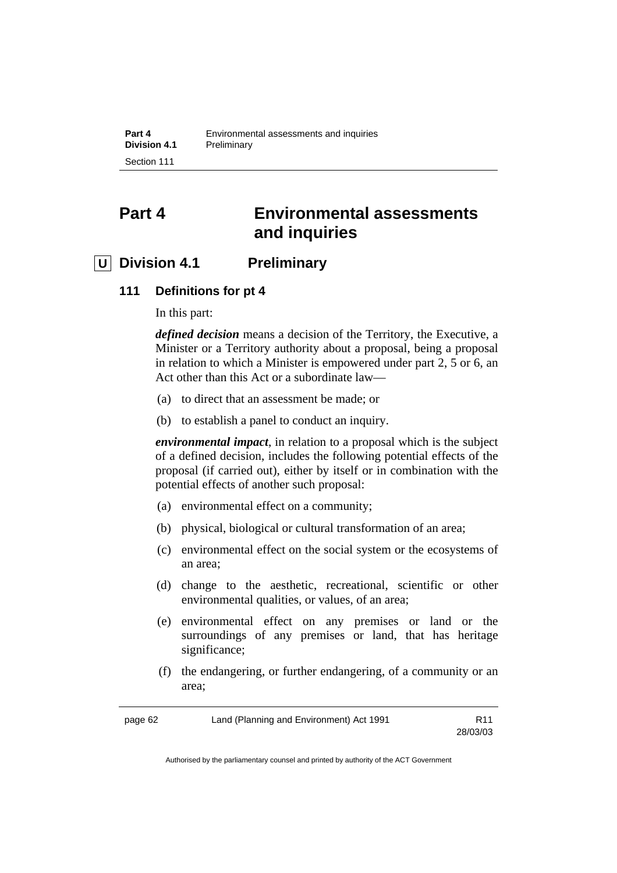# **Part 4 Environmental assessments and inquiries**

# **U Division 4.1 Preliminary**

## **111 Definitions for pt 4**

In this part:

*defined decision* means a decision of the Territory, the Executive, a Minister or a Territory authority about a proposal, being a proposal in relation to which a Minister is empowered under part 2, 5 or 6, an Act other than this Act or a subordinate law—

- (a) to direct that an assessment be made; or
- (b) to establish a panel to conduct an inquiry.

*environmental impact*, in relation to a proposal which is the subject of a defined decision, includes the following potential effects of the proposal (if carried out), either by itself or in combination with the potential effects of another such proposal:

- (a) environmental effect on a community;
- (b) physical, biological or cultural transformation of an area;
- (c) environmental effect on the social system or the ecosystems of an area;
- (d) change to the aesthetic, recreational, scientific or other environmental qualities, or values, of an area;
- (e) environmental effect on any premises or land or the surroundings of any premises or land, that has heritage significance;
- (f) the endangering, or further endangering, of a community or an area;

page 62 Land (Planning and Environment) Act 1991

28/03/03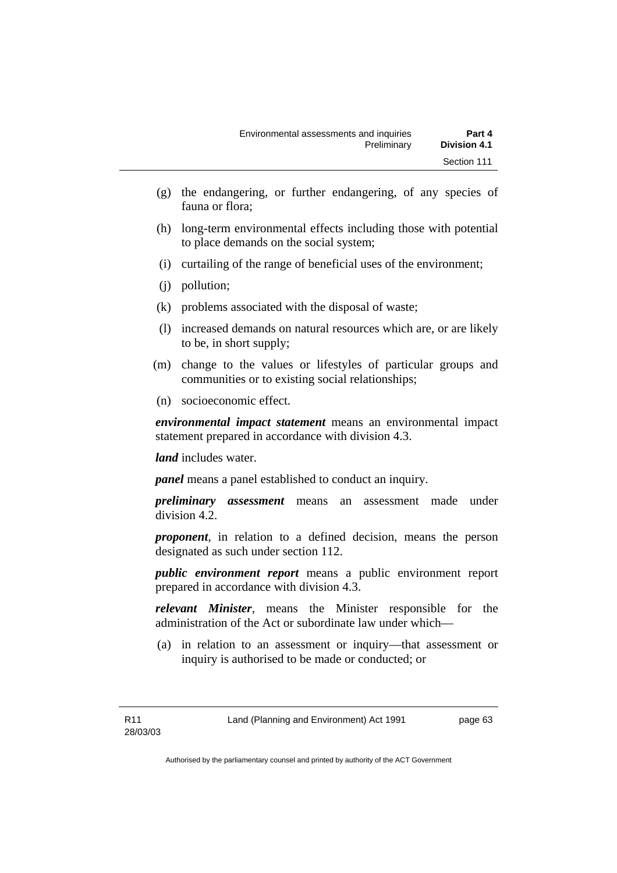- (g) the endangering, or further endangering, of any species of fauna or flora;
- (h) long-term environmental effects including those with potential to place demands on the social system;
- (i) curtailing of the range of beneficial uses of the environment;
- (j) pollution;
- (k) problems associated with the disposal of waste;
- (l) increased demands on natural resources which are, or are likely to be, in short supply;
- (m) change to the values or lifestyles of particular groups and communities or to existing social relationships;
- (n) socioeconomic effect.

*environmental impact statement* means an environmental impact statement prepared in accordance with division 4.3.

*land* includes water.

*panel* means a panel established to conduct an inquiry.

*preliminary assessment* means an assessment made under division 4.2.

*proponent*, in relation to a defined decision, means the person designated as such under section 112.

*public environment report* means a public environment report prepared in accordance with division 4.3.

*relevant Minister*, means the Minister responsible for the administration of the Act or subordinate law under which—

 (a) in relation to an assessment or inquiry—that assessment or inquiry is authorised to be made or conducted; or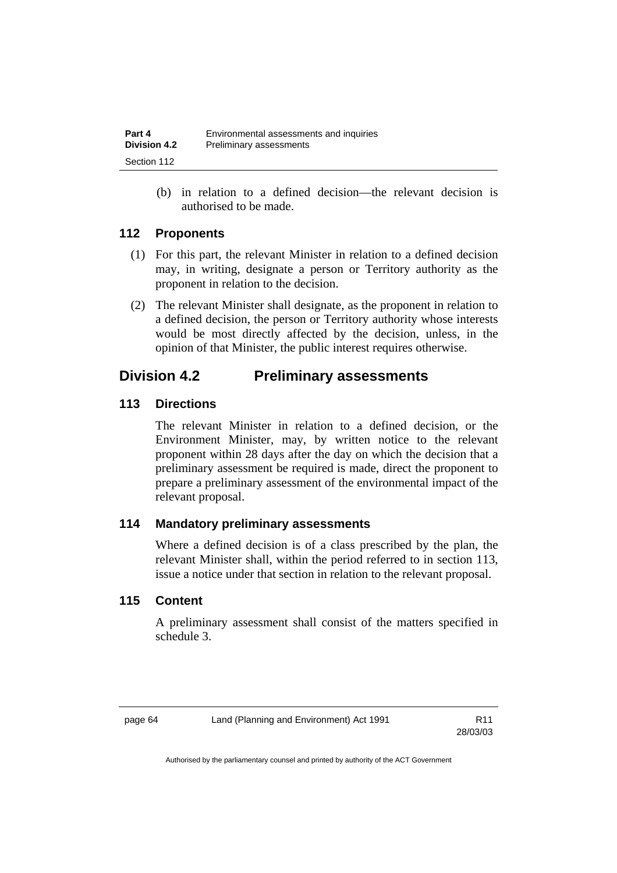(b) in relation to a defined decision—the relevant decision is authorised to be made.

## **112 Proponents**

- (1) For this part, the relevant Minister in relation to a defined decision may, in writing, designate a person or Territory authority as the proponent in relation to the decision.
- (2) The relevant Minister shall designate, as the proponent in relation to a defined decision, the person or Territory authority whose interests would be most directly affected by the decision, unless, in the opinion of that Minister, the public interest requires otherwise.

# **Division 4.2 Preliminary assessments**

# **113 Directions**

The relevant Minister in relation to a defined decision, or the Environment Minister, may, by written notice to the relevant proponent within 28 days after the day on which the decision that a preliminary assessment be required is made, direct the proponent to prepare a preliminary assessment of the environmental impact of the relevant proposal.

# **114 Mandatory preliminary assessments**

Where a defined decision is of a class prescribed by the plan, the relevant Minister shall, within the period referred to in section 113, issue a notice under that section in relation to the relevant proposal.

# **115 Content**

A preliminary assessment shall consist of the matters specified in schedule 3.

28/03/03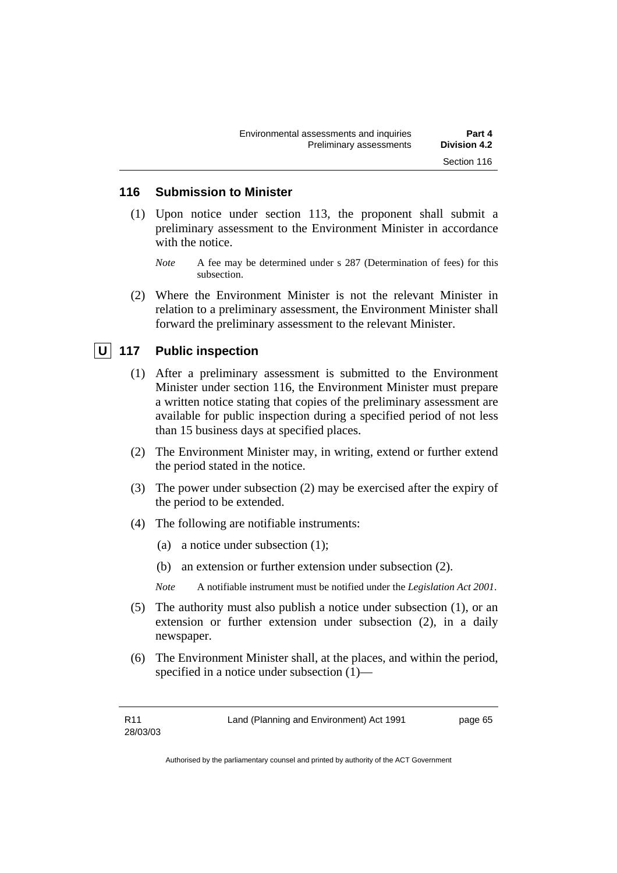#### **116 Submission to Minister**

- (1) Upon notice under section 113, the proponent shall submit a preliminary assessment to the Environment Minister in accordance with the notice.
	- *Note* A fee may be determined under s 287 (Determination of fees) for this subsection.
- (2) Where the Environment Minister is not the relevant Minister in relation to a preliminary assessment, the Environment Minister shall forward the preliminary assessment to the relevant Minister.

# **U 117 Public inspection**

- (1) After a preliminary assessment is submitted to the Environment Minister under section 116, the Environment Minister must prepare a written notice stating that copies of the preliminary assessment are available for public inspection during a specified period of not less than 15 business days at specified places.
- (2) The Environment Minister may, in writing, extend or further extend the period stated in the notice.
- (3) The power under subsection (2) may be exercised after the expiry of the period to be extended.
- (4) The following are notifiable instruments:
	- (a) a notice under subsection (1);
	- (b) an extension or further extension under subsection (2).

*Note* A notifiable instrument must be notified under the *Legislation Act 2001*.

- (5) The authority must also publish a notice under subsection (1), or an extension or further extension under subsection (2), in a daily newspaper.
- (6) The Environment Minister shall, at the places, and within the period, specified in a notice under subsection (1)—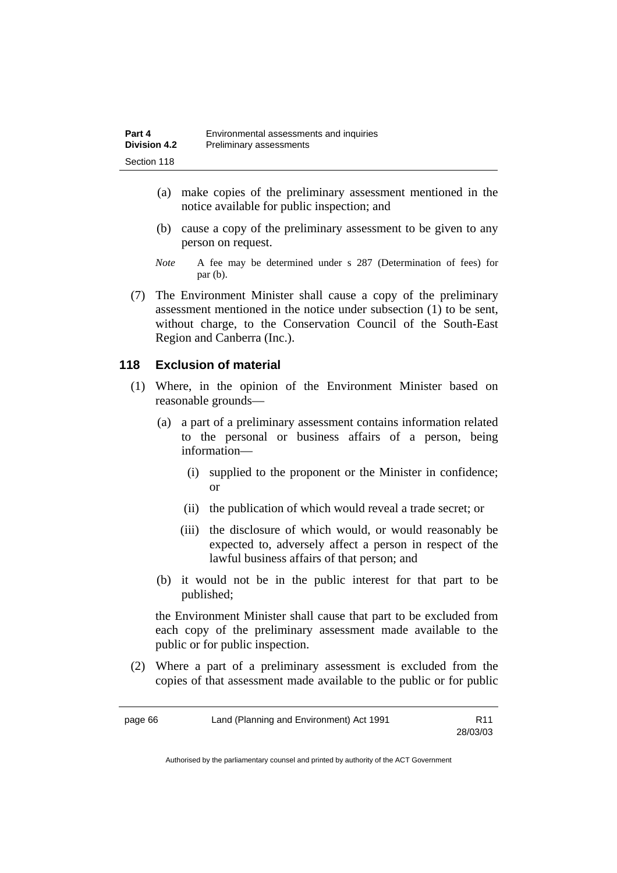- (a) make copies of the preliminary assessment mentioned in the notice available for public inspection; and
- (b) cause a copy of the preliminary assessment to be given to any person on request.
- *Note* A fee may be determined under s 287 (Determination of fees) for par (b).
- (7) The Environment Minister shall cause a copy of the preliminary assessment mentioned in the notice under subsection (1) to be sent, without charge, to the Conservation Council of the South-East Region and Canberra (Inc.).

#### **118 Exclusion of material**

- (1) Where, in the opinion of the Environment Minister based on reasonable grounds—
	- (a) a part of a preliminary assessment contains information related to the personal or business affairs of a person, being information—
		- (i) supplied to the proponent or the Minister in confidence; or
		- (ii) the publication of which would reveal a trade secret; or
		- (iii) the disclosure of which would, or would reasonably be expected to, adversely affect a person in respect of the lawful business affairs of that person; and
	- (b) it would not be in the public interest for that part to be published;

the Environment Minister shall cause that part to be excluded from each copy of the preliminary assessment made available to the public or for public inspection.

 (2) Where a part of a preliminary assessment is excluded from the copies of that assessment made available to the public or for public

page 66 Land (Planning and Environment) Act 1991 Case 1911 28/03/03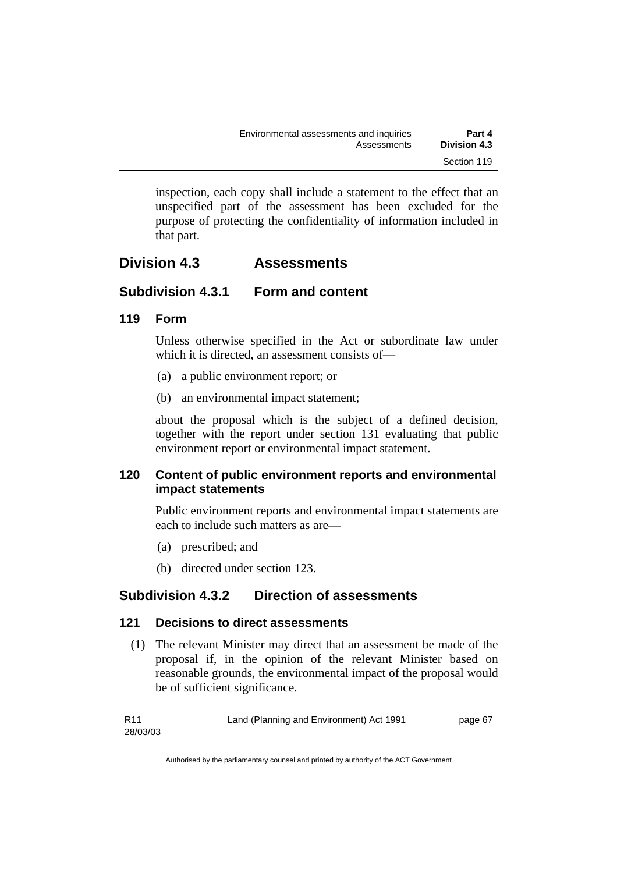| Environmental assessments and inquiries | Part 4              |
|-----------------------------------------|---------------------|
| Assessments                             | <b>Division 4.3</b> |
|                                         | Section 119         |

inspection, each copy shall include a statement to the effect that an unspecified part of the assessment has been excluded for the purpose of protecting the confidentiality of information included in that part.

# **Division 4.3 Assessments**

# **Subdivision 4.3.1 Form and content**

# **119 Form**

Unless otherwise specified in the Act or subordinate law under which it is directed, an assessment consists of—

- (a) a public environment report; or
- (b) an environmental impact statement;

about the proposal which is the subject of a defined decision, together with the report under section 131 evaluating that public environment report or environmental impact statement.

# **120 Content of public environment reports and environmental impact statements**

Public environment reports and environmental impact statements are each to include such matters as are—

- (a) prescribed; and
- (b) directed under section 123.

# **Subdivision 4.3.2 Direction of assessments**

# **121 Decisions to direct assessments**

 (1) The relevant Minister may direct that an assessment be made of the proposal if, in the opinion of the relevant Minister based on reasonable grounds, the environmental impact of the proposal would be of sufficient significance.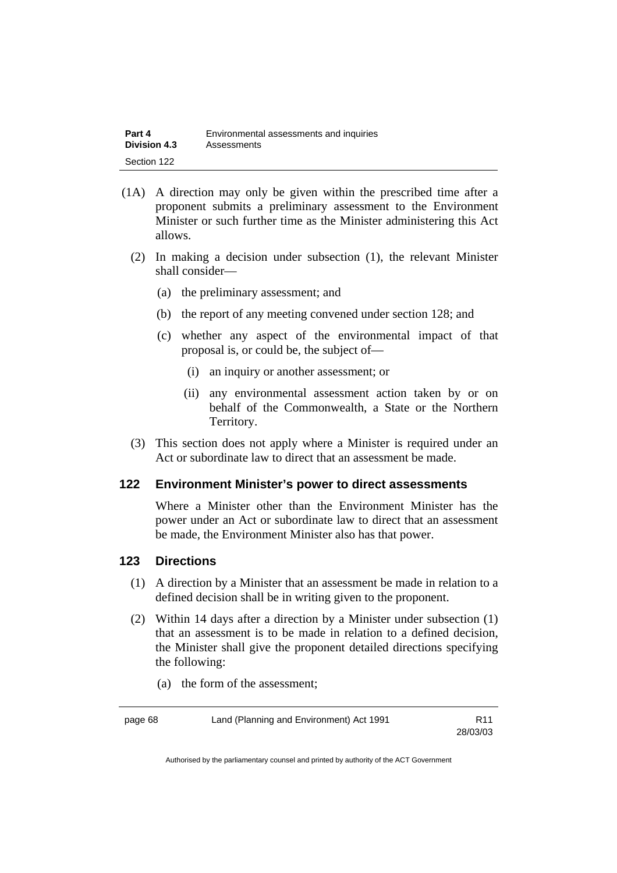| Part 4              | Environmental assessments and inquiries |
|---------------------|-----------------------------------------|
| <b>Division 4.3</b> | Assessments                             |
| Section 122         |                                         |

- (1A) A direction may only be given within the prescribed time after a proponent submits a preliminary assessment to the Environment Minister or such further time as the Minister administering this Act allows.
	- (2) In making a decision under subsection (1), the relevant Minister shall consider—
		- (a) the preliminary assessment; and
		- (b) the report of any meeting convened under section 128; and
		- (c) whether any aspect of the environmental impact of that proposal is, or could be, the subject of—
			- (i) an inquiry or another assessment; or
			- (ii) any environmental assessment action taken by or on behalf of the Commonwealth, a State or the Northern Territory.
	- (3) This section does not apply where a Minister is required under an Act or subordinate law to direct that an assessment be made.

#### **122 Environment Minister's power to direct assessments**

Where a Minister other than the Environment Minister has the power under an Act or subordinate law to direct that an assessment be made, the Environment Minister also has that power.

#### **123 Directions**

- (1) A direction by a Minister that an assessment be made in relation to a defined decision shall be in writing given to the proponent.
- (2) Within 14 days after a direction by a Minister under subsection (1) that an assessment is to be made in relation to a defined decision, the Minister shall give the proponent detailed directions specifying the following:
	- (a) the form of the assessment;

page 68 Land (Planning and Environment) Act 1991

28/03/03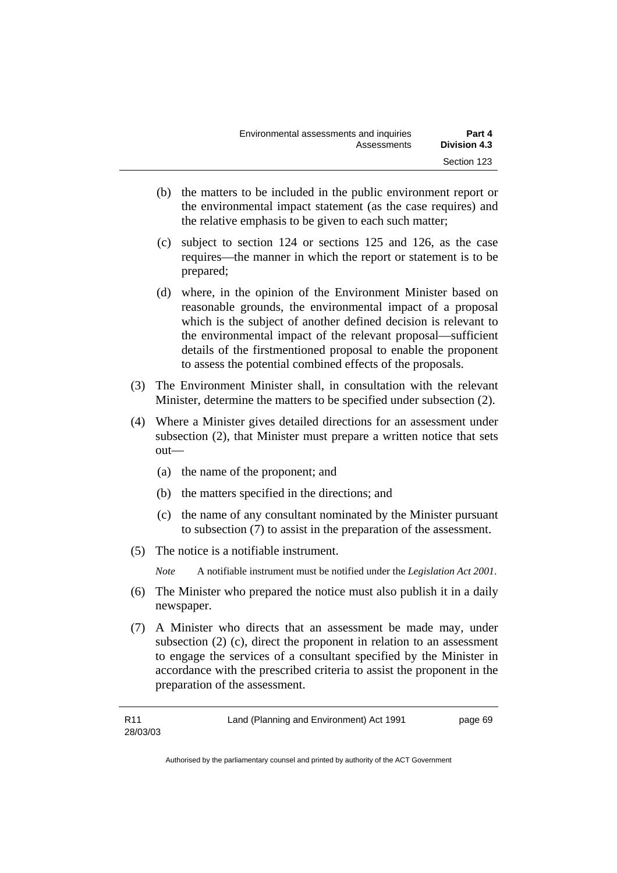| Environmental assessments and inquiries | Part 4              |
|-----------------------------------------|---------------------|
| Assessments                             | <b>Division 4.3</b> |
|                                         | Section 123         |

- (b) the matters to be included in the public environment report or the environmental impact statement (as the case requires) and the relative emphasis to be given to each such matter;
- (c) subject to section 124 or sections 125 and 126, as the case requires—the manner in which the report or statement is to be prepared;
- (d) where, in the opinion of the Environment Minister based on reasonable grounds, the environmental impact of a proposal which is the subject of another defined decision is relevant to the environmental impact of the relevant proposal—sufficient details of the firstmentioned proposal to enable the proponent to assess the potential combined effects of the proposals.
- (3) The Environment Minister shall, in consultation with the relevant Minister, determine the matters to be specified under subsection (2).
- (4) Where a Minister gives detailed directions for an assessment under subsection (2), that Minister must prepare a written notice that sets out—
	- (a) the name of the proponent; and
	- (b) the matters specified in the directions; and
	- (c) the name of any consultant nominated by the Minister pursuant to subsection (7) to assist in the preparation of the assessment.
- (5) The notice is a notifiable instrument.

*Note* A notifiable instrument must be notified under the *Legislation Act 2001*.

- (6) The Minister who prepared the notice must also publish it in a daily newspaper.
- (7) A Minister who directs that an assessment be made may, under subsection (2) (c), direct the proponent in relation to an assessment to engage the services of a consultant specified by the Minister in accordance with the prescribed criteria to assist the proponent in the preparation of the assessment.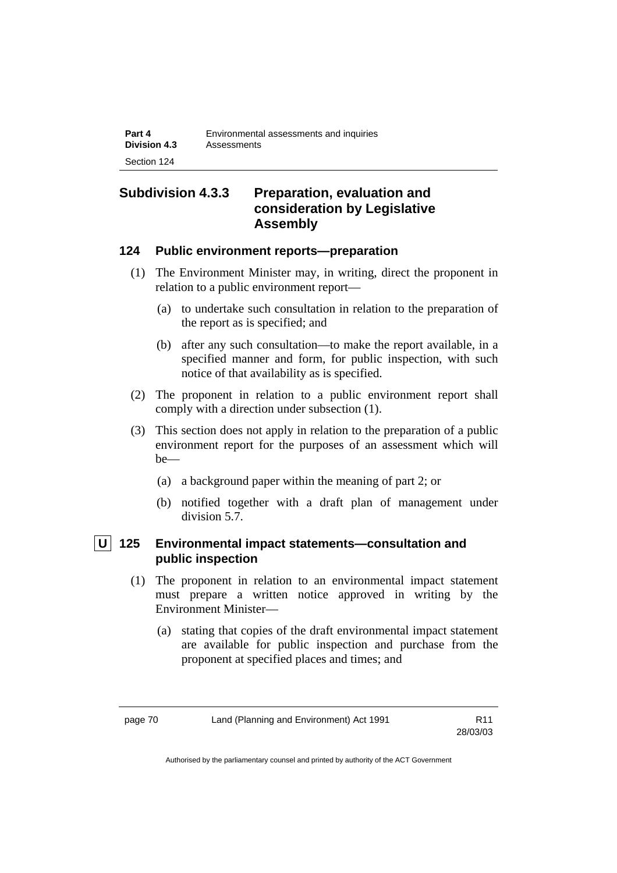# **Subdivision 4.3.3 Preparation, evaluation and consideration by Legislative Assembly**

#### **124 Public environment reports—preparation**

- (1) The Environment Minister may, in writing, direct the proponent in relation to a public environment report—
	- (a) to undertake such consultation in relation to the preparation of the report as is specified; and
	- (b) after any such consultation—to make the report available, in a specified manner and form, for public inspection, with such notice of that availability as is specified.
- (2) The proponent in relation to a public environment report shall comply with a direction under subsection (1).
- (3) This section does not apply in relation to the preparation of a public environment report for the purposes of an assessment which will be—
	- (a) a background paper within the meaning of part 2; or
	- (b) notified together with a draft plan of management under division 5.7.

# **U 125 Environmental impact statements—consultation and public inspection**

- (1) The proponent in relation to an environmental impact statement must prepare a written notice approved in writing by the Environment Minister—
	- (a) stating that copies of the draft environmental impact statement are available for public inspection and purchase from the proponent at specified places and times; and

28/03/03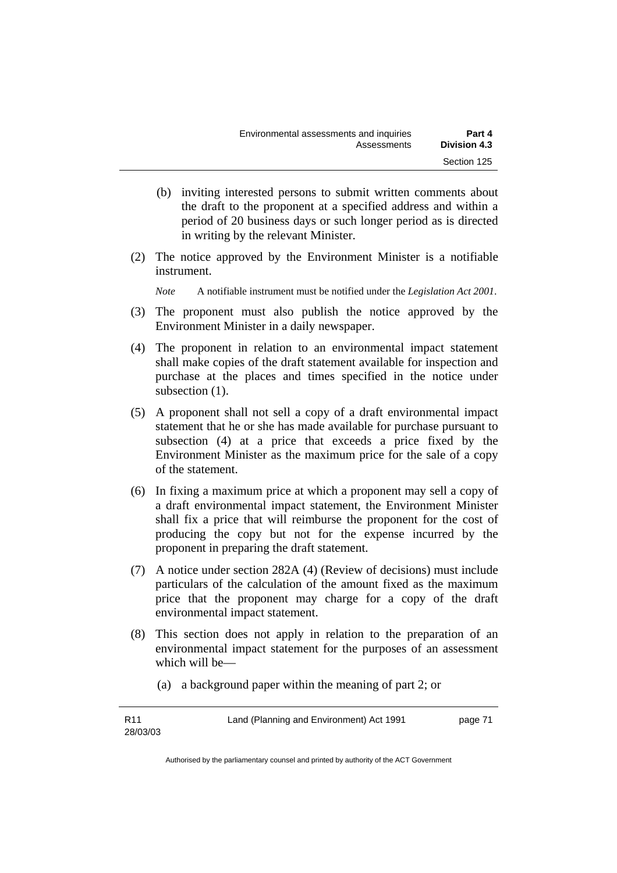- (b) inviting interested persons to submit written comments about the draft to the proponent at a specified address and within a period of 20 business days or such longer period as is directed in writing by the relevant Minister.
- (2) The notice approved by the Environment Minister is a notifiable instrument.

*Note* A notifiable instrument must be notified under the *Legislation Act 2001*.

- (3) The proponent must also publish the notice approved by the Environment Minister in a daily newspaper.
- (4) The proponent in relation to an environmental impact statement shall make copies of the draft statement available for inspection and purchase at the places and times specified in the notice under subsection  $(1)$ .
- (5) A proponent shall not sell a copy of a draft environmental impact statement that he or she has made available for purchase pursuant to subsection (4) at a price that exceeds a price fixed by the Environment Minister as the maximum price for the sale of a copy of the statement.
- (6) In fixing a maximum price at which a proponent may sell a copy of a draft environmental impact statement, the Environment Minister shall fix a price that will reimburse the proponent for the cost of producing the copy but not for the expense incurred by the proponent in preparing the draft statement.
- (7) A notice under section 282A (4) (Review of decisions) must include particulars of the calculation of the amount fixed as the maximum price that the proponent may charge for a copy of the draft environmental impact statement.
- (8) This section does not apply in relation to the preparation of an environmental impact statement for the purposes of an assessment which will be—
	- (a) a background paper within the meaning of part 2; or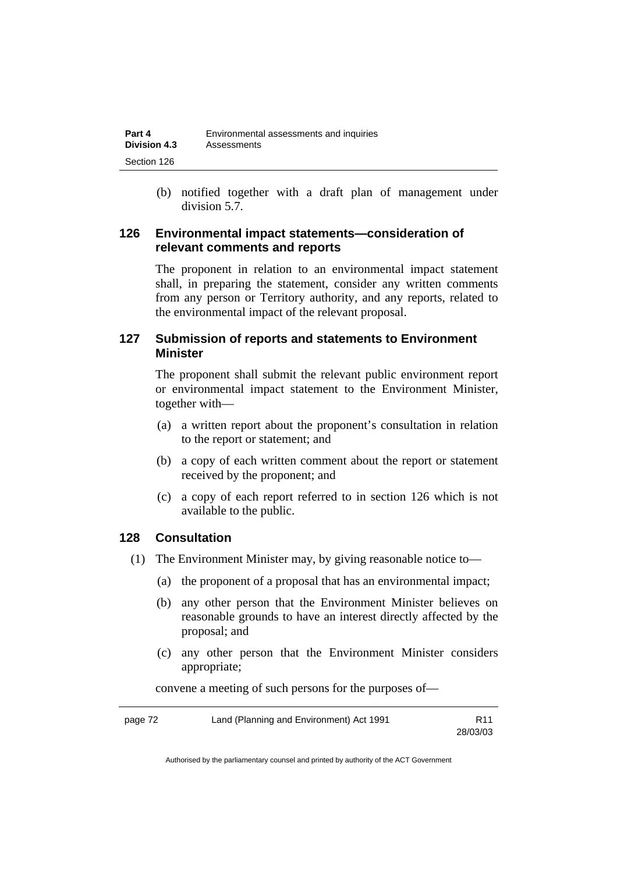(b) notified together with a draft plan of management under division 5.7.

### **126 Environmental impact statements—consideration of relevant comments and reports**

The proponent in relation to an environmental impact statement shall, in preparing the statement, consider any written comments from any person or Territory authority, and any reports, related to the environmental impact of the relevant proposal.

# **127 Submission of reports and statements to Environment Minister**

The proponent shall submit the relevant public environment report or environmental impact statement to the Environment Minister, together with—

- (a) a written report about the proponent's consultation in relation to the report or statement; and
- (b) a copy of each written comment about the report or statement received by the proponent; and
- (c) a copy of each report referred to in section 126 which is not available to the public.

# **128 Consultation**

- (1) The Environment Minister may, by giving reasonable notice to—
	- (a) the proponent of a proposal that has an environmental impact;
	- (b) any other person that the Environment Minister believes on reasonable grounds to have an interest directly affected by the proposal; and
	- (c) any other person that the Environment Minister considers appropriate;

convene a meeting of such persons for the purposes of—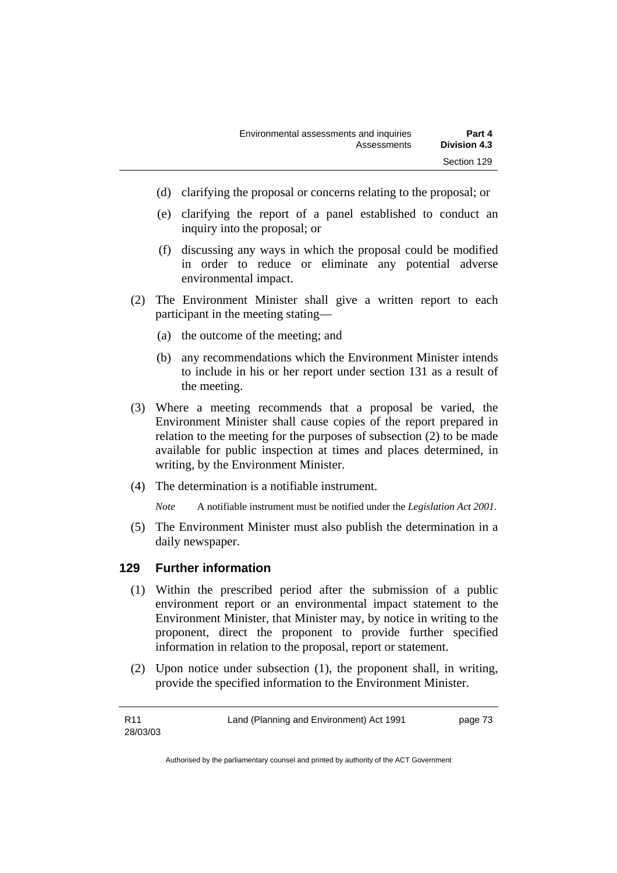- (d) clarifying the proposal or concerns relating to the proposal; or
- (e) clarifying the report of a panel established to conduct an inquiry into the proposal; or
- (f) discussing any ways in which the proposal could be modified in order to reduce or eliminate any potential adverse environmental impact.
- (2) The Environment Minister shall give a written report to each participant in the meeting stating—
	- (a) the outcome of the meeting; and
	- (b) any recommendations which the Environment Minister intends to include in his or her report under section 131 as a result of the meeting.
- (3) Where a meeting recommends that a proposal be varied, the Environment Minister shall cause copies of the report prepared in relation to the meeting for the purposes of subsection (2) to be made available for public inspection at times and places determined, in writing, by the Environment Minister.
- (4) The determination is a notifiable instrument.
	- *Note* A notifiable instrument must be notified under the *Legislation Act 2001*.
- (5) The Environment Minister must also publish the determination in a daily newspaper.

#### **129 Further information**

- (1) Within the prescribed period after the submission of a public environment report or an environmental impact statement to the Environment Minister, that Minister may, by notice in writing to the proponent, direct the proponent to provide further specified information in relation to the proposal, report or statement.
- (2) Upon notice under subsection (1), the proponent shall, in writing, provide the specified information to the Environment Minister.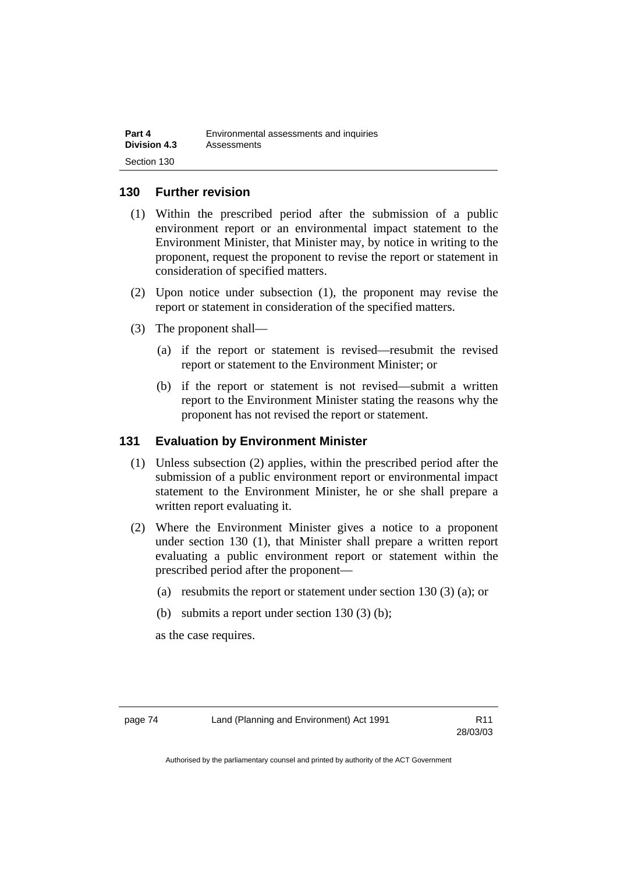| Part 4              | Environmental assessments and inquiries |
|---------------------|-----------------------------------------|
| <b>Division 4.3</b> | Assessments                             |
| Section 130         |                                         |

#### **130 Further revision**

- (1) Within the prescribed period after the submission of a public environment report or an environmental impact statement to the Environment Minister, that Minister may, by notice in writing to the proponent, request the proponent to revise the report or statement in consideration of specified matters.
- (2) Upon notice under subsection (1), the proponent may revise the report or statement in consideration of the specified matters.
- (3) The proponent shall—
	- (a) if the report or statement is revised—resubmit the revised report or statement to the Environment Minister; or
	- (b) if the report or statement is not revised—submit a written report to the Environment Minister stating the reasons why the proponent has not revised the report or statement.

#### **131 Evaluation by Environment Minister**

- (1) Unless subsection (2) applies, within the prescribed period after the submission of a public environment report or environmental impact statement to the Environment Minister, he or she shall prepare a written report evaluating it.
- (2) Where the Environment Minister gives a notice to a proponent under section 130 (1), that Minister shall prepare a written report evaluating a public environment report or statement within the prescribed period after the proponent—
	- (a) resubmits the report or statement under section 130 (3) (a); or
	- (b) submits a report under section 130 (3) (b);

as the case requires.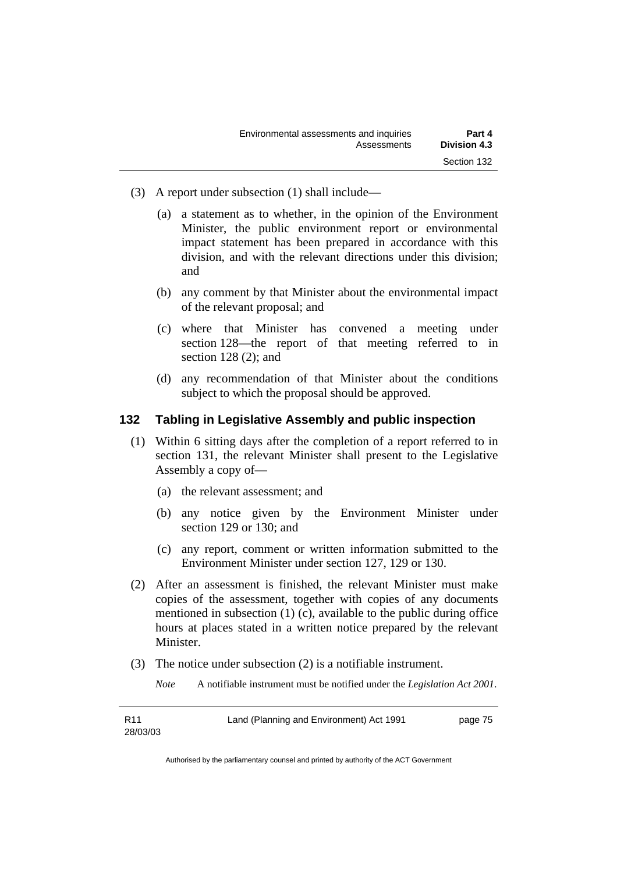- (3) A report under subsection (1) shall include—
	- (a) a statement as to whether, in the opinion of the Environment Minister, the public environment report or environmental impact statement has been prepared in accordance with this division, and with the relevant directions under this division; and
	- (b) any comment by that Minister about the environmental impact of the relevant proposal; and
	- (c) where that Minister has convened a meeting under section 128—the report of that meeting referred to in section 128 (2); and
	- (d) any recommendation of that Minister about the conditions subject to which the proposal should be approved.

## **132 Tabling in Legislative Assembly and public inspection**

- (1) Within 6 sitting days after the completion of a report referred to in section 131, the relevant Minister shall present to the Legislative Assembly a copy of—
	- (a) the relevant assessment; and
	- (b) any notice given by the Environment Minister under section 129 or 130; and
	- (c) any report, comment or written information submitted to the Environment Minister under section 127, 129 or 130.
- (2) After an assessment is finished, the relevant Minister must make copies of the assessment, together with copies of any documents mentioned in subsection (1) (c), available to the public during office hours at places stated in a written notice prepared by the relevant Minister.
- (3) The notice under subsection (2) is a notifiable instrument.
	- *Note* A notifiable instrument must be notified under the *Legislation Act 2001*.

| R <sub>11</sub> | Land (Planning and Environment) Act 1991 | page 75 |
|-----------------|------------------------------------------|---------|
| 28/03/03        |                                          |         |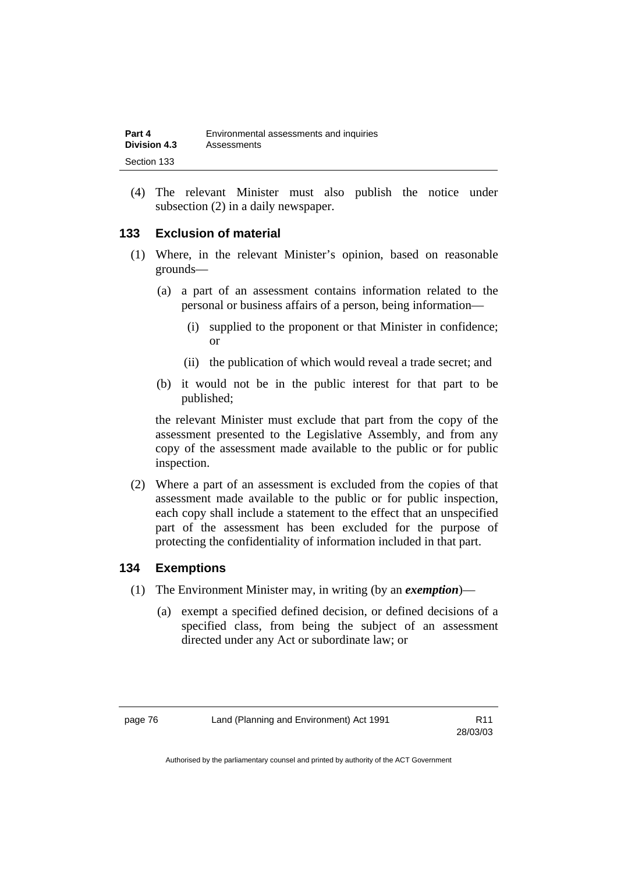| Part 4              | Environmental assessments and inquiries |
|---------------------|-----------------------------------------|
| <b>Division 4.3</b> | Assessments                             |
| Section 133         |                                         |

(4) The relevant Minister must also publish the notice under subsection (2) in a daily newspaper.

#### **133 Exclusion of material**

- (1) Where, in the relevant Minister's opinion, based on reasonable grounds—
	- (a) a part of an assessment contains information related to the personal or business affairs of a person, being information—
		- (i) supplied to the proponent or that Minister in confidence; or
		- (ii) the publication of which would reveal a trade secret; and
	- (b) it would not be in the public interest for that part to be published;

the relevant Minister must exclude that part from the copy of the assessment presented to the Legislative Assembly, and from any copy of the assessment made available to the public or for public inspection.

 (2) Where a part of an assessment is excluded from the copies of that assessment made available to the public or for public inspection, each copy shall include a statement to the effect that an unspecified part of the assessment has been excluded for the purpose of protecting the confidentiality of information included in that part.

#### **134 Exemptions**

- (1) The Environment Minister may, in writing (by an *exemption*)—
	- (a) exempt a specified defined decision, or defined decisions of a specified class, from being the subject of an assessment directed under any Act or subordinate law; or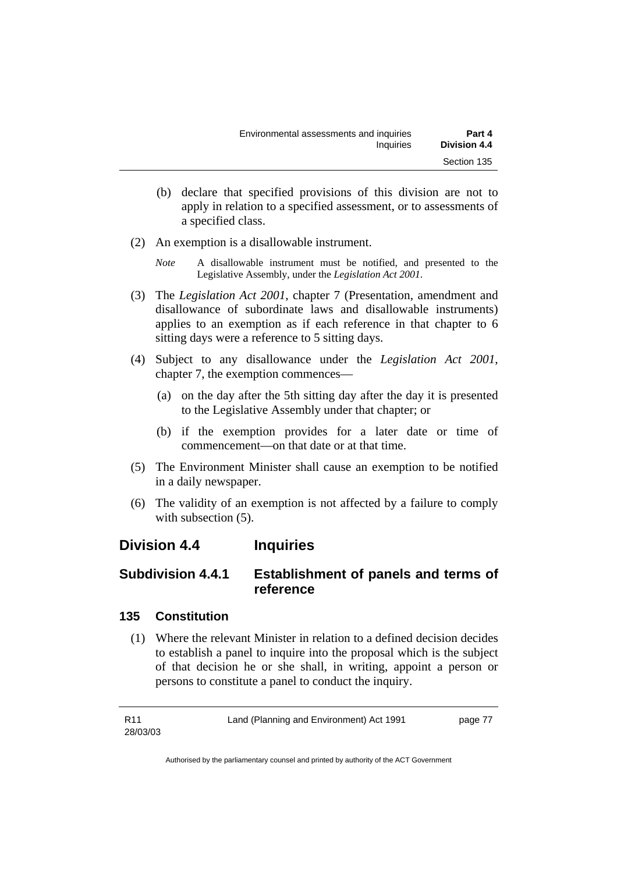| Environmental assessments and inquiries | Part 4       |
|-----------------------------------------|--------------|
| Inquiries                               | Division 4.4 |
|                                         | Section 135  |

- (b) declare that specified provisions of this division are not to apply in relation to a specified assessment, or to assessments of a specified class.
- (2) An exemption is a disallowable instrument.
	- *Note* A disallowable instrument must be notified, and presented to the Legislative Assembly, under the *Legislation Act 2001*.
- (3) The *Legislation Act 2001*, chapter 7 (Presentation, amendment and disallowance of subordinate laws and disallowable instruments) applies to an exemption as if each reference in that chapter to 6 sitting days were a reference to 5 sitting days.
- (4) Subject to any disallowance under the *Legislation Act 2001*, chapter 7, the exemption commences—
	- (a) on the day after the 5th sitting day after the day it is presented to the Legislative Assembly under that chapter; or
	- (b) if the exemption provides for a later date or time of commencement—on that date or at that time.
- (5) The Environment Minister shall cause an exemption to be notified in a daily newspaper.
- (6) The validity of an exemption is not affected by a failure to comply with subsection  $(5)$ .

# **Division 4.4 Inquiries**

# **Subdivision 4.4.1 Establishment of panels and terms of reference**

### **135 Constitution**

 (1) Where the relevant Minister in relation to a defined decision decides to establish a panel to inquire into the proposal which is the subject of that decision he or she shall, in writing, appoint a person or persons to constitute a panel to conduct the inquiry.

Land (Planning and Environment) Act 1991 page 77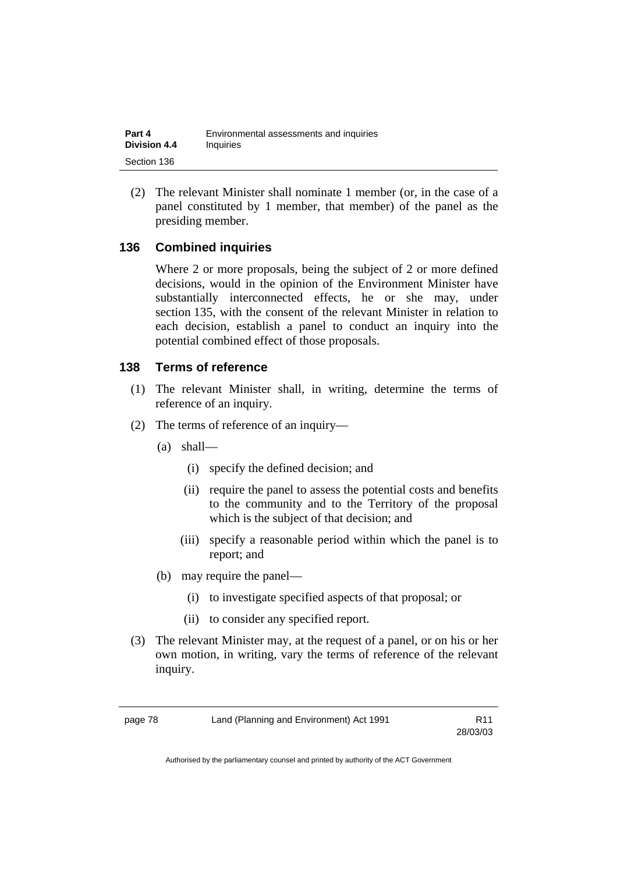| Part 4              | Environmental assessments and inquiries |
|---------------------|-----------------------------------------|
| <b>Division 4.4</b> | Inquiries                               |
| Section 136         |                                         |

 (2) The relevant Minister shall nominate 1 member (or, in the case of a panel constituted by 1 member, that member) of the panel as the presiding member.

# **136 Combined inquiries**

Where 2 or more proposals, being the subject of 2 or more defined decisions, would in the opinion of the Environment Minister have substantially interconnected effects, he or she may, under section 135, with the consent of the relevant Minister in relation to each decision, establish a panel to conduct an inquiry into the potential combined effect of those proposals.

#### **138 Terms of reference**

- (1) The relevant Minister shall, in writing, determine the terms of reference of an inquiry.
- (2) The terms of reference of an inquiry—
	- (a) shall—
		- (i) specify the defined decision; and
		- (ii) require the panel to assess the potential costs and benefits to the community and to the Territory of the proposal which is the subject of that decision; and
		- (iii) specify a reasonable period within which the panel is to report; and
	- (b) may require the panel—
		- (i) to investigate specified aspects of that proposal; or
		- (ii) to consider any specified report.
- (3) The relevant Minister may, at the request of a panel, or on his or her own motion, in writing, vary the terms of reference of the relevant inquiry.

28/03/03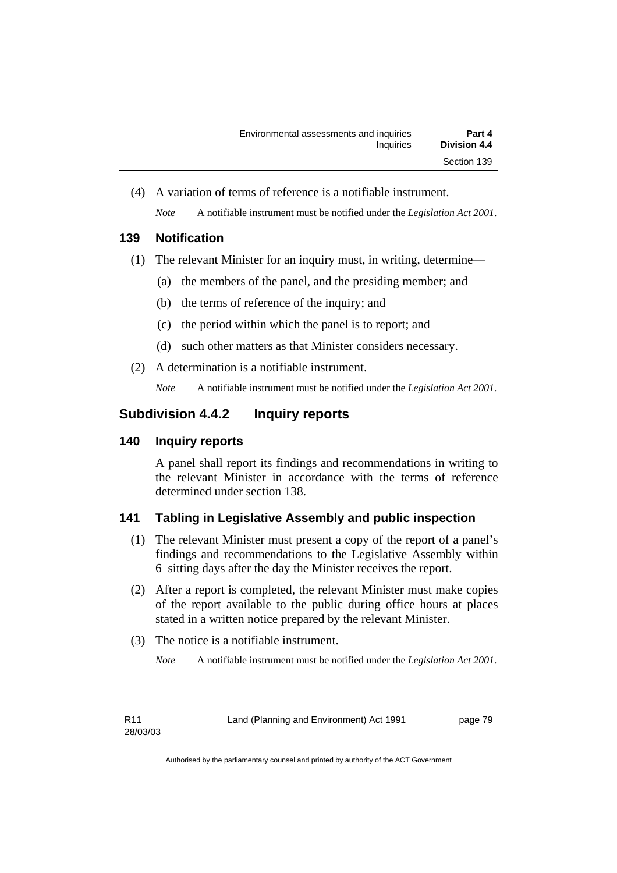(4) A variation of terms of reference is a notifiable instrument.

*Note* A notifiable instrument must be notified under the *Legislation Act 2001*.

#### **139 Notification**

- (1) The relevant Minister for an inquiry must, in writing, determine—
	- (a) the members of the panel, and the presiding member; and
	- (b) the terms of reference of the inquiry; and
	- (c) the period within which the panel is to report; and
	- (d) such other matters as that Minister considers necessary.
- (2) A determination is a notifiable instrument.

*Note* A notifiable instrument must be notified under the *Legislation Act 2001*.

# **Subdivision 4.4.2 Inquiry reports**

# **140 Inquiry reports**

A panel shall report its findings and recommendations in writing to the relevant Minister in accordance with the terms of reference determined under section 138.

# **141 Tabling in Legislative Assembly and public inspection**

- (1) The relevant Minister must present a copy of the report of a panel's findings and recommendations to the Legislative Assembly within 6 sitting days after the day the Minister receives the report.
- (2) After a report is completed, the relevant Minister must make copies of the report available to the public during office hours at places stated in a written notice prepared by the relevant Minister.
- (3) The notice is a notifiable instrument.

*Note* A notifiable instrument must be notified under the *Legislation Act 2001*.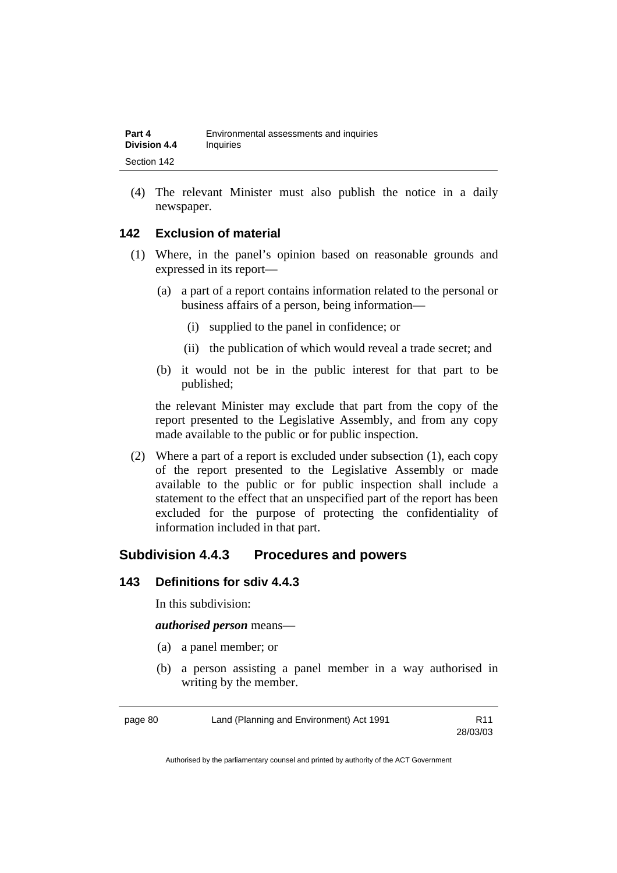(4) The relevant Minister must also publish the notice in a daily newspaper.

## **142 Exclusion of material**

- (1) Where, in the panel's opinion based on reasonable grounds and expressed in its report—
	- (a) a part of a report contains information related to the personal or business affairs of a person, being information—
		- (i) supplied to the panel in confidence; or
		- (ii) the publication of which would reveal a trade secret; and
	- (b) it would not be in the public interest for that part to be published;

the relevant Minister may exclude that part from the copy of the report presented to the Legislative Assembly, and from any copy made available to the public or for public inspection.

 (2) Where a part of a report is excluded under subsection (1), each copy of the report presented to the Legislative Assembly or made available to the public or for public inspection shall include a statement to the effect that an unspecified part of the report has been excluded for the purpose of protecting the confidentiality of information included in that part.

# **Subdivision 4.4.3 Procedures and powers**

#### **143 Definitions for sdiv 4.4.3**

In this subdivision:

*authorised person* means—

- (a) a panel member; or
- (b) a person assisting a panel member in a way authorised in writing by the member.

page 80 Land (Planning and Environment) Act 1991 Case 1911

28/03/03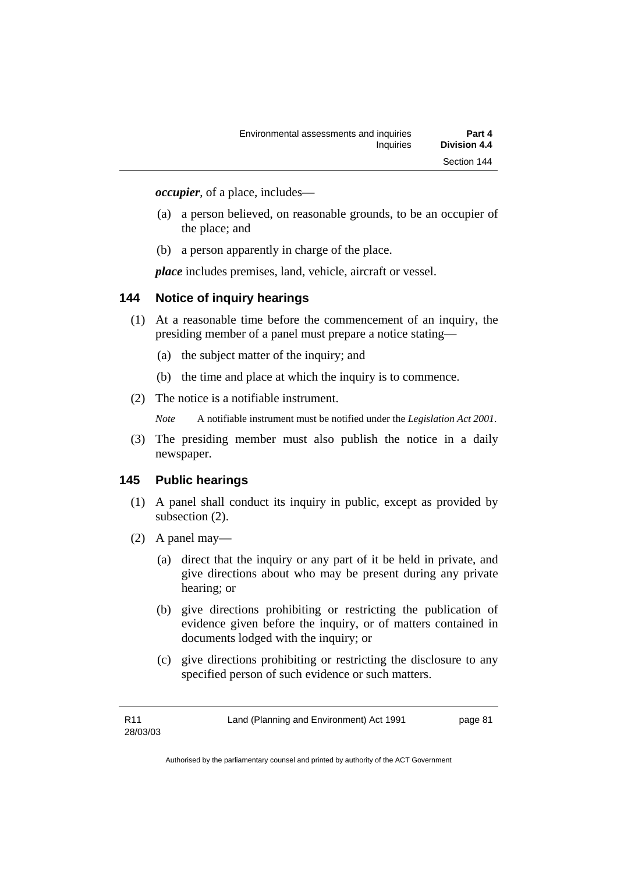*occupier*, of a place, includes—

- (a) a person believed, on reasonable grounds, to be an occupier of the place; and
- (b) a person apparently in charge of the place.

*place* includes premises, land, vehicle, aircraft or vessel.

#### **144 Notice of inquiry hearings**

- (1) At a reasonable time before the commencement of an inquiry, the presiding member of a panel must prepare a notice stating—
	- (a) the subject matter of the inquiry; and
	- (b) the time and place at which the inquiry is to commence.
- (2) The notice is a notifiable instrument.

*Note* A notifiable instrument must be notified under the *Legislation Act 2001*.

(3) The presiding member must also publish the notice in a daily newspaper.

#### **145 Public hearings**

- (1) A panel shall conduct its inquiry in public, except as provided by subsection (2).
- (2) A panel may—
	- (a) direct that the inquiry or any part of it be held in private, and give directions about who may be present during any private hearing; or
	- (b) give directions prohibiting or restricting the publication of evidence given before the inquiry, or of matters contained in documents lodged with the inquiry; or
	- (c) give directions prohibiting or restricting the disclosure to any specified person of such evidence or such matters.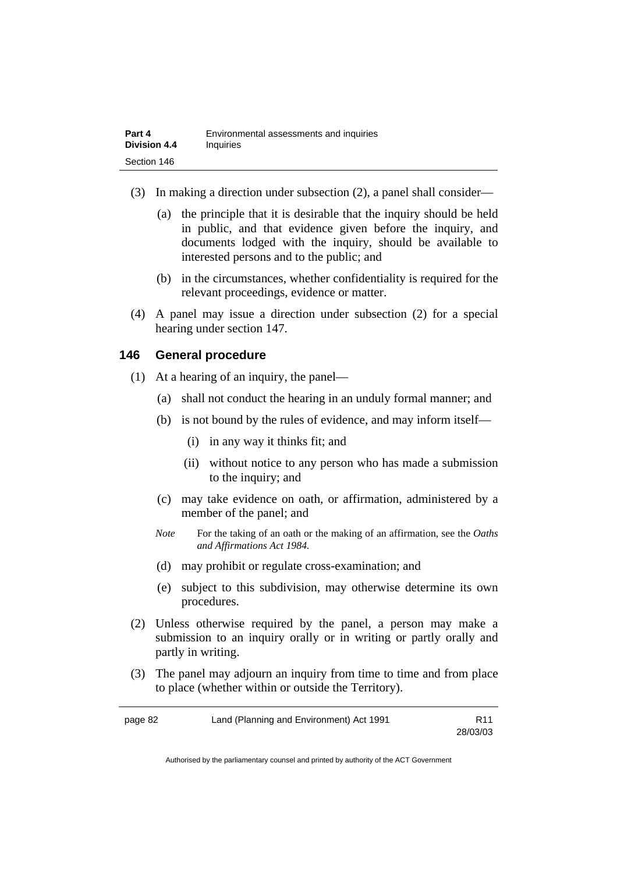- (3) In making a direction under subsection (2), a panel shall consider—
	- (a) the principle that it is desirable that the inquiry should be held in public, and that evidence given before the inquiry, and documents lodged with the inquiry, should be available to interested persons and to the public; and
	- (b) in the circumstances, whether confidentiality is required for the relevant proceedings, evidence or matter.
- (4) A panel may issue a direction under subsection (2) for a special hearing under section 147.

#### **146 General procedure**

- (1) At a hearing of an inquiry, the panel—
	- (a) shall not conduct the hearing in an unduly formal manner; and
	- (b) is not bound by the rules of evidence, and may inform itself—
		- (i) in any way it thinks fit; and
		- (ii) without notice to any person who has made a submission to the inquiry; and
	- (c) may take evidence on oath, or affirmation, administered by a member of the panel; and
	- *Note* For the taking of an oath or the making of an affirmation, see the *Oaths and Affirmations Act 1984.*
	- (d) may prohibit or regulate cross-examination; and
	- (e) subject to this subdivision, may otherwise determine its own procedures.
- (2) Unless otherwise required by the panel, a person may make a submission to an inquiry orally or in writing or partly orally and partly in writing.
- (3) The panel may adjourn an inquiry from time to time and from place to place (whether within or outside the Territory).

| page 82 | Land (Planning and Environment) Act 1991 | R <sub>11</sub> |
|---------|------------------------------------------|-----------------|
|         |                                          | 28/03/03        |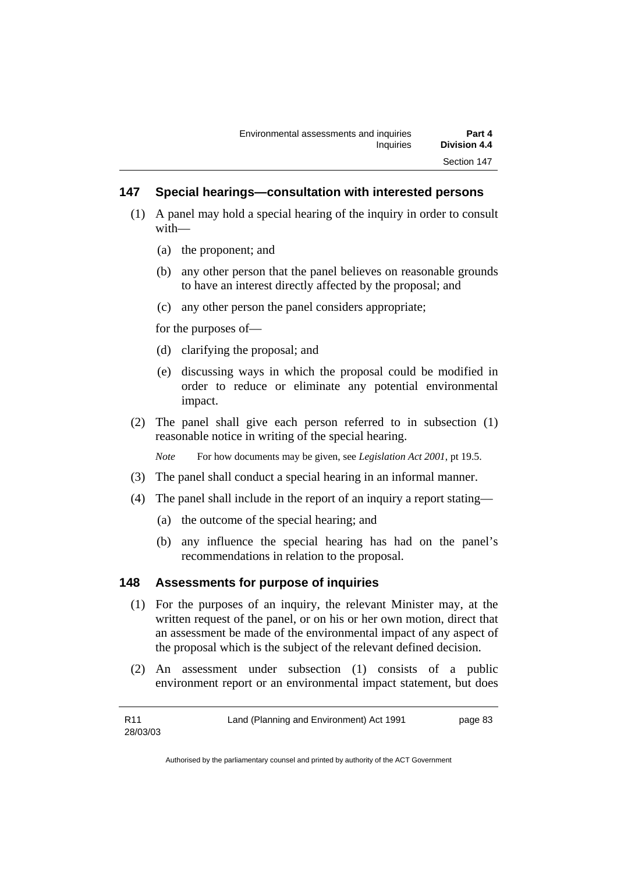#### **147 Special hearings—consultation with interested persons**

- (1) A panel may hold a special hearing of the inquiry in order to consult with—
	- (a) the proponent; and
	- (b) any other person that the panel believes on reasonable grounds to have an interest directly affected by the proposal; and
	- (c) any other person the panel considers appropriate;

for the purposes of—

- (d) clarifying the proposal; and
- (e) discussing ways in which the proposal could be modified in order to reduce or eliminate any potential environmental impact.
- (2) The panel shall give each person referred to in subsection (1) reasonable notice in writing of the special hearing.

*Note* For how documents may be given, see *Legislation Act 2001*, pt 19.5.

- (3) The panel shall conduct a special hearing in an informal manner.
- (4) The panel shall include in the report of an inquiry a report stating—
	- (a) the outcome of the special hearing; and
	- (b) any influence the special hearing has had on the panel's recommendations in relation to the proposal.

#### **148 Assessments for purpose of inquiries**

- (1) For the purposes of an inquiry, the relevant Minister may, at the written request of the panel, or on his or her own motion, direct that an assessment be made of the environmental impact of any aspect of the proposal which is the subject of the relevant defined decision.
- (2) An assessment under subsection (1) consists of a public environment report or an environmental impact statement, but does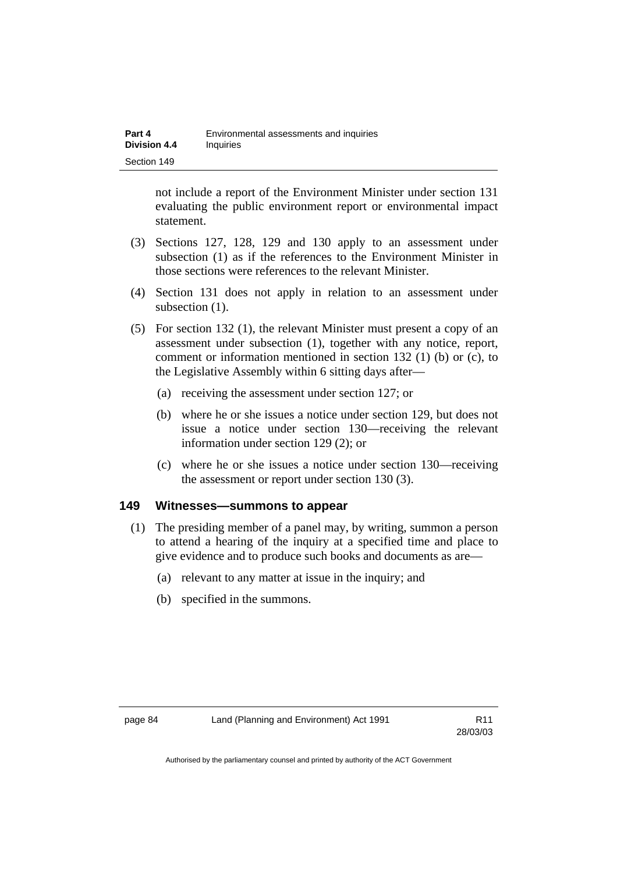not include a report of the Environment Minister under section 131 evaluating the public environment report or environmental impact statement.

- (3) Sections 127, 128, 129 and 130 apply to an assessment under subsection (1) as if the references to the Environment Minister in those sections were references to the relevant Minister.
- (4) Section 131 does not apply in relation to an assessment under subsection  $(1)$ .
- (5) For section 132 (1), the relevant Minister must present a copy of an assessment under subsection (1), together with any notice, report, comment or information mentioned in section 132 (1) (b) or (c), to the Legislative Assembly within 6 sitting days after—
	- (a) receiving the assessment under section 127; or
	- (b) where he or she issues a notice under section 129, but does not issue a notice under section 130—receiving the relevant information under section 129 (2); or
	- (c) where he or she issues a notice under section 130—receiving the assessment or report under section 130 (3).

#### **149 Witnesses—summons to appear**

- (1) The presiding member of a panel may, by writing, summon a person to attend a hearing of the inquiry at a specified time and place to give evidence and to produce such books and documents as are—
	- (a) relevant to any matter at issue in the inquiry; and
	- (b) specified in the summons.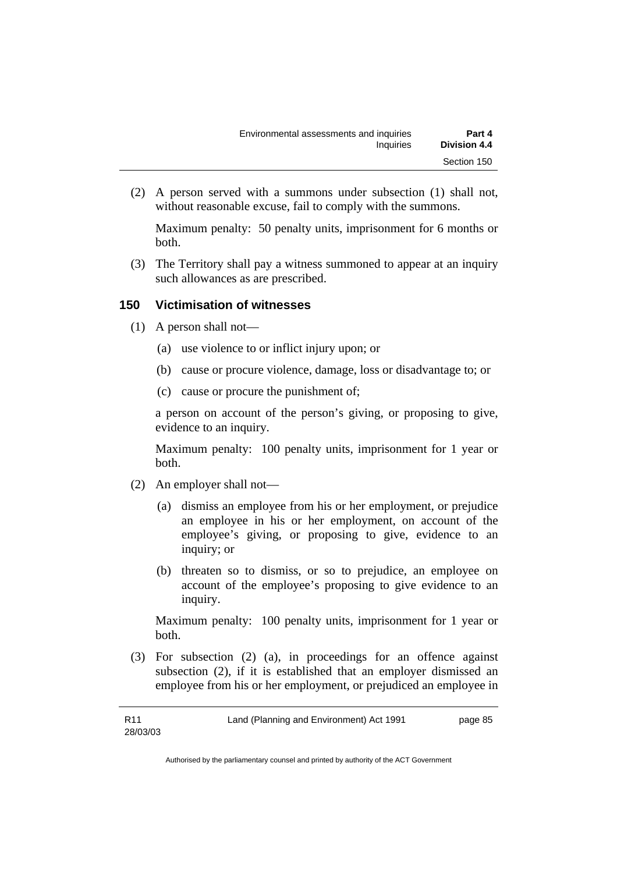(2) A person served with a summons under subsection (1) shall not, without reasonable excuse, fail to comply with the summons.

Maximum penalty: 50 penalty units, imprisonment for 6 months or both.

 (3) The Territory shall pay a witness summoned to appear at an inquiry such allowances as are prescribed.

# **150 Victimisation of witnesses**

- (1) A person shall not—
	- (a) use violence to or inflict injury upon; or
	- (b) cause or procure violence, damage, loss or disadvantage to; or
	- (c) cause or procure the punishment of;

a person on account of the person's giving, or proposing to give, evidence to an inquiry.

Maximum penalty: 100 penalty units, imprisonment for 1 year or both.

- (2) An employer shall not—
	- (a) dismiss an employee from his or her employment, or prejudice an employee in his or her employment, on account of the employee's giving, or proposing to give, evidence to an inquiry; or
	- (b) threaten so to dismiss, or so to prejudice, an employee on account of the employee's proposing to give evidence to an inquiry.

Maximum penalty: 100 penalty units, imprisonment for 1 year or both.

 (3) For subsection (2) (a), in proceedings for an offence against subsection (2), if it is established that an employer dismissed an employee from his or her employment, or prejudiced an employee in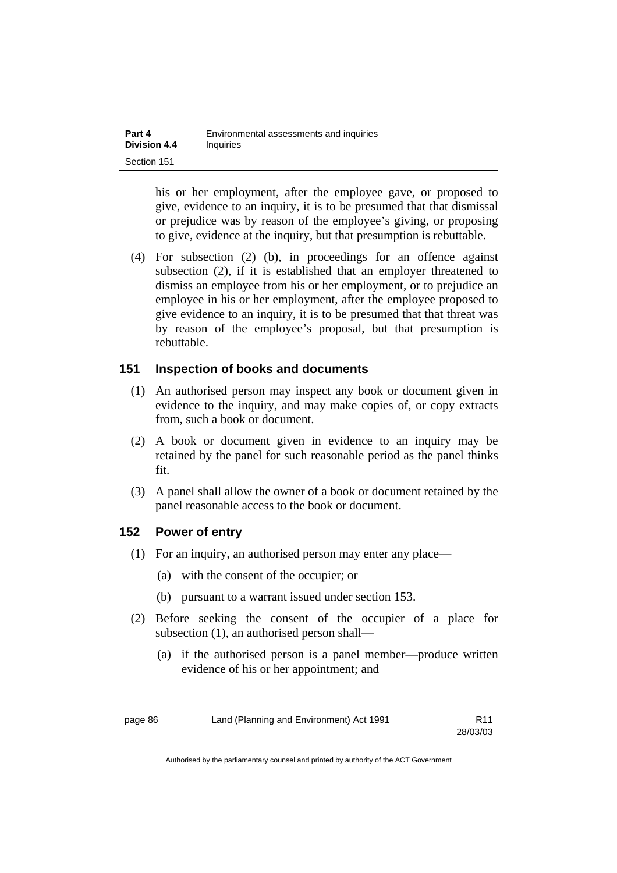| Part 4              | Environmental assessments and inquiries |
|---------------------|-----------------------------------------|
| <b>Division 4.4</b> | <i>Inquiries</i>                        |
| Section 151         |                                         |

his or her employment, after the employee gave, or proposed to give, evidence to an inquiry, it is to be presumed that that dismissal or prejudice was by reason of the employee's giving, or proposing to give, evidence at the inquiry, but that presumption is rebuttable.

 (4) For subsection (2) (b), in proceedings for an offence against subsection (2), if it is established that an employer threatened to dismiss an employee from his or her employment, or to prejudice an employee in his or her employment, after the employee proposed to give evidence to an inquiry, it is to be presumed that that threat was by reason of the employee's proposal, but that presumption is rebuttable.

### **151 Inspection of books and documents**

- (1) An authorised person may inspect any book or document given in evidence to the inquiry, and may make copies of, or copy extracts from, such a book or document.
- (2) A book or document given in evidence to an inquiry may be retained by the panel for such reasonable period as the panel thinks fit.
- (3) A panel shall allow the owner of a book or document retained by the panel reasonable access to the book or document.

# **152 Power of entry**

- (1) For an inquiry, an authorised person may enter any place—
	- (a) with the consent of the occupier; or
	- (b) pursuant to a warrant issued under section 153.
- (2) Before seeking the consent of the occupier of a place for subsection (1), an authorised person shall—
	- (a) if the authorised person is a panel member—produce written evidence of his or her appointment; and

28/03/03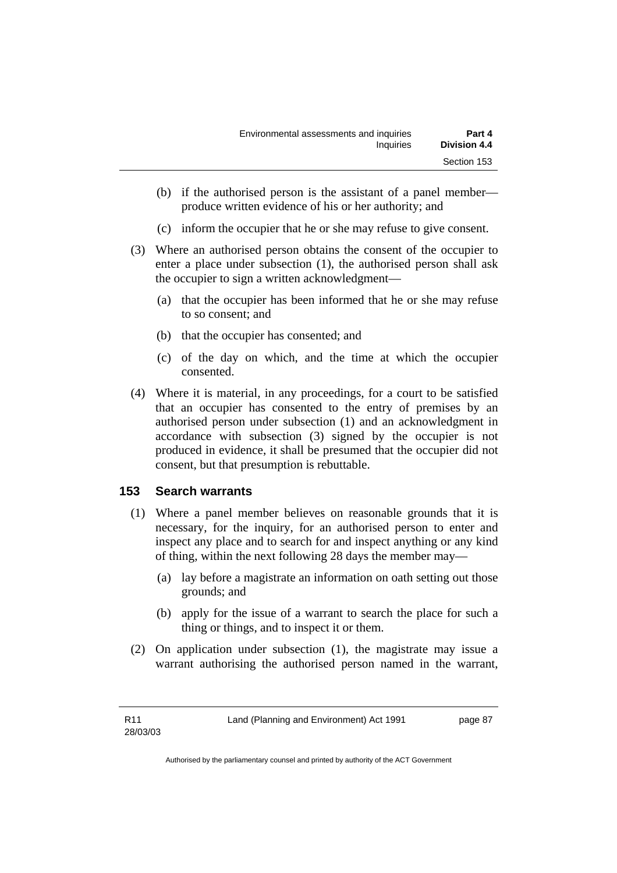| Environmental assessments and inquiries | Part 4              |
|-----------------------------------------|---------------------|
| Inquiries                               | <b>Division 4.4</b> |
|                                         | Section 153         |

- (b) if the authorised person is the assistant of a panel member produce written evidence of his or her authority; and
- (c) inform the occupier that he or she may refuse to give consent.
- (3) Where an authorised person obtains the consent of the occupier to enter a place under subsection (1), the authorised person shall ask the occupier to sign a written acknowledgment—
	- (a) that the occupier has been informed that he or she may refuse to so consent; and
	- (b) that the occupier has consented; and
	- (c) of the day on which, and the time at which the occupier consented.
- (4) Where it is material, in any proceedings, for a court to be satisfied that an occupier has consented to the entry of premises by an authorised person under subsection (1) and an acknowledgment in accordance with subsection (3) signed by the occupier is not produced in evidence, it shall be presumed that the occupier did not consent, but that presumption is rebuttable.

#### **153 Search warrants**

- (1) Where a panel member believes on reasonable grounds that it is necessary, for the inquiry, for an authorised person to enter and inspect any place and to search for and inspect anything or any kind of thing, within the next following 28 days the member may—
	- (a) lay before a magistrate an information on oath setting out those grounds; and
	- (b) apply for the issue of a warrant to search the place for such a thing or things, and to inspect it or them.
- (2) On application under subsection (1), the magistrate may issue a warrant authorising the authorised person named in the warrant,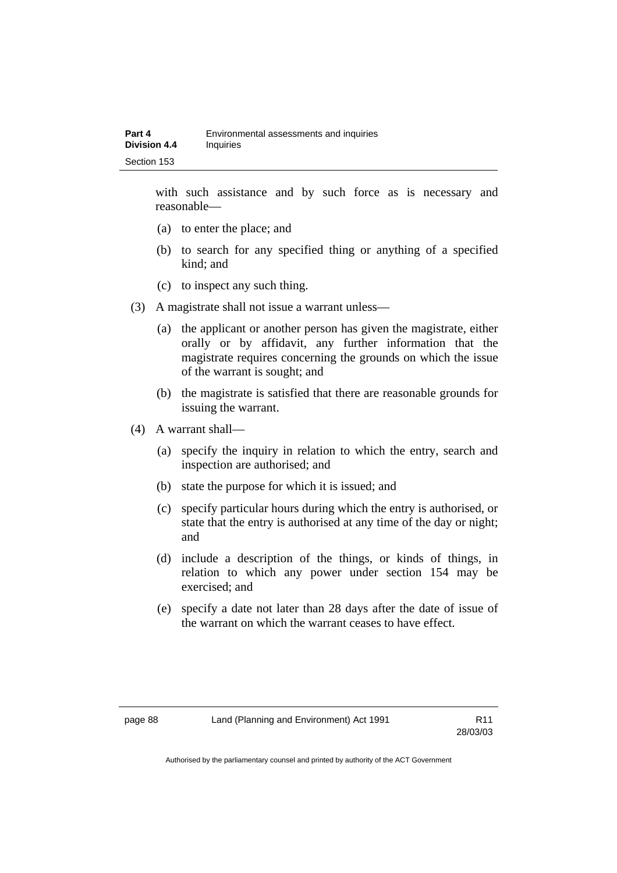with such assistance and by such force as is necessary and reasonable—

- (a) to enter the place; and
- (b) to search for any specified thing or anything of a specified kind; and
- (c) to inspect any such thing.
- (3) A magistrate shall not issue a warrant unless—
	- (a) the applicant or another person has given the magistrate, either orally or by affidavit, any further information that the magistrate requires concerning the grounds on which the issue of the warrant is sought; and
	- (b) the magistrate is satisfied that there are reasonable grounds for issuing the warrant.
- (4) A warrant shall—
	- (a) specify the inquiry in relation to which the entry, search and inspection are authorised; and
	- (b) state the purpose for which it is issued; and
	- (c) specify particular hours during which the entry is authorised, or state that the entry is authorised at any time of the day or night; and
	- (d) include a description of the things, or kinds of things, in relation to which any power under section 154 may be exercised; and
	- (e) specify a date not later than 28 days after the date of issue of the warrant on which the warrant ceases to have effect.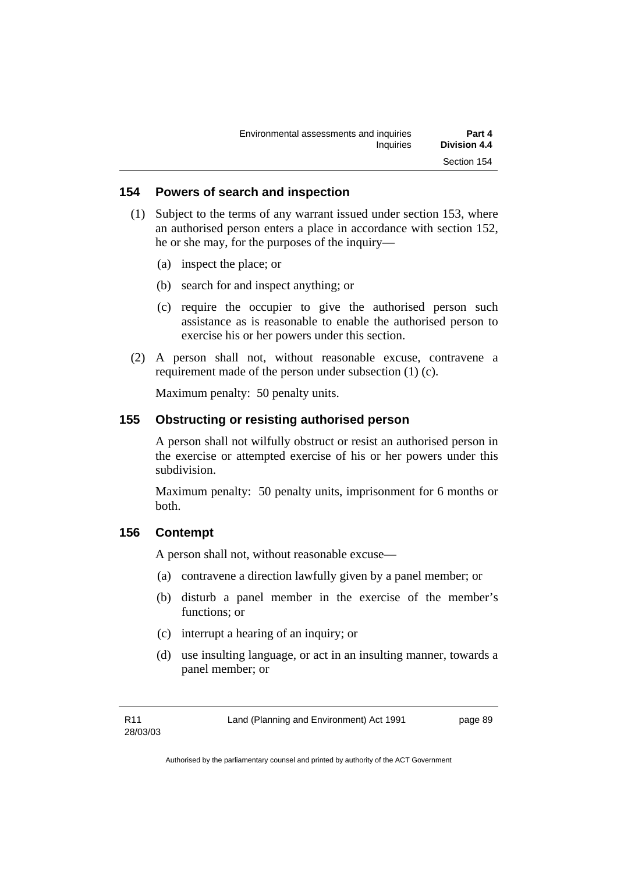| Environmental assessments and inquiries | Part 4              |
|-----------------------------------------|---------------------|
| Inquiries                               | <b>Division 4.4</b> |
|                                         | Section 154         |

#### **154 Powers of search and inspection**

- (1) Subject to the terms of any warrant issued under section 153, where an authorised person enters a place in accordance with section 152, he or she may, for the purposes of the inquiry—
	- (a) inspect the place; or
	- (b) search for and inspect anything; or
	- (c) require the occupier to give the authorised person such assistance as is reasonable to enable the authorised person to exercise his or her powers under this section.
- (2) A person shall not, without reasonable excuse, contravene a requirement made of the person under subsection (1) (c).

Maximum penalty: 50 penalty units.

#### **155 Obstructing or resisting authorised person**

A person shall not wilfully obstruct or resist an authorised person in the exercise or attempted exercise of his or her powers under this subdivision.

Maximum penalty: 50 penalty units, imprisonment for 6 months or both.

#### **156 Contempt**

A person shall not, without reasonable excuse—

- (a) contravene a direction lawfully given by a panel member; or
- (b) disturb a panel member in the exercise of the member's functions; or
- (c) interrupt a hearing of an inquiry; or
- (d) use insulting language, or act in an insulting manner, towards a panel member; or

Land (Planning and Environment) Act 1991 page 89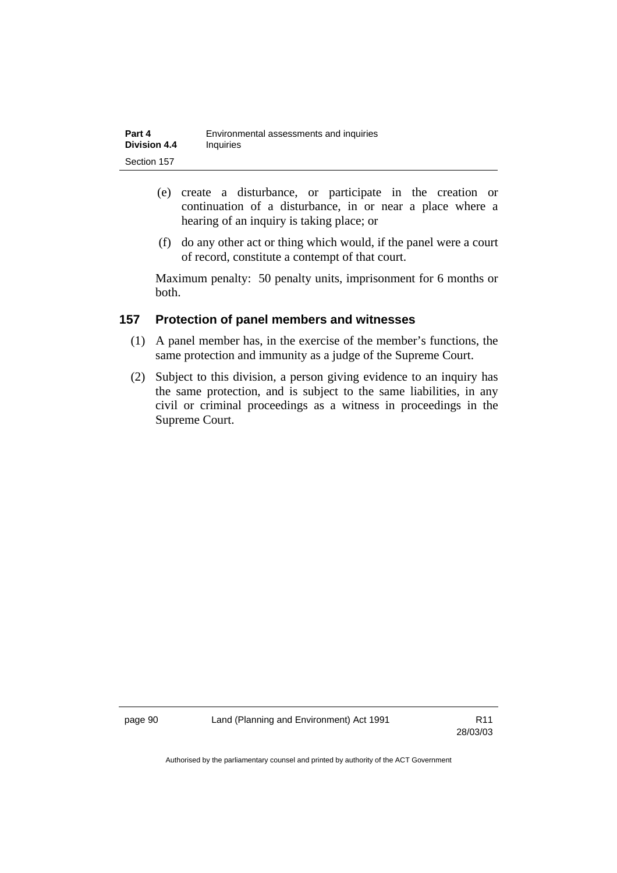| Part 4              | Environmental assessments and inquiries |
|---------------------|-----------------------------------------|
| <b>Division 4.4</b> | Inquiries                               |
| Section 157         |                                         |

- (e) create a disturbance, or participate in the creation or continuation of a disturbance, in or near a place where a hearing of an inquiry is taking place; or
- (f) do any other act or thing which would, if the panel were a court of record, constitute a contempt of that court.

Maximum penalty: 50 penalty units, imprisonment for 6 months or both.

#### **157 Protection of panel members and witnesses**

- (1) A panel member has, in the exercise of the member's functions, the same protection and immunity as a judge of the Supreme Court.
- (2) Subject to this division, a person giving evidence to an inquiry has the same protection, and is subject to the same liabilities, in any civil or criminal proceedings as a witness in proceedings in the Supreme Court.

page 90 Land (Planning and Environment) Act 1991

28/03/03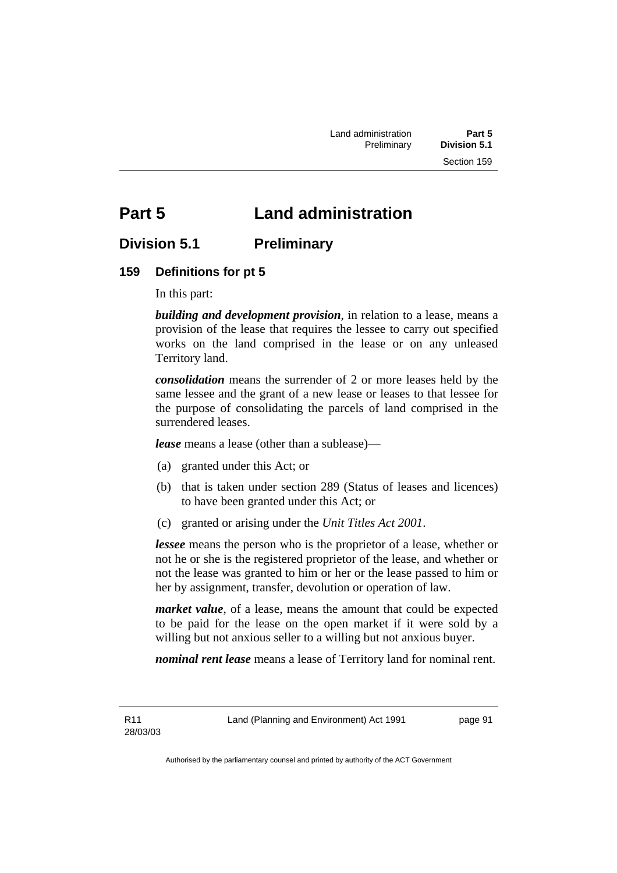# **Part 5 Land administration**

# **Division 5.1 Preliminary**

## **159 Definitions for pt 5**

In this part:

*building and development provision*, in relation to a lease, means a provision of the lease that requires the lessee to carry out specified works on the land comprised in the lease or on any unleased Territory land.

*consolidation* means the surrender of 2 or more leases held by the same lessee and the grant of a new lease or leases to that lessee for the purpose of consolidating the parcels of land comprised in the surrendered leases.

*lease* means a lease (other than a sublease)—

- (a) granted under this Act; or
- (b) that is taken under section 289 (Status of leases and licences) to have been granted under this Act; or
- (c) granted or arising under the *Unit Titles Act 2001*.

*lessee* means the person who is the proprietor of a lease, whether or not he or she is the registered proprietor of the lease, and whether or not the lease was granted to him or her or the lease passed to him or her by assignment, transfer, devolution or operation of law.

*market value*, of a lease, means the amount that could be expected to be paid for the lease on the open market if it were sold by a willing but not anxious seller to a willing but not anxious buyer.

*nominal rent lease* means a lease of Territory land for nominal rent.

R11 28/03/03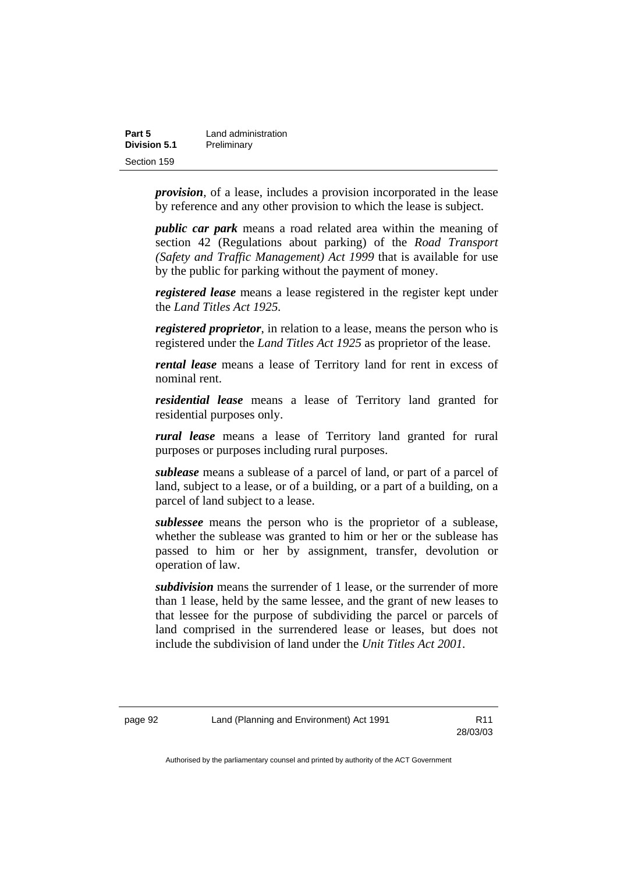| Part 5              | Land administration |
|---------------------|---------------------|
| <b>Division 5.1</b> | Preliminary         |
| Section 159         |                     |

*provision*, of a lease, includes a provision incorporated in the lease by reference and any other provision to which the lease is subject.

*public car park* means a road related area within the meaning of section 42 (Regulations about parking) of the *Road Transport (Safety and Traffic Management) Act 1999* that is available for use by the public for parking without the payment of money.

*registered lease* means a lease registered in the register kept under the *Land Titles Act 1925.*

*registered proprietor*, in relation to a lease, means the person who is registered under the *Land Titles Act 1925* as proprietor of the lease.

*rental lease* means a lease of Territory land for rent in excess of nominal rent.

*residential lease* means a lease of Territory land granted for residential purposes only.

*rural lease* means a lease of Territory land granted for rural purposes or purposes including rural purposes.

*sublease* means a sublease of a parcel of land, or part of a parcel of land, subject to a lease, or of a building, or a part of a building, on a parcel of land subject to a lease.

*sublessee* means the person who is the proprietor of a sublease, whether the sublease was granted to him or her or the sublease has passed to him or her by assignment, transfer, devolution or operation of law.

*subdivision* means the surrender of 1 lease, or the surrender of more than 1 lease, held by the same lessee, and the grant of new leases to that lessee for the purpose of subdividing the parcel or parcels of land comprised in the surrendered lease or leases, but does not include the subdivision of land under the *Unit Titles Act 2001.*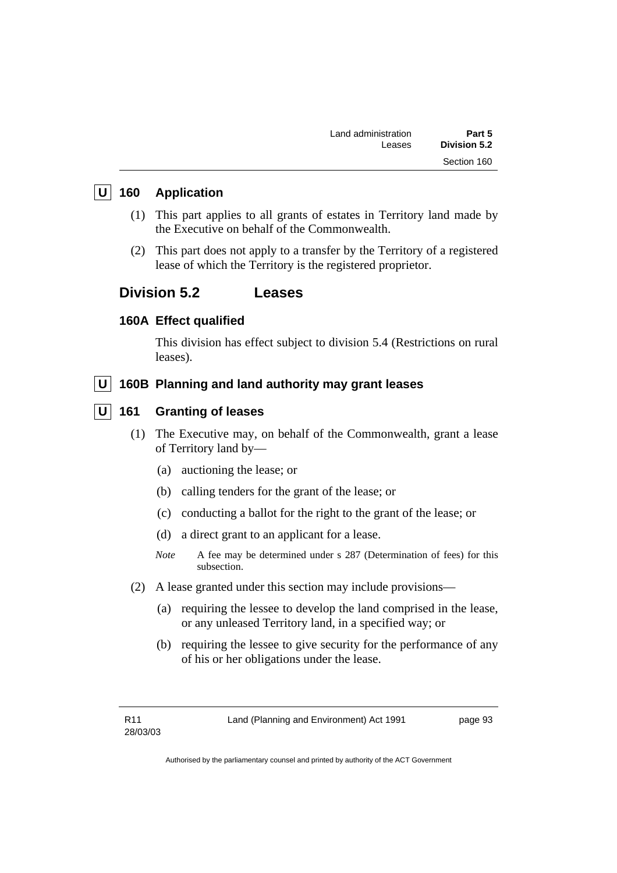| Land administration | Part 5              |
|---------------------|---------------------|
| Leases              | <b>Division 5.2</b> |
|                     | Section 160         |

# **U** 160 Application

- (1) This part applies to all grants of estates in Territory land made by the Executive on behalf of the Commonwealth.
- (2) This part does not apply to a transfer by the Territory of a registered lease of which the Territory is the registered proprietor.

# **Division 5.2 Leases**

#### **160A Effect qualified**

This division has effect subject to division 5.4 (Restrictions on rural leases).

#### **U 160B Planning and land authority may grant leases**

#### **161 Granting of leases**

- (1) The Executive may, on behalf of the Commonwealth, grant a lease of Territory land by—
	- (a) auctioning the lease; or
	- (b) calling tenders for the grant of the lease; or
	- (c) conducting a ballot for the right to the grant of the lease; or
	- (d) a direct grant to an applicant for a lease.
	- *Note* A fee may be determined under s 287 (Determination of fees) for this subsection.
- (2) A lease granted under this section may include provisions—
	- (a) requiring the lessee to develop the land comprised in the lease, or any unleased Territory land, in a specified way; or
	- (b) requiring the lessee to give security for the performance of any of his or her obligations under the lease.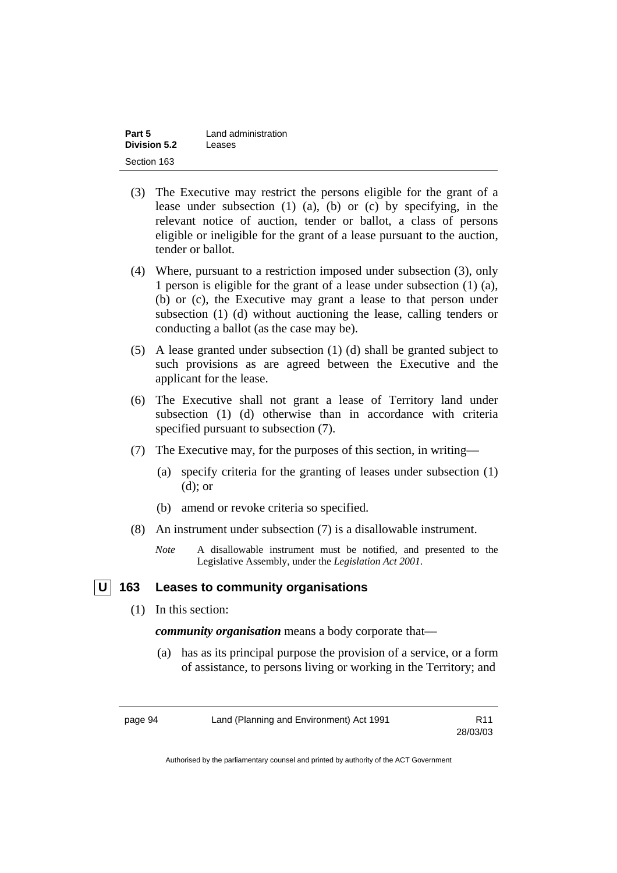| Part 5              | Land administration |
|---------------------|---------------------|
| <b>Division 5.2</b> | Leases              |
| Section 163         |                     |

- (3) The Executive may restrict the persons eligible for the grant of a lease under subsection (1) (a), (b) or (c) by specifying, in the relevant notice of auction, tender or ballot, a class of persons eligible or ineligible for the grant of a lease pursuant to the auction, tender or ballot.
- (4) Where, pursuant to a restriction imposed under subsection (3), only 1 person is eligible for the grant of a lease under subsection (1) (a), (b) or (c), the Executive may grant a lease to that person under subsection (1) (d) without auctioning the lease, calling tenders or conducting a ballot (as the case may be).
- (5) A lease granted under subsection (1) (d) shall be granted subject to such provisions as are agreed between the Executive and the applicant for the lease.
- (6) The Executive shall not grant a lease of Territory land under subsection (1) (d) otherwise than in accordance with criteria specified pursuant to subsection (7).
- (7) The Executive may, for the purposes of this section, in writing—
	- (a) specify criteria for the granting of leases under subsection (1) (d); or
	- (b) amend or revoke criteria so specified.
- (8) An instrument under subsection (7) is a disallowable instrument.
	- *Note* A disallowable instrument must be notified, and presented to the Legislative Assembly, under the *Legislation Act 2001*.

# **U 163 Leases to community organisations**

(1) In this section:

*community organisation* means a body corporate that—

 (a) has as its principal purpose the provision of a service, or a form of assistance, to persons living or working in the Territory; and

page 94 Land (Planning and Environment) Act 1991

28/03/03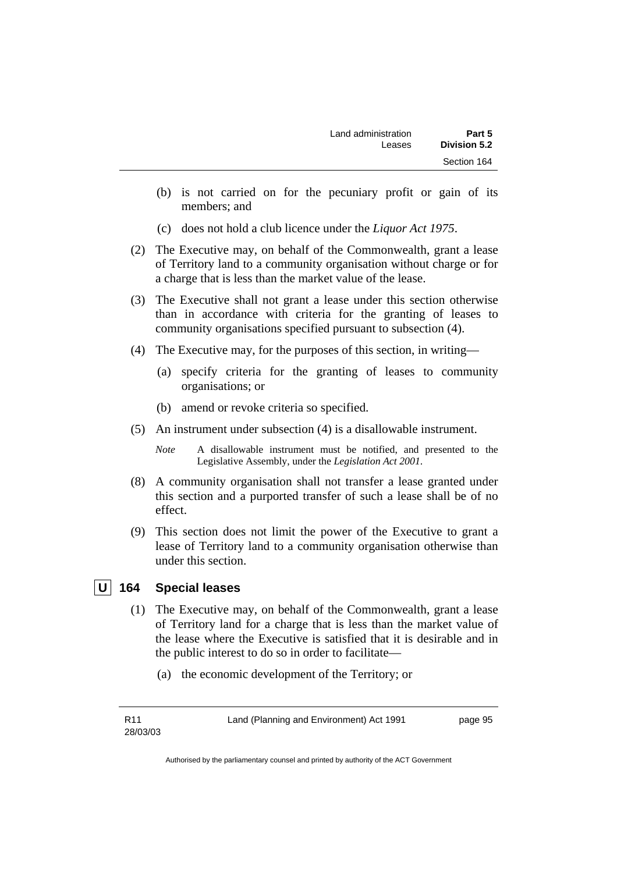| Part 5<br><b>Division 5.2</b> | Land administration<br>Leases |
|-------------------------------|-------------------------------|
|                               |                               |
| Section 164                   |                               |

- (b) is not carried on for the pecuniary profit or gain of its members; and
- (c) does not hold a club licence under the *Liquor Act 1975*.
- (2) The Executive may, on behalf of the Commonwealth, grant a lease of Territory land to a community organisation without charge or for a charge that is less than the market value of the lease.
- (3) The Executive shall not grant a lease under this section otherwise than in accordance with criteria for the granting of leases to community organisations specified pursuant to subsection (4).
- (4) The Executive may, for the purposes of this section, in writing—
	- (a) specify criteria for the granting of leases to community organisations; or
	- (b) amend or revoke criteria so specified.
- (5) An instrument under subsection (4) is a disallowable instrument.
	- *Note* A disallowable instrument must be notified, and presented to the Legislative Assembly, under the *Legislation Act 2001*.
- (8) A community organisation shall not transfer a lease granted under this section and a purported transfer of such a lease shall be of no effect.
- (9) This section does not limit the power of the Executive to grant a lease of Territory land to a community organisation otherwise than under this section.

# **U 164 Special leases**

- (1) The Executive may, on behalf of the Commonwealth, grant a lease of Territory land for a charge that is less than the market value of the lease where the Executive is satisfied that it is desirable and in the public interest to do so in order to facilitate—
	- (a) the economic development of the Territory; or

R11 28/03/03 Land (Planning and Environment) Act 1991 page 95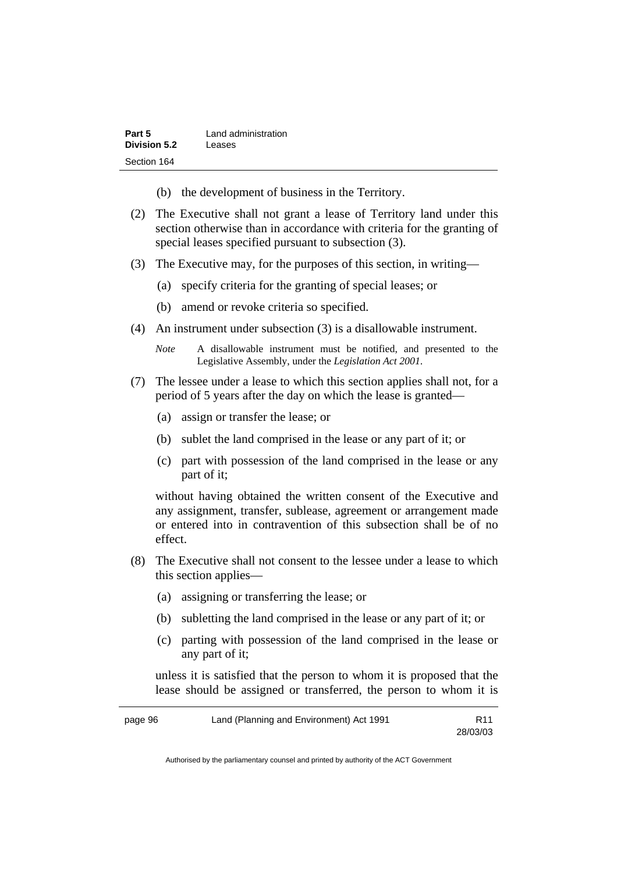| Part 5       | Land administration |
|--------------|---------------------|
| Division 5.2 | Leases              |
| Section 164  |                     |

- (b) the development of business in the Territory.
- (2) The Executive shall not grant a lease of Territory land under this section otherwise than in accordance with criteria for the granting of special leases specified pursuant to subsection (3).
- (3) The Executive may, for the purposes of this section, in writing—
	- (a) specify criteria for the granting of special leases; or
	- (b) amend or revoke criteria so specified.
- (4) An instrument under subsection (3) is a disallowable instrument.

*Note* A disallowable instrument must be notified, and presented to the Legislative Assembly, under the *Legislation Act 2001*.

- (7) The lessee under a lease to which this section applies shall not, for a period of 5 years after the day on which the lease is granted—
	- (a) assign or transfer the lease; or
	- (b) sublet the land comprised in the lease or any part of it; or
	- (c) part with possession of the land comprised in the lease or any part of it;

without having obtained the written consent of the Executive and any assignment, transfer, sublease, agreement or arrangement made or entered into in contravention of this subsection shall be of no effect.

- (8) The Executive shall not consent to the lessee under a lease to which this section applies—
	- (a) assigning or transferring the lease; or
	- (b) subletting the land comprised in the lease or any part of it; or
	- (c) parting with possession of the land comprised in the lease or any part of it;

unless it is satisfied that the person to whom it is proposed that the lease should be assigned or transferred, the person to whom it is

| page 96 | Land (Planning and Environment) Act 1991 | R <sub>11</sub> |
|---------|------------------------------------------|-----------------|
|         |                                          | 28/03/03        |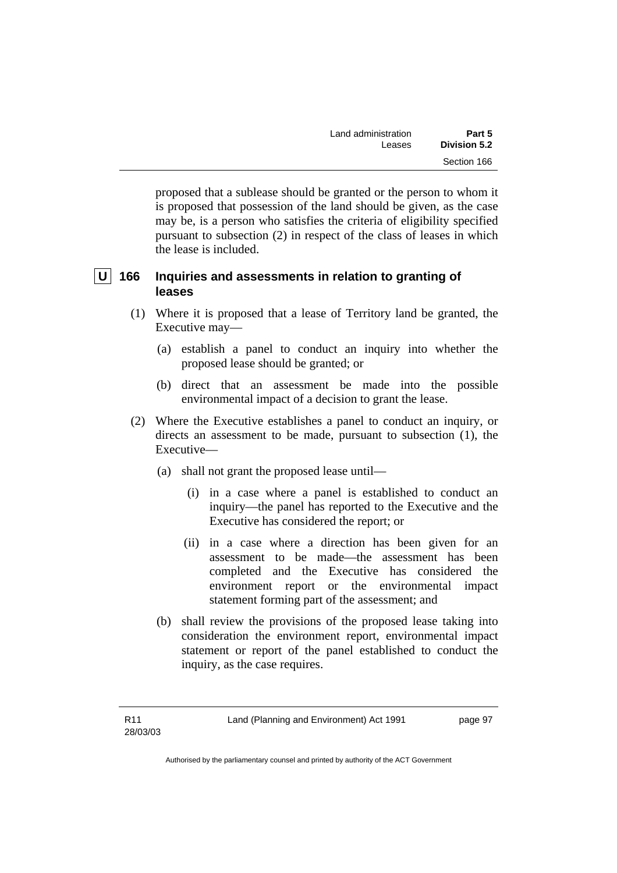| Part 5              | Land administration |
|---------------------|---------------------|
| <b>Division 5.2</b> | Leases              |
| Section 166         |                     |

proposed that a sublease should be granted or the person to whom it is proposed that possession of the land should be given, as the case may be, is a person who satisfies the criteria of eligibility specified pursuant to subsection (2) in respect of the class of leases in which the lease is included.

## **U 166 Inquiries and assessments in relation to granting of leases**

- (1) Where it is proposed that a lease of Territory land be granted, the Executive may—
	- (a) establish a panel to conduct an inquiry into whether the proposed lease should be granted; or
	- (b) direct that an assessment be made into the possible environmental impact of a decision to grant the lease.
- (2) Where the Executive establishes a panel to conduct an inquiry, or directs an assessment to be made, pursuant to subsection (1), the Executive—
	- (a) shall not grant the proposed lease until—
		- (i) in a case where a panel is established to conduct an inquiry—the panel has reported to the Executive and the Executive has considered the report; or
		- (ii) in a case where a direction has been given for an assessment to be made—the assessment has been completed and the Executive has considered the environment report or the environmental impact statement forming part of the assessment; and
	- (b) shall review the provisions of the proposed lease taking into consideration the environment report, environmental impact statement or report of the panel established to conduct the inquiry, as the case requires.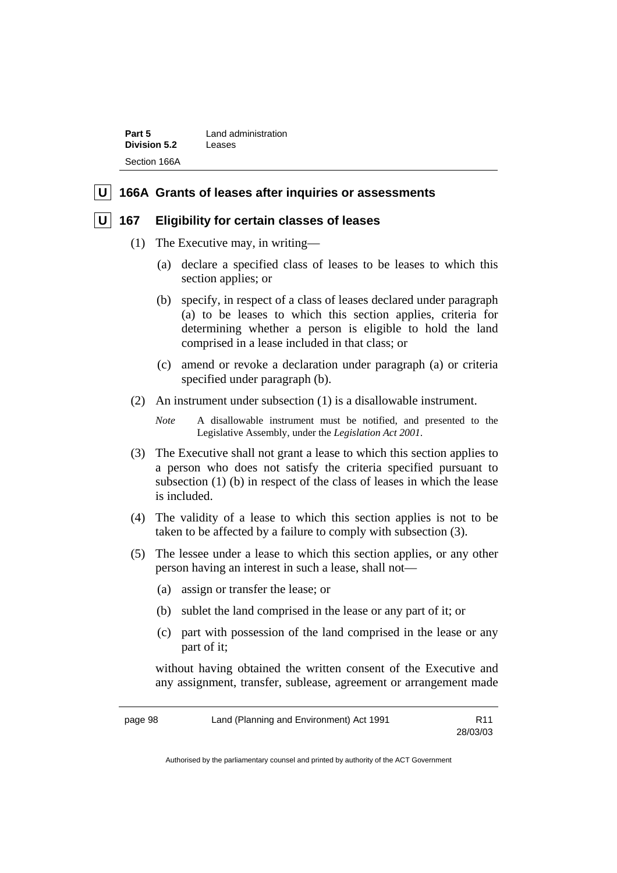| Part 5              | Land administration |
|---------------------|---------------------|
| <b>Division 5.2</b> | Leases              |
| Section 166A        |                     |

# **U 166A Grants of leases after inquiries or assessments**

## **U 167 Eligibility for certain classes of leases**

- (1) The Executive may, in writing—
	- (a) declare a specified class of leases to be leases to which this section applies; or
	- (b) specify, in respect of a class of leases declared under paragraph (a) to be leases to which this section applies, criteria for determining whether a person is eligible to hold the land comprised in a lease included in that class; or
	- (c) amend or revoke a declaration under paragraph (a) or criteria specified under paragraph (b).
- (2) An instrument under subsection (1) is a disallowable instrument.

*Note* A disallowable instrument must be notified, and presented to the Legislative Assembly, under the *Legislation Act 2001*.

- (3) The Executive shall not grant a lease to which this section applies to a person who does not satisfy the criteria specified pursuant to subsection (1) (b) in respect of the class of leases in which the lease is included.
- (4) The validity of a lease to which this section applies is not to be taken to be affected by a failure to comply with subsection (3).
- (5) The lessee under a lease to which this section applies, or any other person having an interest in such a lease, shall not—
	- (a) assign or transfer the lease; or
	- (b) sublet the land comprised in the lease or any part of it; or
	- (c) part with possession of the land comprised in the lease or any part of it;

without having obtained the written consent of the Executive and any assignment, transfer, sublease, agreement or arrangement made

| page 98 | Land (Planning and Environment) Act 1991 | R11      |
|---------|------------------------------------------|----------|
|         |                                          | 28/03/03 |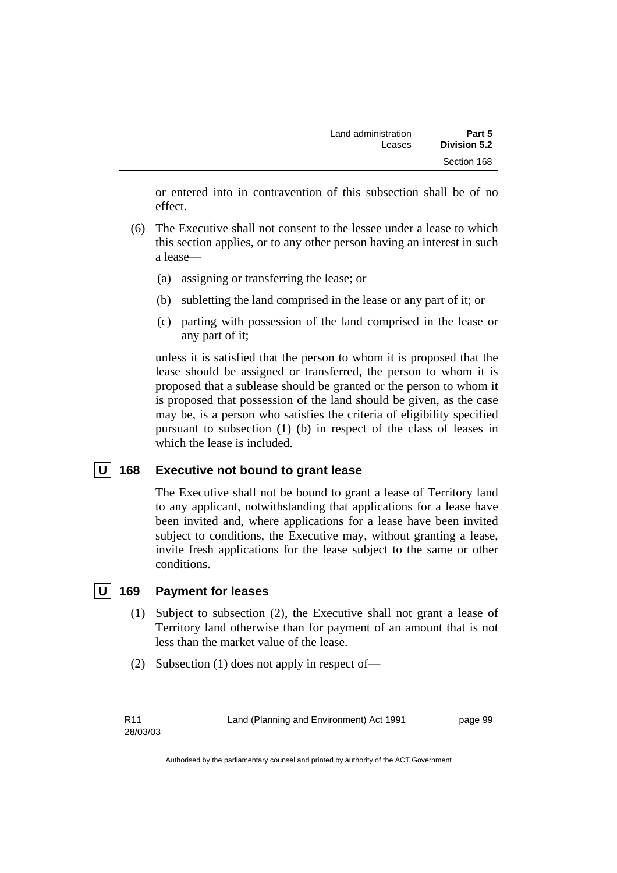| Land administration | Part 5              |
|---------------------|---------------------|
| Leases              | <b>Division 5.2</b> |
|                     | Section 168         |

or entered into in contravention of this subsection shall be of no effect.

- (6) The Executive shall not consent to the lessee under a lease to which this section applies, or to any other person having an interest in such a lease—
	- (a) assigning or transferring the lease; or
	- (b) subletting the land comprised in the lease or any part of it; or
	- (c) parting with possession of the land comprised in the lease or any part of it;

unless it is satisfied that the person to whom it is proposed that the lease should be assigned or transferred, the person to whom it is proposed that a sublease should be granted or the person to whom it is proposed that possession of the land should be given, as the case may be, is a person who satisfies the criteria of eligibility specified pursuant to subsection (1) (b) in respect of the class of leases in which the lease is included.

# **U** 168 Executive not bound to grant lease

The Executive shall not be bound to grant a lease of Territory land to any applicant, notwithstanding that applications for a lease have been invited and, where applications for a lease have been invited subject to conditions, the Executive may, without granting a lease, invite fresh applications for the lease subject to the same or other conditions.

# **U 169 Payment for leases**

- (1) Subject to subsection (2), the Executive shall not grant a lease of Territory land otherwise than for payment of an amount that is not less than the market value of the lease.
- (2) Subsection (1) does not apply in respect of—

R11 28/03/03 Land (Planning and Environment) Act 1991 page 99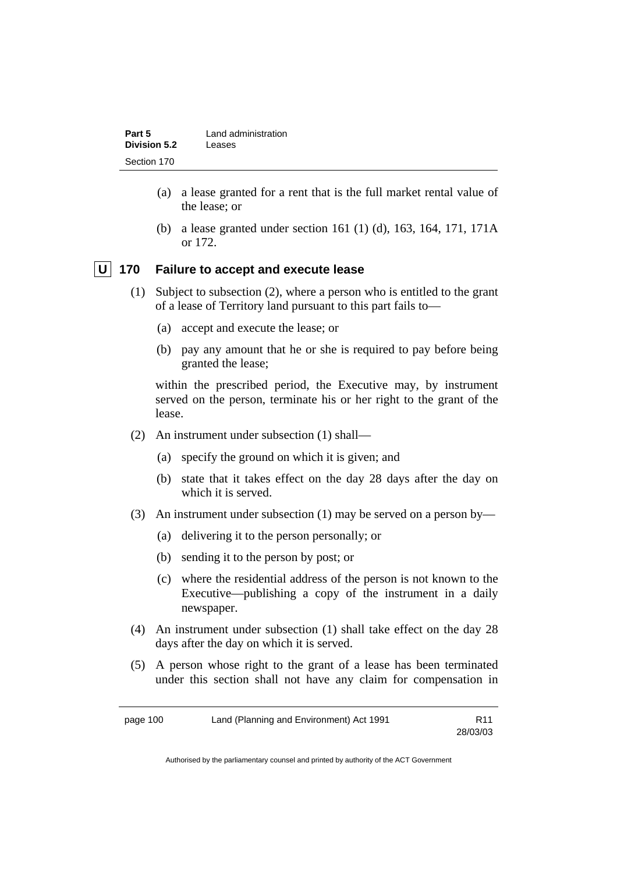| Part 5              | Land administration |
|---------------------|---------------------|
| <b>Division 5.2</b> | Leases              |
| Section 170         |                     |

- (a) a lease granted for a rent that is the full market rental value of the lease; or
- (b) a lease granted under section 161 (1) (d), 163, 164, 171, 171A or 172.

# **U 170 Failure to accept and execute lease**

- (1) Subject to subsection (2), where a person who is entitled to the grant of a lease of Territory land pursuant to this part fails to—
	- (a) accept and execute the lease; or
	- (b) pay any amount that he or she is required to pay before being granted the lease;

within the prescribed period, the Executive may, by instrument served on the person, terminate his or her right to the grant of the lease.

- (2) An instrument under subsection (1) shall—
	- (a) specify the ground on which it is given; and
	- (b) state that it takes effect on the day 28 days after the day on which it is served.
- (3) An instrument under subsection (1) may be served on a person by—
	- (a) delivering it to the person personally; or
	- (b) sending it to the person by post; or
	- (c) where the residential address of the person is not known to the Executive—publishing a copy of the instrument in a daily newspaper.
- (4) An instrument under subsection (1) shall take effect on the day 28 days after the day on which it is served.
- (5) A person whose right to the grant of a lease has been terminated under this section shall not have any claim for compensation in

page 100 Land (Planning and Environment) Act 1991

28/03/03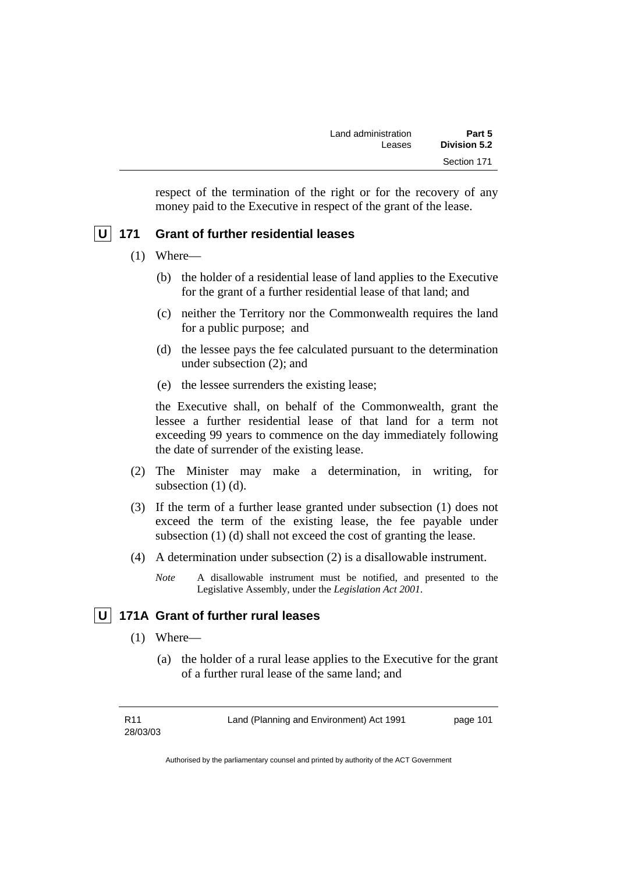| Land administration | Part 5       |
|---------------------|--------------|
| Leases              | Division 5.2 |
|                     | Section 171  |

respect of the termination of the right or for the recovery of any money paid to the Executive in respect of the grant of the lease.



### **U** 171 Grant of further residential leases

- (1) Where—
	- (b) the holder of a residential lease of land applies to the Executive for the grant of a further residential lease of that land; and
	- (c) neither the Territory nor the Commonwealth requires the land for a public purpose; and
	- (d) the lessee pays the fee calculated pursuant to the determination under subsection (2); and
	- (e) the lessee surrenders the existing lease;

the Executive shall, on behalf of the Commonwealth, grant the lessee a further residential lease of that land for a term not exceeding 99 years to commence on the day immediately following the date of surrender of the existing lease.

- (2) The Minister may make a determination, in writing, for subsection  $(1)$   $(d)$ .
- (3) If the term of a further lease granted under subsection (1) does not exceed the term of the existing lease, the fee payable under subsection (1) (d) shall not exceed the cost of granting the lease.
- (4) A determination under subsection (2) is a disallowable instrument.
	- *Note* A disallowable instrument must be notified, and presented to the Legislative Assembly, under the *Legislation Act 2001*.

# **U 171A Grant of further rural leases**

- (1) Where—
	- (a) the holder of a rural lease applies to the Executive for the grant of a further rural lease of the same land; and

R11 28/03/03 Land (Planning and Environment) Act 1991 page 101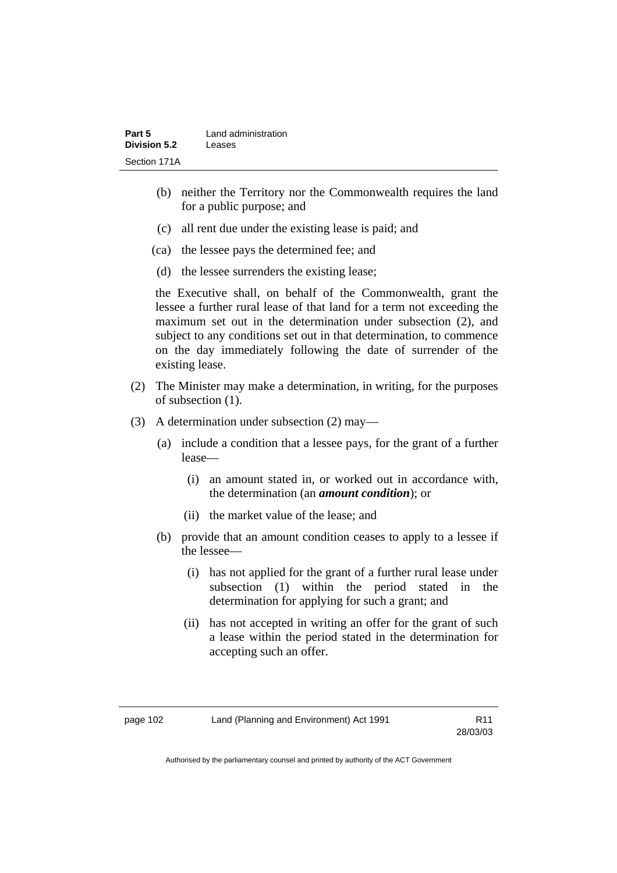| Part 5              | Land administration |
|---------------------|---------------------|
| <b>Division 5.2</b> | Leases              |
| Section 171A        |                     |

- (b) neither the Territory nor the Commonwealth requires the land for a public purpose; and
- (c) all rent due under the existing lease is paid; and
- (ca) the lessee pays the determined fee; and
- (d) the lessee surrenders the existing lease;

the Executive shall, on behalf of the Commonwealth, grant the lessee a further rural lease of that land for a term not exceeding the maximum set out in the determination under subsection (2), and subject to any conditions set out in that determination, to commence on the day immediately following the date of surrender of the existing lease.

- (2) The Minister may make a determination, in writing, for the purposes of subsection (1).
- (3) A determination under subsection (2) may—
	- (a) include a condition that a lessee pays, for the grant of a further lease—
		- (i) an amount stated in, or worked out in accordance with, the determination (an *amount condition*); or
		- (ii) the market value of the lease; and
	- (b) provide that an amount condition ceases to apply to a lessee if the lessee—
		- (i) has not applied for the grant of a further rural lease under subsection (1) within the period stated in the determination for applying for such a grant; and
		- (ii) has not accepted in writing an offer for the grant of such a lease within the period stated in the determination for accepting such an offer.

28/03/03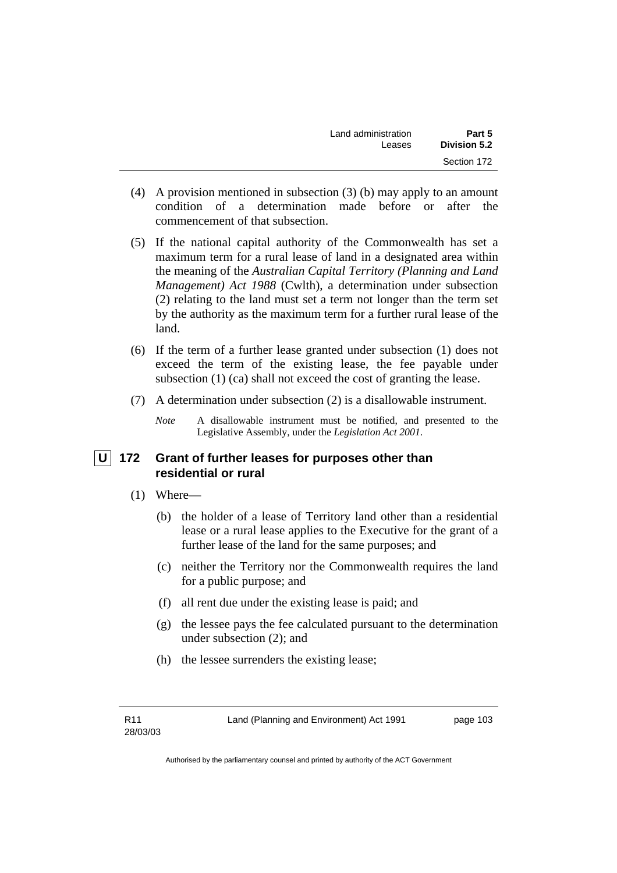| Land administration | Part 5              |
|---------------------|---------------------|
| Leases              | <b>Division 5.2</b> |
|                     | Section 172         |

- (4) A provision mentioned in subsection (3) (b) may apply to an amount condition of a determination made before or after the commencement of that subsection.
- (5) If the national capital authority of the Commonwealth has set a maximum term for a rural lease of land in a designated area within the meaning of the *Australian Capital Territory (Planning and Land Management) Act 1988* (Cwlth), a determination under subsection (2) relating to the land must set a term not longer than the term set by the authority as the maximum term for a further rural lease of the land.
- (6) If the term of a further lease granted under subsection (1) does not exceed the term of the existing lease, the fee payable under subsection (1) (ca) shall not exceed the cost of granting the lease.
- (7) A determination under subsection (2) is a disallowable instrument.
	- *Note* A disallowable instrument must be notified, and presented to the Legislative Assembly, under the *Legislation Act 2001*.

## **U** 172 Grant of further leases for purposes other than **residential or rural**

- (1) Where—
	- (b) the holder of a lease of Territory land other than a residential lease or a rural lease applies to the Executive for the grant of a further lease of the land for the same purposes; and
	- (c) neither the Territory nor the Commonwealth requires the land for a public purpose; and
	- (f) all rent due under the existing lease is paid; and
	- (g) the lessee pays the fee calculated pursuant to the determination under subsection (2); and
	- (h) the lessee surrenders the existing lease;

Land (Planning and Environment) Act 1991 page 103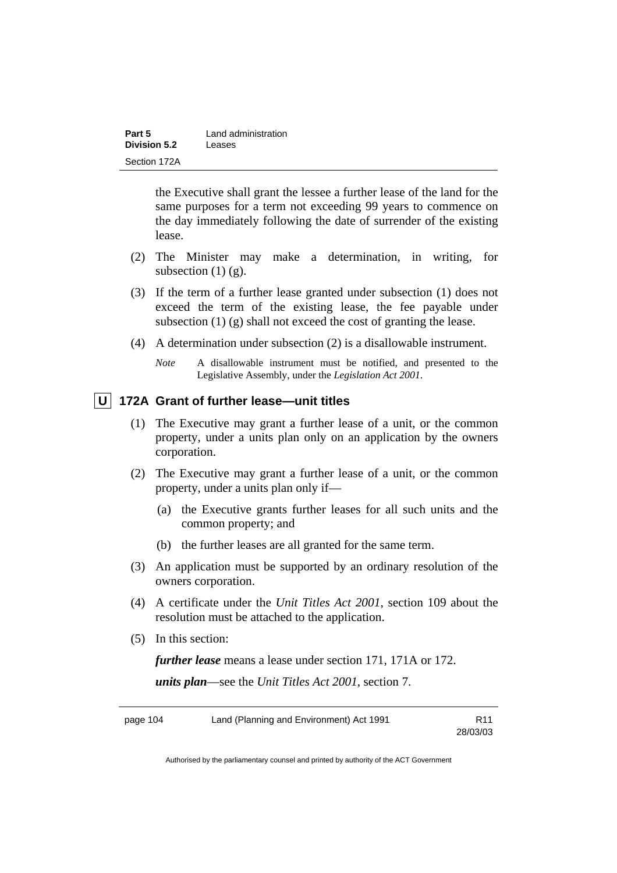| Part 5              | Land administration |
|---------------------|---------------------|
| <b>Division 5.2</b> | Leases              |
| Section 172A        |                     |

the Executive shall grant the lessee a further lease of the land for the same purposes for a term not exceeding 99 years to commence on the day immediately following the date of surrender of the existing lease.

- (2) The Minister may make a determination, in writing, for subsection  $(1)$   $(g)$ .
- (3) If the term of a further lease granted under subsection (1) does not exceed the term of the existing lease, the fee payable under subsection (1) (g) shall not exceed the cost of granting the lease.
- (4) A determination under subsection (2) is a disallowable instrument.
	- *Note* A disallowable instrument must be notified, and presented to the Legislative Assembly, under the *Legislation Act 2001*.

# **U 172A Grant of further lease—unit titles**

- (1) The Executive may grant a further lease of a unit, or the common property, under a units plan only on an application by the owners corporation.
- (2) The Executive may grant a further lease of a unit, or the common property, under a units plan only if—
	- (a) the Executive grants further leases for all such units and the common property; and
	- (b) the further leases are all granted for the same term.
- (3) An application must be supported by an ordinary resolution of the owners corporation.
- (4) A certificate under the *Unit Titles Act 2001*, section 109 about the resolution must be attached to the application.
- (5) In this section:

*further lease* means a lease under section 171, 171A or 172.

*units plan*—see the *Unit Titles Act 2001*, section 7.

page 104 Land (Planning and Environment) Act 1991

28/03/03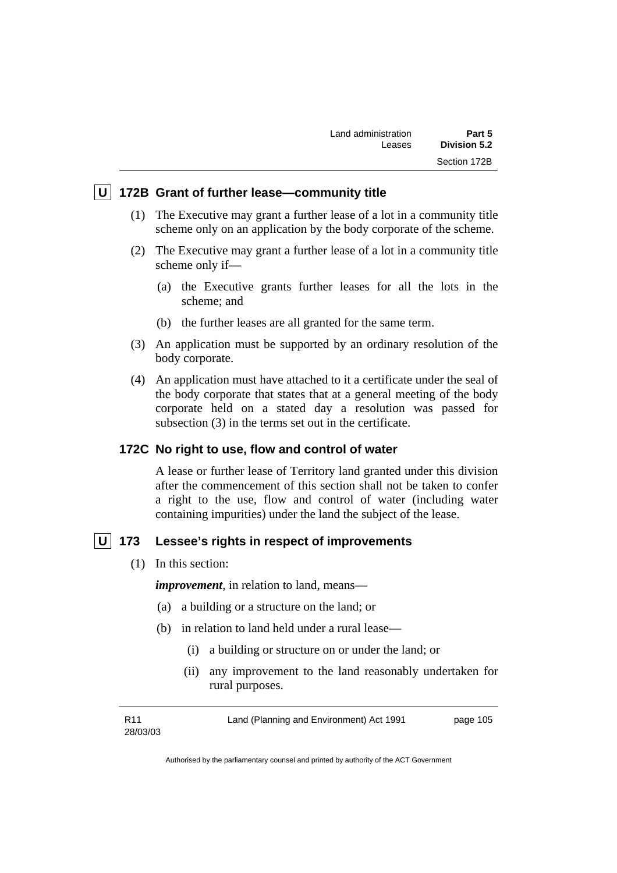| Land administration | Part 5              |
|---------------------|---------------------|
| Leases              | <b>Division 5.2</b> |
|                     | Section 172B        |

#### **U 172B Grant of further lease-community title**

- (1) The Executive may grant a further lease of a lot in a community title scheme only on an application by the body corporate of the scheme.
- (2) The Executive may grant a further lease of a lot in a community title scheme only if—
	- (a) the Executive grants further leases for all the lots in the scheme; and
	- (b) the further leases are all granted for the same term.
- (3) An application must be supported by an ordinary resolution of the body corporate.
- (4) An application must have attached to it a certificate under the seal of the body corporate that states that at a general meeting of the body corporate held on a stated day a resolution was passed for subsection (3) in the terms set out in the certificate.

#### **172C No right to use, flow and control of water**

A lease or further lease of Territory land granted under this division after the commencement of this section shall not be taken to confer a right to the use, flow and control of water (including water containing impurities) under the land the subject of the lease.

# *U* 173 Lessee's rights in respect of improvements

(1) In this section:

*improvement*, in relation to land, means—

- (a) a building or a structure on the land; or
- (b) in relation to land held under a rural lease—
	- (i) a building or structure on or under the land; or
	- (ii) any improvement to the land reasonably undertaken for rural purposes.

R11 28/03/03 Land (Planning and Environment) Act 1991 page 105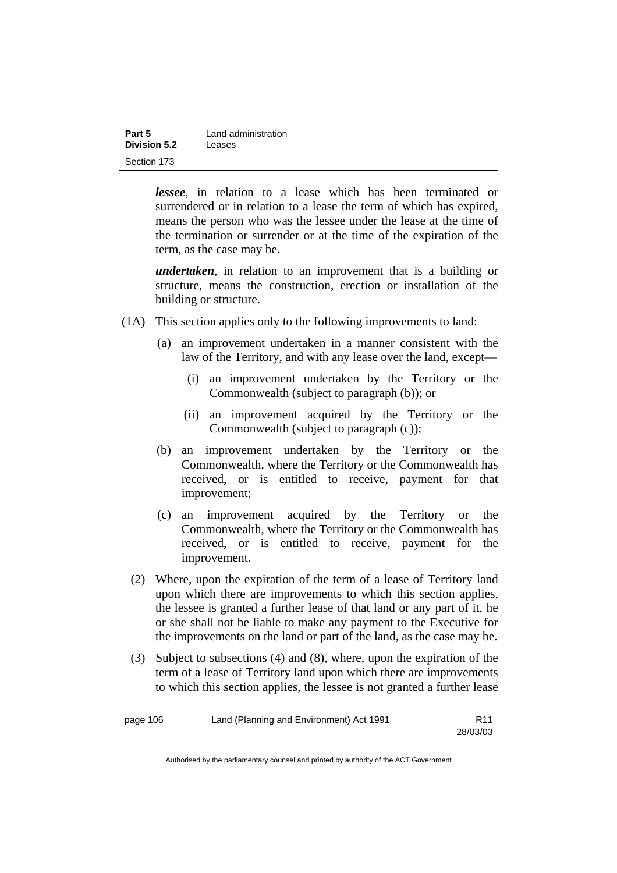| Part 5              | Land administration |
|---------------------|---------------------|
| <b>Division 5.2</b> | Leases              |
| Section 173         |                     |

*lessee*, in relation to a lease which has been terminated or surrendered or in relation to a lease the term of which has expired, means the person who was the lessee under the lease at the time of the termination or surrender or at the time of the expiration of the term, as the case may be.

*undertaken*, in relation to an improvement that is a building or structure, means the construction, erection or installation of the building or structure.

- (1A) This section applies only to the following improvements to land:
	- (a) an improvement undertaken in a manner consistent with the law of the Territory, and with any lease over the land, except—
		- (i) an improvement undertaken by the Territory or the Commonwealth (subject to paragraph (b)); or
		- (ii) an improvement acquired by the Territory or the Commonwealth (subject to paragraph (c));
	- (b) an improvement undertaken by the Territory or the Commonwealth, where the Territory or the Commonwealth has received, or is entitled to receive, payment for that improvement;
	- (c) an improvement acquired by the Territory or the Commonwealth, where the Territory or the Commonwealth has received, or is entitled to receive, payment for the improvement.
	- (2) Where, upon the expiration of the term of a lease of Territory land upon which there are improvements to which this section applies, the lessee is granted a further lease of that land or any part of it, he or she shall not be liable to make any payment to the Executive for the improvements on the land or part of the land, as the case may be.
	- (3) Subject to subsections (4) and (8), where, upon the expiration of the term of a lease of Territory land upon which there are improvements to which this section applies, the lessee is not granted a further lease

| page 106 | Land (Planning and Environment) Act 1991 | R <sub>11</sub> |
|----------|------------------------------------------|-----------------|
|          |                                          | 28/03/03        |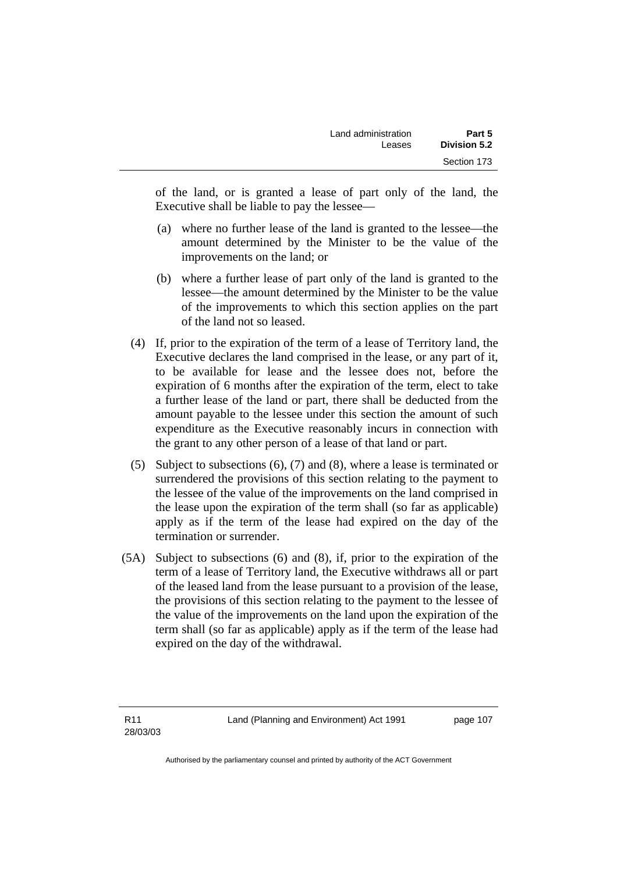of the land, or is granted a lease of part only of the land, the Executive shall be liable to pay the lessee—

- (a) where no further lease of the land is granted to the lessee—the amount determined by the Minister to be the value of the improvements on the land; or
- (b) where a further lease of part only of the land is granted to the lessee—the amount determined by the Minister to be the value of the improvements to which this section applies on the part of the land not so leased.
- (4) If, prior to the expiration of the term of a lease of Territory land, the Executive declares the land comprised in the lease, or any part of it, to be available for lease and the lessee does not, before the expiration of 6 months after the expiration of the term, elect to take a further lease of the land or part, there shall be deducted from the amount payable to the lessee under this section the amount of such expenditure as the Executive reasonably incurs in connection with the grant to any other person of a lease of that land or part.
- (5) Subject to subsections (6), (7) and (8), where a lease is terminated or surrendered the provisions of this section relating to the payment to the lessee of the value of the improvements on the land comprised in the lease upon the expiration of the term shall (so far as applicable) apply as if the term of the lease had expired on the day of the termination or surrender.
- (5A) Subject to subsections (6) and (8), if, prior to the expiration of the term of a lease of Territory land, the Executive withdraws all or part of the leased land from the lease pursuant to a provision of the lease, the provisions of this section relating to the payment to the lessee of the value of the improvements on the land upon the expiration of the term shall (so far as applicable) apply as if the term of the lease had expired on the day of the withdrawal.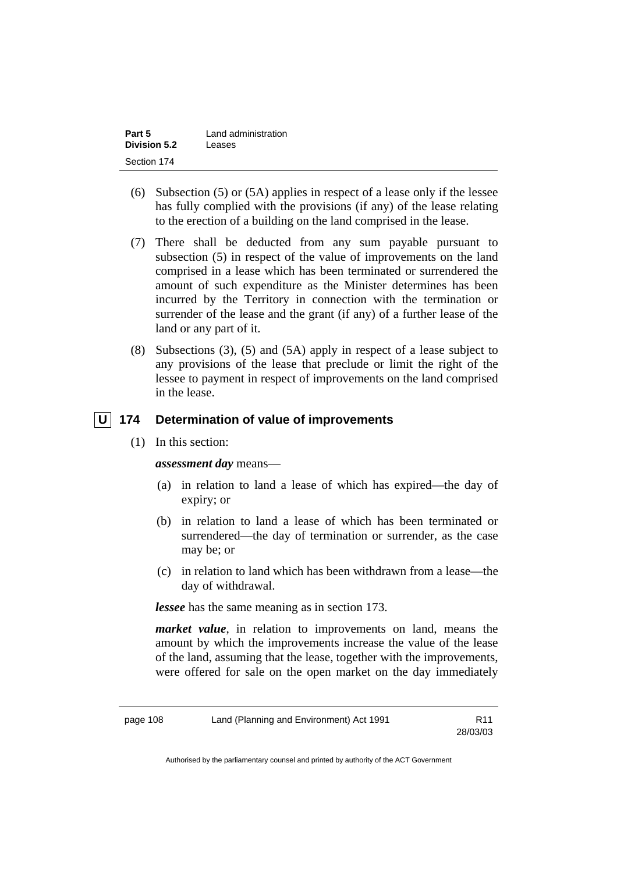| Part 5              | Land administration |
|---------------------|---------------------|
| <b>Division 5.2</b> | Leases              |
| Section 174         |                     |

- (6) Subsection (5) or (5A) applies in respect of a lease only if the lessee has fully complied with the provisions (if any) of the lease relating to the erection of a building on the land comprised in the lease.
- (7) There shall be deducted from any sum payable pursuant to subsection (5) in respect of the value of improvements on the land comprised in a lease which has been terminated or surrendered the amount of such expenditure as the Minister determines has been incurred by the Territory in connection with the termination or surrender of the lease and the grant (if any) of a further lease of the land or any part of it.
- (8) Subsections (3), (5) and (5A) apply in respect of a lease subject to any provisions of the lease that preclude or limit the right of the lessee to payment in respect of improvements on the land comprised in the lease.

# **U** 174 Determination of value of improvements

(1) In this section:

*assessment day* means—

- (a) in relation to land a lease of which has expired—the day of expiry; or
- (b) in relation to land a lease of which has been terminated or surrendered—the day of termination or surrender, as the case may be; or
- (c) in relation to land which has been withdrawn from a lease—the day of withdrawal.

*lessee* has the same meaning as in section 173.

*market value*, in relation to improvements on land, means the amount by which the improvements increase the value of the lease of the land, assuming that the lease, together with the improvements, were offered for sale on the open market on the day immediately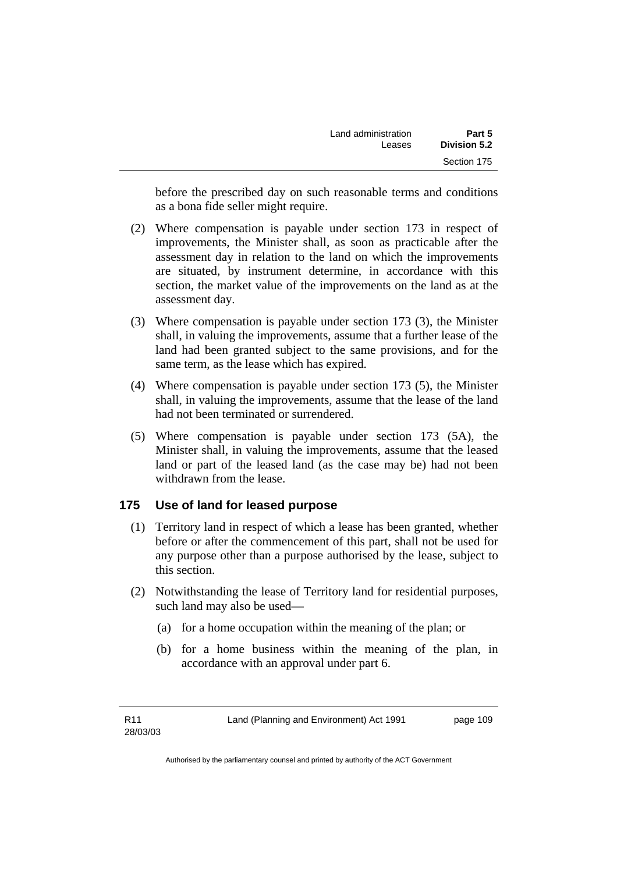| Land administration | Part 5<br><b>Division 5.2</b> |
|---------------------|-------------------------------|
| Leases              |                               |
|                     | Section 175                   |

before the prescribed day on such reasonable terms and conditions as a bona fide seller might require.

- (2) Where compensation is payable under section 173 in respect of improvements, the Minister shall, as soon as practicable after the assessment day in relation to the land on which the improvements are situated, by instrument determine, in accordance with this section, the market value of the improvements on the land as at the assessment day.
- (3) Where compensation is payable under section 173 (3), the Minister shall, in valuing the improvements, assume that a further lease of the land had been granted subject to the same provisions, and for the same term, as the lease which has expired.
- (4) Where compensation is payable under section 173 (5), the Minister shall, in valuing the improvements, assume that the lease of the land had not been terminated or surrendered.
- (5) Where compensation is payable under section 173 (5A), the Minister shall, in valuing the improvements, assume that the leased land or part of the leased land (as the case may be) had not been withdrawn from the lease.

# **175 Use of land for leased purpose**

- (1) Territory land in respect of which a lease has been granted, whether before or after the commencement of this part, shall not be used for any purpose other than a purpose authorised by the lease, subject to this section.
- (2) Notwithstanding the lease of Territory land for residential purposes, such land may also be used—
	- (a) for a home occupation within the meaning of the plan; or
	- (b) for a home business within the meaning of the plan, in accordance with an approval under part 6.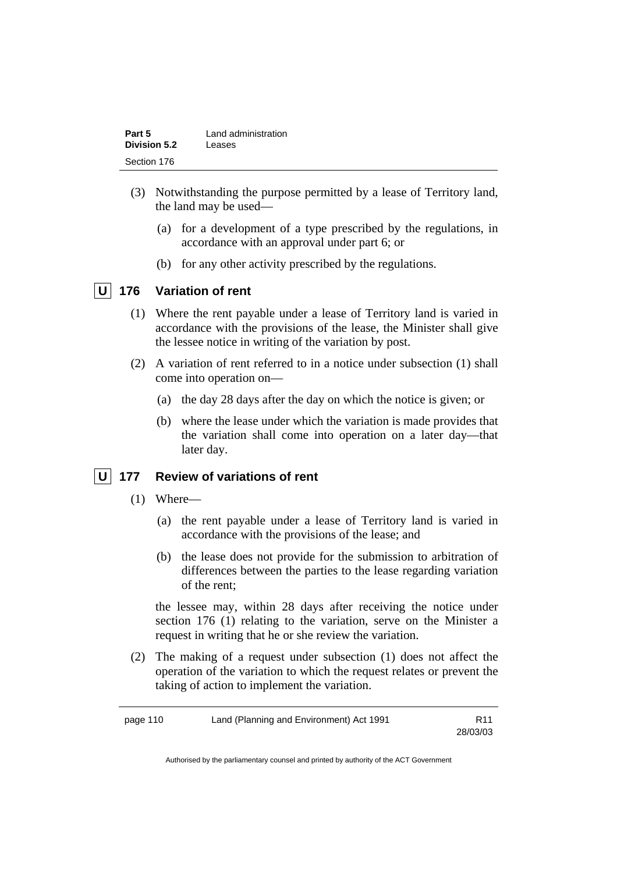| Part 5       | Land administration |
|--------------|---------------------|
| Division 5.2 | Leases              |
| Section 176  |                     |

- (3) Notwithstanding the purpose permitted by a lease of Territory land, the land may be used—
	- (a) for a development of a type prescribed by the regulations, in accordance with an approval under part 6; or
	- (b) for any other activity prescribed by the regulations.

# **U 176 Variation of rent**

- (1) Where the rent payable under a lease of Territory land is varied in accordance with the provisions of the lease, the Minister shall give the lessee notice in writing of the variation by post.
- (2) A variation of rent referred to in a notice under subsection (1) shall come into operation on—
	- (a) the day 28 days after the day on which the notice is given; or
	- (b) where the lease under which the variation is made provides that the variation shall come into operation on a later day—that later day.

# **U 177 Review of variations of rent**

- (1) Where—
	- (a) the rent payable under a lease of Territory land is varied in accordance with the provisions of the lease; and
	- (b) the lease does not provide for the submission to arbitration of differences between the parties to the lease regarding variation of the rent;

the lessee may, within 28 days after receiving the notice under section 176 (1) relating to the variation, serve on the Minister a request in writing that he or she review the variation.

 (2) The making of a request under subsection (1) does not affect the operation of the variation to which the request relates or prevent the taking of action to implement the variation.

| page 110 | Land (Planning and Environment) Act 1991 | R <sub>11</sub> |
|----------|------------------------------------------|-----------------|
|          |                                          | 28/03/03        |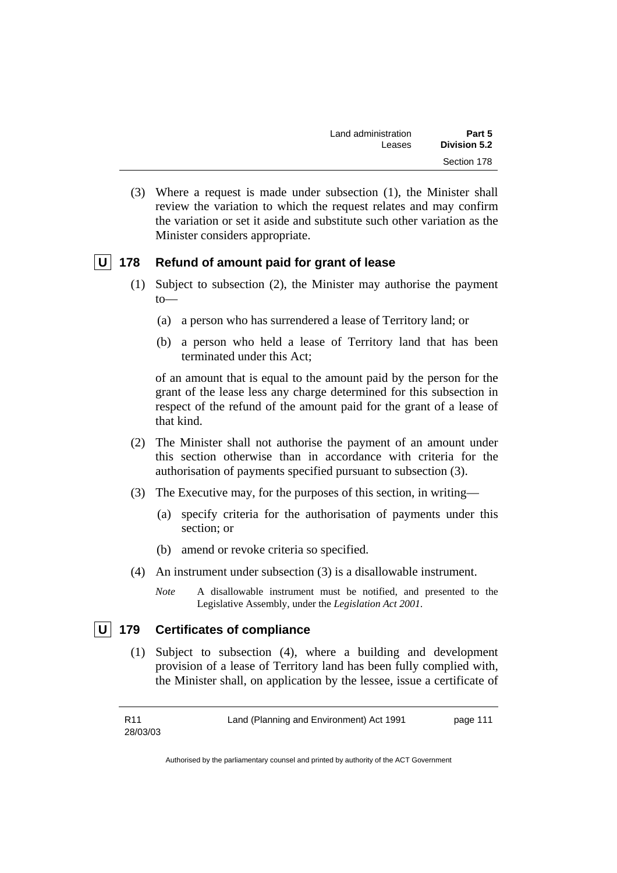| Land administration | Part 5       |
|---------------------|--------------|
| Leases              | Division 5.2 |
|                     | Section 178  |

 (3) Where a request is made under subsection (1), the Minister shall review the variation to which the request relates and may confirm the variation or set it aside and substitute such other variation as the Minister considers appropriate.

# **U** 178 Refund of amount paid for grant of lease

- (1) Subject to subsection (2), the Minister may authorise the payment to—
	- (a) a person who has surrendered a lease of Territory land; or
	- (b) a person who held a lease of Territory land that has been terminated under this Act;

of an amount that is equal to the amount paid by the person for the grant of the lease less any charge determined for this subsection in respect of the refund of the amount paid for the grant of a lease of that kind.

- (2) The Minister shall not authorise the payment of an amount under this section otherwise than in accordance with criteria for the authorisation of payments specified pursuant to subsection (3).
- (3) The Executive may, for the purposes of this section, in writing—
	- (a) specify criteria for the authorisation of payments under this section; or
	- (b) amend or revoke criteria so specified.
- (4) An instrument under subsection (3) is a disallowable instrument.
	- *Note* A disallowable instrument must be notified, and presented to the Legislative Assembly, under the *Legislation Act 2001*.

# **U 179 Certificates of compliance**

 (1) Subject to subsection (4), where a building and development provision of a lease of Territory land has been fully complied with, the Minister shall, on application by the lessee, issue a certificate of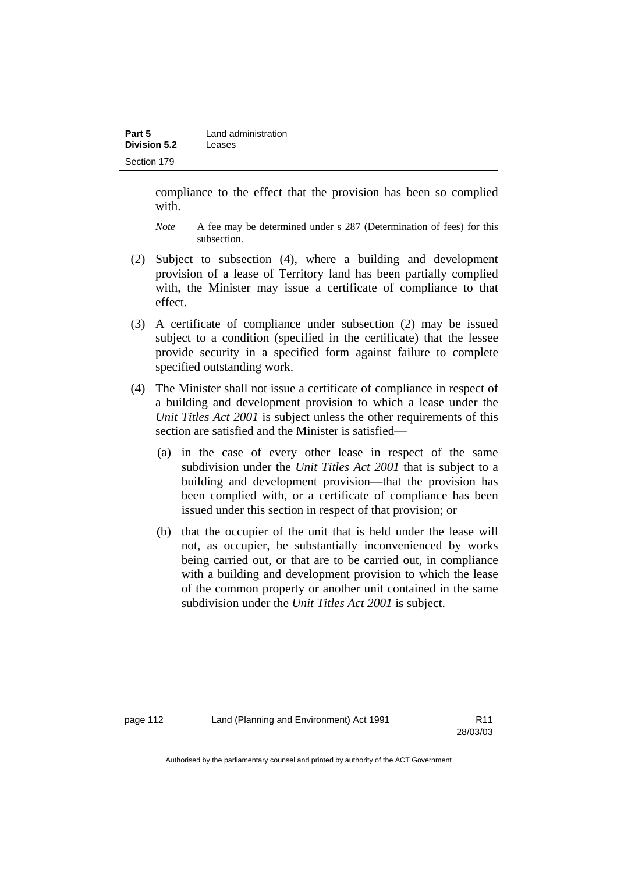| Part 5              | Land administration |
|---------------------|---------------------|
| <b>Division 5.2</b> | Leases              |
| Section 179         |                     |

compliance to the effect that the provision has been so complied with.

*Note* A fee may be determined under s 287 (Determination of fees) for this subsection.

- (2) Subject to subsection (4), where a building and development provision of a lease of Territory land has been partially complied with, the Minister may issue a certificate of compliance to that effect.
- (3) A certificate of compliance under subsection (2) may be issued subject to a condition (specified in the certificate) that the lessee provide security in a specified form against failure to complete specified outstanding work.
- (4) The Minister shall not issue a certificate of compliance in respect of a building and development provision to which a lease under the *Unit Titles Act 2001* is subject unless the other requirements of this section are satisfied and the Minister is satisfied—
	- (a) in the case of every other lease in respect of the same subdivision under the *Unit Titles Act 2001* that is subject to a building and development provision—that the provision has been complied with, or a certificate of compliance has been issued under this section in respect of that provision; or
	- (b) that the occupier of the unit that is held under the lease will not, as occupier, be substantially inconvenienced by works being carried out, or that are to be carried out, in compliance with a building and development provision to which the lease of the common property or another unit contained in the same subdivision under the *Unit Titles Act 2001* is subject.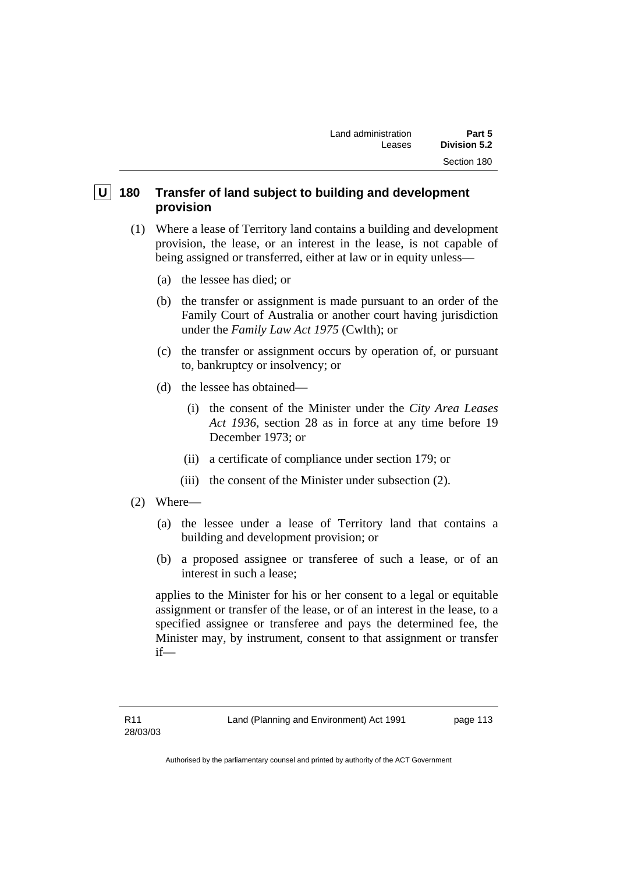# **U** 180 Transfer of land subject to building and development **provision**

- (1) Where a lease of Territory land contains a building and development provision, the lease, or an interest in the lease, is not capable of being assigned or transferred, either at law or in equity unless—
	- (a) the lessee has died; or
	- (b) the transfer or assignment is made pursuant to an order of the Family Court of Australia or another court having jurisdiction under the *Family Law Act 1975* (Cwlth); or
	- (c) the transfer or assignment occurs by operation of, or pursuant to, bankruptcy or insolvency; or
	- (d) the lessee has obtained—
		- (i) the consent of the Minister under the *City Area Leases Act 1936*, section 28 as in force at any time before 19 December 1973; or
		- (ii) a certificate of compliance under section 179; or
		- (iii) the consent of the Minister under subsection (2).
- (2) Where—
	- (a) the lessee under a lease of Territory land that contains a building and development provision; or
	- (b) a proposed assignee or transferee of such a lease, or of an interest in such a lease;

applies to the Minister for his or her consent to a legal or equitable assignment or transfer of the lease, or of an interest in the lease, to a specified assignee or transferee and pays the determined fee, the Minister may, by instrument, consent to that assignment or transfer if—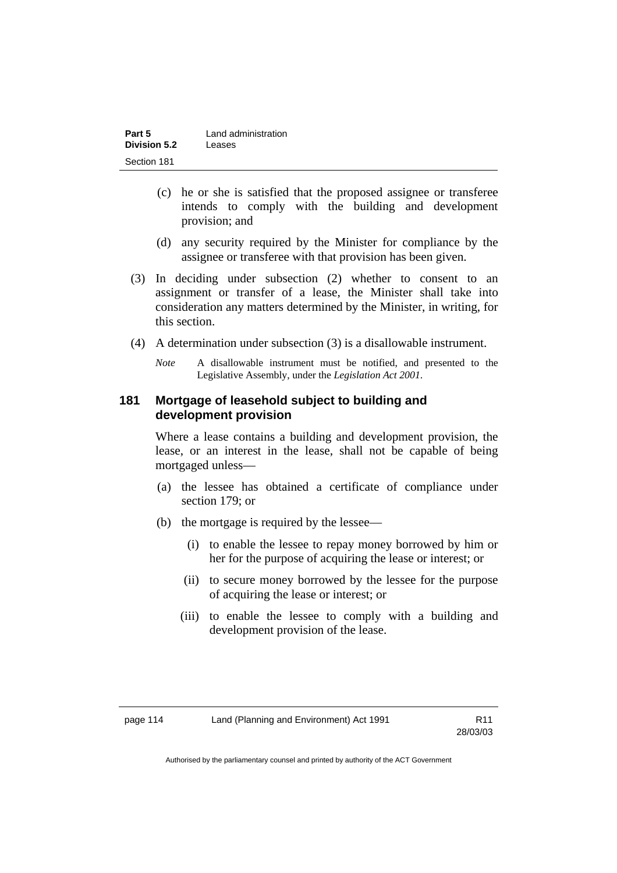| Part 5              | Land administration |
|---------------------|---------------------|
| <b>Division 5.2</b> | Leases              |
| Section 181         |                     |

- (c) he or she is satisfied that the proposed assignee or transferee intends to comply with the building and development provision; and
- (d) any security required by the Minister for compliance by the assignee or transferee with that provision has been given.
- (3) In deciding under subsection (2) whether to consent to an assignment or transfer of a lease, the Minister shall take into consideration any matters determined by the Minister, in writing, for this section.
- (4) A determination under subsection (3) is a disallowable instrument.
	- *Note* A disallowable instrument must be notified, and presented to the Legislative Assembly, under the *Legislation Act 2001*.

#### **181 Mortgage of leasehold subject to building and development provision**

Where a lease contains a building and development provision, the lease, or an interest in the lease, shall not be capable of being mortgaged unless—

- (a) the lessee has obtained a certificate of compliance under section 179; or
- (b) the mortgage is required by the lessee—
	- (i) to enable the lessee to repay money borrowed by him or her for the purpose of acquiring the lease or interest; or
	- (ii) to secure money borrowed by the lessee for the purpose of acquiring the lease or interest; or
	- (iii) to enable the lessee to comply with a building and development provision of the lease.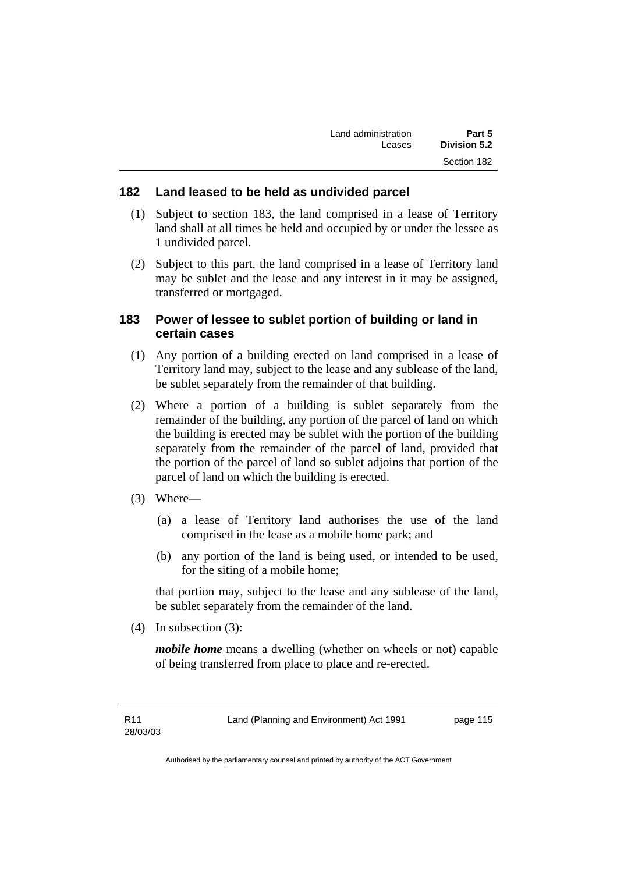| Land administration | Part 5              |
|---------------------|---------------------|
| Leases              | <b>Division 5.2</b> |
|                     | Section 182         |

#### **182 Land leased to be held as undivided parcel**

- (1) Subject to section 183, the land comprised in a lease of Territory land shall at all times be held and occupied by or under the lessee as 1 undivided parcel.
- (2) Subject to this part, the land comprised in a lease of Territory land may be sublet and the lease and any interest in it may be assigned, transferred or mortgaged.

### **183 Power of lessee to sublet portion of building or land in certain cases**

- (1) Any portion of a building erected on land comprised in a lease of Territory land may, subject to the lease and any sublease of the land, be sublet separately from the remainder of that building.
- (2) Where a portion of a building is sublet separately from the remainder of the building, any portion of the parcel of land on which the building is erected may be sublet with the portion of the building separately from the remainder of the parcel of land, provided that the portion of the parcel of land so sublet adjoins that portion of the parcel of land on which the building is erected.
- (3) Where—
	- (a) a lease of Territory land authorises the use of the land comprised in the lease as a mobile home park; and
	- (b) any portion of the land is being used, or intended to be used, for the siting of a mobile home;

that portion may, subject to the lease and any sublease of the land, be sublet separately from the remainder of the land.

(4) In subsection (3):

*mobile home* means a dwelling (whether on wheels or not) capable of being transferred from place to place and re-erected.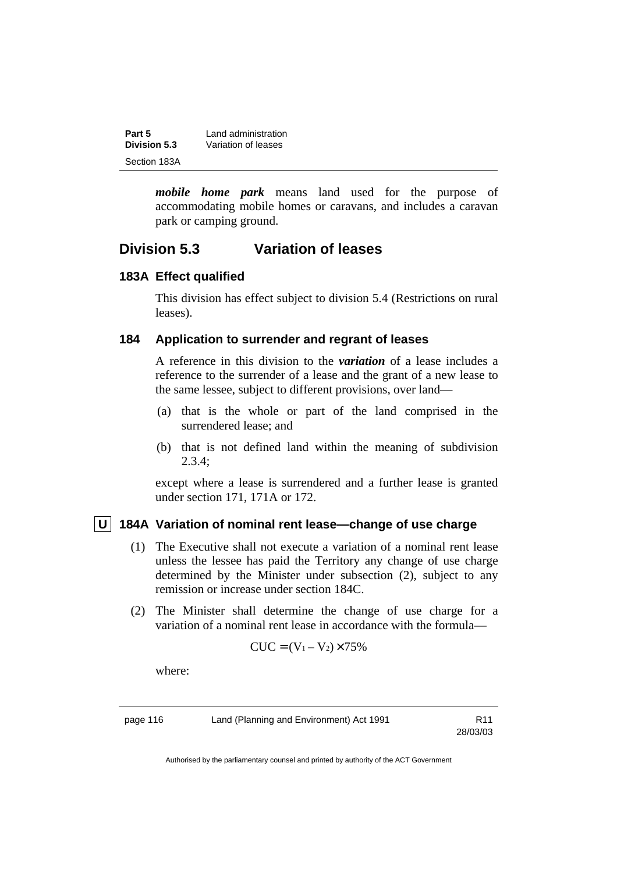| Part 5       | Land administration |
|--------------|---------------------|
| Division 5.3 | Variation of leases |
| Section 183A |                     |

*mobile home park* means land used for the purpose of accommodating mobile homes or caravans, and includes a caravan park or camping ground.

# **Division 5.3 Variation of leases**

#### **183A Effect qualified**

This division has effect subject to division 5.4 (Restrictions on rural leases).

#### **184 Application to surrender and regrant of leases**

A reference in this division to the *variation* of a lease includes a reference to the surrender of a lease and the grant of a new lease to the same lessee, subject to different provisions, over land—

- (a) that is the whole or part of the land comprised in the surrendered lease; and
- (b) that is not defined land within the meaning of subdivision 2.3.4;

except where a lease is surrendered and a further lease is granted under section 171, 171A or 172.

# *U* **184A Variation of nominal rent lease—change of use charge**

- (1) The Executive shall not execute a variation of a nominal rent lease unless the lessee has paid the Territory any change of use charge determined by the Minister under subsection (2), subject to any remission or increase under section 184C.
- (2) The Minister shall determine the change of use charge for a variation of a nominal rent lease in accordance with the formula—

$$
CUC = (V_1 - V_2) \times 75\%
$$

where:

page 116 Land (Planning and Environment) Act 1991

28/03/03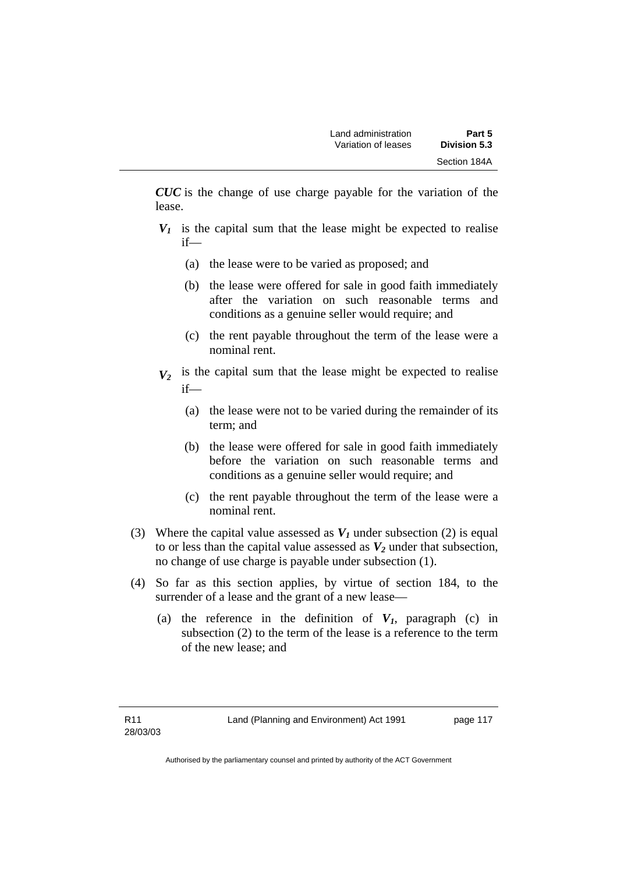*CUC* is the change of use charge payable for the variation of the lease.

- $V_1$  is the capital sum that the lease might be expected to realise if—
	- (a) the lease were to be varied as proposed; and
	- (b) the lease were offered for sale in good faith immediately after the variation on such reasonable terms and conditions as a genuine seller would require; and
	- (c) the rent payable throughout the term of the lease were a nominal rent.
- $V_2$  is the capital sum that the lease might be expected to realise if—
	- (a) the lease were not to be varied during the remainder of its term; and
	- (b) the lease were offered for sale in good faith immediately before the variation on such reasonable terms and conditions as a genuine seller would require; and
	- (c) the rent payable throughout the term of the lease were a nominal rent.
- (3) Where the capital value assessed as  $V_I$  under subsection (2) is equal to or less than the capital value assessed as  $V_2$  under that subsection, no change of use charge is payable under subsection (1).
- (4) So far as this section applies, by virtue of section 184, to the surrender of a lease and the grant of a new lease—
	- (a) the reference in the definition of  $V_I$ , paragraph (c) in subsection (2) to the term of the lease is a reference to the term of the new lease; and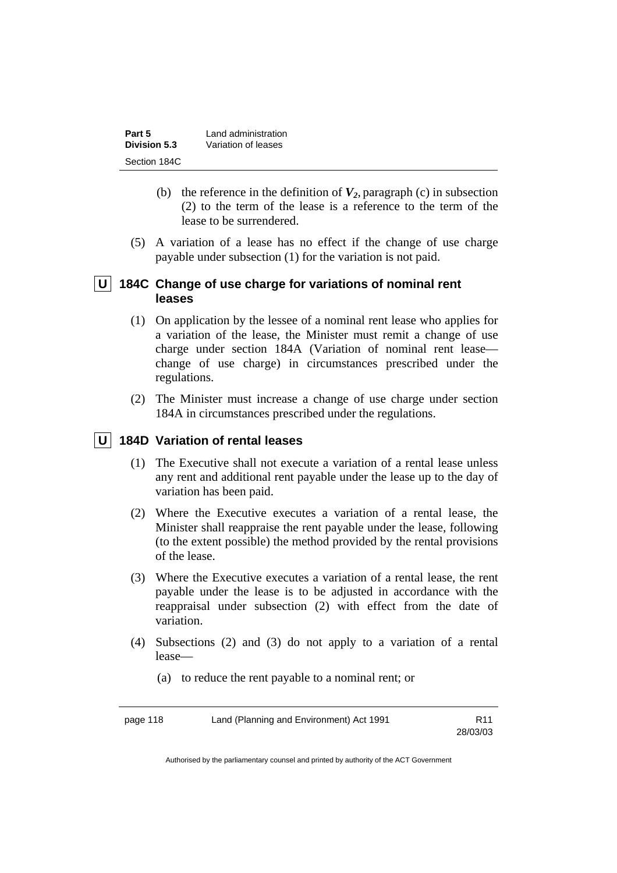| Part 5       | Land administration |
|--------------|---------------------|
| Division 5.3 | Variation of leases |
| Section 184C |                     |

- (b) the reference in the definition of  $V_2$ , paragraph (c) in subsection (2) to the term of the lease is a reference to the term of the lease to be surrendered.
- (5) A variation of a lease has no effect if the change of use charge payable under subsection (1) for the variation is not paid.

## **U** 184C Change of use charge for variations of nominal rent **leases**

- (1) On application by the lessee of a nominal rent lease who applies for a variation of the lease, the Minister must remit a change of use charge under section 184A (Variation of nominal rent lease change of use charge) in circumstances prescribed under the regulations.
- (2) The Minister must increase a change of use charge under section 184A in circumstances prescribed under the regulations.

# **U 184D Variation of rental leases**

- (1) The Executive shall not execute a variation of a rental lease unless any rent and additional rent payable under the lease up to the day of variation has been paid.
- (2) Where the Executive executes a variation of a rental lease, the Minister shall reappraise the rent payable under the lease, following (to the extent possible) the method provided by the rental provisions of the lease.
- (3) Where the Executive executes a variation of a rental lease, the rent payable under the lease is to be adjusted in accordance with the reappraisal under subsection (2) with effect from the date of variation.
- (4) Subsections (2) and (3) do not apply to a variation of a rental lease—
	- (a) to reduce the rent payable to a nominal rent; or

page 118 Land (Planning and Environment) Act 1991

28/03/03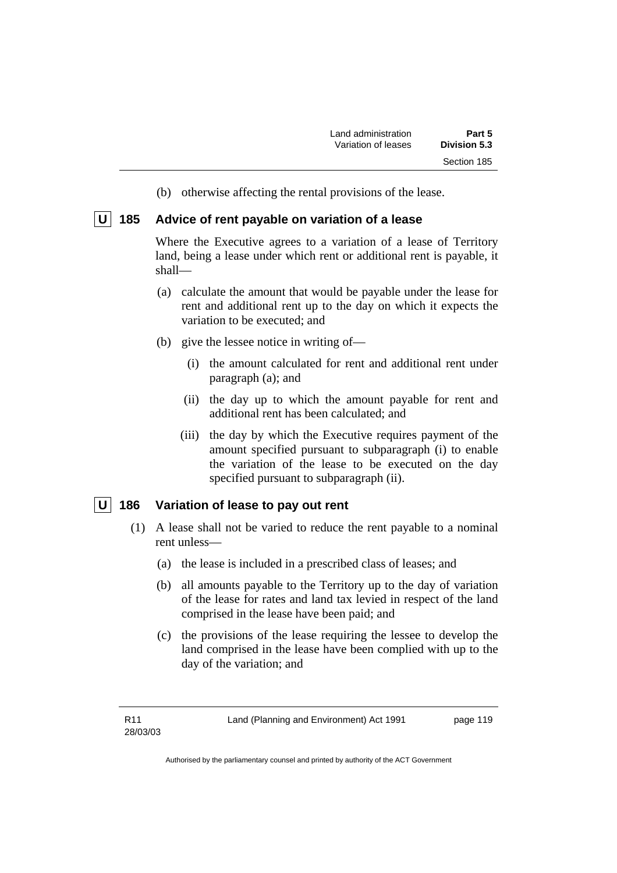(b) otherwise affecting the rental provisions of the lease.

# **U** 185 Advice of rent payable on variation of a lease

Where the Executive agrees to a variation of a lease of Territory land, being a lease under which rent or additional rent is payable, it shall—

- (a) calculate the amount that would be payable under the lease for rent and additional rent up to the day on which it expects the variation to be executed; and
- (b) give the lessee notice in writing of—
	- (i) the amount calculated for rent and additional rent under paragraph (a); and
	- (ii) the day up to which the amount payable for rent and additional rent has been calculated; and
	- (iii) the day by which the Executive requires payment of the amount specified pursuant to subparagraph (i) to enable the variation of the lease to be executed on the day specified pursuant to subparagraph (ii).

# **U 186 Variation of lease to pay out rent**

- (1) A lease shall not be varied to reduce the rent payable to a nominal rent unless—
	- (a) the lease is included in a prescribed class of leases; and
	- (b) all amounts payable to the Territory up to the day of variation of the lease for rates and land tax levied in respect of the land comprised in the lease have been paid; and
	- (c) the provisions of the lease requiring the lessee to develop the land comprised in the lease have been complied with up to the day of the variation; and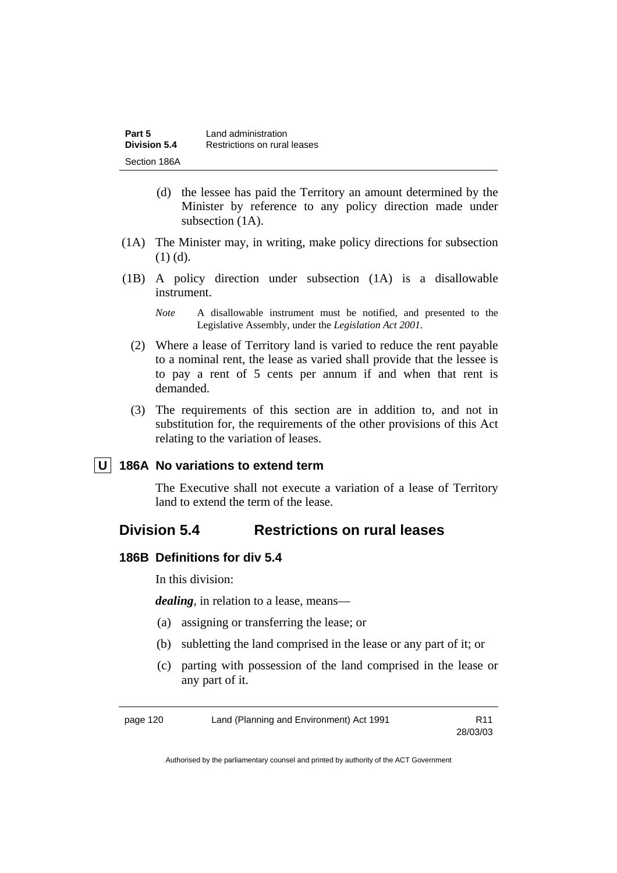| Part 5              | Land administration          |
|---------------------|------------------------------|
| <b>Division 5.4</b> | Restrictions on rural leases |
| Section 186A        |                              |

- (d) the lessee has paid the Territory an amount determined by the Minister by reference to any policy direction made under subsection  $(1A)$ .
- (1A) The Minister may, in writing, make policy directions for subsection (1) (d).
- (1B) A policy direction under subsection (1A) is a disallowable instrument.

*Note* A disallowable instrument must be notified, and presented to the Legislative Assembly, under the *Legislation Act 2001*.

- (2) Where a lease of Territory land is varied to reduce the rent payable to a nominal rent, the lease as varied shall provide that the lessee is to pay a rent of 5 cents per annum if and when that rent is demanded.
- (3) The requirements of this section are in addition to, and not in substitution for, the requirements of the other provisions of this Act relating to the variation of leases.

# **U 186A No variations to extend term**

The Executive shall not execute a variation of a lease of Territory land to extend the term of the lease.

# **Division 5.4 Restrictions on rural leases**

#### **186B Definitions for div 5.4**

In this division:

*dealing*, in relation to a lease, means—

- (a) assigning or transferring the lease; or
- (b) subletting the land comprised in the lease or any part of it; or
- (c) parting with possession of the land comprised in the lease or any part of it.

| page 120 | Land (Planning and Environment) Act 1991 | R <sub>11</sub> |
|----------|------------------------------------------|-----------------|
|          |                                          | 28/03/03        |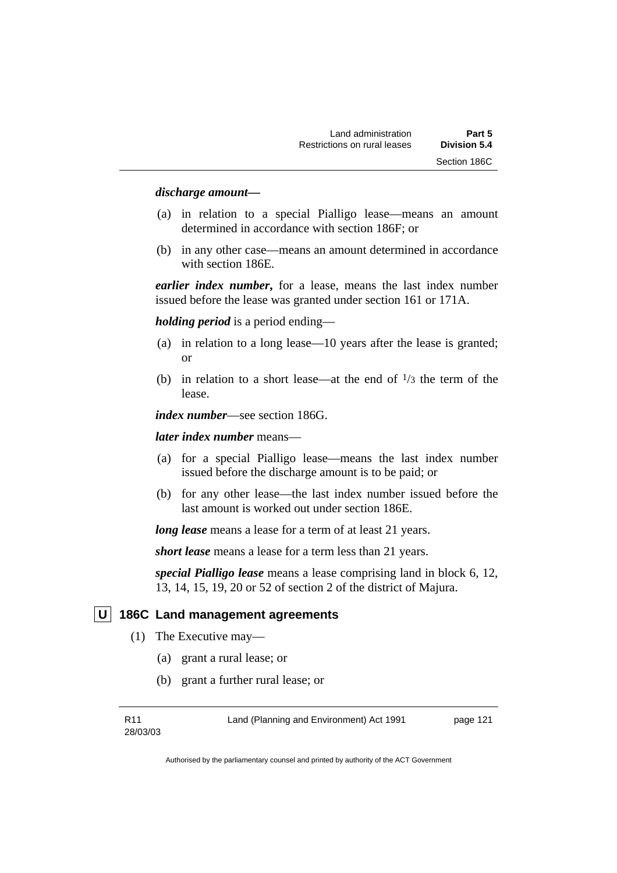#### *discharge amount—*

- (a) in relation to a special Pialligo lease—means an amount determined in accordance with section 186F; or
- (b) in any other case—means an amount determined in accordance with section 186E.

*earlier index number***,** for a lease, means the last index number issued before the lease was granted under section 161 or 171A.

*holding period* is a period ending—

- (a) in relation to a long lease—10 years after the lease is granted; or
- (b) in relation to a short lease—at the end of  $\frac{1}{3}$  the term of the lease.

*index number*—see section 186G.

*later index number* means—

- (a) for a special Pialligo lease—means the last index number issued before the discharge amount is to be paid; or
- (b) for any other lease—the last index number issued before the last amount is worked out under section 186E.

*long lease* means a lease for a term of at least 21 years.

*short lease* means a lease for a term less than 21 years.

*special Pialligo lease* means a lease comprising land in block 6, 12, 13, 14, 15, 19, 20 or 52 of section 2 of the district of Majura.

# **U 186C Land management agreements**

- (1) The Executive may—
	- (a) grant a rural lease; or
	- (b) grant a further rural lease; or

R11 28/03/03 Land (Planning and Environment) Act 1991 page 121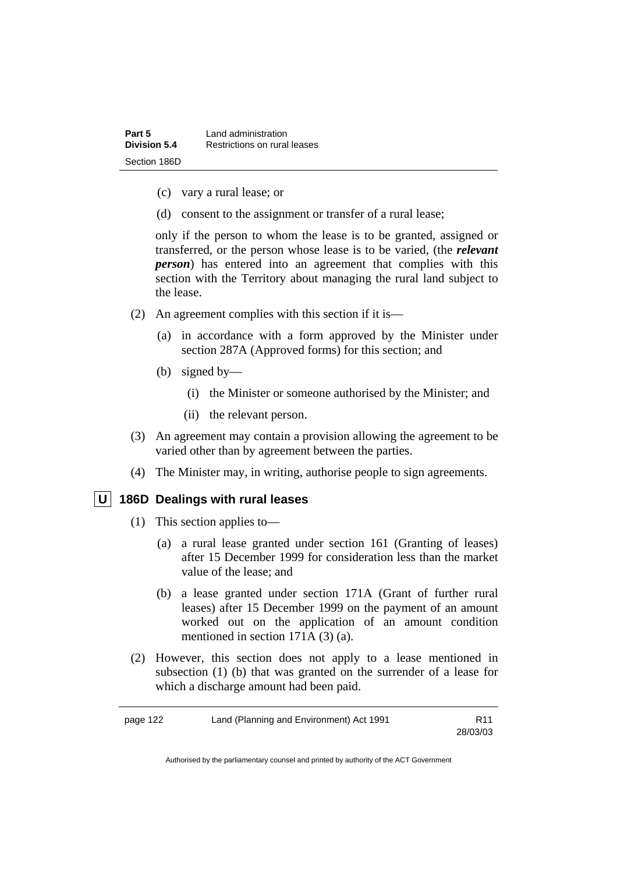| Part 5              | Land administration          |
|---------------------|------------------------------|
| <b>Division 5.4</b> | Restrictions on rural leases |
| Section 186D        |                              |

- (c) vary a rural lease; or
- (d) consent to the assignment or transfer of a rural lease;

only if the person to whom the lease is to be granted, assigned or transferred, or the person whose lease is to be varied, (the *relevant person*) has entered into an agreement that complies with this section with the Territory about managing the rural land subject to the lease.

- (2) An agreement complies with this section if it is—
	- (a) in accordance with a form approved by the Minister under section 287A (Approved forms) for this section; and
	- (b) signed by—
		- (i) the Minister or someone authorised by the Minister; and
		- (ii) the relevant person.
- (3) An agreement may contain a provision allowing the agreement to be varied other than by agreement between the parties.
- (4) The Minister may, in writing, authorise people to sign agreements.

## *U* 186D Dealings with rural leases

- (1) This section applies to—
	- (a) a rural lease granted under section 161 (Granting of leases) after 15 December 1999 for consideration less than the market value of the lease; and
	- (b) a lease granted under section 171A (Grant of further rural leases) after 15 December 1999 on the payment of an amount worked out on the application of an amount condition mentioned in section 171A (3) (a).
- (2) However, this section does not apply to a lease mentioned in subsection (1) (b) that was granted on the surrender of a lease for which a discharge amount had been paid.

| page 122 | Land (Planning and Environment) Act 1991 | R11      |
|----------|------------------------------------------|----------|
|          |                                          | 28/03/03 |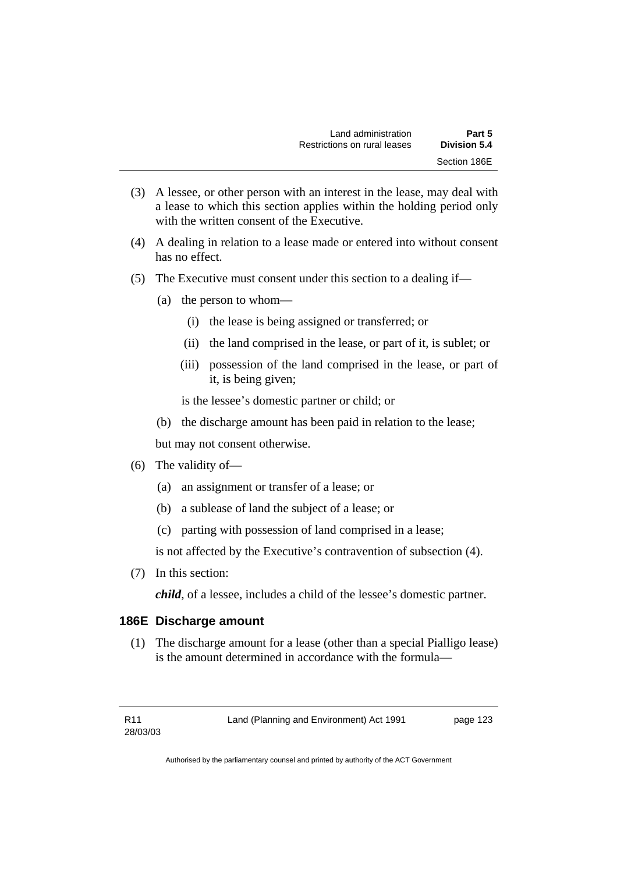- (3) A lessee, or other person with an interest in the lease, may deal with a lease to which this section applies within the holding period only with the written consent of the Executive.
- (4) A dealing in relation to a lease made or entered into without consent has no effect.
- (5) The Executive must consent under this section to a dealing if—
	- (a) the person to whom—
		- (i) the lease is being assigned or transferred; or
		- (ii) the land comprised in the lease, or part of it, is sublet; or
		- (iii) possession of the land comprised in the lease, or part of it, is being given;

is the lessee's domestic partner or child; or

(b) the discharge amount has been paid in relation to the lease;

but may not consent otherwise.

- (6) The validity of—
	- (a) an assignment or transfer of a lease; or
	- (b) a sublease of land the subject of a lease; or
	- (c) parting with possession of land comprised in a lease;

is not affected by the Executive's contravention of subsection (4).

(7) In this section:

*child*, of a lessee, includes a child of the lessee's domestic partner.

#### **186E Discharge amount**

 (1) The discharge amount for a lease (other than a special Pialligo lease) is the amount determined in accordance with the formula—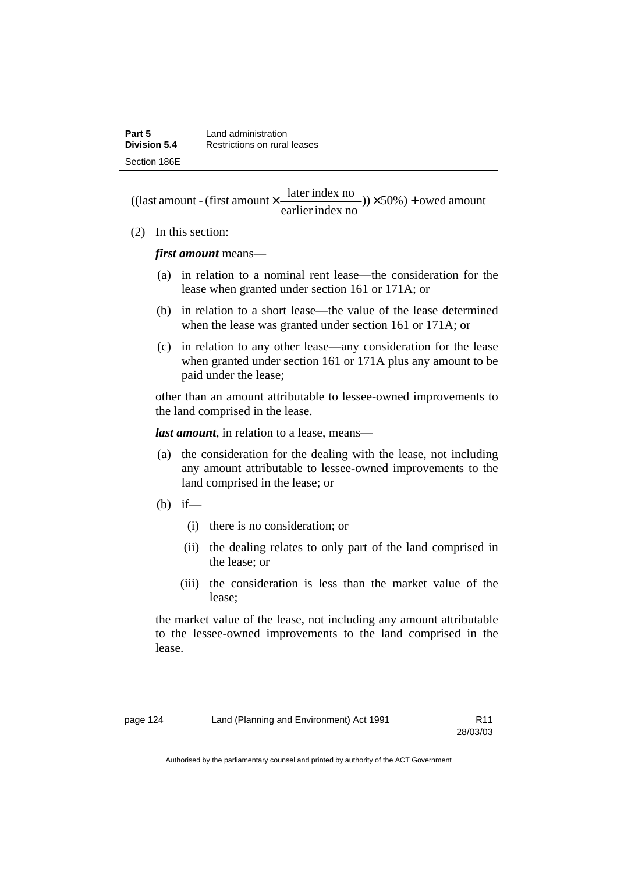| Part 5       | Land administration          |
|--------------|------------------------------|
| Division 5.4 | Restrictions on rural leases |
| Section 186E |                              |

 $)) \times 50\%$ ) + owed amount earlier index no  $((\text{last amount - (first amount} \times \frac{\text{later index no}}{\dots \dots )) \times 50\%) +$ 

(2) In this section:

*first amount* means—

- (a) in relation to a nominal rent lease—the consideration for the lease when granted under section 161 or 171A; or
- (b) in relation to a short lease—the value of the lease determined when the lease was granted under section 161 or 171A; or
- (c) in relation to any other lease—any consideration for the lease when granted under section 161 or 171A plus any amount to be paid under the lease;

other than an amount attributable to lessee-owned improvements to the land comprised in the lease.

*last amount*, in relation to a lease, means—

- (a) the consideration for the dealing with the lease, not including any amount attributable to lessee-owned improvements to the land comprised in the lease; or
- (b) if—
	- (i) there is no consideration; or
	- (ii) the dealing relates to only part of the land comprised in the lease; or
	- (iii) the consideration is less than the market value of the lease;

the market value of the lease, not including any amount attributable to the lessee-owned improvements to the land comprised in the lease.

28/03/03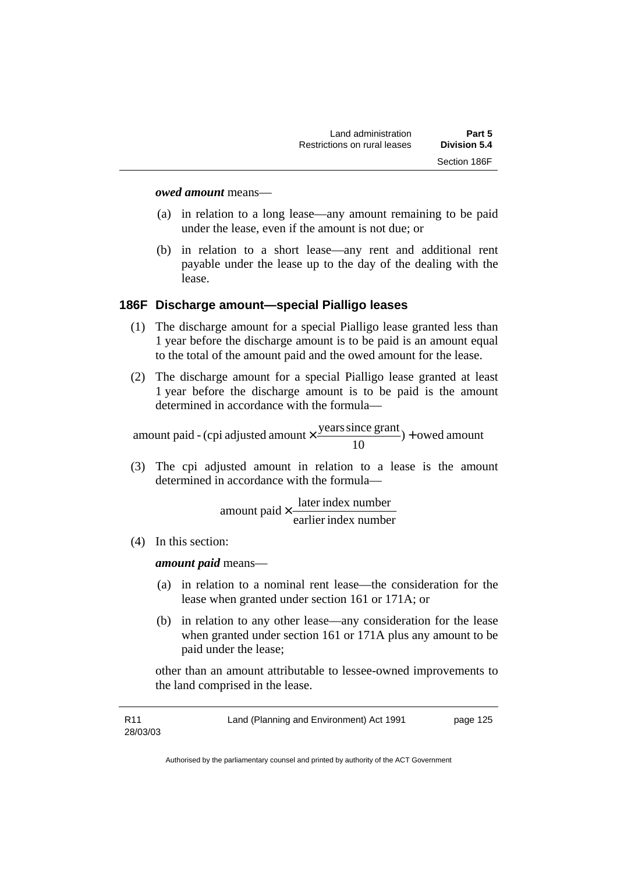*owed amount* means—

- (a) in relation to a long lease—any amount remaining to be paid under the lease, even if the amount is not due; or
- (b) in relation to a short lease—any rent and additional rent payable under the lease up to the day of the dealing with the lease.

#### **186F Discharge amount—special Pialligo leases**

- (1) The discharge amount for a special Pialligo lease granted less than 1 year before the discharge amount is to be paid is an amount equal to the total of the amount paid and the owed amount for the lease.
- (2) The discharge amount for a special Pialligo lease granted at least 1 year before the discharge amount is to be paid is the amount determined in accordance with the formula—

 $) +$  owed amount 10 amount paid - (cpi adjusted amount  $\times \frac{\text{years since grant}}{10}$ ) +

 (3) The cpi adjusted amount in relation to a lease is the amount determined in accordance with the formula—

> earlier index number  $amount$  paid  $\times \frac{later$  index number

(4) In this section:

*amount paid* means—

- (a) in relation to a nominal rent lease—the consideration for the lease when granted under section 161 or 171A; or
- (b) in relation to any other lease—any consideration for the lease when granted under section 161 or 171A plus any amount to be paid under the lease;

other than an amount attributable to lessee-owned improvements to the land comprised in the lease.

R11 28/03/03 Land (Planning and Environment) Act 1991 page 125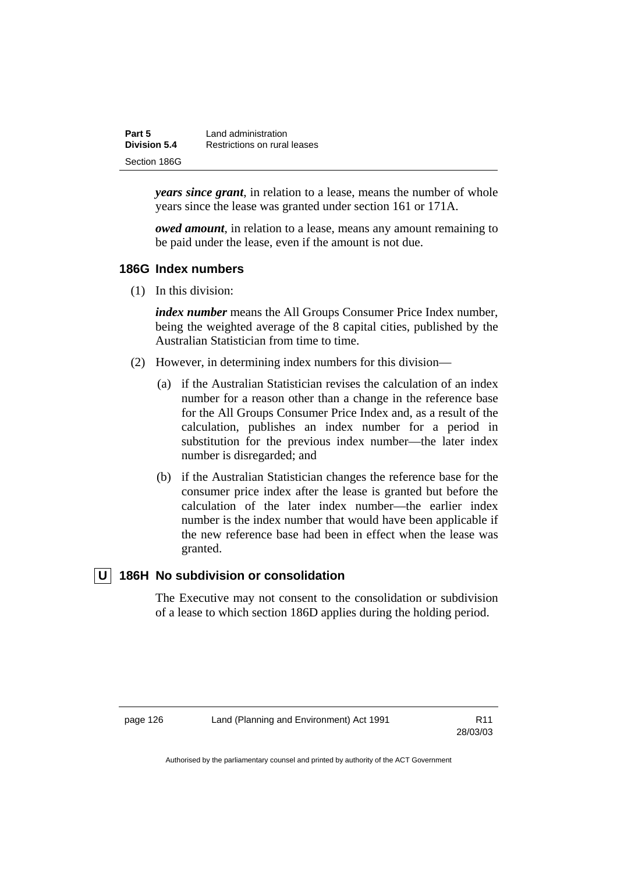| Part 5              | Land administration          |
|---------------------|------------------------------|
| <b>Division 5.4</b> | Restrictions on rural leases |
| Section 186G        |                              |

*years since grant*, in relation to a lease, means the number of whole years since the lease was granted under section 161 or 171A.

*owed amount*, in relation to a lease, means any amount remaining to be paid under the lease, even if the amount is not due.

### **186G Index numbers**

(1) In this division:

*index number* means the All Groups Consumer Price Index number, being the weighted average of the 8 capital cities, published by the Australian Statistician from time to time.

- (2) However, in determining index numbers for this division—
	- (a) if the Australian Statistician revises the calculation of an index number for a reason other than a change in the reference base for the All Groups Consumer Price Index and, as a result of the calculation, publishes an index number for a period in substitution for the previous index number—the later index number is disregarded; and
	- (b) if the Australian Statistician changes the reference base for the consumer price index after the lease is granted but before the calculation of the later index number—the earlier index number is the index number that would have been applicable if the new reference base had been in effect when the lease was granted.

#### **U 186H No subdivision or consolidation**

The Executive may not consent to the consolidation or subdivision of a lease to which section 186D applies during the holding period.

page 126 Land (Planning and Environment) Act 1991

28/03/03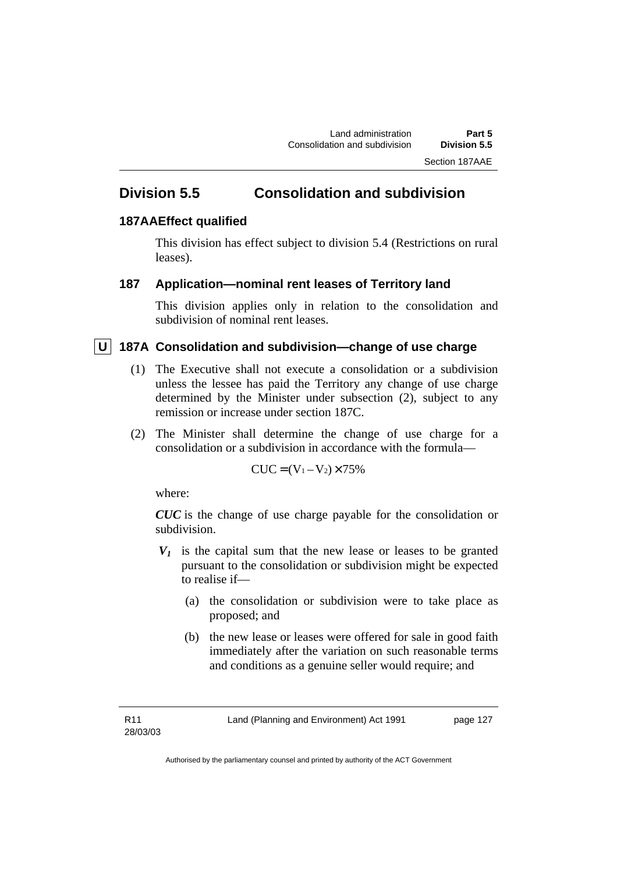# **Division 5.5 Consolidation and subdivision**

# **187AAEffect qualified**

This division has effect subject to division 5.4 (Restrictions on rural leases).

# **187 Application—nominal rent leases of Territory land**

This division applies only in relation to the consolidation and subdivision of nominal rent leases.

# **U 187A Consolidation and subdivision—change of use charge**

- (1) The Executive shall not execute a consolidation or a subdivision unless the lessee has paid the Territory any change of use charge determined by the Minister under subsection (2), subject to any remission or increase under section 187C.
- (2) The Minister shall determine the change of use charge for a consolidation or a subdivision in accordance with the formula—

$$
CUC = (V_1 - V_2) \times 75\%
$$

where:

*CUC* is the change of use charge payable for the consolidation or subdivision.

- $V_1$  is the capital sum that the new lease or leases to be granted pursuant to the consolidation or subdivision might be expected to realise if—
	- (a) the consolidation or subdivision were to take place as proposed; and
	- (b) the new lease or leases were offered for sale in good faith immediately after the variation on such reasonable terms and conditions as a genuine seller would require; and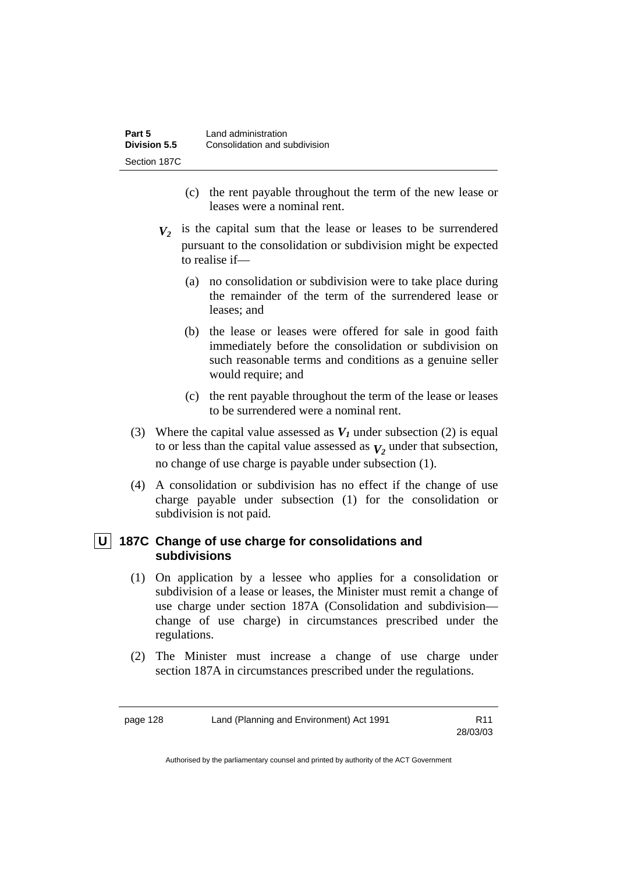| Part 5       | Land administration           |
|--------------|-------------------------------|
| Division 5.5 | Consolidation and subdivision |
| Section 187C |                               |

- (c) the rent payable throughout the term of the new lease or leases were a nominal rent.
- $V_2$  is the capital sum that the lease or leases to be surrendered pursuant to the consolidation or subdivision might be expected to realise if—
	- (a) no consolidation or subdivision were to take place during the remainder of the term of the surrendered lease or leases; and
	- (b) the lease or leases were offered for sale in good faith immediately before the consolidation or subdivision on such reasonable terms and conditions as a genuine seller would require; and
	- (c) the rent payable throughout the term of the lease or leases to be surrendered were a nominal rent.
- (3) Where the capital value assessed as  $V_I$  under subsection (2) is equal to or less than the capital value assessed as  $V_2$  under that subsection, no change of use charge is payable under subsection (1).
- (4) A consolidation or subdivision has no effect if the change of use charge payable under subsection (1) for the consolidation or subdivision is not paid.

# **U 187C Change of use charge for consolidations and subdivisions**

- (1) On application by a lessee who applies for a consolidation or subdivision of a lease or leases, the Minister must remit a change of use charge under section 187A (Consolidation and subdivision change of use charge) in circumstances prescribed under the regulations.
- (2) The Minister must increase a change of use charge under section 187A in circumstances prescribed under the regulations.

page 128 Land (Planning and Environment) Act 1991

28/03/03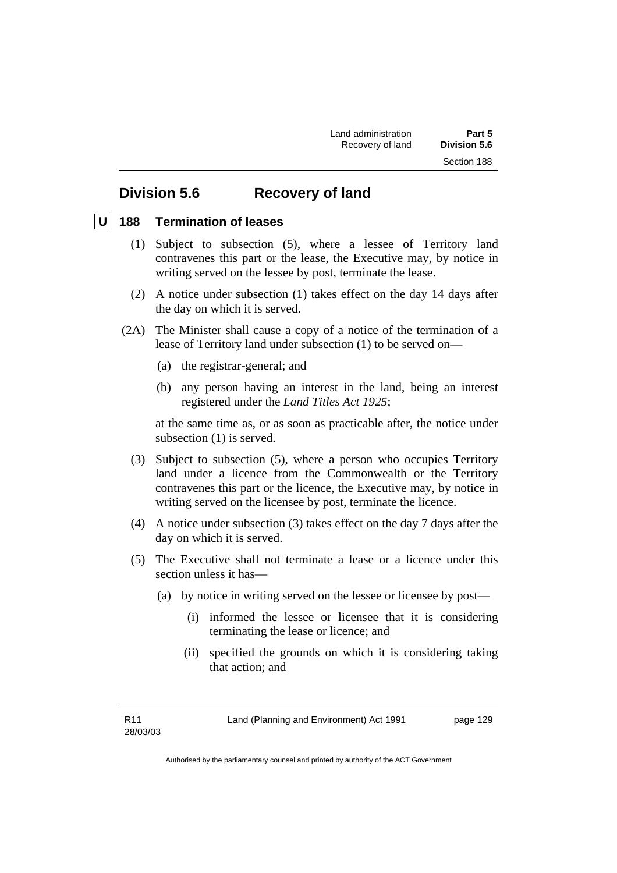# **Division 5.6 Recovery of land**

# **U** 188 Termination of leases

- (1) Subject to subsection (5), where a lessee of Territory land contravenes this part or the lease, the Executive may, by notice in writing served on the lessee by post, terminate the lease.
- (2) A notice under subsection (1) takes effect on the day 14 days after the day on which it is served.
- (2A) The Minister shall cause a copy of a notice of the termination of a lease of Territory land under subsection (1) to be served on—
	- (a) the registrar-general; and
	- (b) any person having an interest in the land, being an interest registered under the *Land Titles Act 1925*;

at the same time as, or as soon as practicable after, the notice under subsection (1) is served.

- (3) Subject to subsection (5), where a person who occupies Territory land under a licence from the Commonwealth or the Territory contravenes this part or the licence, the Executive may, by notice in writing served on the licensee by post, terminate the licence.
- (4) A notice under subsection (3) takes effect on the day 7 days after the day on which it is served.
- (5) The Executive shall not terminate a lease or a licence under this section unless it has—
	- (a) by notice in writing served on the lessee or licensee by post—
		- (i) informed the lessee or licensee that it is considering terminating the lease or licence; and
		- (ii) specified the grounds on which it is considering taking that action; and

Land (Planning and Environment) Act 1991 page 129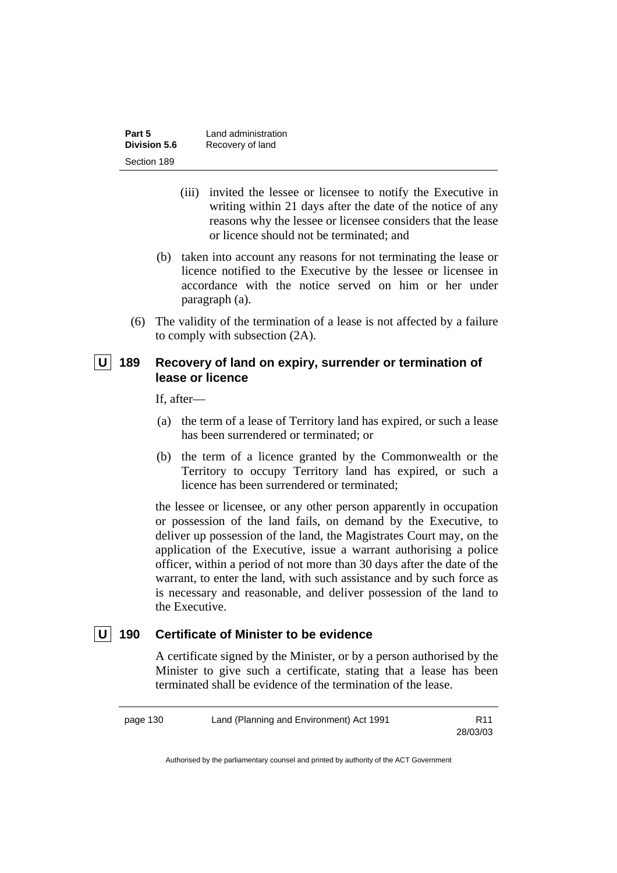| Part 5       | Land administration |
|--------------|---------------------|
| Division 5.6 | Recovery of land    |
| Section 189  |                     |

- (iii) invited the lessee or licensee to notify the Executive in writing within 21 days after the date of the notice of any reasons why the lessee or licensee considers that the lease or licence should not be terminated; and
- (b) taken into account any reasons for not terminating the lease or licence notified to the Executive by the lessee or licensee in accordance with the notice served on him or her under paragraph (a).
- (6) The validity of the termination of a lease is not affected by a failure to comply with subsection (2A).

# **U** 189 Recovery of land on expiry, surrender or termination of **lease or licence**

If, after—

- (a) the term of a lease of Territory land has expired, or such a lease has been surrendered or terminated; or
- (b) the term of a licence granted by the Commonwealth or the Territory to occupy Territory land has expired, or such a licence has been surrendered or terminated;

the lessee or licensee, or any other person apparently in occupation or possession of the land fails, on demand by the Executive, to deliver up possession of the land, the Magistrates Court may, on the application of the Executive, issue a warrant authorising a police officer, within a period of not more than 30 days after the date of the warrant, to enter the land, with such assistance and by such force as is necessary and reasonable, and deliver possession of the land to the Executive.

# **U 190 Certificate of Minister to be evidence**

A certificate signed by the Minister, or by a person authorised by the Minister to give such a certificate, stating that a lease has been terminated shall be evidence of the termination of the lease.

| page 130 | Land (Planning and Environment) Act 1991 | R <sub>11</sub> |
|----------|------------------------------------------|-----------------|
|          |                                          | 28/03/03        |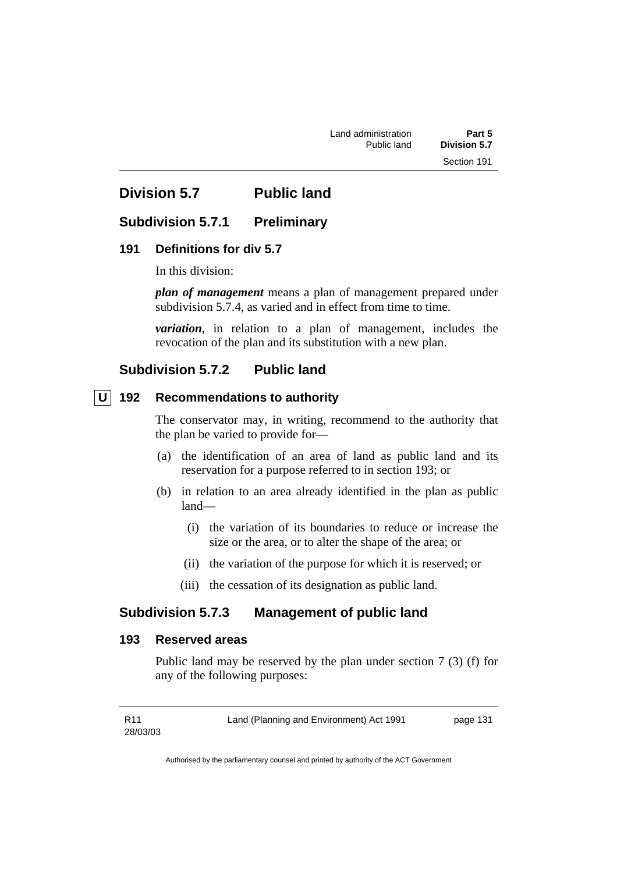# **Division 5.7 Public land**

# **Subdivision 5.7.1 Preliminary**

## **191 Definitions for div 5.7**

In this division:

*plan of management* means a plan of management prepared under subdivision 5.7.4, as varied and in effect from time to time.

*variation*, in relation to a plan of management, includes the revocation of the plan and its substitution with a new plan.

# **Subdivision 5.7.2 Public land**

# **U** 192 Recommendations to authority

The conservator may, in writing, recommend to the authority that the plan be varied to provide for—

- (a) the identification of an area of land as public land and its reservation for a purpose referred to in section 193; or
- (b) in relation to an area already identified in the plan as public land—
	- (i) the variation of its boundaries to reduce or increase the size or the area, or to alter the shape of the area; or
	- (ii) the variation of the purpose for which it is reserved; or
	- (iii) the cessation of its designation as public land.

# **Subdivision 5.7.3 Management of public land**

#### **193 Reserved areas**

Public land may be reserved by the plan under section 7 (3) (f) for any of the following purposes:

Land (Planning and Environment) Act 1991 page 131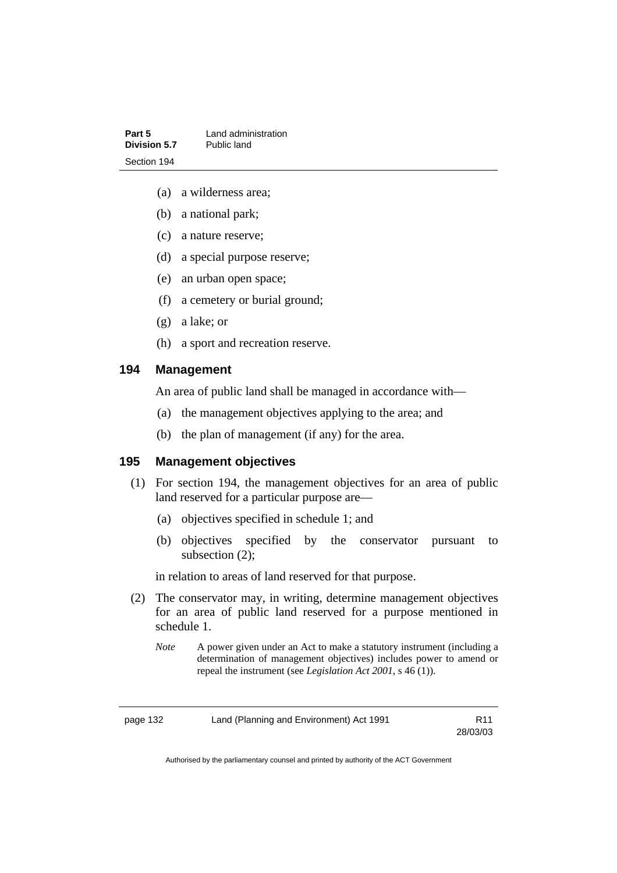| Part 5              | Land administration |
|---------------------|---------------------|
| <b>Division 5.7</b> | Public land         |
| Section 194         |                     |

- (a) a wilderness area;
- (b) a national park;
- (c) a nature reserve;
- (d) a special purpose reserve;
- (e) an urban open space;
- (f) a cemetery or burial ground;
- (g) a lake; or
- (h) a sport and recreation reserve.

# **194 Management**

An area of public land shall be managed in accordance with—

- (a) the management objectives applying to the area; and
- (b) the plan of management (if any) for the area.

# **195 Management objectives**

- (1) For section 194, the management objectives for an area of public land reserved for a particular purpose are—
	- (a) objectives specified in schedule 1; and
	- (b) objectives specified by the conservator pursuant to subsection (2);

in relation to areas of land reserved for that purpose.

- (2) The conservator may, in writing, determine management objectives for an area of public land reserved for a purpose mentioned in schedule 1.
	- *Note* A power given under an Act to make a statutory instrument (including a determination of management objectives) includes power to amend or repeal the instrument (see *Legislation Act 2001*, s 46 (1)).

page 132 Land (Planning and Environment) Act 1991

28/03/03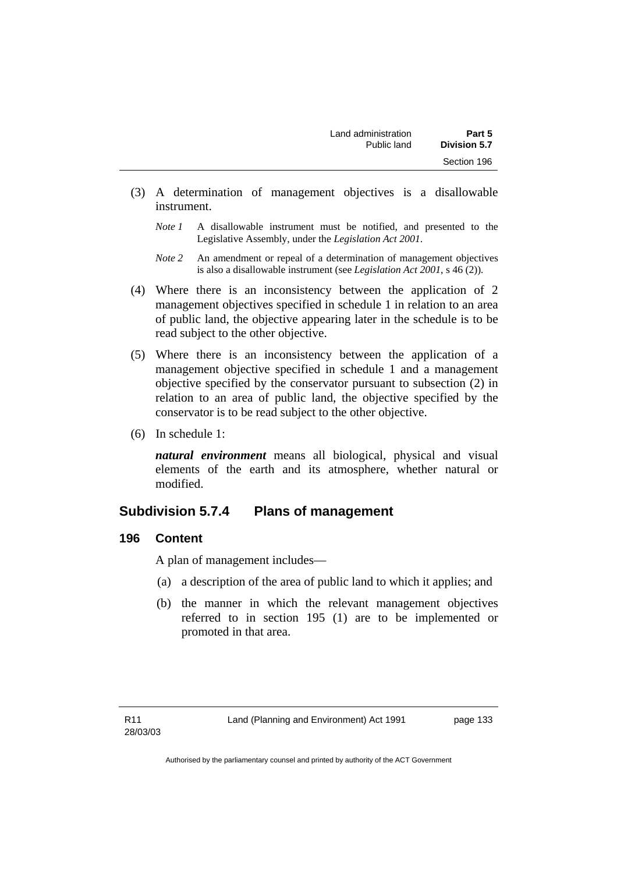| Land administration | Part 5              |
|---------------------|---------------------|
| Public land         | <b>Division 5.7</b> |
|                     | Section 196         |

- (3) A determination of management objectives is a disallowable instrument.
	- *Note 1* A disallowable instrument must be notified, and presented to the Legislative Assembly, under the *Legislation Act 2001*.
	- *Note 2* An amendment or repeal of a determination of management objectives is also a disallowable instrument (see *Legislation Act 2001*, s 46 (2))*.*
- (4) Where there is an inconsistency between the application of 2 management objectives specified in schedule 1 in relation to an area of public land, the objective appearing later in the schedule is to be read subject to the other objective.
- (5) Where there is an inconsistency between the application of a management objective specified in schedule 1 and a management objective specified by the conservator pursuant to subsection (2) in relation to an area of public land, the objective specified by the conservator is to be read subject to the other objective.
- (6) In schedule 1:

*natural environment* means all biological, physical and visual elements of the earth and its atmosphere, whether natural or modified.

# **Subdivision 5.7.4 Plans of management**

#### **196 Content**

A plan of management includes—

- (a) a description of the area of public land to which it applies; and
- (b) the manner in which the relevant management objectives referred to in section 195 (1) are to be implemented or promoted in that area.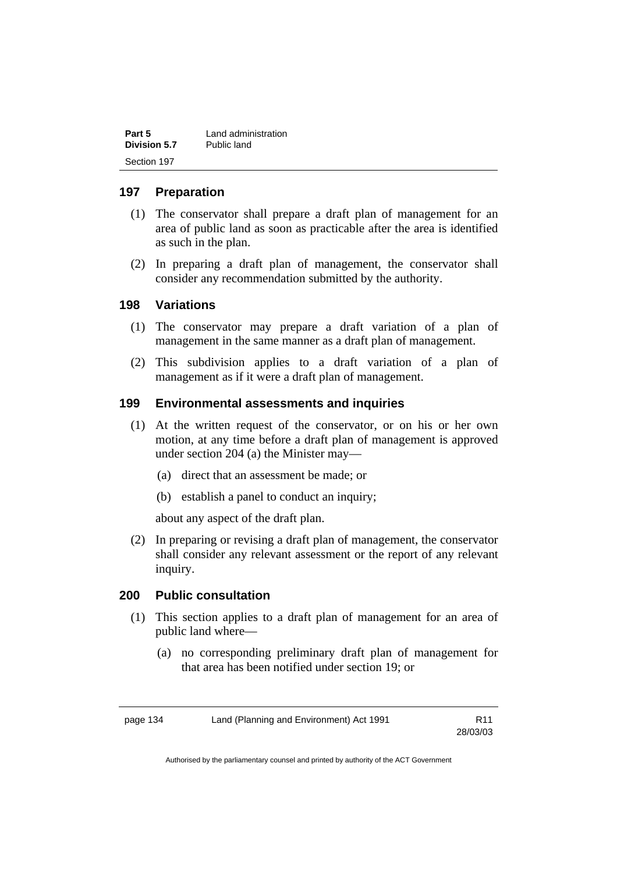| Part 5              | Land administration |
|---------------------|---------------------|
| <b>Division 5.7</b> | Public land         |
| Section 197         |                     |

## **197 Preparation**

- (1) The conservator shall prepare a draft plan of management for an area of public land as soon as practicable after the area is identified as such in the plan.
- (2) In preparing a draft plan of management, the conservator shall consider any recommendation submitted by the authority.

### **198 Variations**

- (1) The conservator may prepare a draft variation of a plan of management in the same manner as a draft plan of management.
- (2) This subdivision applies to a draft variation of a plan of management as if it were a draft plan of management.

# **199 Environmental assessments and inquiries**

- (1) At the written request of the conservator, or on his or her own motion, at any time before a draft plan of management is approved under section 204 (a) the Minister may—
	- (a) direct that an assessment be made; or
	- (b) establish a panel to conduct an inquiry;

about any aspect of the draft plan.

 (2) In preparing or revising a draft plan of management, the conservator shall consider any relevant assessment or the report of any relevant inquiry.

# **200 Public consultation**

- (1) This section applies to a draft plan of management for an area of public land where—
	- (a) no corresponding preliminary draft plan of management for that area has been notified under section 19; or

page 134 Land (Planning and Environment) Act 1991

28/03/03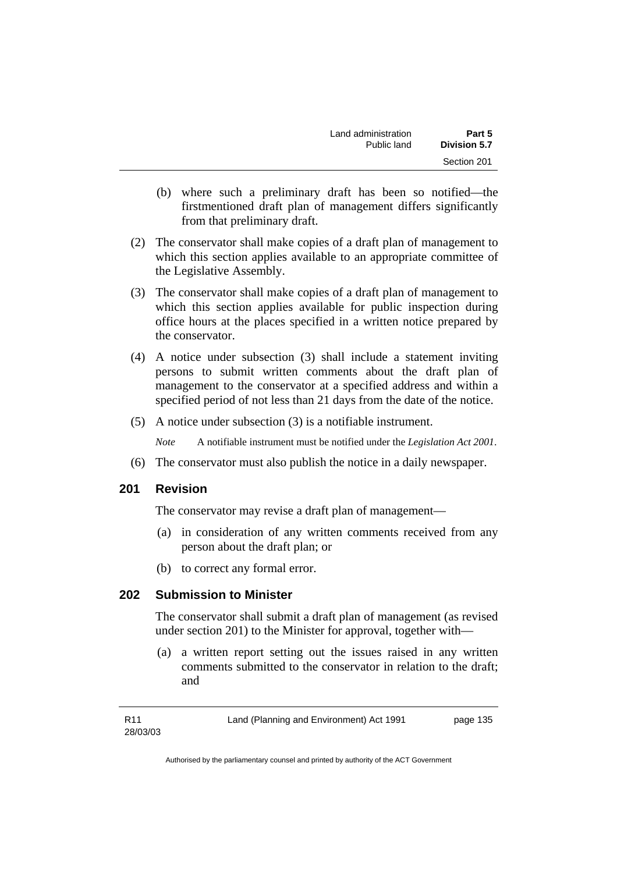| Land administration | Part 5              |
|---------------------|---------------------|
| Public land         | <b>Division 5.7</b> |
|                     | Section 201         |

- (b) where such a preliminary draft has been so notified—the firstmentioned draft plan of management differs significantly from that preliminary draft.
- (2) The conservator shall make copies of a draft plan of management to which this section applies available to an appropriate committee of the Legislative Assembly.
- (3) The conservator shall make copies of a draft plan of management to which this section applies available for public inspection during office hours at the places specified in a written notice prepared by the conservator.
- (4) A notice under subsection (3) shall include a statement inviting persons to submit written comments about the draft plan of management to the conservator at a specified address and within a specified period of not less than 21 days from the date of the notice.
- (5) A notice under subsection (3) is a notifiable instrument.

*Note* A notifiable instrument must be notified under the *Legislation Act 2001*.

(6) The conservator must also publish the notice in a daily newspaper.

### **201 Revision**

The conservator may revise a draft plan of management—

- (a) in consideration of any written comments received from any person about the draft plan; or
- (b) to correct any formal error.

### **202 Submission to Minister**

The conservator shall submit a draft plan of management (as revised under section 201) to the Minister for approval, together with—

 (a) a written report setting out the issues raised in any written comments submitted to the conservator in relation to the draft; and

Land (Planning and Environment) Act 1991 page 135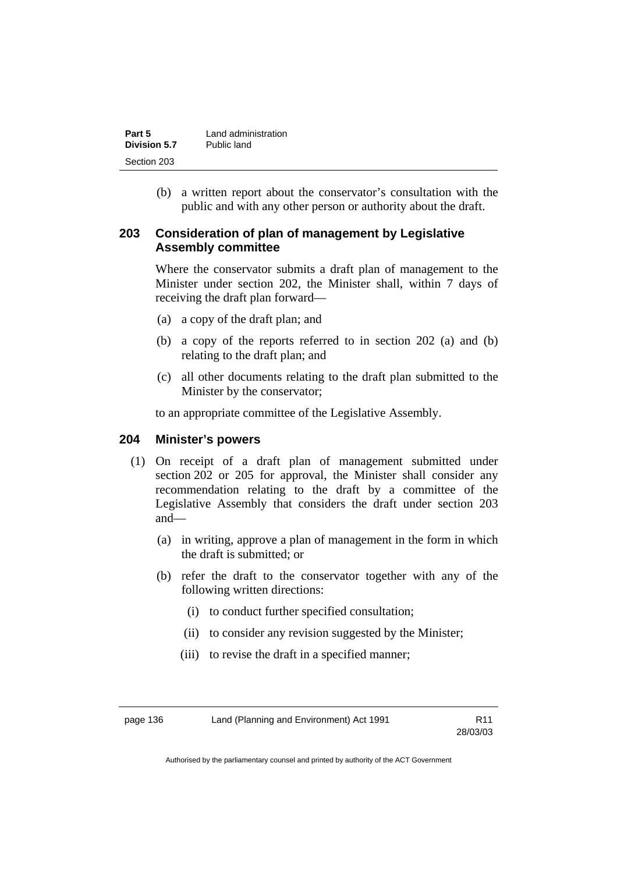| Part 5       | Land administration |
|--------------|---------------------|
| Division 5.7 | Public land         |
| Section 203  |                     |

 (b) a written report about the conservator's consultation with the public and with any other person or authority about the draft.

## **203 Consideration of plan of management by Legislative Assembly committee**

Where the conservator submits a draft plan of management to the Minister under section 202, the Minister shall, within 7 days of receiving the draft plan forward—

- (a) a copy of the draft plan; and
- (b) a copy of the reports referred to in section 202 (a) and (b) relating to the draft plan; and
- (c) all other documents relating to the draft plan submitted to the Minister by the conservator;

to an appropriate committee of the Legislative Assembly.

### **204 Minister's powers**

- (1) On receipt of a draft plan of management submitted under section 202 or 205 for approval, the Minister shall consider any recommendation relating to the draft by a committee of the Legislative Assembly that considers the draft under section 203 and—
	- (a) in writing, approve a plan of management in the form in which the draft is submitted; or
	- (b) refer the draft to the conservator together with any of the following written directions:
		- (i) to conduct further specified consultation;
		- (ii) to consider any revision suggested by the Minister;
		- (iii) to revise the draft in a specified manner;

page 136 Land (Planning and Environment) Act 1991

28/03/03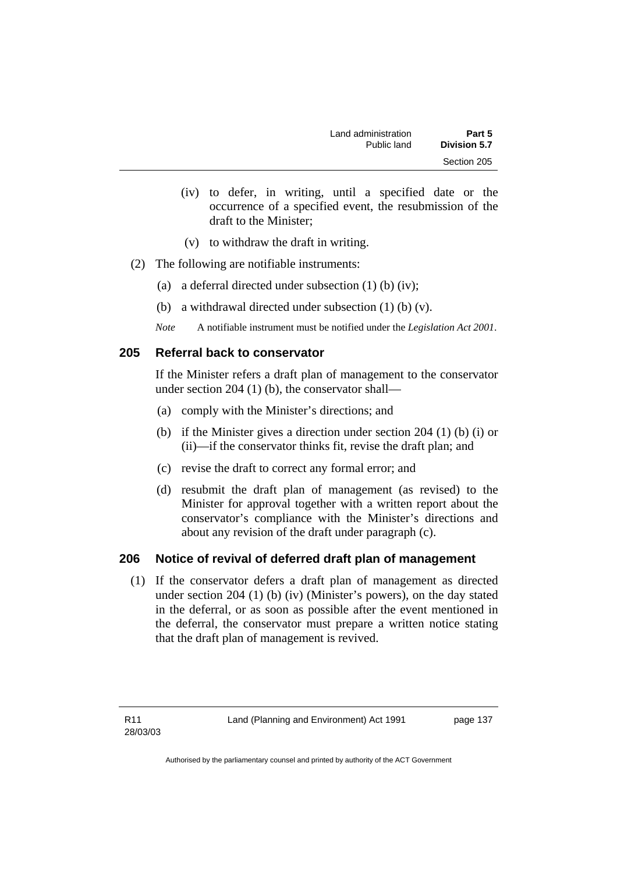| Land administration | Part 5              |
|---------------------|---------------------|
| Public land         | <b>Division 5.7</b> |
|                     | Section 205         |

- (iv) to defer, in writing, until a specified date or the occurrence of a specified event, the resubmission of the draft to the Minister;
- (v) to withdraw the draft in writing.
- (2) The following are notifiable instruments:
	- (a) a deferral directed under subsection (1) (b) (iv);
	- (b) a withdrawal directed under subsection (1) (b) (v).
	- *Note* A notifiable instrument must be notified under the *Legislation Act 2001*.

#### **205 Referral back to conservator**

If the Minister refers a draft plan of management to the conservator under section 204 (1) (b), the conservator shall—

- (a) comply with the Minister's directions; and
- (b) if the Minister gives a direction under section 204 (1) (b) (i) or (ii)—if the conservator thinks fit, revise the draft plan; and
- (c) revise the draft to correct any formal error; and
- (d) resubmit the draft plan of management (as revised) to the Minister for approval together with a written report about the conservator's compliance with the Minister's directions and about any revision of the draft under paragraph (c).

### **206 Notice of revival of deferred draft plan of management**

(1) If the conservator defers a draft plan of management as directed under section 204 (1) (b) (iv) (Minister's powers), on the day stated in the deferral, or as soon as possible after the event mentioned in the deferral, the conservator must prepare a written notice stating that the draft plan of management is revived.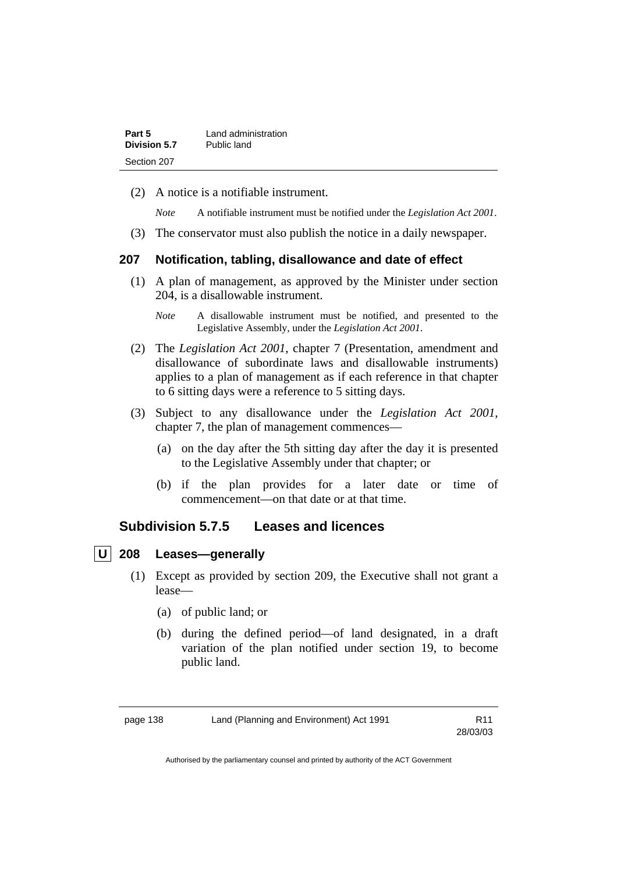| Part 5       | Land administration |
|--------------|---------------------|
| Division 5.7 | Public land         |
| Section 207  |                     |

(2) A notice is a notifiable instrument.

*Note* A notifiable instrument must be notified under the *Legislation Act 2001*.

(3) The conservator must also publish the notice in a daily newspaper.

#### **207 Notification, tabling, disallowance and date of effect**

- (1) A plan of management, as approved by the Minister under section 204, is a disallowable instrument.
	- *Note* A disallowable instrument must be notified, and presented to the Legislative Assembly, under the *Legislation Act 2001*.
- (2) The *Legislation Act 2001*, chapter 7 (Presentation, amendment and disallowance of subordinate laws and disallowable instruments) applies to a plan of management as if each reference in that chapter to 6 sitting days were a reference to 5 sitting days.
- (3) Subject to any disallowance under the *Legislation Act 2001*, chapter 7, the plan of management commences—
	- (a) on the day after the 5th sitting day after the day it is presented to the Legislative Assembly under that chapter; or
	- (b) if the plan provides for a later date or time of commencement—on that date or at that time.

#### **Subdivision 5.7.5 Leases and licences**

### **U 208 Leases—generally**

- (1) Except as provided by section 209, the Executive shall not grant a lease—
	- (a) of public land; or
	- (b) during the defined period—of land designated, in a draft variation of the plan notified under section 19, to become public land.

28/03/03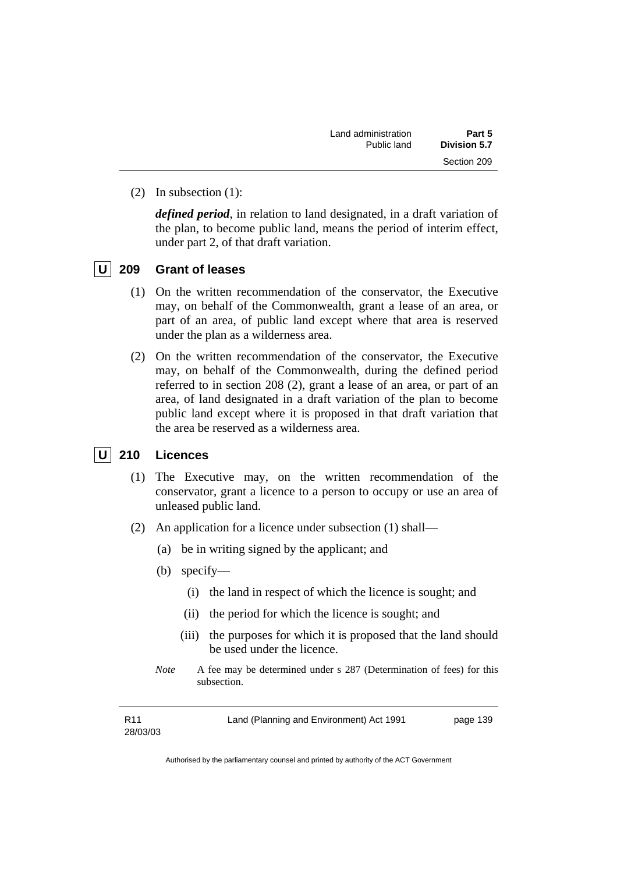| Land administration | Part 5       |
|---------------------|--------------|
| Public land         | Division 5.7 |
|                     | Section 209  |

(2) In subsection (1):

*defined period*, in relation to land designated, in a draft variation of the plan, to become public land, means the period of interim effect, under part 2, of that draft variation.



## **U 209 Grant of leases**

- (1) On the written recommendation of the conservator, the Executive may, on behalf of the Commonwealth, grant a lease of an area, or part of an area, of public land except where that area is reserved under the plan as a wilderness area.
- (2) On the written recommendation of the conservator, the Executive may, on behalf of the Commonwealth, during the defined period referred to in section 208 (2), grant a lease of an area, or part of an area, of land designated in a draft variation of the plan to become public land except where it is proposed in that draft variation that the area be reserved as a wilderness area.

# **U 210 Licences**

- (1) The Executive may, on the written recommendation of the conservator, grant a licence to a person to occupy or use an area of unleased public land.
- (2) An application for a licence under subsection (1) shall—
	- (a) be in writing signed by the applicant; and
	- (b) specify—
		- (i) the land in respect of which the licence is sought; and
		- (ii) the period for which the licence is sought; and
		- (iii) the purposes for which it is proposed that the land should be used under the licence.
	- *Note* A fee may be determined under s 287 (Determination of fees) for this subsection.

R11 28/03/03 Land (Planning and Environment) Act 1991 page 139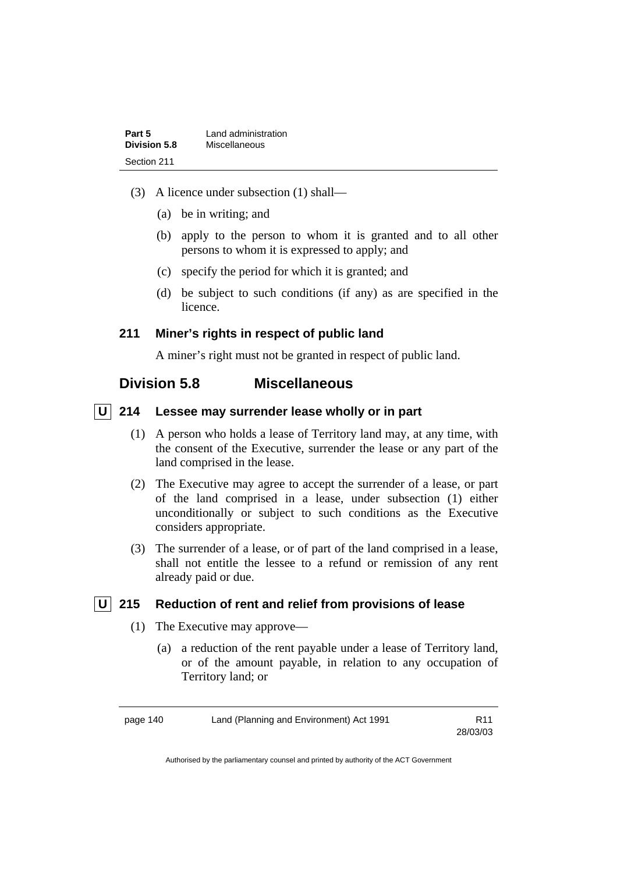| Part 5              | Land administration |
|---------------------|---------------------|
| <b>Division 5.8</b> | Miscellaneous       |
| Section 211         |                     |

- (3) A licence under subsection (1) shall—
	- (a) be in writing; and
	- (b) apply to the person to whom it is granted and to all other persons to whom it is expressed to apply; and
	- (c) specify the period for which it is granted; and
	- (d) be subject to such conditions (if any) as are specified in the licence.

#### **211 Miner's rights in respect of public land**

A miner's right must not be granted in respect of public land.

# **Division 5.8 Miscellaneous**

#### **U 214 Lessee may surrender lease wholly or in part**

- (1) A person who holds a lease of Territory land may, at any time, with the consent of the Executive, surrender the lease or any part of the land comprised in the lease.
- (2) The Executive may agree to accept the surrender of a lease, or part of the land comprised in a lease, under subsection (1) either unconditionally or subject to such conditions as the Executive considers appropriate.
- (3) The surrender of a lease, or of part of the land comprised in a lease, shall not entitle the lessee to a refund or remission of any rent already paid or due.

# **U** 215 Reduction of rent and relief from provisions of lease

- (1) The Executive may approve—
	- (a) a reduction of the rent payable under a lease of Territory land, or of the amount payable, in relation to any occupation of Territory land; or

page 140 Land (Planning and Environment) Act 1991

28/03/03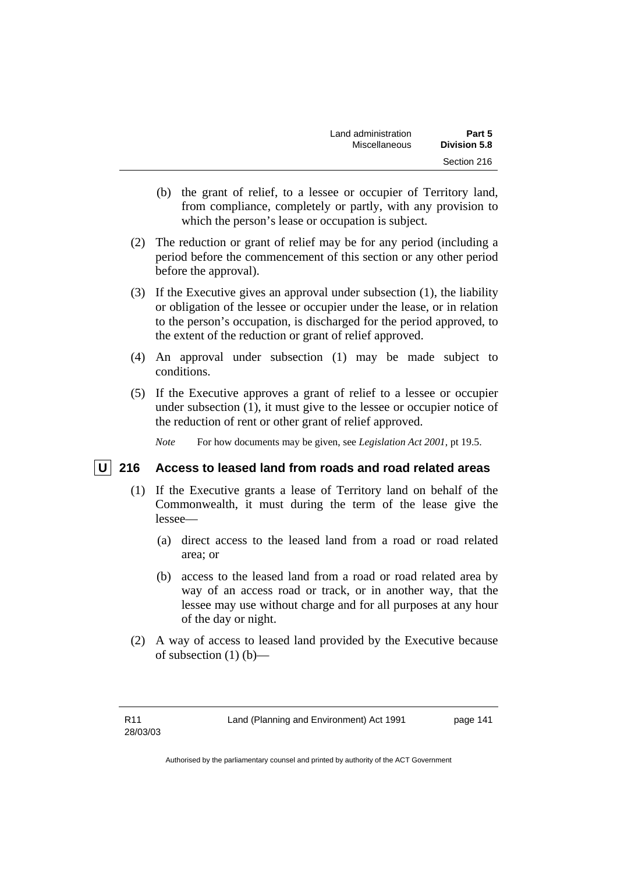| Part 5              | Land administration |
|---------------------|---------------------|
| <b>Division 5.8</b> | Miscellaneous       |
| Section 216         |                     |

- (b) the grant of relief, to a lessee or occupier of Territory land, from compliance, completely or partly, with any provision to which the person's lease or occupation is subject.
- (2) The reduction or grant of relief may be for any period (including a period before the commencement of this section or any other period before the approval).
- (3) If the Executive gives an approval under subsection (1), the liability or obligation of the lessee or occupier under the lease, or in relation to the person's occupation, is discharged for the period approved, to the extent of the reduction or grant of relief approved.
- (4) An approval under subsection (1) may be made subject to conditions.
- (5) If the Executive approves a grant of relief to a lessee or occupier under subsection (1), it must give to the lessee or occupier notice of the reduction of rent or other grant of relief approved.

*Note* For how documents may be given, see *Legislation Act 2001*, pt 19.5.

# *U* **216 Access to leased land from roads and road related areas**

- (1) If the Executive grants a lease of Territory land on behalf of the Commonwealth, it must during the term of the lease give the lessee—
	- (a) direct access to the leased land from a road or road related area; or
	- (b) access to the leased land from a road or road related area by way of an access road or track, or in another way, that the lessee may use without charge and for all purposes at any hour of the day or night.
- (2) A way of access to leased land provided by the Executive because of subsection  $(1)$  (b)—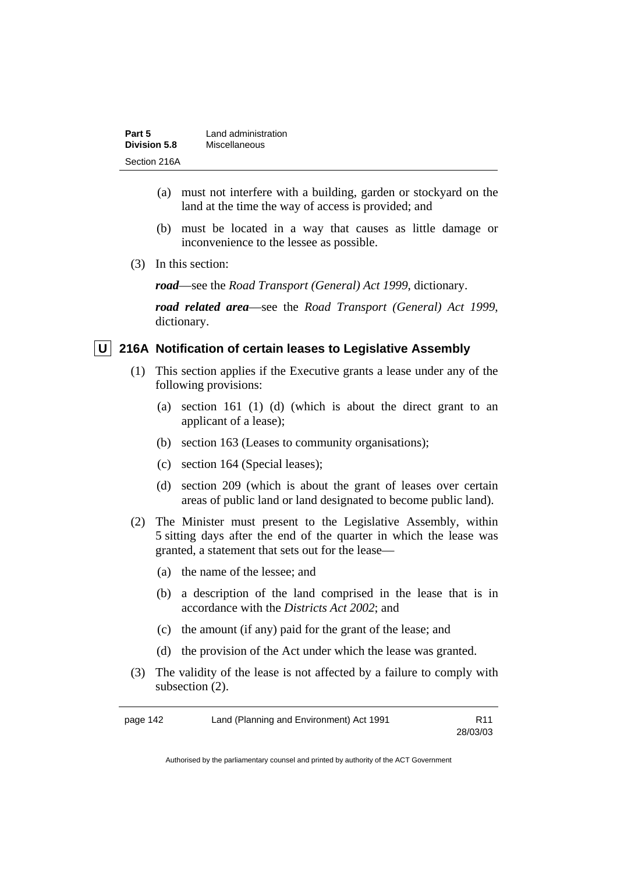| Part 5       | Land administration |
|--------------|---------------------|
| Division 5.8 | Miscellaneous       |
| Section 216A |                     |

- (a) must not interfere with a building, garden or stockyard on the land at the time the way of access is provided; and
- (b) must be located in a way that causes as little damage or inconvenience to the lessee as possible.
- (3) In this section:

*road*—see the *Road Transport (General) Act 1999*, dictionary.

*road related area*—see the *Road Transport (General) Act 1999*, dictionary.

## **U 216A Notification of certain leases to Legislative Assembly**

- (1) This section applies if the Executive grants a lease under any of the following provisions:
	- (a) section 161 (1) (d) (which is about the direct grant to an applicant of a lease);
	- (b) section 163 (Leases to community organisations);
	- (c) section 164 (Special leases);
	- (d) section 209 (which is about the grant of leases over certain areas of public land or land designated to become public land).
- (2) The Minister must present to the Legislative Assembly, within 5 sitting days after the end of the quarter in which the lease was granted, a statement that sets out for the lease—
	- (a) the name of the lessee; and
	- (b) a description of the land comprised in the lease that is in accordance with the *Districts Act 2002*; and
	- (c) the amount (if any) paid for the grant of the lease; and
	- (d) the provision of the Act under which the lease was granted.
- (3) The validity of the lease is not affected by a failure to comply with subsection (2).

page 142 Land (Planning and Environment) Act 1991

28/03/03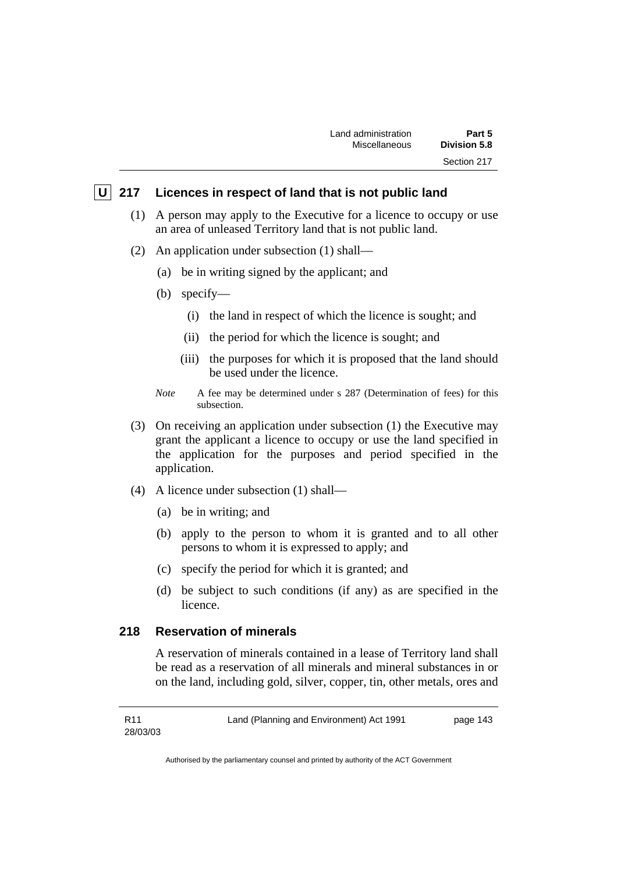| Land administration | Part 5              |
|---------------------|---------------------|
| Miscellaneous       | <b>Division 5.8</b> |
|                     | Section 217         |

# **U 217 Licences in respect of land that is not public land**

- (1) A person may apply to the Executive for a licence to occupy or use an area of unleased Territory land that is not public land.
- (2) An application under subsection (1) shall—
	- (a) be in writing signed by the applicant; and
	- (b) specify—
		- (i) the land in respect of which the licence is sought; and
		- (ii) the period for which the licence is sought; and
		- (iii) the purposes for which it is proposed that the land should be used under the licence.
	- *Note* A fee may be determined under s 287 (Determination of fees) for this subsection.
- (3) On receiving an application under subsection (1) the Executive may grant the applicant a licence to occupy or use the land specified in the application for the purposes and period specified in the application.
- (4) A licence under subsection (1) shall—
	- (a) be in writing; and
	- (b) apply to the person to whom it is granted and to all other persons to whom it is expressed to apply; and
	- (c) specify the period for which it is granted; and
	- (d) be subject to such conditions (if any) as are specified in the licence.

#### **218 Reservation of minerals**

A reservation of minerals contained in a lease of Territory land shall be read as a reservation of all minerals and mineral substances in or on the land, including gold, silver, copper, tin, other metals, ores and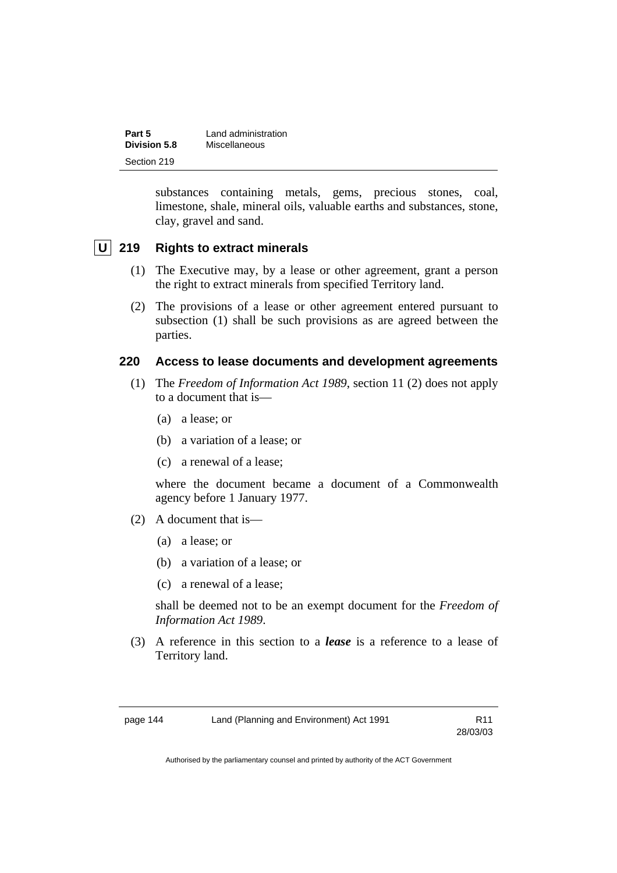| Part 5              | Land administration |
|---------------------|---------------------|
| <b>Division 5.8</b> | Miscellaneous       |
| Section 219         |                     |

substances containing metals, gems, precious stones, coal, limestone, shale, mineral oils, valuable earths and substances, stone, clay, gravel and sand.

# **U 219 Rights to extract minerals**

- (1) The Executive may, by a lease or other agreement, grant a person the right to extract minerals from specified Territory land.
- (2) The provisions of a lease or other agreement entered pursuant to subsection (1) shall be such provisions as are agreed between the parties.

### **220 Access to lease documents and development agreements**

- (1) The *Freedom of Information Act 1989*, section 11 (2) does not apply to a document that is—
	- (a) a lease; or
	- (b) a variation of a lease; or
	- (c) a renewal of a lease;

where the document became a document of a Commonwealth agency before 1 January 1977.

- (2) A document that is—
	- (a) a lease; or
	- (b) a variation of a lease; or
	- (c) a renewal of a lease;

shall be deemed not to be an exempt document for the *Freedom of Information Act 1989*.

 (3) A reference in this section to a *lease* is a reference to a lease of Territory land.

page 144 Land (Planning and Environment) Act 1991

28/03/03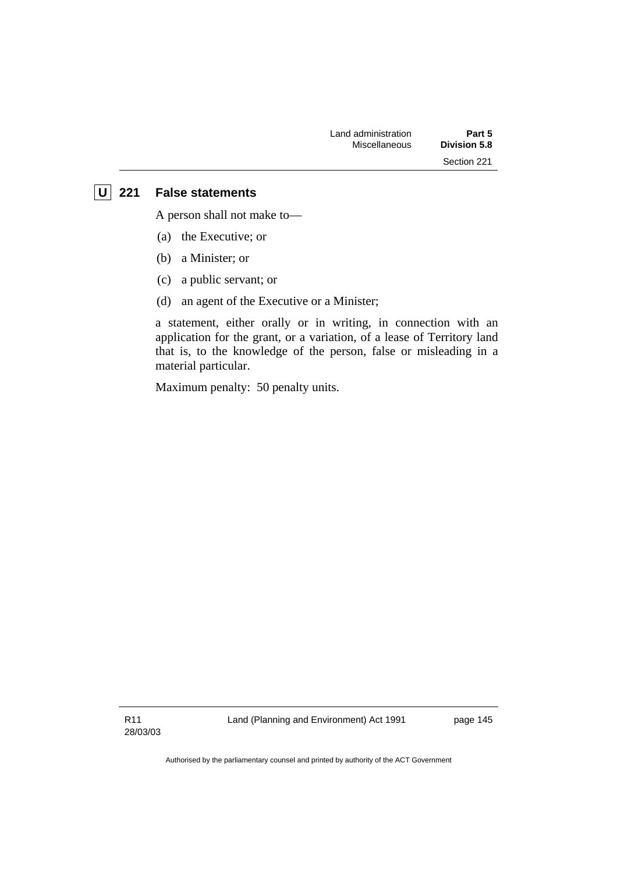# **U 221 False statements**

A person shall not make to—

- (a) the Executive; or
- (b) a Minister; or
- (c) a public servant; or
- (d) an agent of the Executive or a Minister;

a statement, either orally or in writing, in connection with an application for the grant, or a variation, of a lease of Territory land that is, to the knowledge of the person, false or misleading in a material particular.

Maximum penalty: 50 penalty units.

R11 28/03/03 Land (Planning and Environment) Act 1991 page 145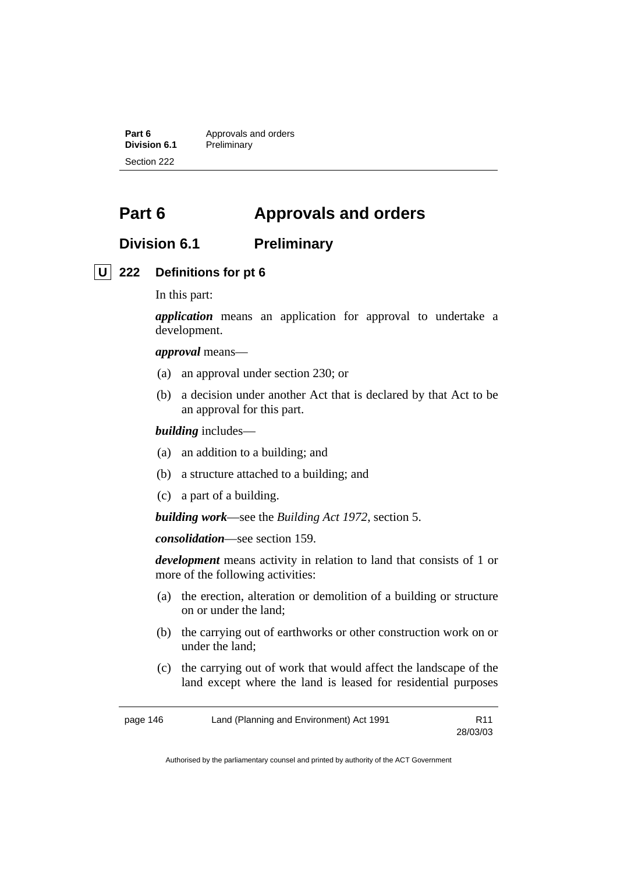**Part 6 Approvals and orders**<br>**Division 6.1 Preliminary Division 6.1** Preliminary Section 222

# **Part 6 Approvals and orders**

# **Division 6.1 Preliminary**

# **U 222 Definitions for pt 6**

In this part:

*application* means an application for approval to undertake a development.

*approval* means—

- (a) an approval under section 230; or
- (b) a decision under another Act that is declared by that Act to be an approval for this part.

#### *building* includes—

- (a) an addition to a building; and
- (b) a structure attached to a building; and
- (c) a part of a building.

*building work*—see the *Building Act 1972*, section 5.

*consolidation*—see section 159.

*development* means activity in relation to land that consists of 1 or more of the following activities:

- (a) the erection, alteration or demolition of a building or structure on or under the land;
- (b) the carrying out of earthworks or other construction work on or under the land;
- (c) the carrying out of work that would affect the landscape of the land except where the land is leased for residential purposes

| page 146 | Land (Planning and Environment) Act 1991 | R <sub>11</sub> |
|----------|------------------------------------------|-----------------|
|          |                                          | 28/03/03        |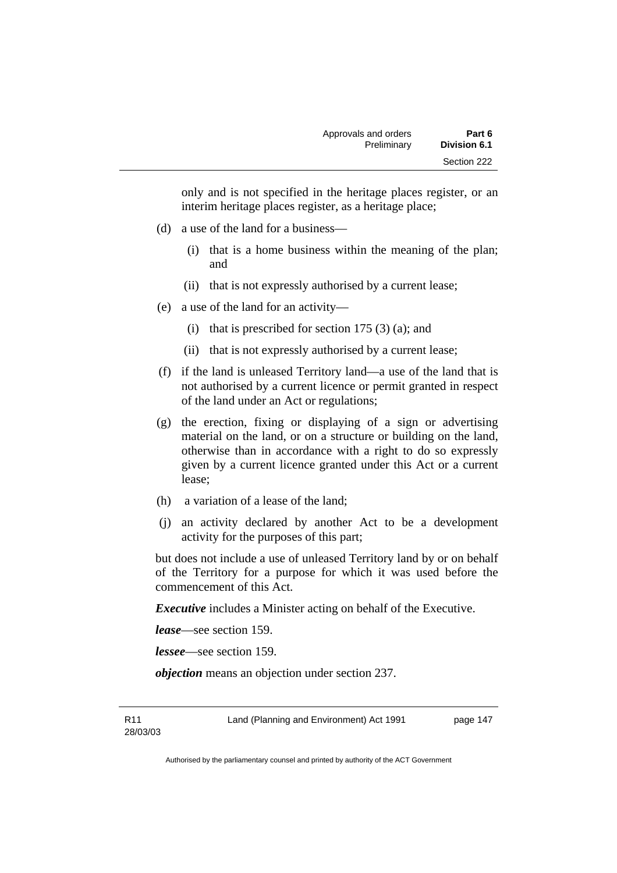only and is not specified in the heritage places register, or an interim heritage places register, as a heritage place;

- (d) a use of the land for a business—
	- (i) that is a home business within the meaning of the plan; and
	- (ii) that is not expressly authorised by a current lease;
- (e) a use of the land for an activity—
	- (i) that is prescribed for section  $175(3)$  (a); and
	- (ii) that is not expressly authorised by a current lease;
- (f) if the land is unleased Territory land—a use of the land that is not authorised by a current licence or permit granted in respect of the land under an Act or regulations;
- (g) the erection, fixing or displaying of a sign or advertising material on the land, or on a structure or building on the land, otherwise than in accordance with a right to do so expressly given by a current licence granted under this Act or a current lease;
- (h) a variation of a lease of the land;
- (j) an activity declared by another Act to be a development activity for the purposes of this part;

but does not include a use of unleased Territory land by or on behalf of the Territory for a purpose for which it was used before the commencement of this Act.

*Executive* includes a Minister acting on behalf of the Executive.

*lease*—see section 159.

*lessee*—see section 159.

*objection* means an objection under section 237.

R11 28/03/03 Land (Planning and Environment) Act 1991 page 147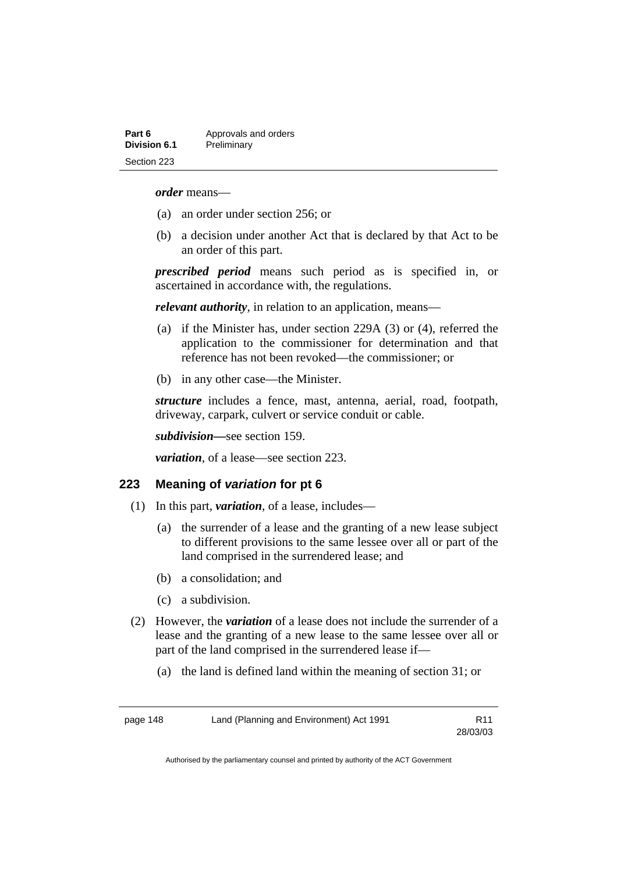| Part 6       | Approvals and orders |
|--------------|----------------------|
| Division 6.1 | Preliminary          |
| Section 223  |                      |

#### *order* means—

- (a) an order under section 256; or
- (b) a decision under another Act that is declared by that Act to be an order of this part.

*prescribed period* means such period as is specified in, or ascertained in accordance with, the regulations.

*relevant authority*, in relation to an application, means—

- (a) if the Minister has, under section 229A (3) or (4), referred the application to the commissioner for determination and that reference has not been revoked—the commissioner; or
- (b) in any other case—the Minister.

*structure* includes a fence, mast, antenna, aerial, road, footpath, driveway, carpark, culvert or service conduit or cable.

*subdivision—*see section 159.

*variation*, of a lease—see section 223.

#### **223 Meaning of** *variation* **for pt 6**

- (1) In this part, *variation*, of a lease, includes—
	- (a) the surrender of a lease and the granting of a new lease subject to different provisions to the same lessee over all or part of the land comprised in the surrendered lease; and
	- (b) a consolidation; and
	- (c) a subdivision.
- (2) However, the *variation* of a lease does not include the surrender of a lease and the granting of a new lease to the same lessee over all or part of the land comprised in the surrendered lease if—
	- (a) the land is defined land within the meaning of section 31; or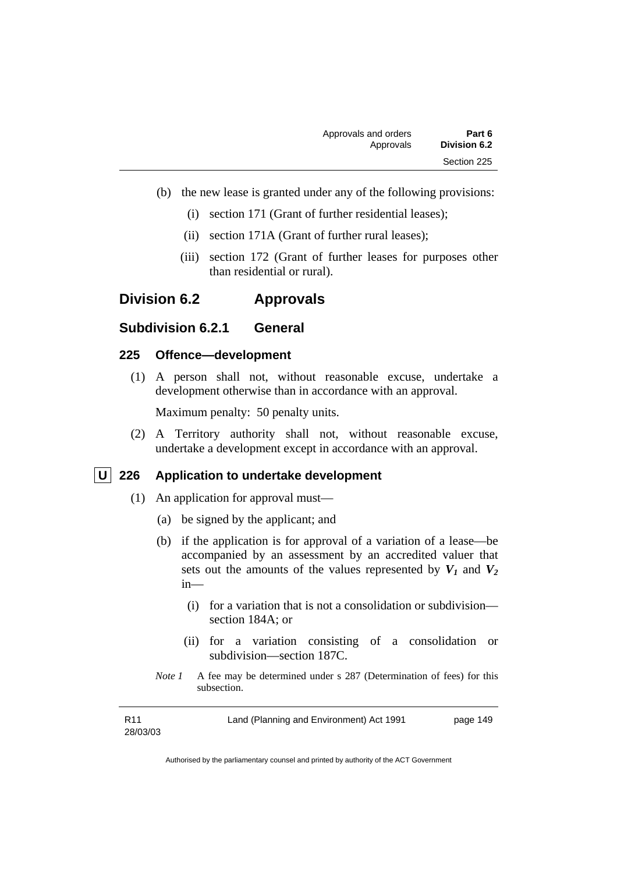- (b) the new lease is granted under any of the following provisions:
	- (i) section 171 (Grant of further residential leases);
	- (ii) section 171A (Grant of further rural leases);
	- (iii) section 172 (Grant of further leases for purposes other than residential or rural).

# **Division 6.2 Approvals**

# **Subdivision 6.2.1 General**

#### **225 Offence—development**

 (1) A person shall not, without reasonable excuse, undertake a development otherwise than in accordance with an approval.

Maximum penalty: 50 penalty units.

 (2) A Territory authority shall not, without reasonable excuse, undertake a development except in accordance with an approval.

### **U 226 Application to undertake development**

- (1) An application for approval must—
	- (a) be signed by the applicant; and
	- (b) if the application is for approval of a variation of a lease—be accompanied by an assessment by an accredited valuer that sets out the amounts of the values represented by  $V_1$  and  $V_2$ in—
		- (i) for a variation that is not a consolidation or subdivision section 184A; or
		- (ii) for a variation consisting of a consolidation or subdivision—section 187C.
	- *Note 1* A fee may be determined under s 287 (Determination of fees) for this subsection.

| R <sub>11</sub> | Land (Planning and Environment) Act 1991 | page 149 |
|-----------------|------------------------------------------|----------|
| 28/03/03        |                                          |          |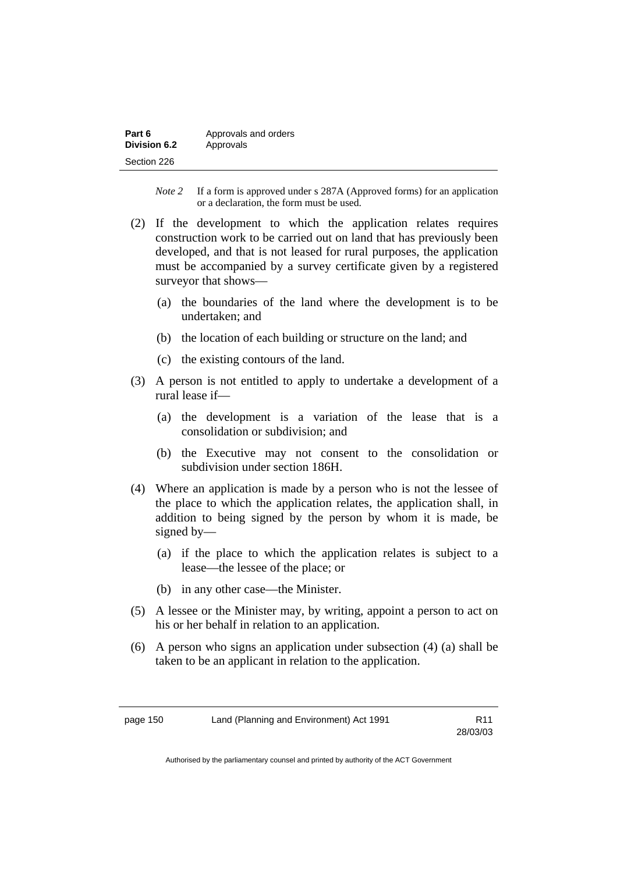| Part 6       | Approvals and orders |
|--------------|----------------------|
| Division 6.2 | Approvals            |
| Section 226  |                      |

*Note 2* If a form is approved under s 287A (Approved forms) for an application or a declaration, the form must be used.

- (2) If the development to which the application relates requires construction work to be carried out on land that has previously been developed, and that is not leased for rural purposes, the application must be accompanied by a survey certificate given by a registered surveyor that shows—
	- (a) the boundaries of the land where the development is to be undertaken; and
	- (b) the location of each building or structure on the land; and
	- (c) the existing contours of the land.
- (3) A person is not entitled to apply to undertake a development of a rural lease if—
	- (a) the development is a variation of the lease that is a consolidation or subdivision; and
	- (b) the Executive may not consent to the consolidation or subdivision under section 186H.
- (4) Where an application is made by a person who is not the lessee of the place to which the application relates, the application shall, in addition to being signed by the person by whom it is made, be signed by—
	- (a) if the place to which the application relates is subject to a lease—the lessee of the place; or
	- (b) in any other case—the Minister.
- (5) A lessee or the Minister may, by writing, appoint a person to act on his or her behalf in relation to an application.
- (6) A person who signs an application under subsection (4) (a) shall be taken to be an applicant in relation to the application.

page 150 Land (Planning and Environment) Act 1991

28/03/03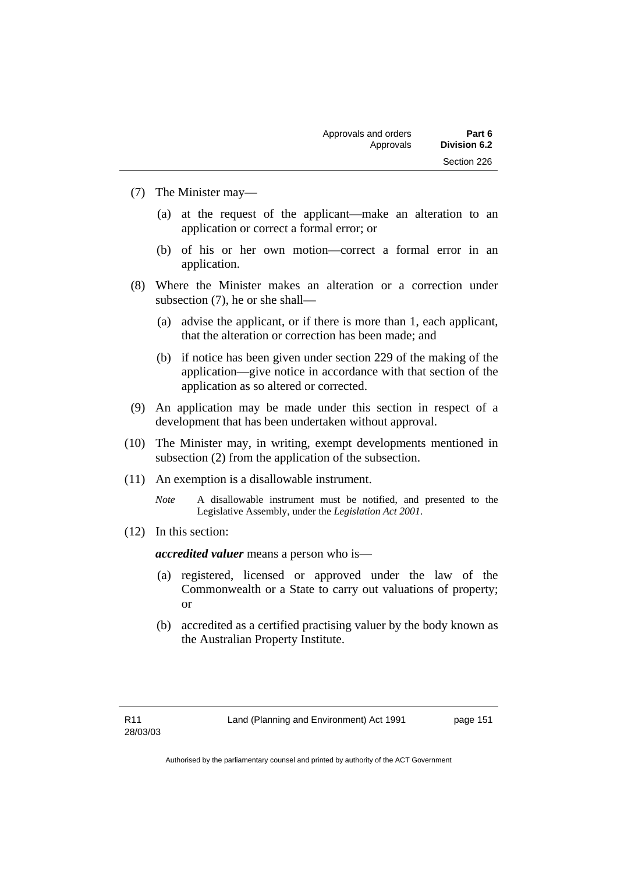| Part 6              | Approvals and orders |
|---------------------|----------------------|
| <b>Division 6.2</b> | Approvals            |
| Section 226         |                      |

- (7) The Minister may—
	- (a) at the request of the applicant—make an alteration to an application or correct a formal error; or
	- (b) of his or her own motion—correct a formal error in an application.
- (8) Where the Minister makes an alteration or a correction under subsection (7), he or she shall—
	- (a) advise the applicant, or if there is more than 1, each applicant, that the alteration or correction has been made; and
	- (b) if notice has been given under section 229 of the making of the application—give notice in accordance with that section of the application as so altered or corrected.
- (9) An application may be made under this section in respect of a development that has been undertaken without approval.
- (10) The Minister may, in writing, exempt developments mentioned in subsection (2) from the application of the subsection.
- (11) An exemption is a disallowable instrument.
	- *Note* A disallowable instrument must be notified, and presented to the Legislative Assembly, under the *Legislation Act 2001*.
- (12) In this section:

*accredited valuer* means a person who is—

- (a) registered, licensed or approved under the law of the Commonwealth or a State to carry out valuations of property; or
- (b) accredited as a certified practising valuer by the body known as the Australian Property Institute.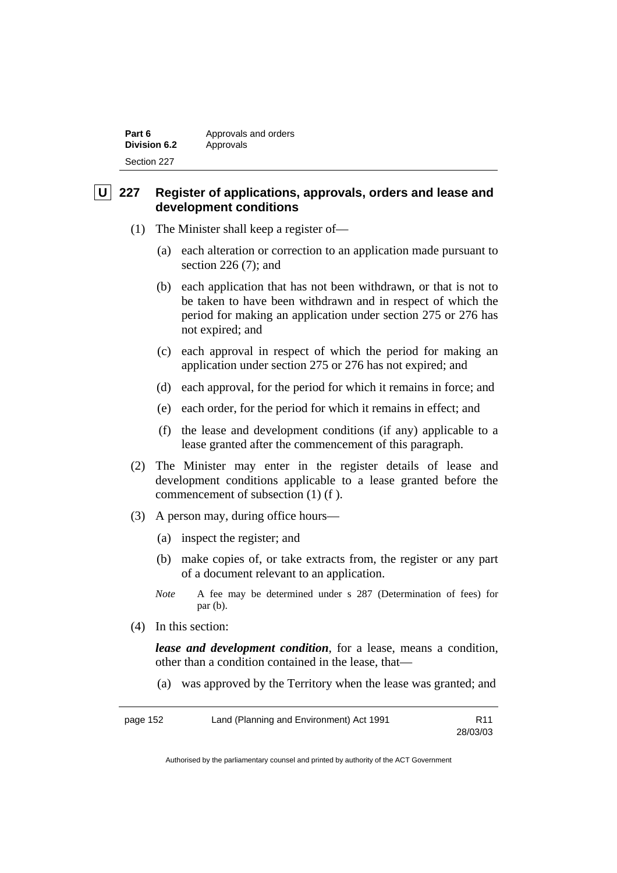| Part 6              | Approvals and orders |
|---------------------|----------------------|
| <b>Division 6.2</b> | Approvals            |
| Section 227         |                      |

# **U 227 Register of applications, approvals, orders and lease and development conditions**

- (1) The Minister shall keep a register of—
	- (a) each alteration or correction to an application made pursuant to section 226 (7); and
	- (b) each application that has not been withdrawn, or that is not to be taken to have been withdrawn and in respect of which the period for making an application under section 275 or 276 has not expired; and
	- (c) each approval in respect of which the period for making an application under section 275 or 276 has not expired; and
	- (d) each approval, for the period for which it remains in force; and
	- (e) each order, for the period for which it remains in effect; and
	- (f) the lease and development conditions (if any) applicable to a lease granted after the commencement of this paragraph.
- (2) The Minister may enter in the register details of lease and development conditions applicable to a lease granted before the commencement of subsection (1) (f ).
- (3) A person may, during office hours—
	- (a) inspect the register; and
	- (b) make copies of, or take extracts from, the register or any part of a document relevant to an application.
	- *Note* A fee may be determined under s 287 (Determination of fees) for par (b).
- (4) In this section:

*lease and development condition*, for a lease, means a condition, other than a condition contained in the lease, that—

(a) was approved by the Territory when the lease was granted; and

| page 152 | Land (Planning and Environment) Act 1991 | <b>R11</b> |
|----------|------------------------------------------|------------|
|          |                                          | 28/03/03   |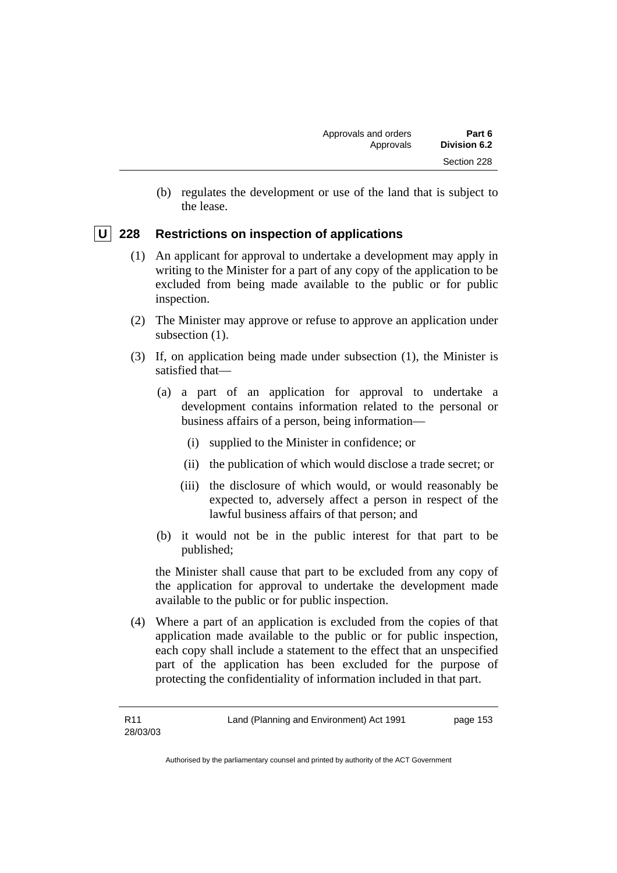| Approvals and orders | Part 6       |
|----------------------|--------------|
| Approvals            | Division 6.2 |
|                      | Section 228  |

 (b) regulates the development or use of the land that is subject to the lease.

## **U 228 Restrictions on inspection of applications**

- (1) An applicant for approval to undertake a development may apply in writing to the Minister for a part of any copy of the application to be excluded from being made available to the public or for public inspection.
- (2) The Minister may approve or refuse to approve an application under subsection  $(1)$ .
- (3) If, on application being made under subsection (1), the Minister is satisfied that—
	- (a) a part of an application for approval to undertake a development contains information related to the personal or business affairs of a person, being information—
		- (i) supplied to the Minister in confidence; or
		- (ii) the publication of which would disclose a trade secret; or
		- (iii) the disclosure of which would, or would reasonably be expected to, adversely affect a person in respect of the lawful business affairs of that person; and
	- (b) it would not be in the public interest for that part to be published;

the Minister shall cause that part to be excluded from any copy of the application for approval to undertake the development made available to the public or for public inspection.

 (4) Where a part of an application is excluded from the copies of that application made available to the public or for public inspection, each copy shall include a statement to the effect that an unspecified part of the application has been excluded for the purpose of protecting the confidentiality of information included in that part.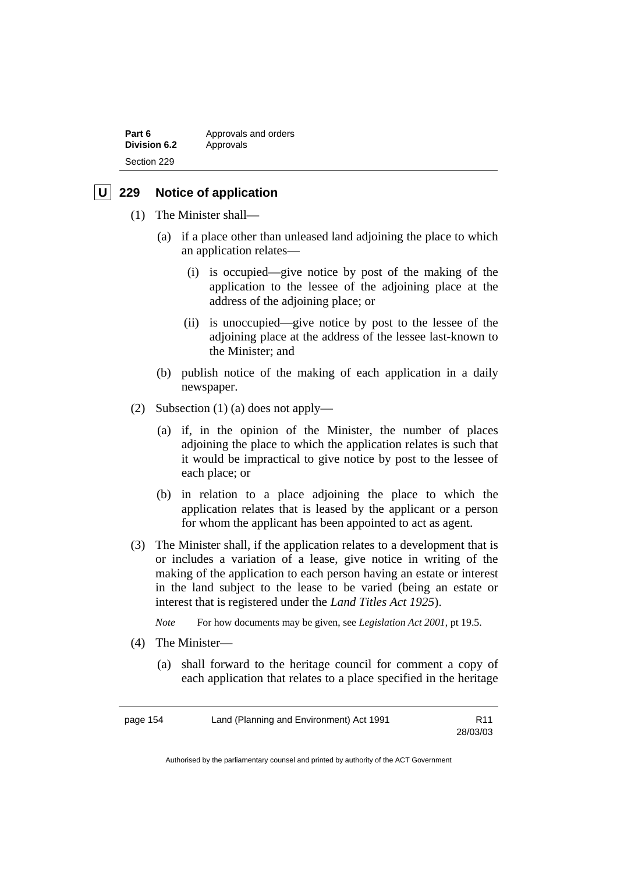**Part 6 Approvals and orders Division 6.2** Approvals Section 229

# **U 229 Notice of application**

- (1) The Minister shall—
	- (a) if a place other than unleased land adjoining the place to which an application relates—
		- (i) is occupied—give notice by post of the making of the application to the lessee of the adjoining place at the address of the adjoining place; or
		- (ii) is unoccupied—give notice by post to the lessee of the adjoining place at the address of the lessee last-known to the Minister; and
	- (b) publish notice of the making of each application in a daily newspaper.
- (2) Subsection (1) (a) does not apply—
	- (a) if, in the opinion of the Minister, the number of places adjoining the place to which the application relates is such that it would be impractical to give notice by post to the lessee of each place; or
	- (b) in relation to a place adjoining the place to which the application relates that is leased by the applicant or a person for whom the applicant has been appointed to act as agent.
- (3) The Minister shall, if the application relates to a development that is or includes a variation of a lease, give notice in writing of the making of the application to each person having an estate or interest in the land subject to the lease to be varied (being an estate or interest that is registered under the *Land Titles Act 1925*).

*Note* For how documents may be given, see *Legislation Act 2001*, pt 19.5.

- (4) The Minister—
	- (a) shall forward to the heritage council for comment a copy of each application that relates to a place specified in the heritage

| page 154 | Land (Planning and Environment) Act 1991 | R <sub>11</sub> |
|----------|------------------------------------------|-----------------|
|          |                                          | 28/03/03        |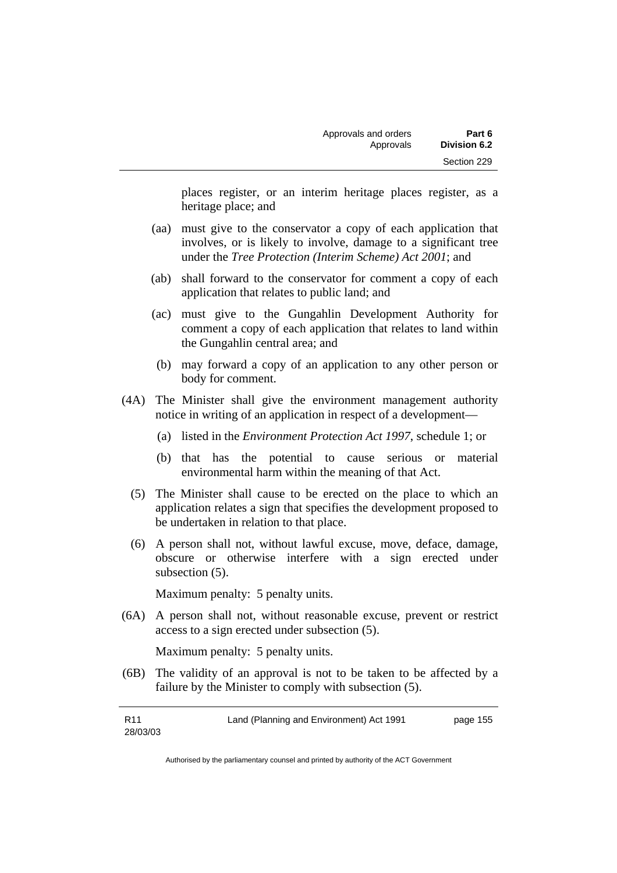places register, or an interim heritage places register, as a heritage place; and

- (aa) must give to the conservator a copy of each application that involves, or is likely to involve, damage to a significant tree under the *Tree Protection (Interim Scheme) Act 2001*; and
- (ab) shall forward to the conservator for comment a copy of each application that relates to public land; and
- (ac) must give to the Gungahlin Development Authority for comment a copy of each application that relates to land within the Gungahlin central area; and
- (b) may forward a copy of an application to any other person or body for comment.
- (4A) The Minister shall give the environment management authority notice in writing of an application in respect of a development—
	- (a) listed in the *Environment Protection Act 1997*, schedule 1; or
	- (b) that has the potential to cause serious or material environmental harm within the meaning of that Act.
	- (5) The Minister shall cause to be erected on the place to which an application relates a sign that specifies the development proposed to be undertaken in relation to that place.
	- (6) A person shall not, without lawful excuse, move, deface, damage, obscure or otherwise interfere with a sign erected under subsection (5).

Maximum penalty: 5 penalty units.

 (6A) A person shall not, without reasonable excuse, prevent or restrict access to a sign erected under subsection (5).

Maximum penalty: 5 penalty units.

 (6B) The validity of an approval is not to be taken to be affected by a failure by the Minister to comply with subsection (5).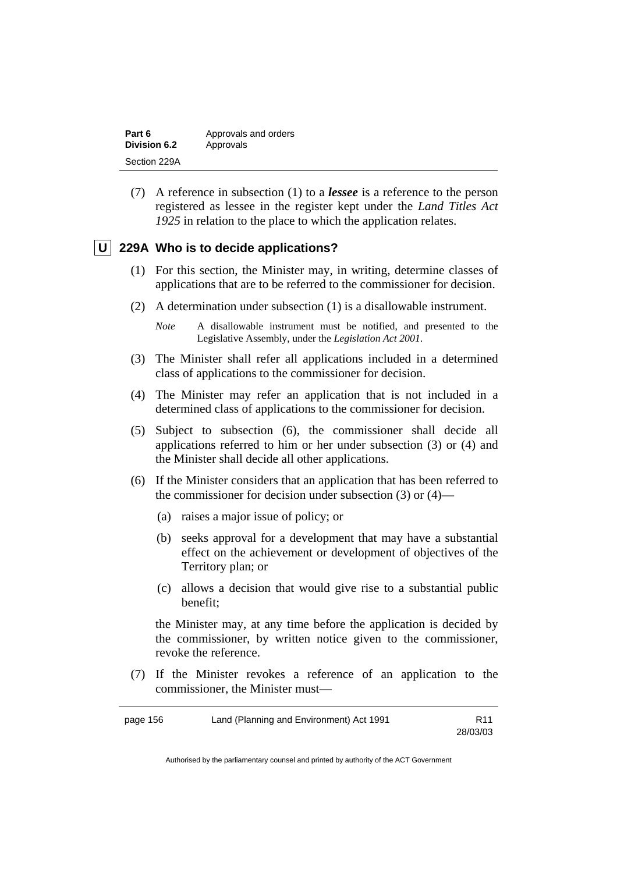| Part 6       | Approvals and orders |
|--------------|----------------------|
| Division 6.2 | Approvals            |
| Section 229A |                      |

 (7) A reference in subsection (1) to a *lessee* is a reference to the person registered as lessee in the register kept under the *Land Titles Act 1925* in relation to the place to which the application relates.

# **U 229A Who is to decide applications?**

- (1) For this section, the Minister may, in writing, determine classes of applications that are to be referred to the commissioner for decision.
- (2) A determination under subsection (1) is a disallowable instrument.
	- *Note* A disallowable instrument must be notified, and presented to the Legislative Assembly, under the *Legislation Act 2001*.
- (3) The Minister shall refer all applications included in a determined class of applications to the commissioner for decision.
- (4) The Minister may refer an application that is not included in a determined class of applications to the commissioner for decision.
- (5) Subject to subsection (6), the commissioner shall decide all applications referred to him or her under subsection (3) or (4) and the Minister shall decide all other applications.
- (6) If the Minister considers that an application that has been referred to the commissioner for decision under subsection (3) or (4)—
	- (a) raises a major issue of policy; or
	- (b) seeks approval for a development that may have a substantial effect on the achievement or development of objectives of the Territory plan; or
	- (c) allows a decision that would give rise to a substantial public benefit;

the Minister may, at any time before the application is decided by the commissioner, by written notice given to the commissioner, revoke the reference.

 (7) If the Minister revokes a reference of an application to the commissioner, the Minister must—

| page 156 | Land (Planning and Environment) Act 1991 | R <sub>11</sub> |
|----------|------------------------------------------|-----------------|
|          |                                          | 28/03/03        |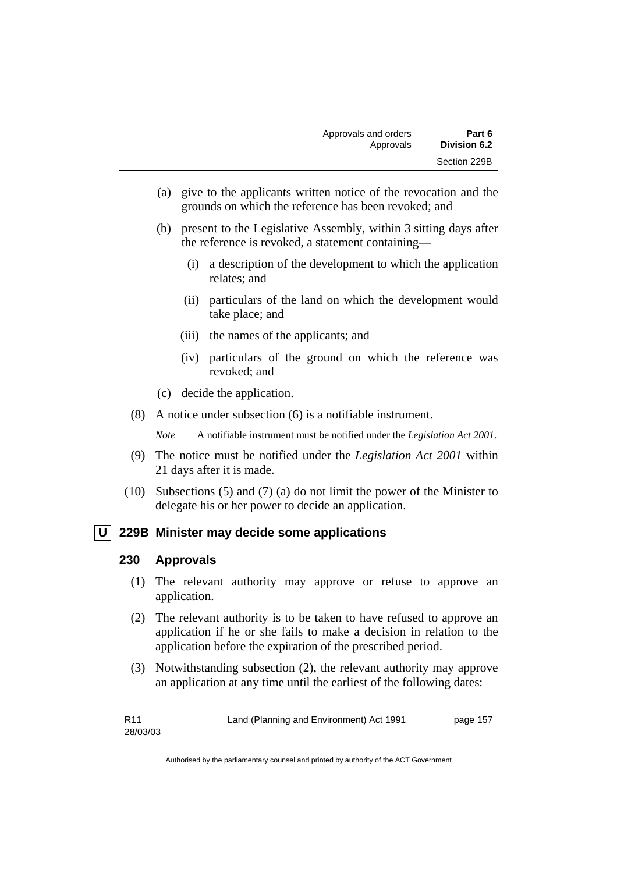- (a) give to the applicants written notice of the revocation and the grounds on which the reference has been revoked; and
- (b) present to the Legislative Assembly, within 3 sitting days after the reference is revoked, a statement containing—
	- (i) a description of the development to which the application relates; and
	- (ii) particulars of the land on which the development would take place; and
	- (iii) the names of the applicants; and
	- (iv) particulars of the ground on which the reference was revoked; and
- (c) decide the application.
- (8) A notice under subsection (6) is a notifiable instrument.

*Note* A notifiable instrument must be notified under the *Legislation Act 2001*.

- (9) The notice must be notified under the *Legislation Act 2001* within 21 days after it is made.
- (10) Subsections (5) and (7) (a) do not limit the power of the Minister to delegate his or her power to decide an application.

# **U 229B Minister may decide some applications**

### **230 Approvals**

- (1) The relevant authority may approve or refuse to approve an application.
- (2) The relevant authority is to be taken to have refused to approve an application if he or she fails to make a decision in relation to the application before the expiration of the prescribed period.
- (3) Notwithstanding subsection (2), the relevant authority may approve an application at any time until the earliest of the following dates: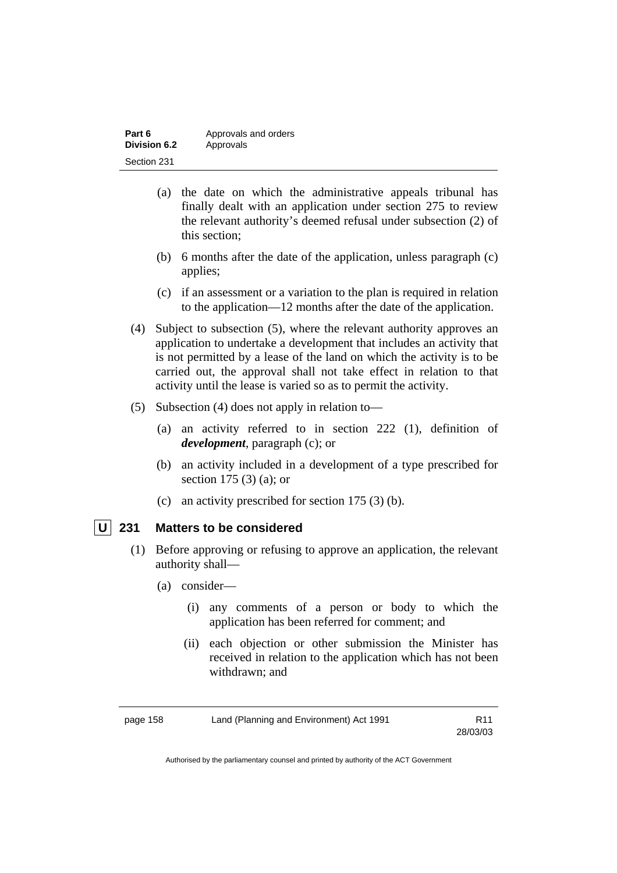| Part 6       | Approvals and orders |
|--------------|----------------------|
| Division 6.2 | Approvals            |
| Section 231  |                      |

- (a) the date on which the administrative appeals tribunal has finally dealt with an application under section 275 to review the relevant authority's deemed refusal under subsection (2) of this section;
- (b) 6 months after the date of the application, unless paragraph (c) applies;
- (c) if an assessment or a variation to the plan is required in relation to the application—12 months after the date of the application.
- (4) Subject to subsection (5), where the relevant authority approves an application to undertake a development that includes an activity that is not permitted by a lease of the land on which the activity is to be carried out, the approval shall not take effect in relation to that activity until the lease is varied so as to permit the activity.
- (5) Subsection (4) does not apply in relation to—
	- (a) an activity referred to in section 222 (1), definition of *development*, paragraph (c); or
	- (b) an activity included in a development of a type prescribed for section 175 (3) (a); or
	- (c) an activity prescribed for section 175 (3) (b).

# **U 231 Matters to be considered**

- (1) Before approving or refusing to approve an application, the relevant authority shall—
	- (a) consider—
		- (i) any comments of a person or body to which the application has been referred for comment; and
		- (ii) each objection or other submission the Minister has received in relation to the application which has not been withdrawn; and

| R <sub>11</sub> | Land (Planning and Environment) Act 1991 | page 158 |
|-----------------|------------------------------------------|----------|
| 00/00/00        |                                          |          |

28/03/03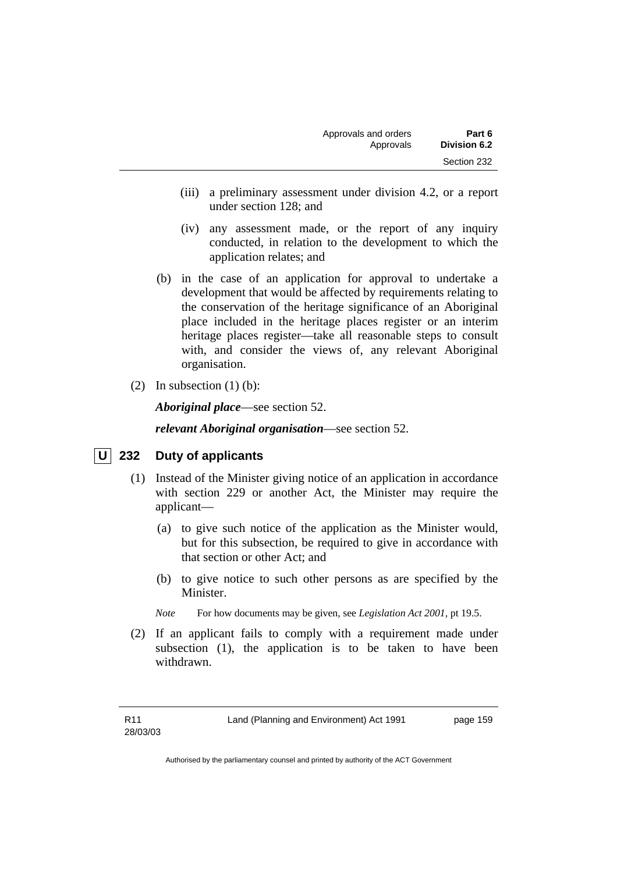| Approvals and orders | Part 6              |
|----------------------|---------------------|
| Approvals            | <b>Division 6.2</b> |
|                      | Section 232         |

- (iii) a preliminary assessment under division 4.2, or a report under section 128; and
- (iv) any assessment made, or the report of any inquiry conducted, in relation to the development to which the application relates; and
- (b) in the case of an application for approval to undertake a development that would be affected by requirements relating to the conservation of the heritage significance of an Aboriginal place included in the heritage places register or an interim heritage places register—take all reasonable steps to consult with, and consider the views of, any relevant Aboriginal organisation.
- (2) In subsection  $(1)$  (b):

*Aboriginal place*—see section 52.

*relevant Aboriginal organisation*—see section 52.

# **U 232 Duty of applicants**

- (1) Instead of the Minister giving notice of an application in accordance with section 229 or another Act, the Minister may require the applicant—
	- (a) to give such notice of the application as the Minister would, but for this subsection, be required to give in accordance with that section or other Act; and
	- (b) to give notice to such other persons as are specified by the Minister.
	- *Note* For how documents may be given, see *Legislation Act 2001*, pt 19.5.
- (2) If an applicant fails to comply with a requirement made under subsection (1), the application is to be taken to have been withdrawn.

Land (Planning and Environment) Act 1991 page 159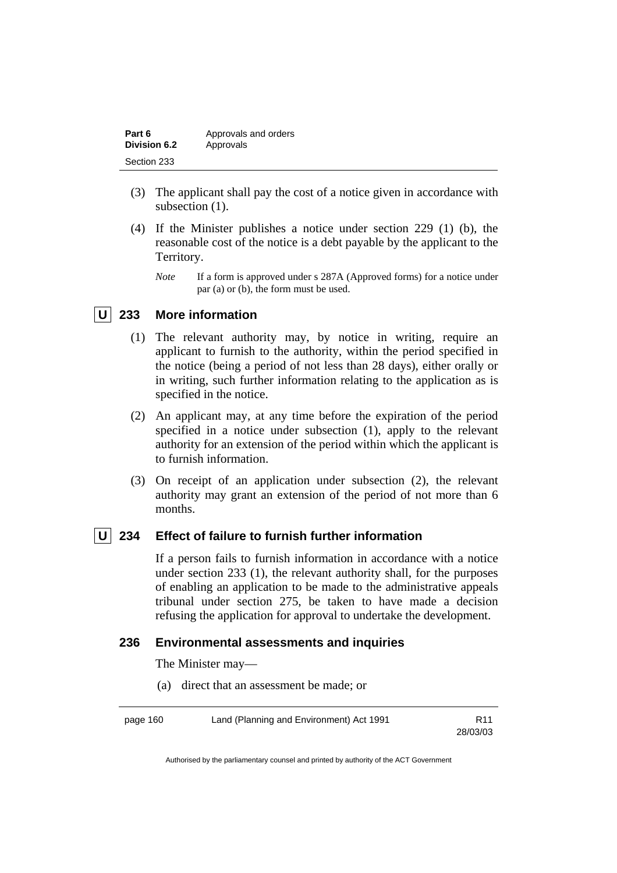| Part 6       | Approvals and orders |
|--------------|----------------------|
| Division 6.2 | Approvals            |
| Section 233  |                      |

- (3) The applicant shall pay the cost of a notice given in accordance with subsection  $(1)$ .
- (4) If the Minister publishes a notice under section 229 (1) (b), the reasonable cost of the notice is a debt payable by the applicant to the Territory.
	- *Note* If a form is approved under s 287A (Approved forms) for a notice under par (a) or (b), the form must be used.

## **U 233 More information**

- (1) The relevant authority may, by notice in writing, require an applicant to furnish to the authority, within the period specified in the notice (being a period of not less than 28 days), either orally or in writing, such further information relating to the application as is specified in the notice.
- (2) An applicant may, at any time before the expiration of the period specified in a notice under subsection (1), apply to the relevant authority for an extension of the period within which the applicant is to furnish information.
- (3) On receipt of an application under subsection (2), the relevant authority may grant an extension of the period of not more than 6 months.

### **U** 234 Effect of failure to furnish further information

If a person fails to furnish information in accordance with a notice under section 233 (1), the relevant authority shall, for the purposes of enabling an application to be made to the administrative appeals tribunal under section 275, be taken to have made a decision refusing the application for approval to undertake the development.

#### **236 Environmental assessments and inquiries**

The Minister may—

(a) direct that an assessment be made; or

| page 160 | Land (Planning and Environment) Act 1991 | R <sub>11</sub> |
|----------|------------------------------------------|-----------------|
|          |                                          | <b>28/U3/U3</b> |

28/03/03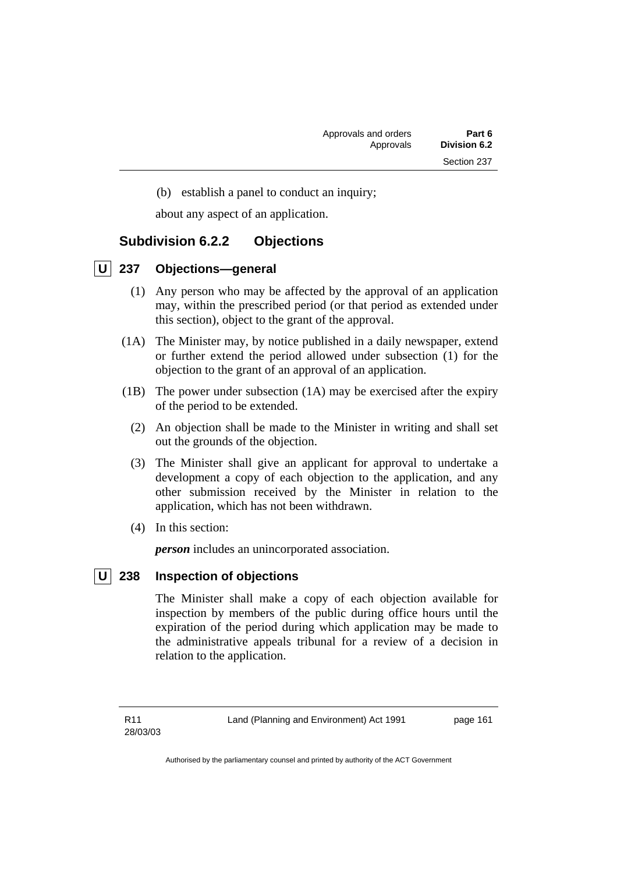(b) establish a panel to conduct an inquiry;

about any aspect of an application.

# **Subdivision 6.2.2 Objections**

- **U 237 Objections—general** 
	- (1) Any person who may be affected by the approval of an application may, within the prescribed period (or that period as extended under this section), object to the grant of the approval.
	- (1A) The Minister may, by notice published in a daily newspaper, extend or further extend the period allowed under subsection (1) for the objection to the grant of an approval of an application.
	- (1B) The power under subsection (1A) may be exercised after the expiry of the period to be extended.
		- (2) An objection shall be made to the Minister in writing and shall set out the grounds of the objection.
		- (3) The Minister shall give an applicant for approval to undertake a development a copy of each objection to the application, and any other submission received by the Minister in relation to the application, which has not been withdrawn.
		- (4) In this section:

*person* includes an unincorporated association.

# **U 238 Inspection of objections**

The Minister shall make a copy of each objection available for inspection by members of the public during office hours until the expiration of the period during which application may be made to the administrative appeals tribunal for a review of a decision in relation to the application.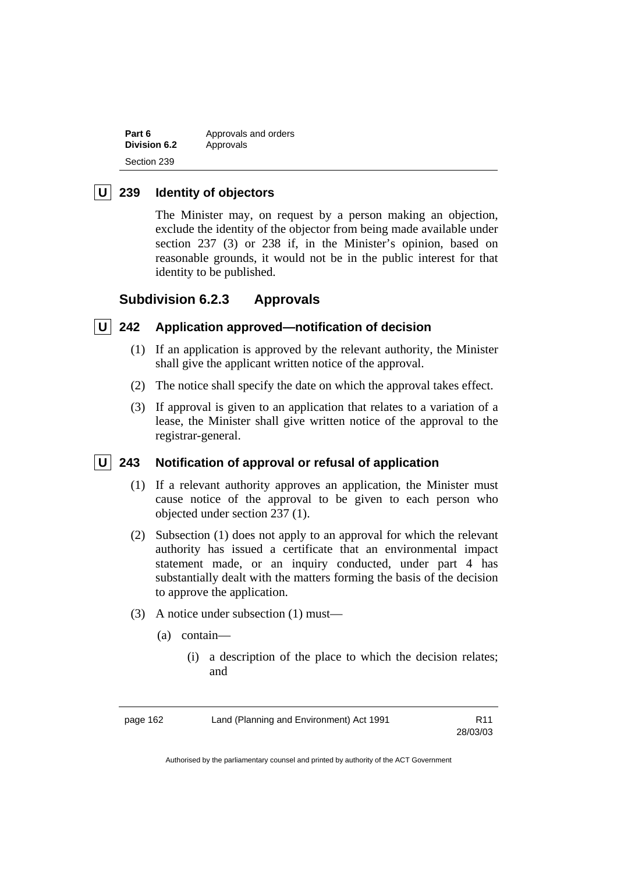| Part 6       | Approvals and orders |
|--------------|----------------------|
| Division 6.2 | Approvals            |
| Section 239  |                      |

# **U 239 Identity of objectors**

The Minister may, on request by a person making an objection, exclude the identity of the objector from being made available under section 237 (3) or 238 if, in the Minister's opinion, based on reasonable grounds, it would not be in the public interest for that identity to be published.

# **Subdivision 6.2.3 Approvals**

# **U** 242 Application approved—notification of decision

- (1) If an application is approved by the relevant authority, the Minister shall give the applicant written notice of the approval.
- (2) The notice shall specify the date on which the approval takes effect.
- (3) If approval is given to an application that relates to a variation of a lease, the Minister shall give written notice of the approval to the registrar-general.

# **U 243 Notification of approval or refusal of application**

- (1) If a relevant authority approves an application, the Minister must cause notice of the approval to be given to each person who objected under section 237 (1).
- (2) Subsection (1) does not apply to an approval for which the relevant authority has issued a certificate that an environmental impact statement made, or an inquiry conducted, under part 4 has substantially dealt with the matters forming the basis of the decision to approve the application.
- (3) A notice under subsection (1) must—
	- (a) contain—
		- (i) a description of the place to which the decision relates; and

page 162 Land (Planning and Environment) Act 1991

28/03/03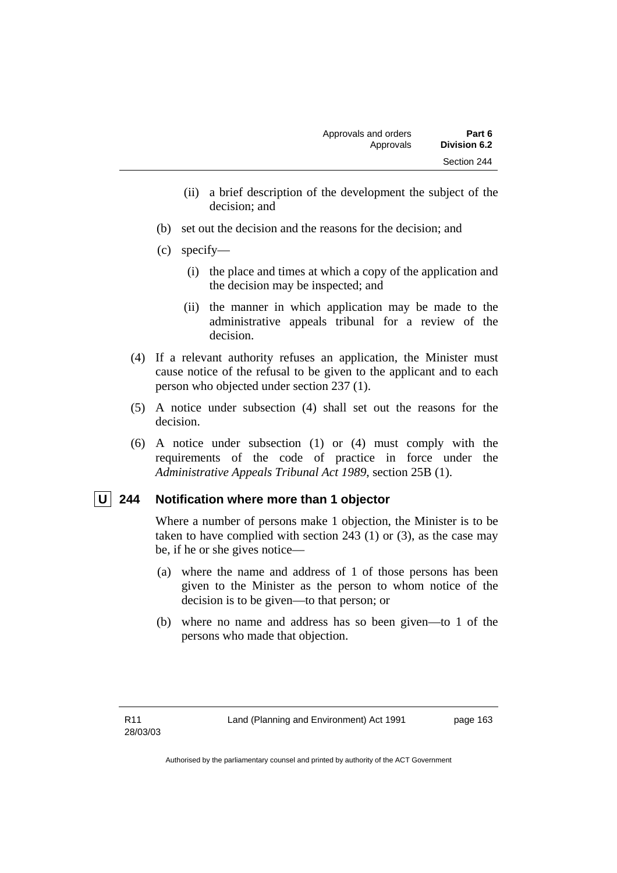- (ii) a brief description of the development the subject of the decision; and
- (b) set out the decision and the reasons for the decision; and
- (c) specify—
	- (i) the place and times at which a copy of the application and the decision may be inspected; and
	- (ii) the manner in which application may be made to the administrative appeals tribunal for a review of the decision.
- (4) If a relevant authority refuses an application, the Minister must cause notice of the refusal to be given to the applicant and to each person who objected under section 237 (1).
- (5) A notice under subsection (4) shall set out the reasons for the decision.
- (6) A notice under subsection (1) or (4) must comply with the requirements of the code of practice in force under the *Administrative Appeals Tribunal Act 1989*, section 25B (1).

### **U 244 Notification where more than 1 objector**

Where a number of persons make 1 objection, the Minister is to be taken to have complied with section 243 (1) or (3), as the case may be, if he or she gives notice—

- (a) where the name and address of 1 of those persons has been given to the Minister as the person to whom notice of the decision is to be given—to that person; or
- (b) where no name and address has so been given—to 1 of the persons who made that objection.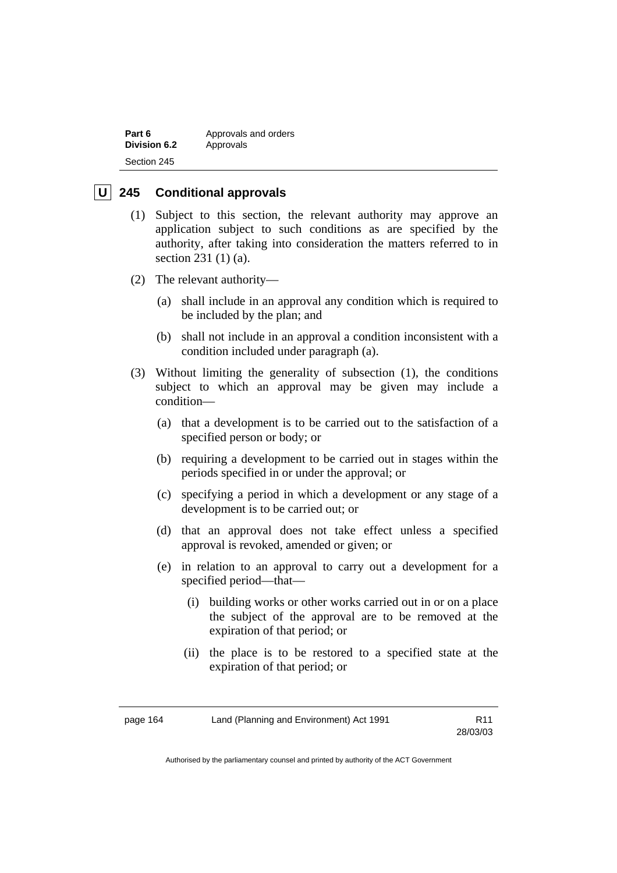| Part 6       | Approvals and orders |
|--------------|----------------------|
| Division 6.2 | Approvals            |
| Section 245  |                      |

# **U 245 Conditional approvals**

- (1) Subject to this section, the relevant authority may approve an application subject to such conditions as are specified by the authority, after taking into consideration the matters referred to in section 231 (1) (a).
- (2) The relevant authority—
	- (a) shall include in an approval any condition which is required to be included by the plan; and
	- (b) shall not include in an approval a condition inconsistent with a condition included under paragraph (a).
- (3) Without limiting the generality of subsection (1), the conditions subject to which an approval may be given may include a condition—
	- (a) that a development is to be carried out to the satisfaction of a specified person or body; or
	- (b) requiring a development to be carried out in stages within the periods specified in or under the approval; or
	- (c) specifying a period in which a development or any stage of a development is to be carried out; or
	- (d) that an approval does not take effect unless a specified approval is revoked, amended or given; or
	- (e) in relation to an approval to carry out a development for a specified period—that—
		- (i) building works or other works carried out in or on a place the subject of the approval are to be removed at the expiration of that period; or
		- (ii) the place is to be restored to a specified state at the expiration of that period; or

page 164 Land (Planning and Environment) Act 1991

28/03/03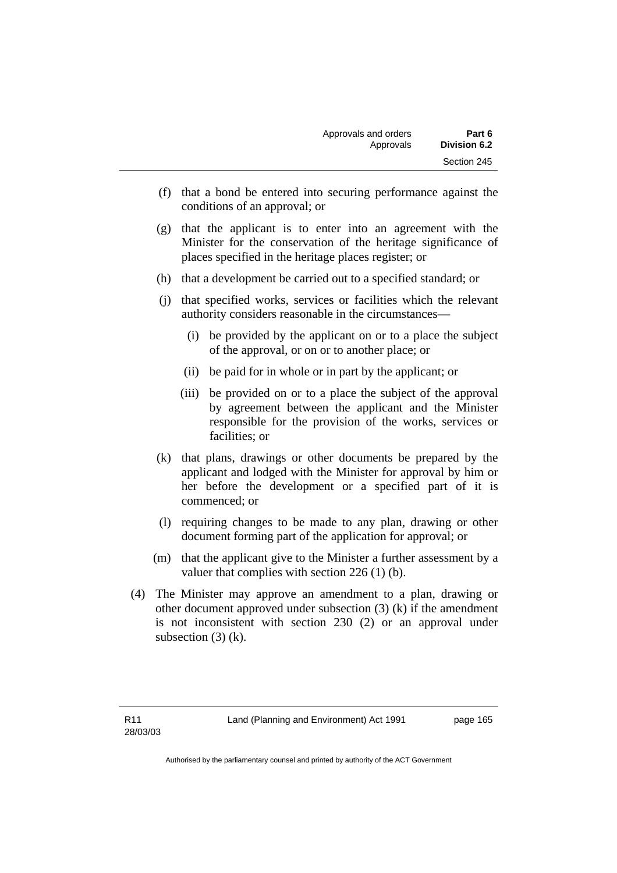- (f) that a bond be entered into securing performance against the conditions of an approval; or
- (g) that the applicant is to enter into an agreement with the Minister for the conservation of the heritage significance of places specified in the heritage places register; or
- (h) that a development be carried out to a specified standard; or
- (j) that specified works, services or facilities which the relevant authority considers reasonable in the circumstances—
	- (i) be provided by the applicant on or to a place the subject of the approval, or on or to another place; or
	- (ii) be paid for in whole or in part by the applicant; or
	- (iii) be provided on or to a place the subject of the approval by agreement between the applicant and the Minister responsible for the provision of the works, services or facilities; or
- (k) that plans, drawings or other documents be prepared by the applicant and lodged with the Minister for approval by him or her before the development or a specified part of it is commenced; or
- (l) requiring changes to be made to any plan, drawing or other document forming part of the application for approval; or
- (m) that the applicant give to the Minister a further assessment by a valuer that complies with section 226 (1) (b).
- (4) The Minister may approve an amendment to a plan, drawing or other document approved under subsection (3) (k) if the amendment is not inconsistent with section 230 (2) or an approval under subsection (3) (k).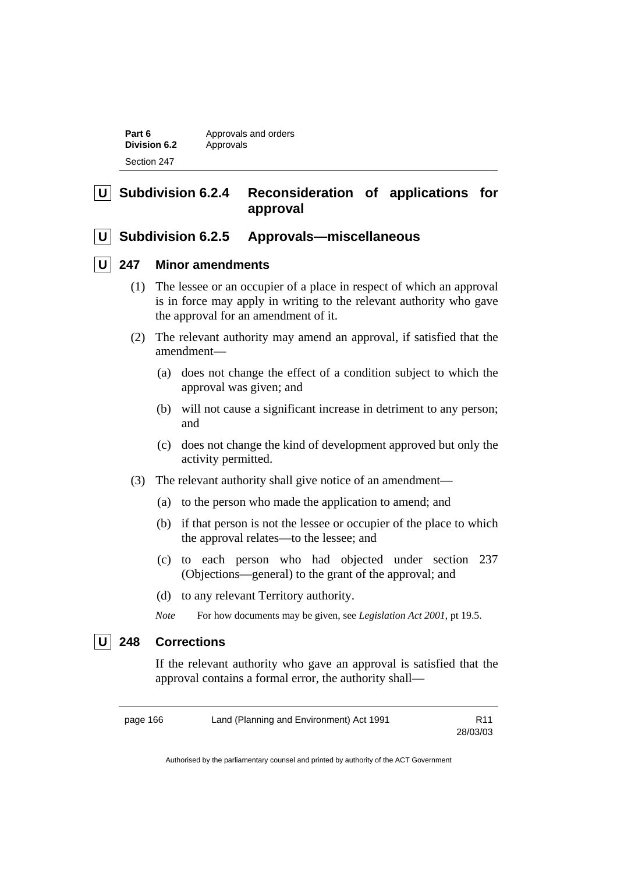**Part 6 Approvals and orders Division 6.2** Approvals Section 247

## **U Subdivision 6.2.4 Reconsideration of applications for approval**

## **U Subdivision 6.2.5 Approvals—miscellaneous**

#### **U 247 Minor amendments**

- (1) The lessee or an occupier of a place in respect of which an approval is in force may apply in writing to the relevant authority who gave the approval for an amendment of it.
- (2) The relevant authority may amend an approval, if satisfied that the amendment—
	- (a) does not change the effect of a condition subject to which the approval was given; and
	- (b) will not cause a significant increase in detriment to any person; and
	- (c) does not change the kind of development approved but only the activity permitted.
- (3) The relevant authority shall give notice of an amendment—
	- (a) to the person who made the application to amend; and
	- (b) if that person is not the lessee or occupier of the place to which the approval relates—to the lessee; and
	- (c) to each person who had objected under section 237 (Objections—general) to the grant of the approval; and
	- (d) to any relevant Territory authority.
	- *Note* For how documents may be given, see *Legislation Act 2001*, pt 19.5.

## **U 248 Corrections**

If the relevant authority who gave an approval is satisfied that the approval contains a formal error, the authority shall—

| page 166 | Land (Planning and Environment) Act 1991 | R <sub>11</sub> |
|----------|------------------------------------------|-----------------|
|          |                                          | בח/בח/סר        |

28/03/03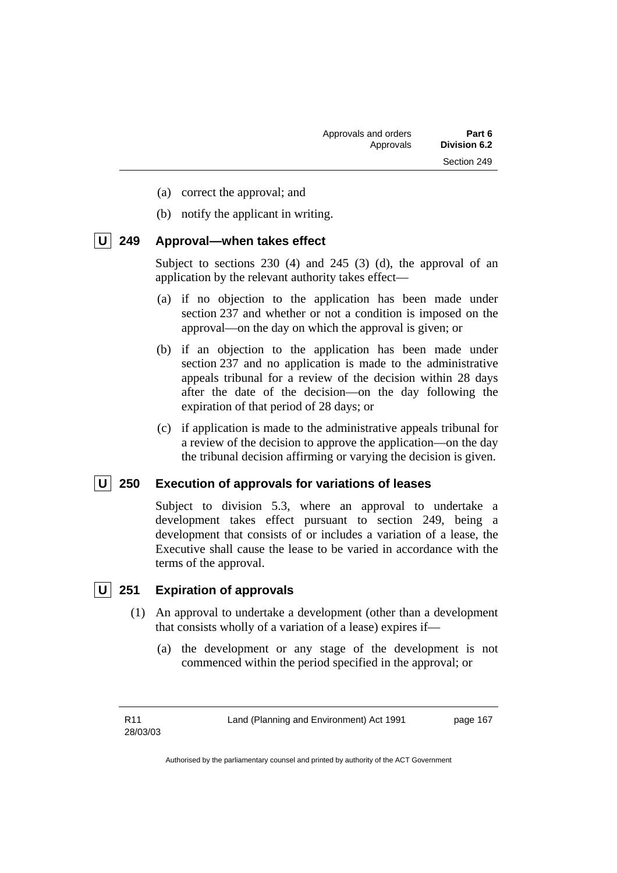- (a) correct the approval; and
- (b) notify the applicant in writing.

## **U 249 Approval—when takes effect**

Subject to sections 230 (4) and 245 (3) (d), the approval of an application by the relevant authority takes effect—

- (a) if no objection to the application has been made under section 237 and whether or not a condition is imposed on the approval—on the day on which the approval is given; or
- (b) if an objection to the application has been made under section 237 and no application is made to the administrative appeals tribunal for a review of the decision within 28 days after the date of the decision—on the day following the expiration of that period of 28 days; or
- (c) if application is made to the administrative appeals tribunal for a review of the decision to approve the application—on the day the tribunal decision affirming or varying the decision is given.

#### **U 250 Execution of approvals for variations of leases**

Subject to division 5.3, where an approval to undertake a development takes effect pursuant to section 249, being a development that consists of or includes a variation of a lease, the Executive shall cause the lease to be varied in accordance with the terms of the approval.

## **<u>U**</u> 251 Expiration of approvals

- (1) An approval to undertake a development (other than a development that consists wholly of a variation of a lease) expires if—
	- (a) the development or any stage of the development is not commenced within the period specified in the approval; or

R11 28/03/03 Land (Planning and Environment) Act 1991 page 167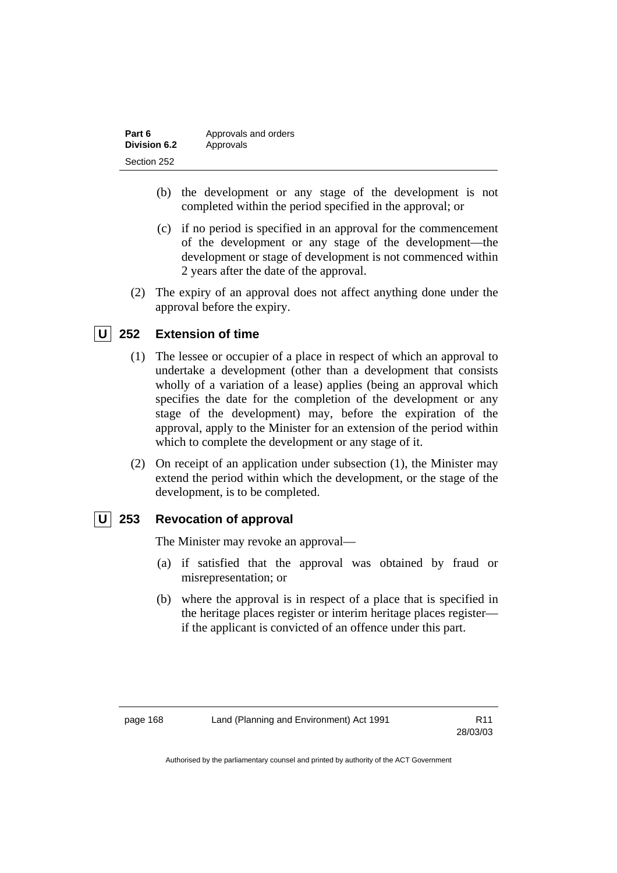| Part 6              | Approvals and orders |
|---------------------|----------------------|
| <b>Division 6.2</b> | Approvals            |
| Section 252         |                      |

- (b) the development or any stage of the development is not completed within the period specified in the approval; or
- (c) if no period is specified in an approval for the commencement of the development or any stage of the development—the development or stage of development is not commenced within 2 years after the date of the approval.
- (2) The expiry of an approval does not affect anything done under the approval before the expiry.

## **U 252 Extension of time**

- (1) The lessee or occupier of a place in respect of which an approval to undertake a development (other than a development that consists wholly of a variation of a lease) applies (being an approval which specifies the date for the completion of the development or any stage of the development) may, before the expiration of the approval, apply to the Minister for an extension of the period within which to complete the development or any stage of it.
- (2) On receipt of an application under subsection (1), the Minister may extend the period within which the development, or the stage of the development, is to be completed.

## **U 253 Revocation of approval**

The Minister may revoke an approval—

- (a) if satisfied that the approval was obtained by fraud or misrepresentation; or
- (b) where the approval is in respect of a place that is specified in the heritage places register or interim heritage places register if the applicant is convicted of an offence under this part.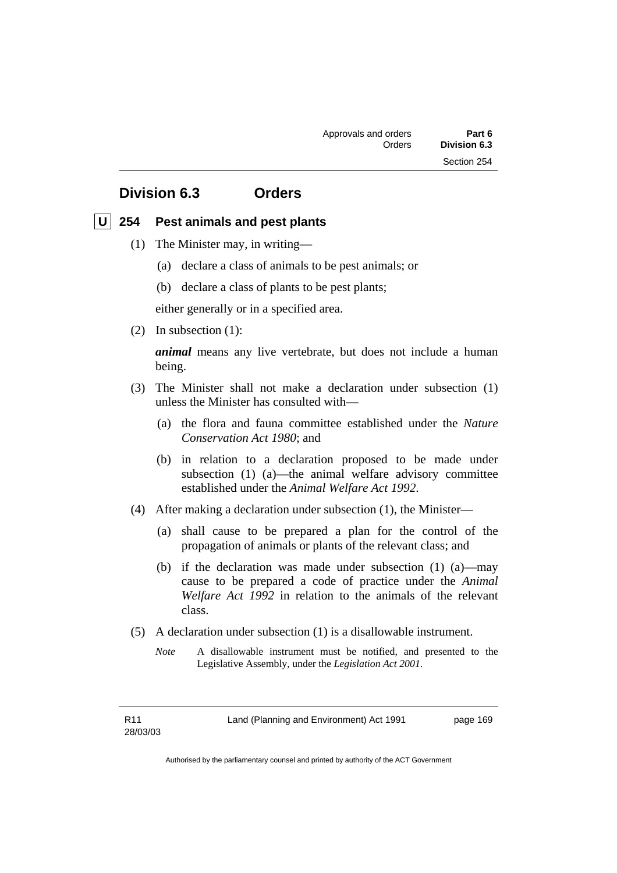## **Division 6.3 Orders**

#### **U** 254 Pest animals and pest plants

- (1) The Minister may, in writing—
	- (a) declare a class of animals to be pest animals; or
	- (b) declare a class of plants to be pest plants;

either generally or in a specified area.

(2) In subsection (1):

*animal* means any live vertebrate, but does not include a human being.

- (3) The Minister shall not make a declaration under subsection (1) unless the Minister has consulted with—
	- (a) the flora and fauna committee established under the *Nature Conservation Act 1980*; and
	- (b) in relation to a declaration proposed to be made under subsection (1) (a)—the animal welfare advisory committee established under the *Animal Welfare Act 1992*.
- (4) After making a declaration under subsection (1), the Minister—
	- (a) shall cause to be prepared a plan for the control of the propagation of animals or plants of the relevant class; and
	- (b) if the declaration was made under subsection (1) (a)—may cause to be prepared a code of practice under the *Animal Welfare Act 1992* in relation to the animals of the relevant class.
- (5) A declaration under subsection (1) is a disallowable instrument.
	- *Note* A disallowable instrument must be notified, and presented to the Legislative Assembly, under the *Legislation Act 2001*.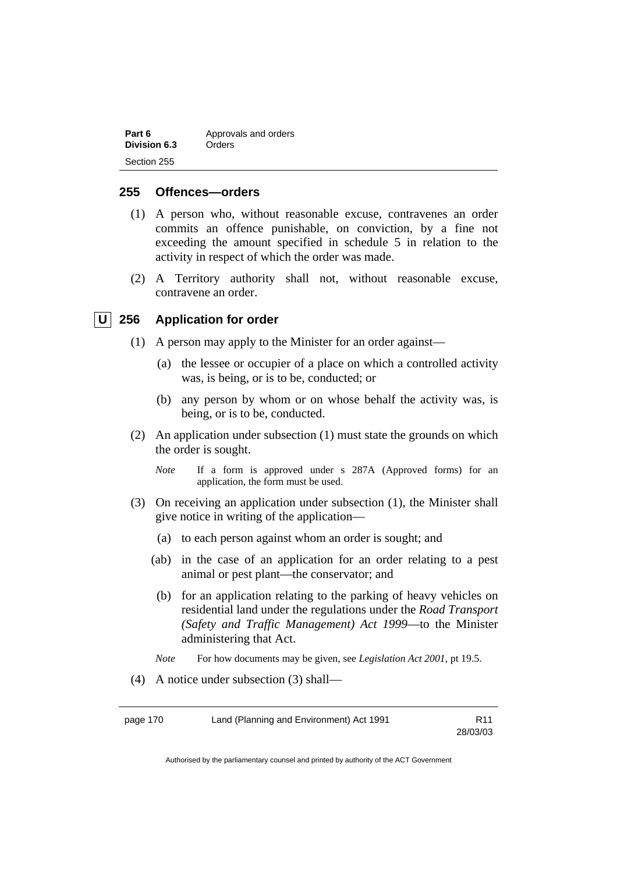| Part 6       | Approvals and orders |
|--------------|----------------------|
| Division 6.3 | Orders               |
| Section 255  |                      |

#### **255 Offences—orders**

- (1) A person who, without reasonable excuse, contravenes an order commits an offence punishable, on conviction, by a fine not exceeding the amount specified in schedule 5 in relation to the activity in respect of which the order was made.
- (2) A Territory authority shall not, without reasonable excuse, contravene an order.

## **U 256 Application for order**

- (1) A person may apply to the Minister for an order against—
	- (a) the lessee or occupier of a place on which a controlled activity was, is being, or is to be, conducted; or
	- (b) any person by whom or on whose behalf the activity was, is being, or is to be, conducted.
- (2) An application under subsection (1) must state the grounds on which the order is sought.
	- *Note* If a form is approved under s 287A (Approved forms) for an application, the form must be used.
- (3) On receiving an application under subsection (1), the Minister shall give notice in writing of the application—
	- (a) to each person against whom an order is sought; and
	- (ab) in the case of an application for an order relating to a pest animal or pest plant—the conservator; and
	- (b) for an application relating to the parking of heavy vehicles on residential land under the regulations under the *Road Transport (Safety and Traffic Management) Act 1999*—to the Minister administering that Act.
	- *Note* For how documents may be given, see *Legislation Act 2001*, pt 19.5.
- (4) A notice under subsection (3) shall—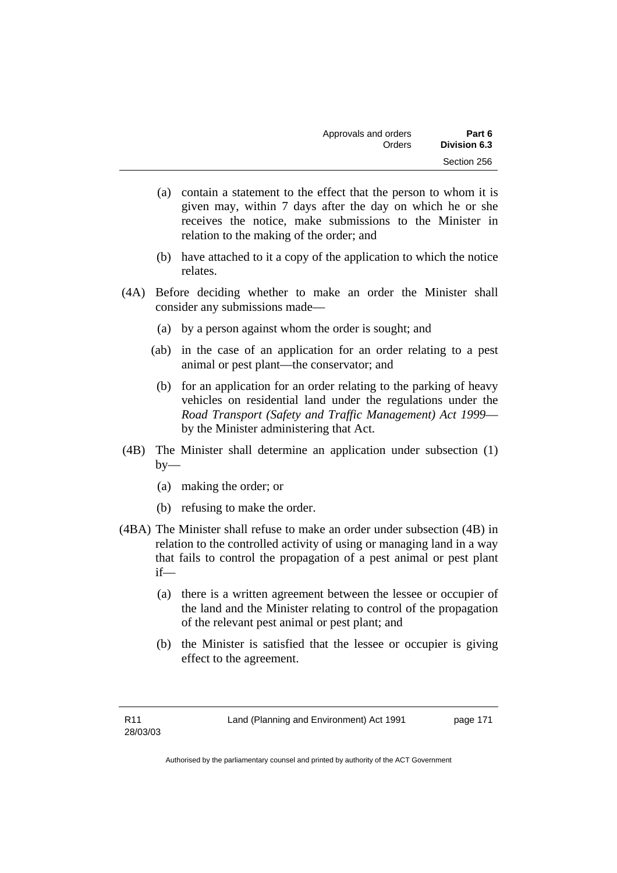- (a) contain a statement to the effect that the person to whom it is given may, within 7 days after the day on which he or she receives the notice, make submissions to the Minister in relation to the making of the order; and
- (b) have attached to it a copy of the application to which the notice relates.
- (4A) Before deciding whether to make an order the Minister shall consider any submissions made—
	- (a) by a person against whom the order is sought; and
	- (ab) in the case of an application for an order relating to a pest animal or pest plant—the conservator; and
	- (b) for an application for an order relating to the parking of heavy vehicles on residential land under the regulations under the *Road Transport (Safety and Traffic Management) Act 1999* by the Minister administering that Act.
- (4B) The Minister shall determine an application under subsection (1)  $b$ y-
	- (a) making the order; or
	- (b) refusing to make the order.
- (4BA) The Minister shall refuse to make an order under subsection (4B) in relation to the controlled activity of using or managing land in a way that fails to control the propagation of a pest animal or pest plant if—
	- (a) there is a written agreement between the lessee or occupier of the land and the Minister relating to control of the propagation of the relevant pest animal or pest plant; and
	- (b) the Minister is satisfied that the lessee or occupier is giving effect to the agreement.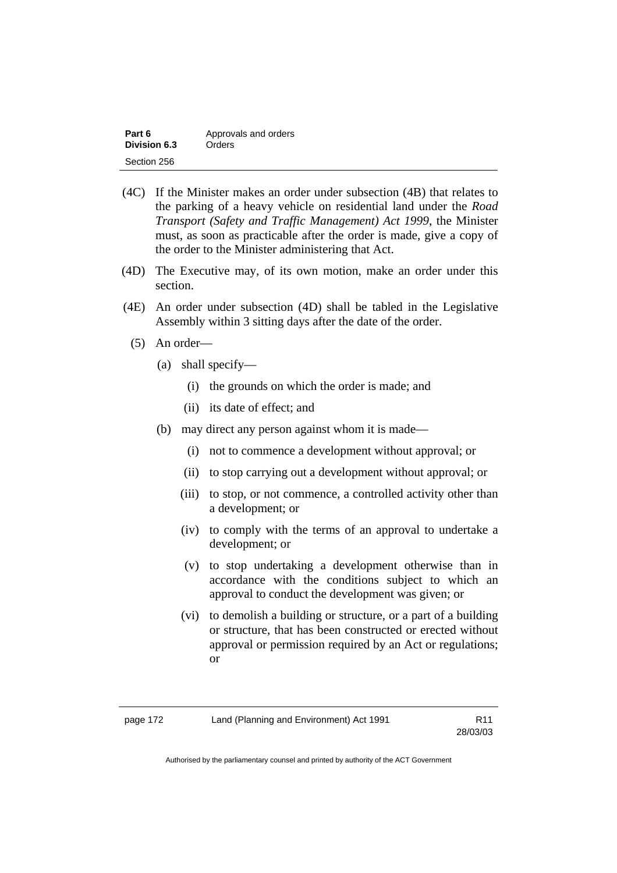| Part 6       | Approvals and orders |
|--------------|----------------------|
| Division 6.3 | Orders               |
| Section 256  |                      |

- (4C) If the Minister makes an order under subsection (4B) that relates to the parking of a heavy vehicle on residential land under the *Road Transport (Safety and Traffic Management) Act 1999*, the Minister must, as soon as practicable after the order is made, give a copy of the order to the Minister administering that Act.
- (4D) The Executive may, of its own motion, make an order under this section.
- (4E) An order under subsection (4D) shall be tabled in the Legislative Assembly within 3 sitting days after the date of the order.
	- (5) An order—
		- (a) shall specify—
			- (i) the grounds on which the order is made; and
			- (ii) its date of effect; and
		- (b) may direct any person against whom it is made—
			- (i) not to commence a development without approval; or
			- (ii) to stop carrying out a development without approval; or
			- (iii) to stop, or not commence, a controlled activity other than a development; or
			- (iv) to comply with the terms of an approval to undertake a development; or
			- (v) to stop undertaking a development otherwise than in accordance with the conditions subject to which an approval to conduct the development was given; or
			- (vi) to demolish a building or structure, or a part of a building or structure, that has been constructed or erected without approval or permission required by an Act or regulations; or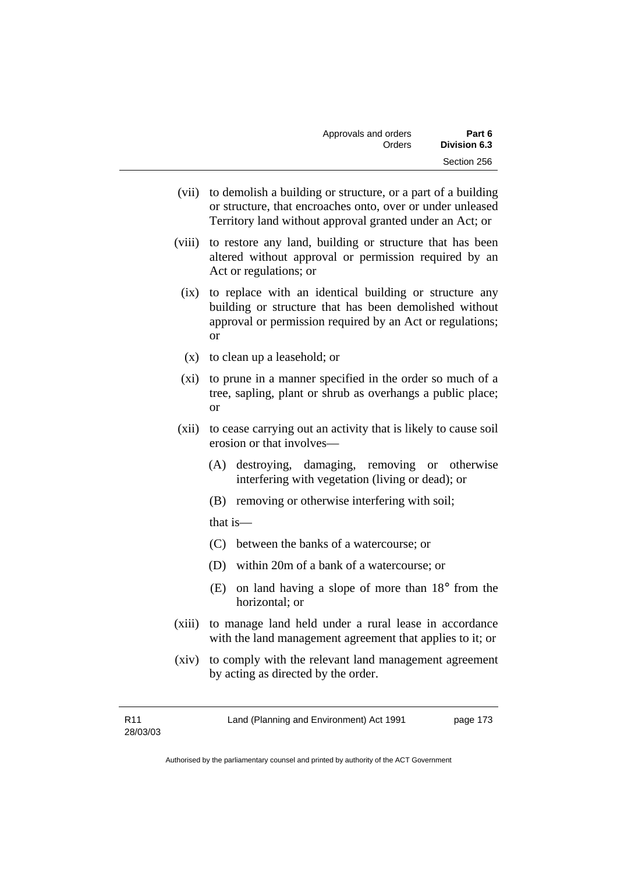| Approvals and orders | Part 6       |
|----------------------|--------------|
| Orders               | Division 6.3 |
|                      | Section 256  |

- (vii) to demolish a building or structure, or a part of a building or structure, that encroaches onto, over or under unleased Territory land without approval granted under an Act; or
- (viii) to restore any land, building or structure that has been altered without approval or permission required by an Act or regulations; or
	- (ix) to replace with an identical building or structure any building or structure that has been demolished without approval or permission required by an Act or regulations; or
	- (x) to clean up a leasehold; or
	- (xi) to prune in a manner specified in the order so much of a tree, sapling, plant or shrub as overhangs a public place; or
- (xii) to cease carrying out an activity that is likely to cause soil erosion or that involves—
	- (A) destroying, damaging, removing or otherwise interfering with vegetation (living or dead); or
	- (B) removing or otherwise interfering with soil;

that is—

- (C) between the banks of a watercourse; or
- (D) within 20m of a bank of a watercourse; or
- (E) on land having a slope of more than 18° from the horizontal; or
- (xiii) to manage land held under a rural lease in accordance with the land management agreement that applies to it; or
- (xiv) to comply with the relevant land management agreement by acting as directed by the order.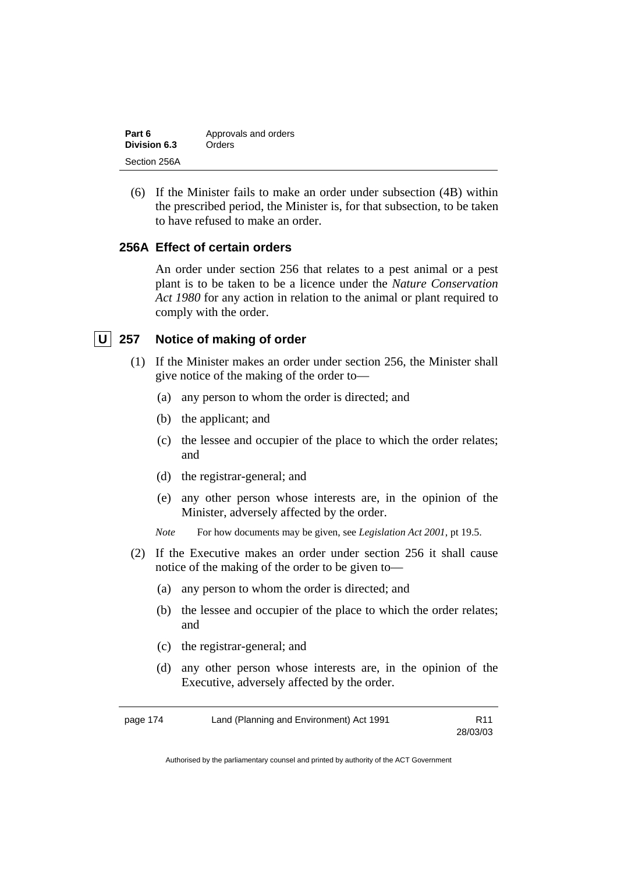| Part 6       | Approvals and orders |
|--------------|----------------------|
| Division 6.3 | Orders               |
| Section 256A |                      |

 (6) If the Minister fails to make an order under subsection (4B) within the prescribed period, the Minister is, for that subsection, to be taken to have refused to make an order.

#### **256A Effect of certain orders**

An order under section 256 that relates to a pest animal or a pest plant is to be taken to be a licence under the *Nature Conservation Act 1980* for any action in relation to the animal or plant required to comply with the order.

#### **U** 257 Notice of making of order

- (1) If the Minister makes an order under section 256, the Minister shall give notice of the making of the order to—
	- (a) any person to whom the order is directed; and
	- (b) the applicant; and
	- (c) the lessee and occupier of the place to which the order relates; and
	- (d) the registrar-general; and
	- (e) any other person whose interests are, in the opinion of the Minister, adversely affected by the order.
	- *Note* For how documents may be given, see *Legislation Act 2001*, pt 19.5.
- (2) If the Executive makes an order under section 256 it shall cause notice of the making of the order to be given to—
	- (a) any person to whom the order is directed; and
	- (b) the lessee and occupier of the place to which the order relates; and
	- (c) the registrar-general; and
	- (d) any other person whose interests are, in the opinion of the Executive, adversely affected by the order.

| page 174 | Land (Planning and Environment) Act 1991 | R <sub>11</sub> |
|----------|------------------------------------------|-----------------|
|          |                                          | 28/03/03        |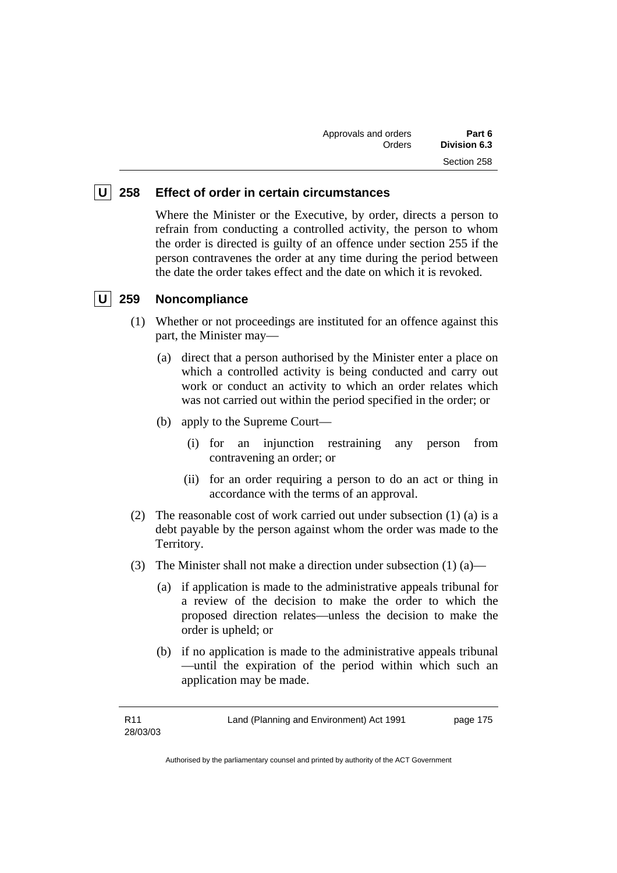| Approvals and orders | Part 6       |
|----------------------|--------------|
| Orders               | Division 6.3 |
|                      | Section 258  |

#### **U 258 Effect of order in certain circumstances**

Where the Minister or the Executive, by order, directs a person to refrain from conducting a controlled activity, the person to whom the order is directed is guilty of an offence under section 255 if the person contravenes the order at any time during the period between the date the order takes effect and the date on which it is revoked.

### **U 259 Noncompliance**

- (1) Whether or not proceedings are instituted for an offence against this part, the Minister may—
	- (a) direct that a person authorised by the Minister enter a place on which a controlled activity is being conducted and carry out work or conduct an activity to which an order relates which was not carried out within the period specified in the order; or
	- (b) apply to the Supreme Court—
		- (i) for an injunction restraining any person from contravening an order; or
		- (ii) for an order requiring a person to do an act or thing in accordance with the terms of an approval.
- (2) The reasonable cost of work carried out under subsection (1) (a) is a debt payable by the person against whom the order was made to the Territory.
- (3) The Minister shall not make a direction under subsection (1) (a)—
	- (a) if application is made to the administrative appeals tribunal for a review of the decision to make the order to which the proposed direction relates—unless the decision to make the order is upheld; or
	- (b) if no application is made to the administrative appeals tribunal —until the expiration of the period within which such an application may be made.

Land (Planning and Environment) Act 1991 page 175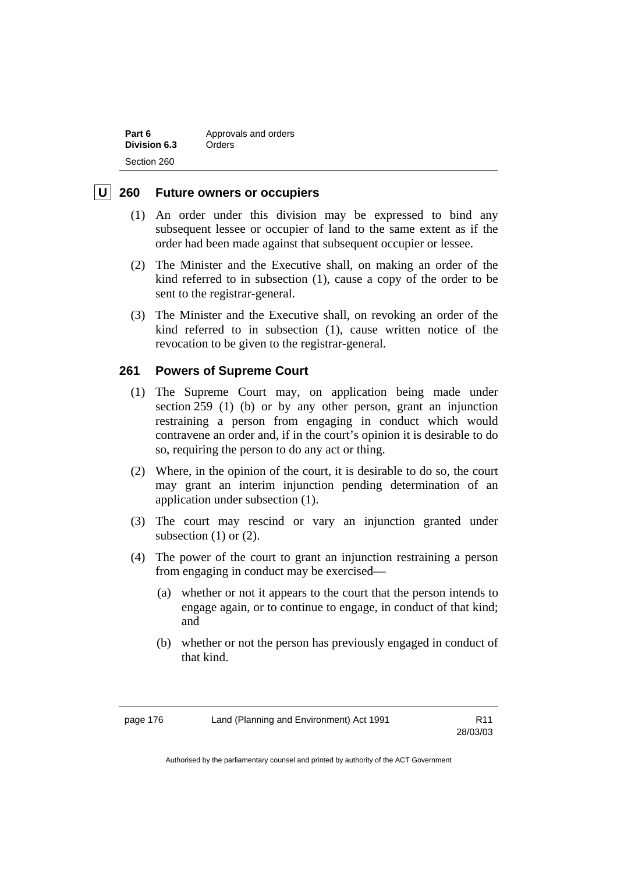| Part 6       | Approvals and orders |
|--------------|----------------------|
| Division 6.3 | Orders               |
| Section 260  |                      |

#### **U 260 Future owners or occupiers**

- (1) An order under this division may be expressed to bind any subsequent lessee or occupier of land to the same extent as if the order had been made against that subsequent occupier or lessee.
- (2) The Minister and the Executive shall, on making an order of the kind referred to in subsection (1), cause a copy of the order to be sent to the registrar-general.
- (3) The Minister and the Executive shall, on revoking an order of the kind referred to in subsection (1), cause written notice of the revocation to be given to the registrar-general.

#### **261 Powers of Supreme Court**

- (1) The Supreme Court may, on application being made under section 259 (1) (b) or by any other person, grant an injunction restraining a person from engaging in conduct which would contravene an order and, if in the court's opinion it is desirable to do so, requiring the person to do any act or thing.
- (2) Where, in the opinion of the court, it is desirable to do so, the court may grant an interim injunction pending determination of an application under subsection (1).
- (3) The court may rescind or vary an injunction granted under subsection  $(1)$  or  $(2)$ .
- (4) The power of the court to grant an injunction restraining a person from engaging in conduct may be exercised—
	- (a) whether or not it appears to the court that the person intends to engage again, or to continue to engage, in conduct of that kind; and
	- (b) whether or not the person has previously engaged in conduct of that kind.

28/03/03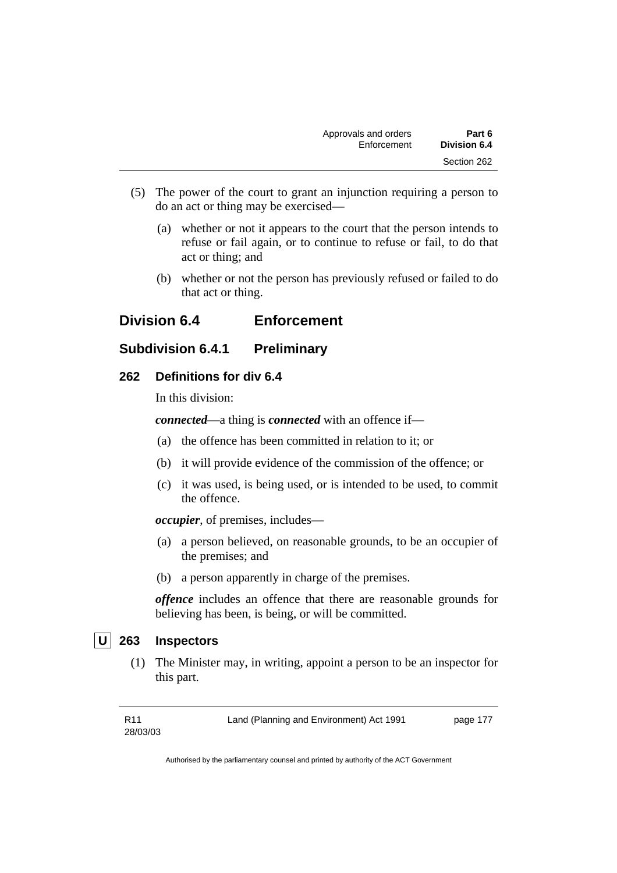| Approvals and orders | Part 6              |
|----------------------|---------------------|
| Enforcement          | <b>Division 6.4</b> |
|                      | Section 262         |

- (5) The power of the court to grant an injunction requiring a person to do an act or thing may be exercised—
	- (a) whether or not it appears to the court that the person intends to refuse or fail again, or to continue to refuse or fail, to do that act or thing; and
	- (b) whether or not the person has previously refused or failed to do that act or thing.

## **Division 6.4 Enforcement**

## **Subdivision 6.4.1 Preliminary**

#### **262 Definitions for div 6.4**

In this division:

*connected*—a thing is *connected* with an offence if—

- (a) the offence has been committed in relation to it; or
- (b) it will provide evidence of the commission of the offence; or
- (c) it was used, is being used, or is intended to be used, to commit the offence.

*occupier*, of premises, includes—

- (a) a person believed, on reasonable grounds, to be an occupier of the premises; and
- (b) a person apparently in charge of the premises.

*offence* includes an offence that there are reasonable grounds for believing has been, is being, or will be committed.

### **U 263 Inspectors**

 (1) The Minister may, in writing, appoint a person to be an inspector for this part.

R11 28/03/03 Land (Planning and Environment) Act 1991 page 177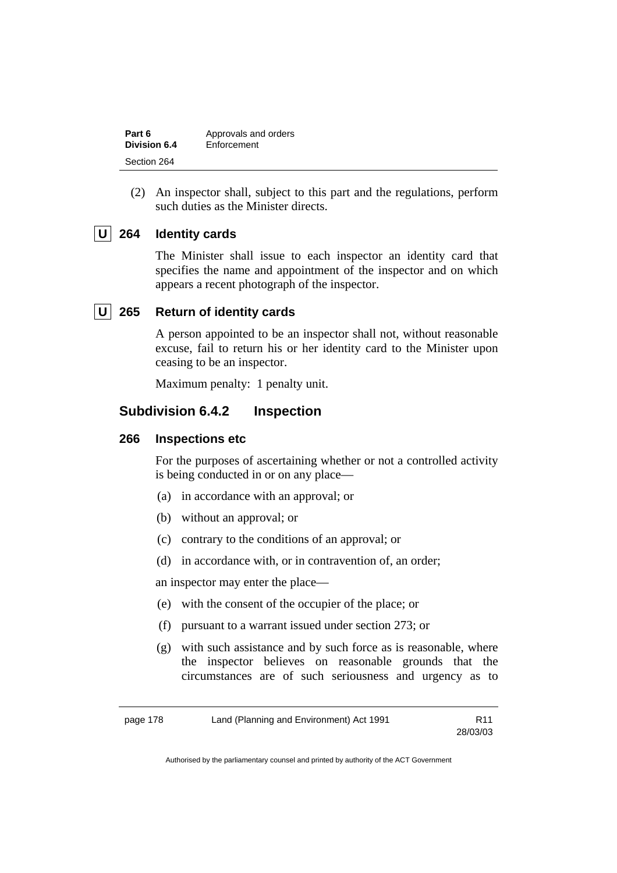| Part 6       | Approvals and orders |
|--------------|----------------------|
| Division 6.4 | Enforcement          |
| Section 264  |                      |

 (2) An inspector shall, subject to this part and the regulations, perform such duties as the Minister directs.

## **U 264 Identity cards**

The Minister shall issue to each inspector an identity card that specifies the name and appointment of the inspector and on which appears a recent photograph of the inspector.

## **U 265 Return of identity cards**

A person appointed to be an inspector shall not, without reasonable excuse, fail to return his or her identity card to the Minister upon ceasing to be an inspector.

Maximum penalty: 1 penalty unit.

#### **Subdivision 6.4.2 Inspection**

#### **266 Inspections etc**

For the purposes of ascertaining whether or not a controlled activity is being conducted in or on any place—

- (a) in accordance with an approval; or
- (b) without an approval; or
- (c) contrary to the conditions of an approval; or
- (d) in accordance with, or in contravention of, an order;

an inspector may enter the place—

- (e) with the consent of the occupier of the place; or
- (f) pursuant to a warrant issued under section 273; or
- (g) with such assistance and by such force as is reasonable, where the inspector believes on reasonable grounds that the circumstances are of such seriousness and urgency as to

page 178 Land (Planning and Environment) Act 1991 28/03/03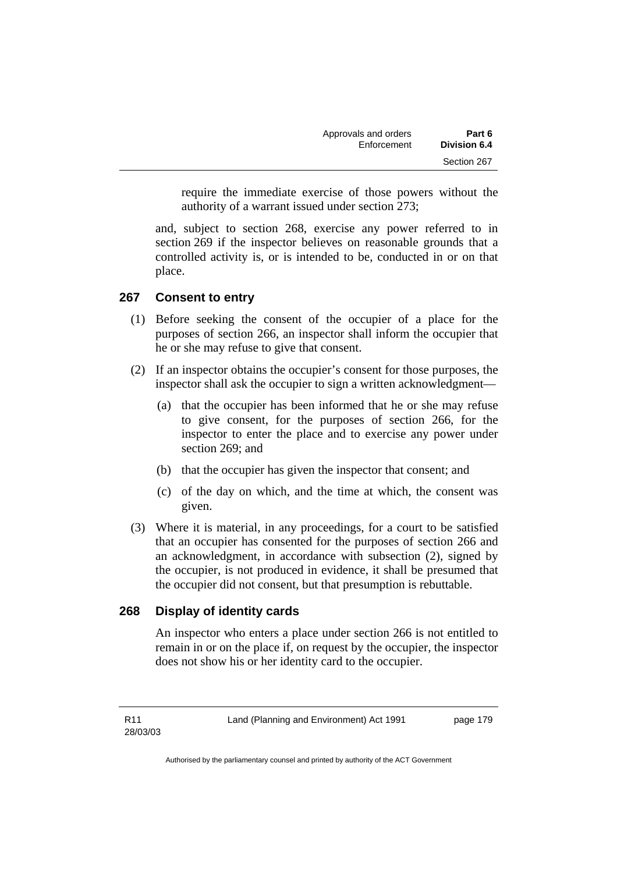| Approvals and orders | Part 6<br>Division 6.4 |
|----------------------|------------------------|
| Enforcement          |                        |
|                      | Section 267            |

require the immediate exercise of those powers without the authority of a warrant issued under section 273;

and, subject to section 268, exercise any power referred to in section 269 if the inspector believes on reasonable grounds that a controlled activity is, or is intended to be, conducted in or on that place.

#### **267 Consent to entry**

- (1) Before seeking the consent of the occupier of a place for the purposes of section 266, an inspector shall inform the occupier that he or she may refuse to give that consent.
- (2) If an inspector obtains the occupier's consent for those purposes, the inspector shall ask the occupier to sign a written acknowledgment—
	- (a) that the occupier has been informed that he or she may refuse to give consent, for the purposes of section 266, for the inspector to enter the place and to exercise any power under section 269; and
	- (b) that the occupier has given the inspector that consent; and
	- (c) of the day on which, and the time at which, the consent was given.
- (3) Where it is material, in any proceedings, for a court to be satisfied that an occupier has consented for the purposes of section 266 and an acknowledgment, in accordance with subsection (2), signed by the occupier, is not produced in evidence, it shall be presumed that the occupier did not consent, but that presumption is rebuttable.

#### **268 Display of identity cards**

An inspector who enters a place under section 266 is not entitled to remain in or on the place if, on request by the occupier, the inspector does not show his or her identity card to the occupier.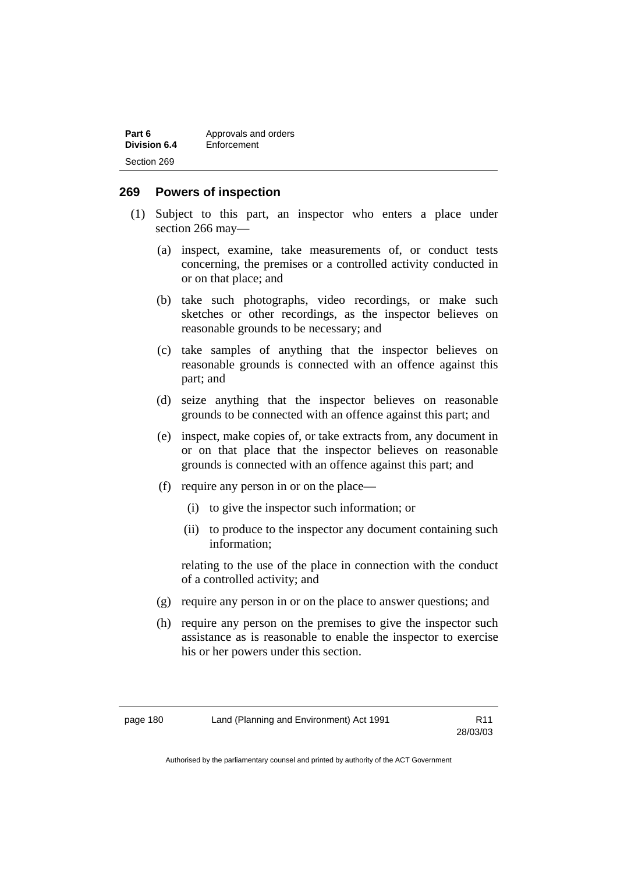| Part 6       | Approvals and orders |
|--------------|----------------------|
| Division 6.4 | Enforcement          |
| Section 269  |                      |

#### **269 Powers of inspection**

- (1) Subject to this part, an inspector who enters a place under section 266 may—
	- (a) inspect, examine, take measurements of, or conduct tests concerning, the premises or a controlled activity conducted in or on that place; and
	- (b) take such photographs, video recordings, or make such sketches or other recordings, as the inspector believes on reasonable grounds to be necessary; and
	- (c) take samples of anything that the inspector believes on reasonable grounds is connected with an offence against this part; and
	- (d) seize anything that the inspector believes on reasonable grounds to be connected with an offence against this part; and
	- (e) inspect, make copies of, or take extracts from, any document in or on that place that the inspector believes on reasonable grounds is connected with an offence against this part; and
	- (f) require any person in or on the place—
		- (i) to give the inspector such information; or
		- (ii) to produce to the inspector any document containing such information;

relating to the use of the place in connection with the conduct of a controlled activity; and

- (g) require any person in or on the place to answer questions; and
- (h) require any person on the premises to give the inspector such assistance as is reasonable to enable the inspector to exercise his or her powers under this section.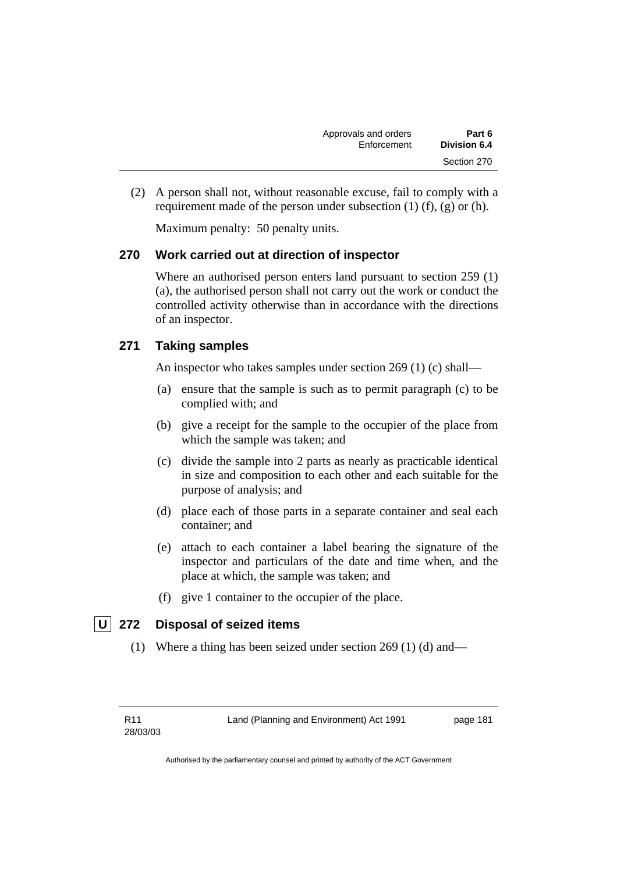| Approvals and orders | Part 6       |  |
|----------------------|--------------|--|
| Enforcement          | Division 6.4 |  |
|                      | Section 270  |  |

 (2) A person shall not, without reasonable excuse, fail to comply with a requirement made of the person under subsection  $(1)$   $(f)$ ,  $(g)$  or  $(h)$ .

Maximum penalty: 50 penalty units.

#### **270 Work carried out at direction of inspector**

Where an authorised person enters land pursuant to section 259 (1) (a), the authorised person shall not carry out the work or conduct the controlled activity otherwise than in accordance with the directions of an inspector.

#### **271 Taking samples**

An inspector who takes samples under section 269 (1) (c) shall—

- (a) ensure that the sample is such as to permit paragraph (c) to be complied with; and
- (b) give a receipt for the sample to the occupier of the place from which the sample was taken; and
- (c) divide the sample into 2 parts as nearly as practicable identical in size and composition to each other and each suitable for the purpose of analysis; and
- (d) place each of those parts in a separate container and seal each container; and
- (e) attach to each container a label bearing the signature of the inspector and particulars of the date and time when, and the place at which, the sample was taken; and
- (f) give 1 container to the occupier of the place.

## **U 272 Disposal of seized items**

(1) Where a thing has been seized under section 269 (1) (d) and—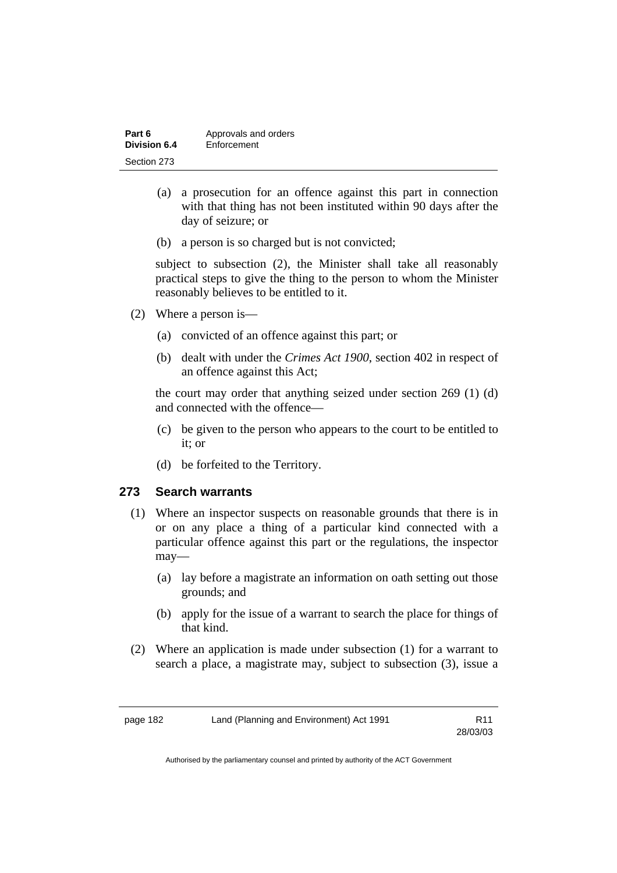| Part 6       | Approvals and orders |
|--------------|----------------------|
| Division 6.4 | Enforcement          |
| Section 273  |                      |

- (a) a prosecution for an offence against this part in connection with that thing has not been instituted within 90 days after the day of seizure; or
- (b) a person is so charged but is not convicted;

subject to subsection (2), the Minister shall take all reasonably practical steps to give the thing to the person to whom the Minister reasonably believes to be entitled to it.

- (2) Where a person is—
	- (a) convicted of an offence against this part; or
	- (b) dealt with under the *Crimes Act 1900*, section 402 in respect of an offence against this Act;

the court may order that anything seized under section 269 (1) (d) and connected with the offence—

- (c) be given to the person who appears to the court to be entitled to it; or
- (d) be forfeited to the Territory.

#### **273 Search warrants**

- (1) Where an inspector suspects on reasonable grounds that there is in or on any place a thing of a particular kind connected with a particular offence against this part or the regulations, the inspector may—
	- (a) lay before a magistrate an information on oath setting out those grounds; and
	- (b) apply for the issue of a warrant to search the place for things of that kind.
- (2) Where an application is made under subsection (1) for a warrant to search a place, a magistrate may, subject to subsection (3), issue a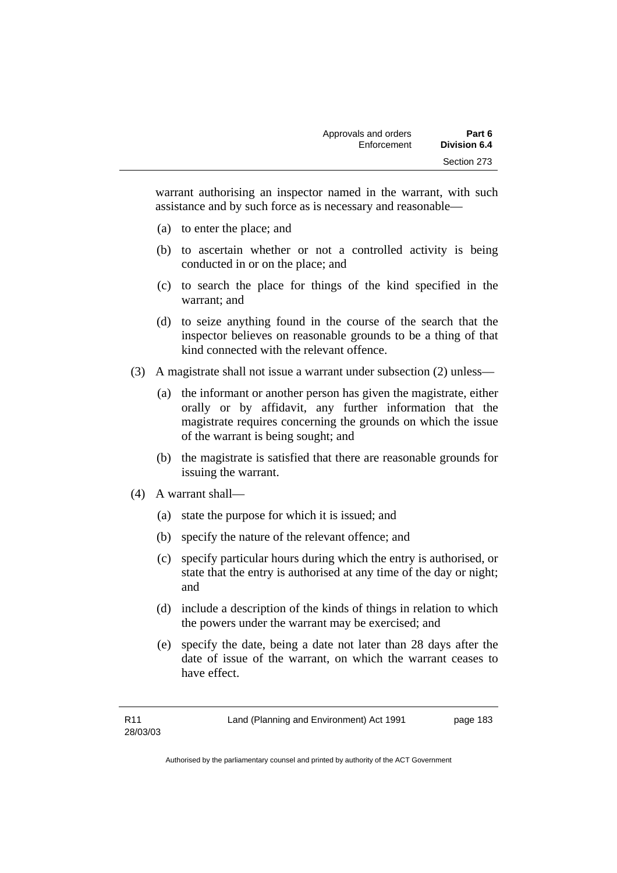warrant authorising an inspector named in the warrant, with such assistance and by such force as is necessary and reasonable—

- (a) to enter the place; and
- (b) to ascertain whether or not a controlled activity is being conducted in or on the place; and
- (c) to search the place for things of the kind specified in the warrant; and
- (d) to seize anything found in the course of the search that the inspector believes on reasonable grounds to be a thing of that kind connected with the relevant offence.
- (3) A magistrate shall not issue a warrant under subsection (2) unless—
	- (a) the informant or another person has given the magistrate, either orally or by affidavit, any further information that the magistrate requires concerning the grounds on which the issue of the warrant is being sought; and
	- (b) the magistrate is satisfied that there are reasonable grounds for issuing the warrant.
- (4) A warrant shall—
	- (a) state the purpose for which it is issued; and
	- (b) specify the nature of the relevant offence; and
	- (c) specify particular hours during which the entry is authorised, or state that the entry is authorised at any time of the day or night; and
	- (d) include a description of the kinds of things in relation to which the powers under the warrant may be exercised; and
	- (e) specify the date, being a date not later than 28 days after the date of issue of the warrant, on which the warrant ceases to have effect.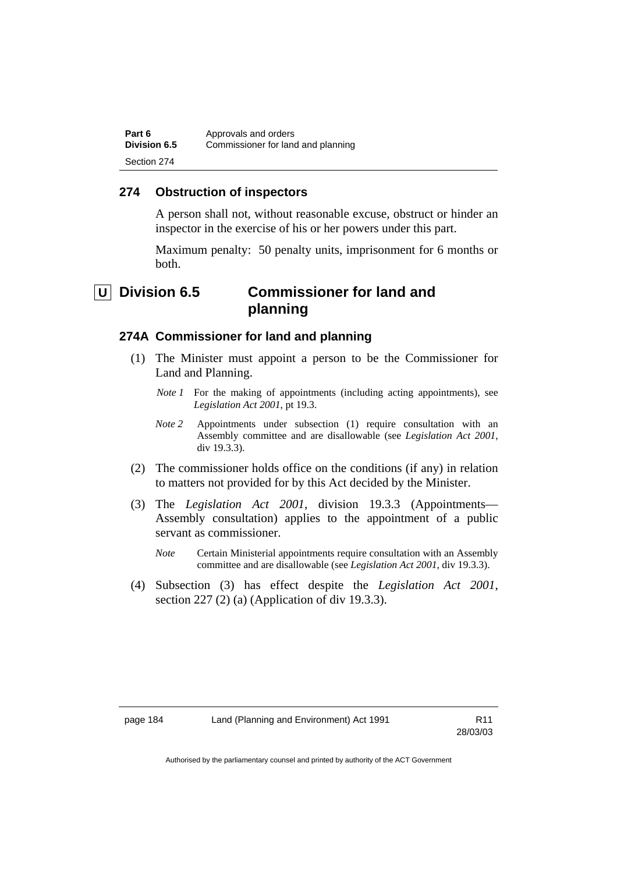| Part 6              | Approvals and orders               |  |
|---------------------|------------------------------------|--|
| <b>Division 6.5</b> | Commissioner for land and planning |  |
| Section 274         |                                    |  |

#### **274 Obstruction of inspectors**

A person shall not, without reasonable excuse, obstruct or hinder an inspector in the exercise of his or her powers under this part.

Maximum penalty: 50 penalty units, imprisonment for 6 months or both.

## **U** Division 6.5 Commissioner for land and **planning**

#### **274A Commissioner for land and planning**

- (1) The Minister must appoint a person to be the Commissioner for Land and Planning.
	- *Note 1* For the making of appointments (including acting appointments), see *Legislation Act 2001*, pt 19.3.
	- *Note 2* Appointments under subsection (1) require consultation with an Assembly committee and are disallowable (see *Legislation Act 2001*, div 19.3.3).
- (2) The commissioner holds office on the conditions (if any) in relation to matters not provided for by this Act decided by the Minister.
- (3) The *Legislation Act 2001*, division 19.3.3 (Appointments— Assembly consultation) applies to the appointment of a public servant as commissioner.
	- *Note* Certain Ministerial appointments require consultation with an Assembly committee and are disallowable (see *Legislation Act 2001*, div 19.3.3).
- (4) Subsection (3) has effect despite the *Legislation Act 2001*, section 227 (2) (a) (Application of div 19.3.3).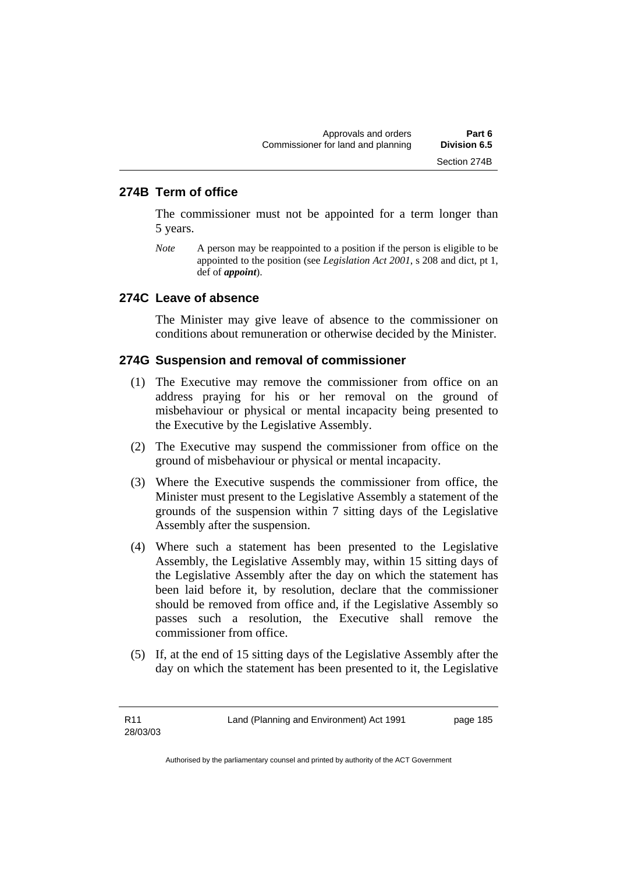#### **274B Term of office**

The commissioner must not be appointed for a term longer than 5 years.

*Note* A person may be reappointed to a position if the person is eligible to be appointed to the position (see *Legislation Act 2001*, s 208 and dict, pt 1, def of *appoint*).

#### **274C Leave of absence**

The Minister may give leave of absence to the commissioner on conditions about remuneration or otherwise decided by the Minister.

#### **274G Suspension and removal of commissioner**

- (1) The Executive may remove the commissioner from office on an address praying for his or her removal on the ground of misbehaviour or physical or mental incapacity being presented to the Executive by the Legislative Assembly.
- (2) The Executive may suspend the commissioner from office on the ground of misbehaviour or physical or mental incapacity.
- (3) Where the Executive suspends the commissioner from office, the Minister must present to the Legislative Assembly a statement of the grounds of the suspension within 7 sitting days of the Legislative Assembly after the suspension.
- (4) Where such a statement has been presented to the Legislative Assembly, the Legislative Assembly may, within 15 sitting days of the Legislative Assembly after the day on which the statement has been laid before it, by resolution, declare that the commissioner should be removed from office and, if the Legislative Assembly so passes such a resolution, the Executive shall remove the commissioner from office.
- (5) If, at the end of 15 sitting days of the Legislative Assembly after the day on which the statement has been presented to it, the Legislative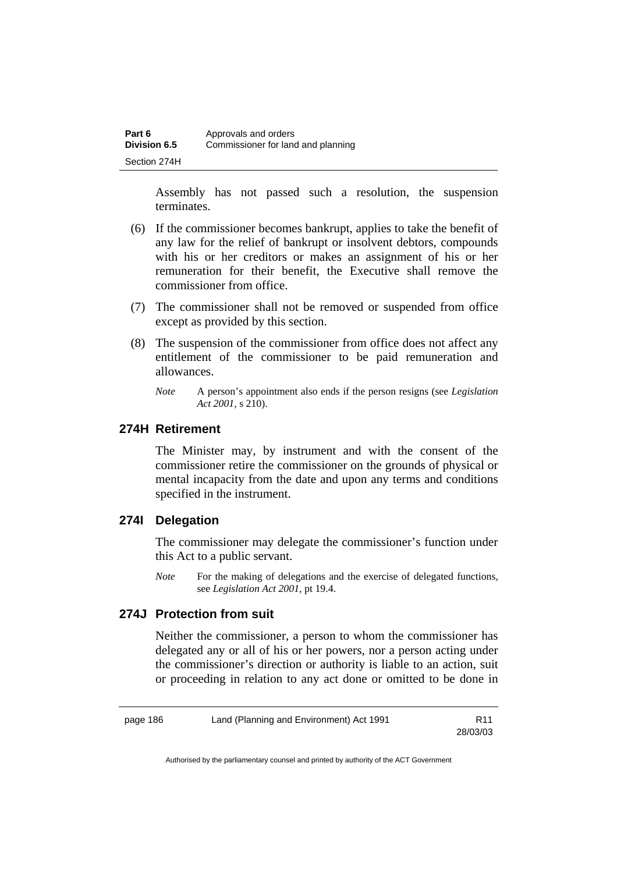Assembly has not passed such a resolution, the suspension terminates.

- (6) If the commissioner becomes bankrupt, applies to take the benefit of any law for the relief of bankrupt or insolvent debtors, compounds with his or her creditors or makes an assignment of his or her remuneration for their benefit, the Executive shall remove the commissioner from office.
- (7) The commissioner shall not be removed or suspended from office except as provided by this section.
- (8) The suspension of the commissioner from office does not affect any entitlement of the commissioner to be paid remuneration and allowances.
	- *Note* A person's appointment also ends if the person resigns (see *Legislation Act 2001*, s 210).

#### **274H Retirement**

The Minister may, by instrument and with the consent of the commissioner retire the commissioner on the grounds of physical or mental incapacity from the date and upon any terms and conditions specified in the instrument.

#### **274I Delegation**

The commissioner may delegate the commissioner's function under this Act to a public servant.

*Note* For the making of delegations and the exercise of delegated functions, see *Legislation Act 2001*, pt 19.4.

#### **274J Protection from suit**

Neither the commissioner, a person to whom the commissioner has delegated any or all of his or her powers, nor a person acting under the commissioner's direction or authority is liable to an action, suit or proceeding in relation to any act done or omitted to be done in

page 186 Land (Planning and Environment) Act 1991 R11 28/03/03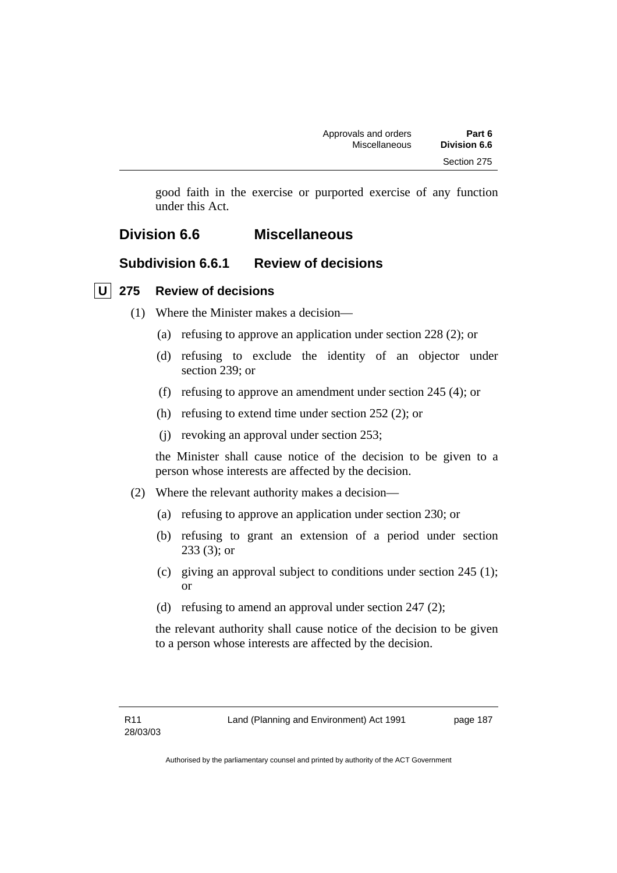good faith in the exercise or purported exercise of any function under this Act.

# **Division 6.6 Miscellaneous**

## **Subdivision 6.6.1 Review of decisions**

## *U* 275 Review of decisions

- (1) Where the Minister makes a decision—
	- (a) refusing to approve an application under section 228 (2); or
	- (d) refusing to exclude the identity of an objector under section 239; or
	- (f) refusing to approve an amendment under section 245 (4); or
	- (h) refusing to extend time under section 252 (2); or
	- (j) revoking an approval under section 253;

the Minister shall cause notice of the decision to be given to a person whose interests are affected by the decision.

- (2) Where the relevant authority makes a decision—
	- (a) refusing to approve an application under section 230; or
	- (b) refusing to grant an extension of a period under section 233 (3); or
	- (c) giving an approval subject to conditions under section 245 (1); or
	- (d) refusing to amend an approval under section 247 (2);

the relevant authority shall cause notice of the decision to be given to a person whose interests are affected by the decision.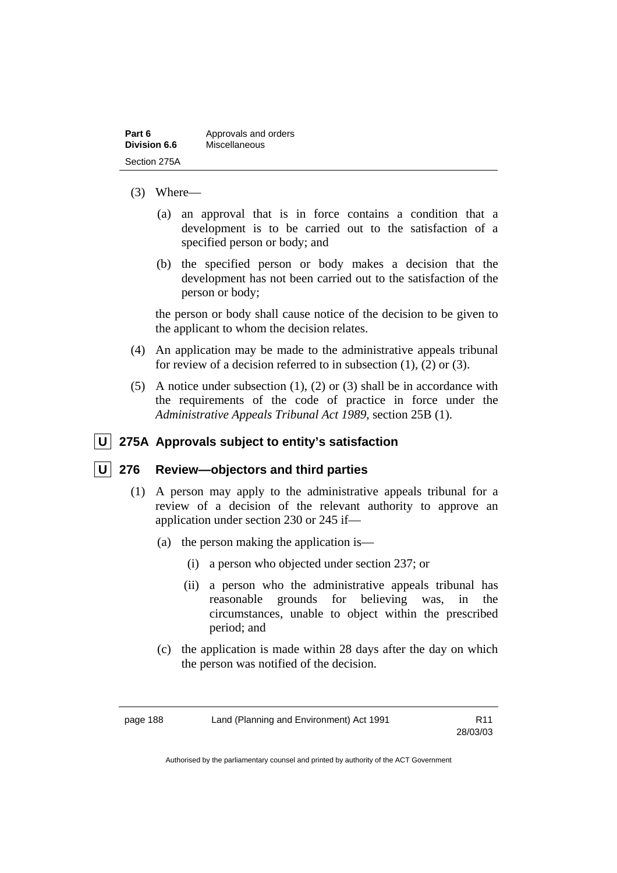| Part 6       | Approvals and orders |
|--------------|----------------------|
| Division 6.6 | Miscellaneous        |
| Section 275A |                      |

- (3) Where—
	- (a) an approval that is in force contains a condition that a development is to be carried out to the satisfaction of a specified person or body; and
	- (b) the specified person or body makes a decision that the development has not been carried out to the satisfaction of the person or body;

the person or body shall cause notice of the decision to be given to the applicant to whom the decision relates.

- (4) An application may be made to the administrative appeals tribunal for review of a decision referred to in subsection (1), (2) or (3).
- (5) A notice under subsection (1), (2) or (3) shall be in accordance with the requirements of the code of practice in force under the *Administrative Appeals Tribunal Act 1989*, section 25B (1).

## **U 275A Approvals subject to entity's satisfaction**

#### **U 276 Review—objectors and third parties**

- (1) A person may apply to the administrative appeals tribunal for a review of a decision of the relevant authority to approve an application under section 230 or 245 if—
	- (a) the person making the application is—
		- (i) a person who objected under section 237; or
		- (ii) a person who the administrative appeals tribunal has reasonable grounds for believing was, in the circumstances, unable to object within the prescribed period; and
	- (c) the application is made within 28 days after the day on which the person was notified of the decision.

page 188 Land (Planning and Environment) Act 1991

28/03/03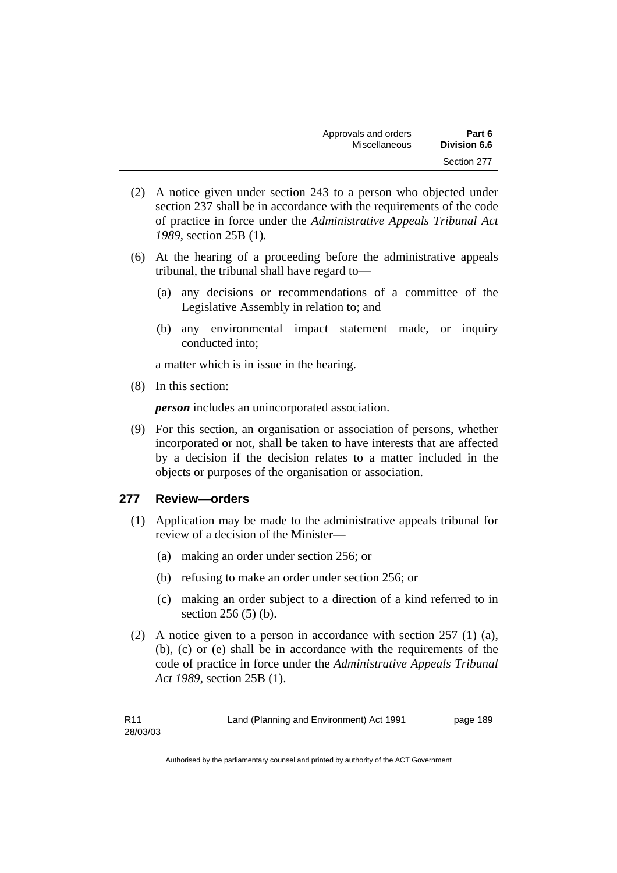| Approvals and orders<br>Miscellaneous | Part 6<br>Division 6.6 |
|---------------------------------------|------------------------|
|                                       |                        |
|                                       | Section 277            |

- (2) A notice given under section 243 to a person who objected under section 237 shall be in accordance with the requirements of the code of practice in force under the *Administrative Appeals Tribunal Act 1989*, section 25B (1)*.*
- (6) At the hearing of a proceeding before the administrative appeals tribunal, the tribunal shall have regard to—
	- (a) any decisions or recommendations of a committee of the Legislative Assembly in relation to; and
	- (b) any environmental impact statement made, or inquiry conducted into;

a matter which is in issue in the hearing.

(8) In this section:

*person* includes an unincorporated association.

 (9) For this section, an organisation or association of persons, whether incorporated or not, shall be taken to have interests that are affected by a decision if the decision relates to a matter included in the objects or purposes of the organisation or association.

#### **277 Review—orders**

- (1) Application may be made to the administrative appeals tribunal for review of a decision of the Minister—
	- (a) making an order under section 256; or
	- (b) refusing to make an order under section 256; or
	- (c) making an order subject to a direction of a kind referred to in section 256 (5) (b).
- (2) A notice given to a person in accordance with section 257 (1) (a), (b), (c) or (e) shall be in accordance with the requirements of the code of practice in force under the *Administrative Appeals Tribunal Act 1989*, section 25B (1).

Land (Planning and Environment) Act 1991 page 189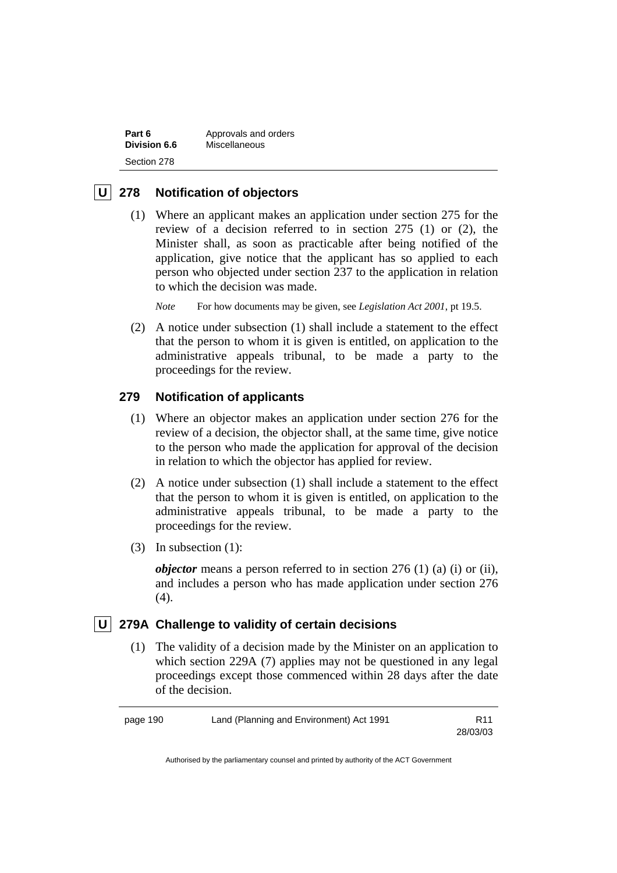| Part 6       | Approvals and orders |
|--------------|----------------------|
| Division 6.6 | Miscellaneous        |
| Section 278  |                      |

## **U 278 Notification of objectors**

 (1) Where an applicant makes an application under section 275 for the review of a decision referred to in section 275 (1) or (2), the Minister shall, as soon as practicable after being notified of the application, give notice that the applicant has so applied to each person who objected under section 237 to the application in relation to which the decision was made.

*Note* For how documents may be given, see *Legislation Act 2001*, pt 19.5.

 (2) A notice under subsection (1) shall include a statement to the effect that the person to whom it is given is entitled, on application to the administrative appeals tribunal, to be made a party to the proceedings for the review.

#### **279 Notification of applicants**

- (1) Where an objector makes an application under section 276 for the review of a decision, the objector shall, at the same time, give notice to the person who made the application for approval of the decision in relation to which the objector has applied for review.
- (2) A notice under subsection (1) shall include a statement to the effect that the person to whom it is given is entitled, on application to the administrative appeals tribunal, to be made a party to the proceedings for the review.
- (3) In subsection (1):

*objector* means a person referred to in section 276 (1) (a) (i) or (ii), and includes a person who has made application under section 276  $(4).$ 

## **U 279A Challenge to validity of certain decisions**

 (1) The validity of a decision made by the Minister on an application to which section 229A (7) applies may not be questioned in any legal proceedings except those commenced within 28 days after the date of the decision.

| page 190 | Land (Planning and Environment) Act 1991 | R <sub>11</sub> |
|----------|------------------------------------------|-----------------|
|          |                                          | 28/03/03        |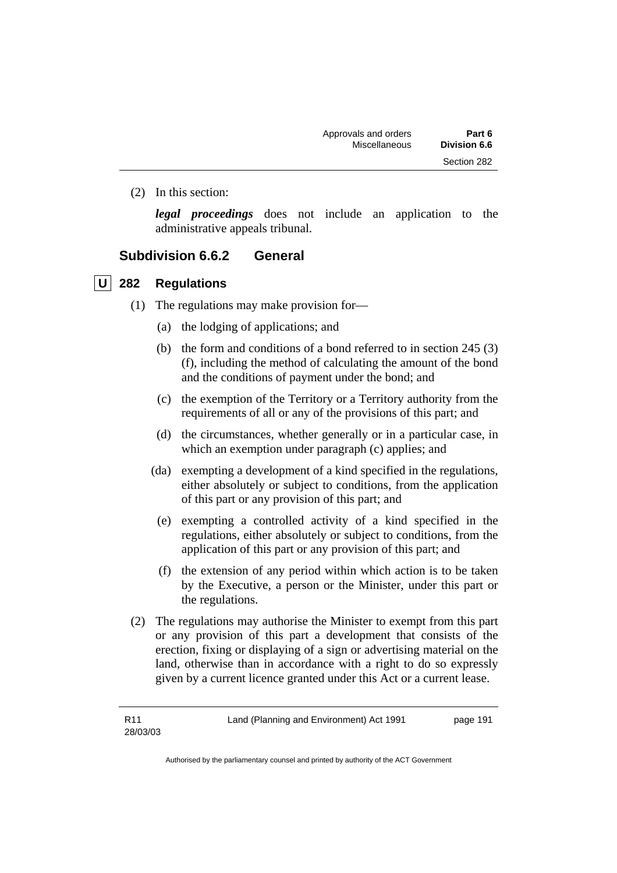| Approvals and orders | Part 6       |
|----------------------|--------------|
| Miscellaneous        | Division 6.6 |
|                      | Section 282  |

(2) In this section:

*legal proceedings* does not include an application to the administrative appeals tribunal.

#### **Subdivision 6.6.2 General**

# **U 282 Regulations**

- (1) The regulations may make provision for—
	- (a) the lodging of applications; and
	- (b) the form and conditions of a bond referred to in section 245 (3) (f), including the method of calculating the amount of the bond and the conditions of payment under the bond; and
	- (c) the exemption of the Territory or a Territory authority from the requirements of all or any of the provisions of this part; and
	- (d) the circumstances, whether generally or in a particular case, in which an exemption under paragraph (c) applies; and
	- (da) exempting a development of a kind specified in the regulations, either absolutely or subject to conditions, from the application of this part or any provision of this part; and
	- (e) exempting a controlled activity of a kind specified in the regulations, either absolutely or subject to conditions, from the application of this part or any provision of this part; and
	- (f) the extension of any period within which action is to be taken by the Executive, a person or the Minister, under this part or the regulations.
- (2) The regulations may authorise the Minister to exempt from this part or any provision of this part a development that consists of the erection, fixing or displaying of a sign or advertising material on the land, otherwise than in accordance with a right to do so expressly given by a current licence granted under this Act or a current lease.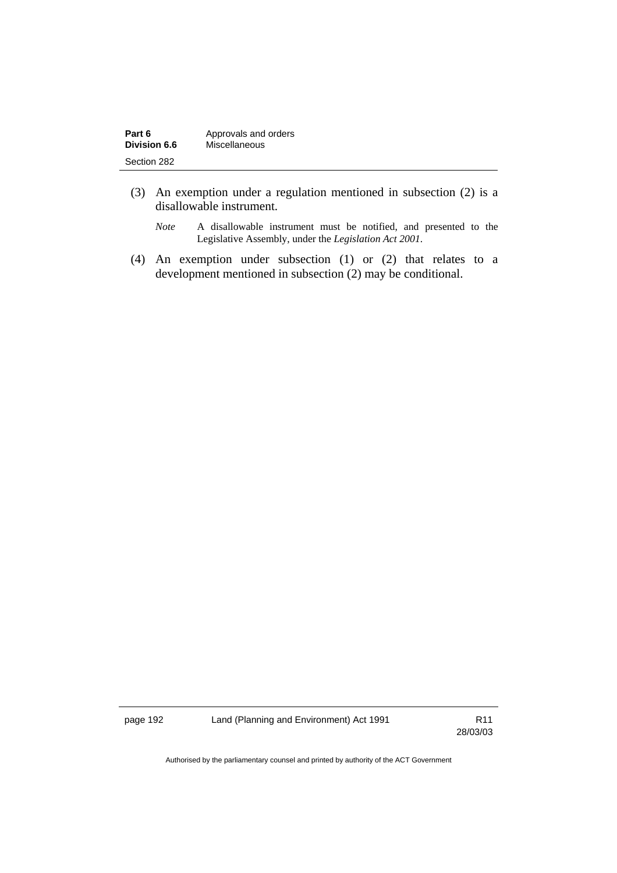| Part 6       | Approvals and orders |
|--------------|----------------------|
| Division 6.6 | Miscellaneous        |
| Section 282  |                      |

- (3) An exemption under a regulation mentioned in subsection (2) is a disallowable instrument.
	- *Note* A disallowable instrument must be notified, and presented to the Legislative Assembly, under the *Legislation Act 2001*.
- (4) An exemption under subsection (1) or (2) that relates to a development mentioned in subsection (2) may be conditional.

page 192 Land (Planning and Environment) Act 1991

28/03/03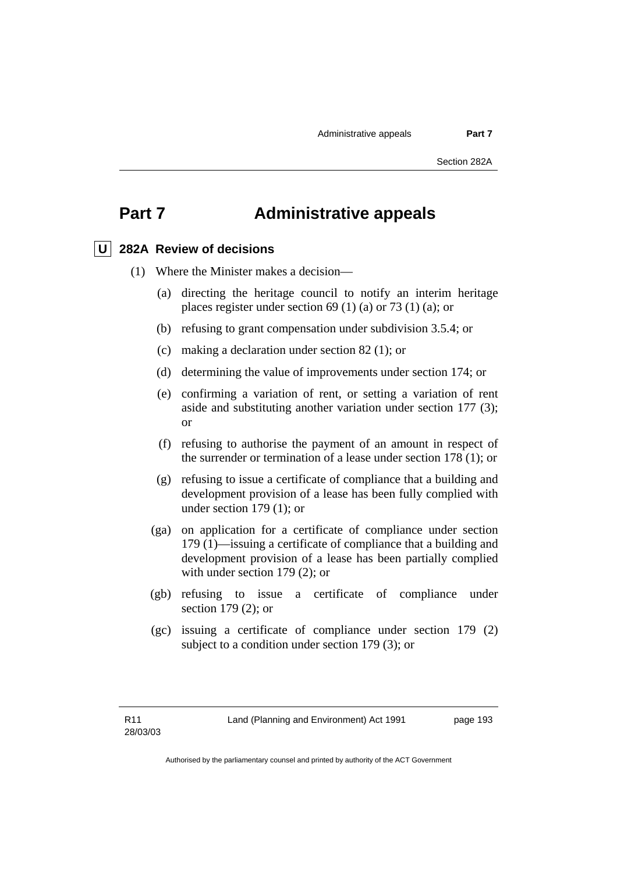# **Part 7 Administrative appeals**

#### **U 282A Review of decisions**

- (1) Where the Minister makes a decision—
	- (a) directing the heritage council to notify an interim heritage places register under section 69 (1) (a) or 73 (1) (a); or
	- (b) refusing to grant compensation under subdivision 3.5.4; or
	- (c) making a declaration under section 82 (1); or
	- (d) determining the value of improvements under section 174; or
	- (e) confirming a variation of rent, or setting a variation of rent aside and substituting another variation under section 177 (3); or
	- (f) refusing to authorise the payment of an amount in respect of the surrender or termination of a lease under section 178 (1); or
	- (g) refusing to issue a certificate of compliance that a building and development provision of a lease has been fully complied with under section 179 (1); or
	- (ga) on application for a certificate of compliance under section 179 (1)—issuing a certificate of compliance that a building and development provision of a lease has been partially complied with under section 179 (2); or
	- (gb) refusing to issue a certificate of compliance under section 179 (2); or
	- (gc) issuing a certificate of compliance under section 179 (2) subject to a condition under section 179 (3); or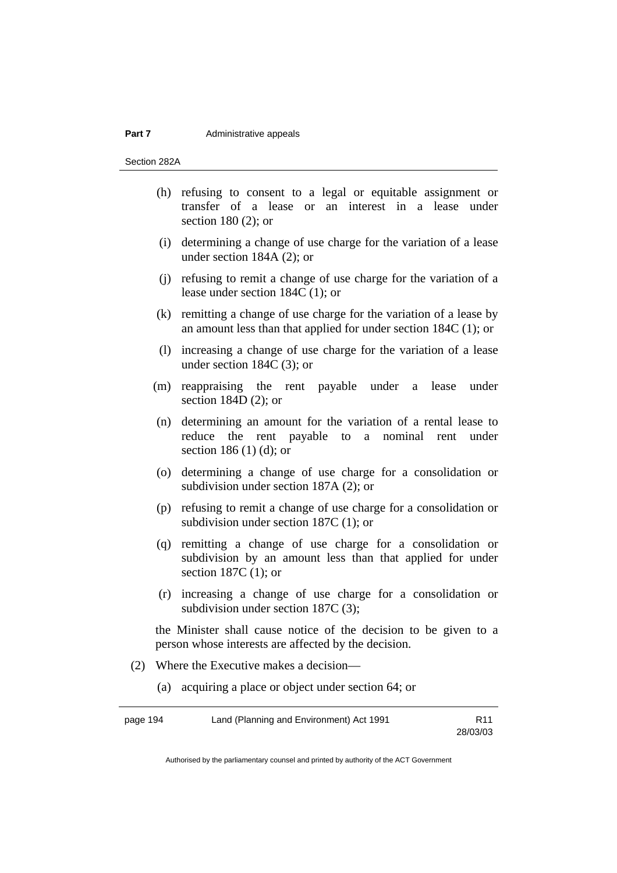#### **Part 7 Administrative appeals**

Section 282A

- (h) refusing to consent to a legal or equitable assignment or transfer of a lease or an interest in a lease under section 180 (2); or
- (i) determining a change of use charge for the variation of a lease under section 184A (2); or
- (j) refusing to remit a change of use charge for the variation of a lease under section 184C (1); or
- (k) remitting a change of use charge for the variation of a lease by an amount less than that applied for under section 184C (1); or
- (l) increasing a change of use charge for the variation of a lease under section 184C (3); or
- (m) reappraising the rent payable under a lease under section 184D (2); or
- (n) determining an amount for the variation of a rental lease to reduce the rent payable to a nominal rent under section 186 (1) (d); or
- (o) determining a change of use charge for a consolidation or subdivision under section 187A (2); or
- (p) refusing to remit a change of use charge for a consolidation or subdivision under section 187C (1); or
- (q) remitting a change of use charge for a consolidation or subdivision by an amount less than that applied for under section 187C (1); or
- (r) increasing a change of use charge for a consolidation or subdivision under section 187C (3);

the Minister shall cause notice of the decision to be given to a person whose interests are affected by the decision.

- (2) Where the Executive makes a decision—
	- (a) acquiring a place or object under section 64; or

| page 194 | Land (Planning and Environment) Act 1991 | R <sub>11</sub> |
|----------|------------------------------------------|-----------------|
|          |                                          | 28/03/03        |

28/03/03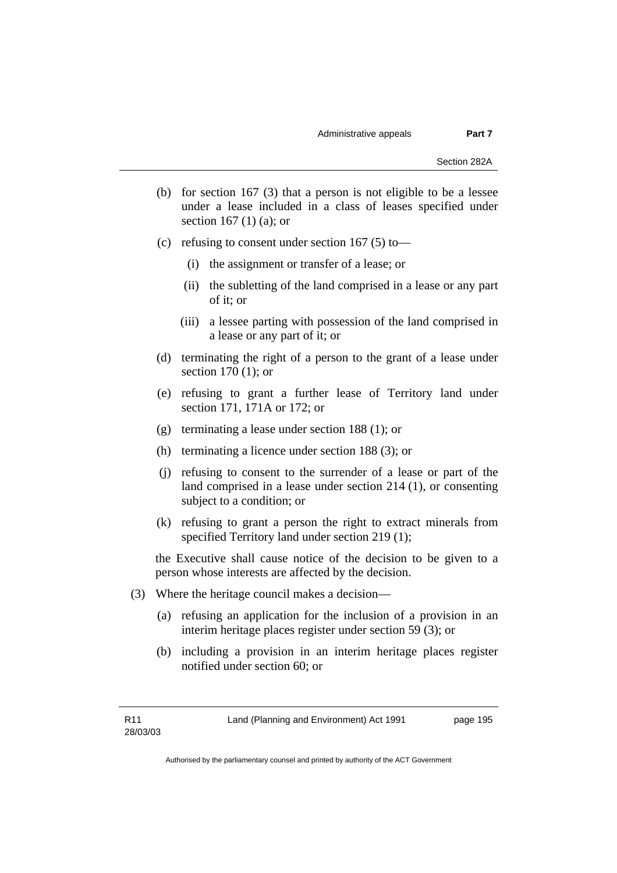- (b) for section 167 (3) that a person is not eligible to be a lessee under a lease included in a class of leases specified under section 167 (1) (a); or
- (c) refusing to consent under section  $167$  (5) to-
	- (i) the assignment or transfer of a lease; or
	- (ii) the subletting of the land comprised in a lease or any part of it; or
	- (iii) a lessee parting with possession of the land comprised in a lease or any part of it; or
- (d) terminating the right of a person to the grant of a lease under section 170 (1); or
- (e) refusing to grant a further lease of Territory land under section 171, 171A or 172; or
- (g) terminating a lease under section 188 (1); or
- (h) terminating a licence under section 188 (3); or
- (j) refusing to consent to the surrender of a lease or part of the land comprised in a lease under section 214 (1), or consenting subject to a condition; or
- (k) refusing to grant a person the right to extract minerals from specified Territory land under section 219 (1);

the Executive shall cause notice of the decision to be given to a person whose interests are affected by the decision.

- (3) Where the heritage council makes a decision—
	- (a) refusing an application for the inclusion of a provision in an interim heritage places register under section 59 (3); or
	- (b) including a provision in an interim heritage places register notified under section 60; or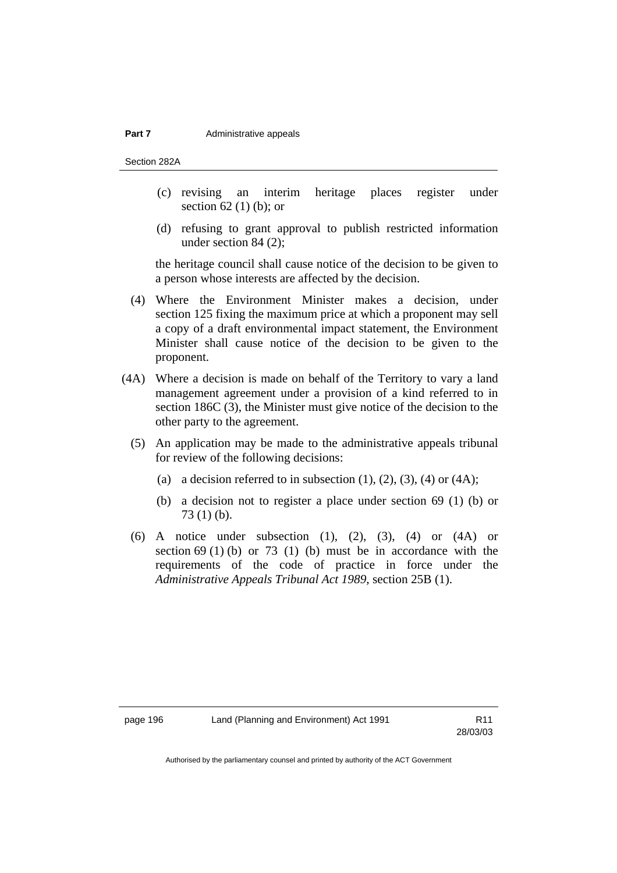#### **Part 7 Administrative appeals**

Section 282A

- (c) revising an interim heritage places register under section  $62$  (1) (b); or
- (d) refusing to grant approval to publish restricted information under section 84 (2);

the heritage council shall cause notice of the decision to be given to a person whose interests are affected by the decision.

- (4) Where the Environment Minister makes a decision, under section 125 fixing the maximum price at which a proponent may sell a copy of a draft environmental impact statement, the Environment Minister shall cause notice of the decision to be given to the proponent.
- (4A) Where a decision is made on behalf of the Territory to vary a land management agreement under a provision of a kind referred to in section 186C (3), the Minister must give notice of the decision to the other party to the agreement.
	- (5) An application may be made to the administrative appeals tribunal for review of the following decisions:
		- (a) a decision referred to in subsection  $(1)$ ,  $(2)$ ,  $(3)$ ,  $(4)$  or  $(4A)$ ;
		- (b) a decision not to register a place under section 69 (1) (b) or 73 (1) (b).
	- (6) A notice under subsection (1), (2), (3), (4) or (4A) or section 69 (1) (b) or 73 (1) (b) must be in accordance with the requirements of the code of practice in force under the *Administrative Appeals Tribunal Act 1989*, section 25B (1).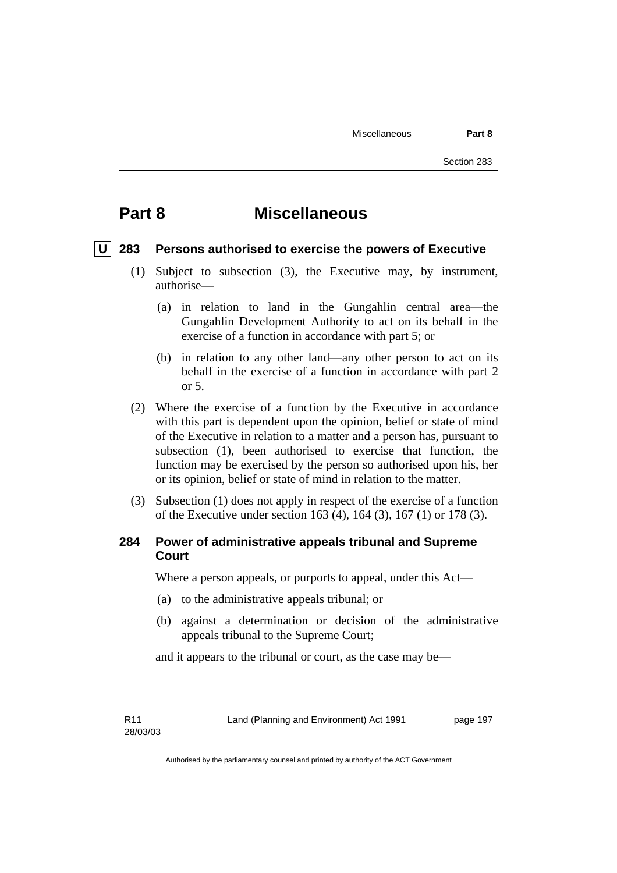# **Part 8 Miscellaneous**

## **U 283 Persons authorised to exercise the powers of Executive**

- (1) Subject to subsection (3), the Executive may, by instrument, authorise—
	- (a) in relation to land in the Gungahlin central area—the Gungahlin Development Authority to act on its behalf in the exercise of a function in accordance with part 5; or
	- (b) in relation to any other land—any other person to act on its behalf in the exercise of a function in accordance with part 2 or 5.
- (2) Where the exercise of a function by the Executive in accordance with this part is dependent upon the opinion, belief or state of mind of the Executive in relation to a matter and a person has, pursuant to subsection (1), been authorised to exercise that function, the function may be exercised by the person so authorised upon his, her or its opinion, belief or state of mind in relation to the matter.
- (3) Subsection (1) does not apply in respect of the exercise of a function of the Executive under section 163 (4), 164 (3), 167 (1) or 178 (3).

#### **284 Power of administrative appeals tribunal and Supreme Court**

Where a person appeals, or purports to appeal, under this Act—

- (a) to the administrative appeals tribunal; or
- (b) against a determination or decision of the administrative appeals tribunal to the Supreme Court;

and it appears to the tribunal or court, as the case may be—

R11 28/03/03 Land (Planning and Environment) Act 1991 page 197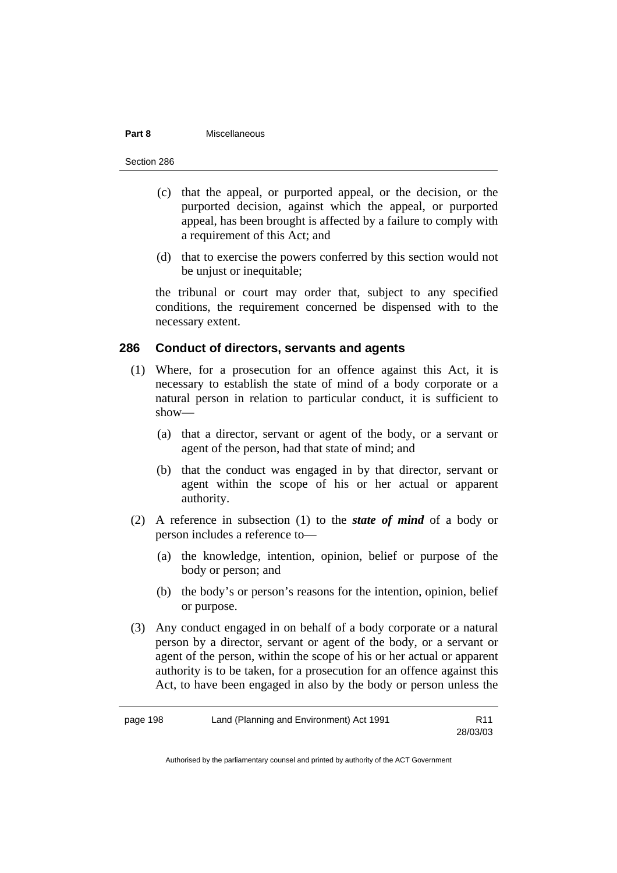#### **Part 8** Miscellaneous

- (c) that the appeal, or purported appeal, or the decision, or the purported decision, against which the appeal, or purported appeal, has been brought is affected by a failure to comply with a requirement of this Act; and
- (d) that to exercise the powers conferred by this section would not be unjust or inequitable;

the tribunal or court may order that, subject to any specified conditions, the requirement concerned be dispensed with to the necessary extent.

#### **286 Conduct of directors, servants and agents**

- (1) Where, for a prosecution for an offence against this Act, it is necessary to establish the state of mind of a body corporate or a natural person in relation to particular conduct, it is sufficient to show—
	- (a) that a director, servant or agent of the body, or a servant or agent of the person, had that state of mind; and
	- (b) that the conduct was engaged in by that director, servant or agent within the scope of his or her actual or apparent authority.
- (2) A reference in subsection (1) to the *state of mind* of a body or person includes a reference to—
	- (a) the knowledge, intention, opinion, belief or purpose of the body or person; and
	- (b) the body's or person's reasons for the intention, opinion, belief or purpose.
- (3) Any conduct engaged in on behalf of a body corporate or a natural person by a director, servant or agent of the body, or a servant or agent of the person, within the scope of his or her actual or apparent authority is to be taken, for a prosecution for an offence against this Act, to have been engaged in also by the body or person unless the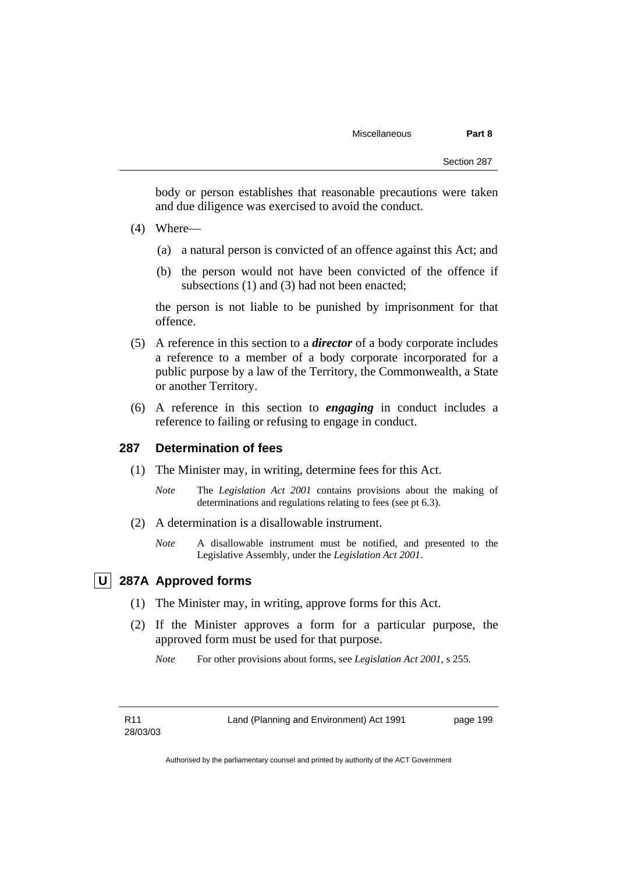body or person establishes that reasonable precautions were taken and due diligence was exercised to avoid the conduct.

- (4) Where—
	- (a) a natural person is convicted of an offence against this Act; and
	- (b) the person would not have been convicted of the offence if subsections (1) and (3) had not been enacted;

the person is not liable to be punished by imprisonment for that offence.

- (5) A reference in this section to a *director* of a body corporate includes a reference to a member of a body corporate incorporated for a public purpose by a law of the Territory, the Commonwealth, a State or another Territory.
- (6) A reference in this section to *engaging* in conduct includes a reference to failing or refusing to engage in conduct.

#### **287 Determination of fees**

- (1) The Minister may, in writing, determine fees for this Act.
	- *Note* The *Legislation Act 2001* contains provisions about the making of determinations and regulations relating to fees (see pt 6.3).
- (2) A determination is a disallowable instrument.
	- *Note* A disallowable instrument must be notified, and presented to the Legislative Assembly, under the *Legislation Act 2001*.

#### **U 287A Approved forms**

- (1) The Minister may, in writing, approve forms for this Act.
- (2) If the Minister approves a form for a particular purpose, the approved form must be used for that purpose.

*Note* For other provisions about forms, see *Legislation Act 2001*, s 255.

R11 28/03/03 Land (Planning and Environment) Act 1991 page 199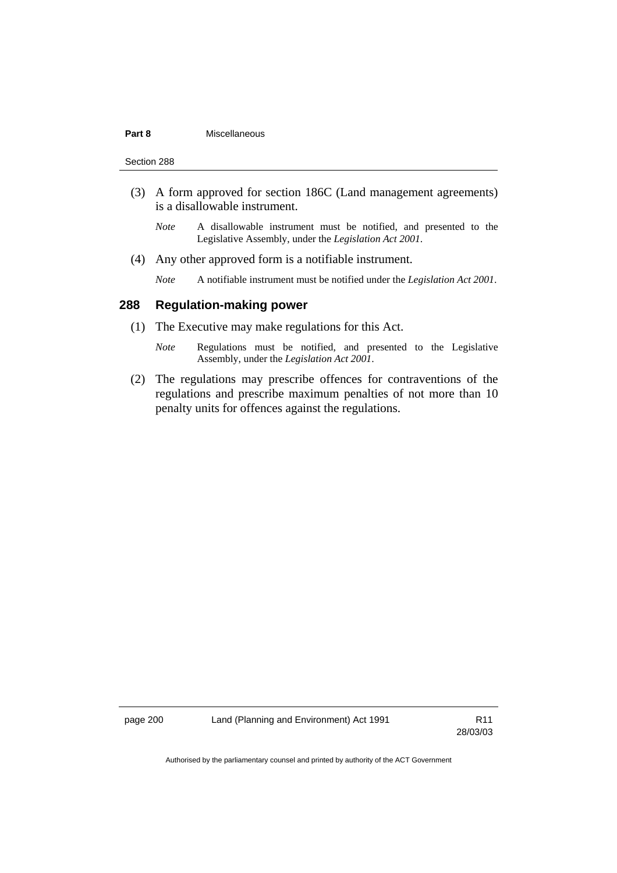#### **Part 8** Miscellaneous

Section 288

- (3) A form approved for section 186C (Land management agreements) is a disallowable instrument.
	- *Note* A disallowable instrument must be notified, and presented to the Legislative Assembly, under the *Legislation Act 2001*.
- (4) Any other approved form is a notifiable instrument.
	- *Note* A notifiable instrument must be notified under the *Legislation Act 2001*.

#### **288 Regulation-making power**

- (1) The Executive may make regulations for this Act.
	- *Note* Regulations must be notified, and presented to the Legislative Assembly, under the *Legislation Act 2001*.
- (2) The regulations may prescribe offences for contraventions of the regulations and prescribe maximum penalties of not more than 10 penalty units for offences against the regulations.

page 200 Land (Planning and Environment) Act 1991 R11

28/03/03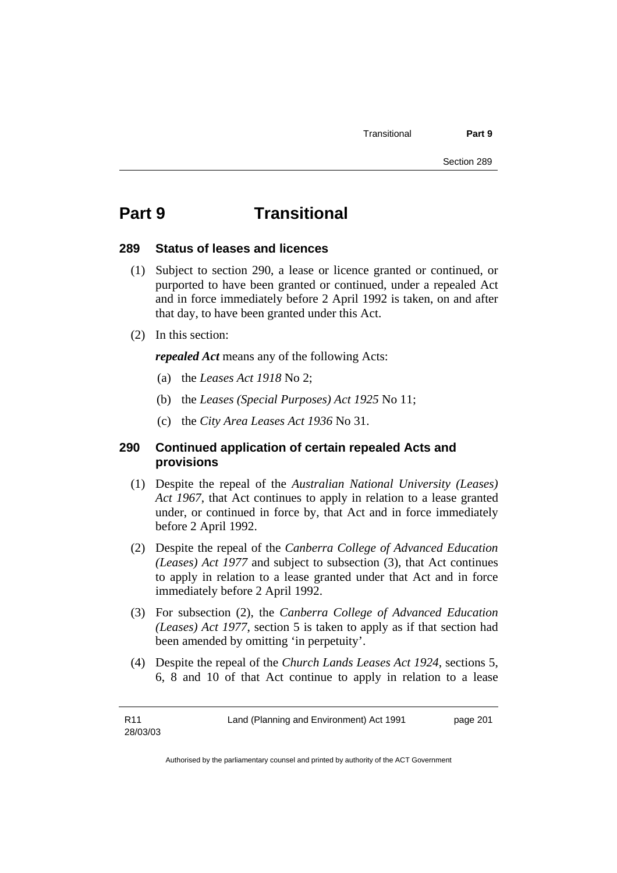# **Part 9 Transitional**

## **289 Status of leases and licences**

- (1) Subject to section 290, a lease or licence granted or continued, or purported to have been granted or continued, under a repealed Act and in force immediately before 2 April 1992 is taken, on and after that day, to have been granted under this Act.
- (2) In this section:

*repealed Act* means any of the following Acts:

- (a) the *Leases Act 1918* No 2;
- (b) the *Leases (Special Purposes) Act 1925* No 11;
- (c) the *City Area Leases Act 1936* No 31.

# **290 Continued application of certain repealed Acts and provisions**

- (1) Despite the repeal of the *Australian National University (Leases) Act 1967*, that Act continues to apply in relation to a lease granted under, or continued in force by, that Act and in force immediately before 2 April 1992.
- (2) Despite the repeal of the *Canberra College of Advanced Education (Leases) Act 1977* and subject to subsection (3), that Act continues to apply in relation to a lease granted under that Act and in force immediately before 2 April 1992.
- (3) For subsection (2), the *Canberra College of Advanced Education (Leases) Act 1977*, section 5 is taken to apply as if that section had been amended by omitting 'in perpetuity'.
- (4) Despite the repeal of the *Church Lands Leases Act 1924*, sections 5, 6, 8 and 10 of that Act continue to apply in relation to a lease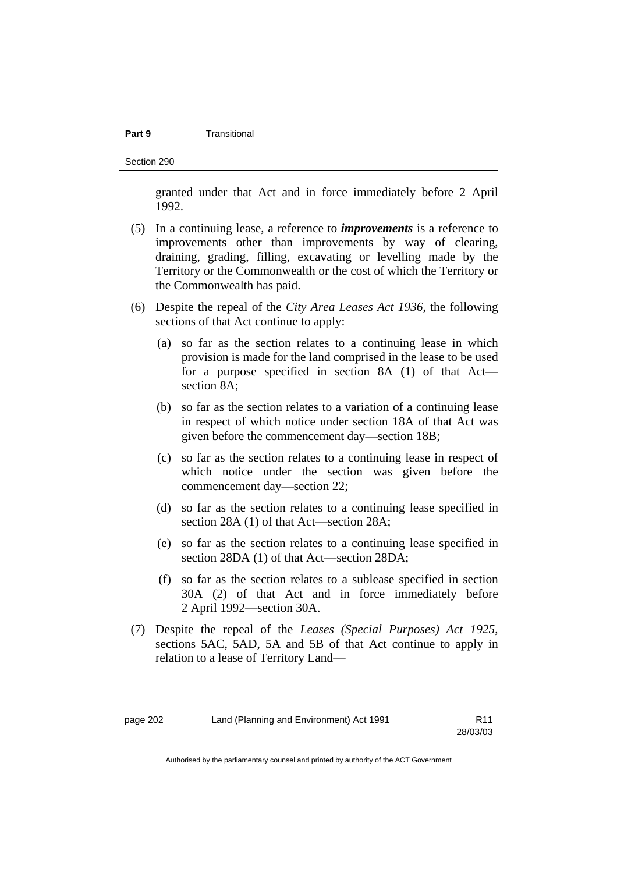#### **Part 9 Transitional**

Section 290

granted under that Act and in force immediately before 2 April 1992.

- (5) In a continuing lease, a reference to *improvements* is a reference to improvements other than improvements by way of clearing, draining, grading, filling, excavating or levelling made by the Territory or the Commonwealth or the cost of which the Territory or the Commonwealth has paid.
- (6) Despite the repeal of the *City Area Leases Act 1936*, the following sections of that Act continue to apply:
	- (a) so far as the section relates to a continuing lease in which provision is made for the land comprised in the lease to be used for a purpose specified in section 8A (1) of that Act section 8A;
	- (b) so far as the section relates to a variation of a continuing lease in respect of which notice under section 18A of that Act was given before the commencement day—section 18B;
	- (c) so far as the section relates to a continuing lease in respect of which notice under the section was given before the commencement day—section 22;
	- (d) so far as the section relates to a continuing lease specified in section 28A (1) of that Act—section 28A;
	- (e) so far as the section relates to a continuing lease specified in section 28DA (1) of that Act—section 28DA;
	- (f) so far as the section relates to a sublease specified in section 30A (2) of that Act and in force immediately before 2 April 1992—section 30A.
- (7) Despite the repeal of the *Leases (Special Purposes) Act 1925*, sections 5AC, 5AD, 5A and 5B of that Act continue to apply in relation to a lease of Territory Land—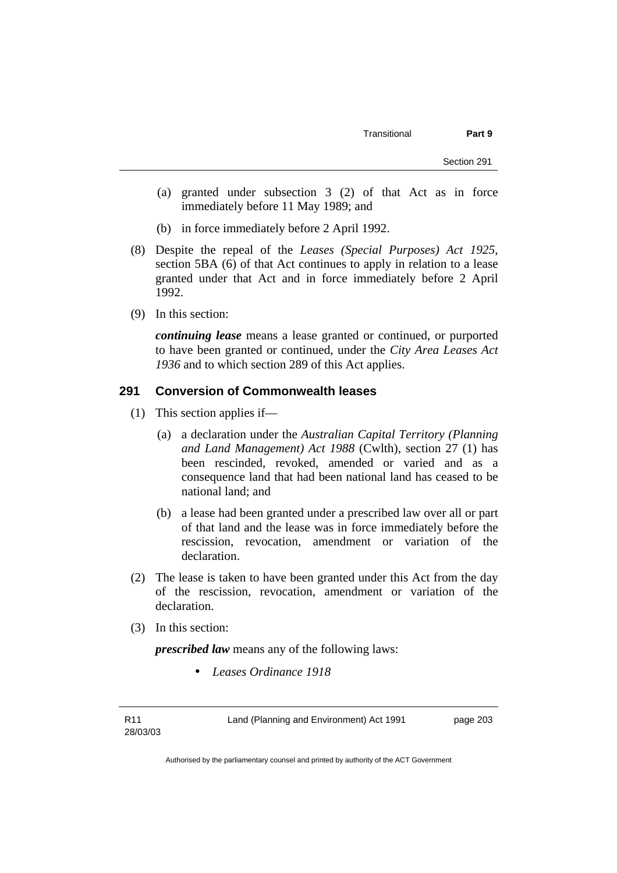- (a) granted under subsection 3 (2) of that Act as in force immediately before 11 May 1989; and
- (b) in force immediately before 2 April 1992.
- (8) Despite the repeal of the *Leases (Special Purposes) Act 1925*, section 5BA (6) of that Act continues to apply in relation to a lease granted under that Act and in force immediately before 2 April 1992.
- (9) In this section:

*continuing lease* means a lease granted or continued, or purported to have been granted or continued, under the *City Area Leases Act 1936* and to which section 289 of this Act applies.

# **291 Conversion of Commonwealth leases**

- (1) This section applies if—
	- (a) a declaration under the *Australian Capital Territory (Planning and Land Management) Act 1988* (Cwlth), section 27 (1) has been rescinded, revoked, amended or varied and as a consequence land that had been national land has ceased to be national land; and
	- (b) a lease had been granted under a prescribed law over all or part of that land and the lease was in force immediately before the rescission, revocation, amendment or variation of the declaration.
- (2) The lease is taken to have been granted under this Act from the day of the rescission, revocation, amendment or variation of the declaration.
- (3) In this section:

*prescribed law* means any of the following laws:

• *Leases Ordinance 1918*

Land (Planning and Environment) Act 1991 page 203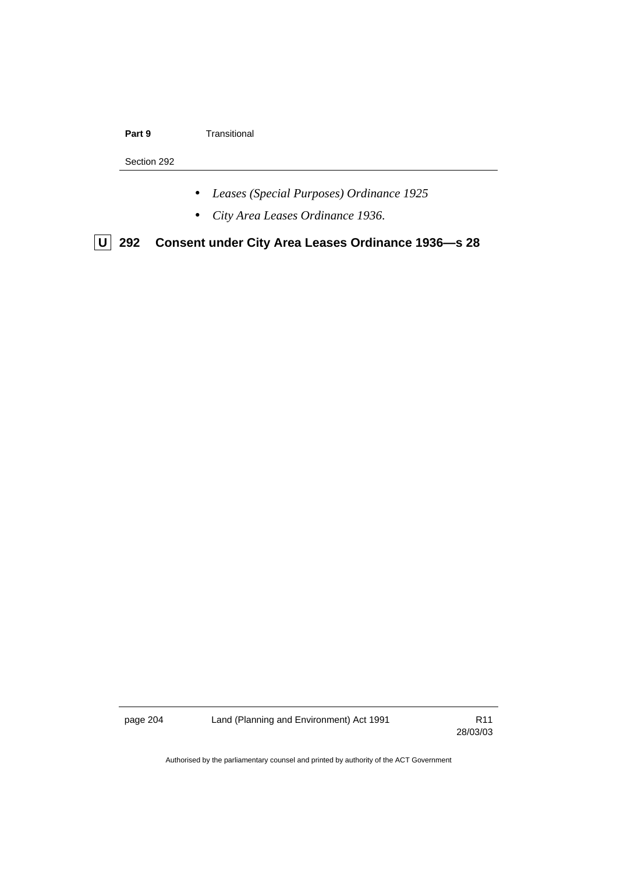| Part 9      | Transitional                               |
|-------------|--------------------------------------------|
| Section 292 |                                            |
|             | • Leases (Special Purposes) Ordinance 1925 |

• *City Area Leases Ordinance 1936*.

 **U 292 Consent under City Area Leases Ordinance 1936—s 28** 

page 204 Land (Planning and Environment) Act 1991 R11

28/03/03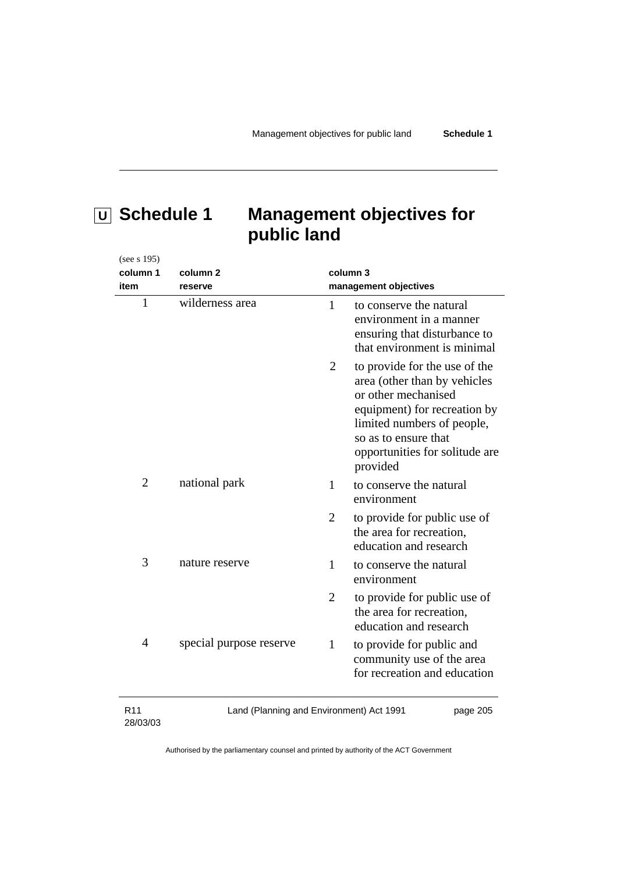(see s 195)

# **U Schedule 1 Management objectives for public land**

| column 1       | column <sub>2</sub>     | column 3     |                                                                                                                                                                                                                          |
|----------------|-------------------------|--------------|--------------------------------------------------------------------------------------------------------------------------------------------------------------------------------------------------------------------------|
| item           | reserve                 |              | management objectives                                                                                                                                                                                                    |
| $\mathbf{1}$   | wilderness area         | $\mathbf{1}$ | to conserve the natural<br>environment in a manner<br>ensuring that disturbance to<br>that environment is minimal                                                                                                        |
|                |                         | 2            | to provide for the use of the<br>area (other than by vehicles<br>or other mechanised<br>equipment) for recreation by<br>limited numbers of people,<br>so as to ensure that<br>opportunities for solitude are<br>provided |
| 2              | national park           | 1            | to conserve the natural<br>environment                                                                                                                                                                                   |
|                |                         | 2            | to provide for public use of<br>the area for recreation,<br>education and research                                                                                                                                       |
| 3              | nature reserve          | 1            | to conserve the natural<br>environment                                                                                                                                                                                   |
|                |                         | 2            | to provide for public use of<br>the area for recreation,<br>education and research                                                                                                                                       |
| $\overline{4}$ | special purpose reserve | $\mathbf{1}$ | to provide for public and<br>community use of the area<br>for recreation and education                                                                                                                                   |

R11 28/03/03 Land (Planning and Environment) Act 1991 page 205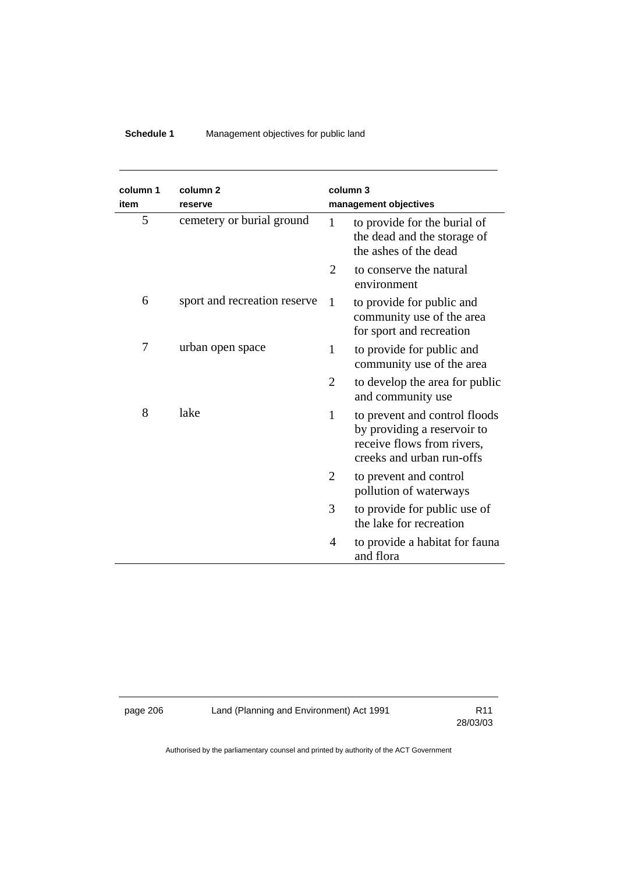# **Schedule 1** Management objectives for public land

| column 1<br>column <sub>2</sub><br>item<br>reserve |                              | column 3<br>management objectives |                                                                                                                         |  |
|----------------------------------------------------|------------------------------|-----------------------------------|-------------------------------------------------------------------------------------------------------------------------|--|
| 5                                                  | cemetery or burial ground    | $\mathbf{1}$                      | to provide for the burial of<br>the dead and the storage of<br>the ashes of the dead                                    |  |
|                                                    |                              | $\overline{2}$                    | to conserve the natural<br>environment                                                                                  |  |
| 6                                                  | sport and recreation reserve | $\mathbf{1}$                      | to provide for public and<br>community use of the area<br>for sport and recreation                                      |  |
| 7                                                  | urban open space             | $\mathbf{1}$                      | to provide for public and<br>community use of the area                                                                  |  |
|                                                    |                              | $\overline{2}$                    | to develop the area for public<br>and community use                                                                     |  |
| 8                                                  | lake                         | 1                                 | to prevent and control floods<br>by providing a reservoir to<br>receive flows from rivers,<br>creeks and urban run-offs |  |
|                                                    |                              | $\overline{2}$                    | to prevent and control<br>pollution of waterways                                                                        |  |
|                                                    |                              | 3                                 | to provide for public use of<br>the lake for recreation                                                                 |  |
|                                                    |                              | 4                                 | to provide a habitat for fauna<br>and flora                                                                             |  |

page 206 Land (Planning and Environment) Act 1991 R11

28/03/03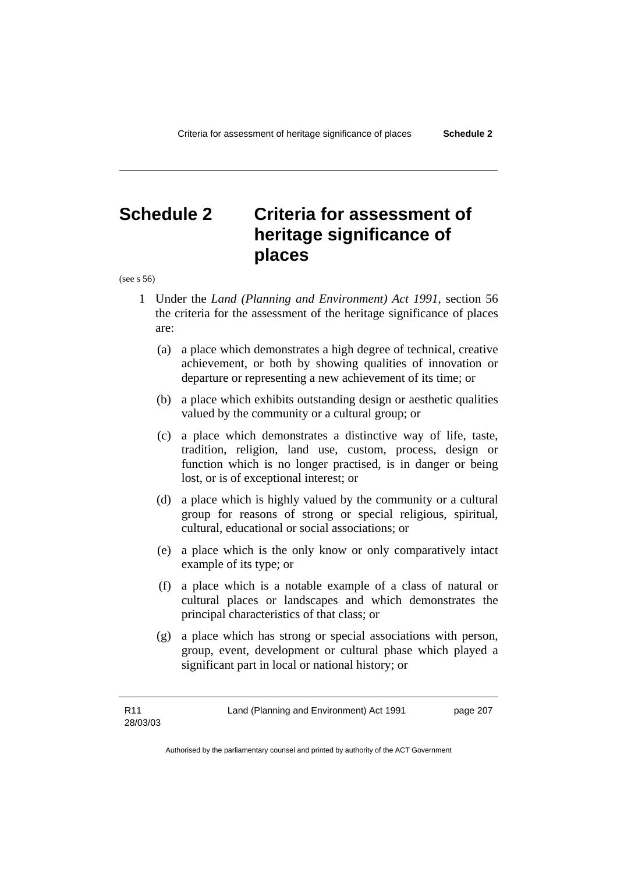# **Schedule 2 Criteria for assessment of heritage significance of places**

(see s 56)

- 1 Under the *Land (Planning and Environment) Act 1991*, section 56 the criteria for the assessment of the heritage significance of places are:
	- (a) a place which demonstrates a high degree of technical, creative achievement, or both by showing qualities of innovation or departure or representing a new achievement of its time; or
	- (b) a place which exhibits outstanding design or aesthetic qualities valued by the community or a cultural group; or
	- (c) a place which demonstrates a distinctive way of life, taste, tradition, religion, land use, custom, process, design or function which is no longer practised, is in danger or being lost, or is of exceptional interest; or
	- (d) a place which is highly valued by the community or a cultural group for reasons of strong or special religious, spiritual, cultural, educational or social associations; or
	- (e) a place which is the only know or only comparatively intact example of its type; or
	- (f) a place which is a notable example of a class of natural or cultural places or landscapes and which demonstrates the principal characteristics of that class; or
	- (g) a place which has strong or special associations with person, group, event, development or cultural phase which played a significant part in local or national history; or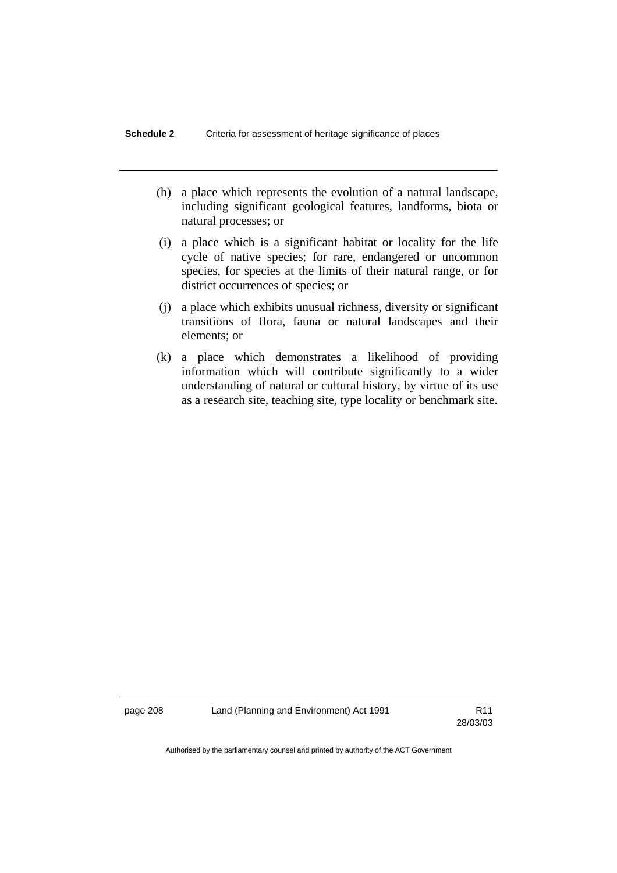- (h) a place which represents the evolution of a natural landscape, including significant geological features, landforms, biota or natural processes; or
- (i) a place which is a significant habitat or locality for the life cycle of native species; for rare, endangered or uncommon species, for species at the limits of their natural range, or for district occurrences of species; or
- (j) a place which exhibits unusual richness, diversity or significant transitions of flora, fauna or natural landscapes and their elements; or
- (k) a place which demonstrates a likelihood of providing information which will contribute significantly to a wider understanding of natural or cultural history, by virtue of its use as a research site, teaching site, type locality or benchmark site.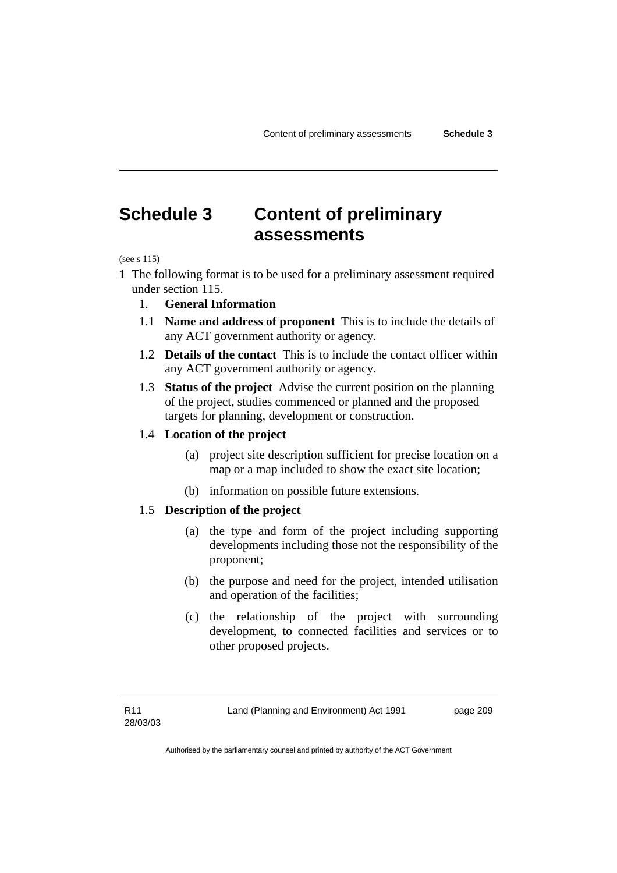# **Schedule 3 Content of preliminary assessments**

(see s 115)

- **1** The following format is to be used for a preliminary assessment required under section 115.
	- 1. **General Information**
	- 1.1 **Name and address of proponent** This is to include the details of any ACT government authority or agency.
	- 1.2 **Details of the contact** This is to include the contact officer within any ACT government authority or agency.
	- 1.3 **Status of the project** Advise the current position on the planning of the project, studies commenced or planned and the proposed targets for planning, development or construction.

# 1.4 **Location of the project**

- (a) project site description sufficient for precise location on a map or a map included to show the exact site location;
- (b) information on possible future extensions.

# 1.5 **Description of the project**

- (a) the type and form of the project including supporting developments including those not the responsibility of the proponent;
- (b) the purpose and need for the project, intended utilisation and operation of the facilities;
- (c) the relationship of the project with surrounding development, to connected facilities and services or to other proposed projects.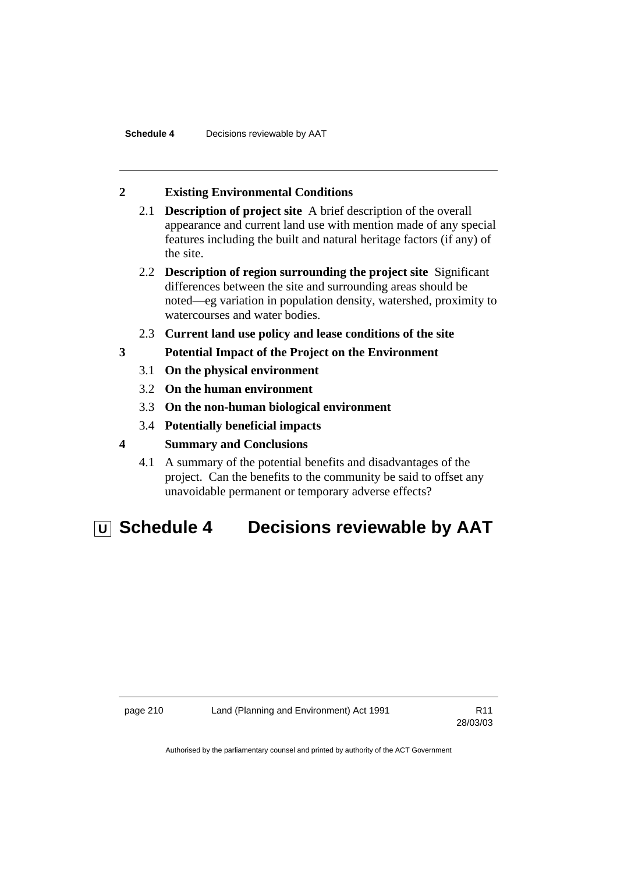# **2 Existing Environmental Conditions**

- 2.1 **Description of project site** A brief description of the overall appearance and current land use with mention made of any special features including the built and natural heritage factors (if any) of the site.
- 2.2 **Description of region surrounding the project site** Significant differences between the site and surrounding areas should be noted—eg variation in population density, watershed, proximity to watercourses and water bodies.
- 2.3 **Current land use policy and lease conditions of the site**
- **3 Potential Impact of the Project on the Environment** 
	- 3.1 **On the physical environment**
	- 3.2 **On the human environment**
	- 3.3 **On the non-human biological environment**
	- 3.4 **Potentially beneficial impacts**
- **4 Summary and Conclusions** 
	- 4.1 A summary of the potential benefits and disadvantages of the project. Can the benefits to the community be said to offset any unavoidable permanent or temporary adverse effects?

# **U** Schedule 4 Decisions reviewable by AAT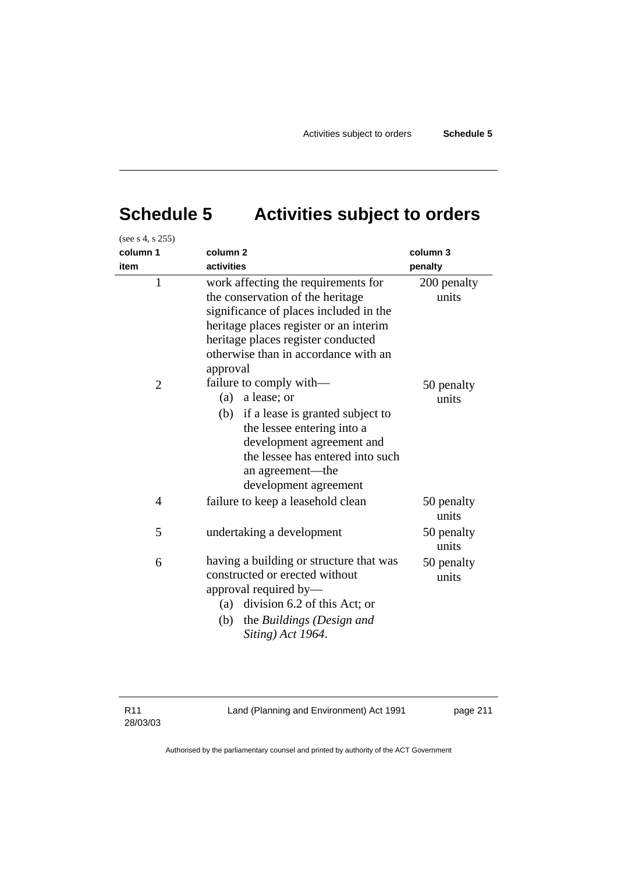# **Schedule 5 Activities subject to orders**

| (see $s$ 4, $s$ 255) |                                                                                                                                                                                                                                                       |                      |  |
|----------------------|-------------------------------------------------------------------------------------------------------------------------------------------------------------------------------------------------------------------------------------------------------|----------------------|--|
| column 1             | column <sub>2</sub>                                                                                                                                                                                                                                   | column 3             |  |
| item                 | activities                                                                                                                                                                                                                                            | penalty              |  |
| $\mathbf{1}$         | work affecting the requirements for<br>the conservation of the heritage<br>significance of places included in the<br>heritage places register or an interim<br>heritage places register conducted<br>otherwise than in accordance with an<br>approval | 200 penalty<br>units |  |
| $\overline{2}$       | failure to comply with—<br>(a)<br>a lease; or<br>(b) if a lease is granted subject to<br>the lessee entering into a<br>development agreement and<br>the lessee has entered into such<br>an agreement—the<br>development agreement                     | 50 penalty<br>units  |  |
| $\overline{4}$       | failure to keep a leasehold clean                                                                                                                                                                                                                     | 50 penalty<br>units  |  |
| 5                    | undertaking a development                                                                                                                                                                                                                             | 50 penalty<br>units  |  |
| 6                    | having a building or structure that was<br>constructed or erected without<br>approval required by—<br>(a) division 6.2 of this Act; or<br>the Buildings (Design and<br>(b)<br>Siting) Act 1964.                                                       | 50 penalty<br>units  |  |

Land (Planning and Environment) Act 1991 page 211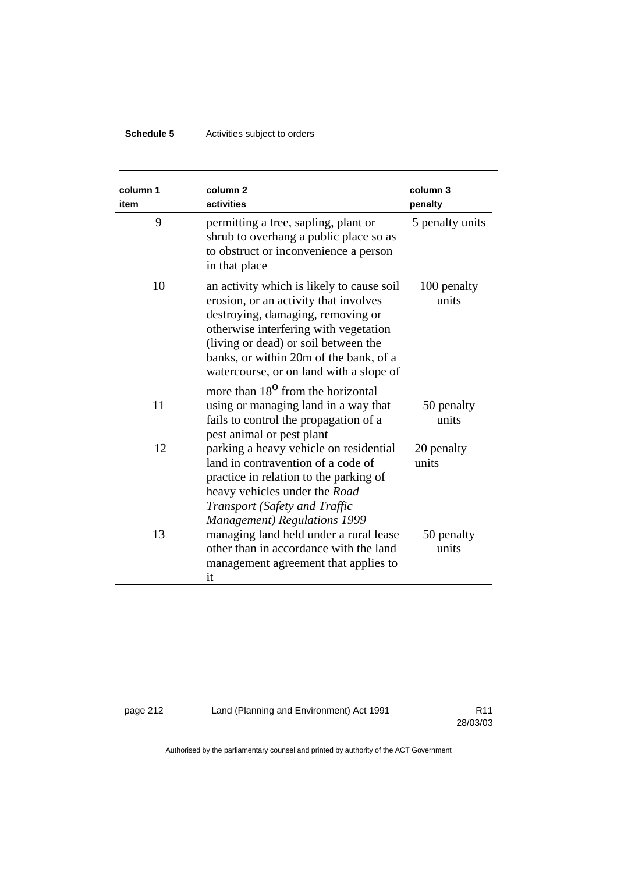# **Schedule 5** Activities subject to orders

| column 1<br>item | column <sub>2</sub><br>activities                                                                                                                                                                                                                                                             | column 3<br>penalty  |
|------------------|-----------------------------------------------------------------------------------------------------------------------------------------------------------------------------------------------------------------------------------------------------------------------------------------------|----------------------|
| 9                | permitting a tree, sapling, plant or<br>shrub to overhang a public place so as<br>to obstruct or inconvenience a person<br>in that place                                                                                                                                                      | 5 penalty units      |
| 10               | an activity which is likely to cause soil<br>erosion, or an activity that involves<br>destroying, damaging, removing or<br>otherwise interfering with vegetation<br>(living or dead) or soil between the<br>banks, or within 20m of the bank, of a<br>watercourse, or on land with a slope of | 100 penalty<br>units |
| 11               | more than 18 <sup>0</sup> from the horizontal<br>using or managing land in a way that<br>fails to control the propagation of a<br>pest animal or pest plant                                                                                                                                   | 50 penalty<br>units  |
| 12               | parking a heavy vehicle on residential<br>land in contravention of a code of<br>practice in relation to the parking of<br>heavy vehicles under the Road<br>Transport (Safety and Traffic                                                                                                      | 20 penalty<br>units  |
| 13               | <b>Management</b> ) Regulations 1999<br>managing land held under a rural lease<br>other than in accordance with the land<br>management agreement that applies to<br>it                                                                                                                        | 50 penalty<br>units  |

page 212 Land (Planning and Environment) Act 1991 R11

28/03/03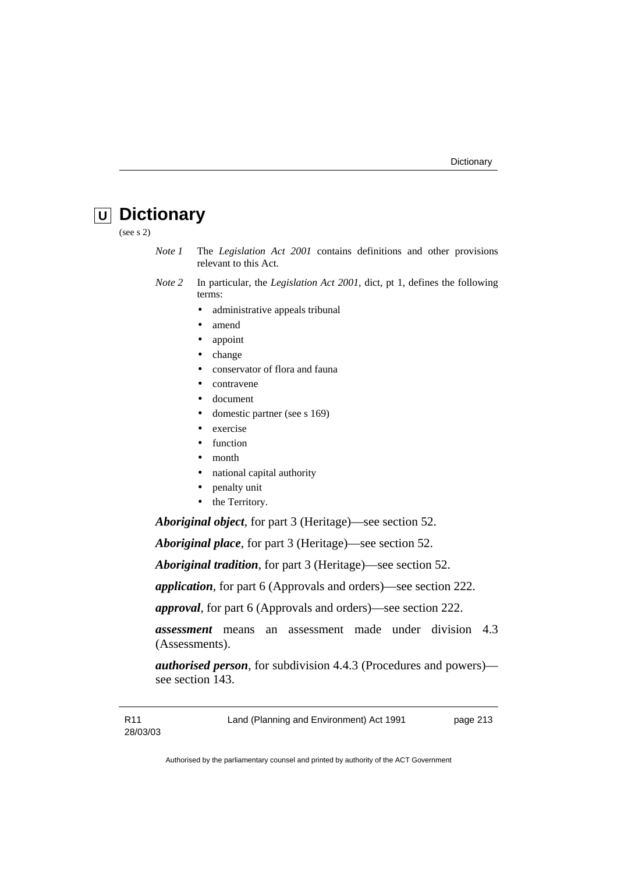# **U Dictionary**

(see s 2)

- *Note 1* The *Legislation Act 2001* contains definitions and other provisions relevant to this Act.
- *Note 2* In particular, the *Legislation Act 2001*, dict, pt 1, defines the following terms:
	- administrative appeals tribunal
	- amend
	- appoint
	- change
	- conservator of flora and fauna
	- contravene
	- document
	- domestic partner (see s 169)
	- exercise
	- function
	- month
	- national capital authority
	- penalty unit
	- the Territory.

*Aboriginal object*, for part 3 (Heritage)—see section 52.

*Aboriginal place*, for part 3 (Heritage)—see section 52.

*Aboriginal tradition*, for part 3 (Heritage)—see section 52.

*application*, for part 6 (Approvals and orders)—see section 222.

*approval*, for part 6 (Approvals and orders)—see section 222.

*assessment* means an assessment made under division 4.3 (Assessments).

*authorised person*, for subdivision 4.4.3 (Procedures and powers) see section 143.

Land (Planning and Environment) Act 1991 page 213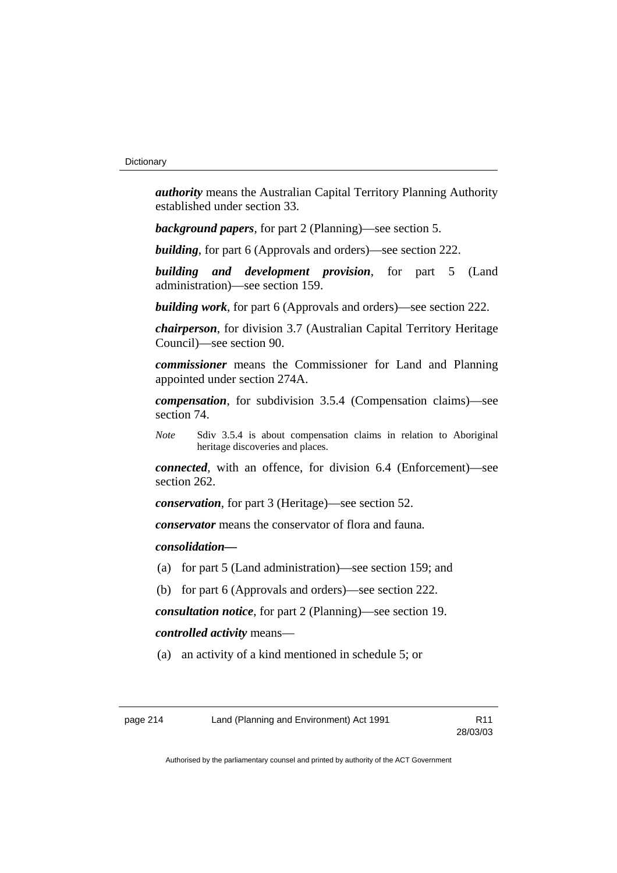*authority* means the Australian Capital Territory Planning Authority established under section 33.

*background papers*, for part 2 (Planning)—see section 5.

*building*, for part 6 (Approvals and orders)—see section 222.

*building and development provision*, for part 5 (Land administration)—see section 159.

*building work*, for part 6 (Approvals and orders)—see section 222.

*chairperson*, for division 3.7 (Australian Capital Territory Heritage Council)—see section 90.

*commissioner* means the Commissioner for Land and Planning appointed under section 274A.

*compensation*, for subdivision 3.5.4 (Compensation claims)—see section 74.

*Note* Sdiv 3.5.4 is about compensation claims in relation to Aboriginal heritage discoveries and places.

*connected*, with an offence, for division 6.4 (Enforcement)—see section 262.

*conservation*, for part 3 (Heritage)—see section 52.

*conservator* means the conservator of flora and fauna*.*

*consolidation—*

(a) for part 5 (Land administration)—see section 159; and

(b) for part 6 (Approvals and orders)—see section 222.

*consultation notice*, for part 2 (Planning)—see section 19.

*controlled activity* means—

(a) an activity of a kind mentioned in schedule 5; or

page 214 Land (Planning and Environment) Act 1991

28/03/03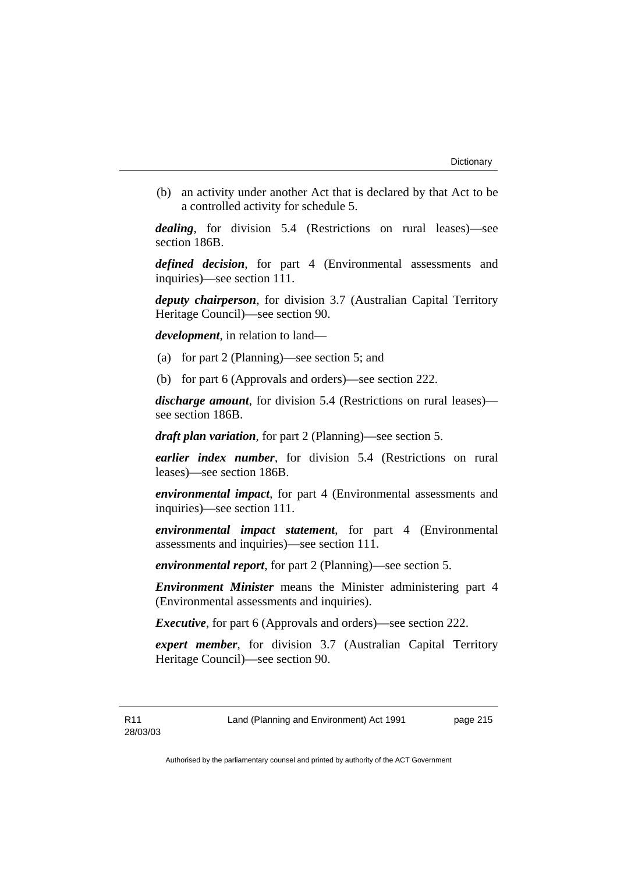(b) an activity under another Act that is declared by that Act to be a controlled activity for schedule 5.

*dealing*, for division 5.4 (Restrictions on rural leases)—see section 186B.

*defined decision*, for part 4 (Environmental assessments and inquiries)—see section 111.

*deputy chairperson*, for division 3.7 (Australian Capital Territory Heritage Council)—see section 90.

*development*, in relation to land—

- (a) for part 2 (Planning)—see section 5; and
- (b) for part 6 (Approvals and orders)—see section 222.

*discharge amount*, for division 5.4 (Restrictions on rural leases) see section 186B.

*draft plan variation*, for part 2 (Planning)—see section 5.

*earlier index number*, for division 5.4 (Restrictions on rural leases)—see section 186B.

*environmental impact*, for part 4 (Environmental assessments and inquiries)—see section 111.

*environmental impact statement*, for part 4 (Environmental assessments and inquiries)—see section 111.

*environmental report*, for part 2 (Planning)—see section 5.

*Environment Minister* means the Minister administering part 4 (Environmental assessments and inquiries).

*Executive*, for part 6 (Approvals and orders)—see section 222.

*expert member*, for division 3.7 (Australian Capital Territory Heritage Council)—see section 90.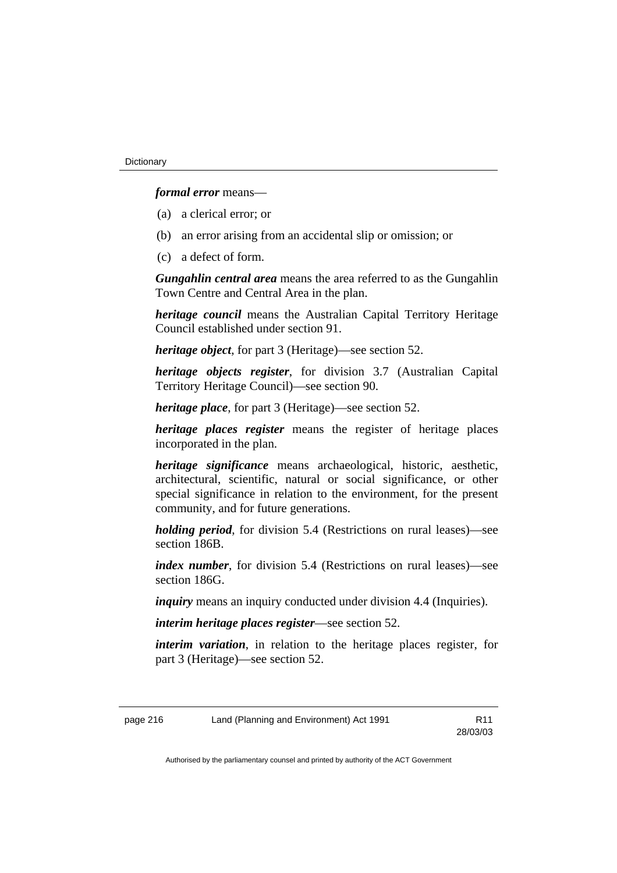*formal error* means—

- (a) a clerical error; or
- (b) an error arising from an accidental slip or omission; or
- (c) a defect of form.

*Gungahlin central area* means the area referred to as the Gungahlin Town Centre and Central Area in the plan.

*heritage council* means the Australian Capital Territory Heritage Council established under section 91.

*heritage object*, for part 3 (Heritage)—see section 52.

*heritage objects register*, for division 3.7 (Australian Capital Territory Heritage Council)—see section 90.

*heritage place*, for part 3 (Heritage)—see section 52.

*heritage places register* means the register of heritage places incorporated in the plan.

*heritage significance* means archaeological, historic, aesthetic, architectural, scientific, natural or social significance, or other special significance in relation to the environment, for the present community, and for future generations.

*holding period*, for division 5.4 (Restrictions on rural leases)—see section 186B.

*index number*, for division 5.4 (Restrictions on rural leases)—see section 186G.

*inquiry* means an inquiry conducted under division 4.4 (Inquiries).

*interim heritage places register*—see section 52.

*interim variation*, in relation to the heritage places register, for part 3 (Heritage)—see section 52.

page 216 Land (Planning and Environment) Act 1991

28/03/03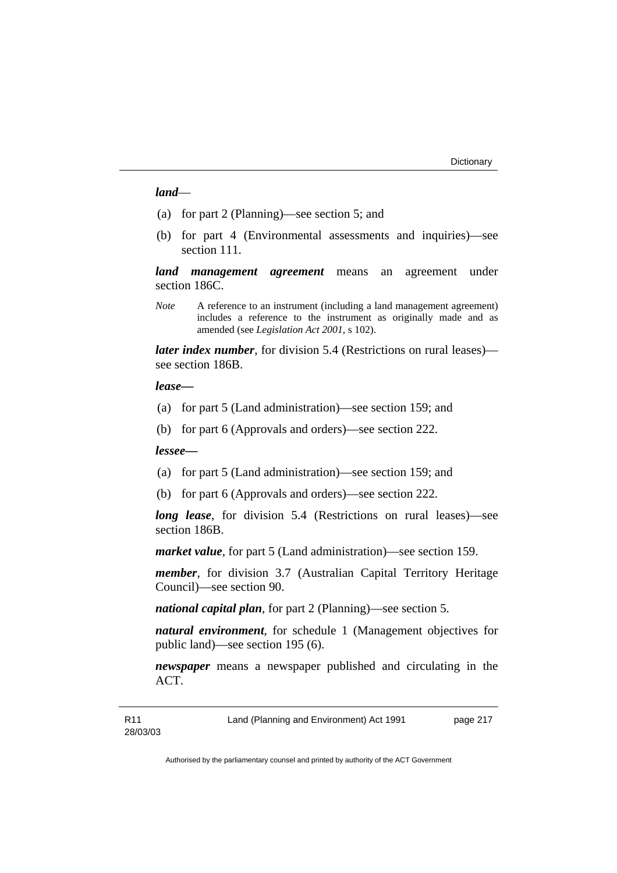### *land*—

- (a) for part 2 (Planning)—see section 5; and
- (b) for part 4 (Environmental assessments and inquiries)—see section 111.

*land management agreement* means an agreement under section 186C.

*Note* A reference to an instrument (including a land management agreement) includes a reference to the instrument as originally made and as amended (see *Legislation Act 2001*, s 102).

*later index number*, for division 5.4 (Restrictions on rural leases) see section 186B.

#### *lease—*

- (a) for part 5 (Land administration)—see section 159; and
- (b) for part 6 (Approvals and orders)—see section 222.

*lessee—*

- (a) for part 5 (Land administration)—see section 159; and
- (b) for part 6 (Approvals and orders)—see section 222.

*long lease*, for division 5.4 (Restrictions on rural leases)—see section 186B.

*market value*, for part 5 (Land administration)—see section 159.

*member*, for division 3.7 (Australian Capital Territory Heritage Council)—see section 90.

*national capital plan*, for part 2 (Planning)—see section 5.

*natural environment*, for schedule 1 (Management objectives for public land)—see section 195 (6).

*newspaper* means a newspaper published and circulating in the ACT.

R11 28/03/03 Land (Planning and Environment) Act 1991 page 217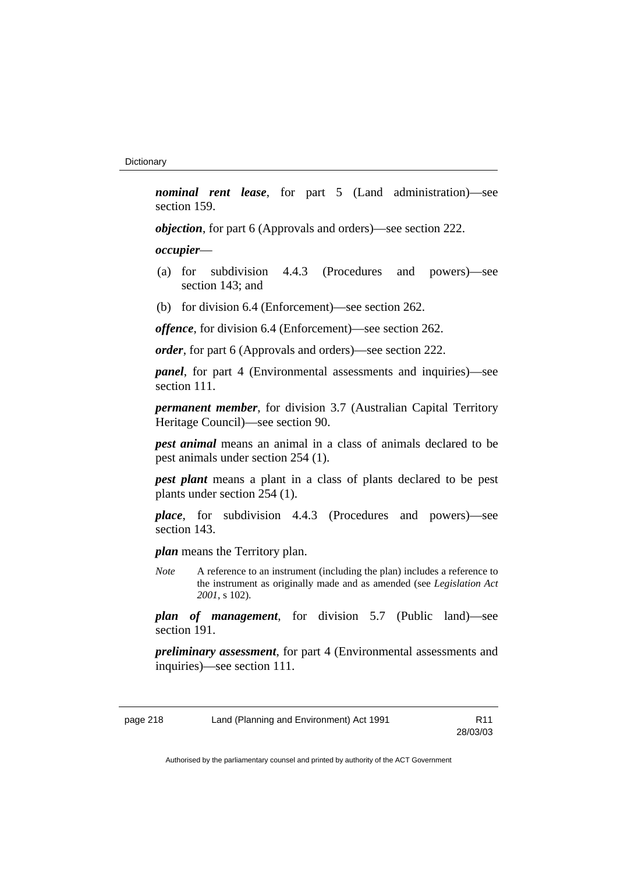*nominal rent lease*, for part 5 (Land administration)—see section 159.

*objection*, for part 6 (Approvals and orders)—see section 222.

#### *occupier*—

- (a) for subdivision 4.4.3 (Procedures and powers)—see section 143; and
- (b) for division 6.4 (Enforcement)—see section 262.

*offence*, for division 6.4 (Enforcement)—see section 262.

*order*, for part 6 (Approvals and orders)—see section 222.

*panel*, for part 4 (Environmental assessments and inquiries)—see section 111.

*permanent member*, for division 3.7 (Australian Capital Territory Heritage Council)—see section 90.

*pest animal* means an animal in a class of animals declared to be pest animals under section 254 (1).

*pest plant* means a plant in a class of plants declared to be pest plants under section 254 (1).

*place*, for subdivision 4.4.3 (Procedures and powers)—see section 143.

*plan* means the Territory plan.

*Note* A reference to an instrument (including the plan) includes a reference to the instrument as originally made and as amended (see *Legislation Act 2001*, s 102).

*plan of management*, for division 5.7 (Public land)—see section 191.

*preliminary assessment*, for part 4 (Environmental assessments and inquiries)—see section 111.

28/03/03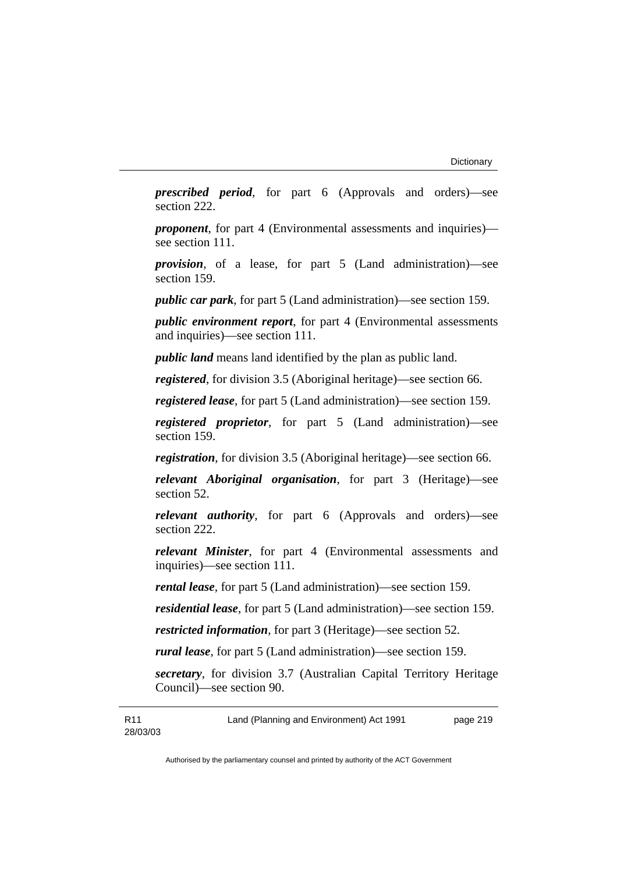*prescribed period*, for part 6 (Approvals and orders)—see section 222.

*proponent*, for part 4 (Environmental assessments and inquiries) see section 111.

*provision*, of a lease, for part 5 (Land administration)—see section 159.

*public car park*, for part 5 (Land administration)—see section 159.

*public environment report*, for part 4 (Environmental assessments and inquiries)—see section 111.

*public land* means land identified by the plan as public land.

*registered*, for division 3.5 (Aboriginal heritage)—see section 66.

*registered lease*, for part 5 (Land administration)—see section 159.

*registered proprietor*, for part 5 (Land administration)—see section 159.

*registration*, for division 3.5 (Aboriginal heritage)—see section 66.

*relevant Aboriginal organisation*, for part 3 (Heritage)—see section 52.

*relevant authority*, for part 6 (Approvals and orders)—see section 222.

*relevant Minister*, for part 4 (Environmental assessments and inquiries)—see section 111.

*rental lease*, for part 5 (Land administration)—see section 159.

*residential lease*, for part 5 (Land administration)—see section 159.

*restricted information*, for part 3 (Heritage)—see section 52.

*rural lease*, for part 5 (Land administration)—see section 159.

*secretary*, for division 3.7 (Australian Capital Territory Heritage Council)—see section 90.

R11 28/03/03 Land (Planning and Environment) Act 1991 page 219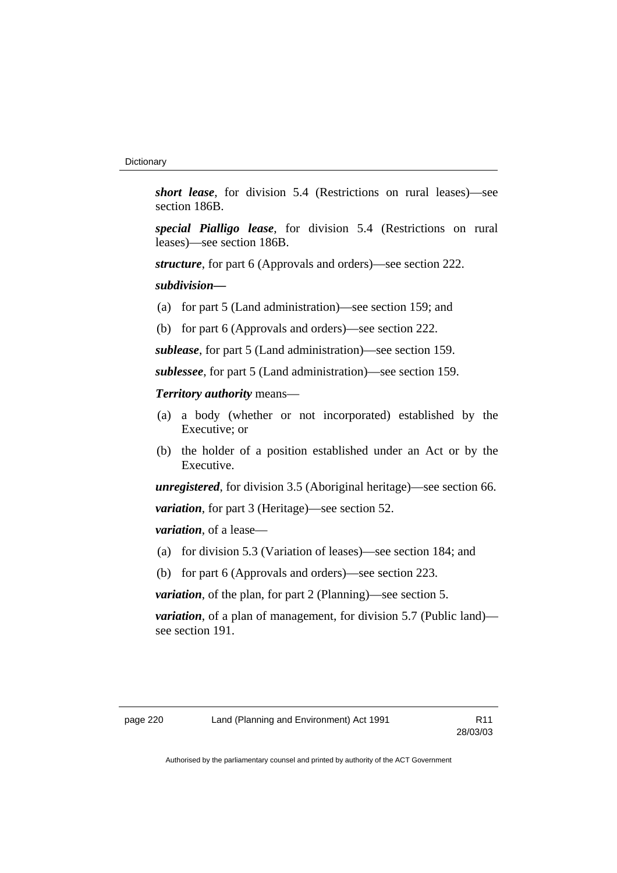*short lease*, for division 5.4 (Restrictions on rural leases)—see section 186B.

*special Pialligo lease*, for division 5.4 (Restrictions on rural leases)—see section 186B.

*structure*, for part 6 (Approvals and orders)—see section 222.

#### *subdivision—*

- (a) for part 5 (Land administration)—see section 159; and
- (b) for part 6 (Approvals and orders)—see section 222.

*sublease*, for part 5 (Land administration)—see section 159.

*sublessee*, for part 5 (Land administration)—see section 159.

*Territory authority* means—

- (a) a body (whether or not incorporated) established by the Executive; or
- (b) the holder of a position established under an Act or by the Executive.

*unregistered*, for division 3.5 (Aboriginal heritage)—see section 66.

*variation*, for part 3 (Heritage)—see section 52.

*variation*, of a lease—

- (a) for division 5.3 (Variation of leases)—see section 184; and
- (b) for part 6 (Approvals and orders)—see section 223.

*variation*, of the plan, for part 2 (Planning)—see section 5.

*variation*, of a plan of management, for division 5.7 (Public land) see section 191.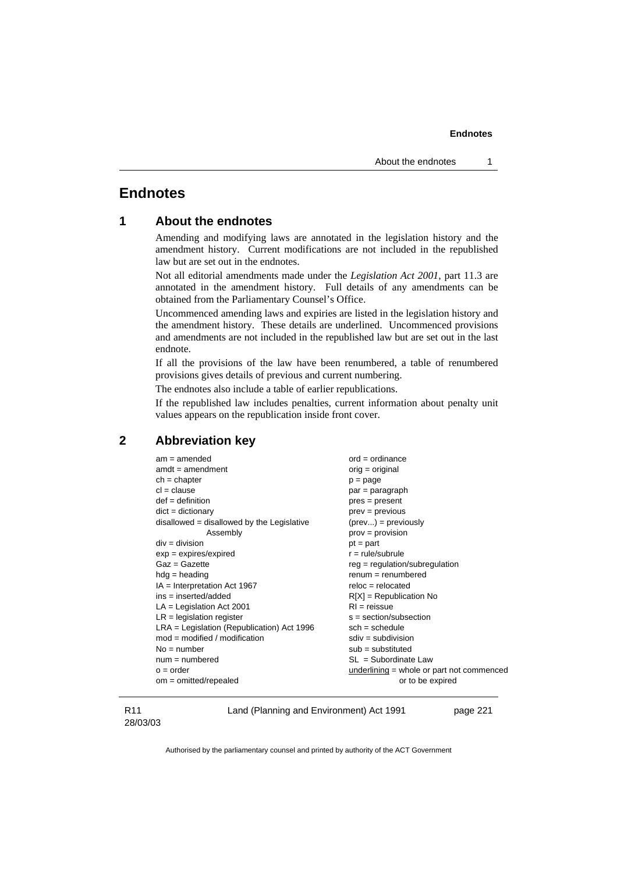# **Endnotes**

## **1 About the endnotes**

Amending and modifying laws are annotated in the legislation history and the amendment history. Current modifications are not included in the republished law but are set out in the endnotes.

Not all editorial amendments made under the *Legislation Act 2001*, part 11.3 are annotated in the amendment history. Full details of any amendments can be obtained from the Parliamentary Counsel's Office.

Uncommenced amending laws and expiries are listed in the legislation history and the amendment history. These details are underlined. Uncommenced provisions and amendments are not included in the republished law but are set out in the last endnote.

If all the provisions of the law have been renumbered, a table of renumbered provisions gives details of previous and current numbering.

The endnotes also include a table of earlier republications.

If the republished law includes penalties, current information about penalty unit values appears on the republication inside front cover.

# **2 Abbreviation key**

| $am = amended$                               | $ord = ordinance$                         |
|----------------------------------------------|-------------------------------------------|
| $amdt = amendment$                           | $orig = original$                         |
| $ch = chapter$                               | $p = page$                                |
| $cl = clause$                                | $par = paragraph$                         |
| $def = definition$                           | $pres = present$                          |
| $dict = dictionary$                          | $prev = previous$                         |
| disallowed = disallowed by the Legislative   | $(\text{prev}) = \text{previously}$       |
| Assembly                                     | $prov = provision$                        |
| $div = division$                             | $pt = part$                               |
| $exp = expires/expired$                      | $r = rule/subrule$                        |
| $Gaz = Gazette$                              | $reg = regulation/subregulation$          |
| $hdg =$ heading                              | $renum = renumbered$                      |
| $IA = Interpretation Act 1967$               | $reloc = relocated$                       |
| $ins = inserted/added$                       | $R[X]$ = Republication No                 |
| $LA =$ Legislation Act 2001                  | $RI = reissue$                            |
| $LR =$ legislation register                  | $s = section/subsection$                  |
| $LRA =$ Legislation (Republication) Act 1996 | $sch = schedule$                          |
| $mod = modified / modified$                  | $sdiv = subdivision$                      |
| $No = number$                                | $sub =$ substituted                       |
| $num = numbered$                             | $SL = Subordinate Law$                    |
| $o = order$                                  | underlining = whole or part not commenced |
| $om = omitted/repealed$                      | or to be expired                          |
|                                              |                                           |

R11 28/03/03 Land (Planning and Environment) Act 1991 page 221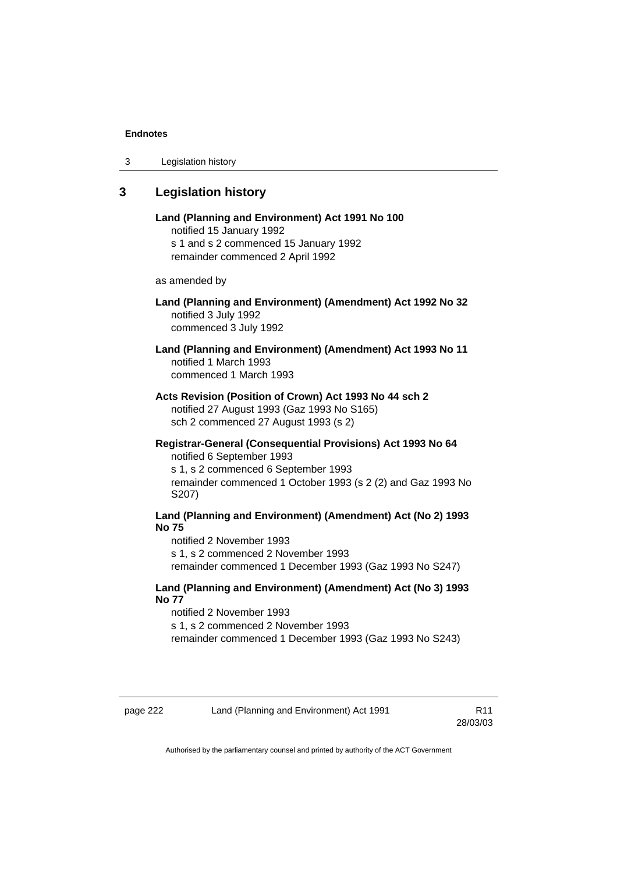3 Legislation history

# **3 Legislation history**

S207)

**Land (Planning and Environment) Act 1991 No 100**  notified 15 January 1992 s 1 and s 2 commenced 15 January 1992 remainder commenced 2 April 1992 as amended by **Land (Planning and Environment) (Amendment) Act 1992 No 32**  notified 3 July 1992 commenced 3 July 1992 **Land (Planning and Environment) (Amendment) Act 1993 No 11**  notified 1 March 1993 commenced 1 March 1993 **Acts Revision (Position of Crown) Act 1993 No 44 sch 2**  notified 27 August 1993 (Gaz 1993 No S165) sch 2 commenced 27 August 1993 (s 2) **Registrar-General (Consequential Provisions) Act 1993 No 64**  notified 6 September 1993 s 1, s 2 commenced 6 September 1993 remainder commenced 1 October 1993 (s 2 (2) and Gaz 1993 No

**Land (Planning and Environment) (Amendment) Act (No 2) 1993 No 75** 

notified 2 November 1993 s 1, s 2 commenced 2 November 1993 remainder commenced 1 December 1993 (Gaz 1993 No S247)

## **Land (Planning and Environment) (Amendment) Act (No 3) 1993 No 77**

notified 2 November 1993 s 1, s 2 commenced 2 November 1993 remainder commenced 1 December 1993 (Gaz 1993 No S243)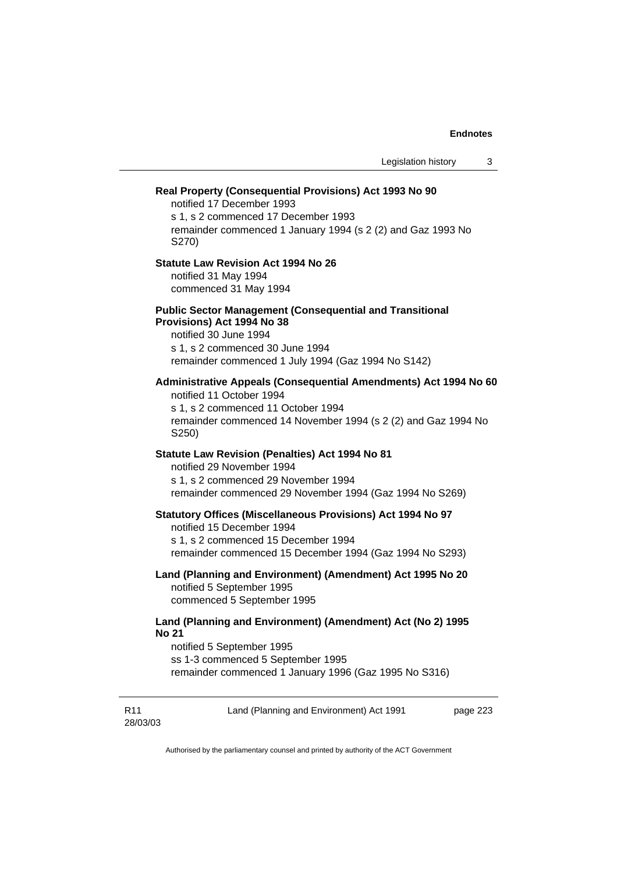### **Real Property (Consequential Provisions) Act 1993 No 90**

notified 17 December 1993 s 1, s 2 commenced 17 December 1993 remainder commenced 1 January 1994 (s 2 (2) and Gaz 1993 No S270)

#### **Statute Law Revision Act 1994 No 26**

notified 31 May 1994 commenced 31 May 1994

#### **Public Sector Management (Consequential and Transitional Provisions) Act 1994 No 38**

notified 30 June 1994 s 1, s 2 commenced 30 June 1994 remainder commenced 1 July 1994 (Gaz 1994 No S142)

#### **Administrative Appeals (Consequential Amendments) Act 1994 No 60**  notified 11 October 1994

s 1, s 2 commenced 11 October 1994 remainder commenced 14 November 1994 (s 2 (2) and Gaz 1994 No S250)

## **Statute Law Revision (Penalties) Act 1994 No 81**

notified 29 November 1994 s 1, s 2 commenced 29 November 1994 remainder commenced 29 November 1994 (Gaz 1994 No S269)

#### **Statutory Offices (Miscellaneous Provisions) Act 1994 No 97**

notified 15 December 1994 s 1, s 2 commenced 15 December 1994 remainder commenced 15 December 1994 (Gaz 1994 No S293)

**Land (Planning and Environment) (Amendment) Act 1995 No 20**  notified 5 September 1995 commenced 5 September 1995

# **Land (Planning and Environment) (Amendment) Act (No 2) 1995 No 21**

notified 5 September 1995 ss 1-3 commenced 5 September 1995 remainder commenced 1 January 1996 (Gaz 1995 No S316)

Land (Planning and Environment) Act 1991 page 223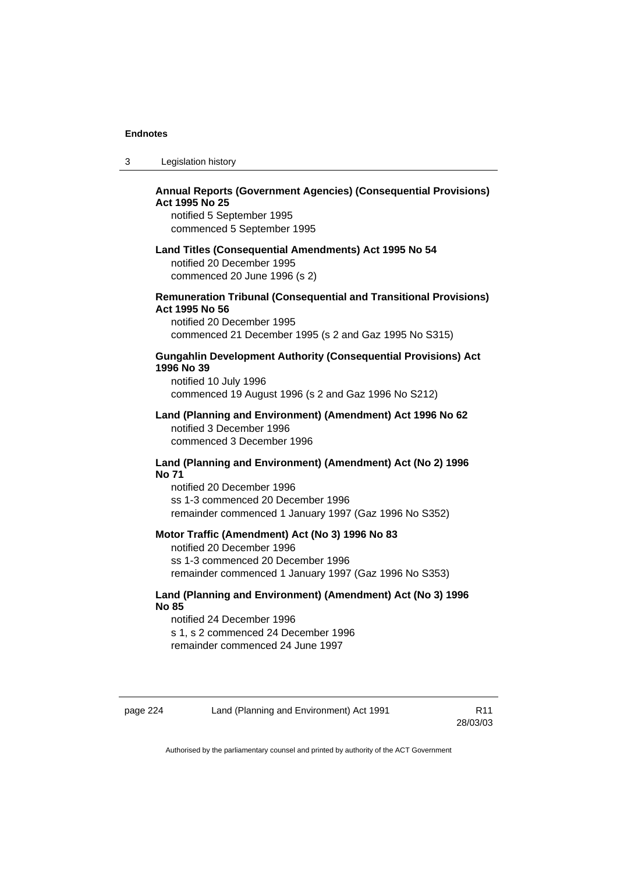| 3 | Legislation history |  |
|---|---------------------|--|
|---|---------------------|--|

# **Annual Reports (Government Agencies) (Consequential Provisions) Act 1995 No 25**

notified 5 September 1995 commenced 5 September 1995

#### **Land Titles (Consequential Amendments) Act 1995 No 54**

notified 20 December 1995 commenced 20 June 1996 (s 2)

### **Remuneration Tribunal (Consequential and Transitional Provisions) Act 1995 No 56**

notified 20 December 1995 commenced 21 December 1995 (s 2 and Gaz 1995 No S315)

### **Gungahlin Development Authority (Consequential Provisions) Act 1996 No 39**

notified 10 July 1996 commenced 19 August 1996 (s 2 and Gaz 1996 No S212)

#### **Land (Planning and Environment) (Amendment) Act 1996 No 62**  notified 3 December 1996 commenced 3 December 1996

## **Land (Planning and Environment) (Amendment) Act (No 2) 1996 No 71**

notified 20 December 1996 ss 1-3 commenced 20 December 1996 remainder commenced 1 January 1997 (Gaz 1996 No S352)

#### **Motor Traffic (Amendment) Act (No 3) 1996 No 83**

notified 20 December 1996 ss 1-3 commenced 20 December 1996 remainder commenced 1 January 1997 (Gaz 1996 No S353)

## **Land (Planning and Environment) (Amendment) Act (No 3) 1996 No 85**

notified 24 December 1996 s 1, s 2 commenced 24 December 1996 remainder commenced 24 June 1997

page 224 Land (Planning and Environment) Act 1991 R11

28/03/03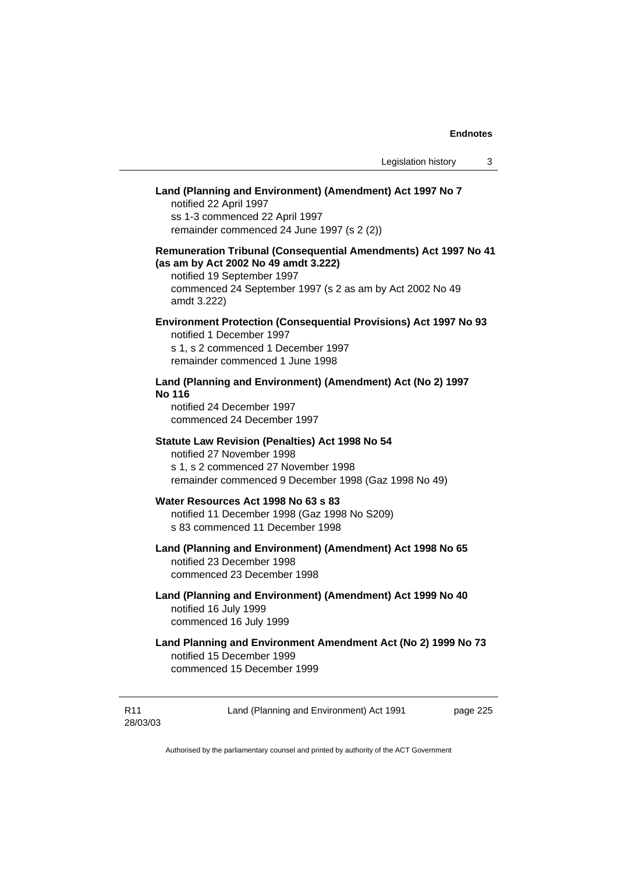| Legislation history |  |
|---------------------|--|
|---------------------|--|

# **Land (Planning and Environment) (Amendment) Act 1997 No 7**  notified 22 April 1997 ss 1-3 commenced 22 April 1997 remainder commenced 24 June 1997 (s 2 (2)) **Remuneration Tribunal (Consequential Amendments) Act 1997 No 41 (as am by Act 2002 No 49 amdt 3.222)**  notified 19 September 1997 commenced 24 September 1997 (s 2 as am by Act 2002 No 49 amdt 3.222) **Environment Protection (Consequential Provisions) Act 1997 No 93**  notified 1 December 1997 s 1, s 2 commenced 1 December 1997 remainder commenced 1 June 1998 **Land (Planning and Environment) (Amendment) Act (No 2) 1997 No 116**  notified 24 December 1997 commenced 24 December 1997 **Statute Law Revision (Penalties) Act 1998 No 54**  notified 27 November 1998 s 1, s 2 commenced 27 November 1998 remainder commenced 9 December 1998 (Gaz 1998 No 49) **Water Resources Act 1998 No 63 s 83**  notified 11 December 1998 (Gaz 1998 No S209) s 83 commenced 11 December 1998 **Land (Planning and Environment) (Amendment) Act 1998 No 65**  notified 23 December 1998 commenced 23 December 1998 **Land (Planning and Environment) (Amendment) Act 1999 No 40**  notified 16 July 1999 commenced 16 July 1999 **Land Planning and Environment Amendment Act (No 2) 1999 No 73**  notified 15 December 1999 commenced 15 December 1999

Land (Planning and Environment) Act 1991 page 225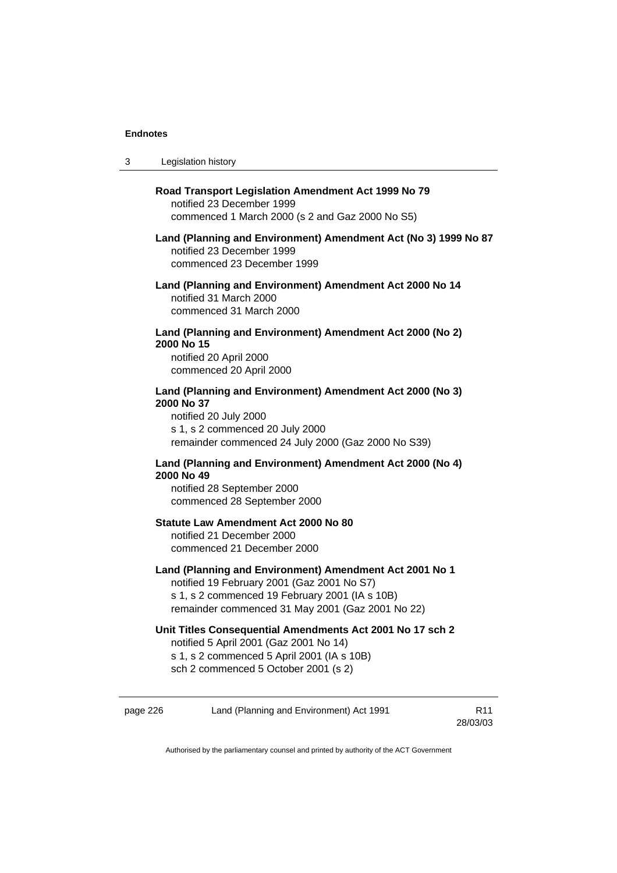| 3 | Legislation history |  |
|---|---------------------|--|
|---|---------------------|--|

# **Road Transport Legislation Amendment Act 1999 No 79**  notified 23 December 1999 commenced 1 March 2000 (s 2 and Gaz 2000 No S5) **Land (Planning and Environment) Amendment Act (No 3) 1999 No 87**  notified 23 December 1999 commenced 23 December 1999 **Land (Planning and Environment) Amendment Act 2000 No 14**  notified 31 March 2000 commenced 31 March 2000 **Land (Planning and Environment) Amendment Act 2000 (No 2) 2000 No 15**  notified 20 April 2000 commenced 20 April 2000 **Land (Planning and Environment) Amendment Act 2000 (No 3) 2000 No 37**  notified 20 July 2000 s 1, s 2 commenced 20 July 2000 remainder commenced 24 July 2000 (Gaz 2000 No S39) **Land (Planning and Environment) Amendment Act 2000 (No 4) 2000 No 49**  notified 28 September 2000 commenced 28 September 2000 **Statute Law Amendment Act 2000 No 80**  notified 21 December 2000 commenced 21 December 2000 **Land (Planning and Environment) Amendment Act 2001 No 1**  notified 19 February 2001 (Gaz 2001 No S7) s 1, s 2 commenced 19 February 2001 (IA s 10B) remainder commenced 31 May 2001 (Gaz 2001 No 22) **Unit Titles Consequential Amendments Act 2001 No 17 sch 2**  notified 5 April 2001 (Gaz 2001 No 14)

s 1, s 2 commenced 5 April 2001 (IA s 10B) sch 2 commenced 5 October 2001 (s 2)

| page 226 | Land (Planning and Environment) Act 1991 | R <sub>11</sub> |
|----------|------------------------------------------|-----------------|
|          |                                          | 28/03/03        |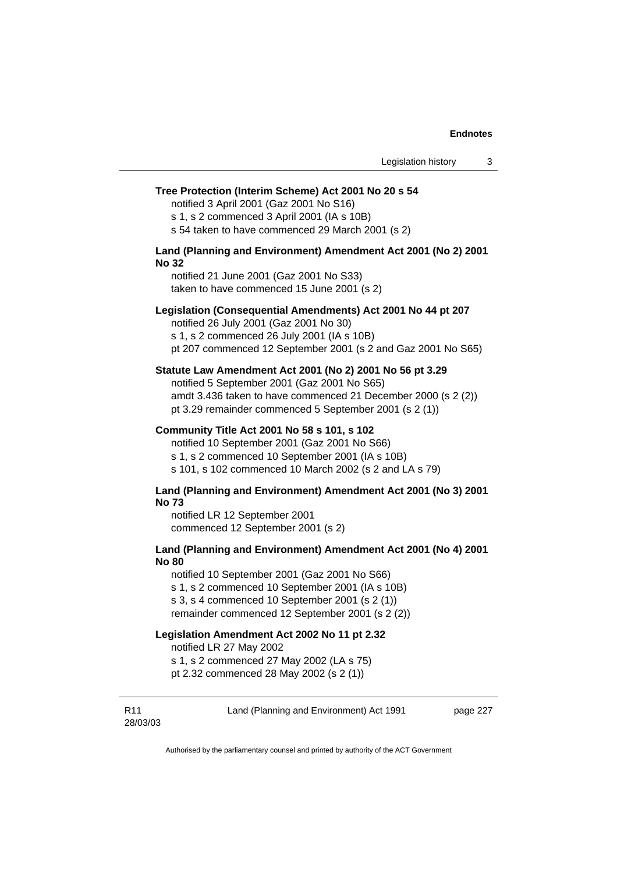# 28/03/03 Land (Planning and Environment) Act 1991 page 227 Authorised by the parliamentary counsel and printed by authority of the ACT Government **Tree Protection (Interim Scheme) Act 2001 No 20 s 54**  notified 3 April 2001 (Gaz 2001 No S16) s 1, s 2 commenced 3 April 2001 (IA s 10B) s 54 taken to have commenced 29 March 2001 (s 2) **Land (Planning and Environment) Amendment Act 2001 (No 2) 2001 No 32**  notified 21 June 2001 (Gaz 2001 No S33) taken to have commenced 15 June 2001 (s 2) **Legislation (Consequential Amendments) Act 2001 No 44 pt 207**  notified 26 July 2001 (Gaz 2001 No 30) s 1, s 2 commenced 26 July 2001 (IA s 10B) pt 207 commenced 12 September 2001 (s 2 and Gaz 2001 No S65) **Statute Law Amendment Act 2001 (No 2) 2001 No 56 pt 3.29**  notified 5 September 2001 (Gaz 2001 No S65) amdt 3.436 taken to have commenced 21 December 2000 (s 2 (2)) pt 3.29 remainder commenced 5 September 2001 (s 2 (1)) **Community Title Act 2001 No 58 s 101, s 102**  notified 10 September 2001 (Gaz 2001 No S66) s 1, s 2 commenced 10 September 2001 (IA s 10B) s 101, s 102 commenced 10 March 2002 (s 2 and LA s 79) **Land (Planning and Environment) Amendment Act 2001 (No 3) 2001 No 73**  notified LR 12 September 2001 commenced 12 September 2001 (s 2) **Land (Planning and Environment) Amendment Act 2001 (No 4) 2001 No 80**  notified 10 September 2001 (Gaz 2001 No S66) s 1, s 2 commenced 10 September 2001 (IA s 10B) s 3, s 4 commenced 10 September 2001 (s 2 (1)) remainder commenced 12 September 2001 (s 2 (2)) **Legislation Amendment Act 2002 No 11 pt 2.32**  notified LR 27 May 2002 s 1, s 2 commenced 27 May 2002 (LA s 75) pt 2.32 commenced 28 May 2002 (s 2 (1))

R11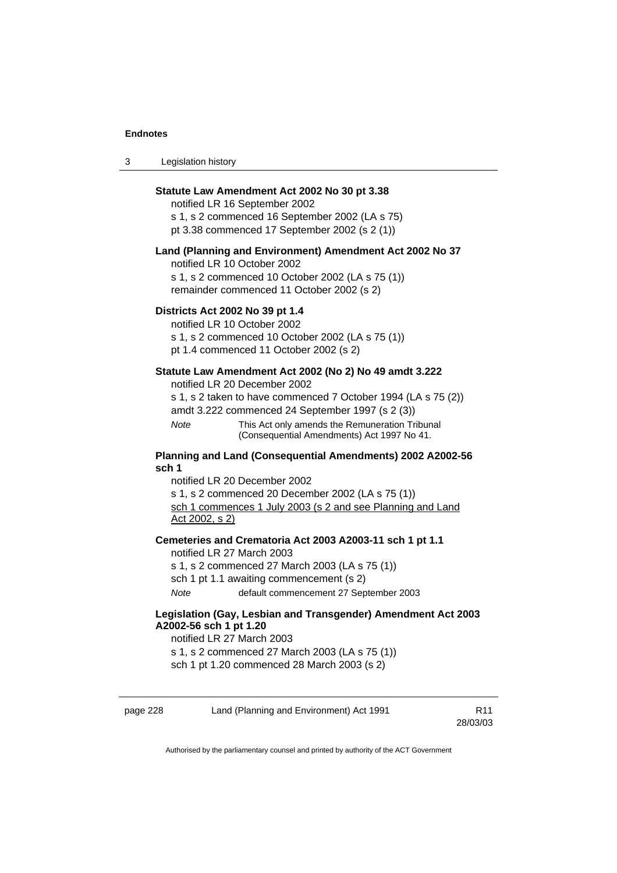3 Legislation history

#### **Statute Law Amendment Act 2002 No 30 pt 3.38**

notified LR 16 September 2002 s 1, s 2 commenced 16 September 2002 (LA s 75) pt 3.38 commenced 17 September 2002 (s 2 (1))

#### **Land (Planning and Environment) Amendment Act 2002 No 37**

notified LR 10 October 2002 s 1, s 2 commenced 10 October 2002 (LA s 75 (1))

remainder commenced 11 October 2002 (s 2)

#### **Districts Act 2002 No 39 pt 1.4**

notified LR 10 October 2002

s 1, s 2 commenced 10 October 2002 (LA s 75 (1)) pt 1.4 commenced 11 October 2002 (s 2)

# **Statute Law Amendment Act 2002 (No 2) No 49 amdt 3.222**

notified LR 20 December 2002

s 1, s 2 taken to have commenced 7 October 1994 (LA s 75 (2)) amdt 3.222 commenced 24 September 1997 (s 2 (3))

*Note* This Act only amends the Remuneration Tribunal (Consequential Amendments) Act 1997 No 41.

#### **Planning and Land (Consequential Amendments) 2002 A2002-56 sch 1**

notified LR 20 December 2002 s 1, s 2 commenced 20 December 2002 (LA s 75 (1)) sch 1 commences 1 July 2003 (s 2 and see Planning and Land Act 2002, s 2)

#### **Cemeteries and Crematoria Act 2003 A2003-11 sch 1 pt 1.1**

notified LR 27 March 2003 s 1, s 2 commenced 27 March 2003 (LA s 75 (1)) sch 1 pt 1.1 awaiting commencement (s 2) *Note* default commencement 27 September 2003

#### **Legislation (Gay, Lesbian and Transgender) Amendment Act 2003 A2002-56 sch 1 pt 1.20**

notified LR 27 March 2003

s 1, s 2 commenced 27 March 2003 (LA s 75 (1))

sch 1 pt 1.20 commenced 28 March 2003 (s 2)

page 228 Land (Planning and Environment) Act 1991 R11

28/03/03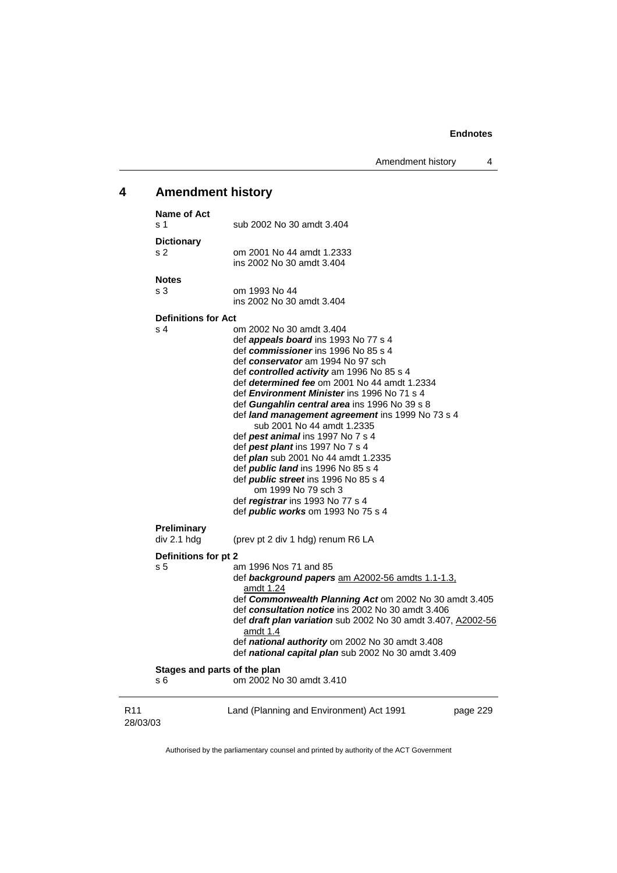# **4 Amendment history**

| Name of Act<br>s 1                  | sub 2002 No 30 amdt 3.404                                                                                                                                                                                                                                                                                                                                                                                                                                                                                                                                                                                                                                                                                                                                            |
|-------------------------------------|----------------------------------------------------------------------------------------------------------------------------------------------------------------------------------------------------------------------------------------------------------------------------------------------------------------------------------------------------------------------------------------------------------------------------------------------------------------------------------------------------------------------------------------------------------------------------------------------------------------------------------------------------------------------------------------------------------------------------------------------------------------------|
| <b>Dictionary</b><br>s 2            | om 2001 No 44 amdt 1.2333<br>ins 2002 No 30 amdt 3.404                                                                                                                                                                                                                                                                                                                                                                                                                                                                                                                                                                                                                                                                                                               |
| <b>Notes</b><br>s 3                 | om 1993 No 44<br>ins 2002 No 30 amdt 3.404                                                                                                                                                                                                                                                                                                                                                                                                                                                                                                                                                                                                                                                                                                                           |
| <b>Definitions for Act</b>          |                                                                                                                                                                                                                                                                                                                                                                                                                                                                                                                                                                                                                                                                                                                                                                      |
| s <sub>4</sub>                      | om 2002 No 30 amdt 3.404<br>def <i>appeals board</i> ins 1993 No 77 s 4<br>def commissioner ins 1996 No 85 s 4<br>def conservator am 1994 No 97 sch<br>def controlled activity am 1996 No 85 s 4<br>def <i>determined fee</i> om 2001 No 44 amdt 1.2334<br>def <i>Environment Minister</i> ins 1996 No 71 s 4<br>def Gungahlin central area ins 1996 No 39 s 8<br>def land management agreement ins 1999 No 73 s 4<br>sub 2001 No 44 amdt 1.2335<br>def pest animal ins 1997 No 7 s 4<br>def pest plant ins 1997 No 7 s 4<br>def <i>plan</i> sub 2001 No 44 amdt 1.2335<br>def public land ins 1996 No 85 s 4<br>def <i>public street</i> ins 1996 No 85 s 4<br>om 1999 No 79 sch 3<br>def registrar ins 1993 No 77 s 4<br>def <i>public</i> works om 1993 No 75 s 4 |
| <b>Preliminary</b><br>div 2.1 hdg   | (prev pt 2 div 1 hdg) renum R6 LA                                                                                                                                                                                                                                                                                                                                                                                                                                                                                                                                                                                                                                                                                                                                    |
| Definitions for pt 2                |                                                                                                                                                                                                                                                                                                                                                                                                                                                                                                                                                                                                                                                                                                                                                                      |
| s <sub>5</sub>                      | am 1996 Nos 71 and 85<br>def background papers am A2002-56 amdts 1.1-1.3.<br>amdt 1.24<br>def Commonwealth Planning Act om 2002 No 30 amdt 3.405<br>def consultation notice ins 2002 No 30 amdt 3.406<br>def draft plan variation sub 2002 No 30 amdt 3.407, A2002-56<br>amdt 1.4<br>def national authority om 2002 No 30 amdt 3.408<br>def national capital plan sub 2002 No 30 amdt 3.409                                                                                                                                                                                                                                                                                                                                                                          |
| Stages and parts of the plan<br>s 6 | om 2002 No 30 amdt 3.410                                                                                                                                                                                                                                                                                                                                                                                                                                                                                                                                                                                                                                                                                                                                             |
| R11<br>28/03/03                     | Land (Planning and Environment) Act 1991<br>page 229                                                                                                                                                                                                                                                                                                                                                                                                                                                                                                                                                                                                                                                                                                                 |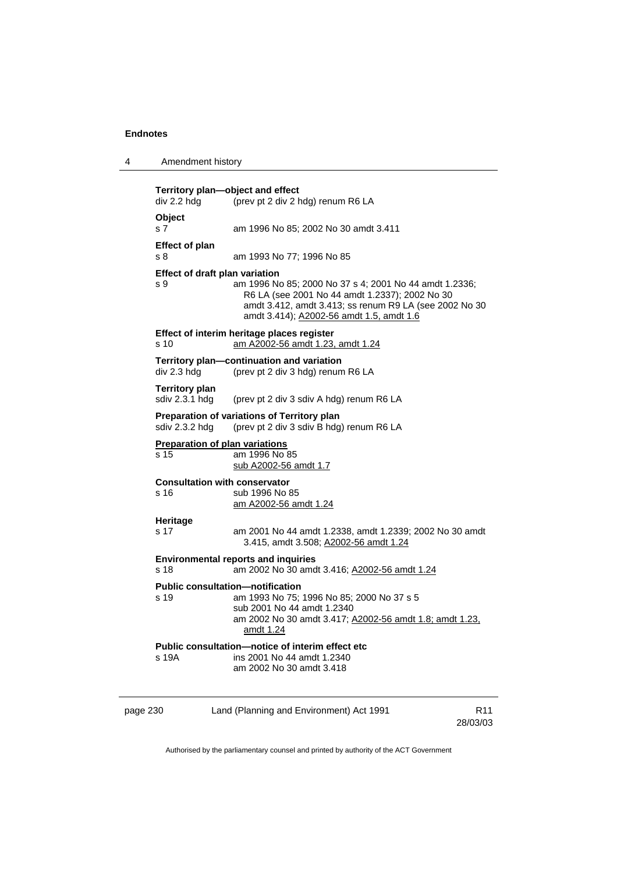|  | Amendment history |  |
|--|-------------------|--|
|--|-------------------|--|

| Territory plan-object and effect<br>div 2.2 hdg | (prev pt 2 div 2 hdg) renum R6 LA                                                                                                                                                                              |  |
|-------------------------------------------------|----------------------------------------------------------------------------------------------------------------------------------------------------------------------------------------------------------------|--|
| Object<br>s 7                                   | am 1996 No 85; 2002 No 30 amdt 3.411                                                                                                                                                                           |  |
| <b>Effect of plan</b><br>s 8                    | am 1993 No 77; 1996 No 85                                                                                                                                                                                      |  |
| <b>Effect of draft plan variation</b><br>s 9    | am 1996 No 85; 2000 No 37 s 4; 2001 No 44 amdt 1.2336;<br>R6 LA (see 2001 No 44 amdt 1.2337); 2002 No 30<br>amdt 3.412, amdt 3.413; ss renum R9 LA (see 2002 No 30<br>amdt 3.414); A2002-56 amdt 1.5, amdt 1.6 |  |
| s 10                                            | Effect of interim heritage places register<br>am A2002-56 amdt 1.23, amdt 1.24                                                                                                                                 |  |
| div 2.3 hdg                                     | Territory plan-continuation and variation<br>(prev pt 2 div 3 hdg) renum R6 LA                                                                                                                                 |  |
| <b>Territory plan</b><br>sdiv 2.3.1 hdg         | (prev pt 2 div 3 sdiv A hdg) renum R6 LA                                                                                                                                                                       |  |
| sdiv 2.3.2 hdq                                  | Preparation of variations of Territory plan<br>(prev pt 2 div 3 sdiv B hdg) renum R6 LA                                                                                                                        |  |
| <b>Preparation of plan variations</b>           |                                                                                                                                                                                                                |  |
|                                                 |                                                                                                                                                                                                                |  |
| s 15                                            | am 1996 No 85                                                                                                                                                                                                  |  |
|                                                 | sub A2002-56 amdt 1.7                                                                                                                                                                                          |  |
|                                                 |                                                                                                                                                                                                                |  |
| <b>Consultation with conservator</b><br>s 16    | sub 1996 No 85                                                                                                                                                                                                 |  |
|                                                 | am A2002-56 amdt 1.24                                                                                                                                                                                          |  |
|                                                 |                                                                                                                                                                                                                |  |
| <b>Heritage</b><br>s 17                         | am 2001 No 44 amdt 1.2338, amdt 1.2339; 2002 No 30 amdt<br>3.415, amdt 3.508; A2002-56 amdt 1.24                                                                                                               |  |
|                                                 |                                                                                                                                                                                                                |  |
| s 18                                            | <b>Environmental reports and inquiries</b><br>am 2002 No 30 amdt 3.416; A2002-56 amdt 1.24                                                                                                                     |  |
| <b>Public consultation-notification</b>         |                                                                                                                                                                                                                |  |
| s 19                                            | am 1993 No 75; 1996 No 85; 2000 No 37 s 5                                                                                                                                                                      |  |
|                                                 | sub 2001 No 44 amdt 1.2340                                                                                                                                                                                     |  |
|                                                 | am 2002 No 30 amdt 3.417; A2002-56 amdt 1.8; amdt 1.23.<br>amdt 1.24                                                                                                                                           |  |
|                                                 | Public consultation-notice of interim effect etc                                                                                                                                                               |  |
| s 19A                                           | ins 2001 No 44 amdt 1.2340                                                                                                                                                                                     |  |
|                                                 | am 2002 No 30 amdt 3.418                                                                                                                                                                                       |  |

page 230 Land (Planning and Environment) Act 1991 R11

28/03/03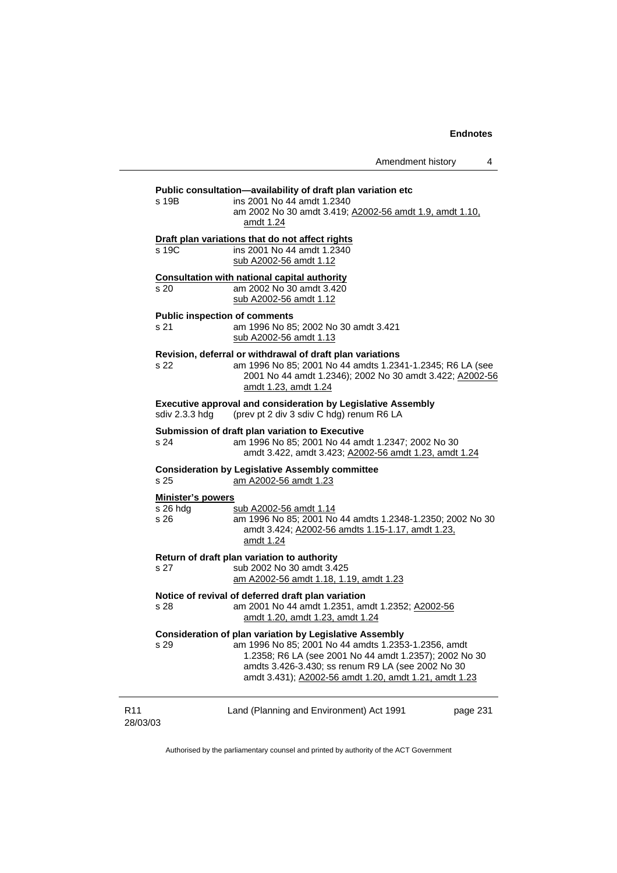Amendment history 4

| s 19B                                        | Public consultation-availability of draft plan variation etc<br>ins 2001 No 44 amdt 1.2340<br>am 2002 No 30 amdt 3.419; A2002-56 amdt 1.9, amdt 1.10,<br>amdt 1.24                                                                                                                            |          |  |  |
|----------------------------------------------|-----------------------------------------------------------------------------------------------------------------------------------------------------------------------------------------------------------------------------------------------------------------------------------------------|----------|--|--|
| s 19C                                        | Draft plan variations that do not affect rights<br>ins 2001 No 44 amdt 1.2340<br>sub A2002-56 amdt 1.12                                                                                                                                                                                       |          |  |  |
| s 20                                         | <b>Consultation with national capital authority</b><br>am 2002 No 30 amdt 3.420<br>sub A2002-56 amdt 1.12                                                                                                                                                                                     |          |  |  |
| s 21                                         | <b>Public inspection of comments</b><br>am 1996 No 85; 2002 No 30 amdt 3.421<br>sub A2002-56 amdt 1.13                                                                                                                                                                                        |          |  |  |
| s 22                                         | Revision, deferral or withdrawal of draft plan variations<br>am 1996 No 85; 2001 No 44 amdts 1.2341-1.2345; R6 LA (see<br>2001 No 44 amdt 1.2346); 2002 No 30 amdt 3.422; A2002-56<br>amdt 1.23, amdt 1.24                                                                                    |          |  |  |
| sdiv 2.3.3 hda                               | <b>Executive approval and consideration by Legislative Assembly</b><br>(prev pt 2 div 3 sdiv C hdg) renum R6 LA                                                                                                                                                                               |          |  |  |
| s 24                                         | Submission of draft plan variation to Executive<br>am 1996 No 85; 2001 No 44 amdt 1.2347; 2002 No 30<br>amdt 3.422, amdt 3.423; A2002-56 amdt 1.23, amdt 1.24                                                                                                                                 |          |  |  |
| s 25                                         | <b>Consideration by Legislative Assembly committee</b><br>am A2002-56 amdt 1.23                                                                                                                                                                                                               |          |  |  |
| <b>Minister's powers</b><br>s 26 hdg<br>s 26 | sub A2002-56 amdt 1.14<br>am 1996 No 85; 2001 No 44 amdts 1.2348-1.2350; 2002 No 30<br>amdt 3.424; A2002-56 amdts 1.15-1.17, amdt 1.23,<br>amdt 1.24                                                                                                                                          |          |  |  |
| s 27                                         | Return of draft plan variation to authority<br>sub 2002 No 30 amdt 3.425<br><u>am A2002-56 amdt 1.18, 1.19, amdt 1.23</u>                                                                                                                                                                     |          |  |  |
| s 28                                         | Notice of revival of deferred draft plan variation<br>am 2001 No 44 amdt 1.2351, amdt 1.2352; A2002-56<br>amdt 1.20, amdt 1.23, amdt 1.24                                                                                                                                                     |          |  |  |
| s 29                                         | <b>Consideration of plan variation by Legislative Assembly</b><br>am 1996 No 85; 2001 No 44 amdts 1.2353-1.2356, amdt<br>1.2358; R6 LA (see 2001 No 44 amdt 1.2357); 2002 No 30<br>amdts 3.426-3.430; ss renum R9 LA (see 2002 No 30<br>amdt 3.431); A2002-56 amdt 1.20, amdt 1.21, amdt 1.23 |          |  |  |
| R <sub>11</sub><br>28/03/03                  | Land (Planning and Environment) Act 1991                                                                                                                                                                                                                                                      | page 231 |  |  |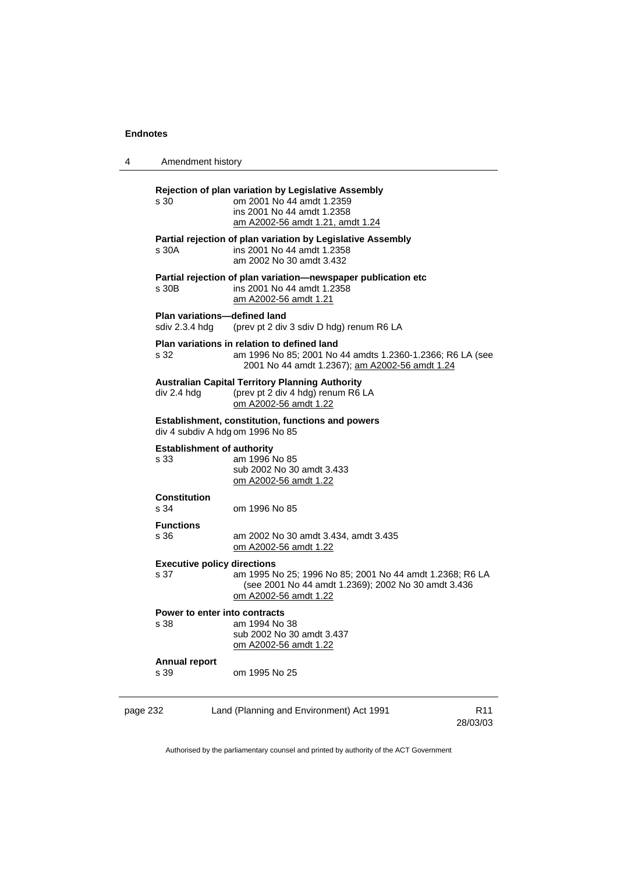| 4        | Amendment history                                                                     |                                                                                                                                                            |                 |  |
|----------|---------------------------------------------------------------------------------------|------------------------------------------------------------------------------------------------------------------------------------------------------------|-----------------|--|
|          | s 30                                                                                  | Rejection of plan variation by Legislative Assembly<br>om 2001 No 44 amdt 1.2359<br>ins 2001 No 44 amdt 1.2358<br>am A2002-56 amdt 1.21, amdt 1.24         |                 |  |
|          | s 30A                                                                                 | Partial rejection of plan variation by Legislative Assembly<br>ins 2001 No 44 amdt 1.2358<br>am 2002 No 30 amdt 3.432                                      |                 |  |
|          | s 30B                                                                                 | Partial rejection of plan variation-newspaper publication etc<br>ins 2001 No 44 amdt 1.2358<br>am A2002-56 amdt 1.21                                       |                 |  |
|          | sdiv 2.3.4 hdg                                                                        | <b>Plan variations-defined land</b><br>(prev pt 2 div 3 sdiv D hdg) renum R6 LA                                                                            |                 |  |
|          | s 32                                                                                  | Plan variations in relation to defined land<br>am 1996 No 85; 2001 No 44 amdts 1.2360-1.2366; R6 LA (see<br>2001 No 44 amdt 1.2367); am A2002-56 amdt 1.24 |                 |  |
|          | div 2.4 hdg                                                                           | <b>Australian Capital Territory Planning Authority</b><br>(prev pt 2 div 4 hdg) renum R6 LA<br>om A2002-56 amdt 1.22                                       |                 |  |
|          | Establishment, constitution, functions and powers<br>div 4 subdiv A hdg om 1996 No 85 |                                                                                                                                                            |                 |  |
|          | <b>Establishment of authority</b><br>s 33                                             | am 1996 No 85<br>sub 2002 No 30 amdt 3.433<br>om A2002-56 amdt 1.22                                                                                        |                 |  |
|          | <b>Constitution</b><br>s 34                                                           | om 1996 No 85                                                                                                                                              |                 |  |
|          | <b>Functions</b><br>s 36                                                              | am 2002 No 30 amdt 3.434, amdt 3.435<br>om A2002-56 amdt 1.22                                                                                              |                 |  |
|          | <b>Executive policy directions</b><br>s 37                                            | am 1995 No 25; 1996 No 85; 2001 No 44 amdt 1.2368; R6 LA<br>(see 2001 No 44 amdt 1.2369); 2002 No 30 amdt 3.436<br>om A2002-56 amdt 1.22                   |                 |  |
|          | s 38                                                                                  | Power to enter into contracts<br>am 1994 No 38<br>sub 2002 No 30 amdt 3.437<br>om A2002-56 amdt 1.22                                                       |                 |  |
|          | <b>Annual report</b><br>s 39                                                          | om 1995 No 25                                                                                                                                              |                 |  |
| page 232 |                                                                                       | Land (Planning and Environment) Act 1991                                                                                                                   | R11<br>28/03/03 |  |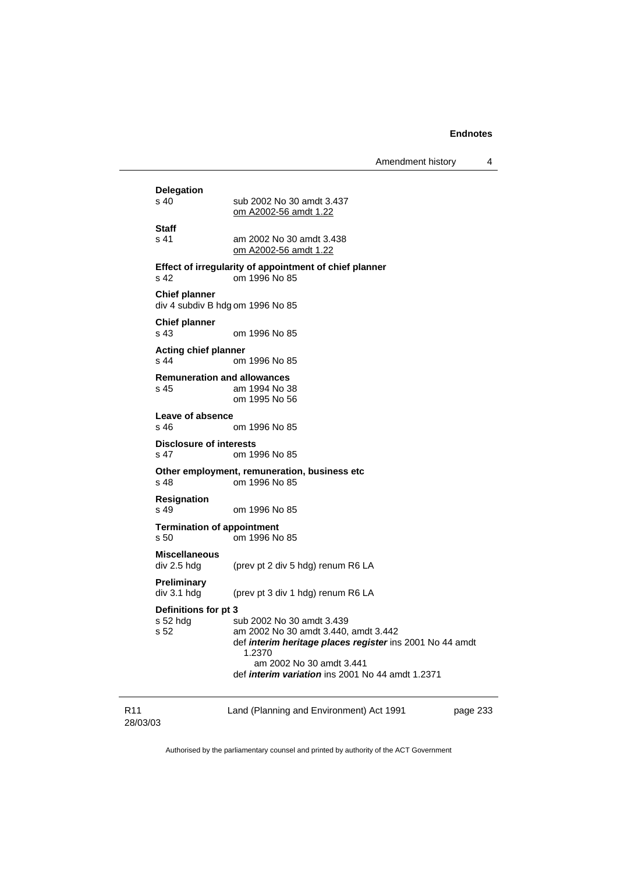Amendment history 4

|   | <b>Delegation</b>                                        |                                                                                                                                                                                                                                       |          |
|---|----------------------------------------------------------|---------------------------------------------------------------------------------------------------------------------------------------------------------------------------------------------------------------------------------------|----------|
|   | s 40                                                     | sub 2002 No 30 amdt 3.437<br>om A2002-56 amdt 1.22                                                                                                                                                                                    |          |
|   | <b>Staff</b><br>s 41                                     | am 2002 No 30 amdt 3.438<br>om A2002-56 amdt 1.22                                                                                                                                                                                     |          |
|   | s 42                                                     | Effect of irregularity of appointment of chief planner<br>om 1996 No 85                                                                                                                                                               |          |
|   | <b>Chief planner</b><br>div 4 subdiv B hdg om 1996 No 85 |                                                                                                                                                                                                                                       |          |
|   | <b>Chief planner</b><br>s 43                             | om 1996 No 85                                                                                                                                                                                                                         |          |
|   | <b>Acting chief planner</b><br>$s$ 44                    | om 1996 No 85                                                                                                                                                                                                                         |          |
|   | <b>Remuneration and allowances</b><br>s 45               | am 1994 No 38<br>om 1995 No 56                                                                                                                                                                                                        |          |
|   | Leave of absence<br>s 46                                 | om 1996 No 85                                                                                                                                                                                                                         |          |
|   | <b>Disclosure of interests</b><br>s 47                   | om 1996 No 85                                                                                                                                                                                                                         |          |
|   | s 48                                                     | Other employment, remuneration, business etc<br>om 1996 No 85                                                                                                                                                                         |          |
|   | <b>Resignation</b><br>s 49                               | om 1996 No 85                                                                                                                                                                                                                         |          |
|   | <b>Termination of appointment</b><br>s 50                | om 1996 No 85                                                                                                                                                                                                                         |          |
|   | <b>Miscellaneous</b><br>div 2.5 hdg                      | (prev pt 2 div 5 hdg) renum R6 LA                                                                                                                                                                                                     |          |
|   | Preliminary<br>div 3.1 hdg                               | (prev pt 3 div 1 hdg) renum R6 LA                                                                                                                                                                                                     |          |
|   | Definitions for pt 3<br>s 52 hda<br>s 52                 | sub 2002 No 30 amdt 3.439<br>am 2002 No 30 amdt 3.440, amdt 3.442<br>def <i>interim heritage places register</i> ins 2001 No 44 amdt<br>1.2370<br>am 2002 No 30 amdt 3.441<br>def <i>interim variation</i> ins 2001 No 44 amdt 1.2371 |          |
| 1 |                                                          | Land (Planning and Environment) Act 1991                                                                                                                                                                                              | page 233 |

 $R1$ 28/03/03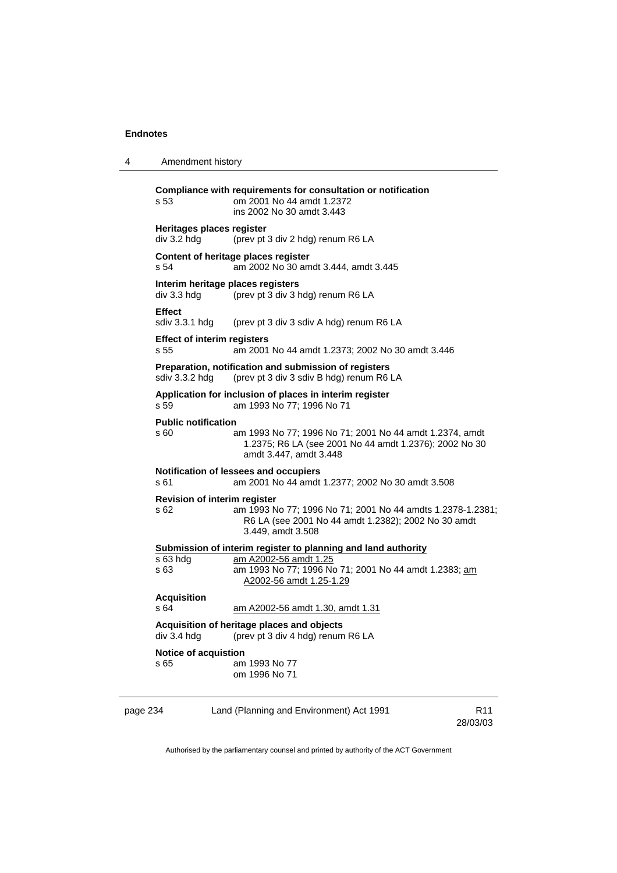| 4        | Amendment history                                                                                  |                                                                                                                                                                            |  |  |
|----------|----------------------------------------------------------------------------------------------------|----------------------------------------------------------------------------------------------------------------------------------------------------------------------------|--|--|
|          | s 53                                                                                               | Compliance with requirements for consultation or notification<br>om 2001 No 44 amdt 1.2372<br>ins 2002 No 30 amdt 3.443                                                    |  |  |
|          | div 3.2 hdg                                                                                        | Heritages places register<br>(prev pt 3 div 2 hdg) renum R6 LA                                                                                                             |  |  |
|          | s 54                                                                                               | Content of heritage places register<br>am 2002 No 30 amdt 3.444, amdt 3.445                                                                                                |  |  |
|          | div 3.3 hdg                                                                                        | Interim heritage places registers<br>(prev pt 3 div 3 hdg) renum R6 LA                                                                                                     |  |  |
|          | <b>Effect</b><br>sdiv 3.3.1 hdg                                                                    | (prev pt 3 div 3 sdiv A hdg) renum R6 LA                                                                                                                                   |  |  |
|          | s 55                                                                                               | <b>Effect of interim registers</b><br>am 2001 No 44 amdt 1.2373; 2002 No 30 amdt 3.446                                                                                     |  |  |
|          |                                                                                                    | Preparation, notification and submission of registers<br>(prev pt 3 div 3 sdiv B hdg) renum R6 LA<br>sdiv 3.3.2 hdg                                                        |  |  |
|          | s 59                                                                                               | Application for inclusion of places in interim register<br>am 1993 No 77; 1996 No 71                                                                                       |  |  |
|          | <b>Public notification</b><br>s 60                                                                 | am 1993 No 77; 1996 No 71; 2001 No 44 amdt 1.2374, amdt<br>1.2375; R6 LA (see 2001 No 44 amdt 1.2376); 2002 No 30<br>amdt 3.447, amdt 3.448                                |  |  |
|          | Notification of lessees and occupiers<br>am 2001 No 44 amdt 1.2377; 2002 No 30 amdt 3.508<br>s 61  |                                                                                                                                                                            |  |  |
|          | s 62                                                                                               | Revision of interim register<br>am 1993 No 77; 1996 No 71; 2001 No 44 amdts 1.2378-1.2381;<br>R6 LA (see 2001 No 44 amdt 1.2382); 2002 No 30 amdt<br>3.449, amdt 3.508     |  |  |
|          | s 63 hdg<br>s 63                                                                                   | Submission of interim register to planning and land authority<br>am A2002-56 amdt 1.25<br>am 1993 No 77; 1996 No 71; 2001 No 44 amdt 1.2383; am<br>A2002-56 amdt 1.25-1.29 |  |  |
|          | <b>Acquisition</b><br>s 64                                                                         | <u>am A2002-56 amdt 1.30, amdt 1.31</u>                                                                                                                                    |  |  |
|          | Acquisition of heritage places and objects<br>$div$ 3.4 $hdg$<br>(prev pt 3 div 4 hdg) renum R6 LA |                                                                                                                                                                            |  |  |
|          | Notice of acquistion<br>s 65                                                                       | am 1993 No 77<br>om 1996 No 71                                                                                                                                             |  |  |
| page 234 |                                                                                                    | Land (Planning and Environment) Act 1991<br>R <sub>11</sub>                                                                                                                |  |  |

Authorised by the parliamentary counsel and printed by authority of the ACT Government

28/03/03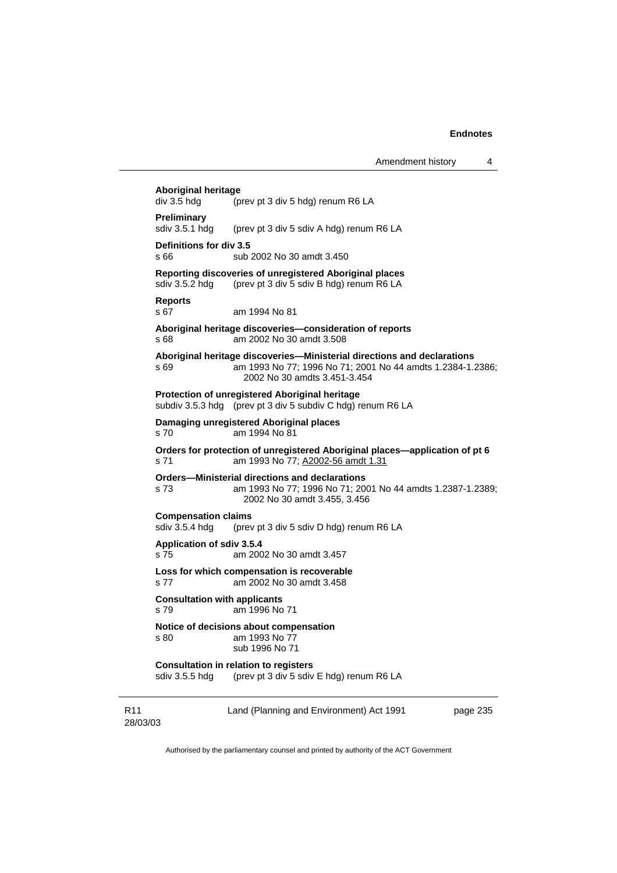# **Aboriginal heritage**  (prev pt 3 div 5 hdg) renum R6 LA **Preliminary**  sdiv 3.5.1 hdg (prev pt 3 div 5 sdiv A hdg) renum R6 LA **Definitions for div 3.5**  s 66 sub 2002 No 30 amdt 3.450 **Reporting discoveries of unregistered Aboriginal places**  sdiv 3.5.2 hdg (prev pt 3 div 5 sdiv B hdg) renum R6 LA **Reports**  am 1994 No 81 **Aboriginal heritage discoveries—consideration of reports**  s 68 am 2002 No 30 amdt 3.508 **Aboriginal heritage discoveries—Ministerial directions and declarations**  s 69 am 1993 No 77; 1996 No 71; 2001 No 44 amdts 1.2384-1.2386; 2002 No 30 amdts 3.451-3.454 **Protection of unregistered Aboriginal heritage**  subdiv 3.5.3 hdg (prev pt 3 div 5 subdiv C hdg) renum R6 LA **Damaging unregistered Aboriginal places**  s 70 am 1994 No 81 **Orders for protection of unregistered Aboriginal places—application of pt 6**  s 71 am 1993 No 77; A2002-56 amdt 1.31 **Orders—Ministerial directions and declarations**  s 73 am 1993 No 77; 1996 No 71; 2001 No 44 amdts 1.2387-1.2389; 2002 No 30 amdt 3.455, 3.456 **Compensation claims**<br>sdiv 3.5.4 hdg (prev (prev pt 3 div 5 sdiv D hdg) renum R6 LA **Application of sdiv 3.5.4**  s 75 am 2002 No 30 amdt 3.457 **Loss for which compensation is recoverable**  s 77 am 2002 No 30 amdt 3.458 **Consultation with applicants**  s 79 am 1996 No 71 **Notice of decisions about compensation**  s 80 am 1993 No 77 sub 1996 No 71 **Consultation in relation to registers**<br>sdiv 3.5.5 hdg (prev pt 3 div 5 sdiv (prev pt 3 div 5 sdiv E hdg) renum R6 LA

R11 28/03/03 Land (Planning and Environment) Act 1991 page 235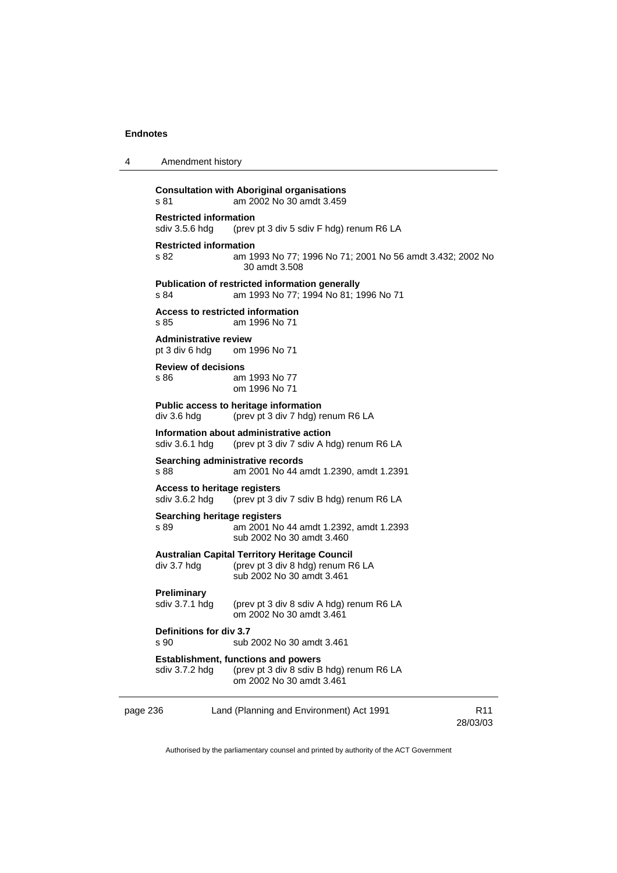| 4        | Amendment history                                                                                 |                                                                                                                        |                 |
|----------|---------------------------------------------------------------------------------------------------|------------------------------------------------------------------------------------------------------------------------|-----------------|
|          | <b>Consultation with Aboriginal organisations</b><br>am 2002 No 30 amdt 3.459<br>s 81             |                                                                                                                        |                 |
|          | <b>Restricted information</b><br>sdiv 3.5.6 hdg                                                   | (prev pt 3 div 5 sdiv F hdg) renum R6 LA                                                                               |                 |
|          | <b>Restricted information</b><br>s 82                                                             | am 1993 No 77; 1996 No 71; 2001 No 56 amdt 3.432; 2002 No<br>30 amdt 3.508                                             |                 |
|          | s 84                                                                                              | Publication of restricted information generally<br>am 1993 No 77; 1994 No 81; 1996 No 71                               |                 |
|          | s 85                                                                                              | <b>Access to restricted information</b><br>am 1996 No 71                                                               |                 |
|          | <b>Administrative review</b>                                                                      | pt 3 div 6 hdg om 1996 No 71                                                                                           |                 |
|          | <b>Review of decisions</b><br>s 86                                                                | am 1993 No 77<br>om 1996 No 71                                                                                         |                 |
|          | div 3.6 hdg                                                                                       | Public access to heritage information<br>(prev pt 3 div 7 hdg) renum R6 LA                                             |                 |
|          | sdiv 3.6.1 hdg                                                                                    | Information about administrative action<br>(prev pt 3 div 7 sdiv A hdg) renum R6 LA                                    |                 |
|          | s 88                                                                                              | Searching administrative records<br>am 2001 No 44 amdt 1.2390, amdt 1.2391                                             |                 |
|          | <b>Access to heritage registers</b><br>sdiv 3.6.2 hdg<br>(prev pt 3 div 7 sdiv B hdg) renum R6 LA |                                                                                                                        |                 |
|          | s 89                                                                                              | Searching heritage registers<br>am 2001 No 44 amdt 1.2392, amdt 1.2393<br>sub 2002 No 30 amdt 3.460                    |                 |
|          | div 3.7 hdg                                                                                       | <b>Australian Capital Territory Heritage Council</b><br>(prev pt 3 div 8 hdg) renum R6 LA<br>sub 2002 No 30 amdt 3.461 |                 |
|          | Preliminary<br>sdiv 3.7.1 hdg                                                                     | (prev pt 3 div 8 sdiv A hdg) renum R6 LA<br>om 2002 No 30 amdt 3.461                                                   |                 |
|          | Definitions for div 3.7<br>s 90<br>sub 2002 No 30 amdt 3.461                                      |                                                                                                                        |                 |
|          | sdiv 3.7.2 hdg                                                                                    | <b>Establishment, functions and powers</b><br>(prev pt 3 div 8 sdiv B hdg) renum R6 LA<br>om 2002 No 30 amdt 3.461     |                 |
| page 236 |                                                                                                   | Land (Planning and Environment) Act 1991                                                                               | R11<br>28/03/03 |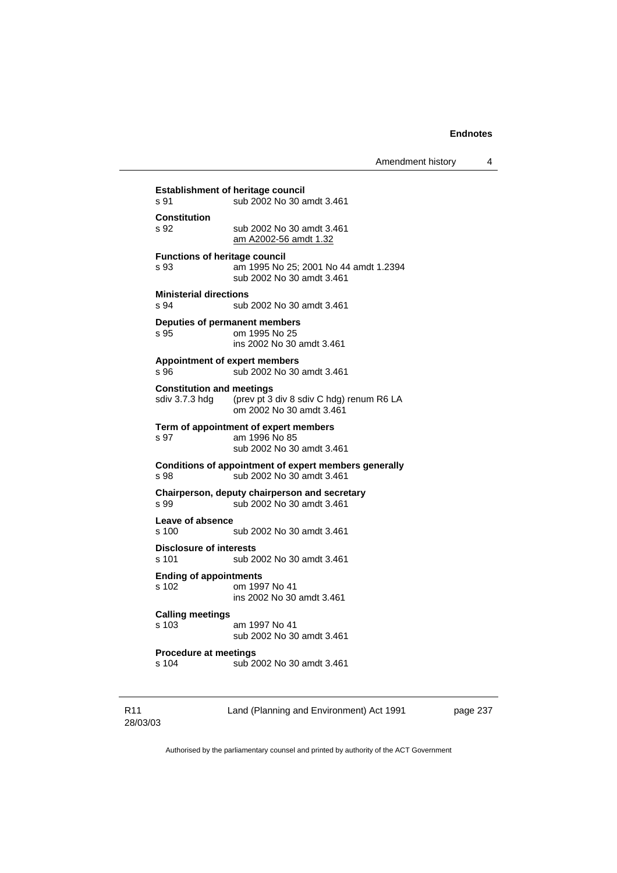Amendment history 4

### **Establishment of heritage council**  s 91 sub 2002 No 30 amdt 3.461 **Constitution**  s 92 sub 2002 No 30 amdt 3.461 am A2002-56 amdt 1.32 **Functions of heritage council**  s 93 am 1995 No 25; 2001 No 44 amdt 1.2394 sub 2002 No 30 amdt 3.461 **Ministerial directions**  s 94 sub 2002 No 30 amdt 3.461 **Deputies of permanent members**  s 95 om 1995 No 25 ins 2002 No 30 amdt 3.461 **Appointment of expert members**  s 96 sub 2002 No 30 amdt 3.461 **Constitution and meetings**  sdiv 3.7.3 hdg (prev pt 3 div 8 sdiv C hdg) renum R6 LA om 2002 No 30 amdt 3.461 **Term of appointment of expert members**<br>s 97 am 1996 No 85 am 1996 No 85 sub 2002 No 30 amdt 3.461 **Conditions of appointment of expert members generally**  s 98 sub 2002 No 30 amdt 3.461 **Chairperson, deputy chairperson and secretary**  s 99 sub 2002 No 30 amdt 3.461 **Leave of absence**  s 100 sub 2002 No 30 amdt 3.461 **Disclosure of interests**  s 101 sub 2002 No 30 amdt 3.461 **Ending of appointments**  s 102 om 1997 No 41 ins 2002 No 30 amdt 3.461 **Calling meetings**  s 103 am 1997 No 41 sub 2002 No 30 amdt 3.461 **Procedure at meetings**  sub 2002 No 30 amdt 3.461

R11 28/03/03 Land (Planning and Environment) Act 1991 page 237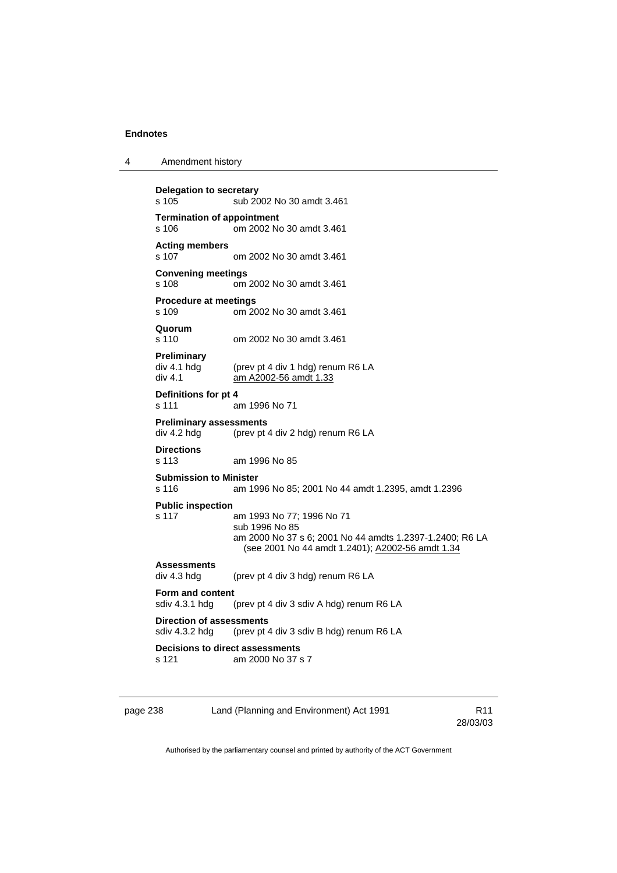| Amendment history<br>4 |
|------------------------|
|------------------------|

**Delegation to secretary**  sub 2002 No 30 amdt 3.461 **Termination of appointment**  s 106 om 2002 No 30 amdt 3.461 **Acting members**  s 107 om 2002 No 30 amdt 3.461 **Convening meetings**  s 108 om 2002 No 30 amdt 3.461 **Procedure at meetings**  om 2002 No 30 amdt 3.461 **Quorum**  s 110 om 2002 No 30 amdt 3.461 **Preliminary**  div 4.1 hdg (prev pt 4 div 1 hdg) renum R6 LA div 4.1 am A2002-56 amdt 1.33 **Definitions for pt 4**  s 111 am 1996 No 71 **Preliminary assessments**  div 4.2 hdg (prev pt 4 div 2 hdg) renum R6 LA **Directions**  am 1996 No 85 **Submission to Minister**  s 116 am 1996 No 85; 2001 No 44 amdt 1.2395, amdt 1.2396 **Public inspection**  s 117 am 1993 No 77; 1996 No 71 sub 1996 No 85 am 2000 No 37 s 6; 2001 No 44 amdts 1.2397-1.2400; R6 LA (see 2001 No 44 amdt 1.2401); A2002-56 amdt 1.34 **Assessments**  div 4.3 hdg (prev pt 4 div 3 hdg) renum R6 LA **Form and content**  sdiv 4.3.1 hdg (prev pt 4 div 3 sdiv A hdg) renum R6 LA **Direction of assessments**  sdiv 4.3.2 hdg (prev pt 4 div 3 sdiv B hdg) renum R6 LA **Decisions to direct assessments**  s 121 am 2000 No 37 s 7

page 238 Land (Planning and Environment) Act 1991

28/03/03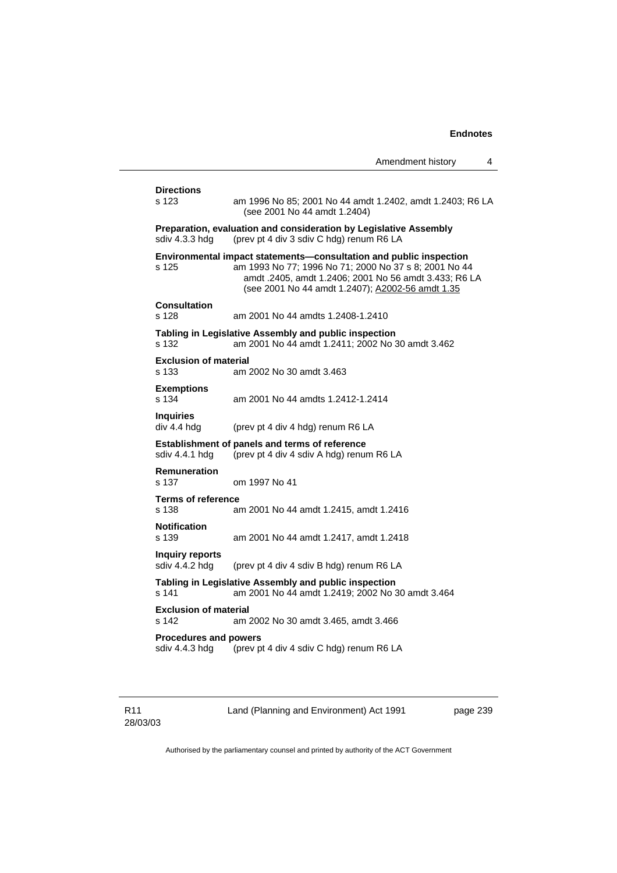$\overline{4}$ 

|                                                |                                                                                                                                                                                                                                          | Amendment history | 4 |
|------------------------------------------------|------------------------------------------------------------------------------------------------------------------------------------------------------------------------------------------------------------------------------------------|-------------------|---|
| <b>Directions</b><br>s 123                     | am 1996 No 85; 2001 No 44 amdt 1.2402, amdt 1.2403; R6 LA                                                                                                                                                                                |                   |   |
|                                                | (see 2001 No 44 amdt 1.2404)                                                                                                                                                                                                             |                   |   |
| sdiv 4.3.3 hdg                                 | Preparation, evaluation and consideration by Legislative Assembly<br>(prev pt 4 div 3 sdiv C hdg) renum R6 LA                                                                                                                            |                   |   |
| s 125                                          | Environmental impact statements-consultation and public inspection<br>am 1993 No 77; 1996 No 71; 2000 No 37 s 8; 2001 No 44<br>amdt .2405, amdt 1.2406; 2001 No 56 amdt 3.433; R6 LA<br>(see 2001 No 44 amdt 1.2407); A2002-56 amdt 1.35 |                   |   |
| <b>Consultation</b><br>s 128                   | am 2001 No 44 amdts 1.2408-1.2410                                                                                                                                                                                                        |                   |   |
| s 132                                          | Tabling in Legislative Assembly and public inspection<br>am 2001 No 44 amdt 1.2411; 2002 No 30 amdt 3.462                                                                                                                                |                   |   |
| <b>Exclusion of material</b><br>s 133          | am 2002 No 30 amdt 3.463                                                                                                                                                                                                                 |                   |   |
| <b>Exemptions</b><br>s 134                     | am 2001 No 44 amdts 1.2412-1.2414                                                                                                                                                                                                        |                   |   |
| <b>Inquiries</b><br>div 4.4 hdg                | (prev pt 4 div 4 hdg) renum R6 LA                                                                                                                                                                                                        |                   |   |
| sdiv 4.4.1 hdg                                 | Establishment of panels and terms of reference<br>(prev pt 4 div 4 sdiv A hdg) renum R6 LA                                                                                                                                               |                   |   |
| <b>Remuneration</b><br>s 137                   | om 1997 No 41                                                                                                                                                                                                                            |                   |   |
| <b>Terms of reference</b><br>s 138             | am 2001 No 44 amdt 1.2415, amdt 1.2416                                                                                                                                                                                                   |                   |   |
| <b>Notification</b><br>s 139                   | am 2001 No 44 amdt 1.2417, amdt 1.2418                                                                                                                                                                                                   |                   |   |
| Inquiry reports<br>sdiv 4.4.2 hdg              | (prev pt 4 div 4 sdiv B hdg) renum R6 LA                                                                                                                                                                                                 |                   |   |
| s 141                                          | Tabling in Legislative Assembly and public inspection<br>am 2001 No 44 amdt 1.2419; 2002 No 30 amdt 3.464                                                                                                                                |                   |   |
| <b>Exclusion of material</b><br>s 142          | am 2002 No 30 amdt 3.465, amdt 3.466                                                                                                                                                                                                     |                   |   |
| <b>Procedures and powers</b><br>sdiv 4.4.3 hdg | (prev pt 4 div 4 sdiv C hdg) renum R6 LA                                                                                                                                                                                                 |                   |   |
|                                                |                                                                                                                                                                                                                                          |                   |   |

Land (Planning and Environment) Act 1991 page 239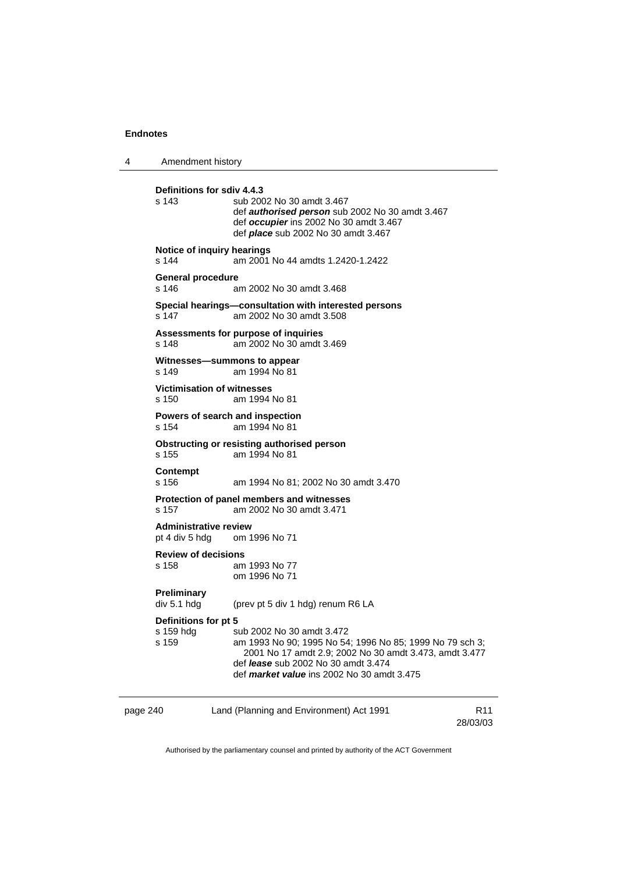4 Amendment history

```
Definitions for sdiv 4.4.3 
               sub 2002 No 30 amdt 3.467
                 def authorised person sub 2002 No 30 amdt 3.467 
                 def occupier ins 2002 No 30 amdt 3.467 
                 def place sub 2002 No 30 amdt 3.467 
Notice of inquiry hearings 
s 144 am 2001 No 44 amdts 1.2420-1.2422 
General procedure 
               am 2002 No 30 amdt 3.468
Special hearings—consultation with interested persons 
s 147 am 2002 No 30 amdt 3.508 
Assessments for purpose of inquiries 
s 148 am 2002 No 30 amdt 3.469 
Witnesses—summons to appear 
s 149 am 1994 No 81 
Victimisation of witnesses 
s 150 am 1994 No 81 
Powers of search and inspection 
s 154 am 1994 No 81 
Obstructing or resisting authorised person 
s 155 am 1994 No 81 
Contempt 
s 156 am 1994 No 81; 2002 No 30 amdt 3.470 
Protection of panel members and witnesses 
s 157 am 2002 No 30 amdt 3.471 
Administrative review 
pt 4 div 5 hdg om 1996 No 71 
Review of decisions 
               am 1993 No 77
                 om 1996 No 71 
Preliminary 
div 5.1 hdg (prev pt 5 div 1 hdg) renum R6 LA 
Definitions for pt 5 
s 159 hdg sub 2002 No 30 amdt 3.472
s 159 am 1993 No 90; 1995 No 54; 1996 No 85; 1999 No 79 sch 3; 
                  2001 No 17 amdt 2.9; 2002 No 30 amdt 3.473, amdt 3.477 
                 def lease sub 2002 No 30 amdt 3.474 
                 def market value ins 2002 No 30 amdt 3.475
```
page 240 Land (Planning and Environment) Act 1991 R11 28/03/03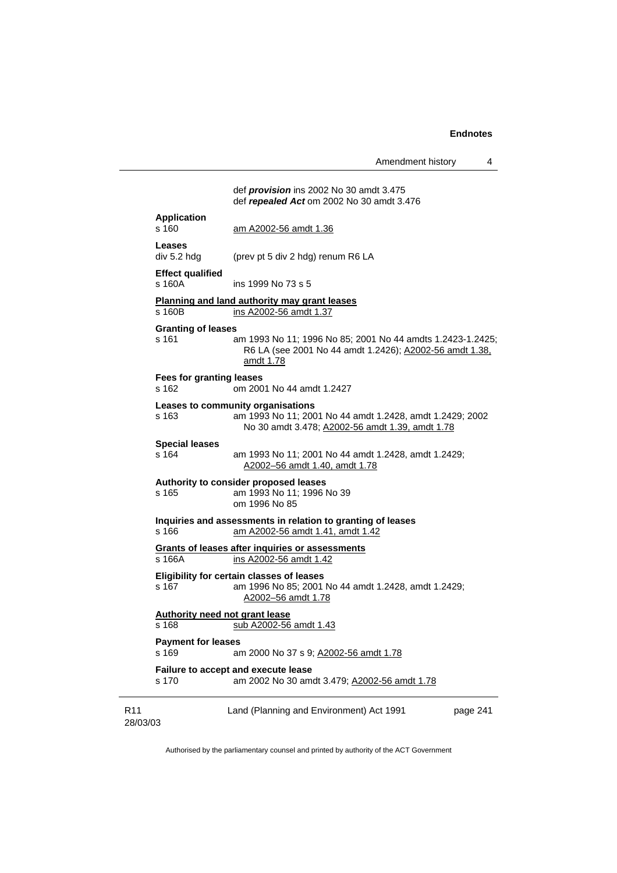def *provision* ins 2002 No 30 amdt 3.475 def *repealed Act* om 2002 No 30 amdt 3.476

#### **Application**

s 160 am A2002-56 amdt 1.36

Leases<br>div 5.2 hdg (prev pt 5 div 2 hdg) renum R6 LA

#### **Effect qualified**

s 160A ins 1999 No 73 s 5

#### **Planning and land authority may grant leases**

s 160B ins A2002-56 amdt 1.37

#### **Granting of leases**

s 161 am 1993 No 11; 1996 No 85; 2001 No 44 amdts 1.2423-1.2425; R6 LA (see 2001 No 44 amdt 1.2426); A2002-56 amdt 1.38, amdt 1.78

#### **Fees for granting leases**

s 162 om 2001 No 44 amdt 1.2427

#### **Leases to community organisations**

s 163 am 1993 No 11; 2001 No 44 amdt 1.2428, amdt 1.2429; 2002 No 30 amdt 3.478; A2002-56 amdt 1.39, amdt 1.78

#### **Special leases**

s 164 am 1993 No 11; 2001 No 44 amdt 1.2428, amdt 1.2429; A2002–56 amdt 1.40, amdt 1.78

#### **Authority to consider proposed leases**

s 165 am 1993 No 11; 1996 No 39 om 1996 No 85

**Inquiries and assessments in relation to granting of leases**  s 166 am A2002-56 amdt 1.41, amdt 1.42

#### **Grants of leases after inquiries or assessments** s 166A ins A2002-56 amdt 1.42

#### **Eligibility for certain classes of leases**

s 167 am 1996 No 85; 2001 No 44 amdt 1.2428, amdt 1.2429; A2002–56 amdt 1.78

#### **Authority need not grant lease**

s 168 sub A2002-56 amdt 1.43

#### **Payment for leases**

s 169 am 2000 No 37 s 9; A2002-56 amdt 1.78

#### **Failure to accept and execute lease**

s 170 am 2002 No 30 amdt 3.479; A2002-56 amdt 1.78

#### R11 28/03/03 Land (Planning and Environment) Act 1991 page 241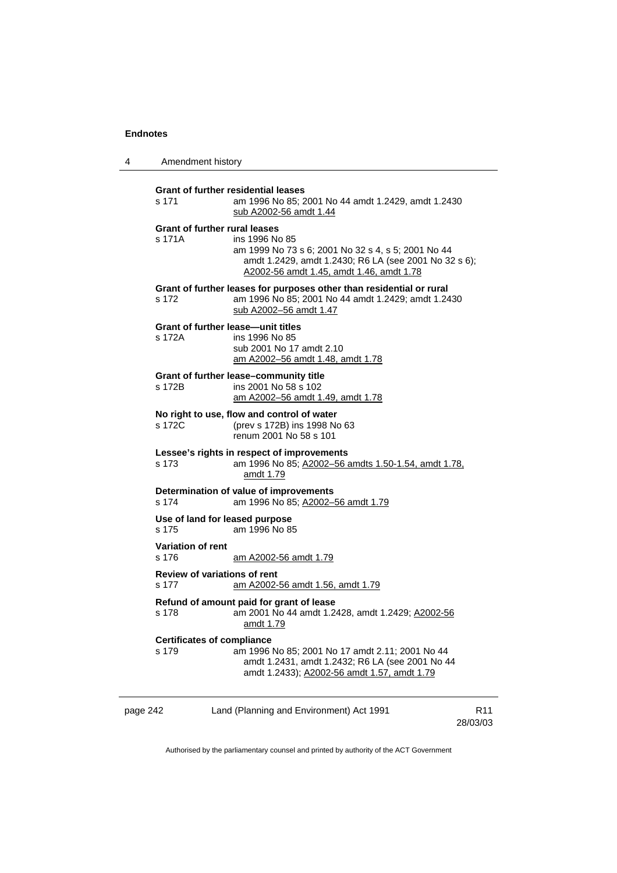4 Amendment history **Grant of further residential leases**  s 171 am 1996 No 85; 2001 No 44 amdt 1.2429, amdt 1.2430 sub A2002-56 amdt 1.44 **Grant of further rural leases**  s 171A ins 1996 No 85 am 1999 No 73 s 6; 2001 No 32 s 4, s 5; 2001 No 44 amdt 1.2429, amdt 1.2430; R6 LA (see 2001 No 32 s 6); A2002-56 amdt 1.45, amdt 1.46, amdt 1.78 **Grant of further leases for purposes other than residential or rural**  s 172 am 1996 No 85; 2001 No 44 amdt 1.2429; amdt 1.2430 sub A2002–56 amdt 1.47 **Grant of further lease—unit titles**  s 172A ins 1996 No 85 sub 2001 No 17 amdt 2.10 am A2002–56 amdt 1.48, amdt 1.78 **Grant of further lease–community title**  s 172B ins 2001 No 58 s 102 am A2002–56 amdt 1.49, amdt 1.78 **No right to use, flow and control of water**  (prev s 172B) ins 1998 No 63 renum 2001 No 58 s 101 **Lessee's rights in respect of improvements**  s 173 am 1996 No 85; A2002–56 amdts 1.50-1.54, amdt 1.78, amdt 1.79 **Determination of value of improvements**  s 174 am 1996 No 85; A2002–56 amdt 1.79 **Use of land for leased purpose**  s 175 am 1996 No 85 **Variation of rent**  s 176 **am A2002-56 amdt 1.79 Review of variations of rent**  s 177 am A2002-56 amdt 1.56, amdt 1.79 **Refund of amount paid for grant of lease**  s 178 am 2001 No 44 amdt 1.2428, amdt 1.2429; A2002-56 amdt 1.79 **Certificates of compliance**  s 179 am 1996 No 85; 2001 No 17 amdt 2.11; 2001 No 44 amdt 1.2431, amdt 1.2432; R6 LA (see 2001 No 44 amdt 1.2433); A2002-56 amdt 1.57, amdt 1.79

page 242 Land (Planning and Environment) Act 1991 R11 28/03/03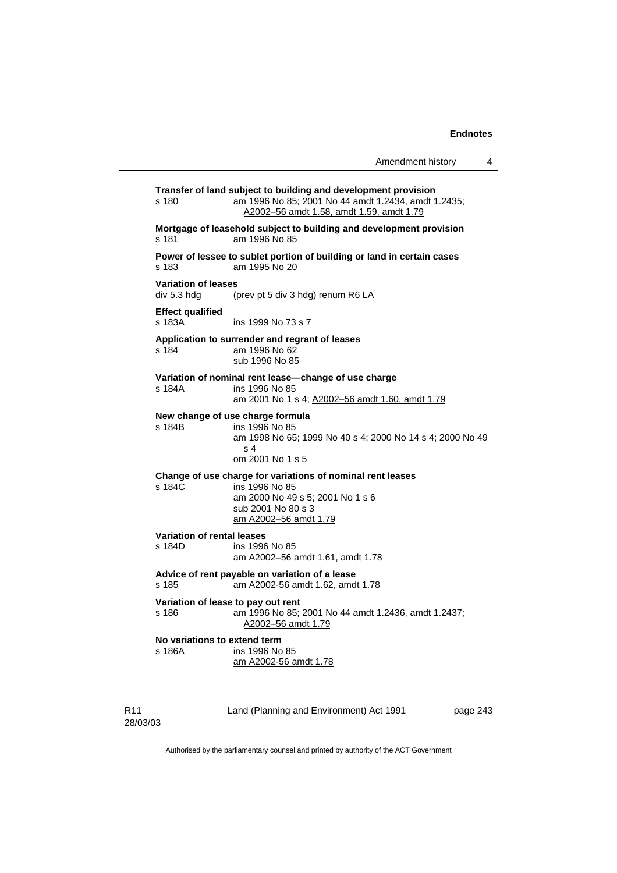|                                             | Amendment history<br>4                                                                                                                                            |
|---------------------------------------------|-------------------------------------------------------------------------------------------------------------------------------------------------------------------|
| s 180                                       | Transfer of land subject to building and development provision<br>am 1996 No 85; 2001 No 44 amdt 1.2434, amdt 1.2435;<br>A2002-56 amdt 1.58, amdt 1.59, amdt 1.79 |
| s 181                                       | Mortgage of leasehold subject to building and development provision<br>am 1996 No 85                                                                              |
| s 183                                       | Power of lessee to sublet portion of building or land in certain cases<br>am 1995 No 20                                                                           |
| <b>Variation of leases</b><br>div 5.3 hdg   | (prev pt 5 div 3 hdg) renum R6 LA                                                                                                                                 |
| <b>Effect qualified</b><br>s 183A           | ins 1999 No 73 s 7                                                                                                                                                |
| s 184                                       | Application to surrender and regrant of leases<br>am 1996 No 62<br>sub 1996 No 85                                                                                 |
| s 184A                                      | Variation of nominal rent lease-change of use charge<br>ins 1996 No 85<br>am 2001 No 1 s 4; A2002-56 amdt 1.60, amdt 1.79                                         |
| s 184B                                      | New change of use charge formula<br>ins 1996 No 85<br>am 1998 No 65; 1999 No 40 s 4; 2000 No 14 s 4; 2000 No 49<br>s <sub>4</sub><br>om 2001 No 1 s 5             |
| s 184C                                      | Change of use charge for variations of nominal rent leases<br>ins 1996 No 85<br>am 2000 No 49 s 5; 2001 No 1 s 6<br>sub 2001 No 80 s 3<br>am A2002-56 amdt 1.79   |
| <b>Variation of rental leases</b><br>s 184D | ins 1996 No 85<br>am A2002-56 amdt 1.61, amdt 1.78                                                                                                                |
| s 185                                       | Advice of rent payable on variation of a lease<br>am A2002-56 amdt 1.62, amdt 1.78                                                                                |
| Variation of lease to pay out rent<br>s 186 | am 1996 No 85; 2001 No 44 amdt 1.2436, amdt 1.2437;<br>A2002-56 amdt 1.79                                                                                         |
| No variations to extend term<br>s 186A      | ins 1996 No 85<br>am A2002-56 amdt 1.78                                                                                                                           |

R11 28/03/03 Land (Planning and Environment) Act 1991 page 243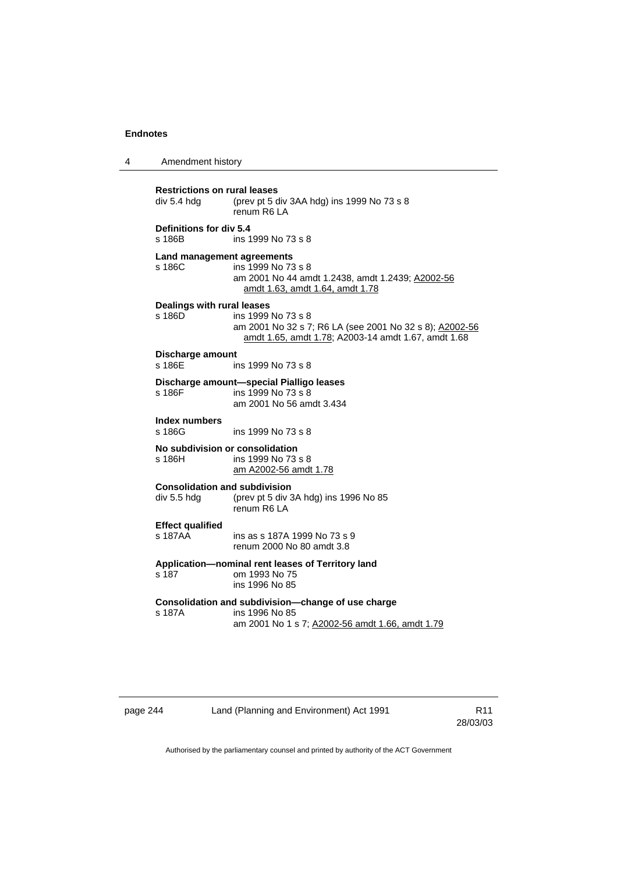| 4 | Amendment history                                   |                                                                                                                                      |
|---|-----------------------------------------------------|--------------------------------------------------------------------------------------------------------------------------------------|
|   | <b>Restrictions on rural leases</b><br>div 5.4 hdg  | (prev pt 5 div 3AA hdg) ins 1999 No 73 s 8<br>renum R6 LA                                                                            |
|   | Definitions for div 5.4<br>s 186B                   | ins 1999 No 73 s 8                                                                                                                   |
|   | Land management agreements<br>s 186C                | ins 1999 No 73 s 8<br>am 2001 No 44 amdt 1.2438, amdt 1.2439; A2002-56<br>amdt 1.63, amdt 1.64, amdt 1.78                            |
|   | Dealings with rural leases<br>s 186D                | ins 1999 No 73 s 8<br>am 2001 No 32 s 7; R6 LA (see 2001 No 32 s 8); A2002-56<br>amdt 1.65, amdt 1.78; A2003-14 amdt 1.67, amdt 1.68 |
|   | Discharge amount<br>s 186E                          | ins 1999 No 73 s 8                                                                                                                   |
|   | s 186F                                              | Discharge amount-special Pialligo leases<br>ins 1999 No 73 s 8<br>am 2001 No 56 amdt 3.434                                           |
|   | Index numbers<br>s 186G                             | ins 1999 No 73 s 8                                                                                                                   |
|   | No subdivision or consolidation<br>s 186H           | ins 1999 No 73 s 8<br>am A2002-56 amdt 1.78                                                                                          |
|   | <b>Consolidation and subdivision</b><br>div 5.5 hdg | (prev pt 5 div 3A hdg) ins 1996 No 85<br>renum R6 LA                                                                                 |
|   | <b>Effect qualified</b><br>s 187AA                  | ins as s 187A 1999 No 73 s 9<br>renum 2000 No 80 amdt 3.8                                                                            |
|   | s 187                                               | Application-nominal rent leases of Territory land<br>om 1993 No 75<br>ins 1996 No 85                                                 |
|   | s 187A                                              | Consolidation and subdivision-change of use charge<br>ins 1996 No 85<br>am 2001 No 1 s 7; A2002-56 amdt 1.66, amdt 1.79              |

28/03/03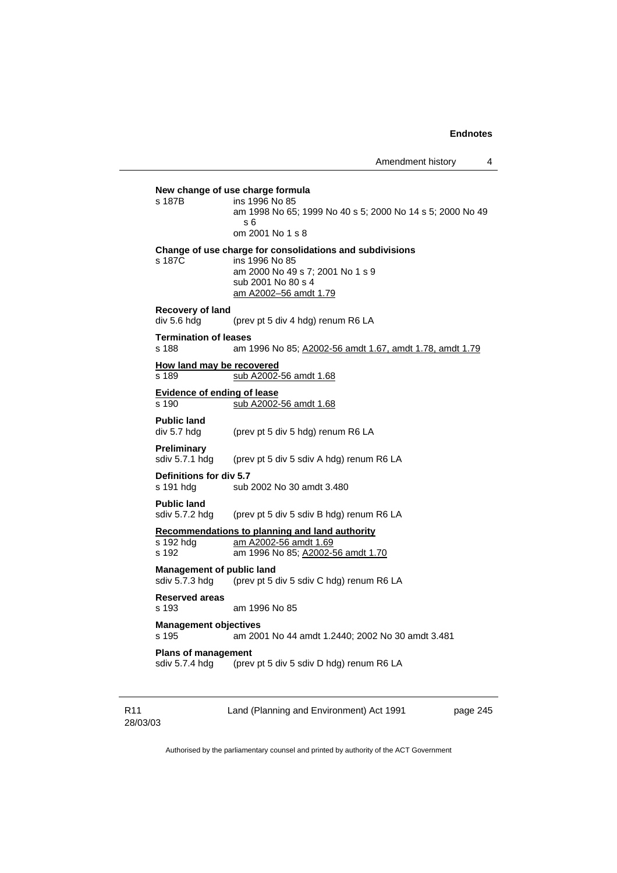**New change of use charge formula**<br>s 187B ins 1996 No 85 ins 1996 No 85 am 1998 No 65; 1999 No 40 s 5; 2000 No 14 s 5; 2000 No 49 s 6 om 2001 No 1 s 8 **Change of use charge for consolidations and subdivisions**  s 187C ins 1996 No 85 am 2000 No 49 s 7; 2001 No 1 s 9 sub 2001 No 80 s 4 am A2002–56 amdt 1.79 **Recovery of land**  div 5.6 hdg (prev pt 5 div 4 hdg) renum R6 LA **Termination of leases**  s 188 am 1996 No 85; A2002-56 amdt 1.67, amdt 1.78, amdt 1.79 **How land may be recovered** s 189 sub A2002-56 amdt 1.68 **Evidence of ending of lease** s 190 sub A2002-56 amdt 1.68 **Public land**  div 5.7 hdg (prev pt 5 div 5 hdg) renum R6 LA **Preliminary**  sdiv 5.7.1 hdg (prev pt 5 div 5 sdiv A hdg) renum R6 LA **Definitions for div 5.7**  s 191 hdg sub 2002 No 30 amdt 3.480 **Public land**  sdiv 5.7.2 hdg (prev pt 5 div 5 sdiv B hdg) renum R6 LA **Recommendations to planning and land authority** s 192 hdg am A2002-56 amdt 1.69 s 192 am 1996 No 85; A2002-56 amdt 1.70 **Management of public land**  sdiv 5.7.3 hdg (prev pt 5 div 5 sdiv C hdg) renum R6 LA **Reserved areas**  am 1996 No 85 **Management objectives**  s 195 am 2001 No 44 amdt 1.2440; 2002 No 30 amdt 3.481 **Plans of management**<br>sdiv 5.7.4 hdg (prev (prev pt 5 div 5 sdiv D hdg) renum R6 LA

R11 28/03/03 Land (Planning and Environment) Act 1991 page 245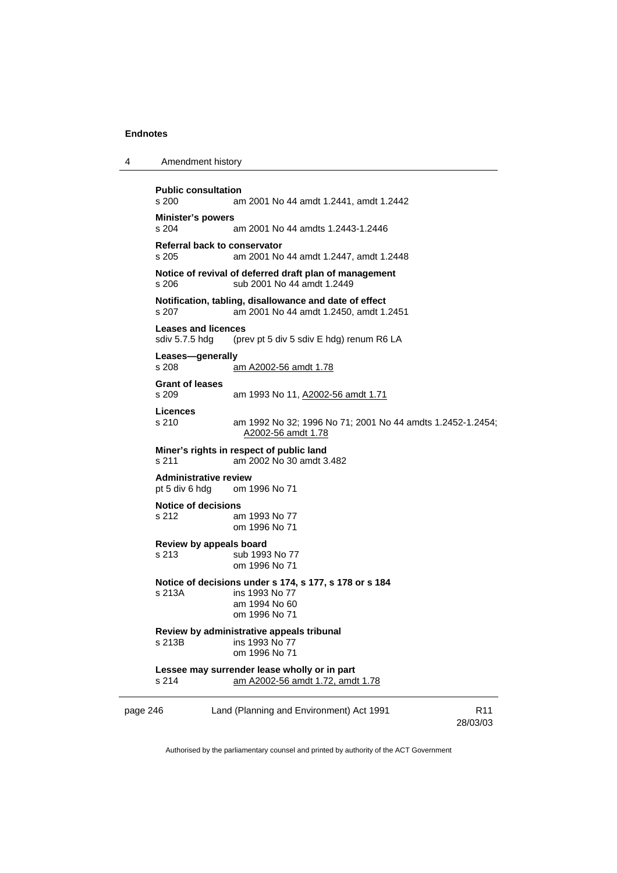| 4        | Amendment history                            |                                                                                                            |                             |
|----------|----------------------------------------------|------------------------------------------------------------------------------------------------------------|-----------------------------|
|          | <b>Public consultation</b><br>s 200          | am 2001 No 44 amdt 1.2441, amdt 1.2442                                                                     |                             |
|          | <b>Minister's powers</b><br>s.204            | am 2001 No 44 amdts 1.2443-1.2446                                                                          |                             |
|          | s 205                                        | Referral back to conservator<br>am 2001 No 44 amdt 1.2447, amdt 1.2448                                     |                             |
|          | s 206                                        | Notice of revival of deferred draft plan of management<br>sub 2001 No 44 amdt 1.2449                       |                             |
|          | s 207                                        | Notification, tabling, disallowance and date of effect<br>am 2001 No 44 amdt 1.2450, amdt 1.2451           |                             |
|          | <b>Leases and licences</b><br>sdiv 5.7.5 hdg | (prev pt 5 div 5 sdiv E hdg) renum R6 LA                                                                   |                             |
|          | Leases-generally<br>$s$ 208                  | <u>am A2002-56 amdt 1.78</u>                                                                               |                             |
|          | <b>Grant of leases</b><br>s 209              | am 1993 No 11, A2002-56 amdt 1.71                                                                          |                             |
|          | <b>Licences</b><br>s 210                     | am 1992 No 32; 1996 No 71; 2001 No 44 amdts 1.2452-1.2454;<br>A2002-56 amdt 1.78                           |                             |
|          | s 211                                        | Miner's rights in respect of public land<br>am 2002 No 30 amdt 3.482                                       |                             |
|          | <b>Administrative review</b>                 | pt 5 div 6 hdg om 1996 No 71                                                                               |                             |
|          | <b>Notice of decisions</b><br>s 212          | am 1993 No 77<br>om 1996 No 71                                                                             |                             |
|          | s 213                                        | Review by appeals board<br>sub 1993 No 77<br>om 1996 No 71                                                 |                             |
|          | s 213A                                       | Notice of decisions under s 174, s 177, s 178 or s 184<br>ins 1993 No 77<br>am 1994 No 60<br>om 1996 No 71 |                             |
|          | s 213B                                       | Review by administrative appeals tribunal<br>ins 1993 No 77<br>om 1996 No 71                               |                             |
|          | s 214                                        | Lessee may surrender lease wholly or in part<br>am A2002-56 amdt 1.72, amdt 1.78                           |                             |
| page 246 |                                              | Land (Planning and Environment) Act 1991                                                                   | R <sub>11</sub><br>28/03/03 |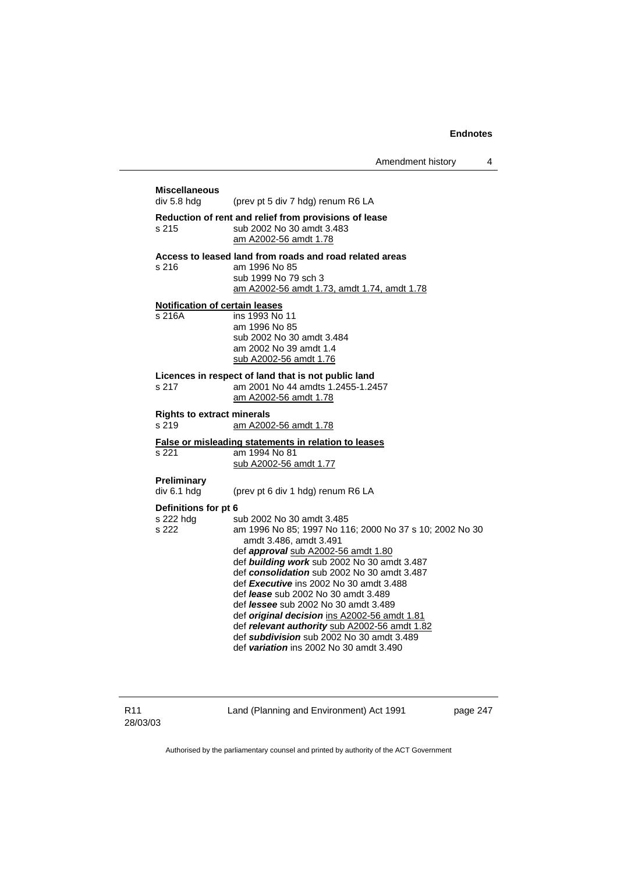| <b>Miscellaneous</b>                  |                                                                                            |
|---------------------------------------|--------------------------------------------------------------------------------------------|
| div 5.8 hdg                           | (prev pt 5 div 7 hdg) renum R6 LA                                                          |
|                                       | Reduction of rent and relief from provisions of lease                                      |
| s 215                                 | sub 2002 No 30 amdt 3.483                                                                  |
|                                       | am A2002-56 amdt 1.78                                                                      |
|                                       | Access to leased land from roads and road related areas                                    |
| s 216                                 | am 1996 No 85                                                                              |
|                                       | sub 1999 No 79 sch 3                                                                       |
|                                       | am A2002-56 amdt 1.73, amdt 1.74, amdt 1.78                                                |
| <b>Notification of certain leases</b> |                                                                                            |
| $\overline{s}$ 216A                   | ins 1993 No 11                                                                             |
|                                       | am 1996 No 85                                                                              |
|                                       | sub 2002 No 30 amdt 3.484                                                                  |
|                                       | am 2002 No 39 amdt 1.4                                                                     |
|                                       | sub A2002-56 amdt 1.76                                                                     |
|                                       | Licences in respect of land that is not public land                                        |
| s 217                                 | am 2001 No 44 amdts 1.2455-1.2457                                                          |
|                                       | am A2002-56 amdt 1.78                                                                      |
| <b>Rights to extract minerals</b>     |                                                                                            |
| s 219                                 | am A2002-56 amdt 1.78                                                                      |
|                                       | False or misleading statements in relation to leases                                       |
| s 221                                 | am 1994 No 81                                                                              |
|                                       | sub A2002-56 amdt 1.77                                                                     |
|                                       |                                                                                            |
| Preliminary                           |                                                                                            |
| div 6.1 hdg                           | (prev pt 6 div 1 hdg) renum R6 LA                                                          |
| Definitions for pt 6                  |                                                                                            |
| s 222 hdg                             | sub 2002 No 30 amdt 3.485                                                                  |
| s 222                                 | am 1996 No 85; 1997 No 116; 2000 No 37 s 10; 2002 No 30                                    |
|                                       | amdt 3.486, amdt 3.491                                                                     |
|                                       | def approval sub A2002-56 amdt 1.80                                                        |
|                                       | def building work sub 2002 No 30 amdt 3.487                                                |
|                                       | def consolidation sub 2002 No 30 amdt 3.487                                                |
|                                       | def Executive ins 2002 No 30 amdt 3.488                                                    |
|                                       | def lease sub 2002 No 30 amdt 3.489                                                        |
|                                       | def <i>lessee</i> sub 2002 No 30 amdt 3.489                                                |
|                                       | def original decision ins A2002-56 amdt 1.81                                               |
|                                       | def relevant authority sub A2002-56 amdt 1.82<br>def subdivision sub 2002 No 30 amdt 3.489 |
|                                       | def variation ins 2002 No 30 amdt 3.490                                                    |
|                                       |                                                                                            |

R11 28/03/03 Land (Planning and Environment) Act 1991 page 247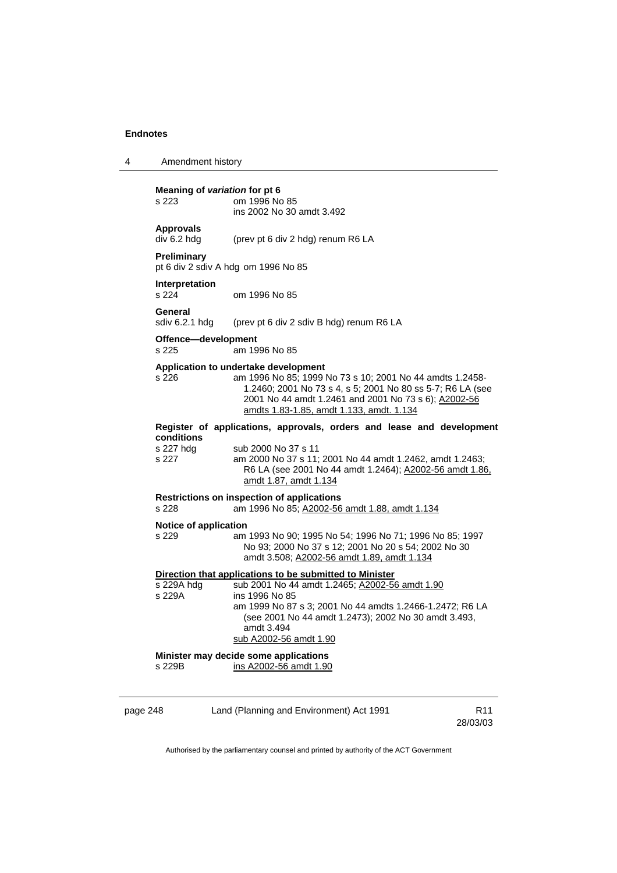|  | Amendment history |  |
|--|-------------------|--|
|--|-------------------|--|

| Meaning of variation for pt 6<br>s 223                                              | om 1996 No 85<br>ins 2002 No 30 amdt 3.492                                                                                                                                                                                                                         |
|-------------------------------------------------------------------------------------|--------------------------------------------------------------------------------------------------------------------------------------------------------------------------------------------------------------------------------------------------------------------|
| <b>Approvals</b><br>div 6.2 hdg                                                     | (prev pt 6 div 2 hdg) renum R6 LA                                                                                                                                                                                                                                  |
| Preliminary                                                                         | pt 6 div 2 sdiv A hdg om 1996 No 85                                                                                                                                                                                                                                |
| <b>Interpretation</b><br>s 224                                                      | om 1996 No 85                                                                                                                                                                                                                                                      |
| General<br>sdiv 6.2.1 hdg                                                           | (prev pt 6 div 2 sdiv B hdg) renum R6 LA                                                                                                                                                                                                                           |
| Offence-development<br>s 225                                                        | am 1996 No 85                                                                                                                                                                                                                                                      |
| s 226                                                                               | Application to undertake development<br>am 1996 No 85; 1999 No 73 s 10; 2001 No 44 amdts 1.2458-<br>1.2460; 2001 No 73 s 4, s 5; 2001 No 80 ss 5-7; R6 LA (see<br>2001 No 44 amdt 1.2461 and 2001 No 73 s 6); A2002-56<br>amdts 1.83-1.85, amdt 1.133, amdt. 1.134 |
| Register of applications, approvals, orders and lease and development<br>conditions |                                                                                                                                                                                                                                                                    |
| s 227 hdg<br>s 227                                                                  | sub 2000 No 37 s 11<br>am 2000 No 37 s 11; 2001 No 44 amdt 1.2462, amdt 1.2463;<br>R6 LA (see 2001 No 44 amdt 1.2464); A2002-56 amdt 1.86,<br>amdt 1.87, amdt 1.134                                                                                                |
| s 228                                                                               | <b>Restrictions on inspection of applications</b><br>am 1996 No 85; A2002-56 amdt 1.88, amdt 1.134                                                                                                                                                                 |
| Notice of application<br>s 229                                                      | am 1993 No 90; 1995 No 54; 1996 No 71; 1996 No 85; 1997<br>No 93; 2000 No 37 s 12; 2001 No 20 s 54; 2002 No 30<br>amdt 3.508; A2002-56 amdt 1.89, amdt 1.134                                                                                                       |
| s 229A hdg                                                                          | Direction that applications to be submitted to Minister<br>sub 2001 No 44 amdt 1.2465; A2002-56 amdt 1.90                                                                                                                                                          |
| s 229A                                                                              | ins 1996 No 85<br>am 1999 No 87 s 3; 2001 No 44 amdts 1.2466-1.2472; R6 LA<br>(see 2001 No 44 amdt 1.2473); 2002 No 30 amdt 3.493,<br>amdt 3.494<br>sub A2002-56 amdt 1.90                                                                                         |
|                                                                                     | Minister may decide some applications                                                                                                                                                                                                                              |
| s 229B                                                                              | ins A2002-56 amdt 1.90                                                                                                                                                                                                                                             |
|                                                                                     |                                                                                                                                                                                                                                                                    |

| page 248 | Land (Planning and Environment) Act 1991 | R <sub>11</sub> |
|----------|------------------------------------------|-----------------|
|          |                                          | 28/03/03        |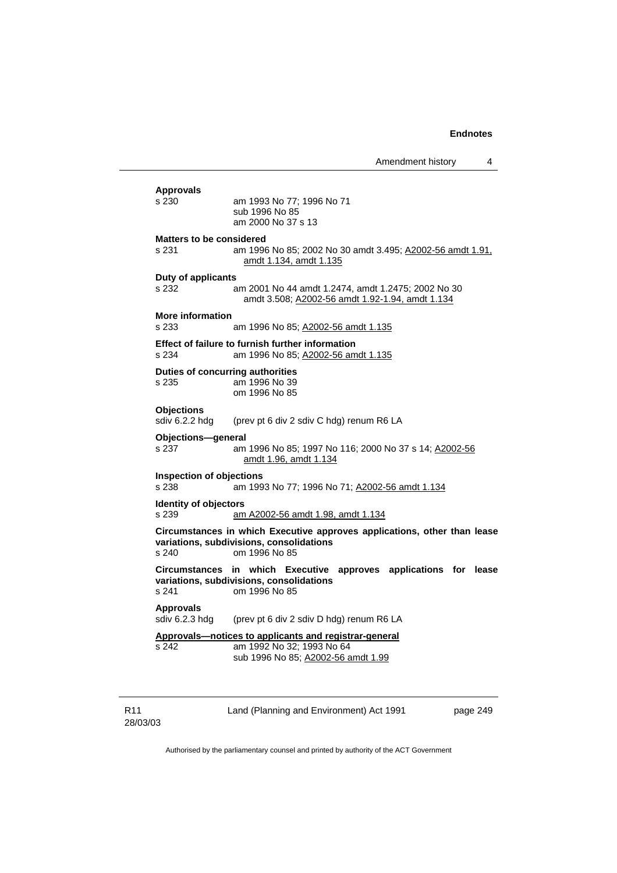Amendment history 4

### **Approvals**  am 1993 No 77; 1996 No 71 sub 1996 No 85 am 2000 No 37 s 13 **Matters to be considered**  s 231 am 1996 No 85; 2002 No 30 amdt 3.495; A2002-56 amdt 1.91, amdt 1.134, amdt 1.135 **Duty of applicants**  s 232 am 2001 No 44 amdt 1.2474, amdt 1.2475; 2002 No 30 amdt 3.508; A2002-56 amdt 1.92-1.94, amdt 1.134 **More information**  s 233 am 1996 No 85; A2002-56 amdt 1.135 **Effect of failure to furnish further information**  s 234 am 1996 No 85; A2002-56 amdt 1.135 **Duties of concurring authorities**  s 235 am 1996 No 39 om 1996 No 85 **Objections**  sdiv 6.2.2 hdg (prev pt 6 div 2 sdiv C hdg) renum R6 LA **Objections—general**  s 237 am 1996 No 85; 1997 No 116; 2000 No 37 s 14; A2002-56 amdt 1.96, amdt 1.134 **Inspection of objections**  s 238 am 1993 No 77; 1996 No 71; A2002-56 amdt 1.134 **Identity of objectors**  s 239 am A2002-56 amdt 1.98, amdt 1.134 **Circumstances in which Executive approves applications, other than lease variations, subdivisions, consolidations**  s 240 om 1996 No 85 **Circumstances in which Executive approves applications for lease variations, subdivisions, consolidations**  s 241 om 1996 No 85 **Approvals**  sdiv 6.2.3 hdg (prev pt 6 div 2 sdiv D hdg) renum R6 LA **Approvals—notices to applicants and registrar-general** s 242 am 1992 No 32; 1993 No 64 sub 1996 No 85; A2002-56 amdt 1.99

R11 28/03/03 Land (Planning and Environment) Act 1991 page 249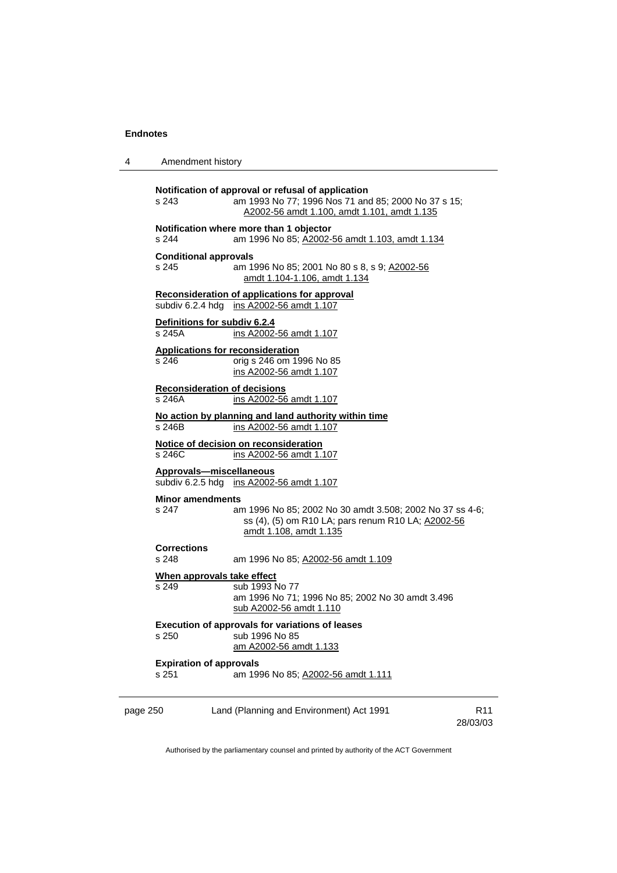### 4 Amendment history page 250 Land (Planning and Environment) Act 1991 R11 28/03/03 **Notification of approval or refusal of application**  s 243 am 1993 No 77; 1996 Nos 71 and 85; 2000 No 37 s 15; A2002-56 amdt 1.100, amdt 1.101, amdt 1.135 **Notification where more than 1 objector**  s 244 am 1996 No 85; A2002-56 amdt 1.103, amdt 1.134 **Conditional approvals**  s 245 am 1996 No 85; 2001 No 80 s 8, s 9; A2002-56 amdt 1.104-1.106, amdt 1.134 **Reconsideration of applications for approval** subdiv 6.2.4 hdg ins A2002-56 amdt 1.107 **Definitions for subdiv 6.2.4** s 245A ins A2002-56 amdt 1.107 **Applications for reconsideration** s 246 orig s 246 om 1996 No 85 ins A2002-56 amdt 1.107 **Reconsideration of decisions** s 246A ins A2002-56 amdt 1.107 **No action by planning and land authority within time** s 246B ins A2002-56 amdt 1.107 **Notice of decision on reconsideration** s 246C ins A2002-56 amdt 1.107 **Approvals—miscellaneous** subdiv 6.2.5 hdg ins A2002-56 amdt 1.107 **Minor amendments**  s 247 am 1996 No 85; 2002 No 30 amdt 3.508; 2002 No 37 ss 4-6; ss (4), (5) om R10 LA; pars renum R10 LA; A2002-56 amdt 1.108, amdt 1.135 **Corrections**  s 248 am 1996 No 85; A2002-56 amdt 1.109 **When approvals take effect** s 249 sub 1993 No 77 am 1996 No 71; 1996 No 85; 2002 No 30 amdt 3.496 sub A2002-56 amdt 1.110 **Execution of approvals for variations of leases**  s 250 sub 1996 No 85 am A2002-56 amdt 1.133 **Expiration of approvals**  s 251 am 1996 No 85; A2002-56 amdt 1.111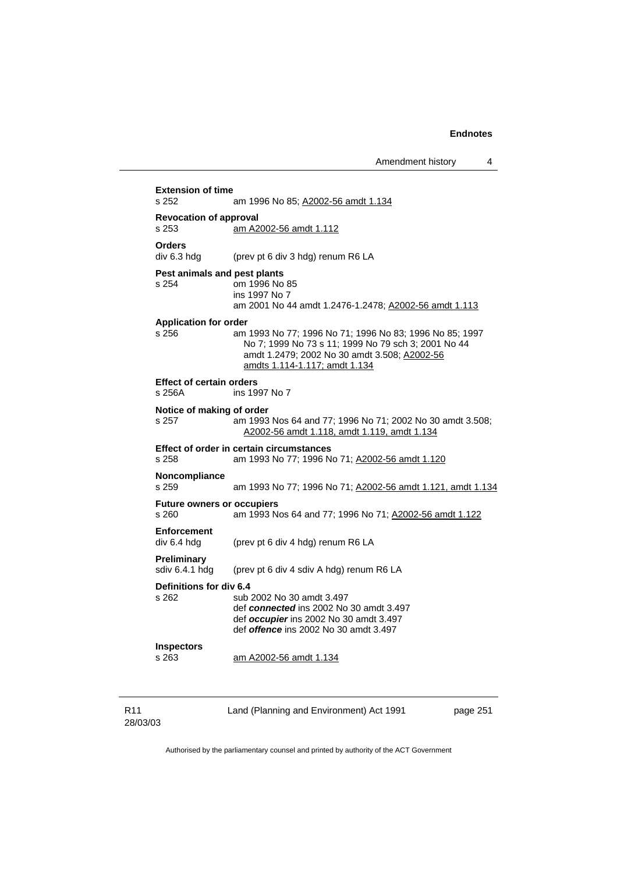### **Extension of time**  am 1996 No 85; A2002-56 amdt 1.134 **Revocation of approval**  am A2002-56 amdt 1.112 **Orders**<br>div 6.3 hdg (prev pt 6 div 3 hdg) renum R6 LA **Pest animals and pest plants**  s 254 om 1996 No 85 ins 1997 No 7 am 2001 No 44 amdt 1.2476-1.2478; A2002-56 amdt 1.113 **Application for order**  s 256 am 1993 No 77; 1996 No 71; 1996 No 83; 1996 No 85; 1997 No 7; 1999 No 73 s 11; 1999 No 79 sch 3; 2001 No 44 amdt 1.2479; 2002 No 30 amdt 3.508; A2002-56 amdts 1.114-1.117; amdt 1.134 **Effect of certain orders**<br>s 256A ins 19 ins 1997 No 7 **Notice of making of order**  s 257 am 1993 Nos 64 and 77; 1996 No 71; 2002 No 30 amdt 3.508; A2002-56 amdt 1.118, amdt 1.119, amdt 1.134 **Effect of order in certain circumstances**  s 258 am 1993 No 77; 1996 No 71; A2002-56 amdt 1.120 **Noncompliance**  s 259 am 1993 No 77; 1996 No 71; A2002-56 amdt 1.121, amdt 1.134 **Future owners or occupiers**  s 260 am 1993 Nos 64 and 77; 1996 No 71; A2002-56 amdt 1.122 **Enforcement**<br>div 6.4 hdg (prev pt 6 div 4 hdg) renum R6 LA **Preliminary**  sdiv 6.4.1 hdg (prev pt 6 div 4 sdiv A hdg) renum R6 LA **Definitions for div 6.4**  s 262 sub 2002 No 30 amdt 3.497 def *connected* ins 2002 No 30 amdt 3.497 def *occupier* ins 2002 No 30 amdt 3.497 def *offence* ins 2002 No 30 amdt 3.497 **Inspectors**

s 263 am A2002-56 amdt 1.134

R11 28/03/03 Land (Planning and Environment) Act 1991 page 251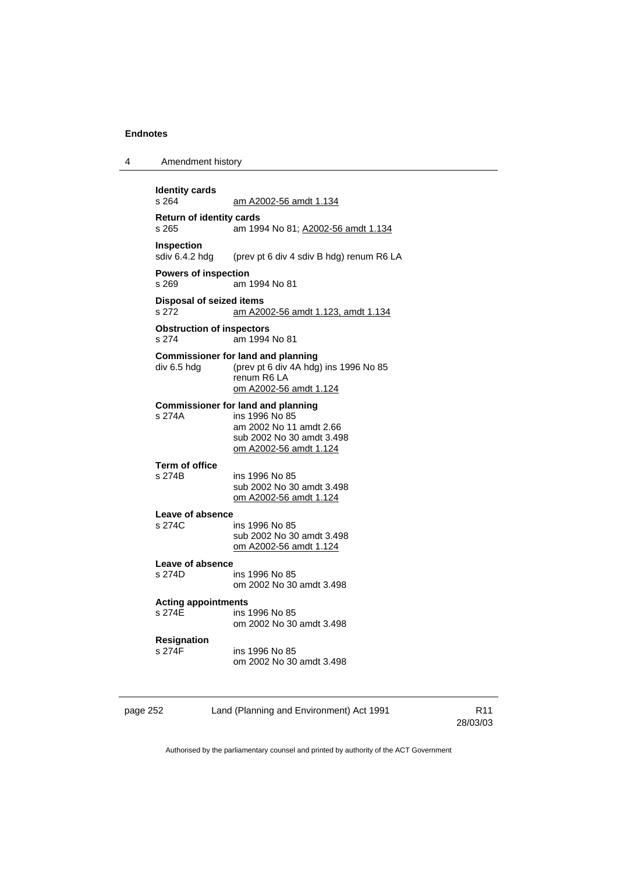4 Amendment history

| <b>Identity cards</b>                     |                                                                                                                                               |
|-------------------------------------------|-----------------------------------------------------------------------------------------------------------------------------------------------|
| s 264                                     | <u>am A2002-56 amdt 1.134</u>                                                                                                                 |
| <b>Return of identity cards</b><br>s 265  | am 1994 No 81; A2002-56 amdt 1.134                                                                                                            |
| Inspection<br>sdiv 6.4.2 hdg              | (prev pt 6 div 4 sdiv B hdg) renum R6 LA                                                                                                      |
| <b>Powers of inspection</b><br>s 269      | am 1994 No 81                                                                                                                                 |
| <b>Disposal of seized items</b><br>s 272  | am A2002-56 amdt 1.123, amdt 1.134                                                                                                            |
| <b>Obstruction of inspectors</b><br>s 274 | am 1994 No 81                                                                                                                                 |
| div 6.5 hdg                               | <b>Commissioner for land and planning</b><br>(prev pt 6 div 4A hdg) ins 1996 No 85<br>renum R6 LA<br>om A2002-56 amdt 1.124                   |
| s 274A                                    | <b>Commissioner for land and planning</b><br>ins 1996 No 85<br>am 2002 No 11 amdt 2.66<br>sub 2002 No 30 amdt 3.498<br>om A2002-56 amdt 1.124 |
| <b>Term of office</b><br>s 274B           | ins 1996 No 85<br>sub 2002 No 30 amdt 3.498<br>om A2002-56 amdt 1.124                                                                         |
| Leave of absence<br>s 274C                | ins 1996 No 85<br>sub 2002 No 30 amdt 3.498<br>om A2002-56 amdt 1.124                                                                         |
| Leave of absence                          |                                                                                                                                               |
| s 274D                                    | ins 1996 No 85<br>om 2002 No 30 amdt 3.498                                                                                                    |
| <b>Acting appointments</b>                |                                                                                                                                               |
| s 274F                                    | ins 1996 No 85<br>om 2002 No 30 amdt 3.498                                                                                                    |
| Resignation<br>s 274F                     | ins 1996 No 85<br>om 2002 No 30 amdt 3.498                                                                                                    |

page 252 Land (Planning and Environment) Act 1991 R11

28/03/03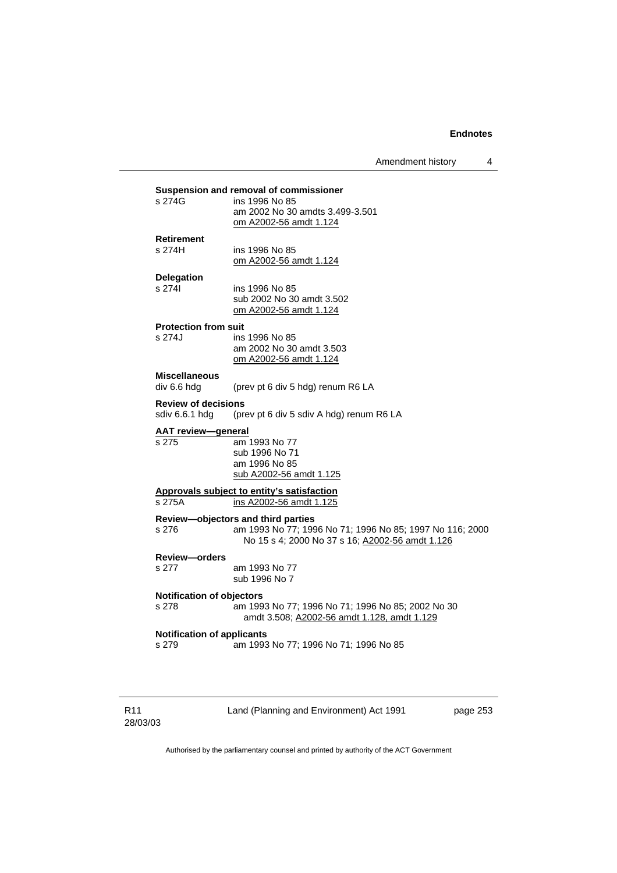Amendment history 4

#### **Suspension and removal of commissioner**

| s 274G            | ins 1996 No 85<br>am 2002 No 30 amdts 3.499-3.501<br>om A2002-56 amdt 1.124 |
|-------------------|-----------------------------------------------------------------------------|
| <b>Retirement</b> |                                                                             |

s 274H ins 1996 No 85 om A2002-56 amdt 1.124

# **Delegation**

ins 1996 No 85 sub 2002 No 30 amdt 3.502 om A2002-56 amdt 1.124

#### **Protection from suit**  s 274J

| s 274J | ins 1996 No 85           |
|--------|--------------------------|
|        | am 2002 No 30 amdt 3.503 |
|        | om A2002-56 amdt 1.124   |

#### **Miscellaneous**

div 6.6 hdg (prev pt 6 div 5 hdg) renum R6 LA

# **Review of decisions**

(prev pt 6 div 5 sdiv A hdg) renum R6 LA

### **AAT review—general**

s 275 **am** 1993 No 77 sub 1996 No 71 am 1996 No 85 sub A2002-56 amdt 1.125

### **Approvals subject to entity's satisfaction**

s 275A ins A2002-56 amdt 1.125

# **Review—objectors and third parties**

am 1993 No 77; 1996 No 71; 1996 No 85; 1997 No 116; 2000 No 15 s 4; 2000 No 37 s 16; A2002-56 amdt 1.126

#### **Review—orders**

s 277 am 1993 No 77 sub 1996 No 7

#### **Notification of objectors**

#### s 278 am 1993 No 77; 1996 No 71; 1996 No 85; 2002 No 30 amdt 3.508; A2002-56 amdt 1.128, amdt 1.129

#### **Notification of applicants**

s 279 am 1993 No 77; 1996 No 71; 1996 No 85

R11 28/03/03 Land (Planning and Environment) Act 1991 page 253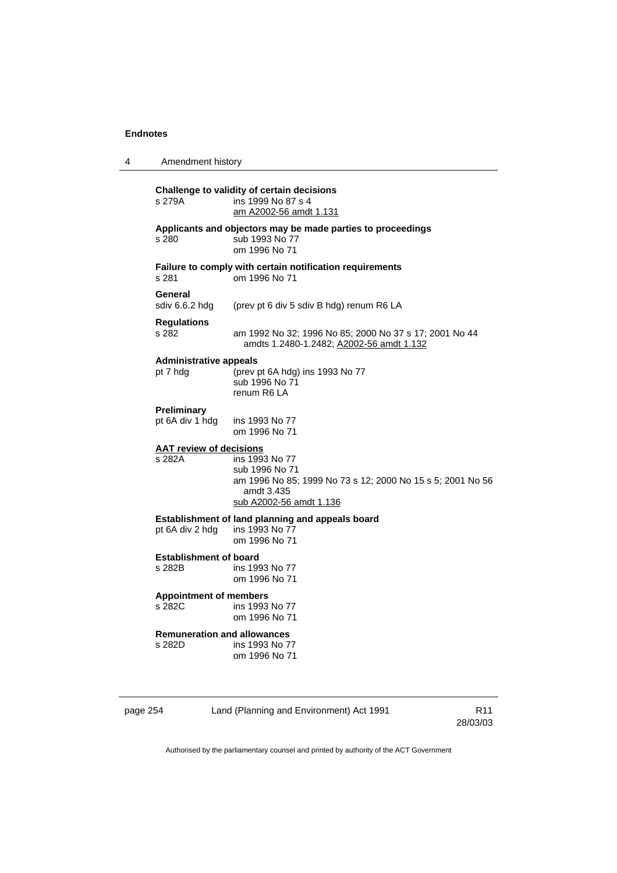| Amendment history                            |                                                                                                                                         |
|----------------------------------------------|-----------------------------------------------------------------------------------------------------------------------------------------|
| s 279A                                       | Challenge to validity of certain decisions<br>ins 1999 No 87 s 4<br>am A2002-56 amdt 1.131                                              |
| s 280                                        | Applicants and objectors may be made parties to proceedings<br>sub 1993 No 77<br>om 1996 No 71                                          |
| s 281                                        | Failure to comply with certain notification requirements<br>om 1996 No 71                                                               |
| General<br>sdiv 6.6.2 hdg                    | (prev pt 6 div 5 sdiv B hdg) renum R6 LA                                                                                                |
| <b>Regulations</b><br>s 282                  | am 1992 No 32; 1996 No 85; 2000 No 37 s 17; 2001 No 44<br>amdts 1.2480-1.2482; A2002-56 amdt 1.132                                      |
| <b>Administrative appeals</b><br>pt 7 hdg    | (prev pt 6A hdg) ins 1993 No $77$<br>sub 1996 No 71<br>renum R6 LA                                                                      |
| Preliminary<br>pt 6A div 1 hdg               | ins 1993 No 77<br>om 1996 No 71                                                                                                         |
| <b>AAT review of decisions</b><br>s 282A     | ins 1993 No 77<br>sub 1996 No 71<br>am 1996 No 85; 1999 No 73 s 12; 2000 No 15 s 5; 2001 No 56<br>amdt 3.435<br>sub A2002-56 amdt 1.136 |
| pt 6A div 2 hdg                              | Establishment of land planning and appeals board<br>ins 1993 No 77<br>om 1996 No 71                                                     |
| <b>Establishment of board</b><br>s 282B      | ins 1993 No 77<br>om 1996 No 71                                                                                                         |
| <b>Appointment of members</b><br>s 282C      | ins 1993 No 77<br>om 1996 No 71                                                                                                         |
| <b>Remuneration and allowances</b><br>s 282D | ins 1993 No 77<br>om 1996 No 71                                                                                                         |

page 254 Land (Planning and Environment) Act 1991 R11

28/03/03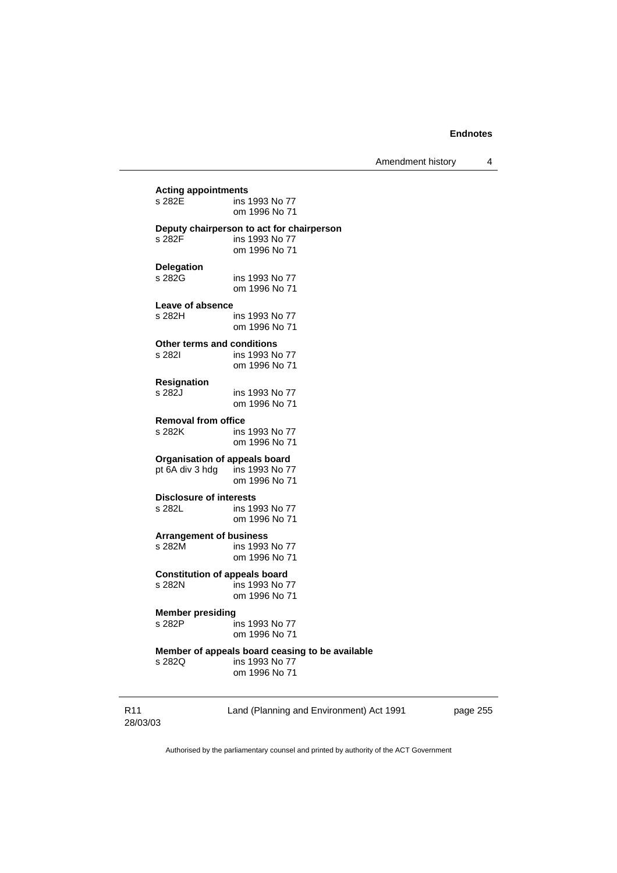### **Acting appointments**  ins 1993 No 77 om 1996 No 71 **Deputy chairperson to act for chairperson**  ins 1993 No 77 om 1996 No 71 **Delegation**  s 282G ins 1993 No 77 om 1996 No 71 **Leave of absence**  ins 1993 No 77 om 1996 No 71 **Other terms and conditions**  s 282I ins 1993 No 77 om 1996 No 71 **Resignation**  ins 1993 No 77 om 1996 No 71 **Removal from office**  ins 1993 No 77 om 1996 No 71 **Organisation of appeals board**  pt 6A div 3 hdg ins 1993 No 77 om 1996 No 71 **Disclosure of interests**  ins 1993 No 77 om 1996 No 71 **Arrangement of business**  s 282M ins 1993 No 77 om 1996 No 71 **Constitution of appeals board**<br>s 282N ins 1993 No 7 ins 1993 No 77 om 1996 No 71 **Member presiding**   $\frac{3}{1}$  ins 1993 No 77 om 1996 No 71 **Member of appeals board ceasing to be available**  s 282Q ins 1993 No 77 om 1996 No 71

R11 28/03/03 Land (Planning and Environment) Act 1991 page 255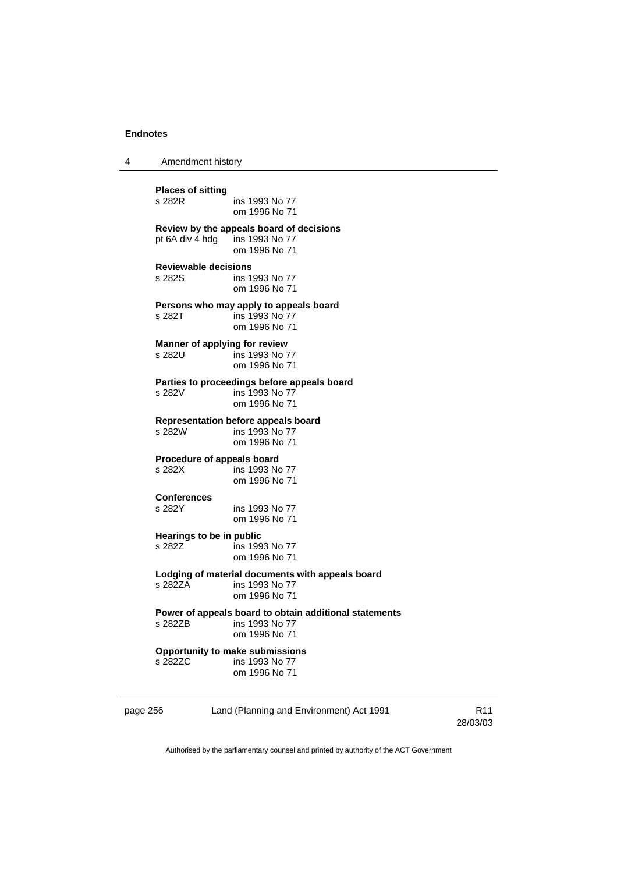4 Amendment history

**Places of sitting**  ins 1993 No 77 om 1996 No 71 **Review by the appeals board of decisions**  pt 6A div 4 hdg om 1996 No 71 **Reviewable decisions**  s 282S ins 1993 No 77 om 1996 No 71 **Persons who may apply to appeals board**  s 282T ins 1993 No 77 om 1996 No 71 **Manner of applying for review**  s 282U ins 1993 No 77 om 1996 No 71 **Parties to proceedings before appeals board**  ins 1993 No 77 om 1996 No 71 **Representation before appeals board**  s 282W ins 1993 No 77 om 1996 No 71 **Procedure of appeals board**<br>s 282X ins 1993 No ins 1993 No 77 om 1996 No 71 **Conferences**  ins 1993 No 77 om 1996 No 71 **Hearings to be in public**  s 282Z ins 1993 No 77 om 1996 No 71 **Lodging of material documents with appeals board**  ins 1993 No 77 om 1996 No 71 **Power of appeals board to obtain additional statements**  ins 1993 No 77 om 1996 No 71 **Opportunity to make submissions**  s 282ZC ins 1993 No 77 om 1996 No 71

page 256 Land (Planning and Environment) Act 1991 R11

28/03/03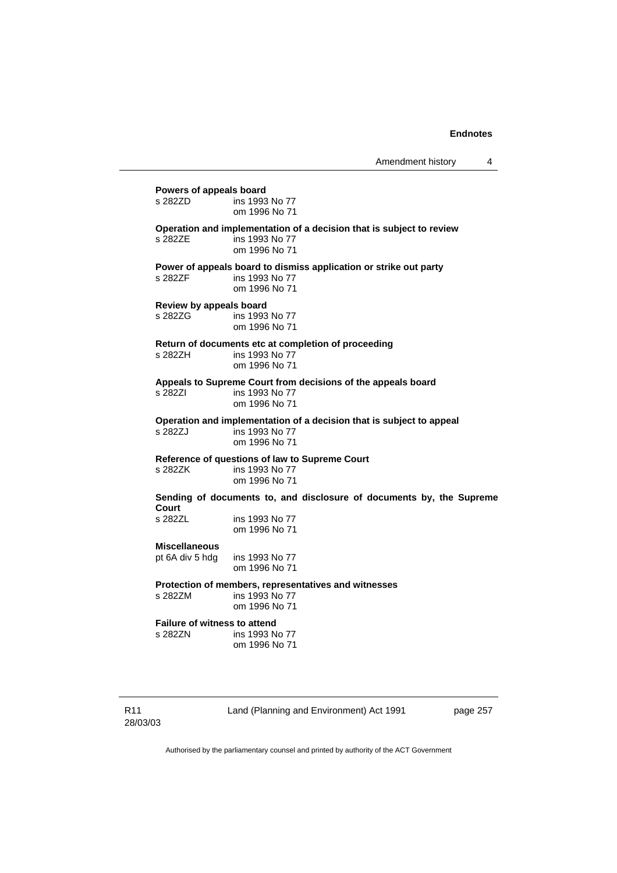| Amendment history |  |
|-------------------|--|
|-------------------|--|

**Powers of appeals board**<br>s 282ZD ins 1993 ins 1993 No 77 om 1996 No 71 **Operation and implementation of a decision that is subject to review**  s 282ZE ins 1993 No 77 om 1996 No 71 **Power of appeals board to dismiss application or strike out party**  s 282ZF ins 1993 No 77 om 1996 No 71 **Review by appeals board**  s 282ZG ins 1993 No 77 om 1996 No 71 **Return of documents etc at completion of proceeding**  s 282ZH ins 1993 No 77 om 1996 No 71 **Appeals to Supreme Court from decisions of the appeals board**  ins 1993 No 77 om 1996 No 71 **Operation and implementation of a decision that is subject to appeal**   $ins 1993$  No  $77$  om 1996 No 71 **Reference of questions of law to Supreme Court**  s 282ZK ins 1993 No 77 om 1996 No 71 **Sending of documents to, and disclosure of documents by, the Supreme Court**  ins 1993 No 77 om 1996 No 71 **Miscellaneous**  pt 6A div 5 hdg ins 1993 No 77 om 1996 No 71 **Protection of members, representatives and witnesses**  s 282ZM ins 1993 No 77 om 1996 No 71 **Failure of witness to attend**  s 282ZN ins 1993 No 77 om 1996 No 71

R11 28/03/03 Land (Planning and Environment) Act 1991 page 257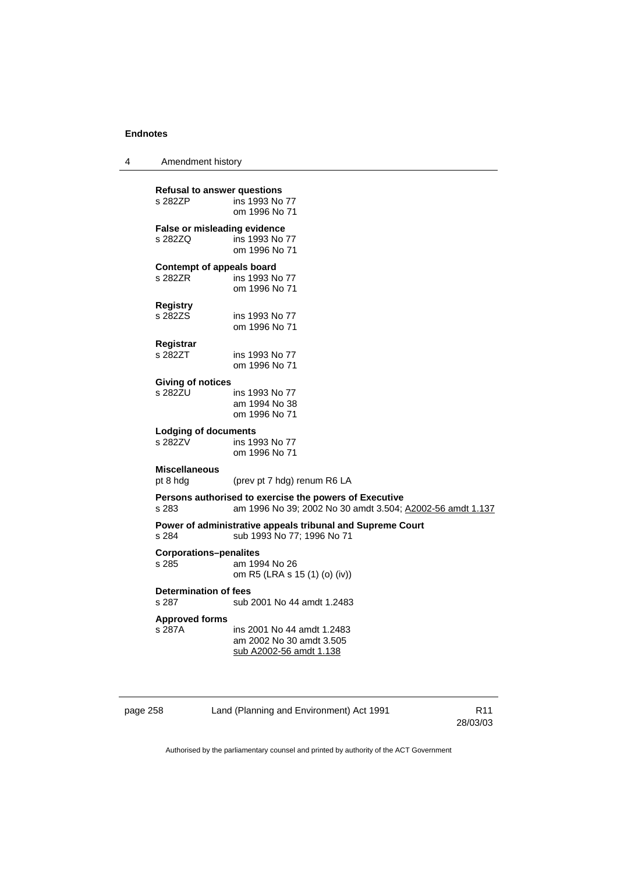| 4 | Amendment history |
|---|-------------------|
|---|-------------------|

| <b>Refusal to answer questions</b>  |                                                            |
|-------------------------------------|------------------------------------------------------------|
| s 282ZP                             | ins 1993 No 77<br>om 1996 No 71                            |
| <b>False or misleading evidence</b> |                                                            |
| s 282ZQ                             | ins 1993 No 77                                             |
|                                     | om 1996 No 71                                              |
| Contempt of appeals board           |                                                            |
| s 282ZR                             | ins 1993 No 77                                             |
|                                     | om 1996 No 71                                              |
| <b>Registry</b>                     |                                                            |
| s 282ZS                             | ins 1993 No 77                                             |
|                                     | om 1996 No 71                                              |
| Registrar                           |                                                            |
| s 282ZT                             | ins 1993 No 77                                             |
|                                     | om 1996 No 71                                              |
| <b>Giving of notices</b>            |                                                            |
| s 282ZU                             | ins 1993 No 77                                             |
|                                     | am 1994 No 38                                              |
|                                     | om 1996 No 71                                              |
| <b>Lodging of documents</b>         |                                                            |
| s 282ZV                             | ins 1993 No 77                                             |
|                                     | om 1996 No 71                                              |
| <b>Miscellaneous</b>                |                                                            |
| pt 8 hdg                            | (prev pt 7 hdg) renum R6 LA                                |
|                                     | Persons authorised to exercise the powers of Executive     |
| s 283                               | am 1996 No 39; 2002 No 30 amdt 3.504; A2002-56 amdt 1.137  |
|                                     | Power of administrative appeals tribunal and Supreme Court |
| s 284                               | sub 1993 No 77; 1996 No 71                                 |
| <b>Corporations-penalites</b>       |                                                            |
| s 285                               | am 1994 No 26                                              |
|                                     | om R5 (LRA s 15 (1) (o) (iv))                              |
| <b>Determination of fees</b>        |                                                            |
|                                     | sub 2001 No 44 amdt 1.2483                                 |
| s 287                               |                                                            |
| <b>Approved forms</b>               |                                                            |
| s 287A                              | ins 2001 No 44 amdt 1.2483                                 |
|                                     | am 2002 No 30 amdt 3.505                                   |

page 258 Land (Planning and Environment) Act 1991 R11

28/03/03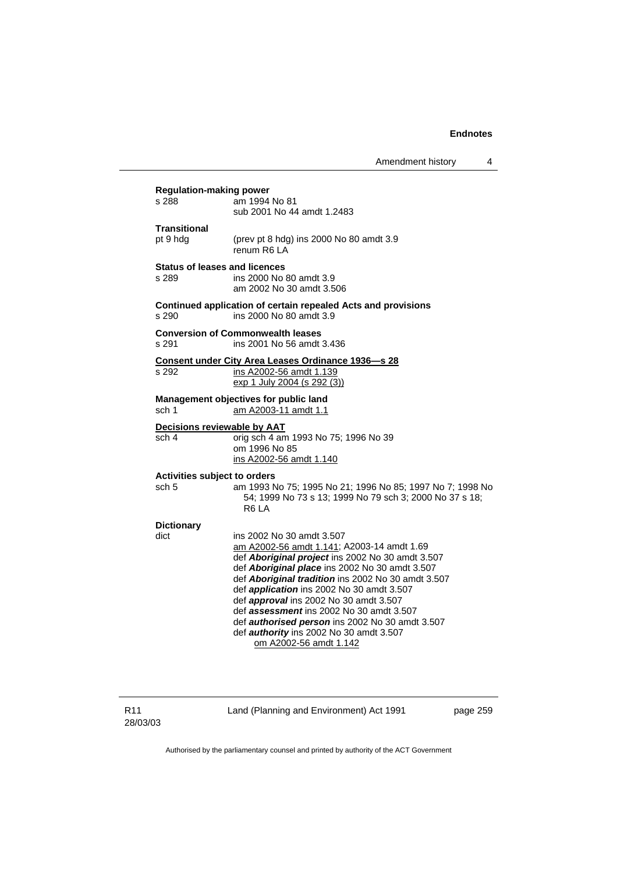### **Regulation-making power**  am 1994 No 81 sub 2001 No 44 amdt 1.2483

**Transitional**  (prev pt 8 hdg) ins 2000 No 80 amdt 3.9 renum R6 LA

#### **Status of leases and licences**

s 289 ins 2000 No 80 amdt 3.9

am 2002 No 30 amdt 3.506

#### **Continued application of certain repealed Acts and provisions**  s 290 ins 2000 No 80 amdt 3.9

**Conversion of Commonwealth leases** 

s 291 ins 2001 No 56 amdt 3.436

### **Consent under City Area Leases Ordinance 1936—s 28**

s 292 ins A2002-56 amdt 1.139 exp 1 July 2004 (s 292 (3))

**Management objectives for public land**  sch 1 **am A2003-11 amdt 1.1** 

**Decisions reviewable by AAT**<br>sch 4 am orig sch 4 am orig sch 4 am 1993 No 75; 1996 No 39 om 1996 No 85 ins A2002-56 amdt 1.140

#### **Activities subject to orders**

sch 5 am 1993 No 75; 1995 No 21; 1996 No 85; 1997 No 7; 1998 No 54; 1999 No 73 s 13; 1999 No 79 sch 3; 2000 No 37 s 18; R6 LA

#### **Dictionary**

| dict | ins 2002 No 30 amdt 3.507                              |
|------|--------------------------------------------------------|
|      | am A2002-56 amdt 1.141; A2003-14 amdt 1.69             |
|      | def Aboriginal project ins 2002 No 30 amdt 3.507       |
|      | def Aboriginal place ins 2002 No 30 amdt 3.507         |
|      | def Aboriginal tradition ins 2002 No 30 amdt 3.507     |
|      | def application ins 2002 No 30 amdt 3.507              |
|      | def <i>approval</i> ins 2002 No 30 amdt 3.507          |
|      | def assessment ins 2002 No 30 amdt 3.507               |
|      | def <b>authorised person</b> ins 2002 No 30 amdt 3.507 |
|      | def <i>authority</i> ins 2002 No 30 amdt 3.507         |
|      | om A2002-56 amdt 1.142                                 |
|      |                                                        |

R11 28/03/03 Land (Planning and Environment) Act 1991 page 259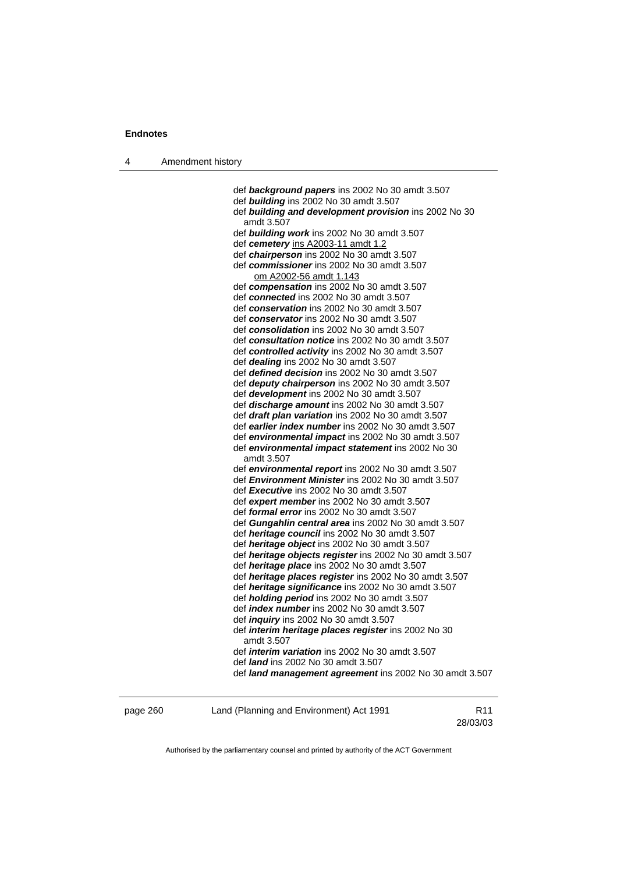def *background papers* ins 2002 No 30 amdt 3.507 def *building* ins 2002 No 30 amdt 3.507 def *building and development provision* ins 2002 No 30 amdt 3.507 def *building work* ins 2002 No 30 amdt 3.507 def *cemetery* ins A2003-11 amdt 1.2 def *chairperson* ins 2002 No 30 amdt 3.507 def *commissioner* ins 2002 No 30 amdt 3.507 om A2002-56 amdt 1.143 def *compensation* ins 2002 No 30 amdt 3.507 def *connected* ins 2002 No 30 amdt 3.507 def *conservation* ins 2002 No 30 amdt 3.507 def *conservator* ins 2002 No 30 amdt 3.507 def *consolidation* ins 2002 No 30 amdt 3.507 def *consultation notice* ins 2002 No 30 amdt 3.507 def *controlled activity* ins 2002 No 30 amdt 3.507 def *dealing* ins 2002 No 30 amdt 3.507 def *defined decision* ins 2002 No 30 amdt 3.507 def *deputy chairperson* ins 2002 No 30 amdt 3.507 def *development* ins 2002 No 30 amdt 3.507 def *discharge amount* ins 2002 No 30 amdt 3.507 def *draft plan variation* ins 2002 No 30 amdt 3.507 def *earlier index number* ins 2002 No 30 amdt 3.507 def *environmental impact* ins 2002 No 30 amdt 3.507 def *environmental impact statement* ins 2002 No 30 amdt 3.507 def *environmental report* ins 2002 No 30 amdt 3.507 def *Environment Minister* ins 2002 No 30 amdt 3.507 def *Executive* ins 2002 No 30 amdt 3.507 def *expert member* ins 2002 No 30 amdt 3.507 def *formal error* ins 2002 No 30 amdt 3.507 def *Gungahlin central area* ins 2002 No 30 amdt 3.507 def *heritage council* ins 2002 No 30 amdt 3.507 def *heritage object* ins 2002 No 30 amdt 3.507 def *heritage objects register* ins 2002 No 30 amdt 3.507 def *heritage place* ins 2002 No 30 amdt 3.507 def *heritage places register* ins 2002 No 30 amdt 3.507 def *heritage significance* ins 2002 No 30 amdt 3.507 def *holding period* ins 2002 No 30 amdt 3.507 def *index number* ins 2002 No 30 amdt 3.507 def *inquiry* ins 2002 No 30 amdt 3.507 def *interim heritage places register* ins 2002 No 30 amdt 3.507 def *interim variation* ins 2002 No 30 amdt 3.507 def *land* ins 2002 No 30 amdt 3.507 def *land management agreement* ins 2002 No 30 amdt 3.507

page 260 Land (Planning and Environment) Act 1991 R11

28/03/03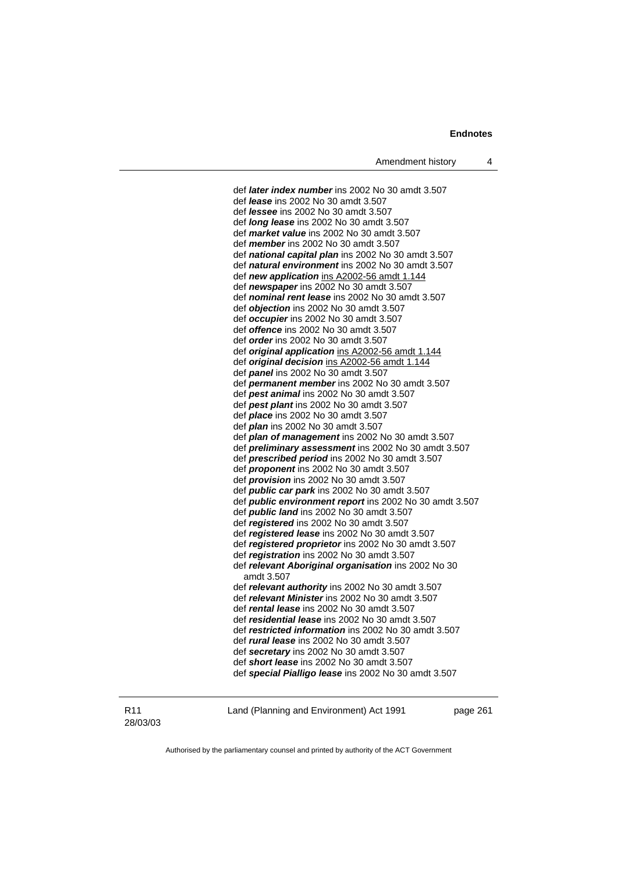def *later index number* ins 2002 No 30 amdt 3.507 def *lease* ins 2002 No 30 amdt 3.507 def *lessee* ins 2002 No 30 amdt 3.507 def *long lease* ins 2002 No 30 amdt 3.507 def *market value* ins 2002 No 30 amdt 3.507 def *member* ins 2002 No 30 amdt 3.507 def *national capital plan* ins 2002 No 30 amdt 3.507 def *natural environment* ins 2002 No 30 amdt 3.507 def *new application* ins A2002-56 amdt 1.144 def *newspaper* ins 2002 No 30 amdt 3.507 def *nominal rent lease* ins 2002 No 30 amdt 3.507 def *objection* ins 2002 No 30 amdt 3.507 def *occupier* ins 2002 No 30 amdt 3.507 def *offence* ins 2002 No 30 amdt 3.507 def *order* ins 2002 No 30 amdt 3.507 def *original application* ins A2002-56 amdt 1.144 def *original decision* ins A2002-56 amdt 1.144 def *panel* ins 2002 No 30 amdt 3.507 def *permanent member* ins 2002 No 30 amdt 3.507 def *pest animal* ins 2002 No 30 amdt 3.507 def *pest plant* ins 2002 No 30 amdt 3.507 def *place* ins 2002 No 30 amdt 3.507 def *plan* ins 2002 No 30 amdt 3.507 def *plan of management* ins 2002 No 30 amdt 3.507 def *preliminary assessment* ins 2002 No 30 amdt 3.507 def *prescribed period* ins 2002 No 30 amdt 3.507 def *proponent* ins 2002 No 30 amdt 3.507 def *provision* ins 2002 No 30 amdt 3.507 def *public car park* ins 2002 No 30 amdt 3.507 def *public environment report* ins 2002 No 30 amdt 3.507 def *public land* ins 2002 No 30 amdt 3.507 def *registered* ins 2002 No 30 amdt 3.507 def *registered lease* ins 2002 No 30 amdt 3.507 def *registered proprietor* ins 2002 No 30 amdt 3.507 def *registration* ins 2002 No 30 amdt 3.507 def *relevant Aboriginal organisation* ins 2002 No 30 amdt 3.507 def *relevant authority* ins 2002 No 30 amdt 3.507 def *relevant Minister* ins 2002 No 30 amdt 3.507 def *rental lease* ins 2002 No 30 amdt 3.507 def *residential lease* ins 2002 No 30 amdt 3.507 def *restricted information* ins 2002 No 30 amdt 3.507 def *rural lease* ins 2002 No 30 amdt 3.507 def *secretary* ins 2002 No 30 amdt 3.507 def *short lease* ins 2002 No 30 amdt 3.507 def *special Pialligo lease* ins 2002 No 30 amdt 3.507

Land (Planning and Environment) Act 1991 page 261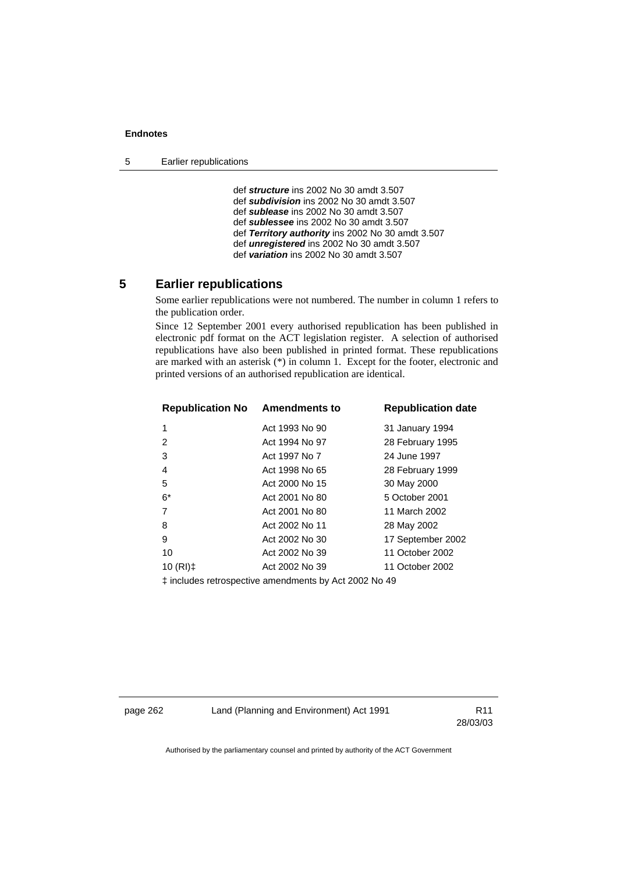5 Earlier republications

 def *structure* ins 2002 No 30 amdt 3.507 def *subdivision* ins 2002 No 30 amdt 3.507 def *sublease* ins 2002 No 30 amdt 3.507 def *sublessee* ins 2002 No 30 amdt 3.507 def *Territory authority* ins 2002 No 30 amdt 3.507 def *unregistered* ins 2002 No 30 amdt 3.507 def *variation* ins 2002 No 30 amdt 3.507

### **5 Earlier republications**

Some earlier republications were not numbered. The number in column 1 refers to the publication order.

Since 12 September 2001 every authorised republication has been published in electronic pdf format on the ACT legislation register. A selection of authorised republications have also been published in printed format. These republications are marked with an asterisk (\*) in column 1. Except for the footer, electronic and printed versions of an authorised republication are identical.

| <b>Republication No</b> | <b>Amendments to</b>                                  | <b>Republication date</b> |
|-------------------------|-------------------------------------------------------|---------------------------|
| 1                       | Act 1993 No 90                                        | 31 January 1994           |
| 2                       | Act 1994 No 97                                        | 28 February 1995          |
| 3                       | Act 1997 No 7                                         | 24 June 1997              |
| 4                       | Act 1998 No 65                                        | 28 February 1999          |
| 5                       | Act 2000 No 15                                        | 30 May 2000               |
| $6*$                    | Act 2001 No 80                                        | 5 October 2001            |
| $\overline{7}$          | Act 2001 No 80                                        | 11 March 2002             |
| 8                       | Act 2002 No 11                                        | 28 May 2002               |
| 9                       | Act 2002 No 30                                        | 17 September 2002         |
| 10                      | Act 2002 No 39                                        | 11 October 2002           |
| $10(RI)$ ‡              | Act 2002 No 39                                        | 11 October 2002           |
|                         | ‡ includes retrospective amendments by Act 2002 No 49 |                           |

page 262 Land (Planning and Environment) Act 1991

28/03/03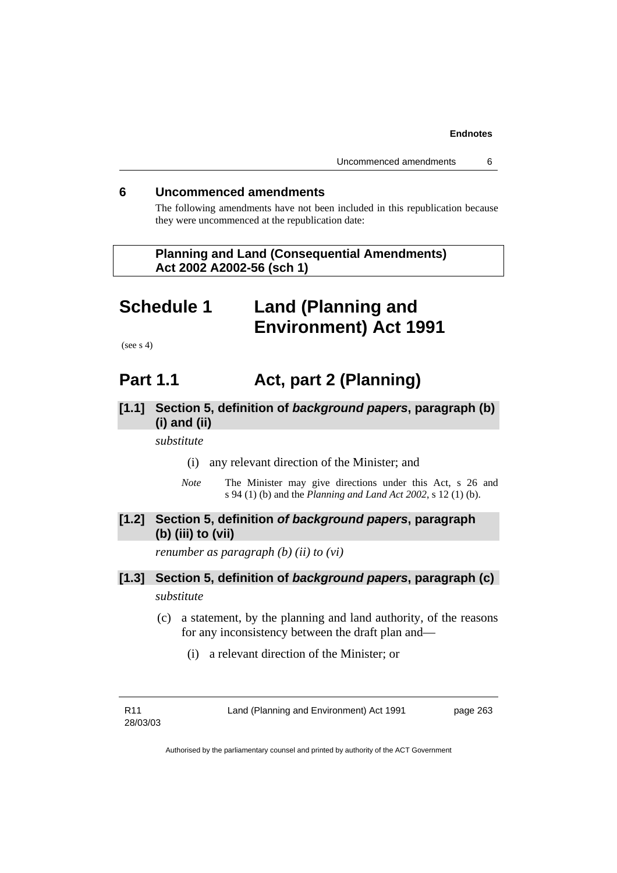### **6 Uncommenced amendments**

The following amendments have not been included in this republication because they were uncommenced at the republication date:

 **Planning and Land (Consequential Amendments) Act 2002 A2002-56 (sch 1)** 

# **Schedule 1 Land (Planning and Environment) Act 1991**

(see s 4)

# **Part 1.1 Act, part 2 (Planning)**

**[1.1] Section 5, definition of** *background papers***, paragraph (b) (i) and (ii)** 

### *substitute*

- (i) any relevant direction of the Minister; and
- *Note* The Minister may give directions under this Act, s 26 and s 94 (1) (b) and the *Planning and Land Act 2002*, s 12 (1) (b).

### **[1.2] Section 5, definition** *of background papers***, paragraph (b) (iii) to (vii)**

*renumber as paragraph (b) (ii) to (vi)* 

### **[1.3] Section 5, definition of** *background papers***, paragraph (c)**  *substitute*

- (c) a statement, by the planning and land authority, of the reasons for any inconsistency between the draft plan and—
	- (i) a relevant direction of the Minister; or

R11 28/03/03 Land (Planning and Environment) Act 1991 page 263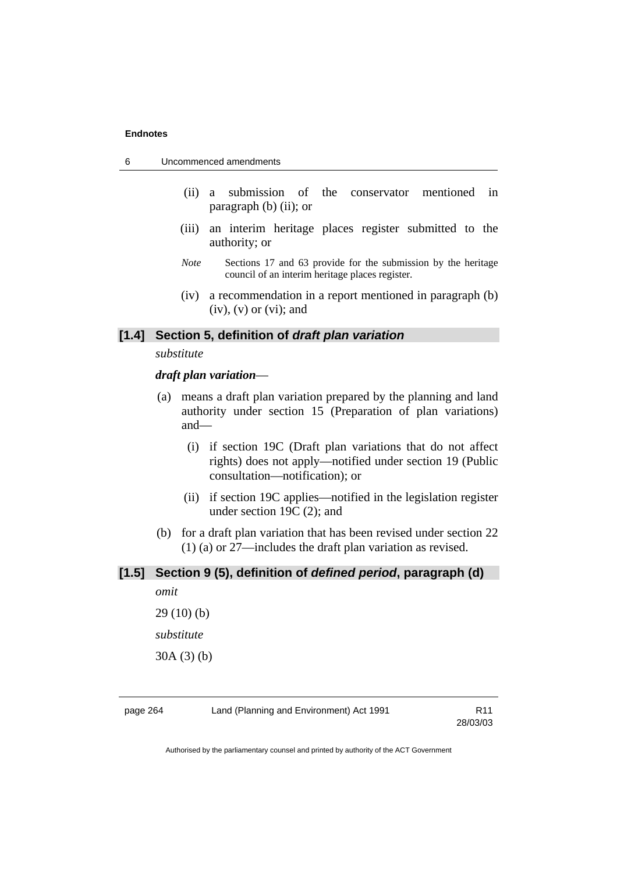| 6 | Uncommenced amendments |
|---|------------------------|
|---|------------------------|

- (ii) a submission of the conservator mentioned in paragraph (b) (ii); or
- (iii) an interim heritage places register submitted to the authority; or
- *Note* Sections 17 and 63 provide for the submission by the heritage council of an interim heritage places register.
- (iv) a recommendation in a report mentioned in paragraph (b)  $(iv)$ ,  $(v)$  or  $(vi)$ ; and

### **[1.4] Section 5, definition of** *draft plan variation*

### *substitute*

#### *draft plan variation*—

- (a) means a draft plan variation prepared by the planning and land authority under section 15 (Preparation of plan variations) and—
	- (i) if section 19C (Draft plan variations that do not affect rights) does not apply—notified under section 19 (Public consultation—notification); or
	- (ii) if section 19C applies—notified in the legislation register under section 19C (2); and
- (b) for a draft plan variation that has been revised under section 22 (1) (a) or 27—includes the draft plan variation as revised.

### **[1.5] Section 9 (5), definition of** *defined period***, paragraph (d)**

*omit* 

 $29(10)(b)$ 

*substitute* 

30A (3) (b)

page 264 Land (Planning and Environment) Act 1991 R11

28/03/03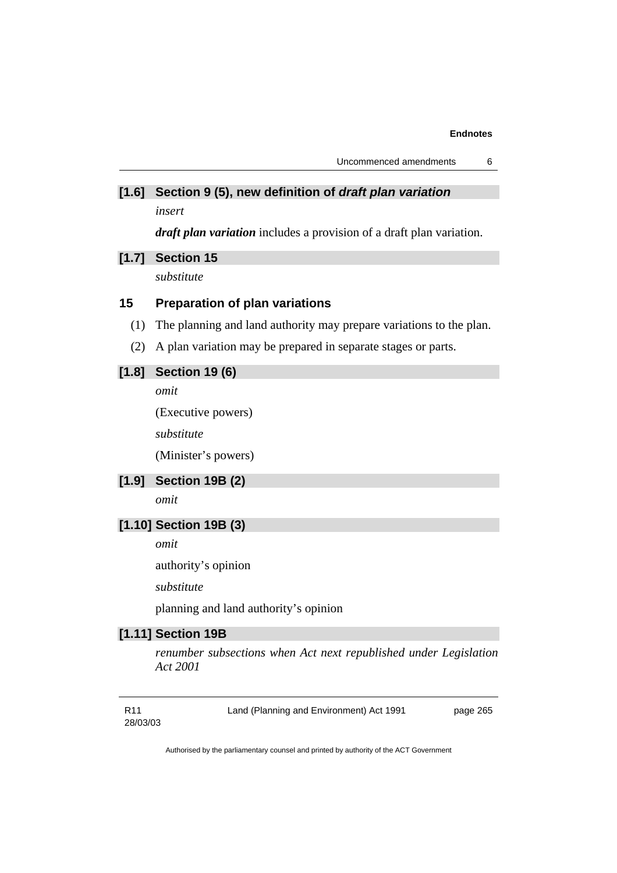# **[1.6] Section 9 (5), new definition of** *draft plan variation*

*insert* 

*draft plan variation* includes a provision of a draft plan variation.

### **[1.7] Section 15**

*substitute* 

### **15 Preparation of plan variations**

- (1) The planning and land authority may prepare variations to the plan.
- (2) A plan variation may be prepared in separate stages or parts.

### **[1.8] Section 19 (6)**

*omit* 

(Executive powers)

*substitute* 

(Minister's powers)

### **[1.9] Section 19B (2)**

*omit* 

### **[1.10] Section 19B (3)**

*omit* 

authority's opinion

*substitute* 

planning and land authority's opinion

### **[1.11] Section 19B**

*renumber subsections when Act next republished under Legislation Act 2001* 

R11 28/03/03 Land (Planning and Environment) Act 1991 page 265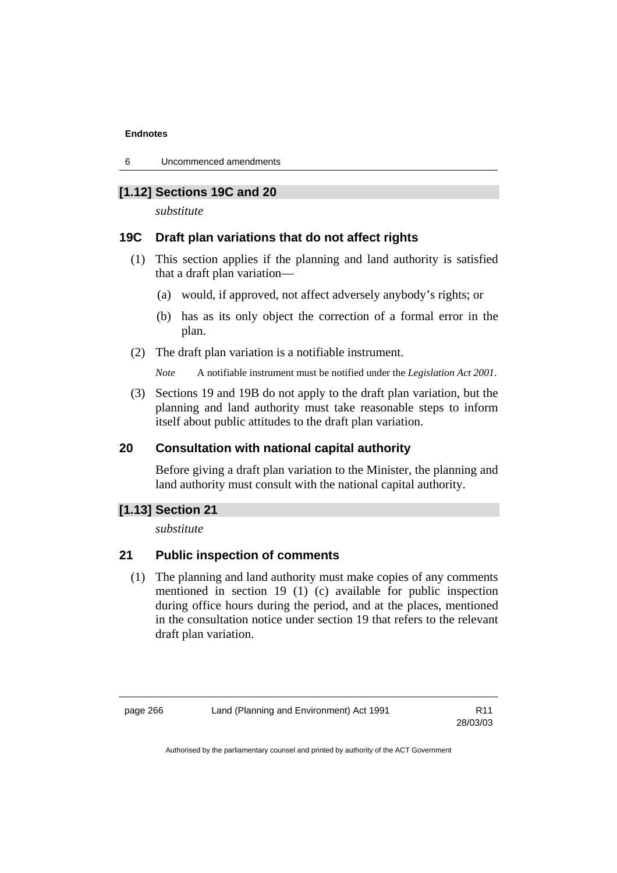6 Uncommenced amendments

### **[1.12] Sections 19C and 20**

*substitute* 

### **19C Draft plan variations that do not affect rights**

- (1) This section applies if the planning and land authority is satisfied that a draft plan variation—
	- (a) would, if approved, not affect adversely anybody's rights; or
	- (b) has as its only object the correction of a formal error in the plan.
- (2) The draft plan variation is a notifiable instrument.

*Note* A notifiable instrument must be notified under the *Legislation Act 2001*.

 (3) Sections 19 and 19B do not apply to the draft plan variation, but the planning and land authority must take reasonable steps to inform itself about public attitudes to the draft plan variation.

### **20 Consultation with national capital authority**

Before giving a draft plan variation to the Minister, the planning and land authority must consult with the national capital authority.

### **[1.13] Section 21**

*substitute* 

### **21 Public inspection of comments**

 (1) The planning and land authority must make copies of any comments mentioned in section 19 (1) (c) available for public inspection during office hours during the period, and at the places, mentioned in the consultation notice under section 19 that refers to the relevant draft plan variation.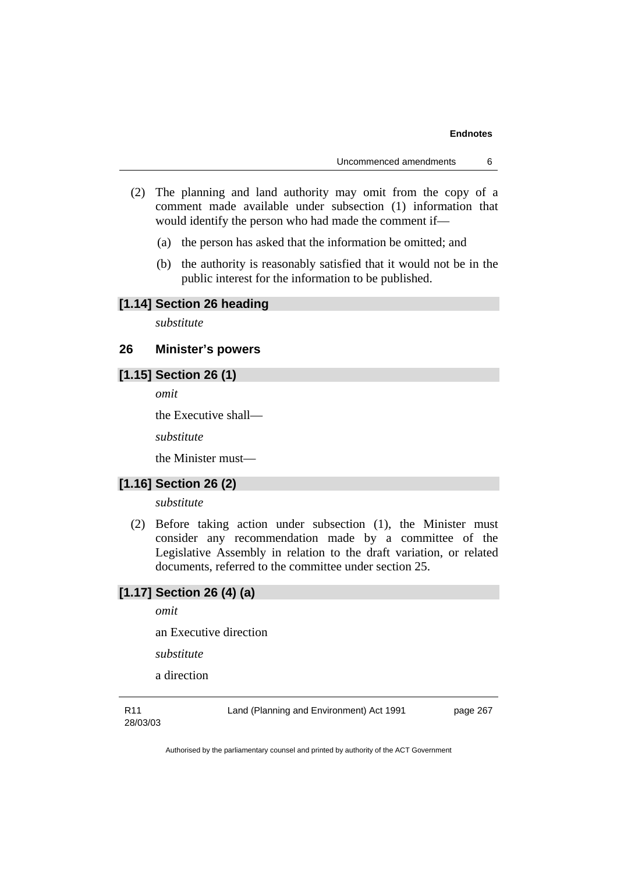- (2) The planning and land authority may omit from the copy of a comment made available under subsection (1) information that would identify the person who had made the comment if—
	- (a) the person has asked that the information be omitted; and
	- (b) the authority is reasonably satisfied that it would not be in the public interest for the information to be published.

### **[1.14] Section 26 heading**

*substitute* 

### **26 Minister's powers**

### **[1.15] Section 26 (1)**

*omit* 

the Executive shall—

*substitute* 

the Minister must—

### **[1.16] Section 26 (2)**

*substitute* 

 (2) Before taking action under subsection (1), the Minister must consider any recommendation made by a committee of the Legislative Assembly in relation to the draft variation, or related documents, referred to the committee under section 25.

### **[1.17] Section 26 (4) (a)**

*omit* 

an Executive direction

*substitute* 

a direction

R11 28/03/03 Land (Planning and Environment) Act 1991 page 267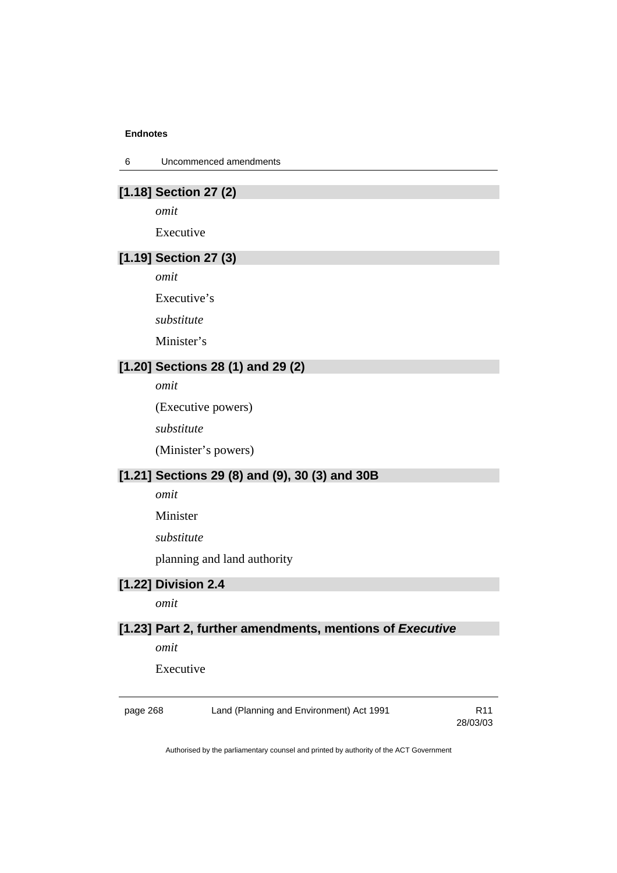6 Uncommenced amendments

### **[1.18] Section 27 (2)**

*omit* 

Executive

### **[1.19] Section 27 (3)**

*omit* 

Executive's

*substitute* 

Minister's

### **[1.20] Sections 28 (1) and 29 (2)**

*omit* 

(Executive powers)

*substitute* 

(Minister's powers)

### **[1.21] Sections 29 (8) and (9), 30 (3) and 30B**

*omit* 

Minister

*substitute* 

planning and land authority

### **[1.22] Division 2.4**

*omit* 

### **[1.23] Part 2, further amendments, mentions of** *Executive*

*omit* 

Executive

| page 268 | Land (Planning and Environment) Act 1991 | R11 |
|----------|------------------------------------------|-----|
|          |                                          |     |

28/03/03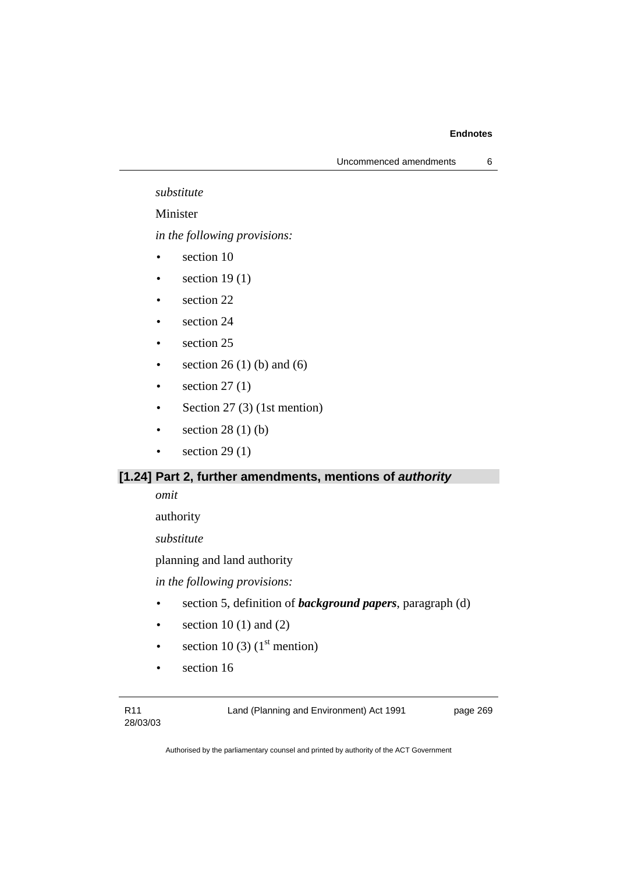### *substitute*

### Minister

*in the following provisions:* 

- section 10
- $\bullet$  section 19(1)
- section 22
- section 24
- section 25
- section  $26 \text{ (1) (b) and (6)}$
- section  $27(1)$
- Section 27 (3) (1st mention)
- $\bullet$  section 28 (1) (b)
- section  $29(1)$

## **[1.24] Part 2, further amendments, mentions of** *authority*

*omit* 

authority

*substitute* 

planning and land authority

*in the following provisions:* 

- section 5, definition of *background papers*, paragraph (d)
- section  $10(1)$  and  $(2)$
- section 10 (3)  $(1<sup>st</sup>$  mention)
- section 16

R11 28/03/03 Land (Planning and Environment) Act 1991 page 269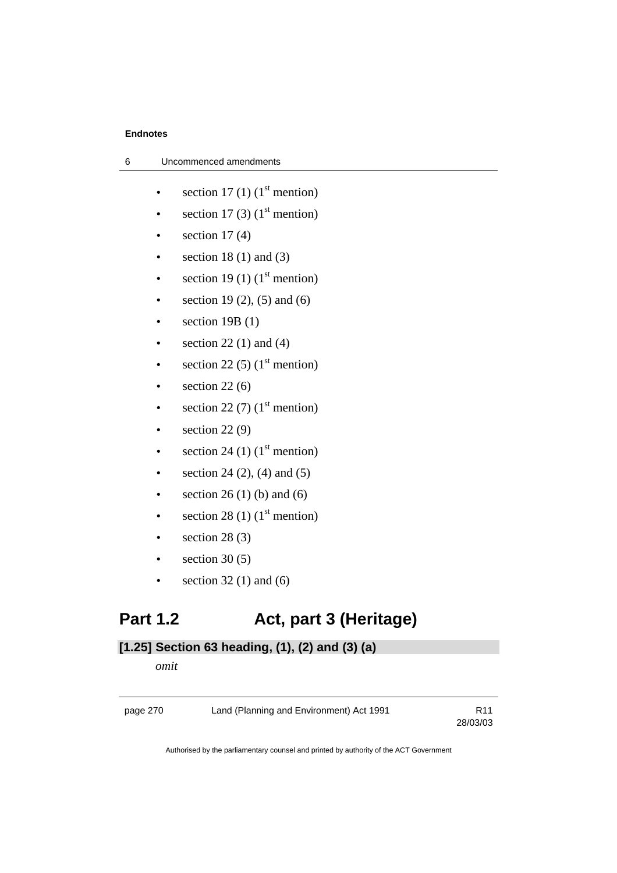| 6        | Uncommenced amendments                          |                        |
|----------|-------------------------------------------------|------------------------|
|          | section 17 (1) $(1^{\text{st}}$ mention)        |                        |
|          | section 17 (3) $(1st$ mention)                  |                        |
|          | section $17(4)$                                 |                        |
|          | section 18 $(1)$ and $(3)$                      |                        |
|          | section 19 (1) $(1^{\text{st}}$ mention)        |                        |
|          | section 19 $(2)$ , $(5)$ and $(6)$              |                        |
|          | section 19B $(1)$                               |                        |
|          | section 22 $(1)$ and $(4)$                      |                        |
|          | section 22 (5) $(1st$ mention)                  |                        |
|          | section $22(6)$                                 |                        |
|          | section 22 (7) $(1st$ mention)<br>٠             |                        |
|          | section $22(9)$                                 |                        |
|          | section 24 (1) $(1^{\text{st}}$ mention)        |                        |
|          | section 24 $(2)$ , $(4)$ and $(5)$              |                        |
|          | section 26 $(1)$ (b) and $(6)$                  |                        |
|          | section 28 (1) $(1^{\text{st}}$ mention)        |                        |
|          | section $28(3)$                                 |                        |
|          | section $30(5)$                                 |                        |
|          | section $32(1)$ and $(6)$                       |                        |
|          | Part 1.2                                        | Act, part 3 (Heritage) |
|          | [1.25] Section 63 heading, (1), (2) and (3) (a) |                        |
|          | omit                                            |                        |
|          |                                                 |                        |
| page 270 | Land (Planning and Environment) Act 1991        | R <sub>11</sub>        |

Authorised by the parliamentary counsel and printed by authority of the ACT Government

28/03/03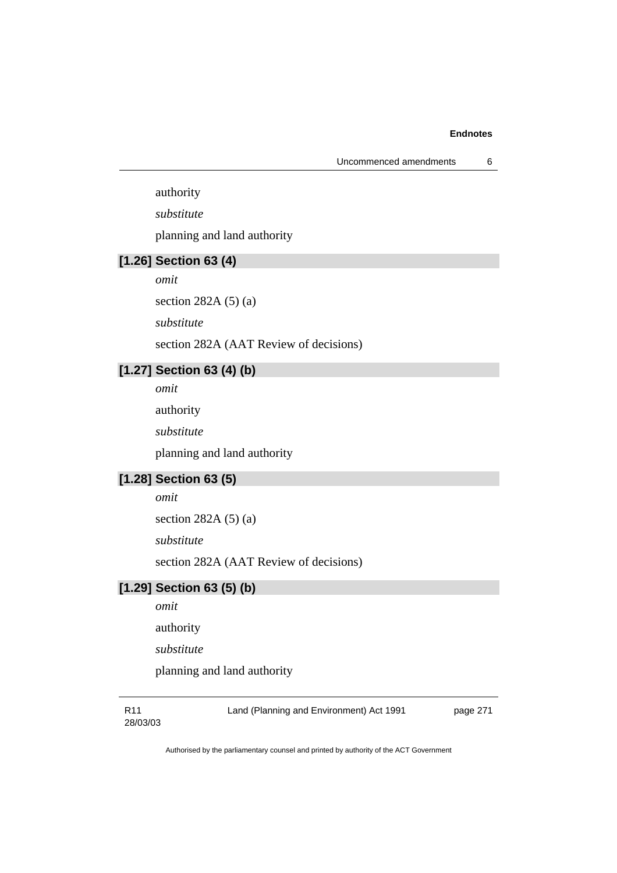Uncommenced amendments 6

authority

*substitute* 

planning and land authority

### **[1.26] Section 63 (4)**

*omit* 

section 282A (5) (a)

*substitute* 

section 282A (AAT Review of decisions)

### **[1.27] Section 63 (4) (b)**

*omit* 

authority

*substitute* 

planning and land authority

## **[1.28] Section 63 (5)**

*omit* 

section 282A (5) (a)

*substitute* 

section 282A (AAT Review of decisions)

### **[1.29] Section 63 (5) (b)**

*omit* 

authority

*substitute* 

planning and land authority

R11 28/03/03 Land (Planning and Environment) Act 1991 page 271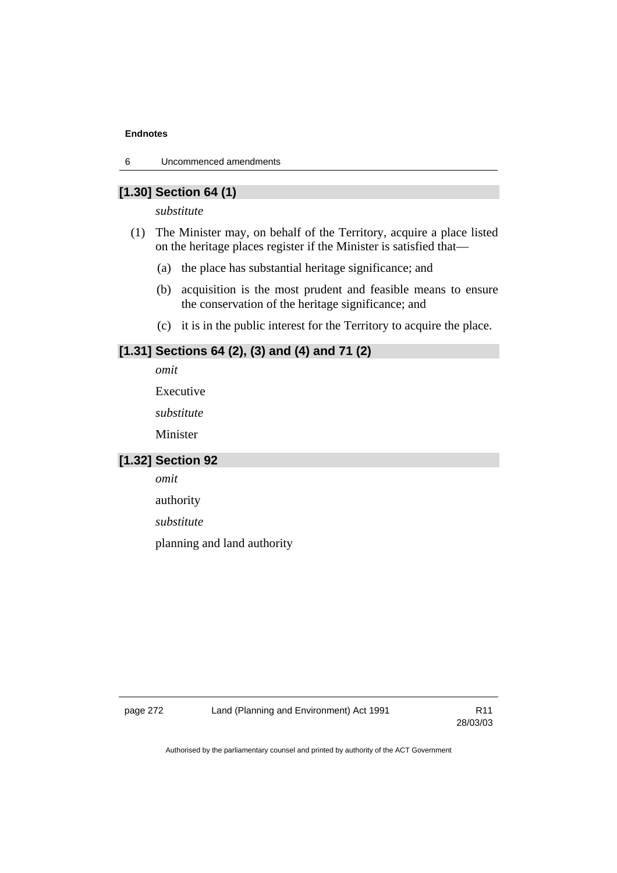6 Uncommenced amendments

### **[1.30] Section 64 (1)**

*substitute* 

- (1) The Minister may, on behalf of the Territory, acquire a place listed on the heritage places register if the Minister is satisfied that—
	- (a) the place has substantial heritage significance; and
	- (b) acquisition is the most prudent and feasible means to ensure the conservation of the heritage significance; and
	- (c) it is in the public interest for the Territory to acquire the place.

### **[1.31] Sections 64 (2), (3) and (4) and 71 (2)**

*omit* 

Executive

*substitute* 

Minister

### **[1.32] Section 92**

*omit* 

authority

*substitute* 

planning and land authority

28/03/03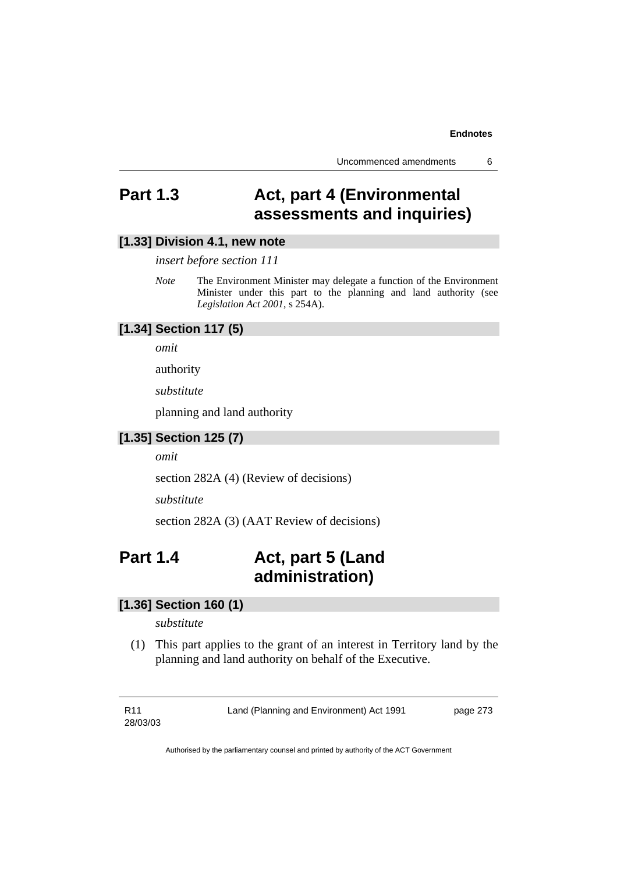# **Part 1.3 Act, part 4 (Environmental assessments and inquiries)**

#### **[1.33] Division 4.1, new note**

*insert before section 111* 

*Note* The Environment Minister may delegate a function of the Environment Minister under this part to the planning and land authority (see *Legislation Act 2001*, s 254A).

## **[1.34] Section 117 (5)**

*omit* 

authority

*substitute* 

planning and land authority

## **[1.35] Section 125 (7)**

*omit* 

section 282A (4) (Review of decisions)

*substitute* 

section 282A (3) (AAT Review of decisions)

# **Part 1.4 Act, part 5 (Land administration)**

## **[1.36] Section 160 (1)**

#### *substitute*

 (1) This part applies to the grant of an interest in Territory land by the planning and land authority on behalf of the Executive.

R11 28/03/03 Land (Planning and Environment) Act 1991 page 273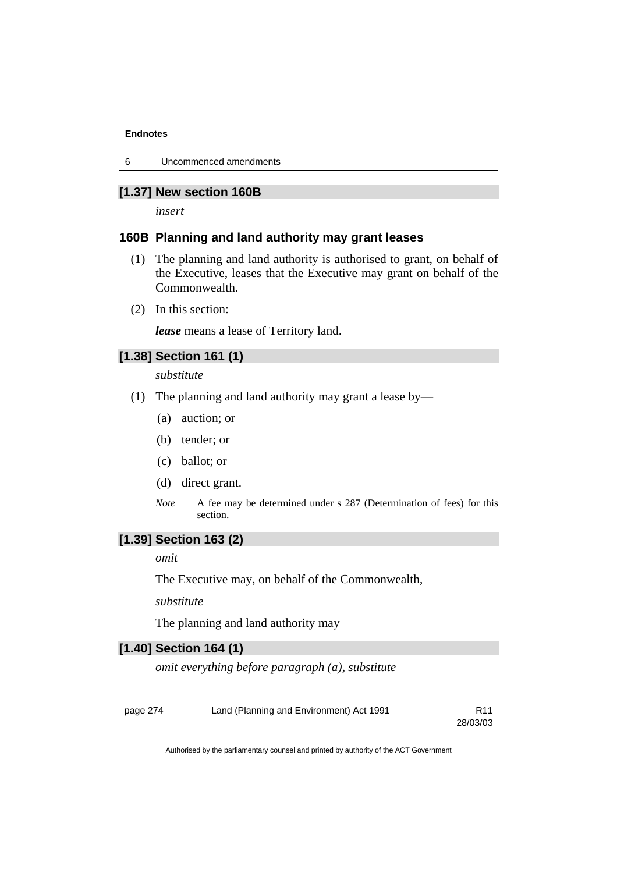6 Uncommenced amendments

#### **[1.37] New section 160B**

*insert* 

#### **160B Planning and land authority may grant leases**

- (1) The planning and land authority is authorised to grant, on behalf of the Executive, leases that the Executive may grant on behalf of the Commonwealth.
- (2) In this section:

*lease* means a lease of Territory land.

## **[1.38] Section 161 (1)**

*substitute* 

- (1) The planning and land authority may grant a lease by—
	- (a) auction; or
	- (b) tender; or
	- (c) ballot; or
	- (d) direct grant.
	- *Note* A fee may be determined under s 287 (Determination of fees) for this section.

## **[1.39] Section 163 (2)**

#### *omit*

The Executive may, on behalf of the Commonwealth,

*substitute* 

The planning and land authority may

## **[1.40] Section 164 (1)**

*omit everything before paragraph (a), substitute* 

| page 274 | Land (Planning and Environment) Act 1991 | R <sub>11</sub> |
|----------|------------------------------------------|-----------------|
|          |                                          | 28/03/03        |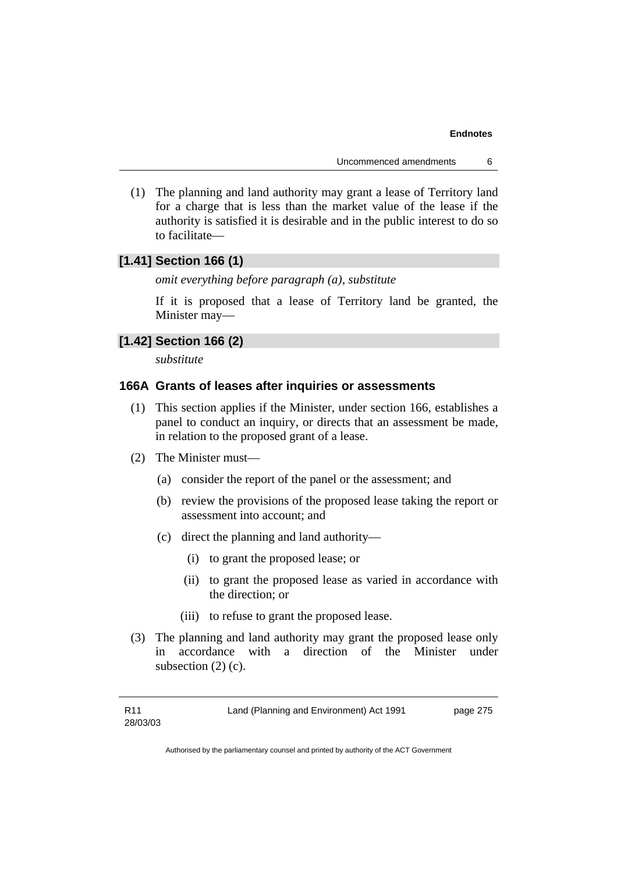(1) The planning and land authority may grant a lease of Territory land for a charge that is less than the market value of the lease if the authority is satisfied it is desirable and in the public interest to do so to facilitate—

## **[1.41] Section 166 (1)**

*omit everything before paragraph (a), substitute* 

If it is proposed that a lease of Territory land be granted, the Minister may—

### **[1.42] Section 166 (2)**

*substitute* 

### **166A Grants of leases after inquiries or assessments**

- (1) This section applies if the Minister, under section 166, establishes a panel to conduct an inquiry, or directs that an assessment be made, in relation to the proposed grant of a lease.
- (2) The Minister must—
	- (a) consider the report of the panel or the assessment; and
	- (b) review the provisions of the proposed lease taking the report or assessment into account; and
	- (c) direct the planning and land authority—
		- (i) to grant the proposed lease; or
		- (ii) to grant the proposed lease as varied in accordance with the direction; or
		- (iii) to refuse to grant the proposed lease.
- (3) The planning and land authority may grant the proposed lease only in accordance with a direction of the Minister under subsection  $(2)$   $(c)$ .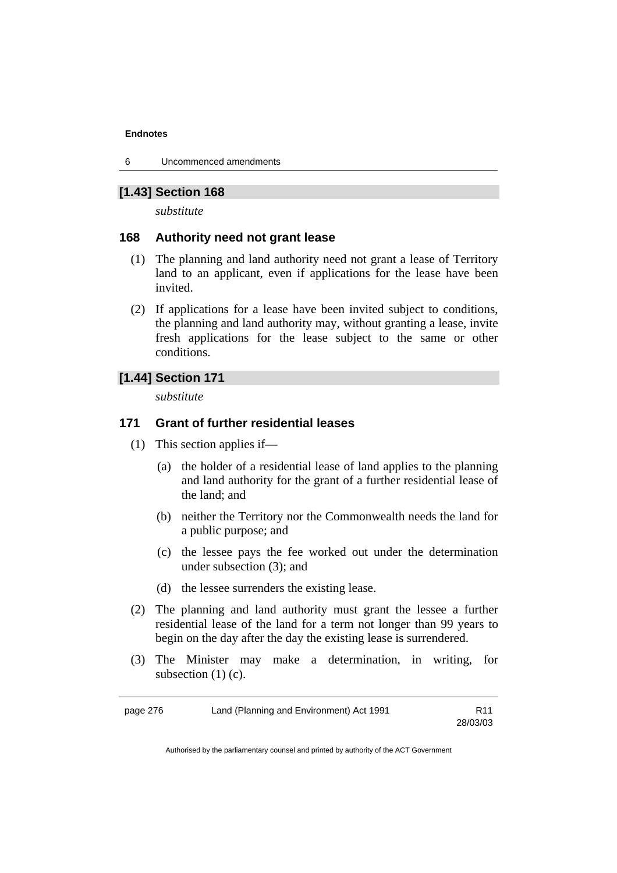6 Uncommenced amendments

#### **[1.43] Section 168**

*substitute* 

## **168 Authority need not grant lease**

- (1) The planning and land authority need not grant a lease of Territory land to an applicant, even if applications for the lease have been invited.
- (2) If applications for a lease have been invited subject to conditions, the planning and land authority may, without granting a lease, invite fresh applications for the lease subject to the same or other conditions.

### **[1.44] Section 171**

*substitute* 

## **171 Grant of further residential leases**

- (1) This section applies if—
	- (a) the holder of a residential lease of land applies to the planning and land authority for the grant of a further residential lease of the land; and
	- (b) neither the Territory nor the Commonwealth needs the land for a public purpose; and
	- (c) the lessee pays the fee worked out under the determination under subsection (3); and
	- (d) the lessee surrenders the existing lease.
- (2) The planning and land authority must grant the lessee a further residential lease of the land for a term not longer than 99 years to begin on the day after the day the existing lease is surrendered.
- (3) The Minister may make a determination, in writing, for subsection  $(1)$  (c).

| page 276 | Land (Planning and Environment) Act 1991 | R <sub>11</sub> |
|----------|------------------------------------------|-----------------|
|          |                                          | 28/03/03        |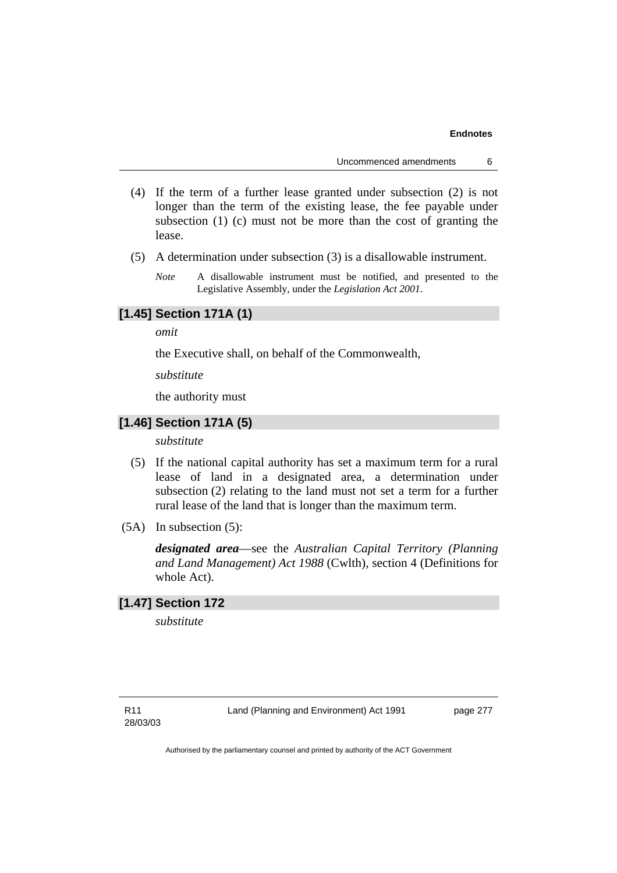- (4) If the term of a further lease granted under subsection (2) is not longer than the term of the existing lease, the fee payable under subsection (1) (c) must not be more than the cost of granting the lease.
- (5) A determination under subsection (3) is a disallowable instrument.
	- *Note* A disallowable instrument must be notified, and presented to the Legislative Assembly, under the *Legislation Act 2001*.

## **[1.45] Section 171A (1)**

*omit* 

the Executive shall, on behalf of the Commonwealth,

*substitute* 

the authority must

#### **[1.46] Section 171A (5)**

*substitute* 

- (5) If the national capital authority has set a maximum term for a rural lease of land in a designated area, a determination under subsection (2) relating to the land must not set a term for a further rural lease of the land that is longer than the maximum term.
- (5A) In subsection (5):

*designated area*—see the *Australian Capital Territory (Planning and Land Management) Act 1988* (Cwlth), section 4 (Definitions for whole Act).

## **[1.47] Section 172**

*substitute* 

R11 28/03/03 Land (Planning and Environment) Act 1991 page 277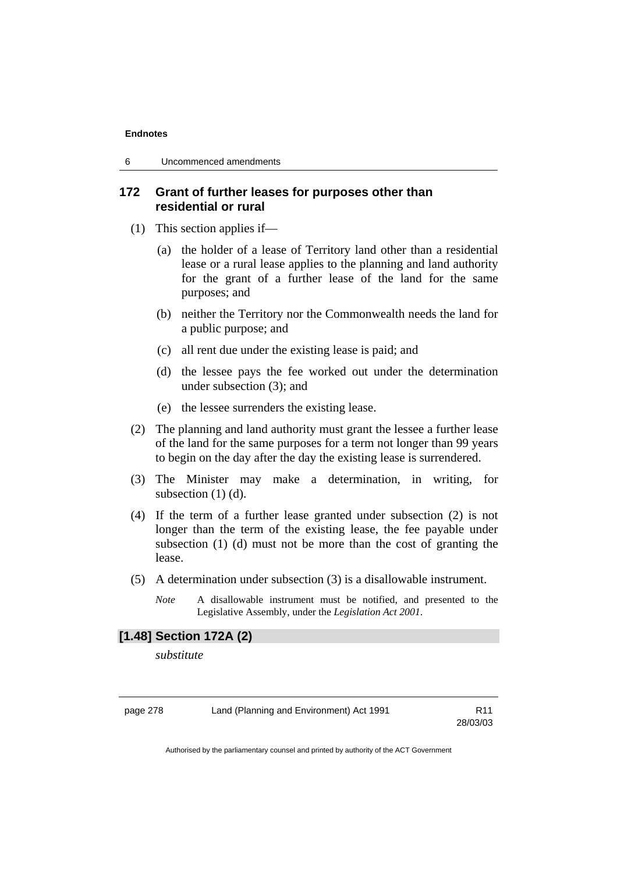## **172 Grant of further leases for purposes other than residential or rural**

- (1) This section applies if—
	- (a) the holder of a lease of Territory land other than a residential lease or a rural lease applies to the planning and land authority for the grant of a further lease of the land for the same purposes; and
	- (b) neither the Territory nor the Commonwealth needs the land for a public purpose; and
	- (c) all rent due under the existing lease is paid; and
	- (d) the lessee pays the fee worked out under the determination under subsection (3); and
	- (e) the lessee surrenders the existing lease.
- (2) The planning and land authority must grant the lessee a further lease of the land for the same purposes for a term not longer than 99 years to begin on the day after the day the existing lease is surrendered.
- (3) The Minister may make a determination, in writing, for subsection (1) (d).
- (4) If the term of a further lease granted under subsection (2) is not longer than the term of the existing lease, the fee payable under subsection (1) (d) must not be more than the cost of granting the lease.
- (5) A determination under subsection (3) is a disallowable instrument.
	- *Note* A disallowable instrument must be notified, and presented to the Legislative Assembly, under the *Legislation Act 2001*.

#### **[1.48] Section 172A (2)**

*substitute* 

page 278 Land (Planning and Environment) Act 1991 R11

28/03/03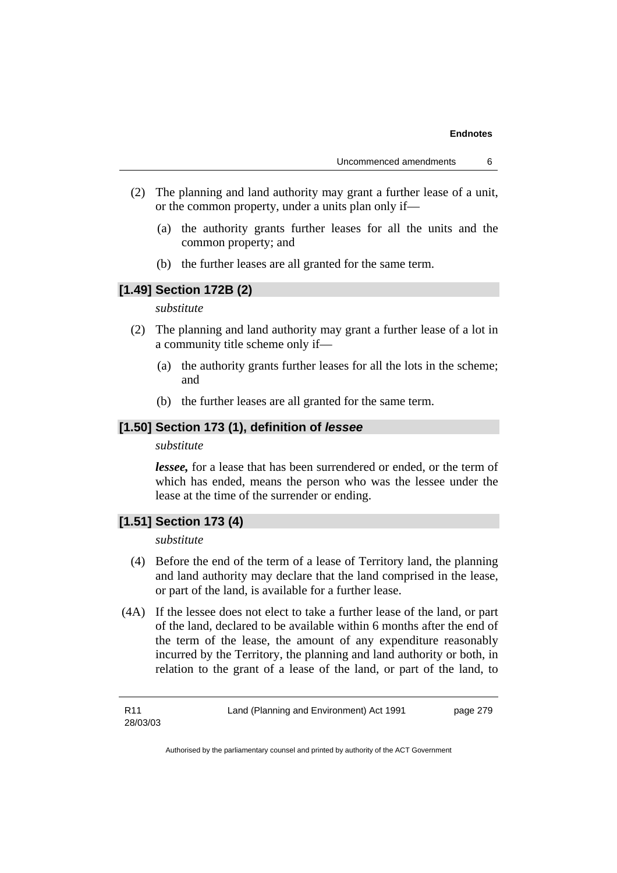- (2) The planning and land authority may grant a further lease of a unit, or the common property, under a units plan only if—
	- (a) the authority grants further leases for all the units and the common property; and
	- (b) the further leases are all granted for the same term.

### **[1.49] Section 172B (2)**

#### *substitute*

- (2) The planning and land authority may grant a further lease of a lot in a community title scheme only if—
	- (a) the authority grants further leases for all the lots in the scheme; and
	- (b) the further leases are all granted for the same term.

## **[1.50] Section 173 (1), definition of** *lessee*

#### *substitute*

*lessee,* for a lease that has been surrendered or ended, or the term of which has ended, means the person who was the lessee under the lease at the time of the surrender or ending.

## **[1.51] Section 173 (4)**

#### *substitute*

- (4) Before the end of the term of a lease of Territory land, the planning and land authority may declare that the land comprised in the lease, or part of the land, is available for a further lease.
- (4A) If the lessee does not elect to take a further lease of the land, or part of the land, declared to be available within 6 months after the end of the term of the lease, the amount of any expenditure reasonably incurred by the Territory, the planning and land authority or both, in relation to the grant of a lease of the land, or part of the land, to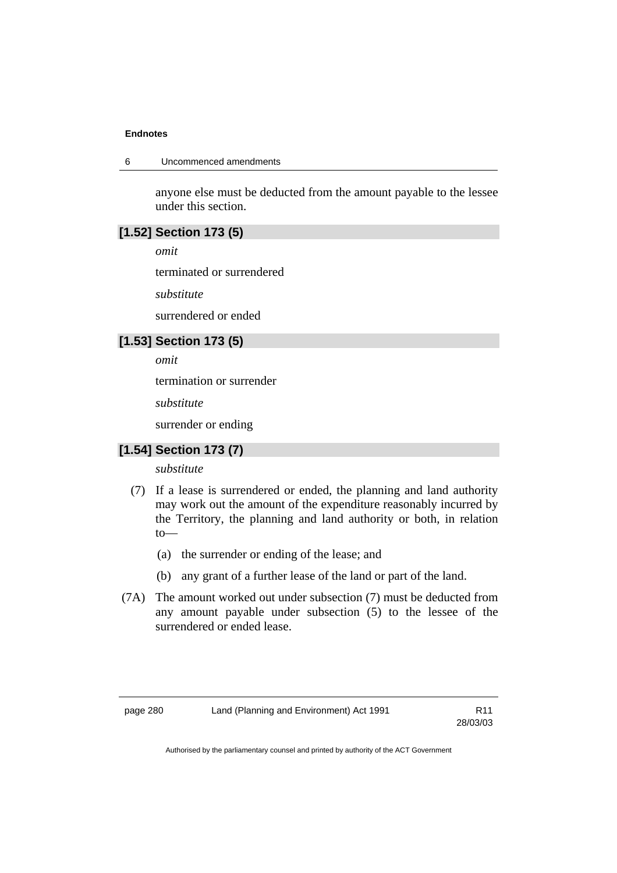6 Uncommenced amendments

anyone else must be deducted from the amount payable to the lessee under this section.

#### **[1.52] Section 173 (5)**

*omit* 

terminated or surrendered

*substitute* 

surrendered or ended

## **[1.53] Section 173 (5)**

*omit* 

termination or surrender

*substitute* 

surrender or ending

#### **[1.54] Section 173 (7)**

*substitute* 

- (7) If a lease is surrendered or ended, the planning and land authority may work out the amount of the expenditure reasonably incurred by the Territory, the planning and land authority or both, in relation to—
	- (a) the surrender or ending of the lease; and
	- (b) any grant of a further lease of the land or part of the land.
- (7A) The amount worked out under subsection (7) must be deducted from any amount payable under subsection (5) to the lessee of the surrendered or ended lease.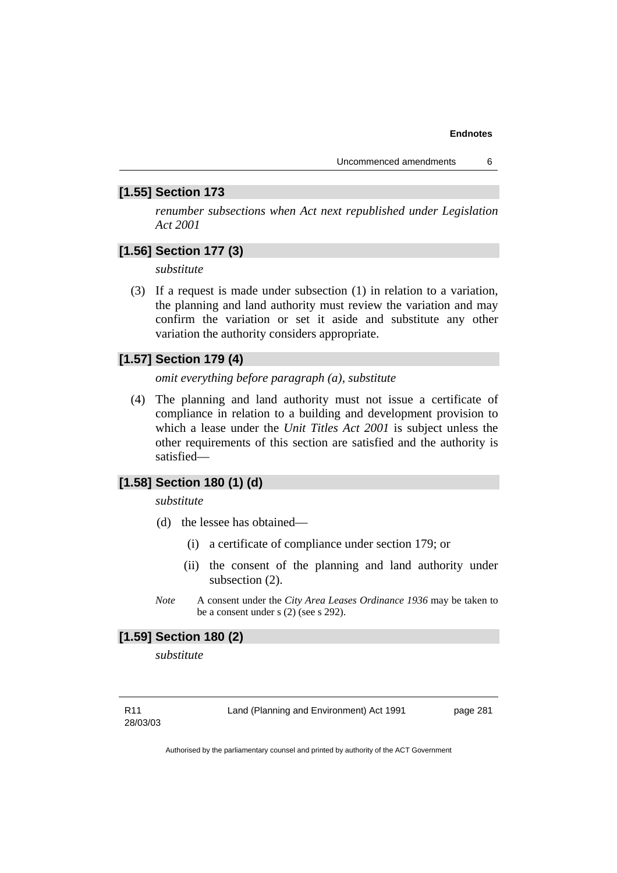#### **[1.55] Section 173**

*renumber subsections when Act next republished under Legislation Act 2001* 

## **[1.56] Section 177 (3)**

*substitute* 

 (3) If a request is made under subsection (1) in relation to a variation, the planning and land authority must review the variation and may confirm the variation or set it aside and substitute any other variation the authority considers appropriate.

#### **[1.57] Section 179 (4)**

*omit everything before paragraph (a), substitute* 

 (4) The planning and land authority must not issue a certificate of compliance in relation to a building and development provision to which a lease under the *Unit Titles Act 2001* is subject unless the other requirements of this section are satisfied and the authority is satisfied—

#### **[1.58] Section 180 (1) (d)**

*substitute* 

- (d) the lessee has obtained—
	- (i) a certificate of compliance under section 179; or
	- (ii) the consent of the planning and land authority under subsection (2).
- *Note* A consent under the *City Area Leases Ordinance 1936* may be taken to be a consent under s (2) (see s 292).

#### **[1.59] Section 180 (2)**

*substitute* 

R11 28/03/03 Land (Planning and Environment) Act 1991 page 281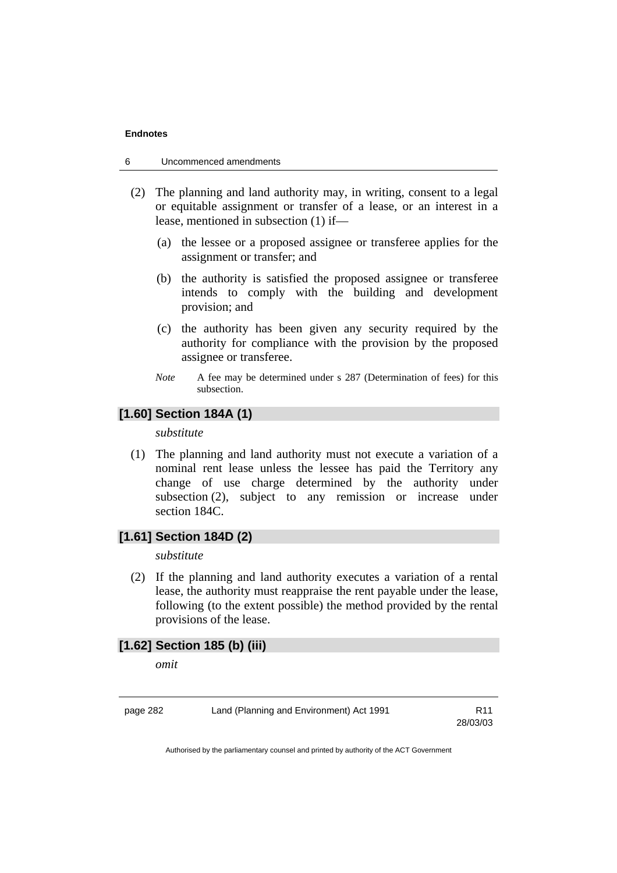#### 6 Uncommenced amendments

- (2) The planning and land authority may, in writing, consent to a legal or equitable assignment or transfer of a lease, or an interest in a lease, mentioned in subsection (1) if—
	- (a) the lessee or a proposed assignee or transferee applies for the assignment or transfer; and
	- (b) the authority is satisfied the proposed assignee or transferee intends to comply with the building and development provision; and
	- (c) the authority has been given any security required by the authority for compliance with the provision by the proposed assignee or transferee.
	- *Note* A fee may be determined under s 287 (Determination of fees) for this subsection.

## **[1.60] Section 184A (1)**

#### *substitute*

 (1) The planning and land authority must not execute a variation of a nominal rent lease unless the lessee has paid the Territory any change of use charge determined by the authority under subsection (2), subject to any remission or increase under section 184C.

## **[1.61] Section 184D (2)**

#### *substitute*

 (2) If the planning and land authority executes a variation of a rental lease, the authority must reappraise the rent payable under the lease, following (to the extent possible) the method provided by the rental provisions of the lease.

## **[1.62] Section 185 (b) (iii)**

*omit* 

page 282 Land (Planning and Environment) Act 1991 R11

28/03/03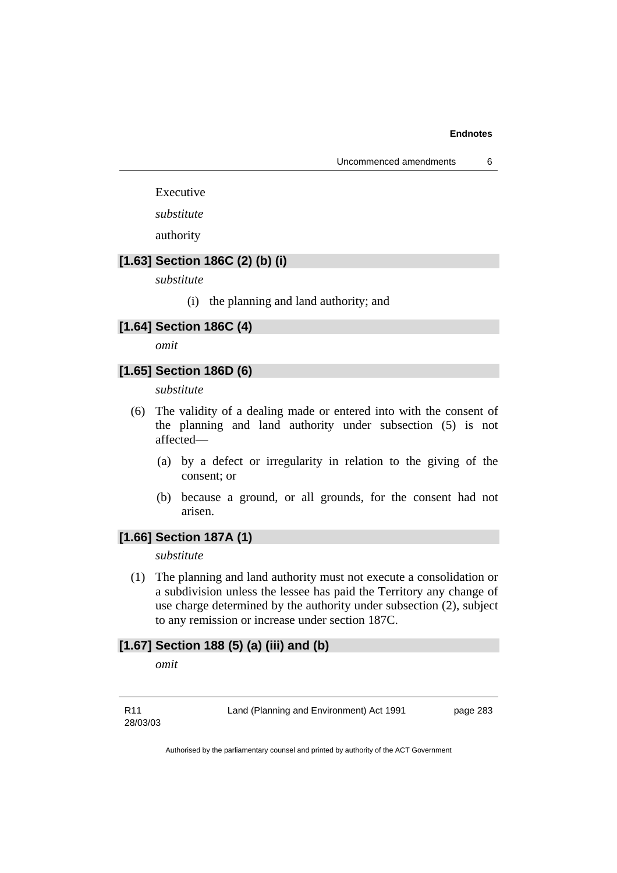Executive

*substitute* 

authority

## **[1.63] Section 186C (2) (b) (i)**

*substitute* 

(i) the planning and land authority; and

## **[1.64] Section 186C (4)**

*omit* 

## **[1.65] Section 186D (6)**

*substitute* 

- (6) The validity of a dealing made or entered into with the consent of the planning and land authority under subsection (5) is not affected—
	- (a) by a defect or irregularity in relation to the giving of the consent; or
	- (b) because a ground, or all grounds, for the consent had not arisen.

## **[1.66] Section 187A (1)**

#### *substitute*

 (1) The planning and land authority must not execute a consolidation or a subdivision unless the lessee has paid the Territory any change of use charge determined by the authority under subsection (2), subject to any remission or increase under section 187C.

## **[1.67] Section 188 (5) (a) (iii) and (b)**

*omit* 

R11 28/03/03 Land (Planning and Environment) Act 1991 page 283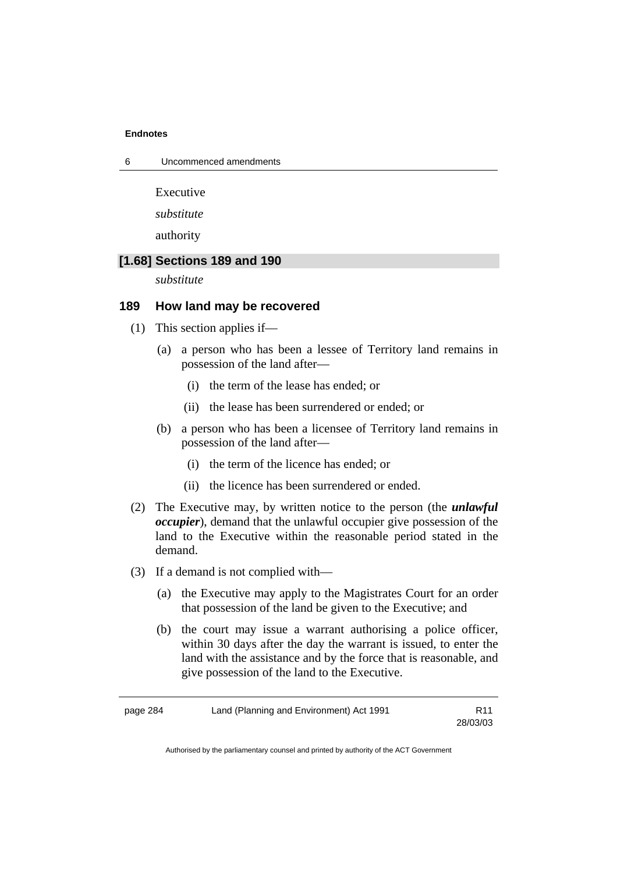6 Uncommenced amendments

Executive

*substitute* 

authority

#### **[1.68] Sections 189 and 190**

*substitute* 

#### **189 How land may be recovered**

- (1) This section applies if—
	- (a) a person who has been a lessee of Territory land remains in possession of the land after—
		- (i) the term of the lease has ended; or
		- (ii) the lease has been surrendered or ended; or
	- (b) a person who has been a licensee of Territory land remains in possession of the land after—
		- (i) the term of the licence has ended; or
		- (ii) the licence has been surrendered or ended.
- (2) The Executive may, by written notice to the person (the *unlawful occupier*), demand that the unlawful occupier give possession of the land to the Executive within the reasonable period stated in the demand.
- (3) If a demand is not complied with—
	- (a) the Executive may apply to the Magistrates Court for an order that possession of the land be given to the Executive; and
	- (b) the court may issue a warrant authorising a police officer, within 30 days after the day the warrant is issued, to enter the land with the assistance and by the force that is reasonable, and give possession of the land to the Executive.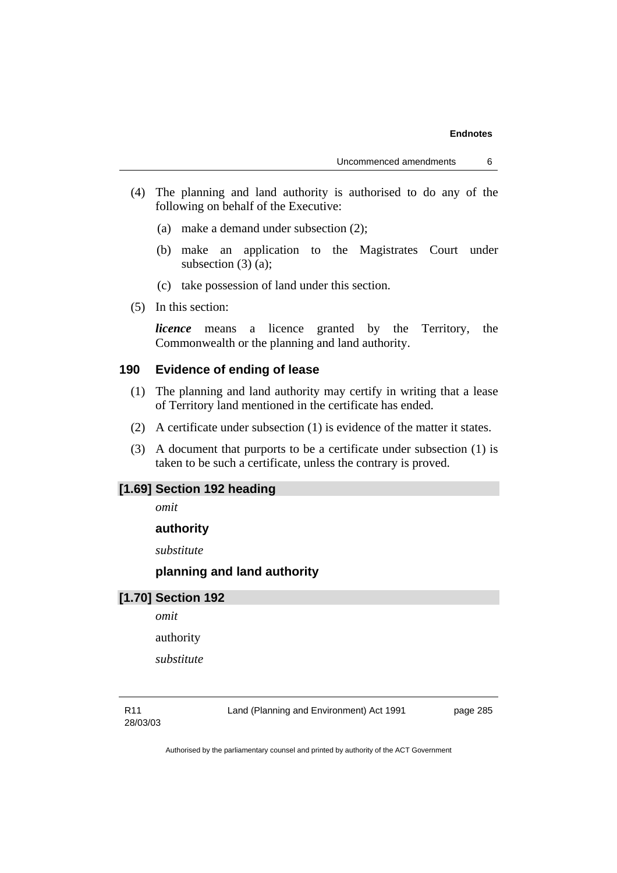- (4) The planning and land authority is authorised to do any of the following on behalf of the Executive:
	- (a) make a demand under subsection (2);
	- (b) make an application to the Magistrates Court under subsection (3) (a);
	- (c) take possession of land under this section.
- (5) In this section:

*licence* means a licence granted by the Territory, the Commonwealth or the planning and land authority.

#### **190 Evidence of ending of lease**

- (1) The planning and land authority may certify in writing that a lease of Territory land mentioned in the certificate has ended.
- (2) A certificate under subsection (1) is evidence of the matter it states.
- (3) A document that purports to be a certificate under subsection (1) is taken to be such a certificate, unless the contrary is proved.

## **[1.69] Section 192 heading**

*omit* 

#### **authority**

*substitute* 

#### **planning and land authority**

#### **[1.70] Section 192**

*omit* 

authority

*substitute* 

R11 28/03/03 Land (Planning and Environment) Act 1991 page 285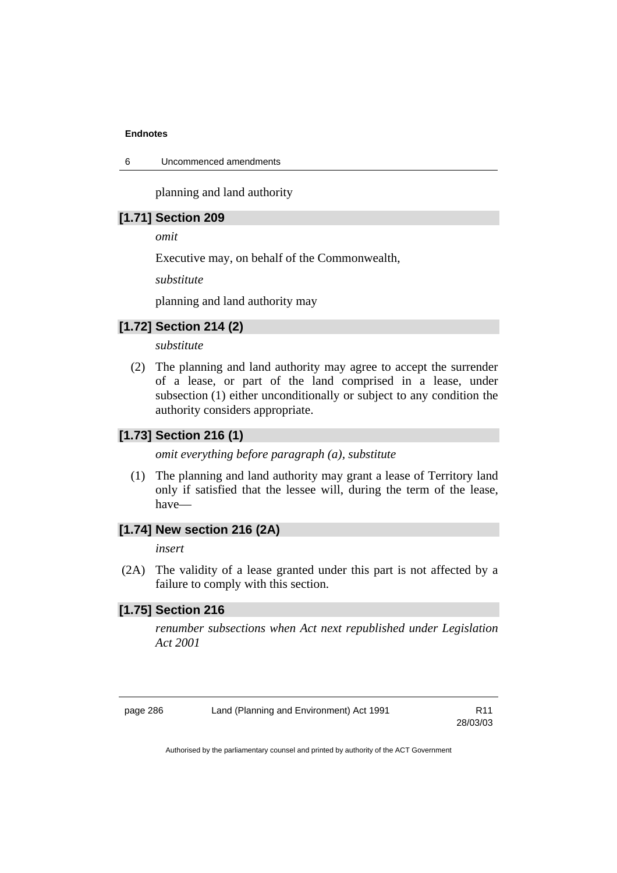6 Uncommenced amendments

planning and land authority

#### **[1.71] Section 209**

*omit* 

Executive may, on behalf of the Commonwealth,

*substitute* 

planning and land authority may

## **[1.72] Section 214 (2)**

*substitute* 

 (2) The planning and land authority may agree to accept the surrender of a lease, or part of the land comprised in a lease, under subsection (1) either unconditionally or subject to any condition the authority considers appropriate.

#### **[1.73] Section 216 (1)**

*omit everything before paragraph (a), substitute* 

 (1) The planning and land authority may grant a lease of Territory land only if satisfied that the lessee will, during the term of the lease, have—

## **[1.74] New section 216 (2A)**

#### *insert*

 (2A) The validity of a lease granted under this part is not affected by a failure to comply with this section.

#### **[1.75] Section 216**

*renumber subsections when Act next republished under Legislation Act 2001* 

page 286 Land (Planning and Environment) Act 1991 R11

28/03/03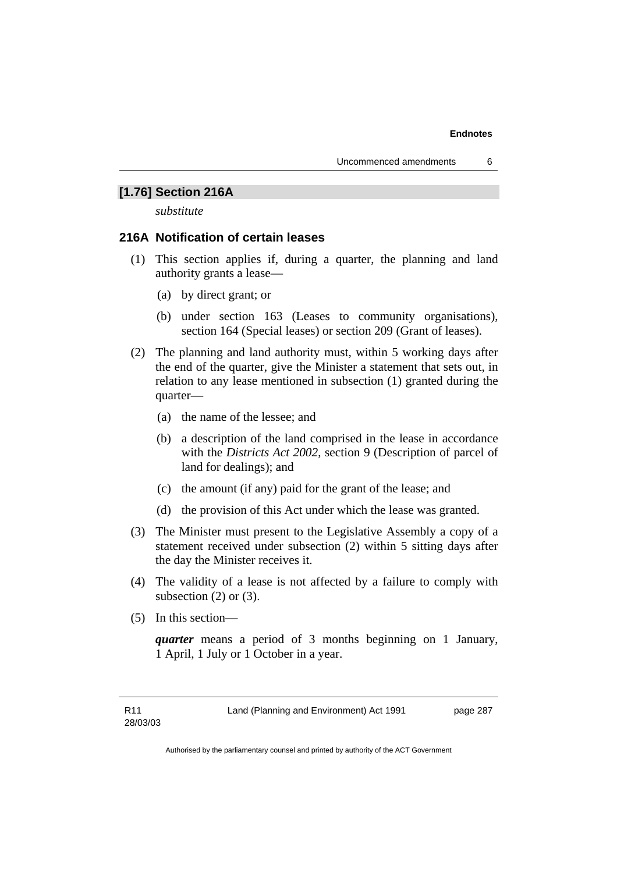#### **[1.76] Section 216A**

*substitute* 

## **216A Notification of certain leases**

- (1) This section applies if, during a quarter, the planning and land authority grants a lease—
	- (a) by direct grant; or
	- (b) under section 163 (Leases to community organisations), section 164 (Special leases) or section 209 (Grant of leases).
- (2) The planning and land authority must, within 5 working days after the end of the quarter, give the Minister a statement that sets out, in relation to any lease mentioned in subsection (1) granted during the quarter—
	- (a) the name of the lessee; and
	- (b) a description of the land comprised in the lease in accordance with the *Districts Act 2002*, section 9 (Description of parcel of land for dealings); and
	- (c) the amount (if any) paid for the grant of the lease; and
	- (d) the provision of this Act under which the lease was granted.
- (3) The Minister must present to the Legislative Assembly a copy of a statement received under subsection (2) within 5 sitting days after the day the Minister receives it.
- (4) The validity of a lease is not affected by a failure to comply with subsection (2) or (3).
- (5) In this section—

*quarter* means a period of 3 months beginning on 1 January, 1 April, 1 July or 1 October in a year.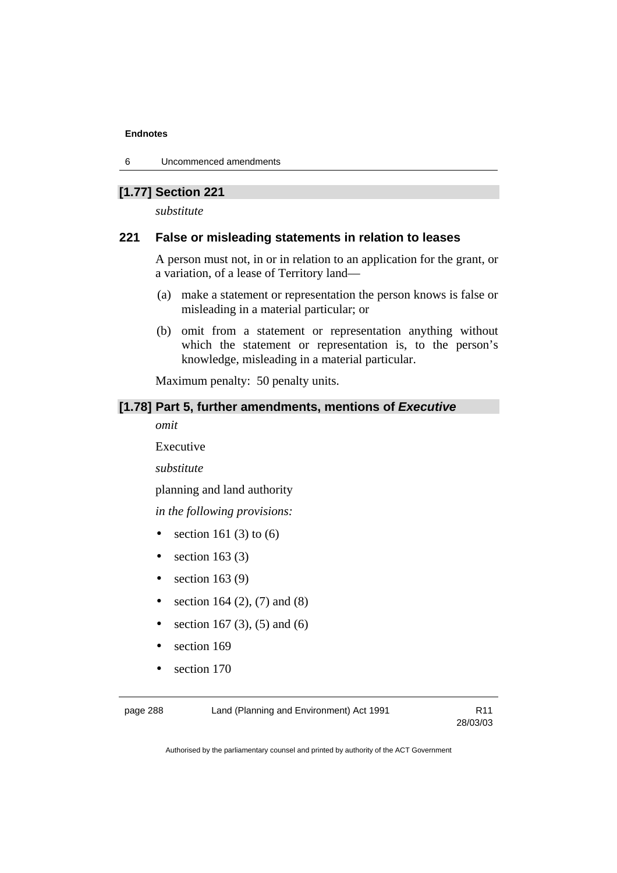6 Uncommenced amendments

#### **[1.77] Section 221**

*substitute* 

#### **221 False or misleading statements in relation to leases**

A person must not, in or in relation to an application for the grant, or a variation, of a lease of Territory land—

- (a) make a statement or representation the person knows is false or misleading in a material particular; or
- (b) omit from a statement or representation anything without which the statement or representation is, to the person's knowledge, misleading in a material particular.

Maximum penalty: 50 penalty units.

#### **[1.78] Part 5, further amendments, mentions of** *Executive*

*omit* 

Executive

*substitute* 

planning and land authority

*in the following provisions:* 

- section 161 $(3)$  to  $(6)$
- section  $163(3)$
- section  $163(9)$
- section 164  $(2)$ ,  $(7)$  and  $(8)$
- section 167 $(3)$ ,  $(5)$  and  $(6)$
- section 169
- section 170

page 288 Land (Planning and Environment) Act 1991 R11

28/03/03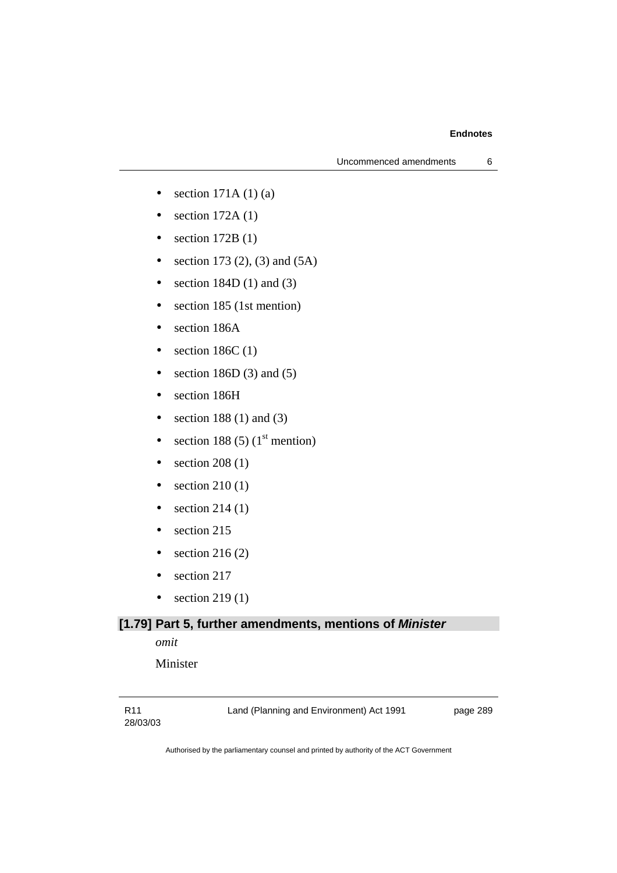- section  $171A(1)(a)$
- section  $172A(1)$
- section  $172B(1)$
- section 173 (2), (3) and  $(5A)$
- section  $184D(1)$  and  $(3)$
- section 185 (1st mention)
- section 186A
- section  $186C(1)$
- section 186D (3) and (5)
- section 186H
- section 188 (1) and (3)
- section 188 (5) ( $1<sup>st</sup>$  mention)
- section  $208(1)$
- section  $210(1)$
- section  $214(1)$
- section 215
- section  $216(2)$
- section 217
- section  $219(1)$

## **[1.79] Part 5, further amendments, mentions of** *Minister*

#### *omit*

Minister

R11 28/03/03 Land (Planning and Environment) Act 1991 page 289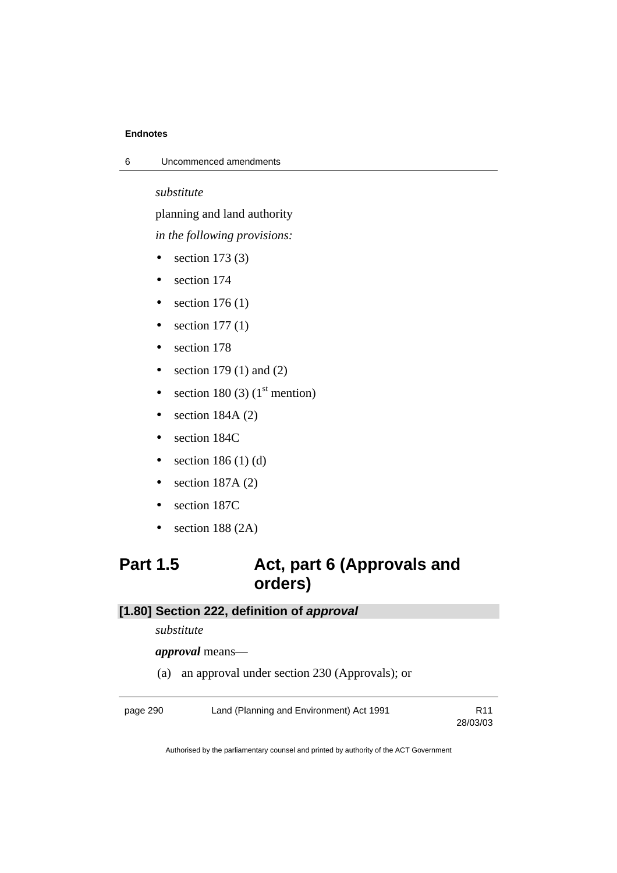6 Uncommenced amendments

## *substitute*

planning and land authority

*in the following provisions:* 

- section  $173(3)$
- section 174
- section  $176(1)$
- section  $177(1)$
- section 178
- section 179 $(1)$  and  $(2)$
- section 180 (3)  $(1<sup>st</sup>$  mention)
- section  $184A(2)$
- section 184C
- section  $186 (1) (d)$
- section  $187A(2)$
- section 187C
- section  $188$  (2A)

# Part 1.5 **Act, part 6 (Approvals and orders)**

## **[1.80] Section 222, definition of** *approval*

## *substitute*

*approval* means—

(a) an approval under section 230 (Approvals); or

| page 290 | Land (Planning and Environment) Act 1991 | R <sub>11</sub> |
|----------|------------------------------------------|-----------------|
|          |                                          | 28/03/03        |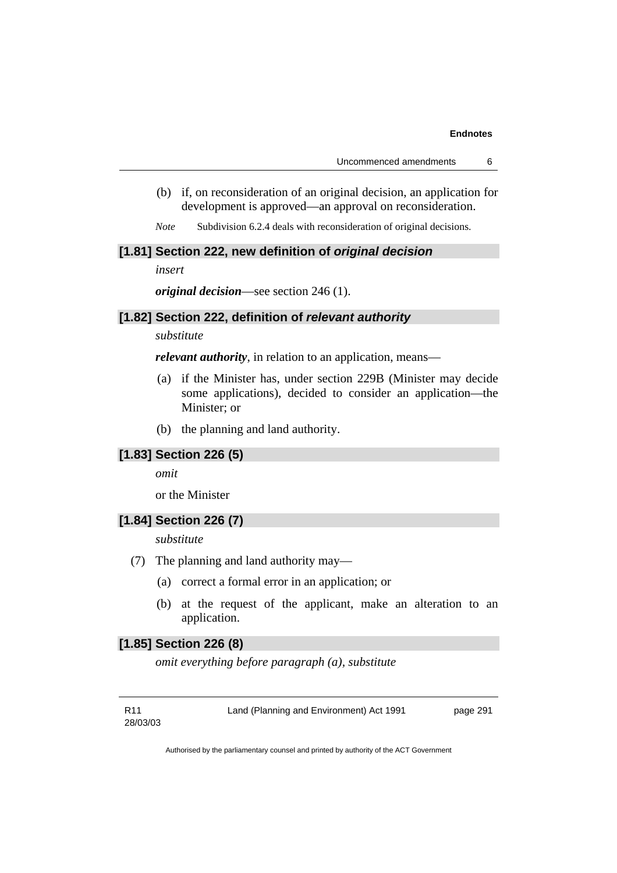- (b) if, on reconsideration of an original decision, an application for development is approved—an approval on reconsideration.
- *Note* Subdivision 6.2.4 deals with reconsideration of original decisions.

#### **[1.81] Section 222, new definition of** *original decision*

*insert* 

*original decision*—see section 246 (1).

#### **[1.82] Section 222, definition of** *relevant authority*

*substitute* 

*relevant authority*, in relation to an application, means—

- (a) if the Minister has, under section 229B (Minister may decide some applications), decided to consider an application—the Minister; or
- (b) the planning and land authority.

#### **[1.83] Section 226 (5)**

*omit* 

or the Minister

## **[1.84] Section 226 (7)**

#### *substitute*

- (7) The planning and land authority may—
	- (a) correct a formal error in an application; or
	- (b) at the request of the applicant, make an alteration to an application.

## **[1.85] Section 226 (8)**

*omit everything before paragraph (a), substitute* 

R11 28/03/03 Land (Planning and Environment) Act 1991 page 291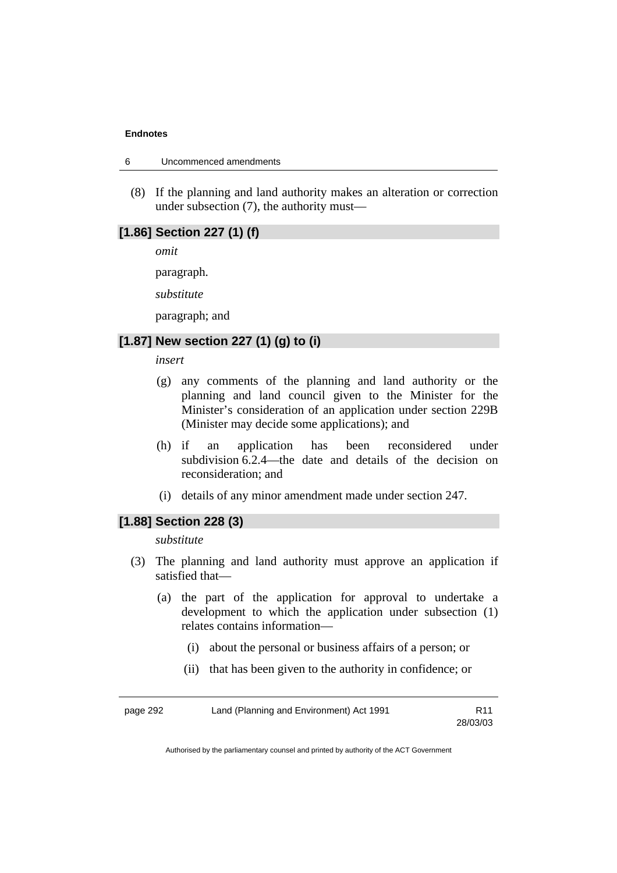- 6 Uncommenced amendments
- (8) If the planning and land authority makes an alteration or correction under subsection (7), the authority must—

## **[1.86] Section 227 (1) (f)**

*omit* 

paragraph.

*substitute* 

paragraph; and

## **[1.87] New section 227 (1) (g) to (i)**

#### *insert*

- (g) any comments of the planning and land authority or the planning and land council given to the Minister for the Minister's consideration of an application under section 229B (Minister may decide some applications); and
- (h) if an application has been reconsidered under subdivision 6.2.4—the date and details of the decision on reconsideration; and
- (i) details of any minor amendment made under section 247.

#### **[1.88] Section 228 (3)**

#### *substitute*

- (3) The planning and land authority must approve an application if satisfied that—
	- (a) the part of the application for approval to undertake a development to which the application under subsection (1) relates contains information—
		- (i) about the personal or business affairs of a person; or
		- (ii) that has been given to the authority in confidence; or

| page 292 | Land (Planning and Environment) Act 1991 | R <sub>11</sub> |
|----------|------------------------------------------|-----------------|
|          |                                          | 28/03/03        |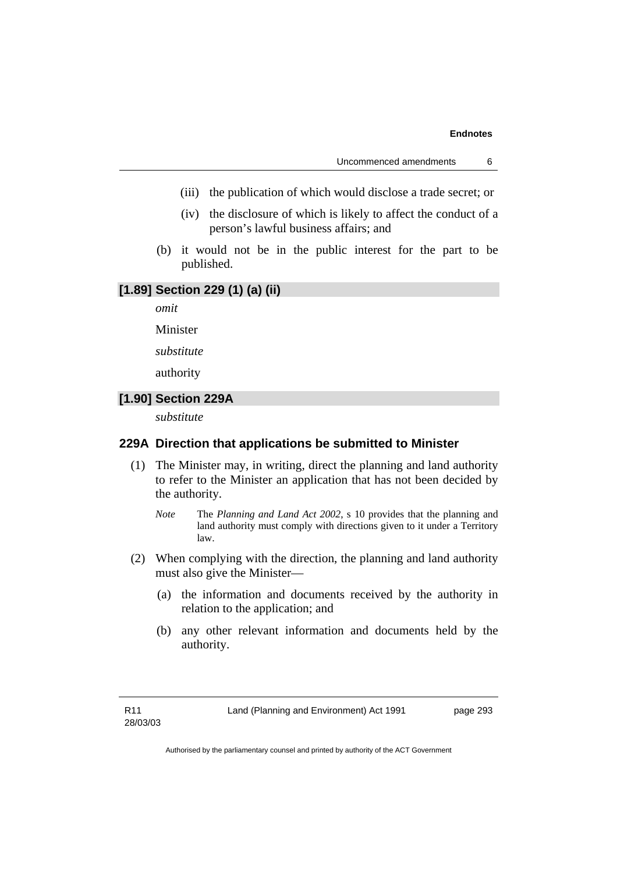- (iii) the publication of which would disclose a trade secret; or
- (iv) the disclosure of which is likely to affect the conduct of a person's lawful business affairs; and
- (b) it would not be in the public interest for the part to be published.

#### **[1.89] Section 229 (1) (a) (ii)**

*omit* 

Minister

*substitute* 

authority

#### **[1.90] Section 229A**

*substitute* 

#### **229A Direction that applications be submitted to Minister**

- (1) The Minister may, in writing, direct the planning and land authority to refer to the Minister an application that has not been decided by the authority.
	- *Note* The *Planning and Land Act 2002*, s 10 provides that the planning and land authority must comply with directions given to it under a Territory law.
- (2) When complying with the direction, the planning and land authority must also give the Minister—
	- (a) the information and documents received by the authority in relation to the application; and
	- (b) any other relevant information and documents held by the authority.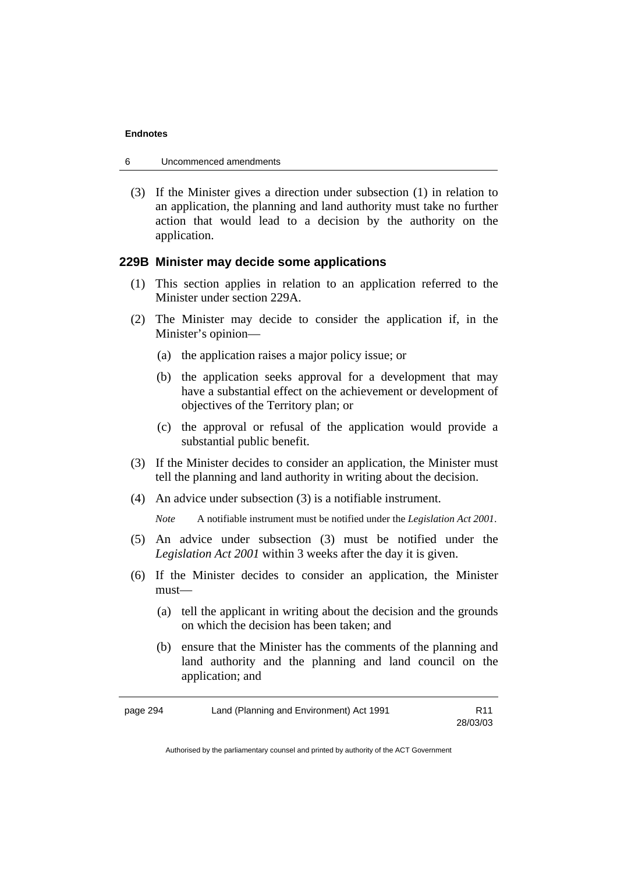- 6 Uncommenced amendments
- (3) If the Minister gives a direction under subsection (1) in relation to an application, the planning and land authority must take no further action that would lead to a decision by the authority on the application.

#### **229B Minister may decide some applications**

- (1) This section applies in relation to an application referred to the Minister under section 229A.
- (2) The Minister may decide to consider the application if, in the Minister's opinion—
	- (a) the application raises a major policy issue; or
	- (b) the application seeks approval for a development that may have a substantial effect on the achievement or development of objectives of the Territory plan; or
	- (c) the approval or refusal of the application would provide a substantial public benefit.
- (3) If the Minister decides to consider an application, the Minister must tell the planning and land authority in writing about the decision.
- (4) An advice under subsection (3) is a notifiable instrument.

*Note* A notifiable instrument must be notified under the *Legislation Act 2001*.

- (5) An advice under subsection (3) must be notified under the *Legislation Act 2001* within 3 weeks after the day it is given.
- (6) If the Minister decides to consider an application, the Minister must—
	- (a) tell the applicant in writing about the decision and the grounds on which the decision has been taken; and
	- (b) ensure that the Minister has the comments of the planning and land authority and the planning and land council on the application; and

| page 294 | Land (Planning and Environment) Act 1991 | R11      |
|----------|------------------------------------------|----------|
|          |                                          | 28/03/03 |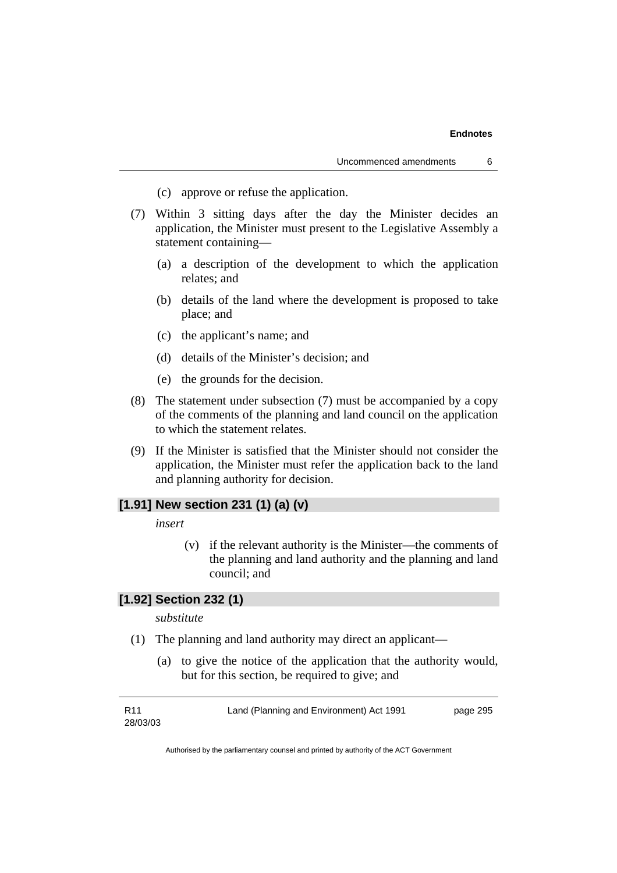- (c) approve or refuse the application.
- (7) Within 3 sitting days after the day the Minister decides an application, the Minister must present to the Legislative Assembly a statement containing—
	- (a) a description of the development to which the application relates; and
	- (b) details of the land where the development is proposed to take place; and
	- (c) the applicant's name; and
	- (d) details of the Minister's decision; and
	- (e) the grounds for the decision.
- (8) The statement under subsection (7) must be accompanied by a copy of the comments of the planning and land council on the application to which the statement relates.
- (9) If the Minister is satisfied that the Minister should not consider the application, the Minister must refer the application back to the land and planning authority for decision.

### **[1.91] New section 231 (1) (a) (v)**

*insert* 

 (v) if the relevant authority is the Minister—the comments of the planning and land authority and the planning and land council; and

## **[1.92] Section 232 (1)**

#### *substitute*

- (1) The planning and land authority may direct an applicant—
	- (a) to give the notice of the application that the authority would, but for this section, be required to give; and

| R11      | Land (Planning and Environment) Act 1991 | page 295 |
|----------|------------------------------------------|----------|
| 28/03/03 |                                          |          |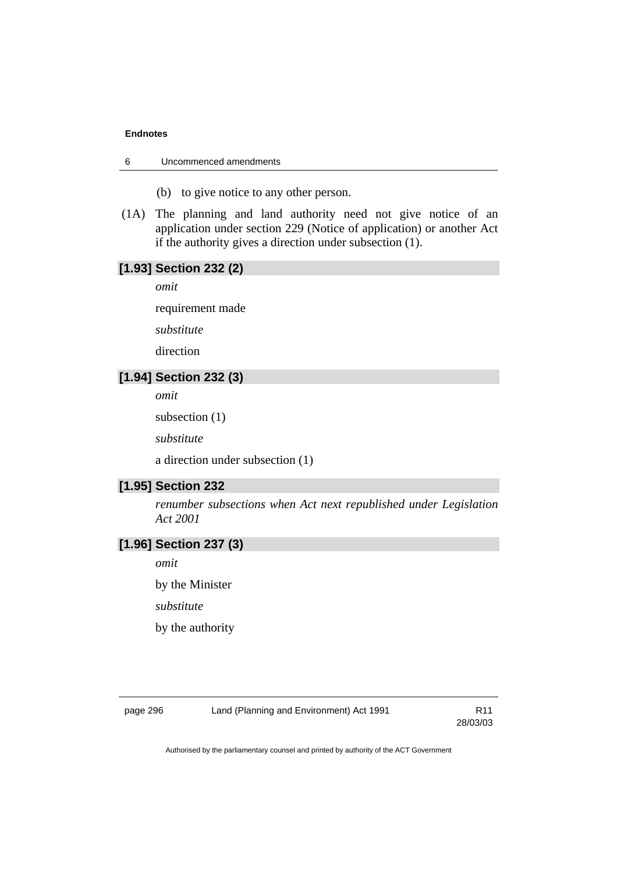#### 6 Uncommenced amendments

- (b) to give notice to any other person.
- (1A) The planning and land authority need not give notice of an application under section 229 (Notice of application) or another Act if the authority gives a direction under subsection (1).

## **[1.93] Section 232 (2)**

*omit* 

requirement made

*substitute* 

direction

## **[1.94] Section 232 (3)**

*omit* 

subsection (1)

*substitute* 

a direction under subsection (1)

#### **[1.95] Section 232**

*renumber subsections when Act next republished under Legislation Act 2001* 

## **[1.96] Section 237 (3)**

*omit* 

by the Minister

*substitute* 

by the authority

page 296 Land (Planning and Environment) Act 1991 R11

28/03/03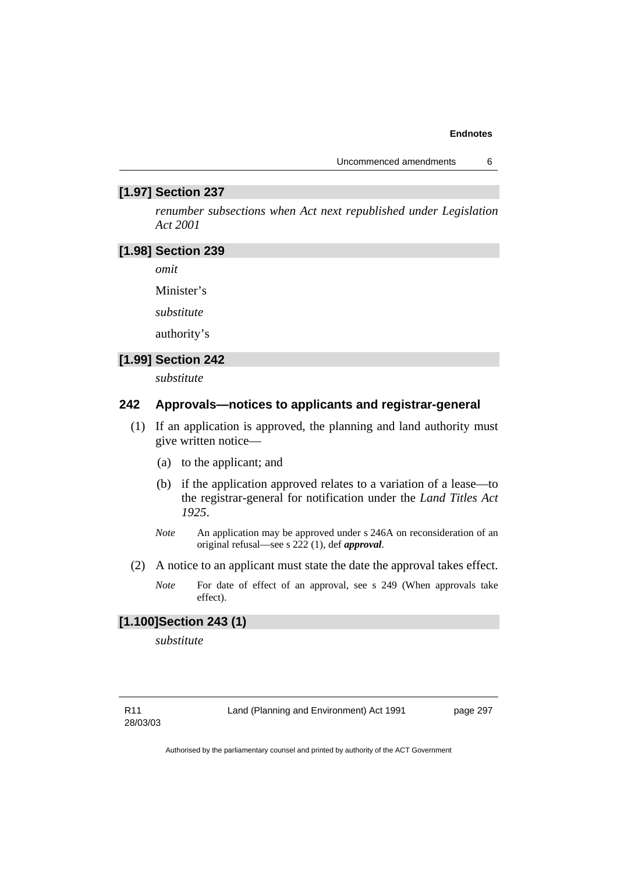#### **[1.97] Section 237**

*renumber subsections when Act next republished under Legislation Act 2001* 

#### **[1.98] Section 239**

*omit* 

Minister's

*substitute* 

authority's

#### **[1.99] Section 242**

*substitute* 

#### **242 Approvals—notices to applicants and registrar-general**

- (1) If an application is approved, the planning and land authority must give written notice—
	- (a) to the applicant; and
	- (b) if the application approved relates to a variation of a lease—to the registrar-general for notification under the *Land Titles Act 1925*.
	- *Note* An application may be approved under s 246A on reconsideration of an original refusal—see s 222 (1), def *approval*.
- (2) A notice to an applicant must state the date the approval takes effect.
	- *Note* For date of effect of an approval, see s 249 (When approvals take effect).

## **[1.100]Section 243 (1)**

*substitute* 

R11 28/03/03 Land (Planning and Environment) Act 1991 page 297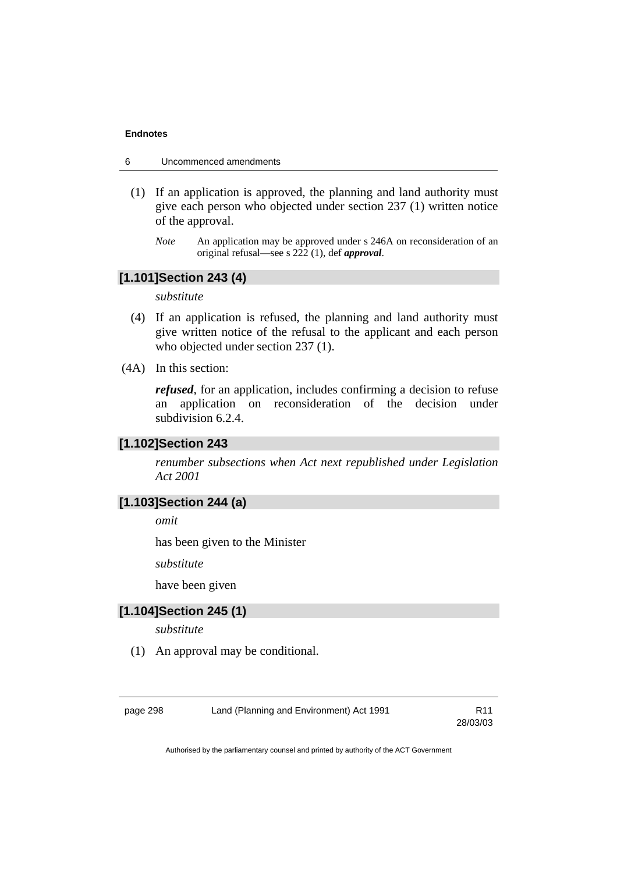- 6 Uncommenced amendments
- (1) If an application is approved, the planning and land authority must give each person who objected under section 237 (1) written notice of the approval.
	- *Note* An application may be approved under s 246A on reconsideration of an original refusal—see s 222 (1), def *approval*.

### **[1.101]Section 243 (4)**

*substitute* 

- (4) If an application is refused, the planning and land authority must give written notice of the refusal to the applicant and each person who objected under section 237 (1).
- (4A) In this section:

*refused*, for an application, includes confirming a decision to refuse an application on reconsideration of the decision under subdivision 6.2.4.

#### **[1.102]Section 243**

*renumber subsections when Act next republished under Legislation Act 2001* 

## **[1.103]Section 244 (a)**

*omit* 

has been given to the Minister

*substitute* 

have been given

## **[1.104]Section 245 (1)**

*substitute* 

(1) An approval may be conditional.

page 298 Land (Planning and Environment) Act 1991 R11

28/03/03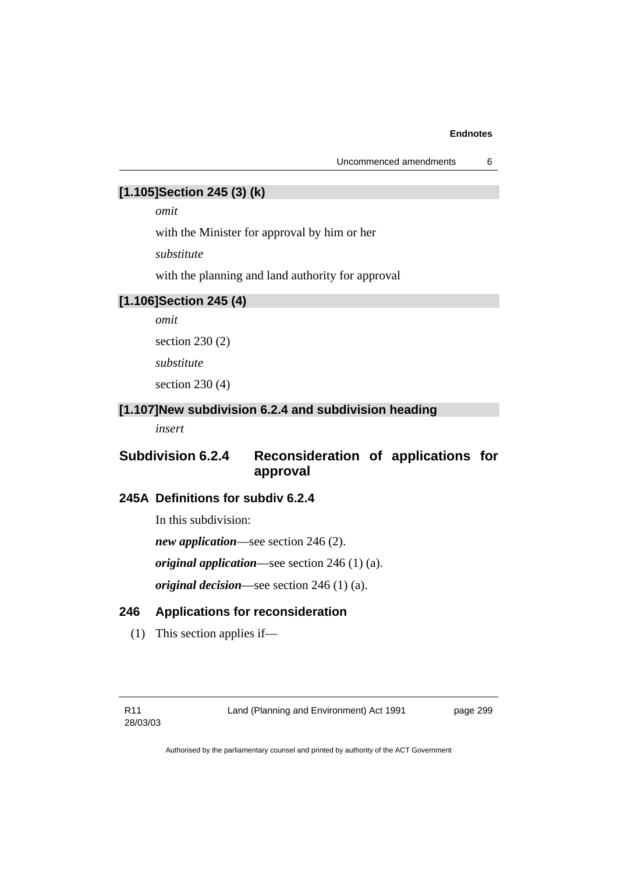## **[1.105]Section 245 (3) (k)**

*omit* 

with the Minister for approval by him or her

*substitute* 

with the planning and land authority for approval

## **[1.106]Section 245 (4)**

*omit* 

section 230 (2)

*substitute* 

section 230 (4)

# **[1.107]New subdivision 6.2.4 and subdivision heading**

*insert* 

## **Subdivision 6.2.4 Reconsideration of applications for approval**

## **245A Definitions for subdiv 6.2.4**

In this subdivision:

*new application*—see section 246 (2).

*original application*—see section 246 (1) (a).

*original decision*—see section 246 (1) (a).

## **246 Applications for reconsideration**

(1) This section applies if—

R11 28/03/03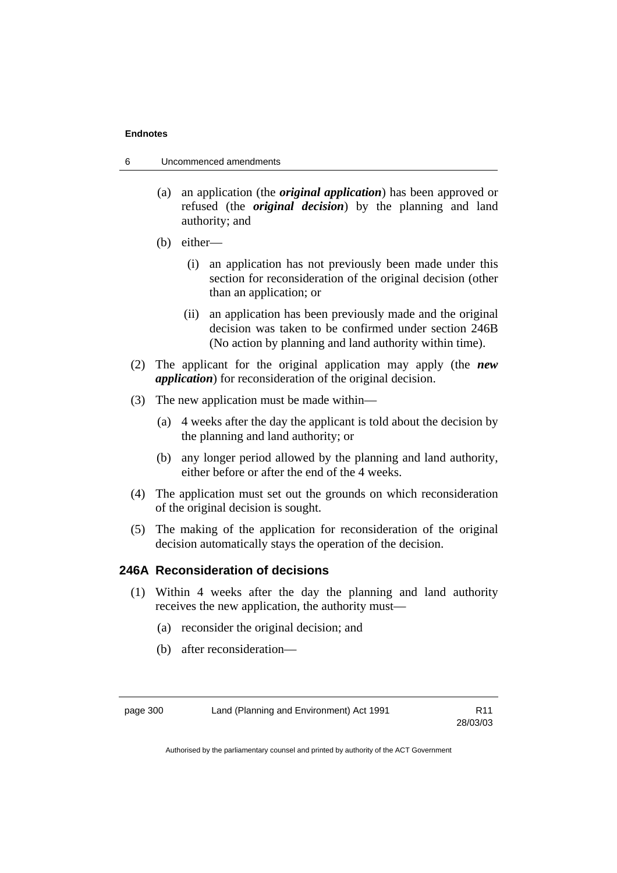- 6 Uncommenced amendments
	- (a) an application (the *original application*) has been approved or refused (the *original decision*) by the planning and land authority; and
	- (b) either—
		- (i) an application has not previously been made under this section for reconsideration of the original decision (other than an application; or
		- (ii) an application has been previously made and the original decision was taken to be confirmed under section 246B (No action by planning and land authority within time).
	- (2) The applicant for the original application may apply (the *new application*) for reconsideration of the original decision.
- (3) The new application must be made within—
	- (a) 4 weeks after the day the applicant is told about the decision by the planning and land authority; or
	- (b) any longer period allowed by the planning and land authority, either before or after the end of the 4 weeks.
- (4) The application must set out the grounds on which reconsideration of the original decision is sought.
- (5) The making of the application for reconsideration of the original decision automatically stays the operation of the decision.

### **246A Reconsideration of decisions**

- (1) Within 4 weeks after the day the planning and land authority receives the new application, the authority must—
	- (a) reconsider the original decision; and
	- (b) after reconsideration—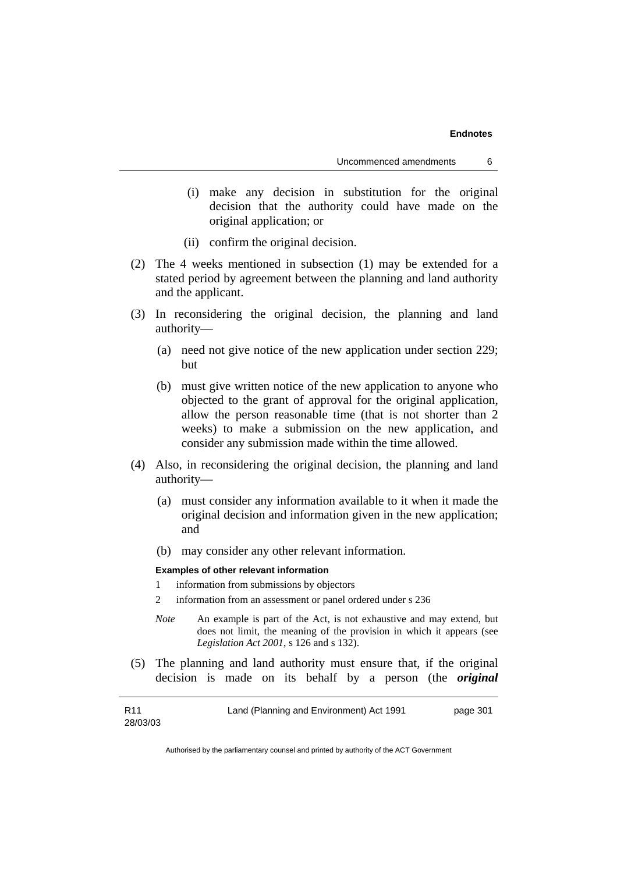- (i) make any decision in substitution for the original decision that the authority could have made on the original application; or
- (ii) confirm the original decision.
- (2) The 4 weeks mentioned in subsection (1) may be extended for a stated period by agreement between the planning and land authority and the applicant.
- (3) In reconsidering the original decision, the planning and land authority—
	- (a) need not give notice of the new application under section 229; but
	- (b) must give written notice of the new application to anyone who objected to the grant of approval for the original application, allow the person reasonable time (that is not shorter than 2 weeks) to make a submission on the new application, and consider any submission made within the time allowed.
- (4) Also, in reconsidering the original decision, the planning and land authority—
	- (a) must consider any information available to it when it made the original decision and information given in the new application; and
	- (b) may consider any other relevant information.

#### **Examples of other relevant information**

- 1 information from submissions by objectors
- 2 information from an assessment or panel ordered under s 236
- *Note* An example is part of the Act, is not exhaustive and may extend, but does not limit, the meaning of the provision in which it appears (see *Legislation Act 2001*, s 126 and s 132).
- (5) The planning and land authority must ensure that, if the original decision is made on its behalf by a person (the *original*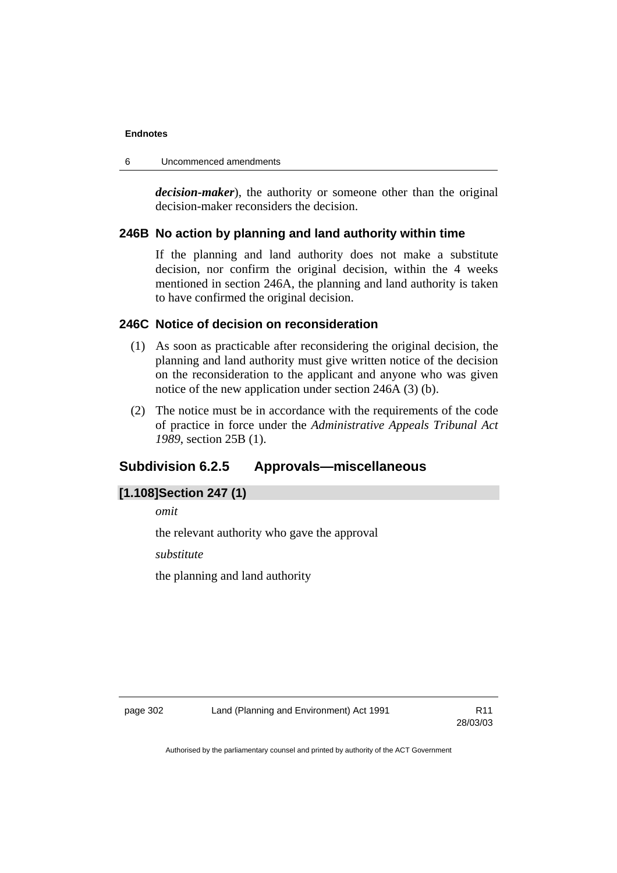6 Uncommenced amendments

*decision-maker*), the authority or someone other than the original decision-maker reconsiders the decision.

### **246B No action by planning and land authority within time**

If the planning and land authority does not make a substitute decision, nor confirm the original decision, within the 4 weeks mentioned in section 246A, the planning and land authority is taken to have confirmed the original decision.

#### **246C Notice of decision on reconsideration**

- (1) As soon as practicable after reconsidering the original decision, the planning and land authority must give written notice of the decision on the reconsideration to the applicant and anyone who was given notice of the new application under section 246A (3) (b).
- (2) The notice must be in accordance with the requirements of the code of practice in force under the *Administrative Appeals Tribunal Act 1989*, section 25B (1).

## **Subdivision 6.2.5 Approvals—miscellaneous**

## **[1.108]Section 247 (1)**

*omit* 

the relevant authority who gave the approval

*substitute* 

the planning and land authority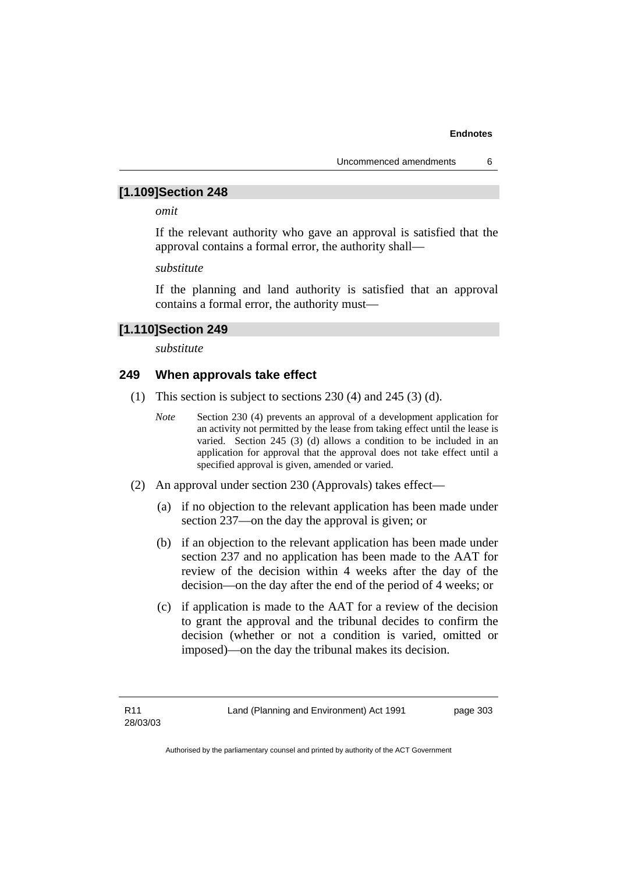#### **[1.109]Section 248**

#### *omit*

If the relevant authority who gave an approval is satisfied that the approval contains a formal error, the authority shall—

#### *substitute*

If the planning and land authority is satisfied that an approval contains a formal error, the authority must—

## **[1.110]Section 249**

*substitute* 

#### **249 When approvals take effect**

- (1) This section is subject to sections 230 (4) and 245 (3) (d).
	- *Note* Section 230 (4) prevents an approval of a development application for an activity not permitted by the lease from taking effect until the lease is varied. Section 245 (3) (d) allows a condition to be included in an application for approval that the approval does not take effect until a specified approval is given, amended or varied.
- (2) An approval under section 230 (Approvals) takes effect—
	- (a) if no objection to the relevant application has been made under section 237—on the day the approval is given; or
	- (b) if an objection to the relevant application has been made under section 237 and no application has been made to the AAT for review of the decision within 4 weeks after the day of the decision—on the day after the end of the period of 4 weeks; or
	- (c) if application is made to the AAT for a review of the decision to grant the approval and the tribunal decides to confirm the decision (whether or not a condition is varied, omitted or imposed)—on the day the tribunal makes its decision.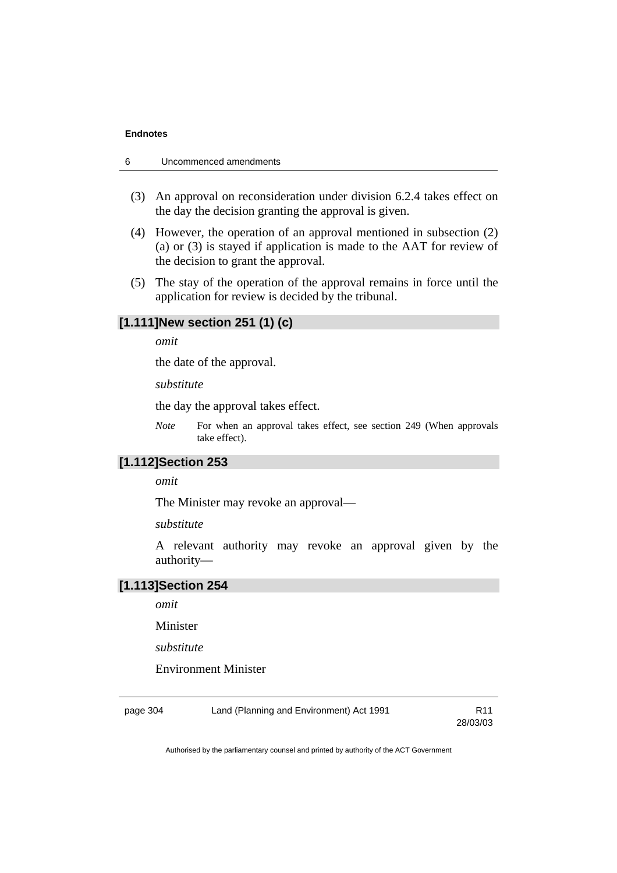#### 6 Uncommenced amendments

- (3) An approval on reconsideration under division 6.2.4 takes effect on the day the decision granting the approval is given.
- (4) However, the operation of an approval mentioned in subsection (2) (a) or (3) is stayed if application is made to the AAT for review of the decision to grant the approval.
- (5) The stay of the operation of the approval remains in force until the application for review is decided by the tribunal.

## **[1.111]New section 251 (1) (c)**

#### *omit*

the date of the approval.

*substitute* 

the day the approval takes effect.

*Note* For when an approval takes effect, see section 249 (When approvals take effect).

## **[1.112]Section 253**

*omit* 

The Minister may revoke an approval—

*substitute* 

A relevant authority may revoke an approval given by the authority—

## **[1.113]Section 254**

*omit* 

Minister

*substitute* 

Environment Minister

page 304 Land (Planning and Environment) Act 1991 R11

28/03/03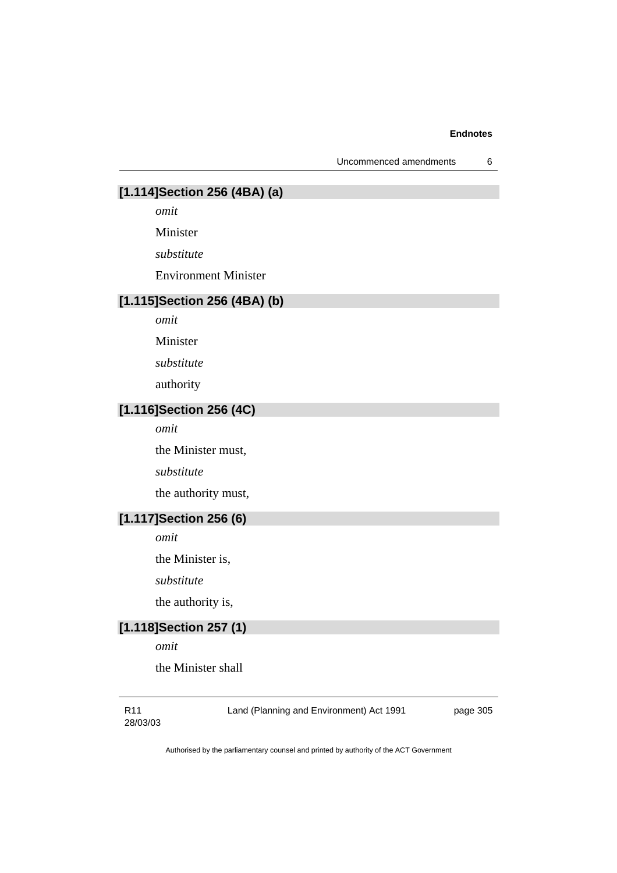## **[1.114]Section 256 (4BA) (a)**

*omit* 

Minister

*substitute* 

Environment Minister

## **[1.115]Section 256 (4BA) (b)**

*omit* 

Minister

*substitute* 

authority

## **[1.116]Section 256 (4C)**

*omit* 

the Minister must,

*substitute* 

the authority must,

## **[1.117]Section 256 (6)**

*omit* 

the Minister is,

*substitute* 

the authority is,

## **[1.118]Section 257 (1)**

*omit* 

the Minister shall

R11 28/03/03 Land (Planning and Environment) Act 1991 page 305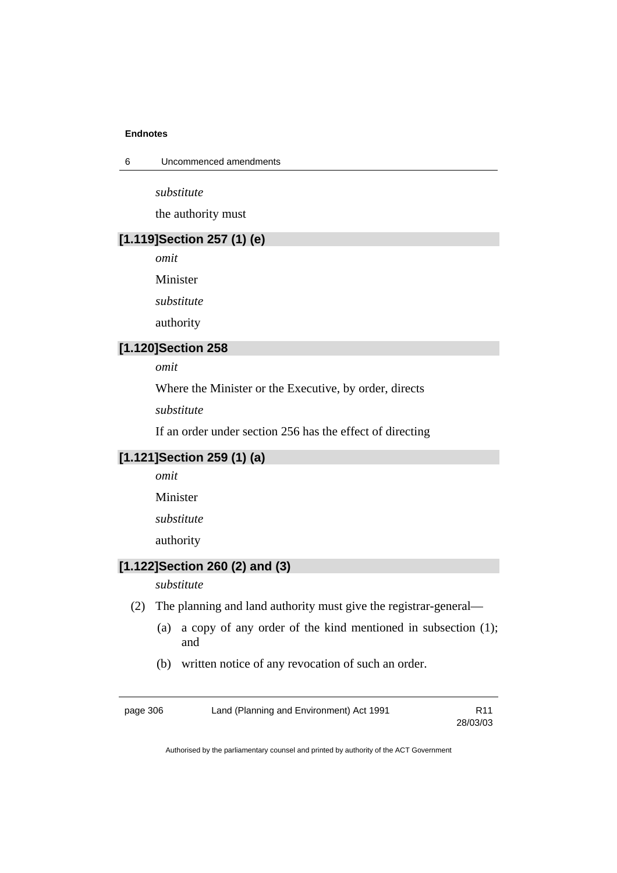6 Uncommenced amendments

*substitute* 

the authority must

## **[1.119]Section 257 (1) (e)**

*omit* 

Minister

*substitute* 

authority

## **[1.120]Section 258**

*omit* 

Where the Minister or the Executive, by order, directs

*substitute* 

If an order under section 256 has the effect of directing

## **[1.121]Section 259 (1) (a)**

*omit* 

Minister

*substitute* 

authority

## **[1.122]Section 260 (2) and (3)**

*substitute* 

- (2) The planning and land authority must give the registrar-general—
	- (a) a copy of any order of the kind mentioned in subsection (1); and
	- (b) written notice of any revocation of such an order.

| page 306 | Land (Planning and Environment) Act 1991 | R <sub>11</sub> |
|----------|------------------------------------------|-----------------|
|          |                                          | 28/03/03        |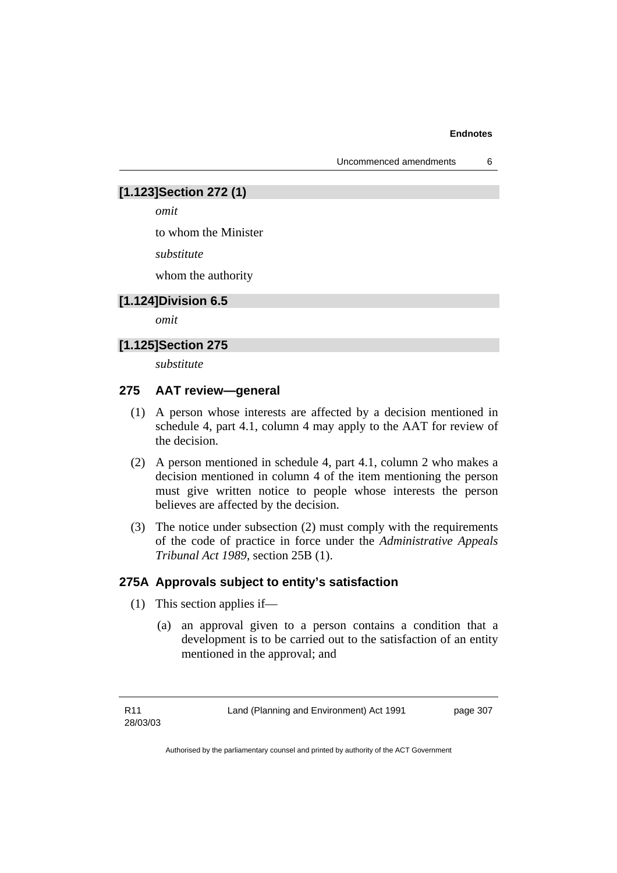## **[1.123]Section 272 (1)**

*omit* 

to whom the Minister

*substitute* 

whom the authority

## **[1.124]Division 6.5**

*omit* 

## **[1.125]Section 275**

*substitute* 

#### **275 AAT review—general**

- (1) A person whose interests are affected by a decision mentioned in schedule 4, part 4.1, column 4 may apply to the AAT for review of the decision.
- (2) A person mentioned in schedule 4, part 4.1, column 2 who makes a decision mentioned in column 4 of the item mentioning the person must give written notice to people whose interests the person believes are affected by the decision.
- (3) The notice under subsection (2) must comply with the requirements of the code of practice in force under the *Administrative Appeals Tribunal Act 1989*, section 25B (1).

#### **275A Approvals subject to entity's satisfaction**

- (1) This section applies if—
	- (a) an approval given to a person contains a condition that a development is to be carried out to the satisfaction of an entity mentioned in the approval; and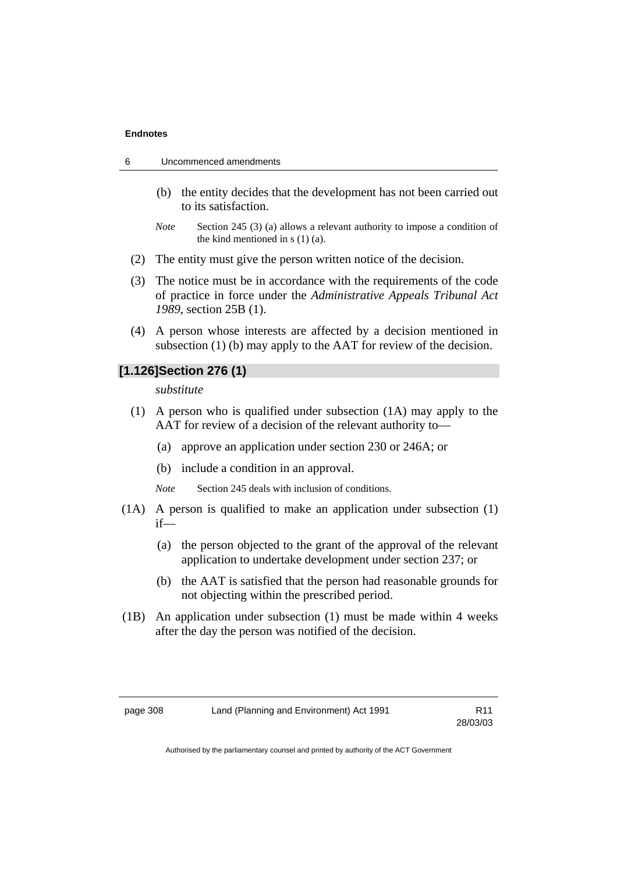- 6 Uncommenced amendments
	- (b) the entity decides that the development has not been carried out to its satisfaction.
	- *Note* Section 245 (3) (a) allows a relevant authority to impose a condition of the kind mentioned in s (1) (a).
- (2) The entity must give the person written notice of the decision.
- (3) The notice must be in accordance with the requirements of the code of practice in force under the *Administrative Appeals Tribunal Act 1989*, section 25B (1).
- (4) A person whose interests are affected by a decision mentioned in subsection (1) (b) may apply to the AAT for review of the decision.

## **[1.126]Section 276 (1)**

#### *substitute*

- (1) A person who is qualified under subsection (1A) may apply to the AAT for review of a decision of the relevant authority to—
	- (a) approve an application under section 230 or 246A; or
	- (b) include a condition in an approval.
	- *Note* Section 245 deals with inclusion of conditions.
- (1A) A person is qualified to make an application under subsection (1) if—
	- (a) the person objected to the grant of the approval of the relevant application to undertake development under section 237; or
	- (b) the AAT is satisfied that the person had reasonable grounds for not objecting within the prescribed period.
- (1B) An application under subsection (1) must be made within 4 weeks after the day the person was notified of the decision.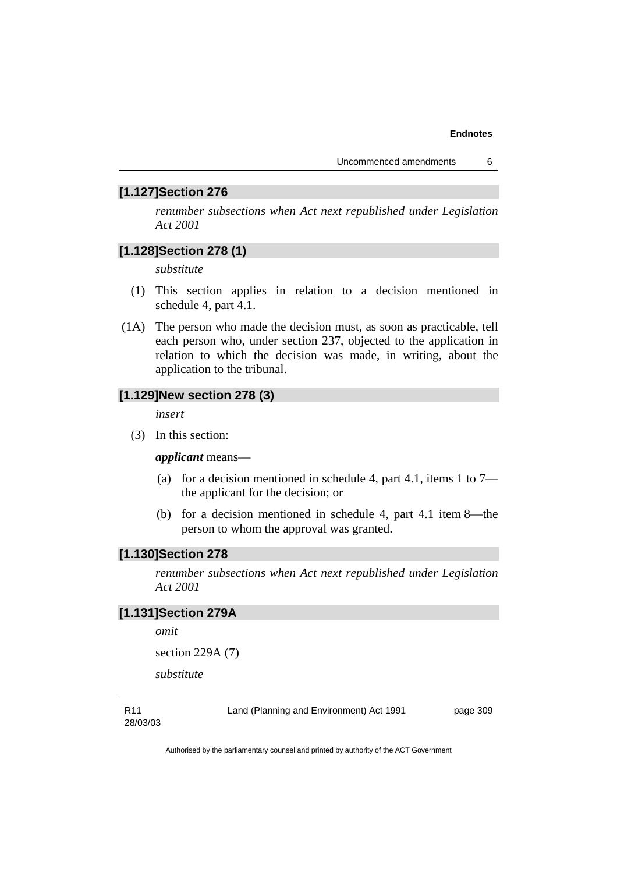#### **[1.127]Section 276**

*renumber subsections when Act next republished under Legislation Act 2001* 

## **[1.128]Section 278 (1)**

#### *substitute*

- (1) This section applies in relation to a decision mentioned in schedule 4, part 4.1.
- (1A) The person who made the decision must, as soon as practicable, tell each person who, under section 237, objected to the application in relation to which the decision was made, in writing, about the application to the tribunal.

## **[1.129]New section 278 (3)**

*insert* 

(3) In this section:

*applicant* means—

- (a) for a decision mentioned in schedule 4, part 4.1, items 1 to  $7$ the applicant for the decision; or
- (b) for a decision mentioned in schedule 4, part 4.1 item 8—the person to whom the approval was granted.

## **[1.130]Section 278**

*renumber subsections when Act next republished under Legislation Act 2001* 

## **[1.131]Section 279A**

*omit* 

section 229A (7)

*substitute* 

R11 28/03/03 Land (Planning and Environment) Act 1991 page 309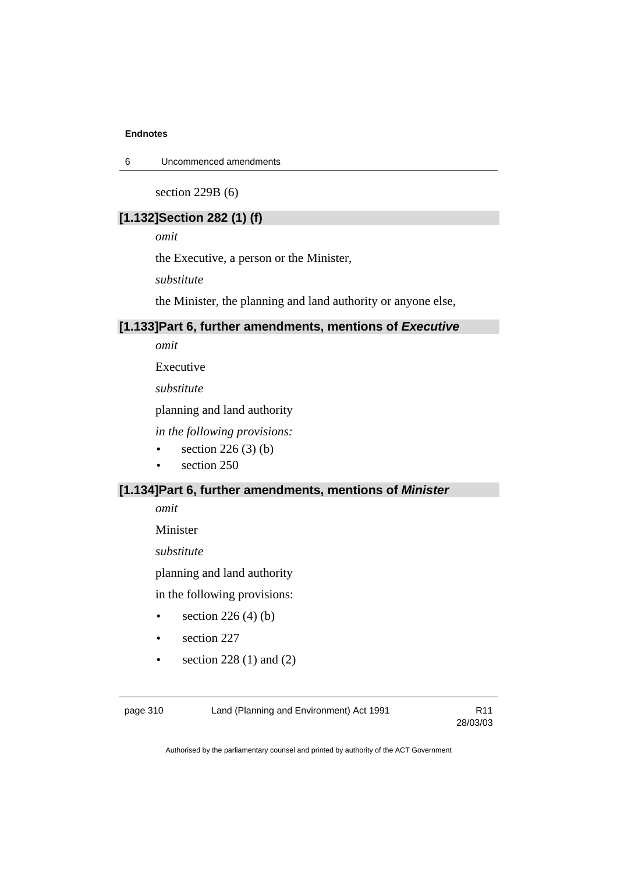6 Uncommenced amendments

section 229B (6)

## **[1.132]Section 282 (1) (f)**

*omit* 

the Executive, a person or the Minister,

*substitute* 

the Minister, the planning and land authority or anyone else,

## **[1.133]Part 6, further amendments, mentions of** *Executive*

*omit* 

Executive

*substitute* 

planning and land authority

*in the following provisions:* 

- $\bullet$  section 226 (3) (b)
- section 250

## **[1.134]Part 6, further amendments, mentions of** *Minister*

*omit* 

Minister

*substitute* 

planning and land authority

in the following provisions:

- section  $226(4)(b)$
- section 227
- section  $228(1)$  and  $(2)$

page 310 Land (Planning and Environment) Act 1991

28/03/03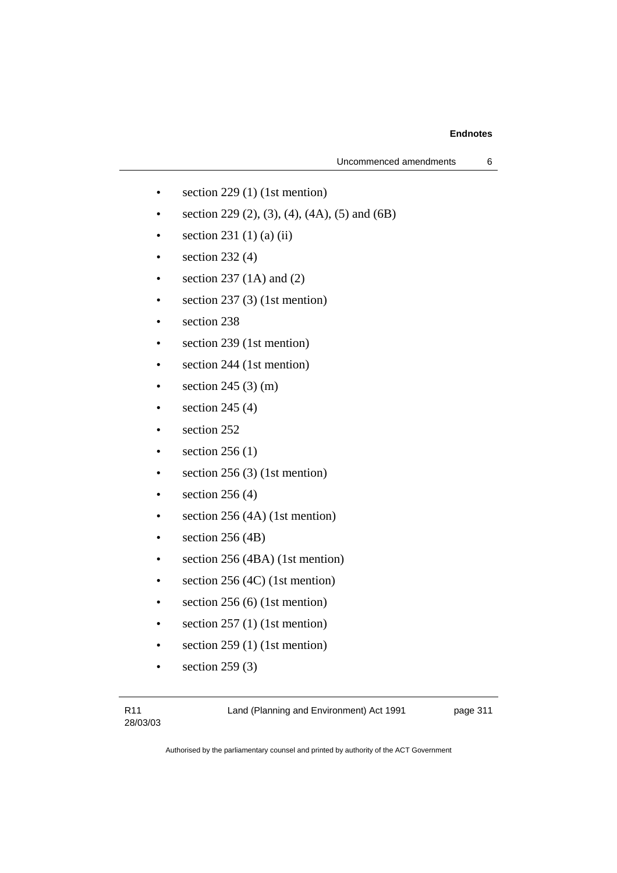- section  $229(1)$  (1st mention)
- section 229 (2), (3), (4), (4A), (5) and (6B)
- section 231 (1) (a) (ii)
- $\bullet$  section 232 (4)
- section 237 (1A) and (2)
- section  $237(3)$  (1st mention)
- section 238
- section 239 (1st mention)
- section 244 (1st mention)
- section  $245(3)(m)$
- $\bullet$  section 245 (4)
- section 252
- section  $256(1)$
- section  $256(3)$  (1st mention)
- $\bullet$  section 256 (4)
- section 256 (4A) (1st mention)
- $\bullet$  section 256 (4B)
- section 256 (4BA) (1st mention)
- section 256 (4C) (1st mention)
- section  $256(6)$  (1st mention)
- section  $257(1)$  (1st mention)
- $\bullet$  section 259 (1) (1st mention)
- section  $259(3)$

Land (Planning and Environment) Act 1991 page 311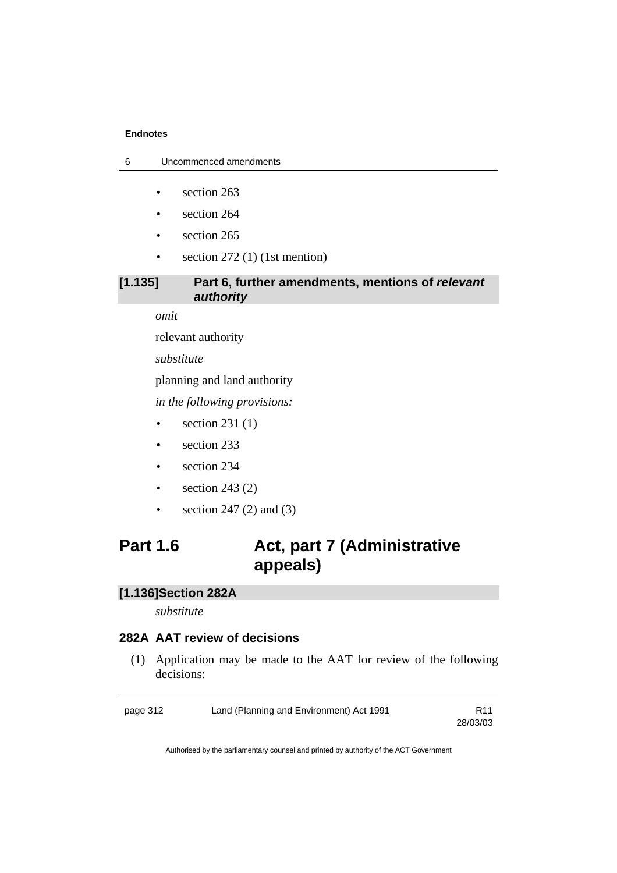| Uncommenced amendments<br>6 |  |
|-----------------------------|--|
|-----------------------------|--|

- section 263
- section 264
- section 265
- section  $272$  (1) (1st mention)

## **[1.135] Part 6, further amendments, mentions of** *relevant authority*

*omit* 

relevant authority

*substitute* 

planning and land authority

*in the following provisions:* 

- section  $231(1)$
- section 233
- section 234
- $\bullet$  section 243 (2)
- section 247 (2) and (3)

# Part 1.6 **Act, part 7 (Administrative appeals)**

## **[1.136]Section 282A**

*substitute* 

## **282A AAT review of decisions**

 (1) Application may be made to the AAT for review of the following decisions:

| page 312 | Land (Planning and Environment) Act 1991 | R11      |
|----------|------------------------------------------|----------|
|          |                                          | 28/03/03 |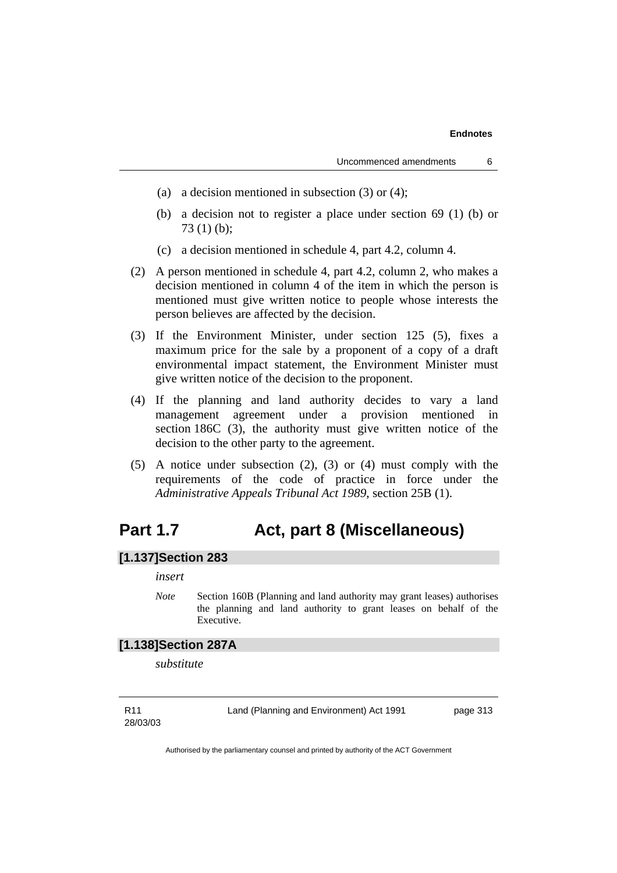- (a) a decision mentioned in subsection (3) or (4);
- (b) a decision not to register a place under section 69 (1) (b) or 73 (1) (b);
- (c) a decision mentioned in schedule 4, part 4.2, column 4.
- (2) A person mentioned in schedule 4, part 4.2, column 2, who makes a decision mentioned in column 4 of the item in which the person is mentioned must give written notice to people whose interests the person believes are affected by the decision.
- (3) If the Environment Minister, under section 125 (5), fixes a maximum price for the sale by a proponent of a copy of a draft environmental impact statement, the Environment Minister must give written notice of the decision to the proponent.
- (4) If the planning and land authority decides to vary a land management agreement under a provision mentioned in section 186C (3), the authority must give written notice of the decision to the other party to the agreement.
- (5) A notice under subsection (2), (3) or (4) must comply with the requirements of the code of practice in force under the *Administrative Appeals Tribunal Act 1989*, section 25B (1).

# **Part 1.7 Act, part 8 (Miscellaneous)**

## **[1.137]Section 283**

#### *insert*

*Note* Section 160B (Planning and land authority may grant leases) authorises the planning and land authority to grant leases on behalf of the Executive.

## **[1.138]Section 287A**

*substitute* 

R11 28/03/03 Land (Planning and Environment) Act 1991 page 313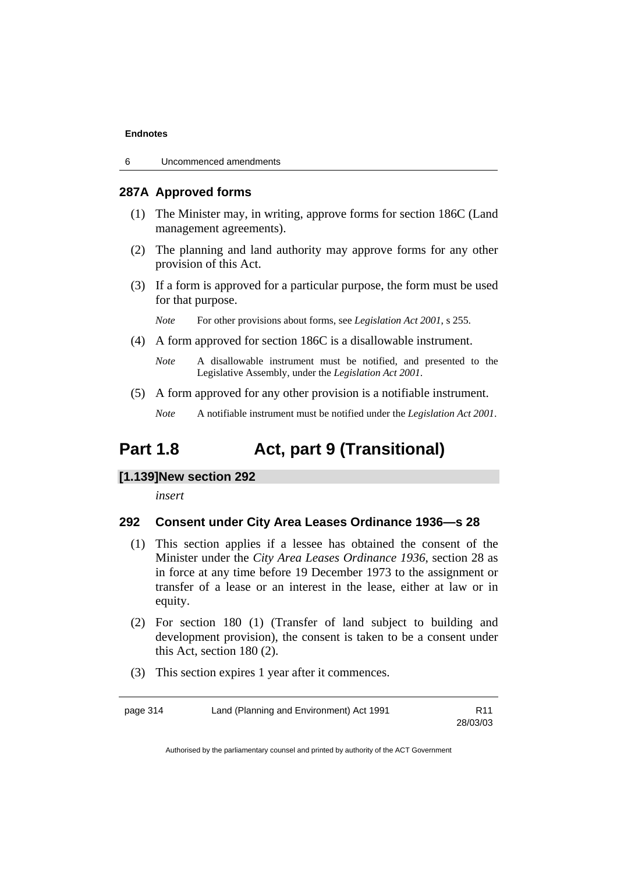6 Uncommenced amendments

## **287A Approved forms**

- (1) The Minister may, in writing, approve forms for section 186C (Land management agreements).
- (2) The planning and land authority may approve forms for any other provision of this Act.
- (3) If a form is approved for a particular purpose, the form must be used for that purpose.
	- *Note* For other provisions about forms, see *Legislation Act 2001*, s 255.
- (4) A form approved for section 186C is a disallowable instrument.
	- *Note* A disallowable instrument must be notified, and presented to the Legislative Assembly, under the *Legislation Act 2001*.
- (5) A form approved for any other provision is a notifiable instrument.
	- *Note* A notifiable instrument must be notified under the *Legislation Act 2001*.

# **Part 1.8 Act, part 9 (Transitional)**

### **[1.139]New section 292**

*insert* 

## **292 Consent under City Area Leases Ordinance 1936—s 28**

- (1) This section applies if a lessee has obtained the consent of the Minister under the *City Area Leases Ordinance 1936*, section 28 as in force at any time before 19 December 1973 to the assignment or transfer of a lease or an interest in the lease, either at law or in equity.
- (2) For section 180 (1) (Transfer of land subject to building and development provision), the consent is taken to be a consent under this Act, section 180 (2).
- (3) This section expires 1 year after it commences.

| page 314 | Land (Planning and Environment) Act 1991 | R11      |
|----------|------------------------------------------|----------|
|          |                                          | 28/03/03 |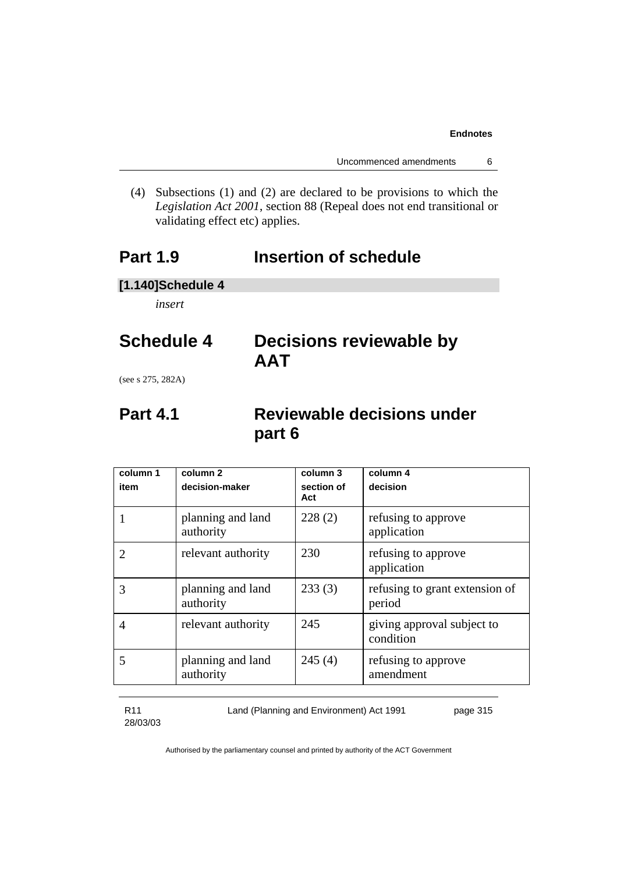(4) Subsections (1) and (2) are declared to be provisions to which the *Legislation Act 2001*, section 88 (Repeal does not end transitional or validating effect etc) applies.

## **Part 1.9 Insertion of schedule**

## **[1.140]Schedule 4**

*insert* 

# **Schedule 4 Decisions reviewable by AAT**

(see s 275, 282A)

# **Part 4.1 Reviewable decisions under part 6**

| column 1<br>item | column 2<br>decision-maker     | column 3<br>section of<br>Act | column 4<br>decision                     |
|------------------|--------------------------------|-------------------------------|------------------------------------------|
|                  | planning and land<br>authority | 228(2)                        | refusing to approve<br>application       |
|                  | relevant authority             | 230                           | refusing to approve<br>application       |
| 3                | planning and land<br>authority | 233(3)                        | refusing to grant extension of<br>period |
| 4                | relevant authority             | 245                           | giving approval subject to<br>condition  |
| 5                | planning and land<br>authority | 245(4)                        | refusing to approve<br>amendment         |

R11 28/03/03 Land (Planning and Environment) Act 1991 page 315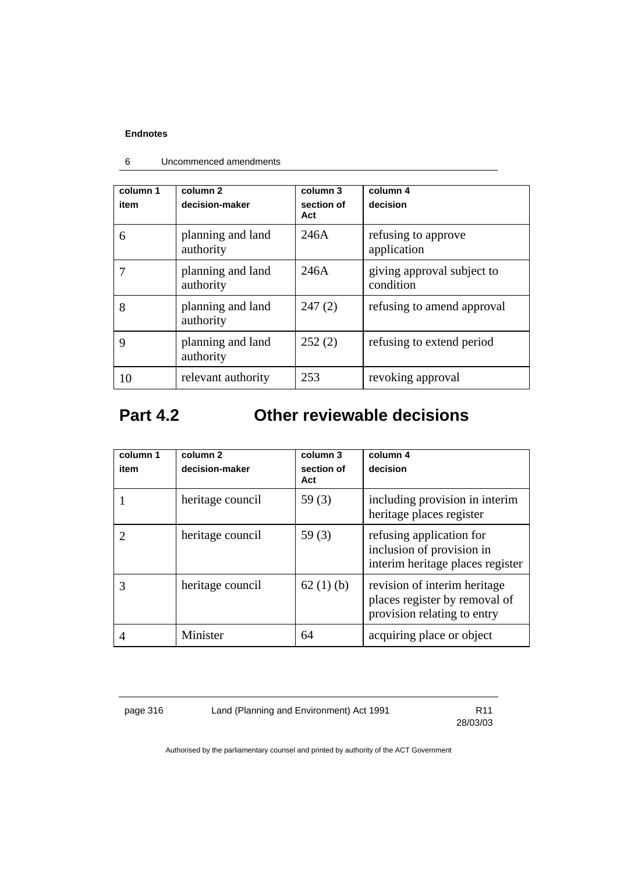| column 1<br>item | column 2<br>decision-maker     | column 3<br>section of<br>Act | column 4<br>decision                    |
|------------------|--------------------------------|-------------------------------|-----------------------------------------|
| 6                | planning and land<br>authority | 246A                          | refusing to approve<br>application      |
|                  | planning and land<br>authority | 246A                          | giving approval subject to<br>condition |
| 8                | planning and land<br>authority | 247(2)                        | refusing to amend approval              |
| 9                | planning and land<br>authority | 252(2)                        | refusing to extend period               |
| 10               | relevant authority             | 253                           | revoking approval                       |

6 Uncommenced amendments

# **Part 4.2 Other reviewable decisions**

| column 1<br>item | column 2<br>decision-maker | column 3<br>section of<br>Act | column 4<br>decision                                                                         |
|------------------|----------------------------|-------------------------------|----------------------------------------------------------------------------------------------|
|                  | heritage council           | 59 $(3)$                      | including provision in interim<br>heritage places register                                   |
|                  | heritage council           | 59 $(3)$                      | refusing application for<br>inclusion of provision in<br>interim heritage places register    |
|                  | heritage council           | 62 $(1)$ (b)                  | revision of interim heritage<br>places register by removal of<br>provision relating to entry |
|                  | Minister                   | 64                            | acquiring place or object                                                                    |

page 316 Land (Planning and Environment) Act 1991 Case 11

28/03/03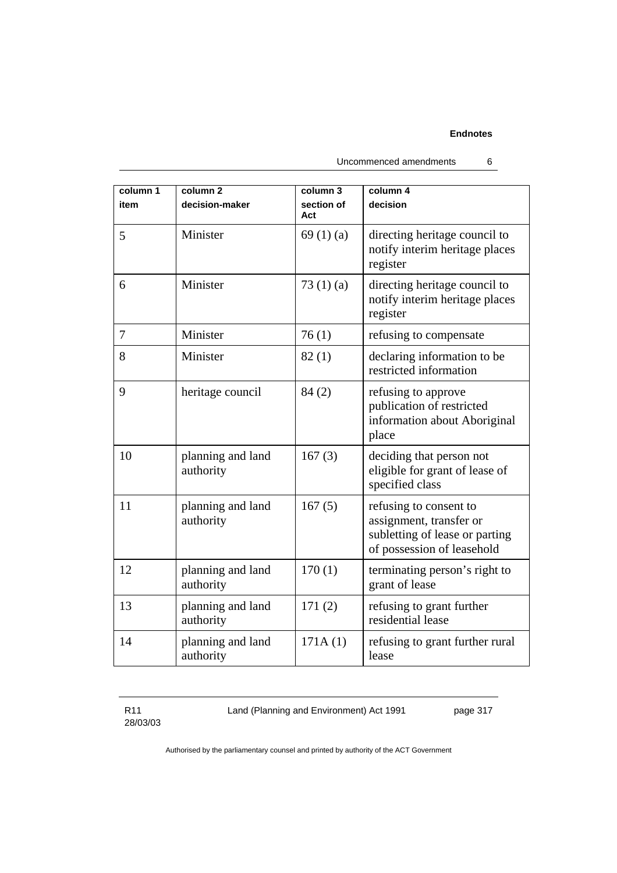| column 1 | column <sub>2</sub>            | column 3          | column 4                                                                                                          |
|----------|--------------------------------|-------------------|-------------------------------------------------------------------------------------------------------------------|
| item     | decision-maker                 | section of<br>Act | decision                                                                                                          |
| 5        | Minister                       | 69(1)(a)          | directing heritage council to<br>notify interim heritage places<br>register                                       |
| 6        | Minister                       | 73 $(1)$ $(a)$    | directing heritage council to<br>notify interim heritage places<br>register                                       |
| 7        | Minister                       | 76(1)             | refusing to compensate                                                                                            |
| 8        | Minister                       | 82(1)             | declaring information to be<br>restricted information                                                             |
| 9        | heritage council               | 84(2)             | refusing to approve<br>publication of restricted<br>information about Aboriginal<br>place                         |
| 10       | planning and land<br>authority | 167(3)            | deciding that person not<br>eligible for grant of lease of<br>specified class                                     |
| 11       | planning and land<br>authority | 167(5)            | refusing to consent to<br>assignment, transfer or<br>subletting of lease or parting<br>of possession of leasehold |
| 12       | planning and land<br>authority | 170(1)            | terminating person's right to<br>grant of lease                                                                   |
| 13       | planning and land<br>authority | 171(2)            | refusing to grant further<br>residential lease                                                                    |
| 14       | planning and land<br>authority | 171A(1)           | refusing to grant further rural<br>lease                                                                          |

## Uncommenced amendments 6

R11 28/03/03 Land (Planning and Environment) Act 1991 page 317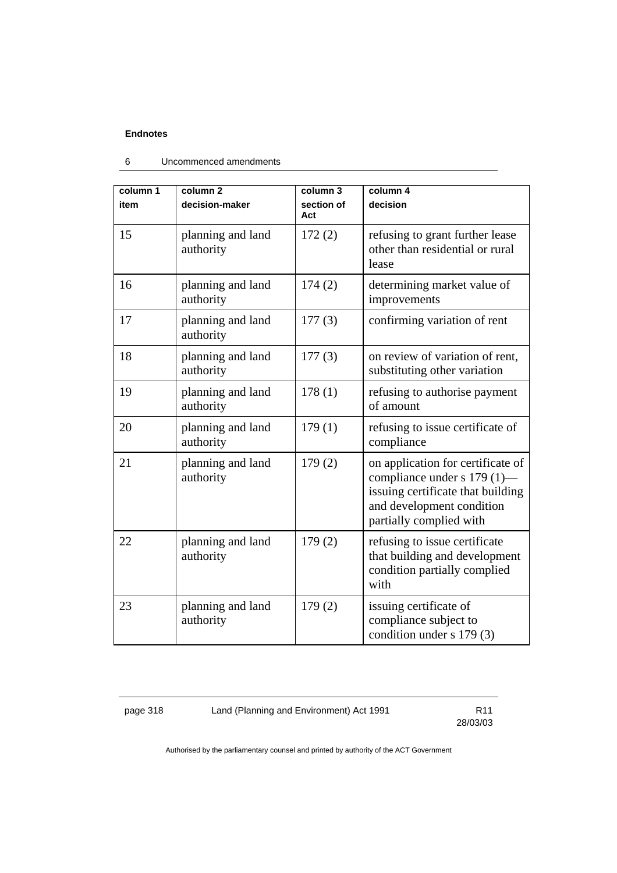| column 1<br>item | column <sub>2</sub><br>decision-maker | column 3<br>section of<br>Act | column 4<br>decision                                                                                                                                            |
|------------------|---------------------------------------|-------------------------------|-----------------------------------------------------------------------------------------------------------------------------------------------------------------|
| 15               | planning and land<br>authority        | 172(2)                        | refusing to grant further lease<br>other than residential or rural<br>lease                                                                                     |
| 16               | planning and land<br>authority        | 174(2)                        | determining market value of<br>improvements                                                                                                                     |
| 17               | planning and land<br>authority        | 177(3)                        | confirming variation of rent                                                                                                                                    |
| 18               | planning and land<br>authority        | 177(3)                        | on review of variation of rent,<br>substituting other variation                                                                                                 |
| 19               | planning and land<br>authority        | 178(1)                        | refusing to authorise payment<br>of amount                                                                                                                      |
| 20               | planning and land<br>authority        | 179(1)                        | refusing to issue certificate of<br>compliance                                                                                                                  |
| 21               | planning and land<br>authority        | 179(2)                        | on application for certificate of<br>compliance under s $179(1)$ —<br>issuing certificate that building<br>and development condition<br>partially complied with |
| 22               | planning and land<br>authority        | 179(2)                        | refusing to issue certificate<br>that building and development<br>condition partially complied<br>with                                                          |
| 23               | planning and land<br>authority        | 179(2)                        | issuing certificate of<br>compliance subject to<br>condition under s 179 (3)                                                                                    |

## 6 Uncommenced amendments

page 318 Land (Planning and Environment) Act 1991 R11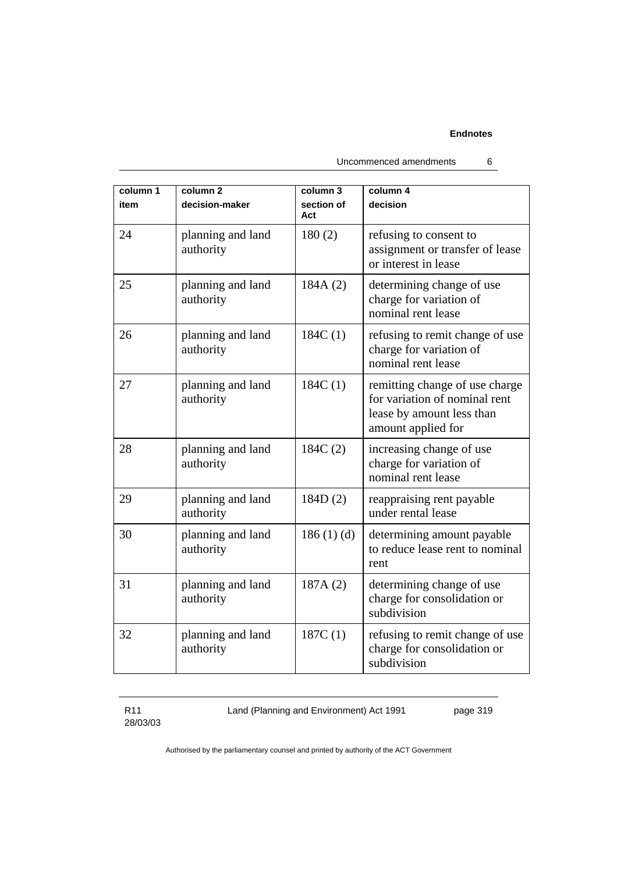| column 1 | column <sub>2</sub>            | column 3          | column 4                                                                                                           |
|----------|--------------------------------|-------------------|--------------------------------------------------------------------------------------------------------------------|
| item     | decision-maker                 | section of<br>Act | decision                                                                                                           |
| 24       | planning and land<br>authority | 180(2)            | refusing to consent to<br>assignment or transfer of lease<br>or interest in lease                                  |
| 25       | planning and land<br>authority | 184A(2)           | determining change of use<br>charge for variation of<br>nominal rent lease                                         |
| 26       | planning and land<br>authority | 184C(1)           | refusing to remit change of use<br>charge for variation of<br>nominal rent lease                                   |
| 27       | planning and land<br>authority | 184C(1)           | remitting change of use charge<br>for variation of nominal rent<br>lease by amount less than<br>amount applied for |
| 28       | planning and land<br>authority | 184C(2)           | increasing change of use<br>charge for variation of<br>nominal rent lease                                          |
| 29       | planning and land<br>authority | 184D(2)           | reappraising rent payable<br>under rental lease                                                                    |
| 30       | planning and land<br>authority | 186(1)(d)         | determining amount payable<br>to reduce lease rent to nominal<br>rent                                              |
| 31       | planning and land<br>authority | 187A(2)           | determining change of use<br>charge for consolidation or<br>subdivision                                            |
| 32       | planning and land<br>authority | 187C(1)           | refusing to remit change of use<br>charge for consolidation or<br>subdivision                                      |

## Uncommenced amendments 6

R11 28/03/03 Land (Planning and Environment) Act 1991 page 319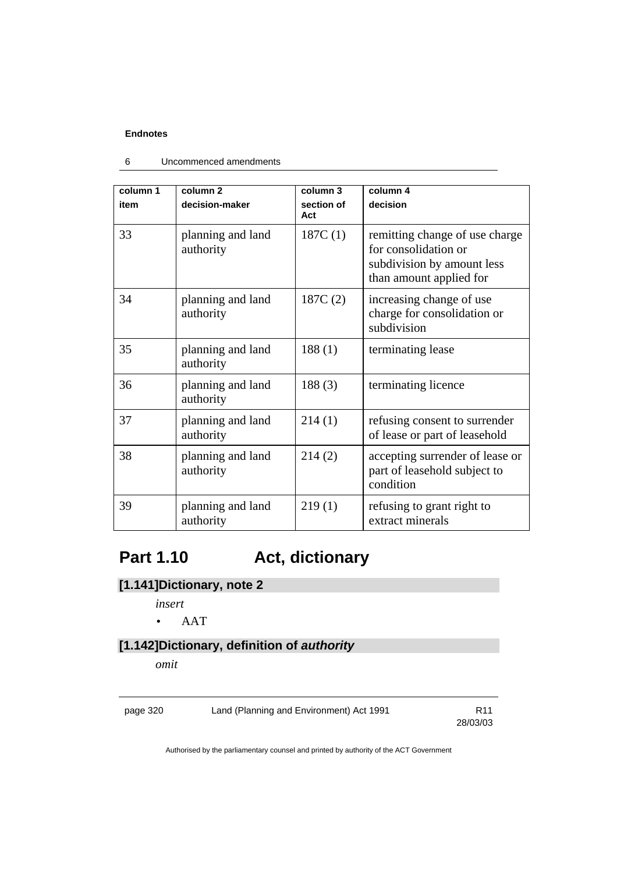| column 1<br>item | column <sub>2</sub><br>decision-maker | column 3<br>section of | column 4<br>decision                                                                                            |
|------------------|---------------------------------------|------------------------|-----------------------------------------------------------------------------------------------------------------|
|                  |                                       | Act                    |                                                                                                                 |
| 33               | planning and land<br>authority        | 187C(1)                | remitting change of use charge<br>for consolidation or<br>subdivision by amount less<br>than amount applied for |
| 34               | planning and land<br>authority        | 187C(2)                | increasing change of use<br>charge for consolidation or<br>subdivision                                          |
| 35               | planning and land<br>authority        | 188(1)                 | terminating lease                                                                                               |
| 36               | planning and land<br>authority        | 188(3)                 | terminating licence                                                                                             |
| 37               | planning and land<br>authority        | 214(1)                 | refusing consent to surrender<br>of lease or part of leasehold                                                  |
| 38               | planning and land<br>authority        | 214(2)                 | accepting surrender of lease or<br>part of leasehold subject to<br>condition                                    |
| 39               | planning and land<br>authority        | 219(1)                 | refusing to grant right to<br>extract minerals                                                                  |

6 Uncommenced amendments

# **Part 1.10 Act, dictionary**

## **[1.141]Dictionary, note 2**

*insert* 

• AAT

## **[1.142]Dictionary, definition of** *authority*

*omit* 

page 320 Land (Planning and Environment) Act 1991 R11

28/03/03